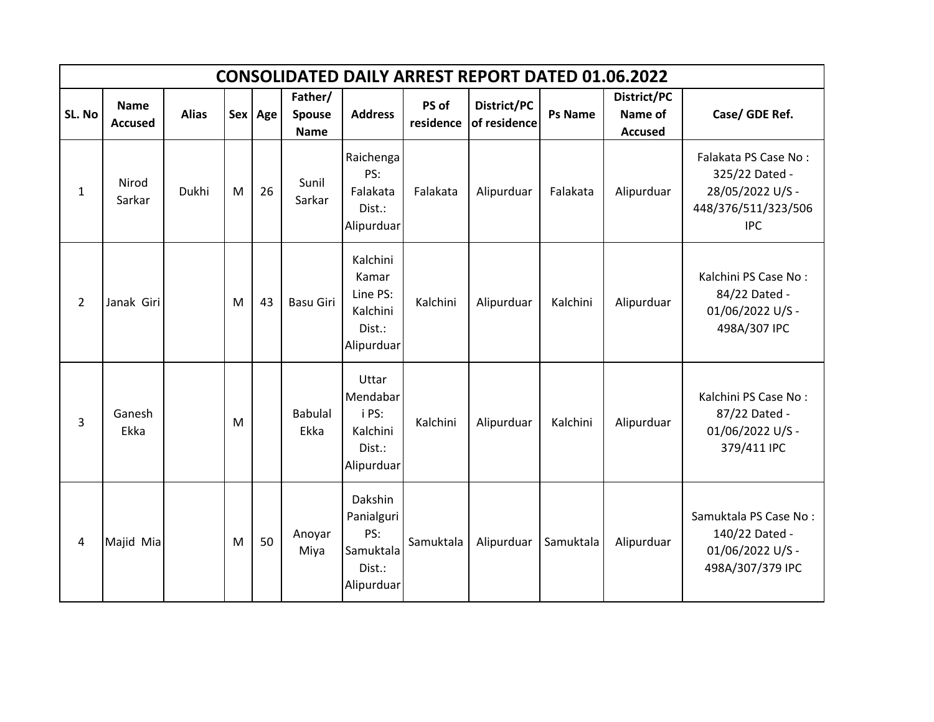|                | <b>CONSOLIDATED DAILY ARREST REPORT DATED 01.06.2022</b> |              |   |         |                                         |                                                                   |                    |                             |                |                                          |                                                                                                 |  |  |  |
|----------------|----------------------------------------------------------|--------------|---|---------|-----------------------------------------|-------------------------------------------------------------------|--------------------|-----------------------------|----------------|------------------------------------------|-------------------------------------------------------------------------------------------------|--|--|--|
| SL. No         | <b>Name</b><br><b>Accused</b>                            | <b>Alias</b> |   | Sex Age | Father/<br><b>Spouse</b><br><b>Name</b> | <b>Address</b>                                                    | PS of<br>residence | District/PC<br>of residence | <b>Ps Name</b> | District/PC<br>Name of<br><b>Accused</b> | Case/ GDE Ref.                                                                                  |  |  |  |
| 1              | Nirod<br>Sarkar                                          | <b>Dukhi</b> | M | 26      | Sunil<br>Sarkar                         | Raichenga<br>PS:<br>Falakata<br>Dist.:<br>Alipurduar              | Falakata           | Alipurduar                  | Falakata       | Alipurduar                               | Falakata PS Case No:<br>325/22 Dated -<br>28/05/2022 U/S -<br>448/376/511/323/506<br><b>IPC</b> |  |  |  |
| $\overline{2}$ | Janak Giri                                               |              | M | 43      | <b>Basu Giri</b>                        | Kalchini<br>Kamar<br>Line PS:<br>Kalchini<br>Dist.:<br>Alipurduar | Kalchini           | Alipurduar                  | Kalchini       | Alipurduar                               | Kalchini PS Case No:<br>84/22 Dated -<br>01/06/2022 U/S -<br>498A/307 IPC                       |  |  |  |
| 3              | Ganesh<br>Ekka                                           |              | M |         | <b>Babulal</b><br>Ekka                  | Uttar<br>Mendabar<br>i PS:<br>Kalchini<br>Dist.:<br>Alipurduar    | Kalchini           | Alipurduar                  | Kalchini       | Alipurduar                               | Kalchini PS Case No:<br>87/22 Dated -<br>01/06/2022 U/S -<br>379/411 IPC                        |  |  |  |
| $\overline{4}$ | Majid Mia                                                |              | M | 50      | Anoyar<br>Miya                          | Dakshin<br>Panialguri<br>PS:<br>Samuktala<br>Dist.:<br>Alipurduar | Samuktala          | Alipurduar                  | Samuktala      | Alipurduar                               | Samuktala PS Case No:<br>140/22 Dated -<br>01/06/2022 U/S -<br>498A/307/379 IPC                 |  |  |  |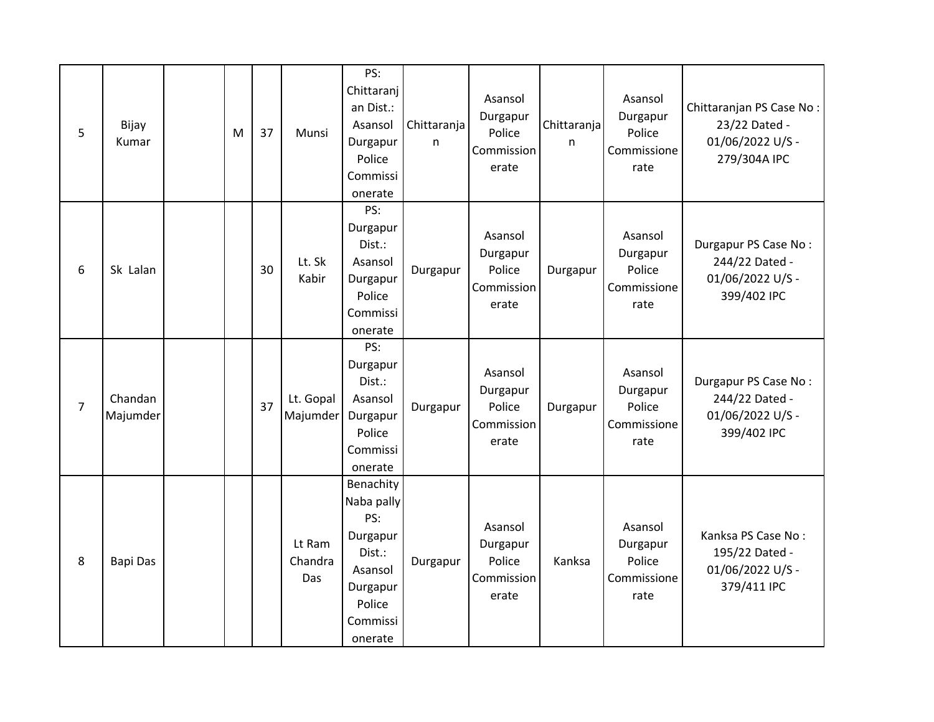| 5              | Bijay<br>Kumar      | M | 37 | Munsi                    | PS:<br>Chittaranj<br>an Dist.:<br>Asansol<br>Durgapur<br>Police<br>Commissi<br>onerate                       | Chittaranja<br>n | Asansol<br>Durgapur<br>Police<br>Commission<br>erate | Chittaranja<br>n | Asansol<br>Durgapur<br>Police<br>Commissione<br>rate | Chittaranjan PS Case No:<br>23/22 Dated -<br>01/06/2022 U/S -<br>279/304A IPC |
|----------------|---------------------|---|----|--------------------------|--------------------------------------------------------------------------------------------------------------|------------------|------------------------------------------------------|------------------|------------------------------------------------------|-------------------------------------------------------------------------------|
| 6              | Sk Lalan            |   | 30 | Lt. Sk<br>Kabir          | PS:<br>Durgapur<br>Dist.:<br>Asansol<br>Durgapur<br>Police<br>Commissi<br>onerate                            | Durgapur         | Asansol<br>Durgapur<br>Police<br>Commission<br>erate | Durgapur         | Asansol<br>Durgapur<br>Police<br>Commissione<br>rate | Durgapur PS Case No:<br>244/22 Dated -<br>01/06/2022 U/S -<br>399/402 IPC     |
| $\overline{7}$ | Chandan<br>Majumder |   | 37 | Lt. Gopal<br>Majumder    | PS:<br>Durgapur<br>Dist.:<br>Asansol<br>Durgapur<br>Police<br>Commissi<br>onerate                            | Durgapur         | Asansol<br>Durgapur<br>Police<br>Commission<br>erate | Durgapur         | Asansol<br>Durgapur<br>Police<br>Commissione<br>rate | Durgapur PS Case No:<br>244/22 Dated -<br>01/06/2022 U/S -<br>399/402 IPC     |
| 8              | Bapi Das            |   |    | Lt Ram<br>Chandra<br>Das | Benachity<br>Naba pally<br>PS:<br>Durgapur<br>Dist.:<br>Asansol<br>Durgapur<br>Police<br>Commissi<br>onerate | Durgapur         | Asansol<br>Durgapur<br>Police<br>Commission<br>erate | Kanksa           | Asansol<br>Durgapur<br>Police<br>Commissione<br>rate | Kanksa PS Case No:<br>195/22 Dated -<br>01/06/2022 U/S -<br>379/411 IPC       |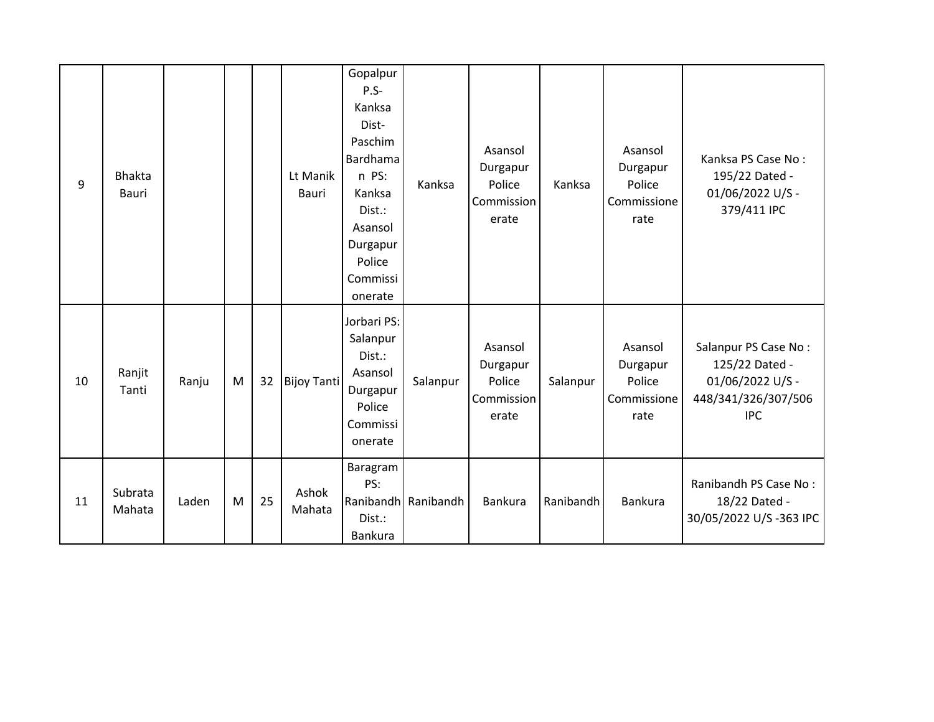| 9  | <b>Bhakta</b><br>Bauri |       |   |    | Lt Manik<br><b>Bauri</b> | Gopalpur<br>$P.S-$<br>Kanksa<br>Dist-<br>Paschim<br>Bardhama<br>n PS:<br>Kanksa<br>Dist.:<br>Asansol<br>Durgapur<br>Police<br>Commissi<br>onerate | Kanksa              | Asansol<br>Durgapur<br>Police<br>Commission<br>erate | Kanksa    | Asansol<br>Durgapur<br>Police<br>Commissione<br>rate | Kanksa PS Case No:<br>195/22 Dated -<br>01/06/2022 U/S -<br>379/411 IPC                         |
|----|------------------------|-------|---|----|--------------------------|---------------------------------------------------------------------------------------------------------------------------------------------------|---------------------|------------------------------------------------------|-----------|------------------------------------------------------|-------------------------------------------------------------------------------------------------|
| 10 | Ranjit<br>Tanti        | Ranju | M | 32 | <b>Bijoy Tanti</b>       | Jorbari PS:<br>Salanpur<br>Dist.:<br>Asansol<br>Durgapur<br>Police<br>Commissi<br>onerate                                                         | Salanpur            | Asansol<br>Durgapur<br>Police<br>Commission<br>erate | Salanpur  | Asansol<br>Durgapur<br>Police<br>Commissione<br>rate | Salanpur PS Case No:<br>125/22 Dated -<br>01/06/2022 U/S -<br>448/341/326/307/506<br><b>IPC</b> |
| 11 | Subrata<br>Mahata      | Laden | M | 25 | Ashok<br>Mahata          | Baragram<br>PS:<br>Dist.:<br><b>Bankura</b>                                                                                                       | Ranibandh Ranibandh | Bankura                                              | Ranibandh | Bankura                                              | Ranibandh PS Case No:<br>18/22 Dated -<br>30/05/2022 U/S-363 IPC                                |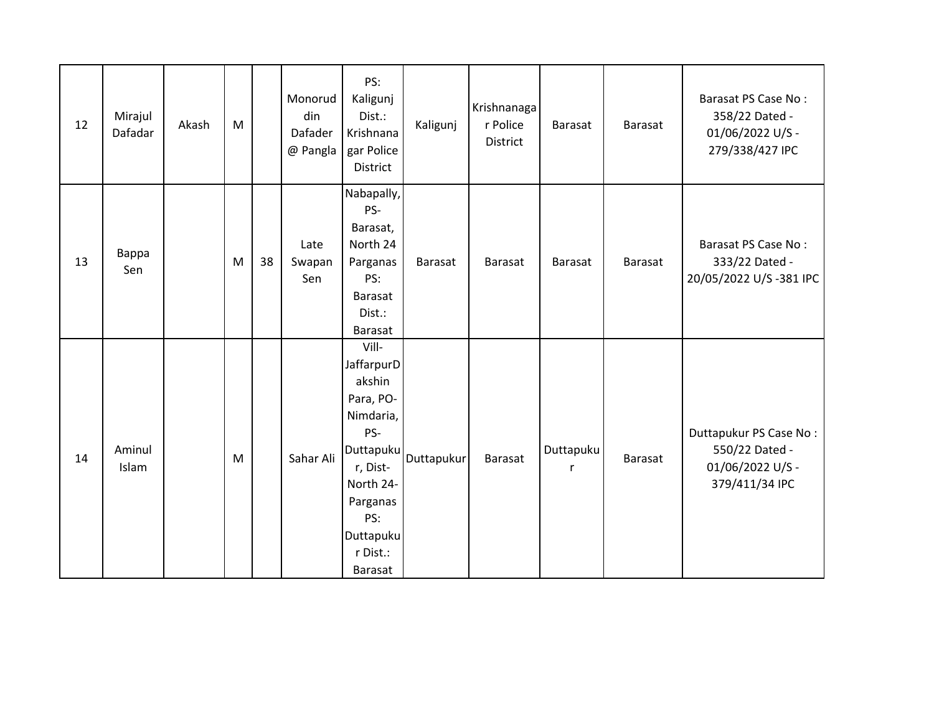| 12 | Mirajul<br>Dafadar | Akash | M |    | Monorud<br>din<br>Dafader<br>@ Pangla | PS:<br>Kaligunj<br>Dist.:<br>Krishnana<br>gar Police<br>District                                                                                            | Kaligunj   | Krishnanaga<br>r Police<br>District | Barasat        | Barasat | Barasat PS Case No:<br>358/22 Dated -<br>01/06/2022 U/S -<br>279/338/427 IPC   |
|----|--------------------|-------|---|----|---------------------------------------|-------------------------------------------------------------------------------------------------------------------------------------------------------------|------------|-------------------------------------|----------------|---------|--------------------------------------------------------------------------------|
| 13 | Bappa<br>Sen       |       | M | 38 | Late<br>Swapan<br>Sen                 | Nabapally,<br>PS-<br>Barasat,<br>North 24<br>Parganas<br>PS:<br>Barasat<br>Dist.:<br><b>Barasat</b>                                                         | Barasat    | Barasat                             | Barasat        | Barasat | Barasat PS Case No:<br>333/22 Dated -<br>20/05/2022 U/S-381 IPC                |
| 14 | Aminul<br>Islam    |       | M |    | Sahar Ali                             | Vill-<br>JaffarpurD<br>akshin<br>Para, PO-<br>Nimdaria,<br>PS-<br>Duttapuku<br>r, Dist-<br>North 24-<br>Parganas<br>PS:<br>Duttapuku<br>r Dist.:<br>Barasat | Duttapukur | Barasat                             | Duttapuku<br>r | Barasat | Duttapukur PS Case No:<br>550/22 Dated -<br>01/06/2022 U/S -<br>379/411/34 IPC |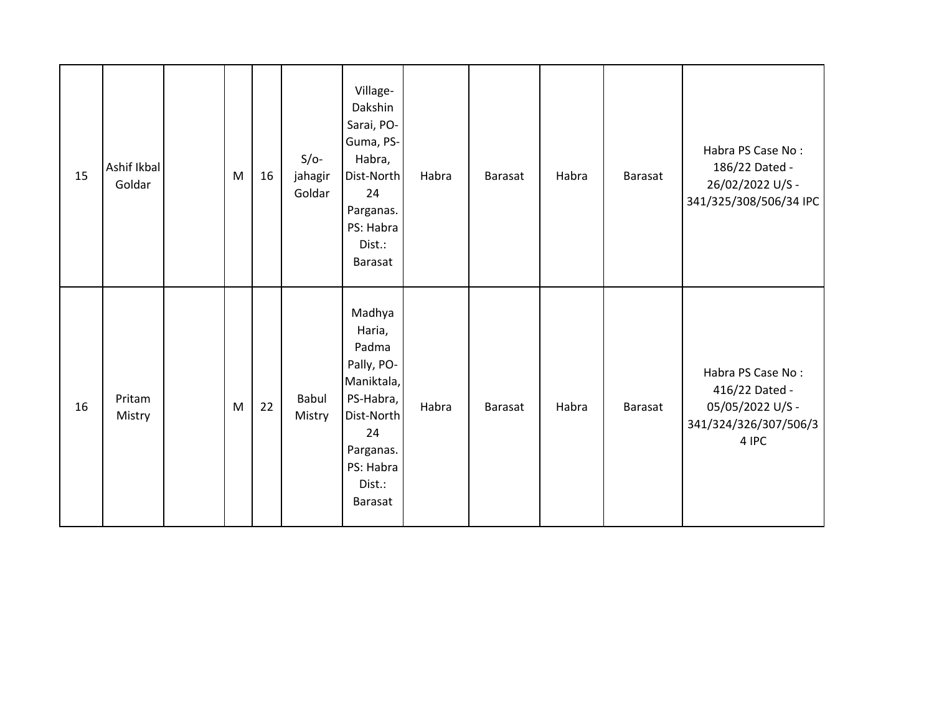| 15 | Ashif Ikbal<br>Goldar | M | 16 | $S/O-$<br>jahagir<br>Goldar | Village-<br>Dakshin<br>Sarai, PO-<br>Guma, PS-<br>Habra,<br>Dist-North<br>24<br>Parganas.<br>PS: Habra<br>Dist.:<br><b>Barasat</b>    | Habra | <b>Barasat</b> | Habra | Barasat | Habra PS Case No:<br>186/22 Dated -<br>26/02/2022 U/S -<br>341/325/308/506/34 IPC         |
|----|-----------------------|---|----|-----------------------------|---------------------------------------------------------------------------------------------------------------------------------------|-------|----------------|-------|---------|-------------------------------------------------------------------------------------------|
| 16 | Pritam<br>Mistry      | M | 22 | <b>Babul</b><br>Mistry      | Madhya<br>Haria,<br>Padma<br>Pally, PO-<br>Maniktala,<br>PS-Habra,<br>Dist-North<br>24<br>Parganas.<br>PS: Habra<br>Dist.:<br>Barasat | Habra | <b>Barasat</b> | Habra | Barasat | Habra PS Case No:<br>416/22 Dated -<br>05/05/2022 U/S -<br>341/324/326/307/506/3<br>4 IPC |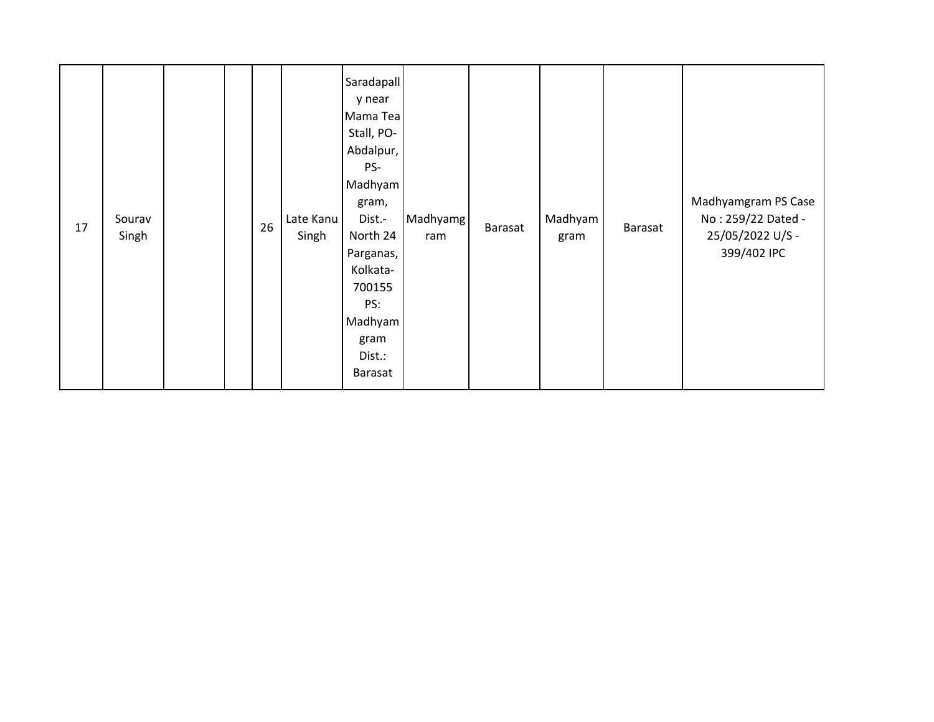| 17 | Sourav<br>Singh |  |  | 26 | Late Kanu<br>Singh | Saradapall<br>y near<br>Mama Tea<br>Stall, PO-<br>Abdalpur,<br>PS-<br>Madhyam<br>gram,<br>Dist.-<br>North 24<br>Parganas,<br>Kolkata-<br>700155<br>PS:<br>Madhyam<br>gram<br>Dist.:<br>Barasat | Madhyamg<br>ram | Barasat | Madhyam<br>gram | Barasat | Madhyamgram PS Case<br>No: 259/22 Dated -<br>25/05/2022 U/S -<br>399/402 IPC |
|----|-----------------|--|--|----|--------------------|------------------------------------------------------------------------------------------------------------------------------------------------------------------------------------------------|-----------------|---------|-----------------|---------|------------------------------------------------------------------------------|
|----|-----------------|--|--|----|--------------------|------------------------------------------------------------------------------------------------------------------------------------------------------------------------------------------------|-----------------|---------|-----------------|---------|------------------------------------------------------------------------------|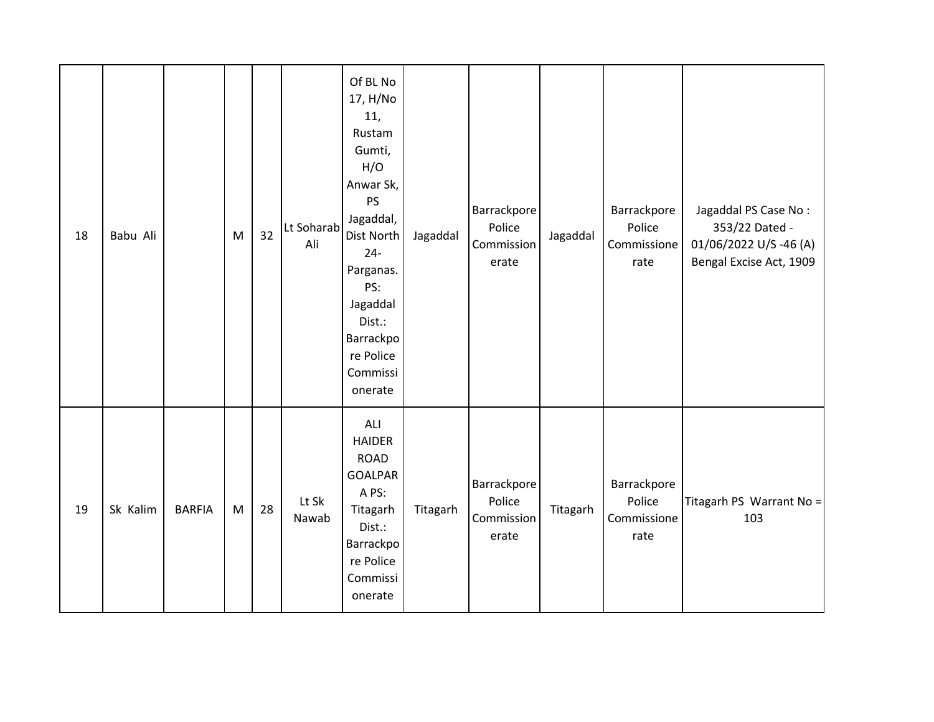| 18 | Babu Ali |               | ${\sf M}$ | 32 | Lt Soharab<br>Ali | Of BL No<br>17, H/No<br>11,<br>Rustam<br>Gumti,<br>H/O<br>Anwar Sk,<br>PS<br>Jagaddal,<br>Dist North<br>$24 -$<br>Parganas.<br>PS:<br>Jagaddal<br>Dist.:<br>Barrackpo<br>re Police<br>Commissi<br>onerate | Jagaddal | Barrackpore<br>Police<br>Commission<br>erate | Jagaddal | Barrackpore<br>Police<br>Commissione<br>rate | Jagaddal PS Case No:<br>353/22 Dated -<br>01/06/2022 U/S-46 (A)<br>Bengal Excise Act, 1909 |
|----|----------|---------------|-----------|----|-------------------|-----------------------------------------------------------------------------------------------------------------------------------------------------------------------------------------------------------|----------|----------------------------------------------|----------|----------------------------------------------|--------------------------------------------------------------------------------------------|
| 19 | Sk Kalim | <b>BARFIA</b> | M         | 28 | Lt Sk<br>Nawab    | ALI<br><b>HAIDER</b><br><b>ROAD</b><br><b>GOALPAR</b><br>A PS:<br>Titagarh<br>Dist.:<br>Barrackpo<br>re Police<br>Commissi<br>onerate                                                                     | Titagarh | Barrackpore<br>Police<br>Commission<br>erate | Titagarh | Barrackpore<br>Police<br>Commissione<br>rate | Titagarh PS Warrant No =<br>103                                                            |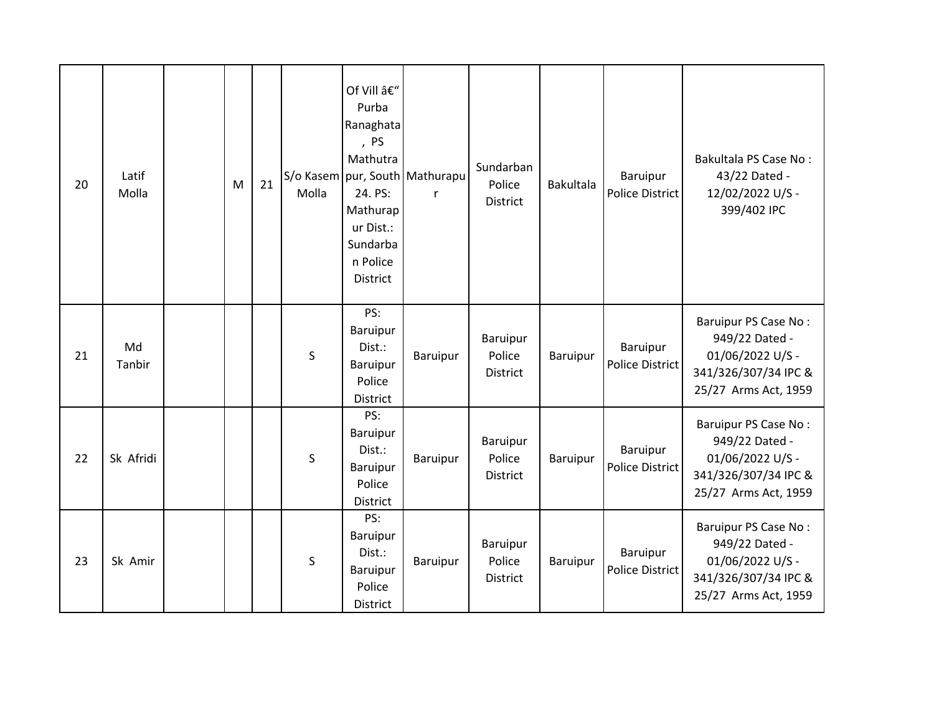| 20 | Latif<br>Molla | M | 21 | S/o Kasem<br>Molla | Of Vill –<br>Purba<br>Ranaghata<br>, PS<br>Mathutra<br>24. PS:<br>Mathurap<br>ur Dist.:<br>Sundarba<br>n Police<br><b>District</b> | pur, South Mathurapu<br>$\mathsf{r}$ | Sundarban<br>Police<br>District              | Bakultala | Baruipur<br>Police District | Bakultala PS Case No:<br>43/22 Dated -<br>12/02/2022 U/S -<br>399/402 IPC                                  |
|----|----------------|---|----|--------------------|------------------------------------------------------------------------------------------------------------------------------------|--------------------------------------|----------------------------------------------|-----------|-----------------------------|------------------------------------------------------------------------------------------------------------|
| 21 | Md<br>Tanbir   |   |    | S                  | PS:<br>Baruipur<br>Dist.:<br>Baruipur<br>Police<br><b>District</b>                                                                 | Baruipur                             | Baruipur<br>Police<br>District               | Baruipur  | Baruipur<br>Police District | Baruipur PS Case No:<br>949/22 Dated -<br>01/06/2022 U/S -<br>341/326/307/34 IPC &<br>25/27 Arms Act, 1959 |
| 22 | Sk Afridi      |   |    | S                  | PS:<br>Baruipur<br>Dist.:<br>Baruipur<br>Police<br>District                                                                        | Baruipur                             | Baruipur<br>Police<br>District               | Baruipur  | Baruipur<br>Police District | Baruipur PS Case No:<br>949/22 Dated -<br>01/06/2022 U/S -<br>341/326/307/34 IPC &<br>25/27 Arms Act, 1959 |
| 23 | Sk Amir        |   |    | S                  | PS:<br>Baruipur<br>Dist.:<br>Baruipur<br>Police<br>District                                                                        | Baruipur                             | <b>Baruipur</b><br>Police<br><b>District</b> | Baruipur  | Baruipur<br>Police District | Baruipur PS Case No:<br>949/22 Dated -<br>01/06/2022 U/S -<br>341/326/307/34 IPC &<br>25/27 Arms Act, 1959 |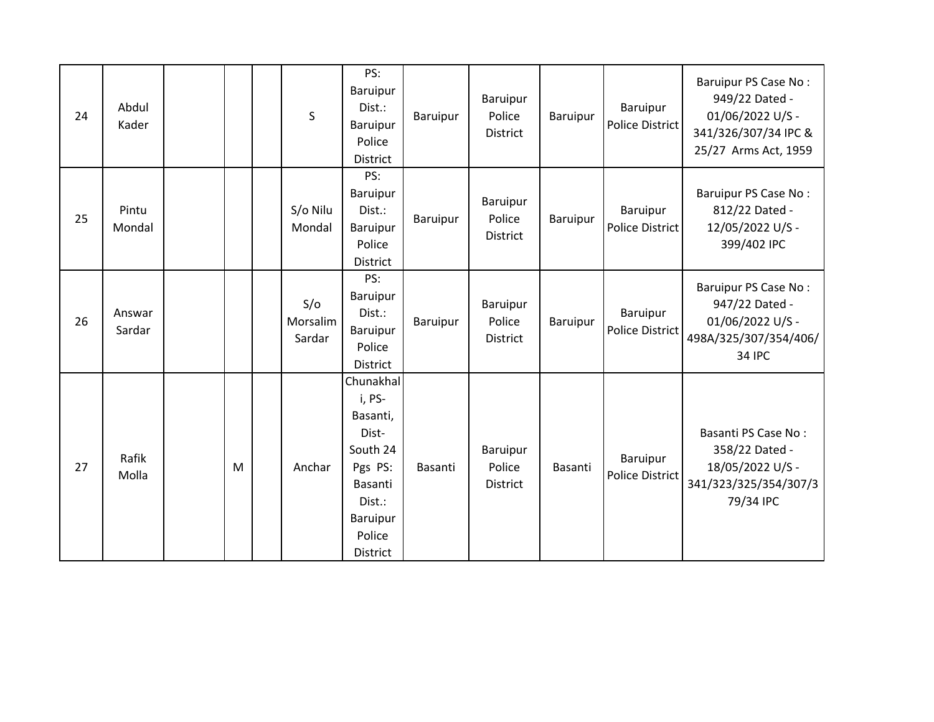| 24 | Abdul<br>Kader   |   | S                         | PS:<br>Baruipur<br>Dist.:<br><b>Baruipur</b><br>Police<br><b>District</b>                                                     | Baruipur | Baruipur<br>Police<br><b>District</b> | Baruipur | Baruipur<br><b>Police District</b>        | Baruipur PS Case No:<br>949/22 Dated -<br>01/06/2022 U/S -<br>341/326/307/34 IPC &<br>25/27 Arms Act, 1959 |
|----|------------------|---|---------------------------|-------------------------------------------------------------------------------------------------------------------------------|----------|---------------------------------------|----------|-------------------------------------------|------------------------------------------------------------------------------------------------------------|
| 25 | Pintu<br>Mondal  |   | S/o Nilu<br>Mondal        | PS:<br>Baruipur<br>Dist.:<br>Baruipur<br>Police<br>District                                                                   | Baruipur | Baruipur<br>Police<br>District        | Baruipur | Baruipur<br>Police District               | <b>Baruipur PS Case No:</b><br>812/22 Dated -<br>12/05/2022 U/S -<br>399/402 IPC                           |
| 26 | Answar<br>Sardar |   | S/O<br>Morsalim<br>Sardar | PS:<br>Baruipur<br>Dist.:<br>Baruipur<br>Police<br><b>District</b>                                                            | Baruipur | Baruipur<br>Police<br>District        | Baruipur | Baruipur<br>Police District               | Baruipur PS Case No:<br>947/22 Dated -<br>01/06/2022 U/S -<br>498A/325/307/354/406/<br><b>34 IPC</b>       |
| 27 | Rafik<br>Molla   | M | Anchar                    | Chunakhal<br>i, PS-<br>Basanti,<br>Dist-<br>South 24<br>Pgs PS:<br>Basanti<br>Dist.:<br><b>Baruipur</b><br>Police<br>District | Basanti  | <b>Baruipur</b><br>Police<br>District | Basanti  | <b>Baruipur</b><br><b>Police District</b> | Basanti PS Case No:<br>358/22 Dated -<br>18/05/2022 U/S -<br>341/323/325/354/307/3<br>79/34 IPC            |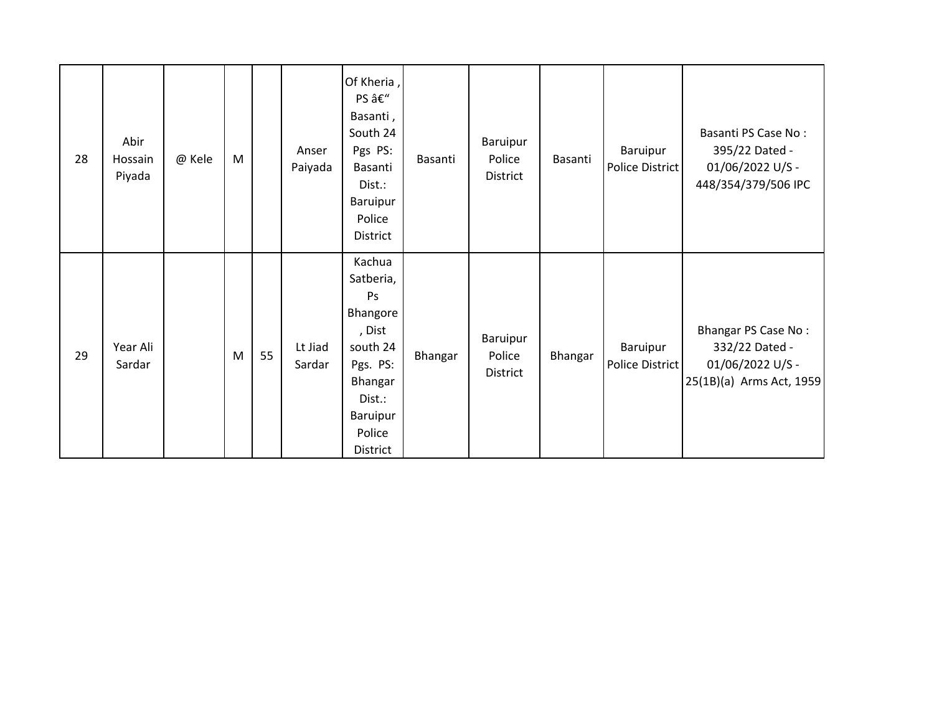| 28 | Abir<br>Hossain<br>Piyada | @ Kele | M |    | Anser<br>Paiyada  | Of Kheria,<br>PS –<br>Basanti,<br>South 24<br>Pgs PS:<br>Basanti<br>Dist.:<br>Baruipur<br>Police<br>District                   | Basanti | Baruipur<br>Police<br>District        | Basanti | Baruipur<br>Police District | Basanti PS Case No:<br>395/22 Dated -<br>01/06/2022 U/S -<br>448/354/379/506 IPC             |
|----|---------------------------|--------|---|----|-------------------|--------------------------------------------------------------------------------------------------------------------------------|---------|---------------------------------------|---------|-----------------------------|----------------------------------------------------------------------------------------------|
| 29 | Year Ali<br>Sardar        |        | M | 55 | Lt Jiad<br>Sardar | Kachua<br>Satberia,<br>Ps<br>Bhangore<br>, Dist<br>south 24<br>Pgs. PS:<br>Bhangar<br>Dist.:<br>Baruipur<br>Police<br>District | Bhangar | Baruipur<br>Police<br><b>District</b> | Bhangar | Baruipur<br>Police District | <b>Bhangar PS Case No:</b><br>332/22 Dated -<br>01/06/2022 U/S -<br>25(1B)(a) Arms Act, 1959 |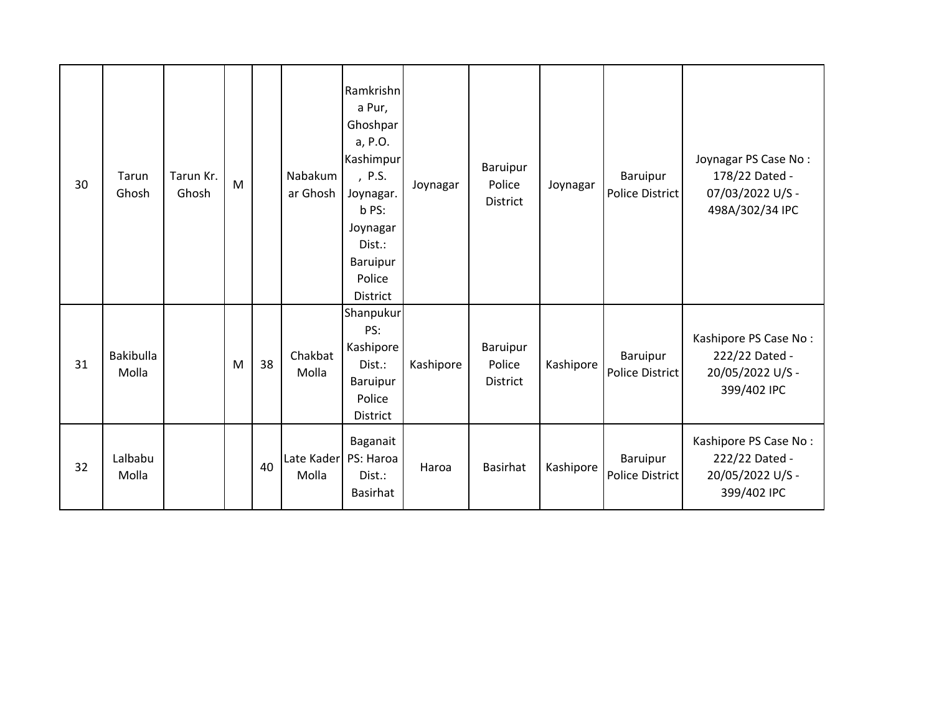| 30 | Tarun<br>Ghosh            | Tarun Kr.<br>Ghosh | M |    | Nabakum<br>ar Ghosh           | Ramkrishn<br>a Pur,<br>Ghoshpar<br>a, P.O.<br>Kashimpur<br>, P.S.<br>Joynagar.<br>b PS:<br>Joynagar<br>Dist.:<br>Baruipur<br>Police<br>District | Joynagar  | Baruipur<br>Police<br>District        | Joynagar  | Baruipur<br>Police District | Joynagar PS Case No:<br>178/22 Dated -<br>07/03/2022 U/S -<br>498A/302/34 IPC |
|----|---------------------------|--------------------|---|----|-------------------------------|-------------------------------------------------------------------------------------------------------------------------------------------------|-----------|---------------------------------------|-----------|-----------------------------|-------------------------------------------------------------------------------|
| 31 | <b>Bakibulla</b><br>Molla |                    | M | 38 | Chakbat<br>Molla              | Shanpukur<br>PS:<br>Kashipore<br>Dist.:<br>Baruipur<br>Police<br>District                                                                       | Kashipore | Baruipur<br>Police<br><b>District</b> | Kashipore | Baruipur<br>Police District | Kashipore PS Case No:<br>222/22 Dated -<br>20/05/2022 U/S -<br>399/402 IPC    |
| 32 | Lalbabu<br>Molla          |                    |   | 40 | Late Kader PS: Haroa<br>Molla | Baganait<br>Dist.:<br>Basirhat                                                                                                                  | Haroa     | <b>Basirhat</b>                       | Kashipore | Baruipur<br>Police District | Kashipore PS Case No:<br>222/22 Dated -<br>20/05/2022 U/S -<br>399/402 IPC    |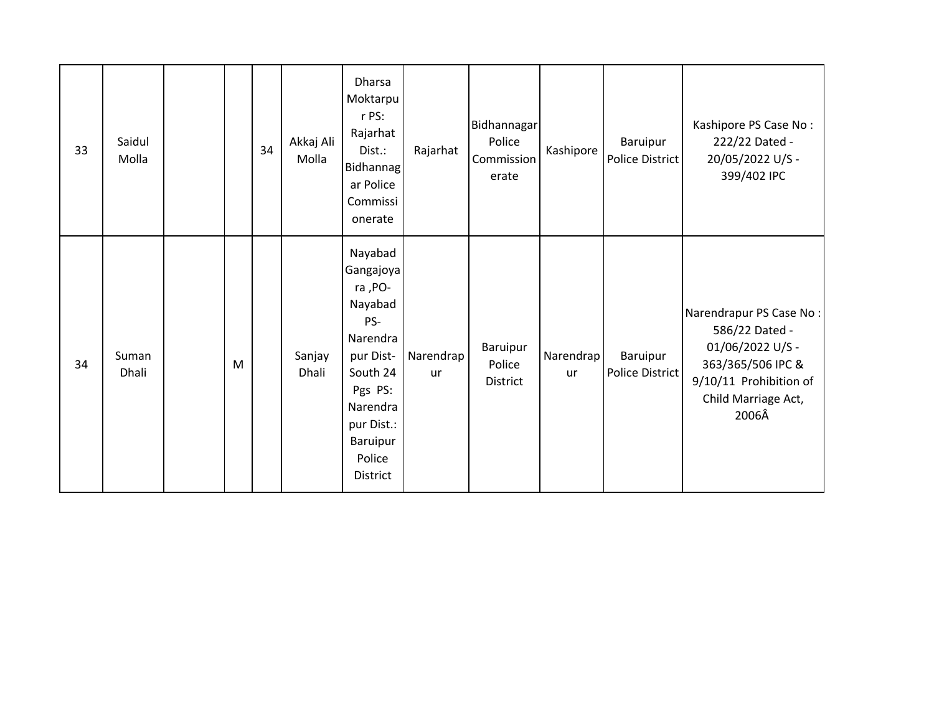| 33 | Saidul<br>Molla |   | 34 | Akkaj Ali<br>Molla | <b>Dharsa</b><br>Moktarpu<br>r PS:<br>Rajarhat<br>Dist.:<br>Bidhannag<br>ar Police<br>Commissi<br>onerate                                                     | Rajarhat               | Bidhannagar<br>Police<br>Commission<br>erate | Kashipore       | Baruipur<br>Police District | Kashipore PS Case No:<br>222/22 Dated -<br>20/05/2022 U/S -<br>399/402 IPC                                                                   |
|----|-----------------|---|----|--------------------|---------------------------------------------------------------------------------------------------------------------------------------------------------------|------------------------|----------------------------------------------|-----------------|-----------------------------|----------------------------------------------------------------------------------------------------------------------------------------------|
| 34 | Suman<br>Dhali  | M |    | Sanjay<br>Dhali    | Nayabad<br>Gangajoya<br>ra, PO-<br>Nayabad<br>PS-<br>Narendra<br>pur Dist-<br>South 24<br>Pgs PS:<br>Narendra<br>pur Dist.:<br>Baruipur<br>Police<br>District | Narendrap<br><b>ur</b> | Baruipur<br>Police<br><b>District</b>        | Narendrap<br>ur | Baruipur<br>Police District | Narendrapur PS Case No:<br>586/22 Dated -<br>01/06/2022 U/S -<br>363/365/506 IPC &<br>9/10/11 Prohibition of<br>Child Marriage Act,<br>2006Â |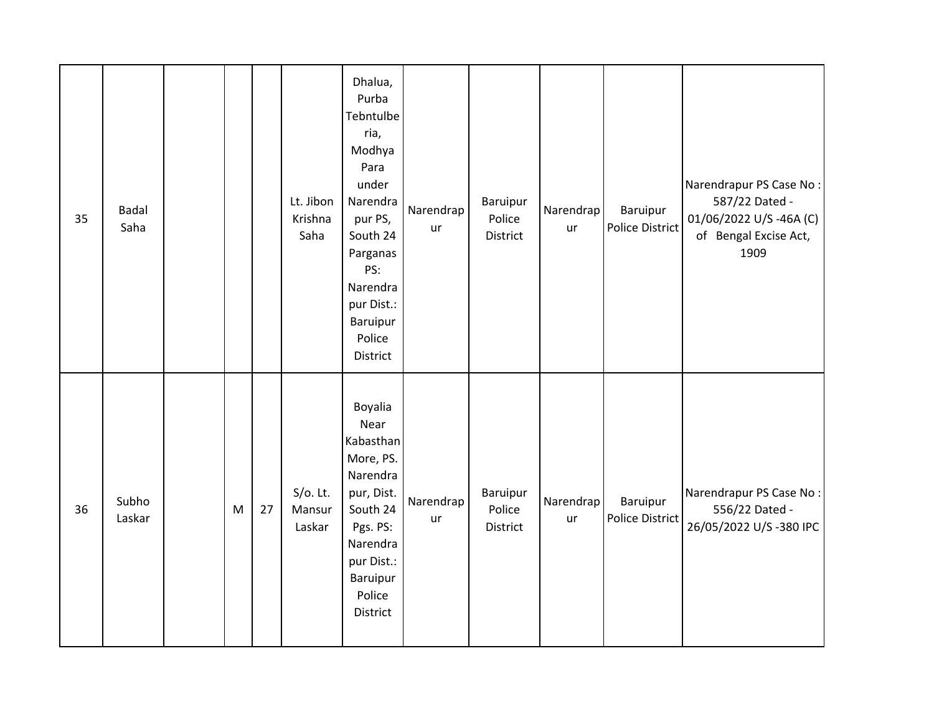| 35 | Badal<br>Saha   |   |    | Lt. Jibon<br>Krishna<br>Saha    | Dhalua,<br>Purba<br>Tebntulbe<br>ria,<br>Modhya<br>Para<br>under<br>Narendra<br>pur PS,<br>South 24<br>Parganas<br>PS:<br>Narendra<br>pur Dist.:<br>Baruipur<br>Police<br>District | Narendrap<br>ur | Baruipur<br>Police<br>District | Narendrap<br>ur | Baruipur<br>Police District        | Narendrapur PS Case No:<br>587/22 Dated -<br>01/06/2022 U/S-46A (C)<br>of Bengal Excise Act,<br>1909 |
|----|-----------------|---|----|---------------------------------|------------------------------------------------------------------------------------------------------------------------------------------------------------------------------------|-----------------|--------------------------------|-----------------|------------------------------------|------------------------------------------------------------------------------------------------------|
| 36 | Subho<br>Laskar | M | 27 | $S/O$ . Lt.<br>Mansur<br>Laskar | Boyalia<br>Near<br>Kabasthan<br>More, PS.<br>Narendra<br>pur, Dist.<br>South 24<br>Pgs. PS:<br>Narendra<br>pur Dist.:<br>Baruipur<br>Police<br>District                            | Narendrap<br>ur | Baruipur<br>Police<br>District | Narendrap<br>ur | Baruipur<br><b>Police District</b> | Narendrapur PS Case No:<br>556/22 Dated -<br>26/05/2022 U/S-380 IPC                                  |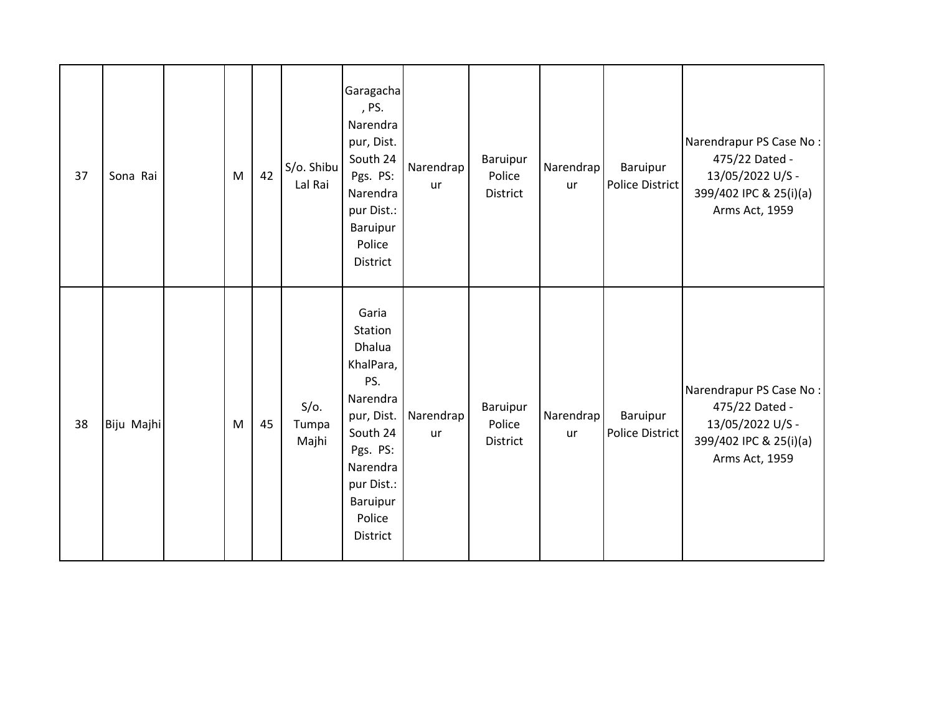| 37 | Sona Rai   | M | 42 | S/o. Shibu<br>Lal Rai     | Garagacha<br>, PS.<br>Narendra<br>pur, Dist.<br>South 24<br>Pgs. PS:<br>Narendra<br>pur Dist.:<br>Baruipur<br>Police<br>District                             | Narendrap<br><b>ur</b> | Baruipur<br>Police<br>District | Narendrap<br>ur | Baruipur<br>Police District | Narendrapur PS Case No:<br>475/22 Dated -<br>13/05/2022 U/S -<br>399/402 IPC & 25(i)(a)<br>Arms Act, 1959 |
|----|------------|---|----|---------------------------|--------------------------------------------------------------------------------------------------------------------------------------------------------------|------------------------|--------------------------------|-----------------|-----------------------------|-----------------------------------------------------------------------------------------------------------|
| 38 | Biju Majhi | M | 45 | $S/O$ .<br>Tumpa<br>Majhi | Garia<br>Station<br>Dhalua<br>KhalPara,<br>PS.<br>Narendra<br>pur, Dist.<br>South 24<br>Pgs. PS:<br>Narendra<br>pur Dist.:<br>Baruipur<br>Police<br>District | Narendrap<br>ur        | Baruipur<br>Police<br>District | Narendrap<br>ur | Baruipur<br>Police District | Narendrapur PS Case No:<br>475/22 Dated -<br>13/05/2022 U/S -<br>399/402 IPC & 25(i)(a)<br>Arms Act, 1959 |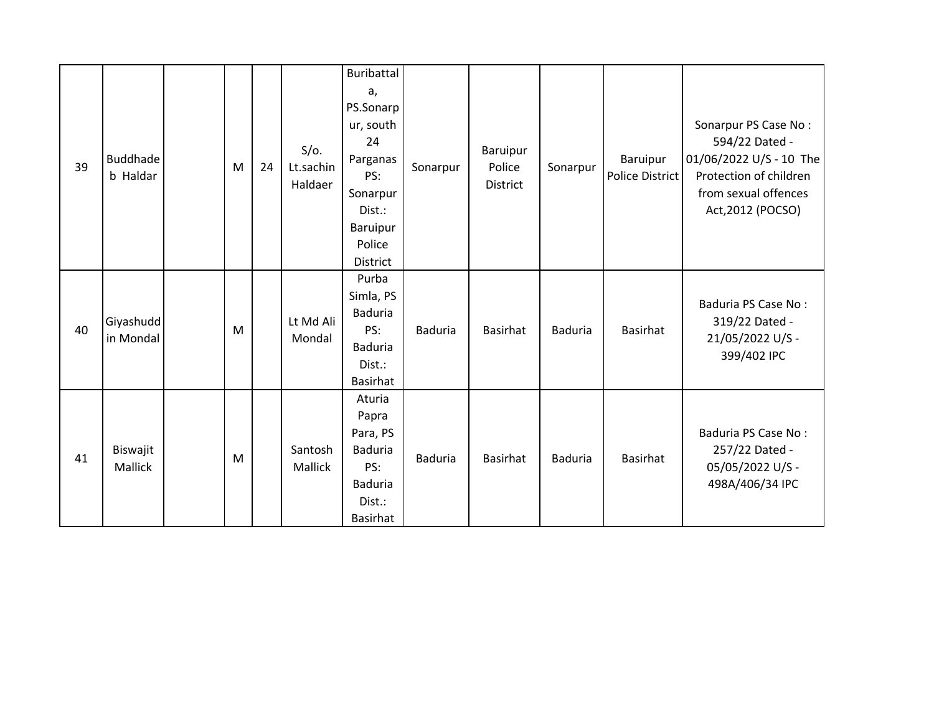| 39 | <b>Buddhade</b><br>b Haldar | M | 24 | $S/O$ .<br>Lt.sachin<br>Haldaer | Buribattal<br>a,<br>PS.Sonarp<br>ur, south<br>24<br>Parganas<br>PS:<br>Sonarpur<br>Dist.:<br>Baruipur<br>Police<br>District | Sonarpur       | Baruipur<br>Police<br><b>District</b> | Sonarpur       | Baruipur<br>Police District | Sonarpur PS Case No:<br>594/22 Dated -<br>01/06/2022 U/S - 10 The<br>Protection of children<br>from sexual offences<br>Act, 2012 (POCSO) |
|----|-----------------------------|---|----|---------------------------------|-----------------------------------------------------------------------------------------------------------------------------|----------------|---------------------------------------|----------------|-----------------------------|------------------------------------------------------------------------------------------------------------------------------------------|
| 40 | Giyashudd<br>in Mondal      | M |    | Lt Md Ali<br>Mondal             | Purba<br>Simla, PS<br><b>Baduria</b><br>PS:<br>Baduria<br>Dist.:<br><b>Basirhat</b>                                         | <b>Baduria</b> | <b>Basirhat</b>                       | <b>Baduria</b> | Basirhat                    | Baduria PS Case No:<br>319/22 Dated -<br>21/05/2022 U/S -<br>399/402 IPC                                                                 |
| 41 | Biswajit<br>Mallick         | M |    | Santosh<br>Mallick              | Aturia<br>Papra<br>Para, PS<br><b>Baduria</b><br>PS:<br>Baduria<br>Dist.:<br>Basirhat                                       | <b>Baduria</b> | <b>Basirhat</b>                       | <b>Baduria</b> | Basirhat                    | Baduria PS Case No:<br>257/22 Dated -<br>05/05/2022 U/S -<br>498A/406/34 IPC                                                             |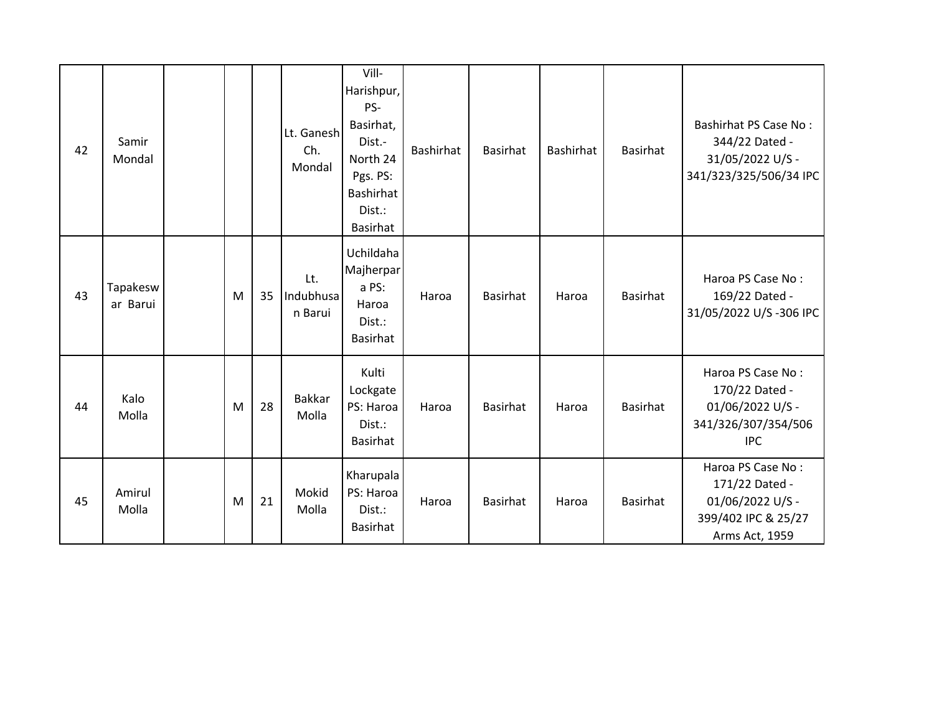| 42 | Samir<br>Mondal      |   |    | Lt. Ganesh<br>Ch.<br>Mondal | Vill-<br>Harishpur,<br>PS-<br>Basirhat,<br>Dist.-<br>North 24<br>Pgs. PS:<br><b>Bashirhat</b><br>Dist.:<br><b>Basirhat</b> | <b>Bashirhat</b> | <b>Basirhat</b> | <b>Bashirhat</b> | Basirhat        | <b>Bashirhat PS Case No:</b><br>344/22 Dated -<br>31/05/2022 U/S -<br>341/323/325/506/34 IPC     |
|----|----------------------|---|----|-----------------------------|----------------------------------------------------------------------------------------------------------------------------|------------------|-----------------|------------------|-----------------|--------------------------------------------------------------------------------------------------|
| 43 | Tapakesw<br>ar Barui | M | 35 | Lt.<br>Indubhusa<br>n Barui | Uchildaha<br>Majherpar<br>a PS:<br>Haroa<br>Dist.:<br><b>Basirhat</b>                                                      | Haroa            | <b>Basirhat</b> | Haroa            | Basirhat        | Haroa PS Case No:<br>169/22 Dated -<br>31/05/2022 U/S-306 IPC                                    |
| 44 | Kalo<br>Molla        | M | 28 | <b>Bakkar</b><br>Molla      | Kulti<br>Lockgate<br>PS: Haroa<br>Dist.:<br>Basirhat                                                                       | Haroa            | <b>Basirhat</b> | Haroa            | <b>Basirhat</b> | Haroa PS Case No:<br>170/22 Dated -<br>01/06/2022 U/S -<br>341/326/307/354/506<br><b>IPC</b>     |
| 45 | Amirul<br>Molla      | M | 21 | Mokid<br>Molla              | Kharupala<br>PS: Haroa<br>Dist.:<br><b>Basirhat</b>                                                                        | Haroa            | <b>Basirhat</b> | Haroa            | Basirhat        | Haroa PS Case No:<br>171/22 Dated -<br>01/06/2022 U/S -<br>399/402 IPC & 25/27<br>Arms Act, 1959 |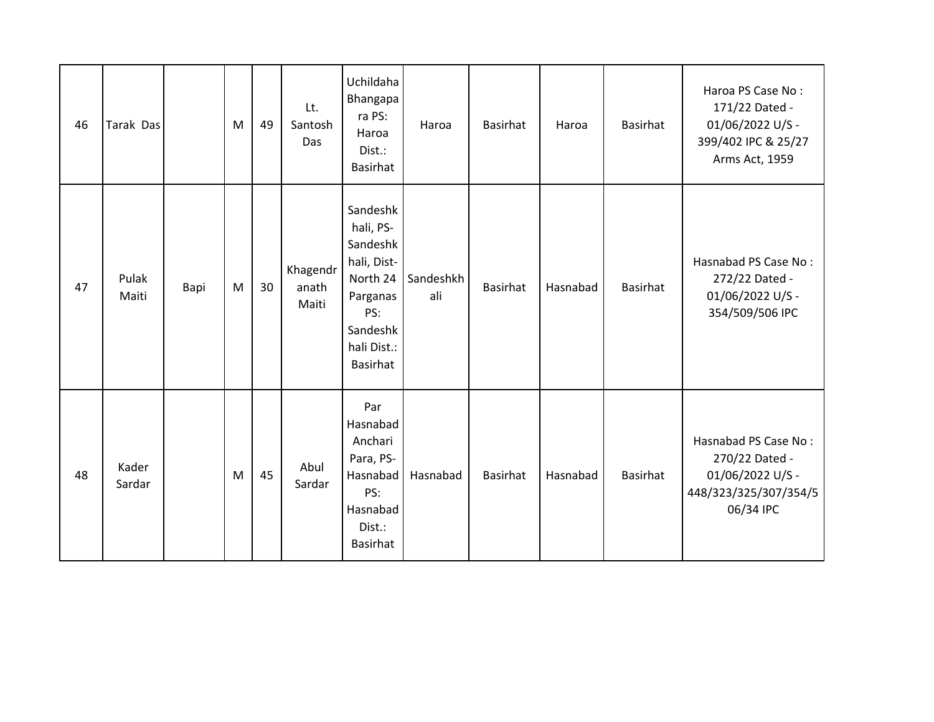| 46 | Tarak Das       |      | M | 49 | Lt.<br>Santosh<br>Das      | Uchildaha<br>Bhangapa<br>ra PS:<br>Haroa<br>Dist.:<br><b>Basirhat</b>                                                  | Haroa            | Basirhat        | Haroa    | <b>Basirhat</b> | Haroa PS Case No:<br>171/22 Dated -<br>01/06/2022 U/S -<br>399/402 IPC & 25/27<br>Arms Act, 1959 |
|----|-----------------|------|---|----|----------------------------|------------------------------------------------------------------------------------------------------------------------|------------------|-----------------|----------|-----------------|--------------------------------------------------------------------------------------------------|
| 47 | Pulak<br>Maiti  | Bapi | M | 30 | Khagendr<br>anath<br>Maiti | Sandeshk<br>hali, PS-<br>Sandeshk<br>hali, Dist-<br>North 24<br>Parganas<br>PS:<br>Sandeshk<br>hali Dist.:<br>Basirhat | Sandeshkh<br>ali | Basirhat        | Hasnabad | Basirhat        | Hasnabad PS Case No:<br>272/22 Dated -<br>01/06/2022 U/S -<br>354/509/506 IPC                    |
| 48 | Kader<br>Sardar |      | M | 45 | Abul<br>Sardar             | Par<br>Hasnabad<br>Anchari<br>Para, PS-<br>Hasnabad<br>PS:<br>Hasnabad<br>Dist.:<br>Basirhat                           | Hasnabad         | <b>Basirhat</b> | Hasnabad | Basirhat        | Hasnabad PS Case No:<br>270/22 Dated -<br>01/06/2022 U/S -<br>448/323/325/307/354/5<br>06/34 IPC |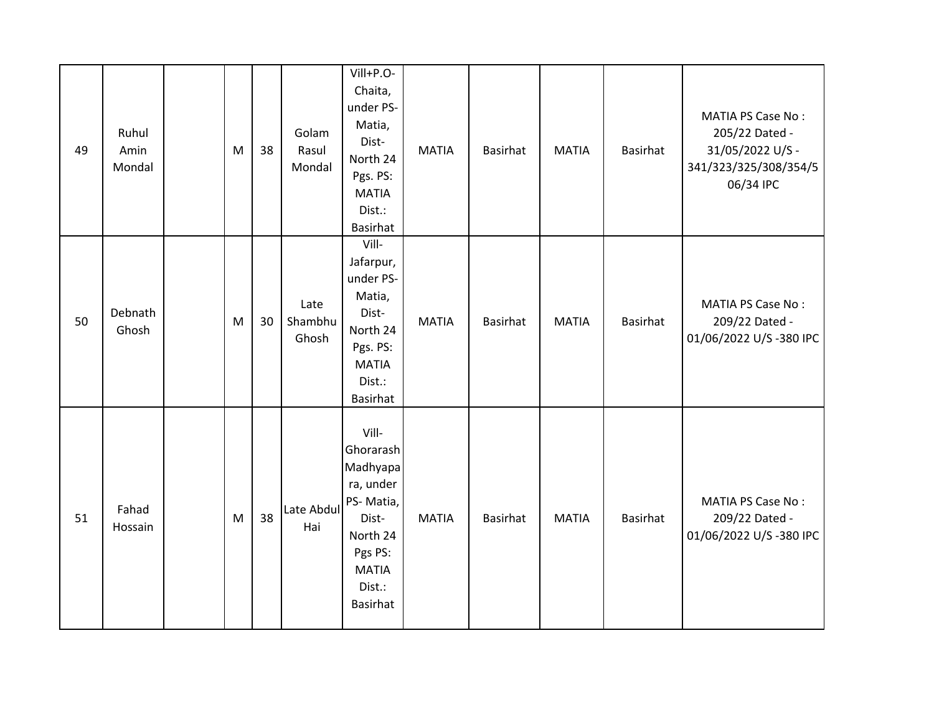| 49 | Ruhul<br>Amin<br>Mondal | M | 38 | Golam<br>Rasul<br>Mondal | Vill+P.O-<br>Chaita,<br>under PS-<br>Matia,<br>Dist-<br>North 24<br>Pgs. PS:<br><b>MATIA</b><br>Dist.:<br><b>Basirhat</b>             | <b>MATIA</b> | <b>Basirhat</b> | <b>MATIA</b> | Basirhat        | <b>MATIA PS Case No:</b><br>205/22 Dated -<br>31/05/2022 U/S -<br>341/323/325/308/354/5<br>06/34 IPC |
|----|-------------------------|---|----|--------------------------|---------------------------------------------------------------------------------------------------------------------------------------|--------------|-----------------|--------------|-----------------|------------------------------------------------------------------------------------------------------|
| 50 | Debnath<br>Ghosh        | M | 30 | Late<br>Shambhu<br>Ghosh | Vill-<br>Jafarpur,<br>under PS-<br>Matia,<br>Dist-<br>North 24<br>Pgs. PS:<br><b>MATIA</b><br>Dist.:<br>Basirhat                      | <b>MATIA</b> | Basirhat        | <b>MATIA</b> | Basirhat        | <b>MATIA PS Case No:</b><br>209/22 Dated -<br>01/06/2022 U/S-380 IPC                                 |
| 51 | Fahad<br>Hossain        | M | 38 | Late Abdul<br>Hai        | Vill-<br>Ghorarash<br>Madhyapa<br>ra, under<br>PS-Matia,<br>Dist-<br>North 24<br>Pgs PS:<br><b>MATIA</b><br>Dist.:<br><b>Basirhat</b> | <b>MATIA</b> | <b>Basirhat</b> | <b>MATIA</b> | <b>Basirhat</b> | <b>MATIA PS Case No:</b><br>209/22 Dated -<br>01/06/2022 U/S-380 IPC                                 |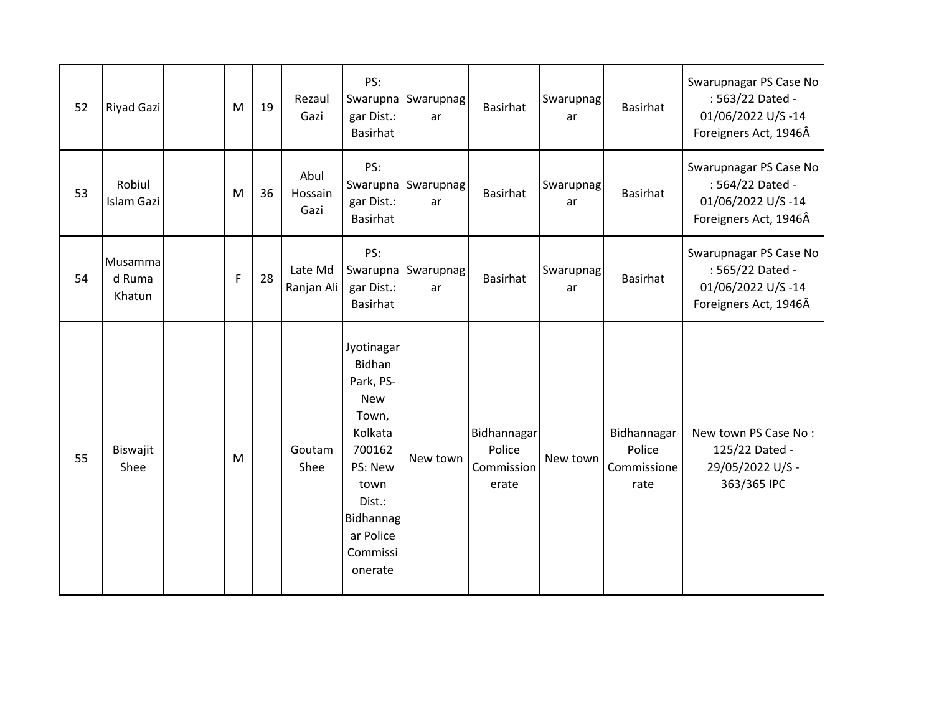| 52 | Riyad Gazi                  | M | 19 | Rezaul<br>Gazi          | PS:<br>gar Dist.:<br>Basirhat                                                                                                                                             | Swarupna Swarupnag<br>ar | <b>Basirhat</b>                              | Swarupnag<br>ar | <b>Basirhat</b>                              | Swarupnagar PS Case No<br>: 563/22 Dated -<br>01/06/2022 U/S-14<br>Foreigners Act, 1946Â |
|----|-----------------------------|---|----|-------------------------|---------------------------------------------------------------------------------------------------------------------------------------------------------------------------|--------------------------|----------------------------------------------|-----------------|----------------------------------------------|------------------------------------------------------------------------------------------|
| 53 | Robiul<br><b>Islam Gazi</b> | M | 36 | Abul<br>Hossain<br>Gazi | PS:<br>Swarupna<br>gar Dist.:<br>Basirhat                                                                                                                                 | Swarupnag<br>ar          | <b>Basirhat</b>                              | Swarupnag<br>ar | Basirhat                                     | Swarupnagar PS Case No<br>: 564/22 Dated -<br>01/06/2022 U/S-14<br>Foreigners Act, 1946Â |
| 54 | Musamma<br>d Ruma<br>Khatun | F | 28 | Late Md<br>Ranjan Ali   | PS:<br>gar Dist.:<br>Basirhat                                                                                                                                             | Swarupna Swarupnag<br>ar | <b>Basirhat</b>                              | Swarupnag<br>ar | <b>Basirhat</b>                              | Swarupnagar PS Case No<br>: 565/22 Dated -<br>01/06/2022 U/S-14<br>Foreigners Act, 1946Â |
| 55 | Biswajit<br>Shee            | M |    | Goutam<br>Shee          | Jyotinagar<br><b>Bidhan</b><br>Park, PS-<br><b>New</b><br>Town,<br>Kolkata<br>700162<br>PS: New<br>town<br>Dist.:<br><b>Bidhannag</b><br>ar Police<br>Commissi<br>onerate | New town                 | Bidhannagar<br>Police<br>Commission<br>erate | New town        | Bidhannagar<br>Police<br>Commissione<br>rate | New town PS Case No:<br>125/22 Dated -<br>29/05/2022 U/S -<br>363/365 IPC                |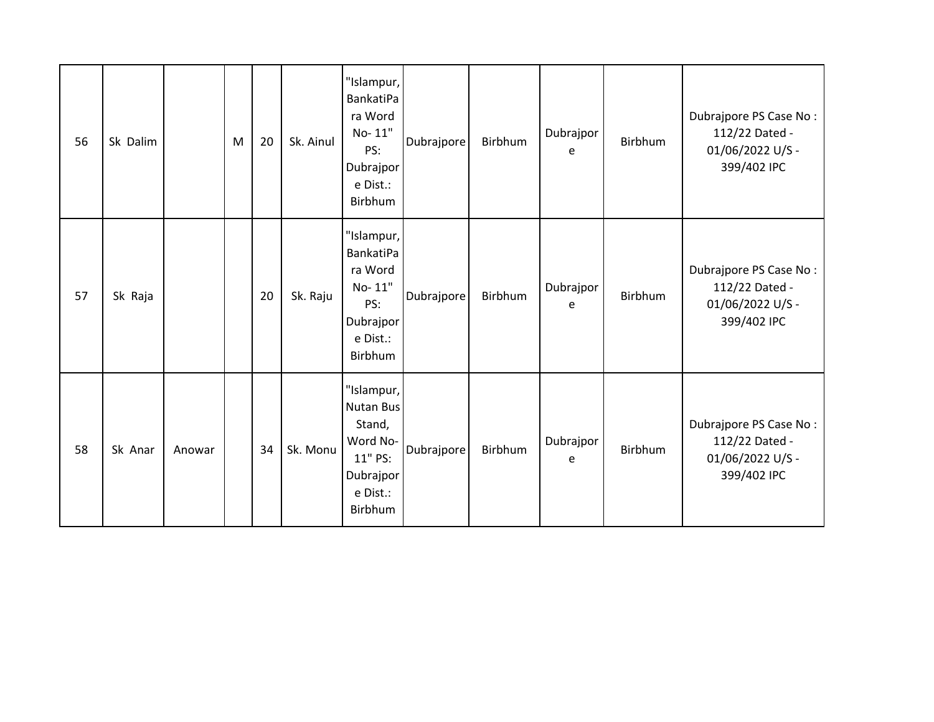| 56 | Sk Dalim |        | M | 20 | Sk. Ainul | "Islampur,<br><b>BankatiPa</b><br>ra Word<br>No-11"<br>PS:<br>Dubrajpor<br>e Dist.:<br>Birbhum | Dubrajpore | Birbhum | Dubrajpor<br>e | Birbhum | Dubrajpore PS Case No:<br>112/22 Dated -<br>01/06/2022 U/S -<br>399/402 IPC |
|----|----------|--------|---|----|-----------|------------------------------------------------------------------------------------------------|------------|---------|----------------|---------|-----------------------------------------------------------------------------|
| 57 | Sk Raja  |        |   | 20 | Sk. Raju  | "Islampur,<br>BankatiPa<br>ra Word<br>No-11"<br>PS:<br>Dubrajpor<br>e Dist.:<br>Birbhum        | Dubrajpore | Birbhum | Dubrajpor<br>e | Birbhum | Dubrajpore PS Case No:<br>112/22 Dated -<br>01/06/2022 U/S -<br>399/402 IPC |
| 58 | Sk Anar  | Anowar |   | 34 | Sk. Monu  | "Islampur,<br>Nutan Bus<br>Stand,<br>Word No-<br>11" PS:<br>Dubrajpor<br>e Dist.:<br>Birbhum   | Dubrajpore | Birbhum | Dubrajpor<br>e | Birbhum | Dubrajpore PS Case No:<br>112/22 Dated -<br>01/06/2022 U/S -<br>399/402 IPC |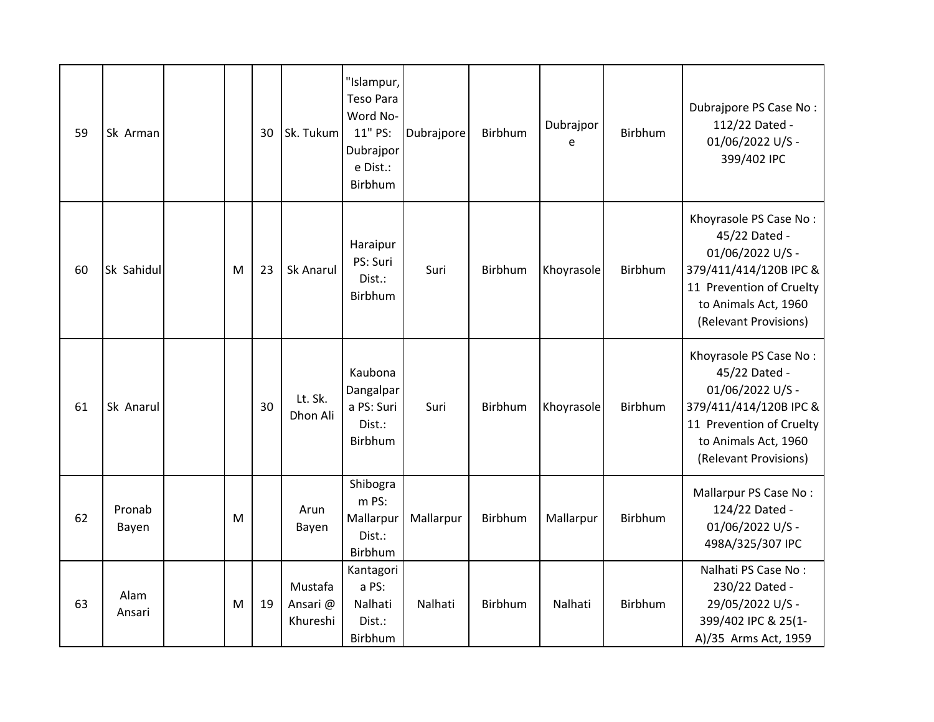| 59 | Sk Arman        |   | 30 | Sk. Tukum                      | "Islampur,<br><b>Teso Para</b><br>Word No-<br>11" PS:<br>Dubrajpor<br>e Dist.:<br>Birbhum | Dubrajpore | Birbhum | Dubrajpor<br>e | Birbhum | Dubrajpore PS Case No:<br>112/22 Dated -<br>01/06/2022 U/S -<br>399/402 IPC                                                                                        |
|----|-----------------|---|----|--------------------------------|-------------------------------------------------------------------------------------------|------------|---------|----------------|---------|--------------------------------------------------------------------------------------------------------------------------------------------------------------------|
| 60 | Sk Sahidul      | M | 23 | Sk Anarul                      | Haraipur<br>PS: Suri<br>Dist.:<br>Birbhum                                                 | Suri       | Birbhum | Khoyrasole     | Birbhum | Khoyrasole PS Case No:<br>45/22 Dated -<br>01/06/2022 U/S -<br>379/411/414/120B IPC &<br>11 Prevention of Cruelty<br>to Animals Act, 1960<br>(Relevant Provisions) |
| 61 | Sk Anarul       |   | 30 | Lt. Sk.<br>Dhon Ali            | Kaubona<br>Dangalpar<br>a PS: Suri<br>Dist.:<br>Birbhum                                   | Suri       | Birbhum | Khoyrasole     | Birbhum | Khoyrasole PS Case No:<br>45/22 Dated -<br>01/06/2022 U/S -<br>379/411/414/120B IPC &<br>11 Prevention of Cruelty<br>to Animals Act, 1960<br>(Relevant Provisions) |
| 62 | Pronab<br>Bayen | M |    | Arun<br>Bayen                  | Shibogra<br>m PS:<br>Mallarpur<br>Dist.:<br>Birbhum                                       | Mallarpur  | Birbhum | Mallarpur      | Birbhum | Mallarpur PS Case No:<br>124/22 Dated -<br>01/06/2022 U/S -<br>498A/325/307 IPC                                                                                    |
| 63 | Alam<br>Ansari  | M | 19 | Mustafa<br>Ansari@<br>Khureshi | Kantagori<br>a PS:<br>Nalhati<br>Dist.:<br>Birbhum                                        | Nalhati    | Birbhum | Nalhati        | Birbhum | Nalhati PS Case No:<br>230/22 Dated -<br>29/05/2022 U/S -<br>399/402 IPC & 25(1-<br>A)/35 Arms Act, 1959                                                           |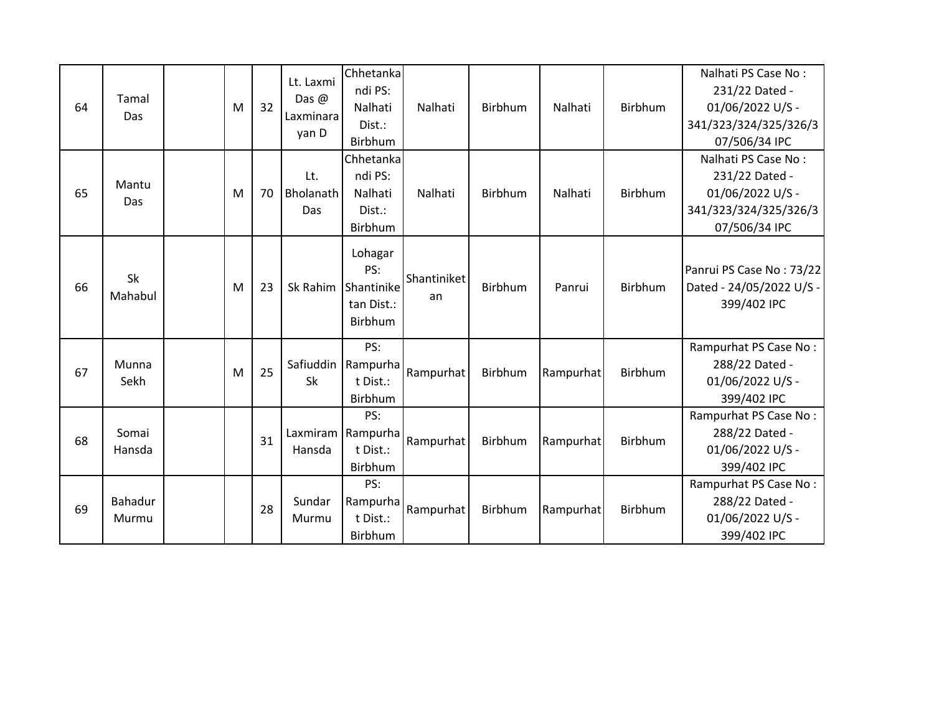| 64 | Tamal<br>Das     | M | 32 | Lt. Laxmi<br>Das $\omega$<br>Laxminara<br>yan D | Chhetanka<br>ndi PS:<br>Nalhati<br>Dist.:<br>Birbhum         | Nalhati           | Birbhum | Nalhati   | Birbhum        | Nalhati PS Case No:<br>231/22 Dated -<br>01/06/2022 U/S -<br>341/323/324/325/326/3<br>07/506/34 IPC |
|----|------------------|---|----|-------------------------------------------------|--------------------------------------------------------------|-------------------|---------|-----------|----------------|-----------------------------------------------------------------------------------------------------|
| 65 | Mantu<br>Das     | M | 70 | Lt.<br>Bholanath<br>Das                         | Chhetanka<br>ndi PS:<br>Nalhati<br>Dist.:<br>Birbhum         | Nalhati           | Birbhum | Nalhati   | <b>Birbhum</b> | Nalhati PS Case No:<br>231/22 Dated -<br>01/06/2022 U/S -<br>341/323/324/325/326/3<br>07/506/34 IPC |
| 66 | Sk<br>Mahabul    | M | 23 | Sk Rahim                                        | Lohagar<br>PS:<br>Shantinike<br>tan Dist.:<br><b>Birbhum</b> | Shantiniket<br>an | Birbhum | Panrui    | Birbhum        | Panrui PS Case No: 73/22<br>Dated - 24/05/2022 U/S -<br>399/402 IPC                                 |
| 67 | Munna<br>Sekh    | M | 25 | Safiuddin<br>Sk                                 | PS:<br>Rampurha<br>t Dist.:<br>Birbhum                       | Rampurhat         | Birbhum | Rampurhat | Birbhum        | Rampurhat PS Case No:<br>288/22 Dated -<br>01/06/2022 U/S -<br>399/402 IPC                          |
| 68 | Somai<br>Hansda  |   | 31 | Hansda                                          | PS:<br>Laxmiram Rampurha<br>t Dist.:<br>Birbhum              | Rampurhat         | Birbhum | Rampurhat | Birbhum        | Rampurhat PS Case No:<br>288/22 Dated -<br>01/06/2022 U/S -<br>399/402 IPC                          |
| 69 | Bahadur<br>Murmu |   | 28 | Sundar<br>Murmu                                 | PS:<br>Rampurha<br>t Dist.:<br>Birbhum                       | Rampurhat         | Birbhum | Rampurhat | <b>Birbhum</b> | Rampurhat PS Case No:<br>288/22 Dated -<br>01/06/2022 U/S -<br>399/402 IPC                          |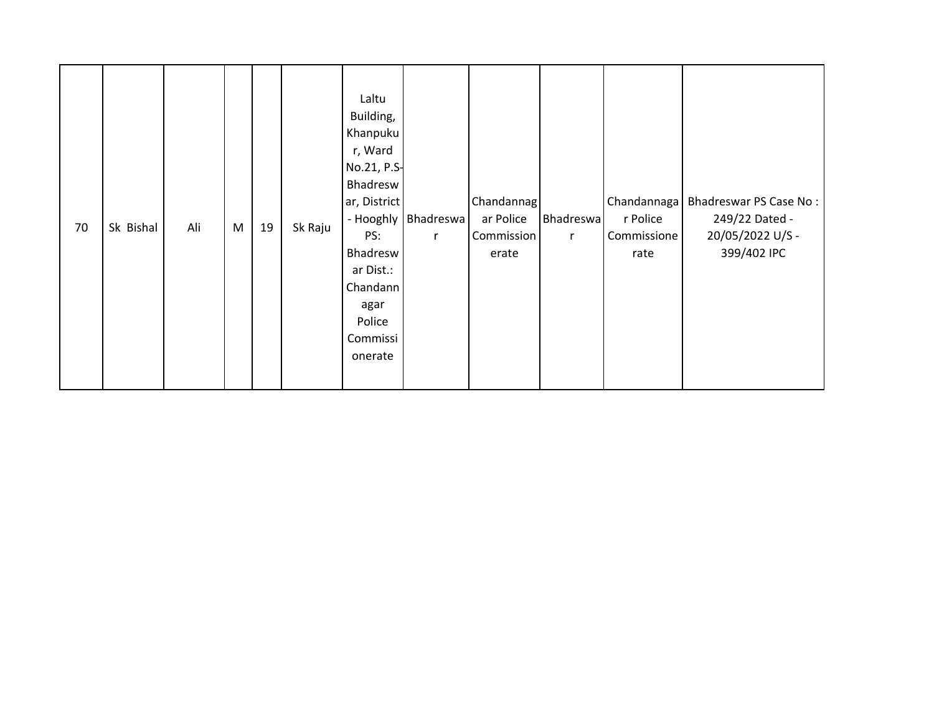| 70 | Sk Bishal | Ali | M | 19 | Sk Raju | Laltu<br>Building,<br>Khanpuku<br>r, Ward<br>No.21, P.S-<br>Bhadresw<br>ar, District<br>PS:<br>Bhadresw<br>ar Dist.:<br>Chandann<br>agar<br>Police<br>Commissi<br>onerate | - Hooghly   Bhadreswa  <br>$\mathsf{r}$ | Chandannag<br>ar Police<br>Commission<br>erate | Bhadreswa<br>$\mathsf{r}$ | r Police<br>Commissione<br>rate | Chandannaga   Bhadreswar PS Case No:<br>249/22 Dated -<br>20/05/2022 U/S -<br>399/402 IPC |
|----|-----------|-----|---|----|---------|---------------------------------------------------------------------------------------------------------------------------------------------------------------------------|-----------------------------------------|------------------------------------------------|---------------------------|---------------------------------|-------------------------------------------------------------------------------------------|
|----|-----------|-----|---|----|---------|---------------------------------------------------------------------------------------------------------------------------------------------------------------------------|-----------------------------------------|------------------------------------------------|---------------------------|---------------------------------|-------------------------------------------------------------------------------------------|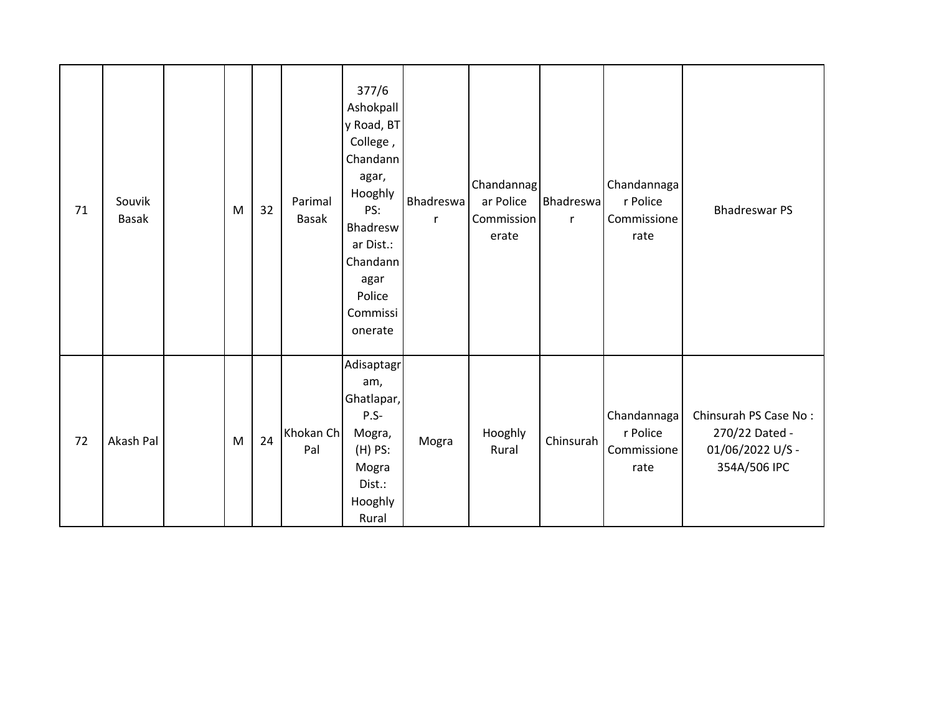| 71 | Souvik<br><b>Basak</b> | M | 32 | Parimal<br><b>Basak</b> | 377/6<br>Ashokpall<br>y Road, BT<br>College,<br>Chandann<br>agar,<br>Hooghly<br>PS:<br>Bhadresw<br>ar Dist.:<br>Chandann<br>agar<br>Police<br>Commissi<br>onerate | Bhadreswa<br>r | Chandannag<br>ar Police<br>Commission<br>erate | Bhadreswa<br>$\mathsf{r}$ | Chandannaga<br>r Police<br>Commissione<br>rate | <b>Bhadreswar PS</b>                                                        |
|----|------------------------|---|----|-------------------------|-------------------------------------------------------------------------------------------------------------------------------------------------------------------|----------------|------------------------------------------------|---------------------------|------------------------------------------------|-----------------------------------------------------------------------------|
| 72 | Akash Pal              | M | 24 | Khokan Ch<br>Pal        | Adisaptagr<br>am,<br>Ghatlapar,<br>$P.S-$<br>Mogra,<br>$(H)$ PS:<br>Mogra<br>Dist.:<br>Hooghly<br>Rural                                                           | Mogra          | Hooghly<br>Rural                               | Chinsurah                 | Chandannaga<br>r Police<br>Commissione<br>rate | Chinsurah PS Case No:<br>270/22 Dated -<br>01/06/2022 U/S -<br>354A/506 IPC |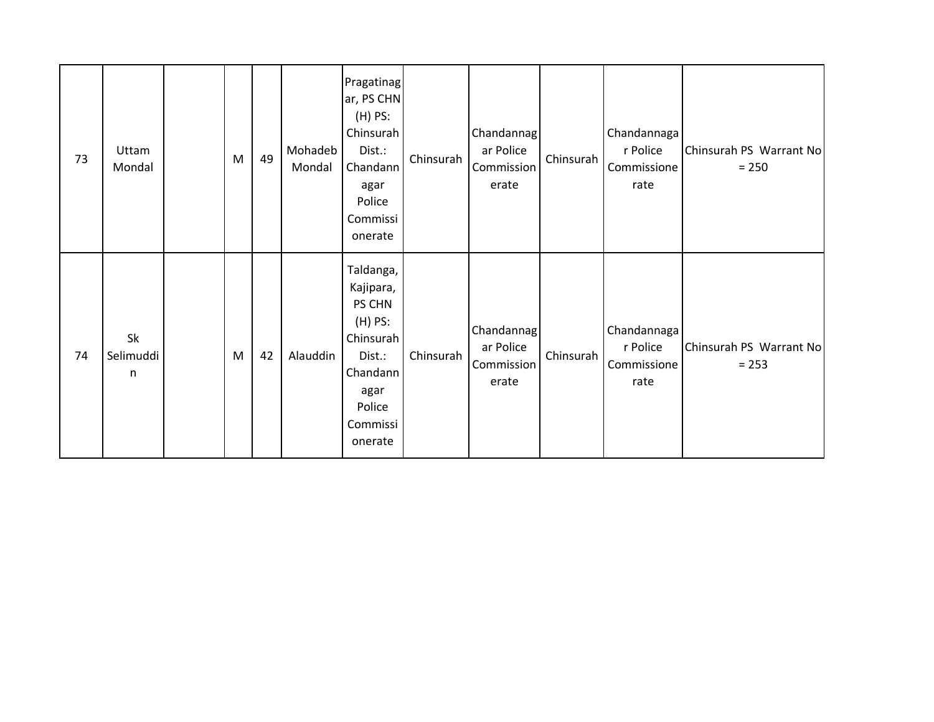| 73 | Uttam<br>Mondal      | M | 49 | Mohadeb<br>Mondal | Pragatinag<br>ar, PS CHN<br>$(H)$ PS:<br>Chinsurah<br>Dist.:<br>Chandann<br>agar<br>Police<br>Commissi<br>onerate         | Chinsurah | Chandannag<br>ar Police<br>Commission<br>erate | Chinsurah | Chandannaga<br>r Police<br>Commissione<br>rate | Chinsurah PS Warrant No<br>$= 250$ |
|----|----------------------|---|----|-------------------|---------------------------------------------------------------------------------------------------------------------------|-----------|------------------------------------------------|-----------|------------------------------------------------|------------------------------------|
| 74 | Sk<br>Selimuddi<br>n | M | 42 | Alauddin          | Taldanga,<br>Kajipara,<br>PS CHN<br>$(H)$ PS:<br>Chinsurah<br>Dist.:<br>Chandann<br>agar<br>Police<br>Commissi<br>onerate | Chinsurah | Chandannag<br>ar Police<br>Commission<br>erate | Chinsurah | Chandannaga<br>r Police<br>Commissione<br>rate | Chinsurah PS Warrant No<br>$= 253$ |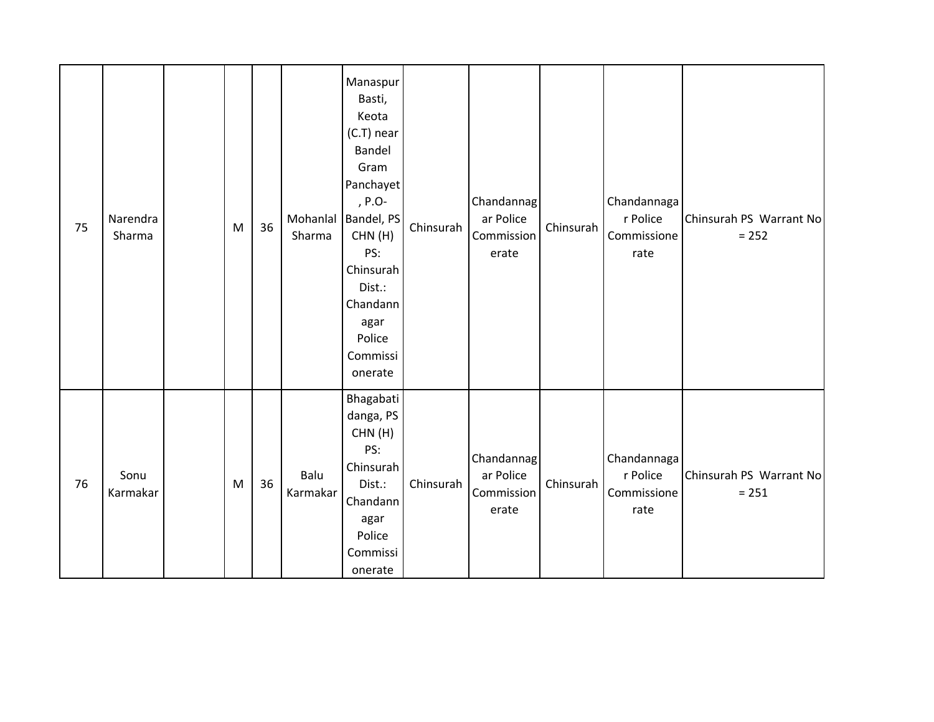| 75 | Narendra<br>Sharma | ${\sf M}$ | 36 | Sharma           | Manaspur<br>Basti,<br>Keota<br>(C.T) near<br>Bandel<br>Gram<br>Panchayet<br>, $P.O-$<br>Mohanlal   Bandel, PS<br>CHN(H)<br>PS:<br>Chinsurah<br>Dist.:<br>Chandann<br>agar<br>Police<br>Commissi<br>onerate | Chinsurah | Chandannag<br>ar Police<br>Commission<br>erate | Chinsurah | Chandannaga<br>r Police<br>Commissione<br>rate | Chinsurah PS Warrant No<br>$= 252$ |
|----|--------------------|-----------|----|------------------|------------------------------------------------------------------------------------------------------------------------------------------------------------------------------------------------------------|-----------|------------------------------------------------|-----------|------------------------------------------------|------------------------------------|
| 76 | Sonu<br>Karmakar   | M         | 36 | Balu<br>Karmakar | Bhagabati<br>danga, PS<br>CHN(H)<br>PS:<br>Chinsurah<br>Dist.:<br>Chandann<br>agar<br>Police<br>Commissi<br>onerate                                                                                        | Chinsurah | Chandannag<br>ar Police<br>Commission<br>erate | Chinsurah | Chandannaga<br>r Police<br>Commissione<br>rate | Chinsurah PS Warrant No<br>$= 251$ |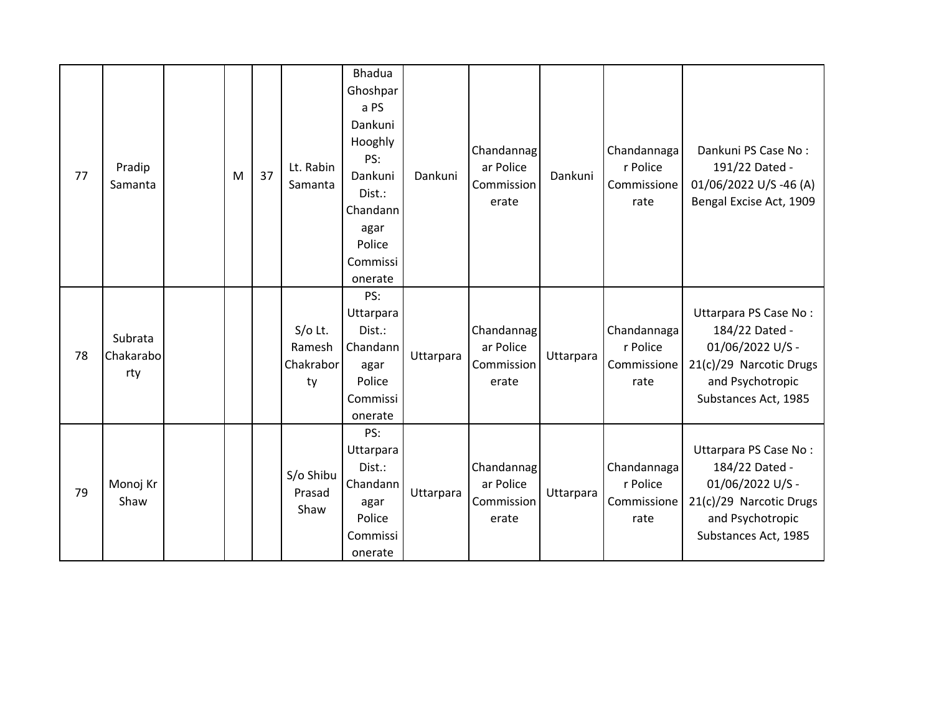| 77 | Pradip<br>Samanta           | M | 37 | Lt. Rabin<br>Samanta                   | <b>Bhadua</b><br>Ghoshpar<br>a PS<br>Dankuni<br>Hooghly<br>PS:<br>Dankuni<br>Dist.:<br>Chandann<br>agar<br>Police<br>Commissi<br>onerate | Dankuni   | Chandannag<br>ar Police<br>Commission<br>erate | Dankuni   | Chandannaga<br>r Police<br>Commissione<br>rate | Dankuni PS Case No:<br>191/22 Dated -<br>01/06/2022 U/S-46 (A)<br>Bengal Excise Act, 1909                                          |
|----|-----------------------------|---|----|----------------------------------------|------------------------------------------------------------------------------------------------------------------------------------------|-----------|------------------------------------------------|-----------|------------------------------------------------|------------------------------------------------------------------------------------------------------------------------------------|
| 78 | Subrata<br>Chakarabo<br>rty |   |    | $S/O$ Lt.<br>Ramesh<br>Chakrabor<br>ty | PS:<br>Uttarpara<br>Dist.:<br>Chandann<br>agar<br>Police<br>Commissi<br>onerate                                                          | Uttarpara | Chandannag<br>ar Police<br>Commission<br>erate | Uttarpara | Chandannaga<br>r Police<br>Commissione<br>rate | Uttarpara PS Case No:<br>184/22 Dated -<br>01/06/2022 U/S -<br>21(c)/29 Narcotic Drugs<br>and Psychotropic<br>Substances Act, 1985 |
| 79 | Monoj Kr<br>Shaw            |   |    | S/o Shibu<br>Prasad<br>Shaw            | PS:<br>Uttarpara<br>Dist.:<br>Chandann<br>agar<br>Police<br>Commissi<br>onerate                                                          | Uttarpara | Chandannag<br>ar Police<br>Commission<br>erate | Uttarpara | Chandannaga<br>r Police<br>Commissione<br>rate | Uttarpara PS Case No:<br>184/22 Dated -<br>01/06/2022 U/S -<br>21(c)/29 Narcotic Drugs<br>and Psychotropic<br>Substances Act, 1985 |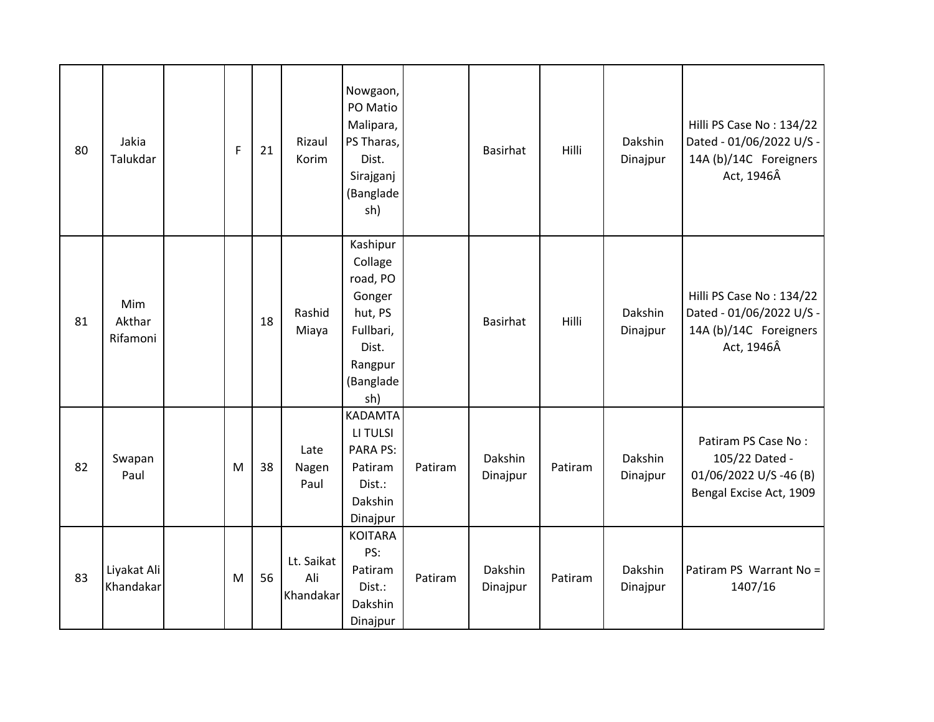| 80 | Jakia<br>Talukdar         | $\mathsf F$ | 21 | Rizaul<br>Korim                | Nowgaon,<br>PO Matio<br>Malipara,<br>PS Tharas,<br>Dist.<br>Sirajganj<br>(Banglade<br>sh)                 |         | <b>Basirhat</b>     | Hilli   | Dakshin<br>Dinajpur | Hilli PS Case No: 134/22<br>Dated - 01/06/2022 U/S -<br>14A (b)/14C Foreigners<br>Act, 1946Â |
|----|---------------------------|-------------|----|--------------------------------|-----------------------------------------------------------------------------------------------------------|---------|---------------------|---------|---------------------|----------------------------------------------------------------------------------------------|
| 81 | Mim<br>Akthar<br>Rifamoni |             | 18 | Rashid<br>Miaya                | Kashipur<br>Collage<br>road, PO<br>Gonger<br>hut, PS<br>Fullbari,<br>Dist.<br>Rangpur<br>(Banglade<br>sh) |         | <b>Basirhat</b>     | Hilli   | Dakshin<br>Dinajpur | Hilli PS Case No: 134/22<br>Dated - 01/06/2022 U/S -<br>14A (b)/14C Foreigners<br>Act, 1946Â |
| 82 | Swapan<br>Paul            | M           | 38 | Late<br>Nagen<br>Paul          | <b>KADAMTA</b><br>LI TULSI<br><b>PARA PS:</b><br>Patiram<br>Dist.:<br>Dakshin<br>Dinajpur                 | Patiram | Dakshin<br>Dinajpur | Patiram | Dakshin<br>Dinajpur | Patiram PS Case No:<br>105/22 Dated -<br>01/06/2022 U/S-46 (B)<br>Bengal Excise Act, 1909    |
| 83 | Liyakat Ali<br>Khandakar  | M           | 56 | Lt. Saikat<br>Ali<br>Khandakar | <b>KOITARA</b><br>PS:<br>Patiram<br>Dist.:<br>Dakshin<br>Dinajpur                                         | Patiram | Dakshin<br>Dinajpur | Patiram | Dakshin<br>Dinajpur | Patiram PS Warrant No =<br>1407/16                                                           |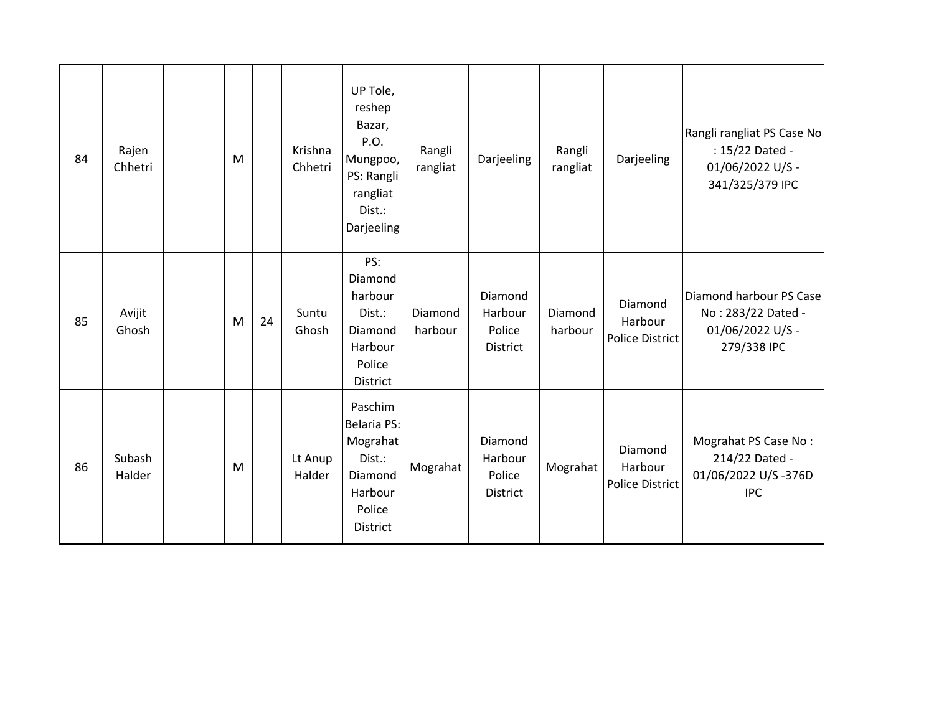| 84 | Rajen<br>Chhetri | M |    | Krishna<br>Chhetri | UP Tole,<br>reshep<br>Bazar,<br>P.O.<br>Mungpoo,<br>PS: Rangli<br>rangliat<br>Dist.:<br>Darjeeling | Rangli<br>rangliat | Darjeeling                                      | Rangli<br>rangliat | Darjeeling                                   | Rangli rangliat PS Case No<br>: 15/22 Dated -<br>01/06/2022 U/S -<br>341/325/379 IPC |
|----|------------------|---|----|--------------------|----------------------------------------------------------------------------------------------------|--------------------|-------------------------------------------------|--------------------|----------------------------------------------|--------------------------------------------------------------------------------------|
| 85 | Avijit<br>Ghosh  | M | 24 | Suntu<br>Ghosh     | PS:<br>Diamond<br>harbour<br>Dist.:<br>Diamond<br>Harbour<br>Police<br>District                    | Diamond<br>harbour | Diamond<br>Harbour<br>Police<br><b>District</b> | Diamond<br>harbour | Diamond<br>Harbour<br><b>Police District</b> | Diamond harbour PS Case<br>No: 283/22 Dated -<br>01/06/2022 U/S -<br>279/338 IPC     |
| 86 | Subash<br>Halder | M |    | Lt Anup<br>Halder  | Paschim<br><b>Belaria PS:</b><br>Mograhat<br>Dist.:<br>Diamond<br>Harbour<br>Police<br>District    | Mograhat           | Diamond<br>Harbour<br>Police<br><b>District</b> | Mograhat           | Diamond<br>Harbour<br><b>Police District</b> | Mograhat PS Case No:<br>214/22 Dated -<br>01/06/2022 U/S-376D<br><b>IPC</b>          |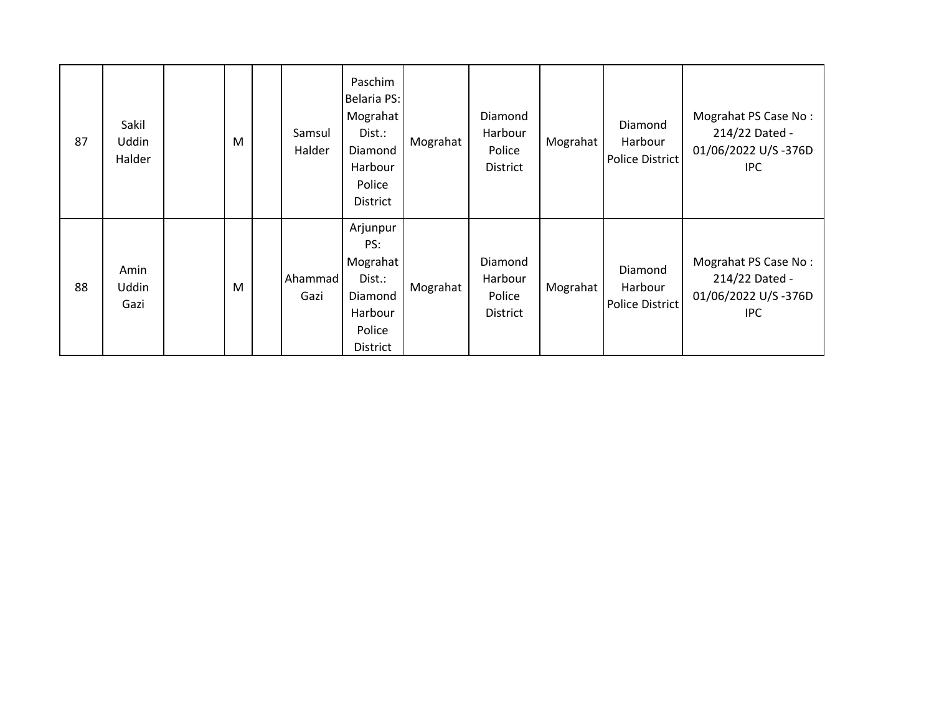| 87 | Sakil<br><b>Uddin</b><br>Halder | M | Samsul<br>Halder | Paschim<br><b>Belaria PS:</b><br>Mograhat<br>Dist.:<br>Diamond<br>Harbour<br>Police<br><b>District</b> | Mograhat | Diamond<br>Harbour<br>Police<br><b>District</b> | Mograhat | Diamond<br>Harbour<br>Police District        | Mograhat PS Case No:<br>214/22 Dated -<br>01/06/2022 U/S-376D<br><b>IPC</b> |
|----|---------------------------------|---|------------------|--------------------------------------------------------------------------------------------------------|----------|-------------------------------------------------|----------|----------------------------------------------|-----------------------------------------------------------------------------|
| 88 | Amin<br>Uddin<br>Gazi           | M | Ahammad<br>Gazi  | Arjunpur<br>PS:<br>Mograhat<br>Dist.:<br>Diamond<br>Harbour<br>Police<br>District                      | Mograhat | Diamond<br>Harbour<br>Police<br><b>District</b> | Mograhat | Diamond<br>Harbour<br><b>Police District</b> | Mograhat PS Case No:<br>214/22 Dated -<br>01/06/2022 U/S-376D<br><b>IPC</b> |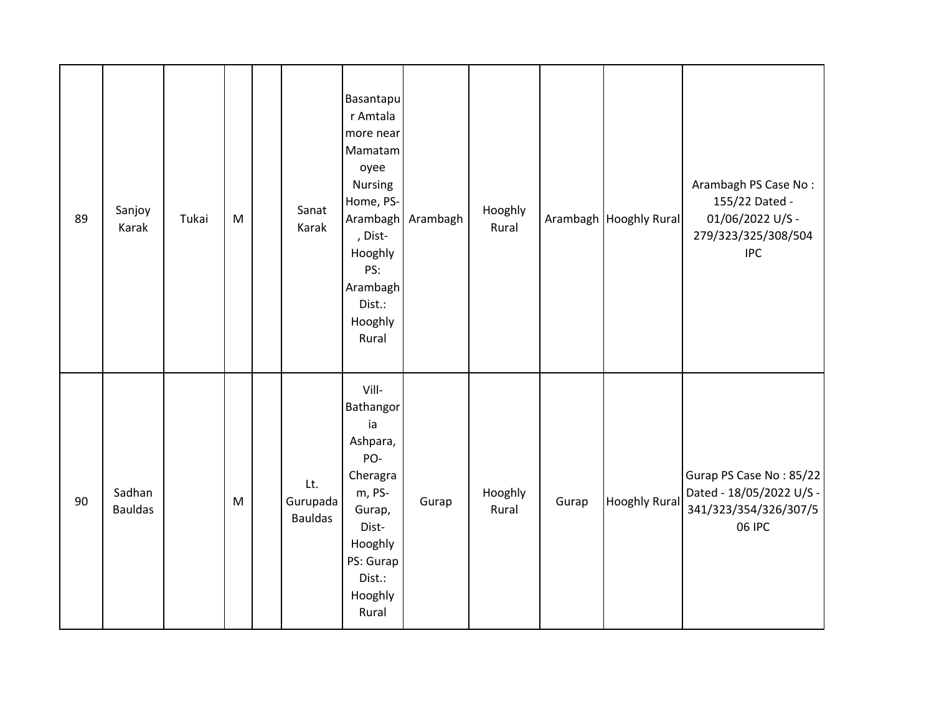| 89 | Sanjoy<br>Karak          | Tukai | M                                                                                                          | Sanat<br>Karak                    | Basantapu<br>r Amtala<br>more near<br>Mamatam<br>oyee<br>Nursing<br>Home, PS-<br>Arambagh<br>, Dist-<br>Hooghly<br>PS:<br>Arambagh<br>Dist.:<br>Hooghly<br>Rural | Arambagh | Hooghly<br>Rural |       | Arambagh Hooghly Rural | Arambagh PS Case No:<br>155/22 Dated -<br>01/06/2022 U/S -<br>279/323/325/308/504<br><b>IPC</b> |
|----|--------------------------|-------|------------------------------------------------------------------------------------------------------------|-----------------------------------|------------------------------------------------------------------------------------------------------------------------------------------------------------------|----------|------------------|-------|------------------------|-------------------------------------------------------------------------------------------------|
| 90 | Sadhan<br><b>Bauldas</b> |       | $\mathsf{M}% _{T}=\mathsf{M}_{T}\!\left( a,b\right) ,\ \mathsf{M}_{T}=\mathsf{M}_{T}\!\left( a,b\right) ,$ | Lt.<br>Gurupada<br><b>Bauldas</b> | Vill-<br>Bathangor<br>ia<br>Ashpara,<br>PO-<br>Cheragra<br>m, PS-<br>Gurap,<br>Dist-<br>Hooghly<br>PS: Gurap<br>Dist.:<br>Hooghly<br>Rural                       | Gurap    | Hooghly<br>Rural | Gurap | <b>Hooghly Rural</b>   | Gurap PS Case No: 85/22<br>Dated - 18/05/2022 U/S -<br>341/323/354/326/307/5<br>06 IPC          |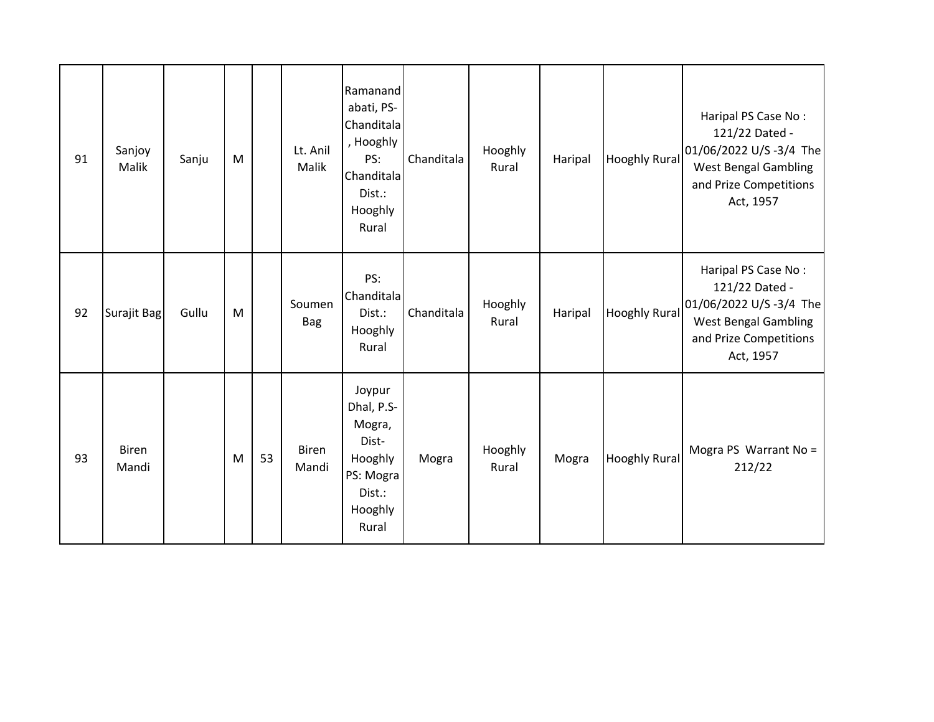| 91 | Sanjoy<br>Malik       | Sanju | M |    | Lt. Anil<br>Malik     | Ramanand<br>abati, PS-<br>Chanditala<br>, Hooghly<br>PS:<br>Chanditala<br>Dist.:<br>Hooghly<br>Rural | Chanditala | Hooghly<br>Rural | Haripal | <b>Hooghly Rural</b> | Haripal PS Case No:<br>121/22 Dated -<br>01/06/2022 U/S -3/4 The<br><b>West Bengal Gambling</b><br>and Prize Competitions<br>Act, 1957 |
|----|-----------------------|-------|---|----|-----------------------|------------------------------------------------------------------------------------------------------|------------|------------------|---------|----------------------|----------------------------------------------------------------------------------------------------------------------------------------|
| 92 | Surajit Bag           | Gullu | M |    | Soumen<br><b>Bag</b>  | PS:<br>Chanditala<br>Dist.:<br>Hooghly<br>Rural                                                      | Chanditala | Hooghly<br>Rural | Haripal | <b>Hooghly Rural</b> | Haripal PS Case No:<br>121/22 Dated -<br>01/06/2022 U/S -3/4 The<br><b>West Bengal Gambling</b><br>and Prize Competitions<br>Act, 1957 |
| 93 | <b>Biren</b><br>Mandi |       | M | 53 | <b>Biren</b><br>Mandi | Joypur<br>Dhal, P.S-<br>Mogra,<br>Dist-<br>Hooghly<br>PS: Mogra<br>Dist.:<br>Hooghly<br>Rural        | Mogra      | Hooghly<br>Rural | Mogra   | <b>Hooghly Rural</b> | Mogra PS Warrant No =<br>212/22                                                                                                        |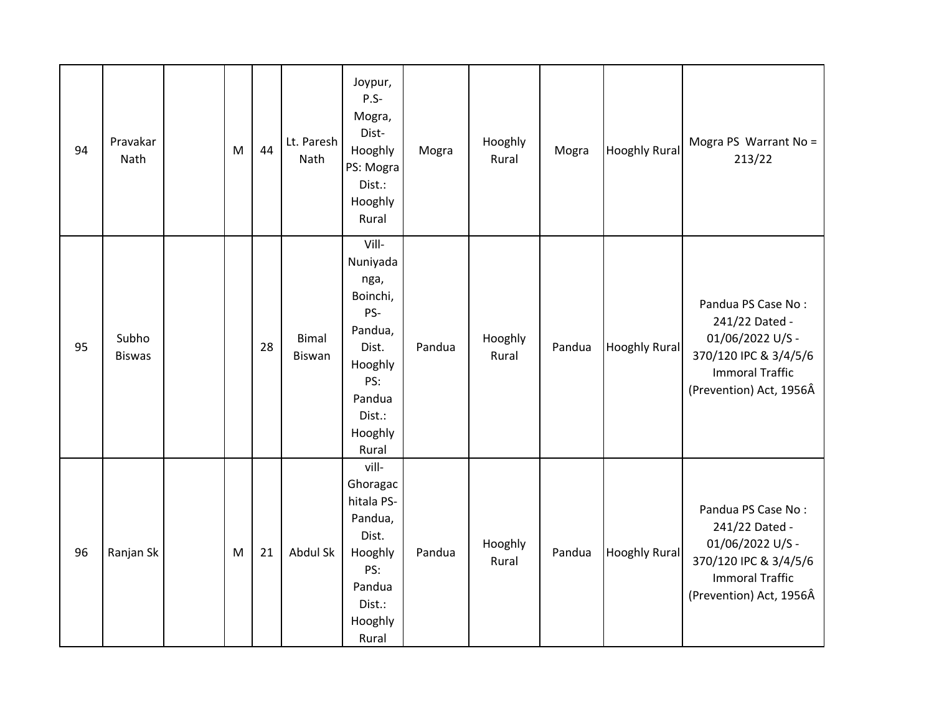| 94 | Pravakar<br>Nath       | M | 44 | Lt. Paresh<br>Nath            | Joypur,<br>$P.S-$<br>Mogra,<br>Dist-<br>Hooghly<br>PS: Mogra<br>Dist.:<br>Hooghly<br>Rural                                 | Mogra  | Hooghly<br>Rural | Mogra  | <b>Hooghly Rural</b> | Mogra PS Warrant No =<br>213/22                                                                                                        |
|----|------------------------|---|----|-------------------------------|----------------------------------------------------------------------------------------------------------------------------|--------|------------------|--------|----------------------|----------------------------------------------------------------------------------------------------------------------------------------|
| 95 | Subho<br><b>Biswas</b> |   | 28 | <b>Bimal</b><br><b>Biswan</b> | Vill-<br>Nuniyada<br>nga,<br>Boinchi,<br>PS-<br>Pandua,<br>Dist.<br>Hooghly<br>PS:<br>Pandua<br>Dist.:<br>Hooghly<br>Rural | Pandua | Hooghly<br>Rural | Pandua | <b>Hooghly Rural</b> | Pandua PS Case No:<br>241/22 Dated -<br>01/06/2022 U/S -<br>370/120 IPC & 3/4/5/6<br><b>Immoral Traffic</b><br>(Prevention) Act, 1956Â |
| 96 | Ranjan Sk              | M | 21 | Abdul Sk                      | vill-<br>Ghoragac<br>hitala PS-<br>Pandua,<br>Dist.<br>Hooghly<br>PS:<br>Pandua<br>Dist.:<br>Hooghly<br>Rural              | Pandua | Hooghly<br>Rural | Pandua | <b>Hooghly Rural</b> | Pandua PS Case No:<br>241/22 Dated -<br>01/06/2022 U/S -<br>370/120 IPC & 3/4/5/6<br><b>Immoral Traffic</b><br>(Prevention) Act, 1956Â |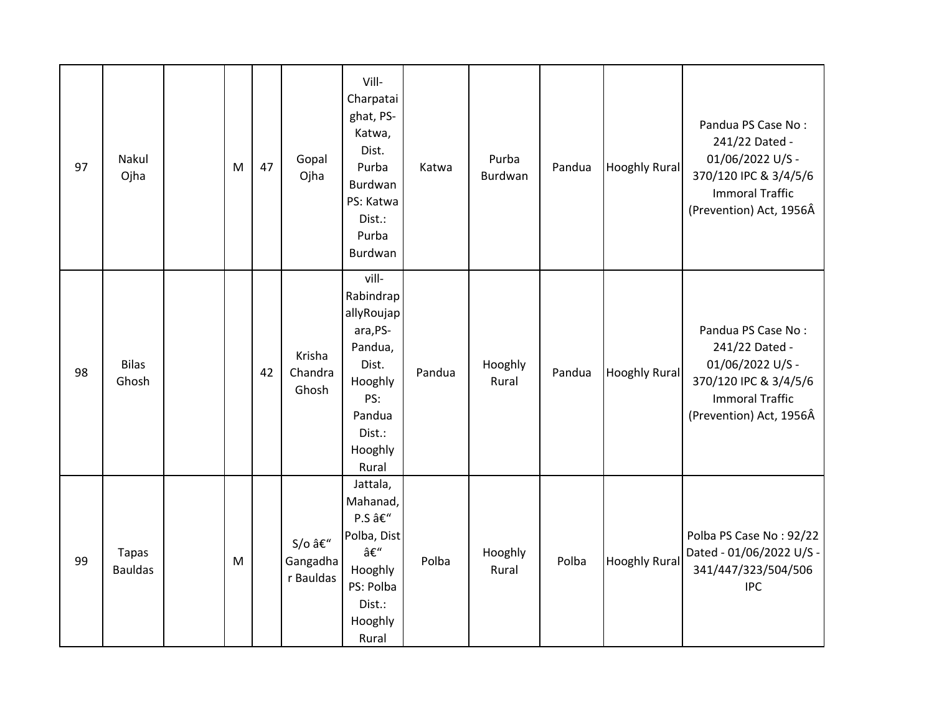| 97 | Nakul<br>Ojha                  | M | 47 | Gopal<br>Ojha                  | Vill-<br>Charpatai<br>ghat, PS-<br>Katwa,<br>Dist.<br>Purba<br>Burdwan<br>PS: Katwa<br>Dist.:<br>Purba<br>Burdwan          | Katwa  | Purba<br>Burdwan | Pandua | <b>Hooghly Rural</b> | Pandua PS Case No:<br>241/22 Dated -<br>01/06/2022 U/S -<br>370/120 IPC & 3/4/5/6<br><b>Immoral Traffic</b><br>(Prevention) Act, 1956Â |
|----|--------------------------------|---|----|--------------------------------|----------------------------------------------------------------------------------------------------------------------------|--------|------------------|--------|----------------------|----------------------------------------------------------------------------------------------------------------------------------------|
| 98 | <b>Bilas</b><br>Ghosh          |   | 42 | Krisha<br>Chandra<br>Ghosh     | vill-<br>Rabindrap<br>allyRoujap<br>ara, PS-<br>Pandua,<br>Dist.<br>Hooghly<br>PS:<br>Pandua<br>Dist.:<br>Hooghly<br>Rural | Pandua | Hooghly<br>Rural | Pandua | <b>Hooghly Rural</b> | Pandua PS Case No:<br>241/22 Dated -<br>01/06/2022 U/S -<br>370/120 IPC & 3/4/5/6<br><b>Immoral Traffic</b><br>(Prevention) Act, 1956Â |
| 99 | <b>Tapas</b><br><b>Bauldas</b> | M |    | S/o –<br>Gangadha<br>r Bauldas | Jattala,<br>Mahanad,<br>P.S –<br>Polba, Dist<br>–<br>Hooghly<br>PS: Polba<br>Dist.:<br>Hooghly<br>Rural                    | Polba  | Hooghly<br>Rural | Polba  | <b>Hooghly Rural</b> | Polba PS Case No: 92/22<br>Dated - 01/06/2022 U/S -<br>341/447/323/504/506<br><b>IPC</b>                                               |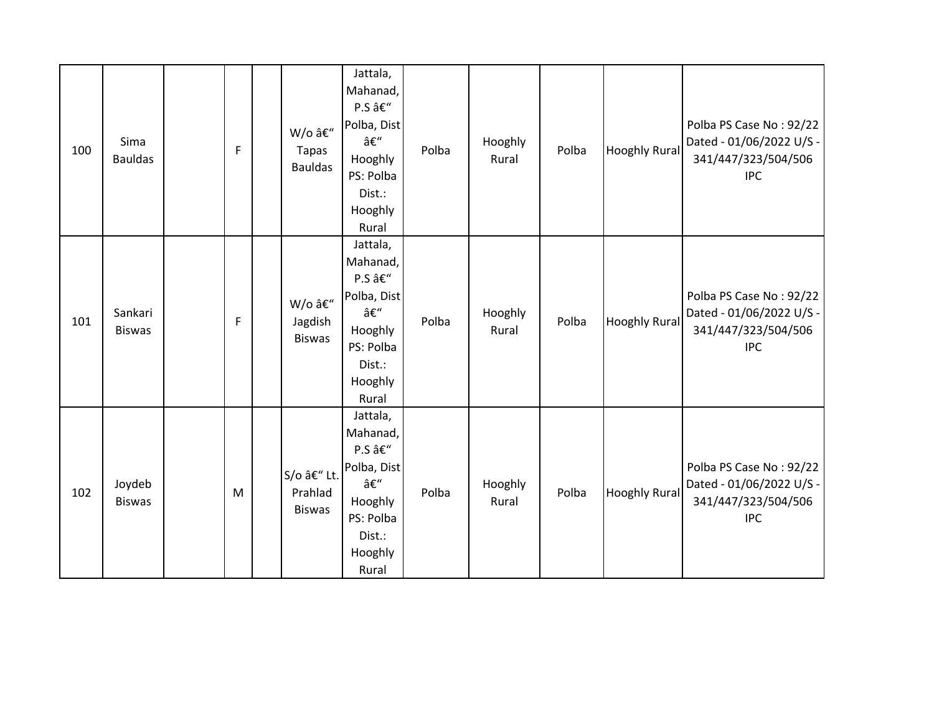| 100 | Sima<br><b>Bauldas</b>   | $\mathsf F$ | W/o –<br><b>Tapas</b><br><b>Bauldas</b> | Jattala,<br>Mahanad,<br>P.S –<br>Polba, Dist<br>–<br>Hooghly<br>PS: Polba<br>Dist.:<br>Hooghly<br>Rural | Polba | Hooghly<br>Rural | Polba | <b>Hooghly Rural</b> | Polba PS Case No: 92/22<br>Dated - 01/06/2022 U/S -<br>341/447/323/504/506<br><b>IPC</b> |
|-----|--------------------------|-------------|-----------------------------------------|---------------------------------------------------------------------------------------------------------|-------|------------------|-------|----------------------|------------------------------------------------------------------------------------------|
| 101 | Sankari<br><b>Biswas</b> | $\mathsf F$ | W/o –<br>Jagdish<br><b>Biswas</b>       | Jattala,<br>Mahanad,<br>P.S –<br>Polba, Dist<br>–<br>Hooghly<br>PS: Polba<br>Dist.:<br>Hooghly<br>Rural | Polba | Hooghly<br>Rural | Polba | <b>Hooghly Rural</b> | Polba PS Case No: 92/22<br>Dated - 01/06/2022 U/S -<br>341/447/323/504/506<br><b>IPC</b> |
| 102 | Joydeb<br><b>Biswas</b>  | M           | S/o – Lt.<br>Prahlad<br><b>Biswas</b>   | Jattala,<br>Mahanad,<br>P.S –<br>Polba, Dist<br>–<br>Hooghly<br>PS: Polba<br>Dist.:<br>Hooghly<br>Rural | Polba | Hooghly<br>Rural | Polba | <b>Hooghly Rural</b> | Polba PS Case No: 92/22<br>Dated - 01/06/2022 U/S -<br>341/447/323/504/506<br><b>IPC</b> |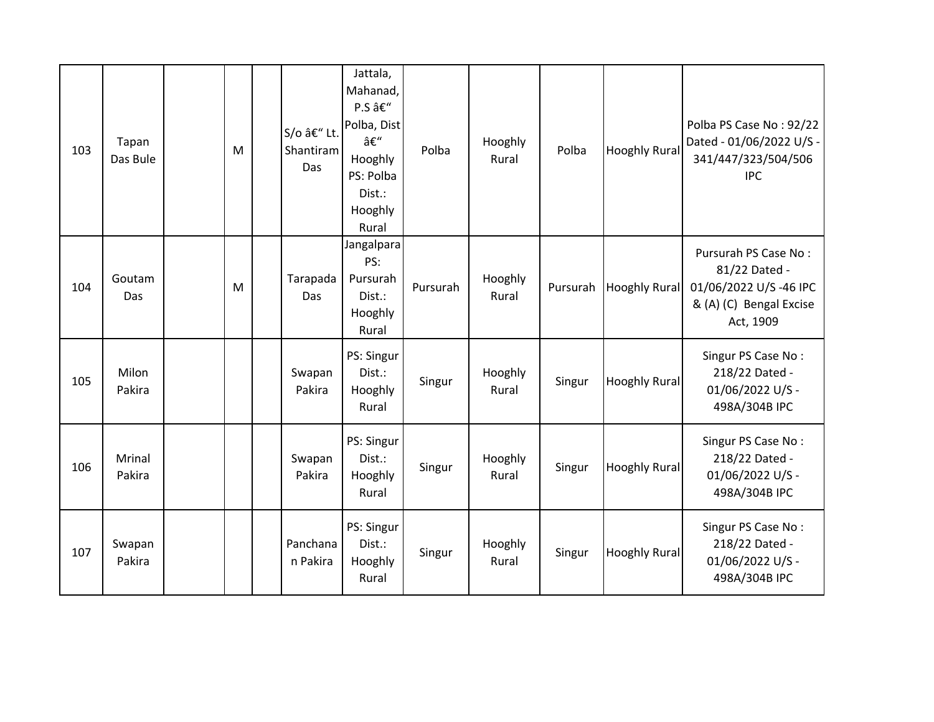| 103 | Tapan<br>Das Bule | M | S/o – Lt.<br>Shantiram<br>Das | Jattala,<br>Mahanad,<br>P.S –<br>Polba, Dist<br>–<br>Hooghly<br>PS: Polba<br>Dist.:<br>Hooghly<br>Rural | Polba    | Hooghly<br>Rural | Polba    | <b>Hooghly Rural</b> | Polba PS Case No: 92/22<br>Dated - 01/06/2022 U/S -<br>341/447/323/504/506<br><b>IPC</b>               |
|-----|-------------------|---|-------------------------------|---------------------------------------------------------------------------------------------------------|----------|------------------|----------|----------------------|--------------------------------------------------------------------------------------------------------|
| 104 | Goutam<br>Das     | M | Tarapada<br>Das               | Jangalpara<br>PS:<br>Pursurah<br>Dist.:<br>Hooghly<br>Rural                                             | Pursurah | Hooghly<br>Rural | Pursurah | <b>Hooghly Rural</b> | Pursurah PS Case No:<br>81/22 Dated -<br>01/06/2022 U/S-46 IPC<br>& (A) (C) Bengal Excise<br>Act, 1909 |
| 105 | Milon<br>Pakira   |   | Swapan<br>Pakira              | PS: Singur<br>Dist.:<br>Hooghly<br>Rural                                                                | Singur   | Hooghly<br>Rural | Singur   | <b>Hooghly Rural</b> | Singur PS Case No:<br>218/22 Dated -<br>01/06/2022 U/S -<br>498A/304B IPC                              |
| 106 | Mrinal<br>Pakira  |   | Swapan<br>Pakira              | PS: Singur<br>Dist.:<br>Hooghly<br>Rural                                                                | Singur   | Hooghly<br>Rural | Singur   | <b>Hooghly Rural</b> | Singur PS Case No:<br>218/22 Dated -<br>01/06/2022 U/S -<br>498A/304B IPC                              |
| 107 | Swapan<br>Pakira  |   | Panchana<br>n Pakira          | PS: Singur<br>Dist.:<br>Hooghly<br>Rural                                                                | Singur   | Hooghly<br>Rural | Singur   | <b>Hooghly Rural</b> | Singur PS Case No:<br>218/22 Dated -<br>01/06/2022 U/S -<br>498A/304B IPC                              |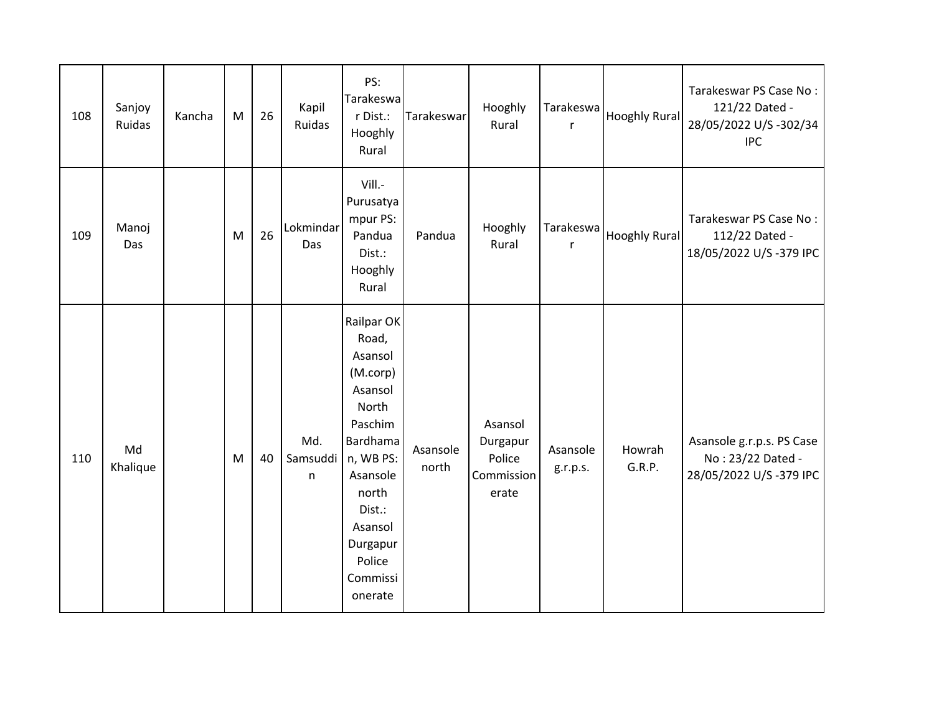| 108 | Sanjoy<br>Ruidas | Kancha | M | 26 | Kapil<br>Ruidas      | PS:<br>Tarakeswa<br>r Dist.:<br>Hooghly<br>Rural                                                                                                                                          | <b>Tarakeswar</b> | Hooghly<br>Rural                                     | Tarakeswa<br>r       | <b>Hooghly Rural</b> | Tarakeswar PS Case No:<br>121/22 Dated -<br>28/05/2022 U/S -302/34<br><b>IPC</b> |
|-----|------------------|--------|---|----|----------------------|-------------------------------------------------------------------------------------------------------------------------------------------------------------------------------------------|-------------------|------------------------------------------------------|----------------------|----------------------|----------------------------------------------------------------------------------|
| 109 | Manoj<br>Das     |        | M | 26 | Lokmindar<br>Das     | Vill.-<br>Purusatya<br>mpur PS:<br>Pandua<br>Dist.:<br>Hooghly<br>Rural                                                                                                                   | Pandua            | Hooghly<br>Rural                                     | Tarakeswa<br>r       | <b>Hooghly Rural</b> | Tarakeswar PS Case No:<br>112/22 Dated -<br>18/05/2022 U/S-379 IPC               |
| 110 | Md<br>Khalique   |        | M | 40 | Md.<br>Samsuddi<br>n | Railpar OK<br>Road,<br>Asansol<br>(M.corp)<br>Asansol<br>North<br>Paschim<br>Bardhama<br>n, WB PS:<br>Asansole<br>north<br>Dist.:<br>Asansol<br>Durgapur<br>Police<br>Commissi<br>onerate | Asansole<br>north | Asansol<br>Durgapur<br>Police<br>Commission<br>erate | Asansole<br>g.r.p.s. | Howrah<br>G.R.P.     | Asansole g.r.p.s. PS Case<br>No: 23/22 Dated -<br>28/05/2022 U/S-379 IPC         |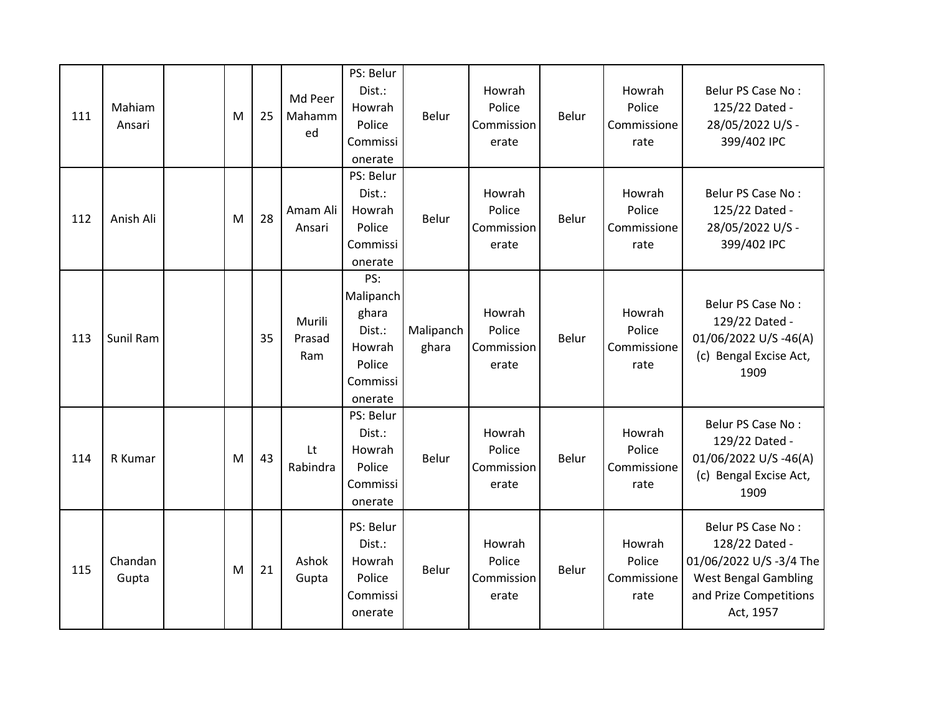| 111 | Mahiam<br>Ansari | M | 25 | Md Peer<br>Mahamm<br>ed | PS: Belur<br>Dist.:<br>Howrah<br>Police<br>Commissi<br>onerate                 | <b>Belur</b>       | Howrah<br>Police<br>Commission<br>erate | <b>Belur</b> | Howrah<br>Police<br>Commissione<br>rate | Belur PS Case No:<br>125/22 Dated -<br>28/05/2022 U/S -<br>399/402 IPC                                                              |
|-----|------------------|---|----|-------------------------|--------------------------------------------------------------------------------|--------------------|-----------------------------------------|--------------|-----------------------------------------|-------------------------------------------------------------------------------------------------------------------------------------|
| 112 | Anish Ali        | M | 28 | Amam Ali<br>Ansari      | PS: Belur<br>Dist.:<br>Howrah<br>Police<br>Commissi<br>onerate                 | <b>Belur</b>       | Howrah<br>Police<br>Commission<br>erate | Belur        | Howrah<br>Police<br>Commissione<br>rate | Belur PS Case No:<br>125/22 Dated -<br>28/05/2022 U/S -<br>399/402 IPC                                                              |
| 113 | Sunil Ram        |   | 35 | Murili<br>Prasad<br>Ram | PS:<br>Malipanch<br>ghara<br>Dist.:<br>Howrah<br>Police<br>Commissi<br>onerate | Malipanch<br>ghara | Howrah<br>Police<br>Commission<br>erate | Belur        | Howrah<br>Police<br>Commissione<br>rate | Belur PS Case No:<br>129/22 Dated -<br>01/06/2022 U/S -46(A)<br>(c) Bengal Excise Act,<br>1909                                      |
| 114 | R Kumar          | M | 43 | Lt<br>Rabindra          | PS: Belur<br>Dist.:<br>Howrah<br>Police<br>Commissi<br>onerate                 | Belur              | Howrah<br>Police<br>Commission<br>erate | Belur        | Howrah<br>Police<br>Commissione<br>rate | Belur PS Case No:<br>129/22 Dated -<br>01/06/2022 U/S-46(A)<br>(c) Bengal Excise Act,<br>1909                                       |
| 115 | Chandan<br>Gupta | M | 21 | Ashok<br>Gupta          | PS: Belur<br>Dist.:<br>Howrah<br>Police<br>Commissi<br>onerate                 | Belur              | Howrah<br>Police<br>Commission<br>erate | Belur        | Howrah<br>Police<br>Commissione<br>rate | Belur PS Case No:<br>128/22 Dated -<br>01/06/2022 U/S-3/4 The<br><b>West Bengal Gambling</b><br>and Prize Competitions<br>Act, 1957 |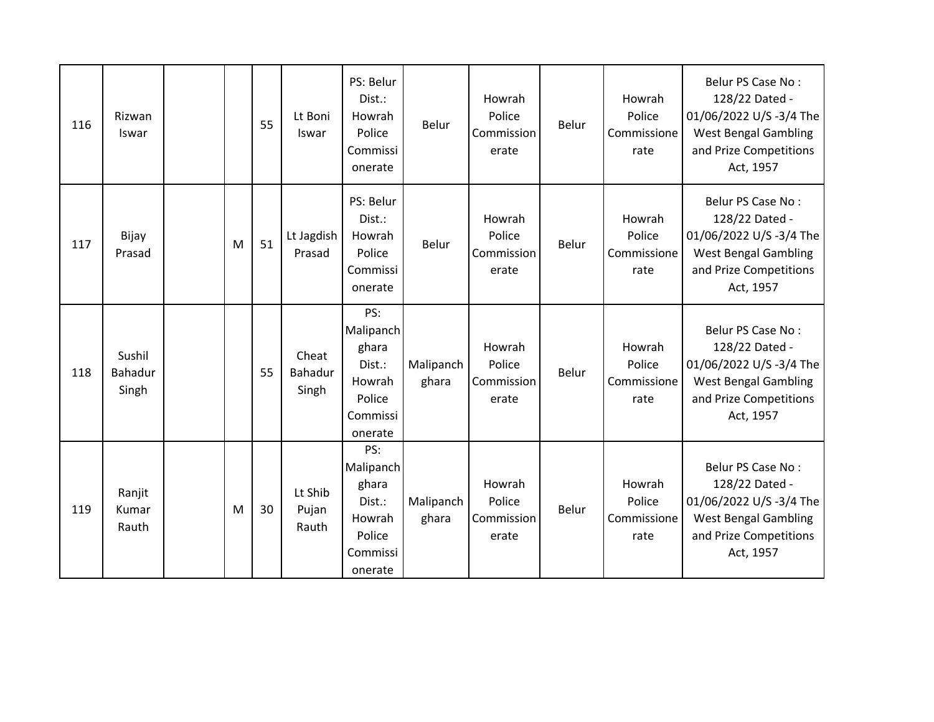| 116 | Rizwan<br>Iswar            |   | 55 | Lt Boni<br>Iswar          | PS: Belur<br>Dist.:<br>Howrah<br>Police<br>Commissi<br>onerate                 | <b>Belur</b>       | Howrah<br>Police<br>Commission<br>erate | <b>Belur</b> | Howrah<br>Police<br>Commissione<br>rate | Belur PS Case No:<br>128/22 Dated -<br>01/06/2022 U/S-3/4 The<br><b>West Bengal Gambling</b><br>and Prize Competitions<br>Act, 1957  |
|-----|----------------------------|---|----|---------------------------|--------------------------------------------------------------------------------|--------------------|-----------------------------------------|--------------|-----------------------------------------|--------------------------------------------------------------------------------------------------------------------------------------|
| 117 | Bijay<br>Prasad            | M | 51 | Lt Jagdish<br>Prasad      | PS: Belur<br>Dist.:<br>Howrah<br>Police<br>Commissi<br>onerate                 | Belur              | Howrah<br>Police<br>Commission<br>erate | Belur        | Howrah<br>Police<br>Commissione<br>rate | Belur PS Case No:<br>128/22 Dated -<br>01/06/2022 U/S-3/4 The<br><b>West Bengal Gambling</b><br>and Prize Competitions<br>Act, 1957  |
| 118 | Sushil<br>Bahadur<br>Singh |   | 55 | Cheat<br>Bahadur<br>Singh | PS:<br>Malipanch<br>ghara<br>Dist.:<br>Howrah<br>Police<br>Commissi<br>onerate | Malipanch<br>ghara | Howrah<br>Police<br>Commission<br>erate | Belur        | Howrah<br>Police<br>Commissione<br>rate | Belur PS Case No:<br>128/22 Dated -<br>01/06/2022 U/S-3/4 The<br><b>West Bengal Gambling</b><br>and Prize Competitions<br>Act, 1957  |
| 119 | Ranjit<br>Kumar<br>Rauth   | M | 30 | Lt Shib<br>Pujan<br>Rauth | PS:<br>Malipanch<br>ghara<br>Dist.:<br>Howrah<br>Police<br>Commissi<br>onerate | Malipanch<br>ghara | Howrah<br>Police<br>Commission<br>erate | Belur        | Howrah<br>Police<br>Commissione<br>rate | Belur PS Case No:<br>128/22 Dated -<br>01/06/2022 U/S -3/4 The<br><b>West Bengal Gambling</b><br>and Prize Competitions<br>Act, 1957 |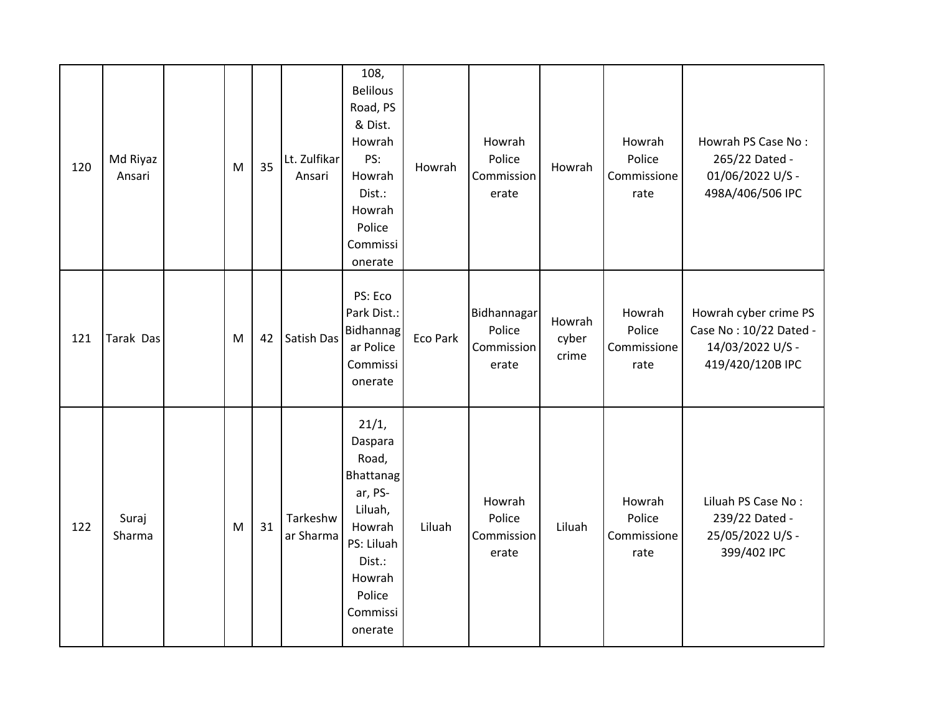| 120 | Md Riyaz<br>Ansari | M | 35 | Lt. Zulfikar<br>Ansari | 108,<br><b>Belilous</b><br>Road, PS<br>& Dist.<br>Howrah<br>PS:<br>Howrah<br>Dist.:<br>Howrah<br>Police<br>Commissi<br>onerate            | Howrah   | Howrah<br>Police<br>Commission<br>erate      | Howrah                   | Howrah<br>Police<br>Commissione<br>rate | Howrah PS Case No:<br>265/22 Dated -<br>01/06/2022 U/S -<br>498A/406/506 IPC            |
|-----|--------------------|---|----|------------------------|-------------------------------------------------------------------------------------------------------------------------------------------|----------|----------------------------------------------|--------------------------|-----------------------------------------|-----------------------------------------------------------------------------------------|
| 121 | Tarak Das          | M | 42 | Satish Das             | PS: Eco<br>Park Dist.:<br>Bidhannag<br>ar Police<br>Commissi<br>onerate                                                                   | Eco Park | Bidhannagar<br>Police<br>Commission<br>erate | Howrah<br>cyber<br>crime | Howrah<br>Police<br>Commissione<br>rate | Howrah cyber crime PS<br>Case No: 10/22 Dated -<br>14/03/2022 U/S -<br>419/420/120B IPC |
| 122 | Suraj<br>Sharma    | M | 31 | Tarkeshw<br>ar Sharma  | 21/1,<br>Daspara<br>Road,<br>Bhattanag<br>ar, PS-<br>Liluah,<br>Howrah<br>PS: Liluah<br>Dist.:<br>Howrah<br>Police<br>Commissi<br>onerate | Liluah   | Howrah<br>Police<br>Commission<br>erate      | Liluah                   | Howrah<br>Police<br>Commissione<br>rate | Liluah PS Case No:<br>239/22 Dated -<br>25/05/2022 U/S -<br>399/402 IPC                 |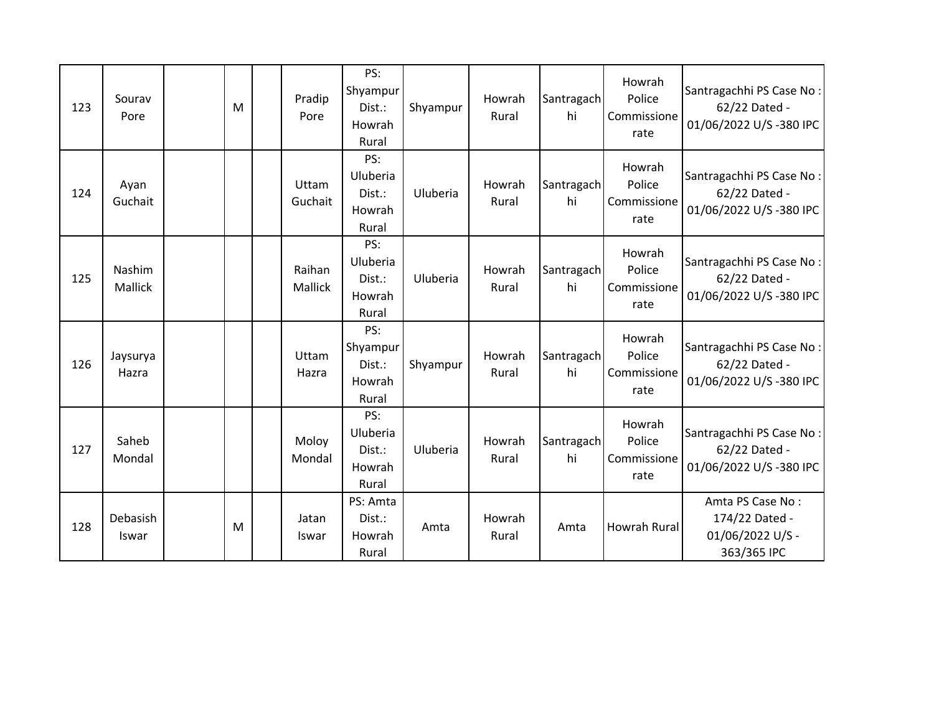| 123 | Sourav<br>Pore    | M | Pradip<br>Pore    | PS:<br>Shyampur<br>Dist.:<br>Howrah<br>Rural    | Shyampur | Howrah<br>Rural | Santragach<br>hi | Howrah<br>Police<br>Commissione<br>rate | Santragachhi PS Case No:<br>62/22 Dated -<br>01/06/2022 U/S-380 IPC   |
|-----|-------------------|---|-------------------|-------------------------------------------------|----------|-----------------|------------------|-----------------------------------------|-----------------------------------------------------------------------|
| 124 | Ayan<br>Guchait   |   | Uttam<br>Guchait  | PS:<br>Uluberia<br>Dist.:<br>Howrah<br>Rural    | Uluberia | Howrah<br>Rural | Santragach<br>hi | Howrah<br>Police<br>Commissione<br>rate | Santragachhi PS Case No:<br>62/22 Dated -<br>01/06/2022 U/S-380 IPC   |
| 125 | Nashim<br>Mallick |   | Raihan<br>Mallick | PS:<br>Uluberia<br>Dist.:<br>Howrah<br>Rural    | Uluberia | Howrah<br>Rural | Santragach<br>hi | Howrah<br>Police<br>Commissione<br>rate | Santragachhi PS Case No:<br>62/22 Dated -<br>01/06/2022 U/S-380 IPC   |
| 126 | Jaysurya<br>Hazra |   | Uttam<br>Hazra    | PS:<br>Shyampur<br>Dist.:<br>Howrah<br>Rural    | Shyampur | Howrah<br>Rural | Santragach<br>hi | Howrah<br>Police<br>Commissione<br>rate | Santragachhi PS Case No:<br>62/22 Dated -<br>01/06/2022 U/S-380 IPC   |
| 127 | Saheb<br>Mondal   |   | Moloy<br>Mondal   | PS:<br>Uluberia<br>$Dist.$ :<br>Howrah<br>Rural | Uluberia | Howrah<br>Rural | Santragach<br>hi | Howrah<br>Police<br>Commissione<br>rate | Santragachhi PS Case No:<br>62/22 Dated -<br>01/06/2022 U/S-380 IPC   |
| 128 | Debasish<br>Iswar | M | Jatan<br>Iswar    | PS: Amta<br>Dist.:<br>Howrah<br>Rural           | Amta     | Howrah<br>Rural | Amta             | Howrah Rural                            | Amta PS Case No:<br>174/22 Dated -<br>01/06/2022 U/S -<br>363/365 IPC |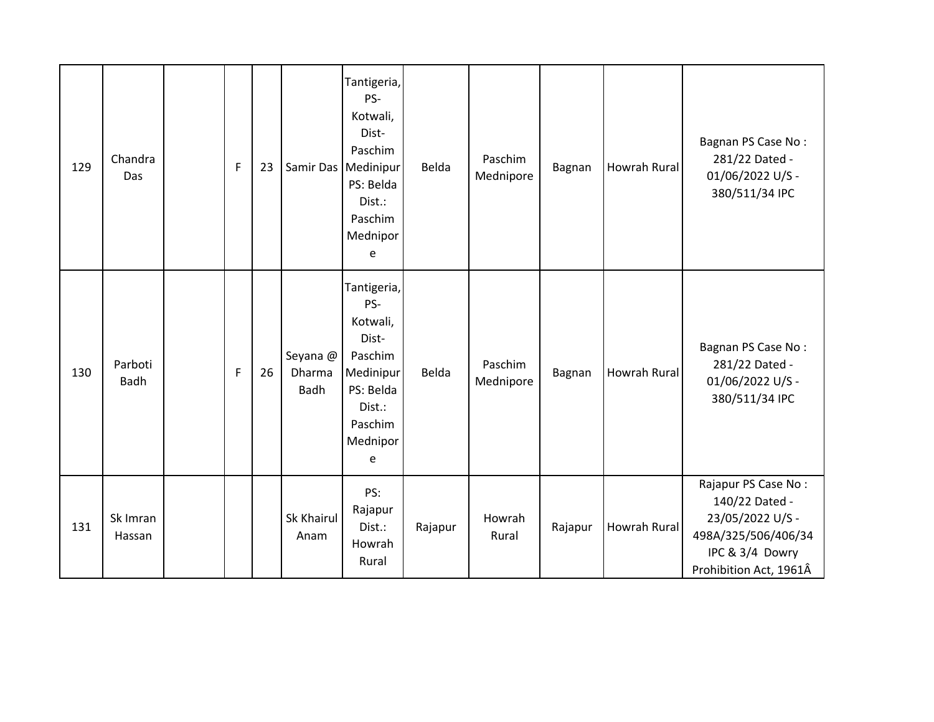| 129 | Chandra<br>Das     | F            | 23 |                            | Tantigeria,<br>PS-<br>Kotwali,<br>Dist-<br>Paschim<br>Samir Das   Medinipur<br>PS: Belda<br>Dist.:<br>Paschim<br>Mednipor<br>e | Belda   | Paschim<br>Mednipore | Bagnan  | <b>Howrah Rural</b> | Bagnan PS Case No:<br>281/22 Dated -<br>01/06/2022 U/S -<br>380/511/34 IPC                                                    |
|-----|--------------------|--------------|----|----------------------------|--------------------------------------------------------------------------------------------------------------------------------|---------|----------------------|---------|---------------------|-------------------------------------------------------------------------------------------------------------------------------|
| 130 | Parboti<br>Badh    | $\mathsf{F}$ | 26 | Seyana @<br>Dharma<br>Badh | Tantigeria,<br>PS-<br>Kotwali,<br>Dist-<br>Paschim<br>Medinipur<br>PS: Belda<br>Dist.:<br>Paschim<br>Mednipor<br>e             | Belda   | Paschim<br>Mednipore | Bagnan  | Howrah Rural        | Bagnan PS Case No:<br>281/22 Dated -<br>01/06/2022 U/S -<br>380/511/34 IPC                                                    |
| 131 | Sk Imran<br>Hassan |              |    | Sk Khairul<br>Anam         | PS:<br>Rajapur<br>Dist.:<br>Howrah<br>Rural                                                                                    | Rajapur | Howrah<br>Rural      | Rajapur | Howrah Rural        | Rajapur PS Case No:<br>140/22 Dated -<br>23/05/2022 U/S -<br>498A/325/506/406/34<br>IPC & 3/4 Dowry<br>Prohibition Act, 1961Â |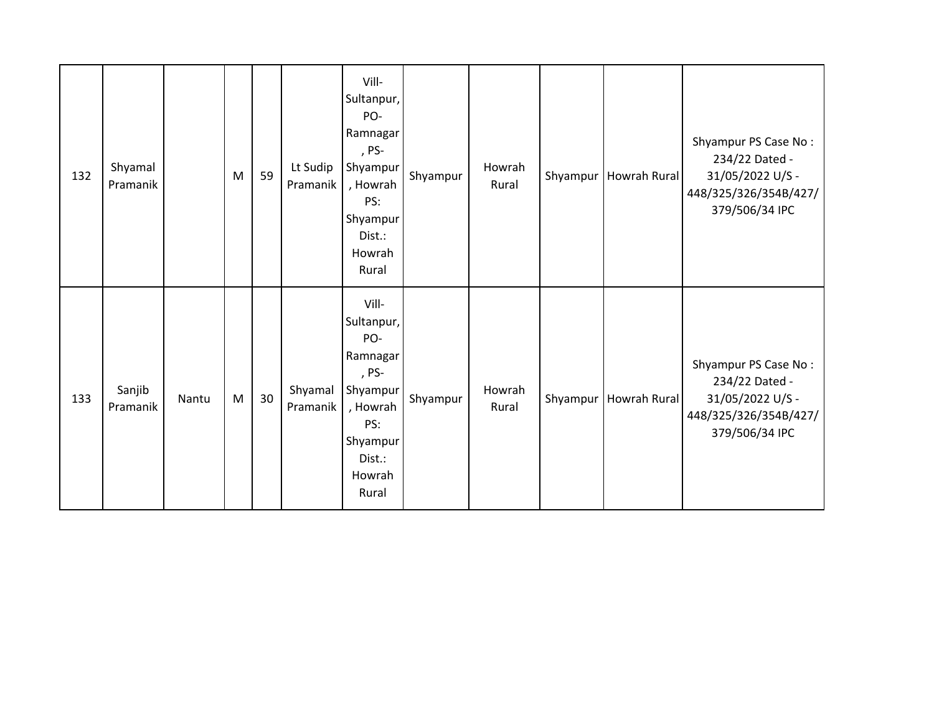| 132 | Shyamal<br>Pramanik |       | M | 59 | Lt Sudip<br>Pramanik | Vill-<br>Sultanpur,<br>PO-<br>Ramnagar<br>, PS-<br>Shyampur<br>, Howrah<br>PS:<br>Shyampur<br>Dist.:<br>Howrah<br>Rural | Shyampur | Howrah<br>Rural | Shyampur | Howrah Rural | Shyampur PS Case No:<br>234/22 Dated -<br>31/05/2022 U/S -<br>448/325/326/354B/427/<br>379/506/34 IPC |
|-----|---------------------|-------|---|----|----------------------|-------------------------------------------------------------------------------------------------------------------------|----------|-----------------|----------|--------------|-------------------------------------------------------------------------------------------------------|
| 133 | Sanjib<br>Pramanik  | Nantu | M | 30 | Shyamal<br>Pramanik  | Vill-<br>Sultanpur,<br>PO-<br>Ramnagar<br>, PS-<br>Shyampur<br>, Howrah<br>PS:<br>Shyampur<br>Dist.:<br>Howrah<br>Rural | Shyampur | Howrah<br>Rural | Shyampur | Howrah Rural | Shyampur PS Case No:<br>234/22 Dated -<br>31/05/2022 U/S -<br>448/325/326/354B/427/<br>379/506/34 IPC |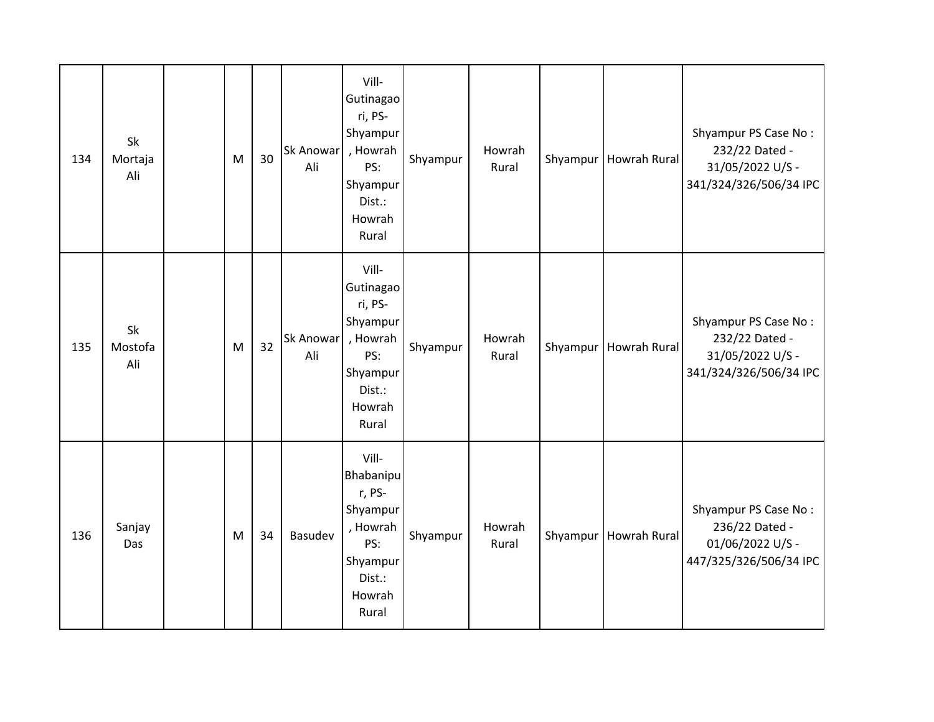| 134 | Sk<br>Mortaja<br>Ali | M | 30 | Sk Anowar<br>Ali | Vill-<br>Gutinagao<br>ri, PS-<br>Shyampur<br>, Howrah<br>PS:<br>Shyampur<br>Dist.:<br>Howrah<br>Rural       | Shyampur | Howrah<br>Rural | Shyampur | <b>Howrah Rural</b> | Shyampur PS Case No:<br>232/22 Dated -<br>31/05/2022 U/S -<br>341/324/326/506/34 IPC |
|-----|----------------------|---|----|------------------|-------------------------------------------------------------------------------------------------------------|----------|-----------------|----------|---------------------|--------------------------------------------------------------------------------------|
| 135 | Sk<br>Mostofa<br>Ali | M | 32 | Sk Anowar<br>Ali | Vill-<br>Gutinagao<br>ri, PS-<br>Shyampur<br>, Howrah<br>PS:<br>Shyampur<br>Dist.:<br>Howrah<br>Rural       | Shyampur | Howrah<br>Rural | Shyampur | <b>Howrah Rural</b> | Shyampur PS Case No:<br>232/22 Dated -<br>31/05/2022 U/S -<br>341/324/326/506/34 IPC |
| 136 | Sanjay<br>Das        | M | 34 | Basudev          | Vill-<br><b>Bhabanipu</b><br>r, PS-<br>Shyampur<br>, Howrah<br>PS:<br>Shyampur<br>Dist.:<br>Howrah<br>Rural | Shyampur | Howrah<br>Rural | Shyampur | <b>Howrah Rural</b> | Shyampur PS Case No:<br>236/22 Dated -<br>01/06/2022 U/S -<br>447/325/326/506/34 IPC |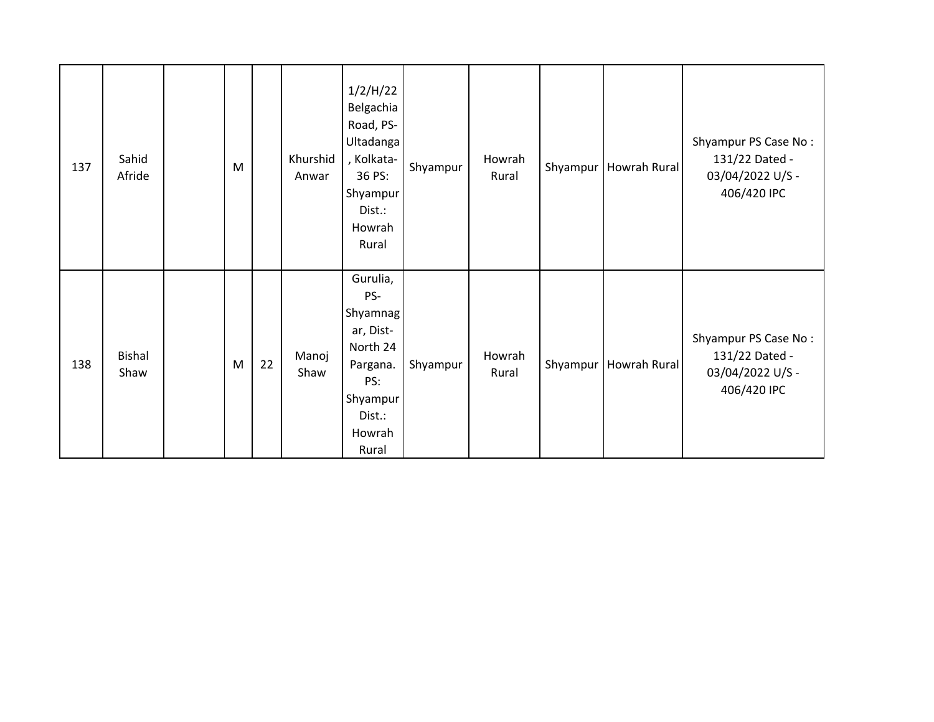| 137 | Sahid<br>Afride       | M |    | Khurshid<br>Anwar | 1/2/H/22<br>Belgachia<br>Road, PS-<br>Ultadanga<br>, Kolkata-<br>36 PS:<br>Shyampur<br>Dist.:<br>Howrah<br>Rural | Shyampur | Howrah<br>Rural |          | Shyampur   Howrah Rural | Shyampur PS Case No:<br>131/22 Dated -<br>03/04/2022 U/S -<br>406/420 IPC |
|-----|-----------------------|---|----|-------------------|------------------------------------------------------------------------------------------------------------------|----------|-----------------|----------|-------------------------|---------------------------------------------------------------------------|
| 138 | <b>Bishal</b><br>Shaw | M | 22 | Manoj<br>Shaw     | Gurulia,<br>PS-<br>Shyamnag<br>ar, Dist-<br>North 24<br>Pargana.<br>PS:<br>Shyampur<br>Dist.:<br>Howrah<br>Rural | Shyampur | Howrah<br>Rural | Shyampur | <b>Howrah Rural</b>     | Shyampur PS Case No:<br>131/22 Dated -<br>03/04/2022 U/S -<br>406/420 IPC |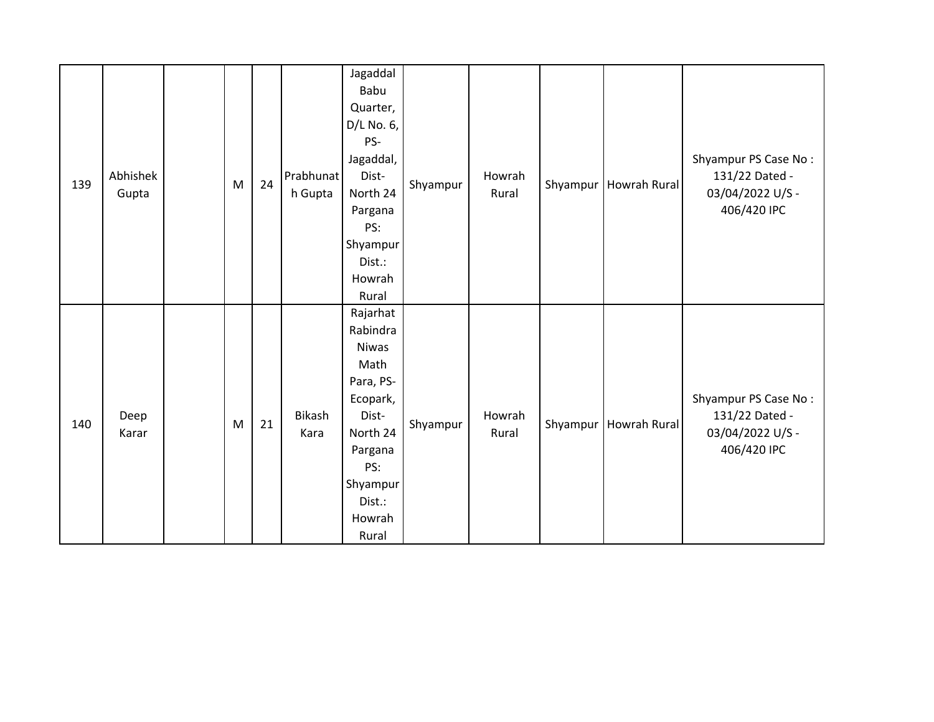| 139 | Abhishek<br>Gupta | M | 24 | Prabhunat<br>h Gupta  | Jagaddal<br>Babu<br>Quarter,<br>$D/L$ No. 6,<br>PS-<br>Jagaddal,<br>Dist-<br>North 24<br>Pargana<br>PS:<br>Shyampur<br>Dist.:<br>Howrah<br>Rural      | Shyampur | Howrah<br>Rural | Shyampur | <b>Howrah Rural</b> | Shyampur PS Case No:<br>131/22 Dated -<br>03/04/2022 U/S -<br>406/420 IPC |
|-----|-------------------|---|----|-----------------------|-------------------------------------------------------------------------------------------------------------------------------------------------------|----------|-----------------|----------|---------------------|---------------------------------------------------------------------------|
| 140 | Deep<br>Karar     | M | 21 | <b>Bikash</b><br>Kara | Rajarhat<br>Rabindra<br><b>Niwas</b><br>Math<br>Para, PS-<br>Ecopark,<br>Dist-<br>North 24<br>Pargana<br>PS:<br>Shyampur<br>Dist.:<br>Howrah<br>Rural | Shyampur | Howrah<br>Rural | Shyampur | Howrah Rural        | Shyampur PS Case No:<br>131/22 Dated -<br>03/04/2022 U/S -<br>406/420 IPC |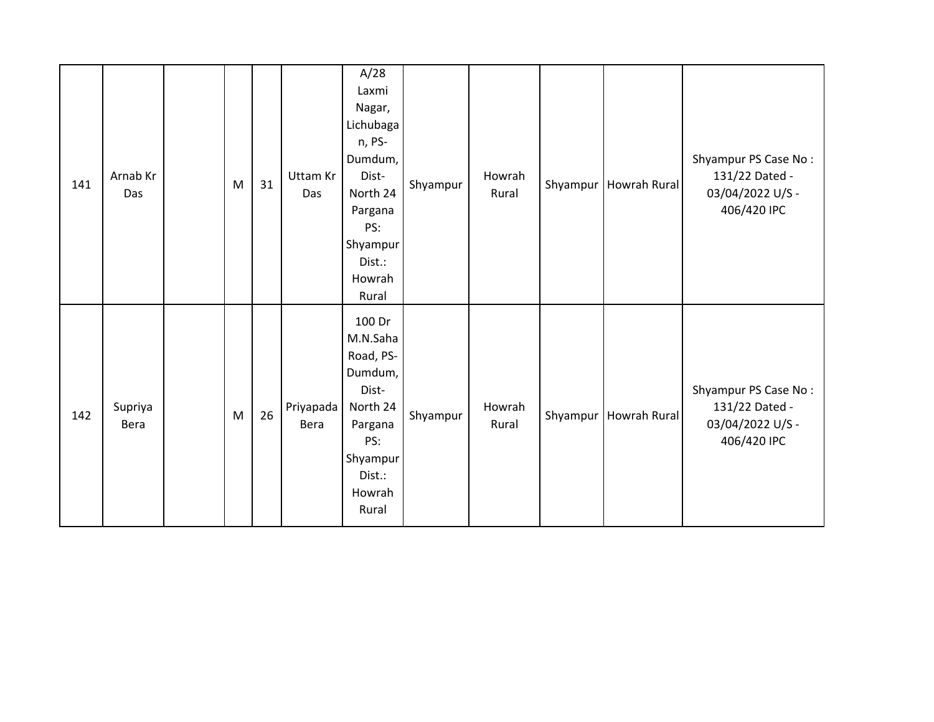| 141 | Arnab Kr<br>Das | M         | 31 | Uttam Kr<br>Das   | A/28<br>Laxmi<br>Nagar,<br>Lichubaga<br>n, PS-<br>Dumdum,<br>Dist-<br>North 24<br>Pargana<br>PS:<br>Shyampur<br>Dist.:<br>Howrah<br>Rural | Shyampur | Howrah<br>Rural |          | Shyampur   Howrah Rural | Shyampur PS Case No:<br>131/22 Dated -<br>03/04/2022 U/S -<br>406/420 IPC |
|-----|-----------------|-----------|----|-------------------|-------------------------------------------------------------------------------------------------------------------------------------------|----------|-----------------|----------|-------------------------|---------------------------------------------------------------------------|
| 142 | Supriya<br>Bera | ${\sf M}$ | 26 | Priyapada<br>Bera | 100 Dr<br>M.N.Saha<br>Road, PS-<br>Dumdum,<br>Dist-<br>North 24<br>Pargana<br>PS:<br>Shyampur<br>Dist.:<br>Howrah<br>Rural                | Shyampur | Howrah<br>Rural | Shyampur | <b>Howrah Rural</b>     | Shyampur PS Case No:<br>131/22 Dated -<br>03/04/2022 U/S -<br>406/420 IPC |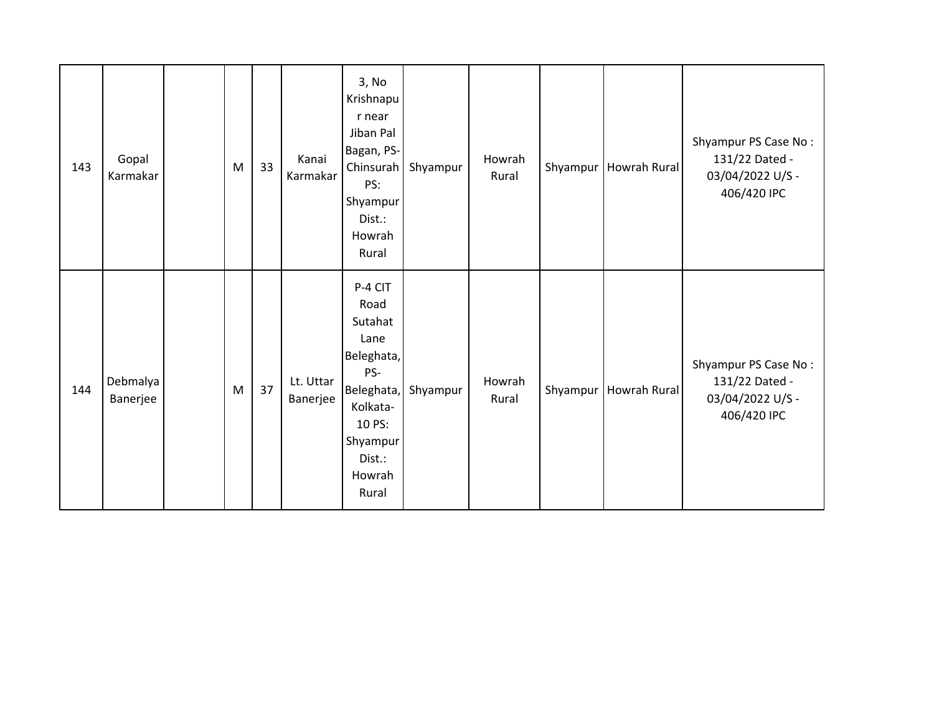| 143 | Gopal<br>Karmakar    | M         | 33 | Kanai<br>Karmakar     | 3, No<br>Krishnapu<br>r near<br>Jiban Pal<br>Bagan, PS-<br>Chinsurah<br>PS:<br>Shyampur<br>Dist.:<br>Howrah<br>Rural                 | Shyampur | Howrah<br>Rural | Shyampur | Howrah Rural            | Shyampur PS Case No:<br>131/22 Dated -<br>03/04/2022 U/S -<br>406/420 IPC |
|-----|----------------------|-----------|----|-----------------------|--------------------------------------------------------------------------------------------------------------------------------------|----------|-----------------|----------|-------------------------|---------------------------------------------------------------------------|
| 144 | Debmalya<br>Banerjee | ${\sf M}$ | 37 | Lt. Uttar<br>Banerjee | P-4 CIT<br>Road<br>Sutahat<br>Lane<br>Beleghata,<br>PS-<br>Beleghata,<br>Kolkata-<br>10 PS:<br>Shyampur<br>Dist.:<br>Howrah<br>Rural | Shyampur | Howrah<br>Rural |          | Shyampur   Howrah Rural | Shyampur PS Case No:<br>131/22 Dated -<br>03/04/2022 U/S -<br>406/420 IPC |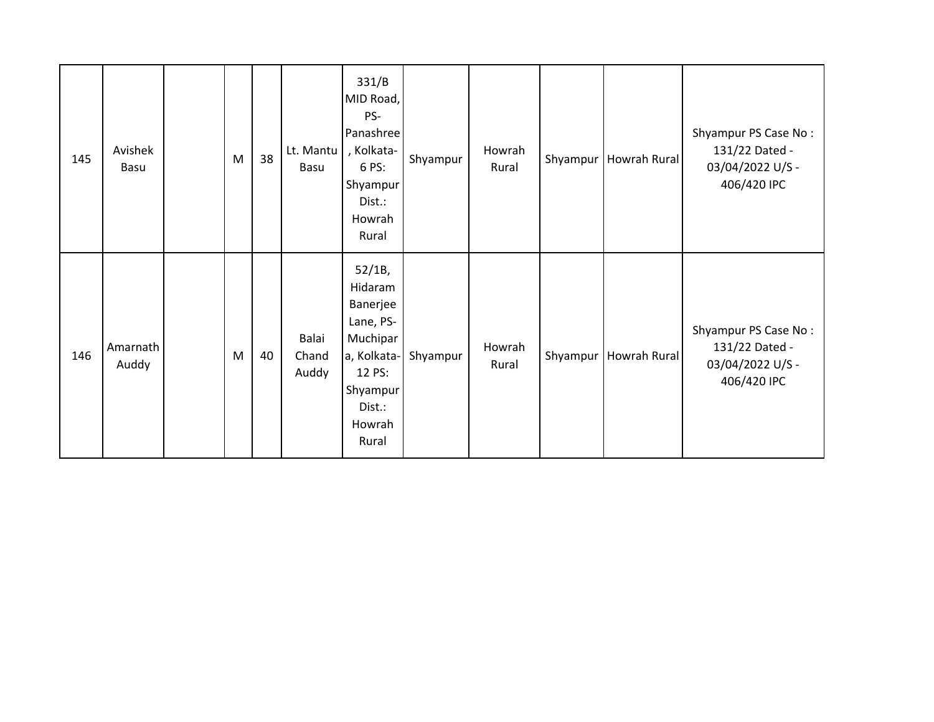| 145 | Avishek<br><b>Basu</b> | M | 38 | Lt. Mantu<br>Basu       | 331/B<br>MID Road,<br>PS-<br>Panashree<br>, Kolkata-<br>6 PS:<br>Shyampur<br>Dist.:<br>Howrah<br>Rural                   | Shyampur | Howrah<br>Rural | Shyampur   Howrah Rural | Shyampur PS Case No:<br>131/22 Dated -<br>03/04/2022 U/S -<br>406/420 IPC |
|-----|------------------------|---|----|-------------------------|--------------------------------------------------------------------------------------------------------------------------|----------|-----------------|-------------------------|---------------------------------------------------------------------------|
| 146 | Amarnath<br>Auddy      | M | 40 | Balai<br>Chand<br>Auddy | 52/1B,<br>Hidaram<br>Banerjee<br>Lane, PS-<br>Muchipar<br>a, Kolkata-<br>12 PS:<br>Shyampur<br>Dist.:<br>Howrah<br>Rural | Shyampur | Howrah<br>Rural | Shyampur   Howrah Rural | Shyampur PS Case No:<br>131/22 Dated -<br>03/04/2022 U/S -<br>406/420 IPC |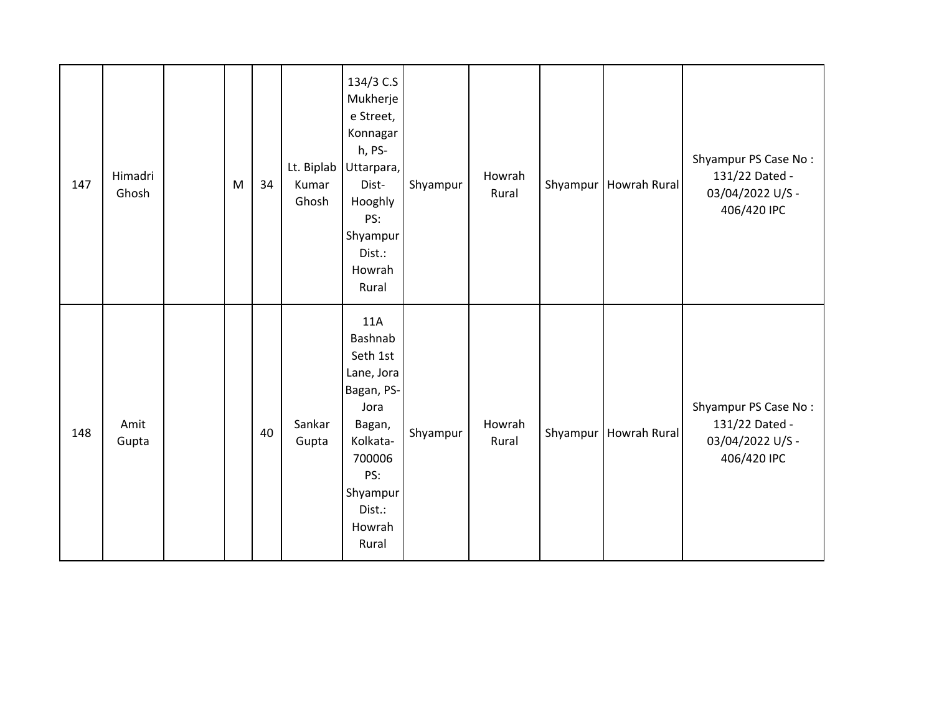| 147 | Himadri<br>Ghosh | M | 34 | Lt. Biplab<br>Kumar<br>Ghosh | 134/3 C.S<br>Mukherje<br>e Street,<br>Konnagar<br>h, PS-<br>Uttarpara,<br>Dist-<br>Hooghly<br>PS:<br>Shyampur<br>Dist.:<br>Howrah<br>Rural     | Shyampur | Howrah<br>Rural | Shyampur | Howrah Rural            | Shyampur PS Case No:<br>131/22 Dated -<br>03/04/2022 U/S -<br>406/420 IPC |
|-----|------------------|---|----|------------------------------|------------------------------------------------------------------------------------------------------------------------------------------------|----------|-----------------|----------|-------------------------|---------------------------------------------------------------------------|
| 148 | Amit<br>Gupta    |   | 40 | Sankar<br>Gupta              | 11A<br>Bashnab<br>Seth 1st<br>Lane, Jora<br>Bagan, PS-<br>Jora<br>Bagan,<br>Kolkata-<br>700006<br>PS:<br>Shyampur<br>Dist.:<br>Howrah<br>Rural | Shyampur | Howrah<br>Rural |          | Shyampur   Howrah Rural | Shyampur PS Case No:<br>131/22 Dated -<br>03/04/2022 U/S -<br>406/420 IPC |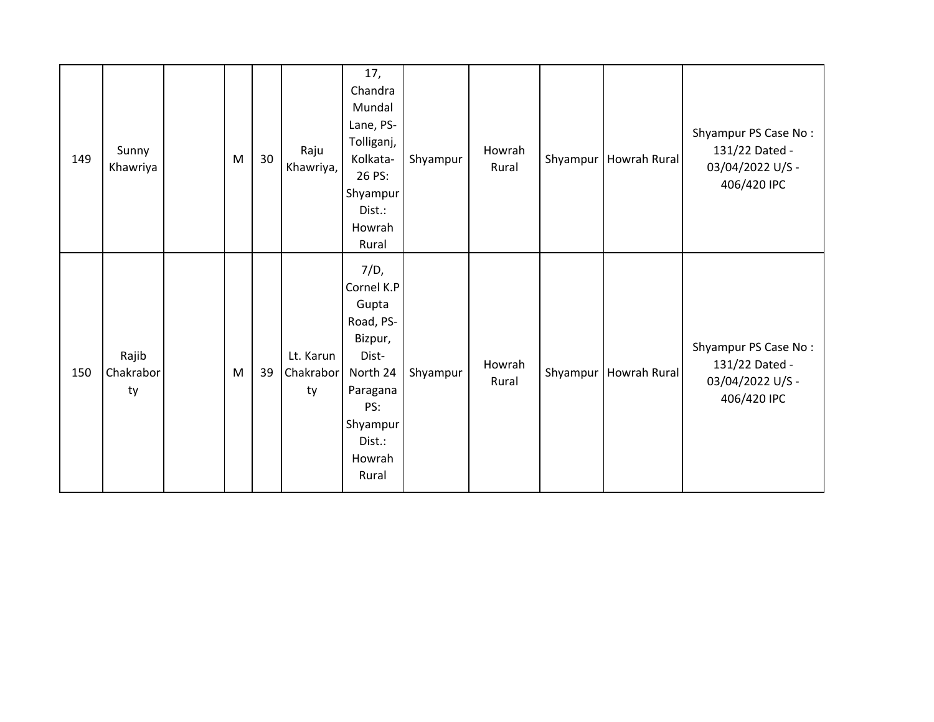| 149 | Sunny<br>Khawriya        | M | 30 <sub>o</sub> | Raju<br>Khawriya,            | 17,<br>Chandra<br>Mundal<br>Lane, PS-<br>Tolliganj,<br>Kolkata-<br>26 PS:<br>Shyampur<br>Dist.:<br>Howrah<br>Rural                   | Shyampur | Howrah<br>Rural | Shyampur   Howrah Rural | Shyampur PS Case No:<br>131/22 Dated -<br>03/04/2022 U/S -<br>406/420 IPC |
|-----|--------------------------|---|-----------------|------------------------------|--------------------------------------------------------------------------------------------------------------------------------------|----------|-----------------|-------------------------|---------------------------------------------------------------------------|
| 150 | Rajib<br>Chakrabor<br>ty | M | 39              | Lt. Karun<br>Chakrabor<br>ty | 7/D,<br>Cornel K.P<br>Gupta<br>Road, PS-<br>Bizpur,<br>Dist-<br>North 24<br>Paragana<br>PS:<br>Shyampur<br>Dist.:<br>Howrah<br>Rural | Shyampur | Howrah<br>Rural | Shyampur   Howrah Rural | Shyampur PS Case No:<br>131/22 Dated -<br>03/04/2022 U/S -<br>406/420 IPC |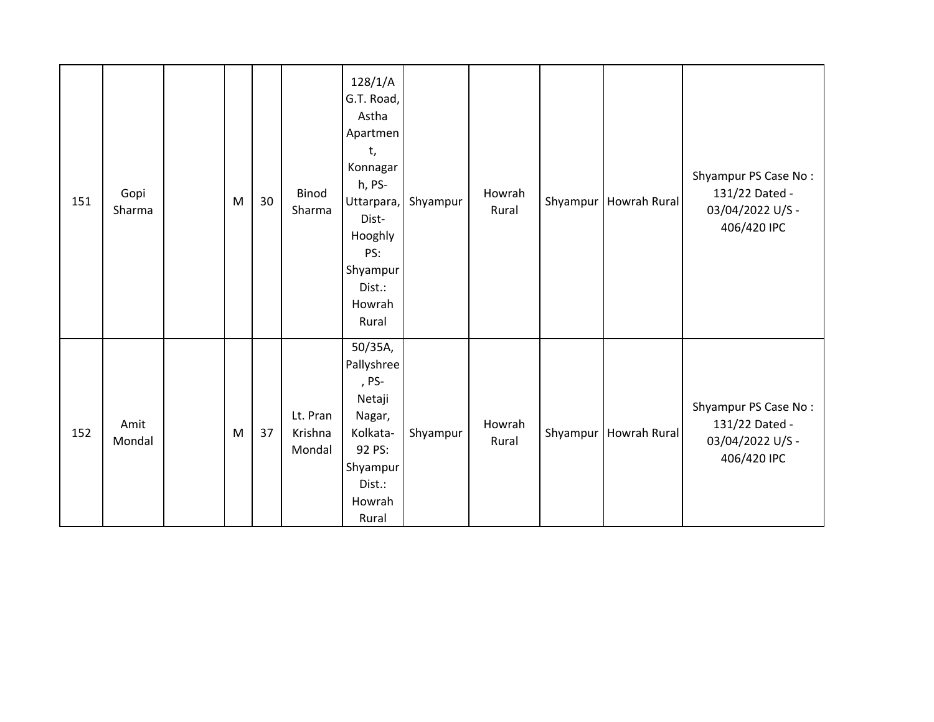| 151 | Gopi<br>Sharma | M | 30 | Binod<br>Sharma               | 128/1/A<br>G.T. Road,<br>Astha<br>Apartmen<br>t,<br>Konnagar<br>h, PS-<br>Uttarpara,<br>Dist-<br>Hooghly<br>PS:<br>Shyampur<br>Dist.:<br>Howrah<br>Rural | Shyampur | Howrah<br>Rural | Shyampur | <b>Howrah Rural</b> | Shyampur PS Case No:<br>131/22 Dated -<br>03/04/2022 U/S -<br>406/420 IPC |
|-----|----------------|---|----|-------------------------------|----------------------------------------------------------------------------------------------------------------------------------------------------------|----------|-----------------|----------|---------------------|---------------------------------------------------------------------------|
| 152 | Amit<br>Mondal | M | 37 | Lt. Pran<br>Krishna<br>Mondal | 50/35A,<br>Pallyshree<br>, PS-<br>Netaji<br>Nagar,<br>Kolkata-<br>92 PS:<br>Shyampur<br>Dist.:<br>Howrah<br>Rural                                        | Shyampur | Howrah<br>Rural | Shyampur | Howrah Rural        | Shyampur PS Case No:<br>131/22 Dated -<br>03/04/2022 U/S -<br>406/420 IPC |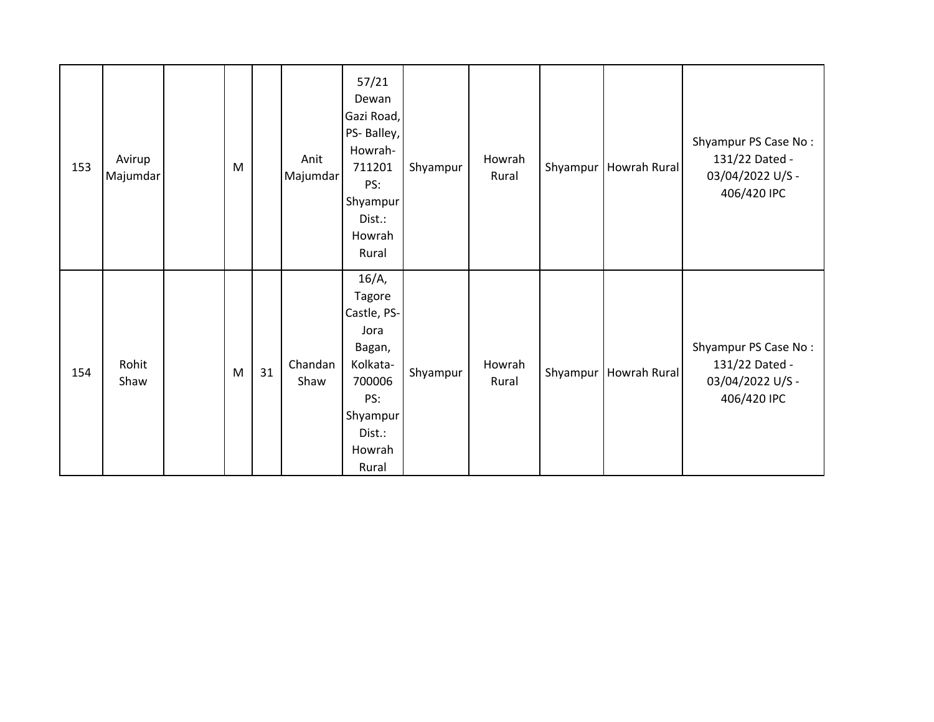| 153 | Avirup<br>Majumdar | M |    | Anit<br>Majumdar | 57/21<br>Dewan<br>Gazi Road,<br>PS-Balley,<br>Howrah-<br>711201<br>PS:<br>Shyampur<br>Dist.:<br>Howrah<br>Rural           | Shyampur | Howrah<br>Rural | Shyampur | Howrah Rural | Shyampur PS Case No:<br>131/22 Dated -<br>03/04/2022 U/S -<br>406/420 IPC |
|-----|--------------------|---|----|------------------|---------------------------------------------------------------------------------------------------------------------------|----------|-----------------|----------|--------------|---------------------------------------------------------------------------|
| 154 | Rohit<br>Shaw      | M | 31 | Chandan<br>Shaw  | $16/A$ ,<br>Tagore<br>Castle, PS-<br>Jora<br>Bagan,<br>Kolkata-<br>700006<br>PS:<br>Shyampur<br>Dist.:<br>Howrah<br>Rural | Shyampur | Howrah<br>Rural | Shyampur | Howrah Rural | Shyampur PS Case No:<br>131/22 Dated -<br>03/04/2022 U/S -<br>406/420 IPC |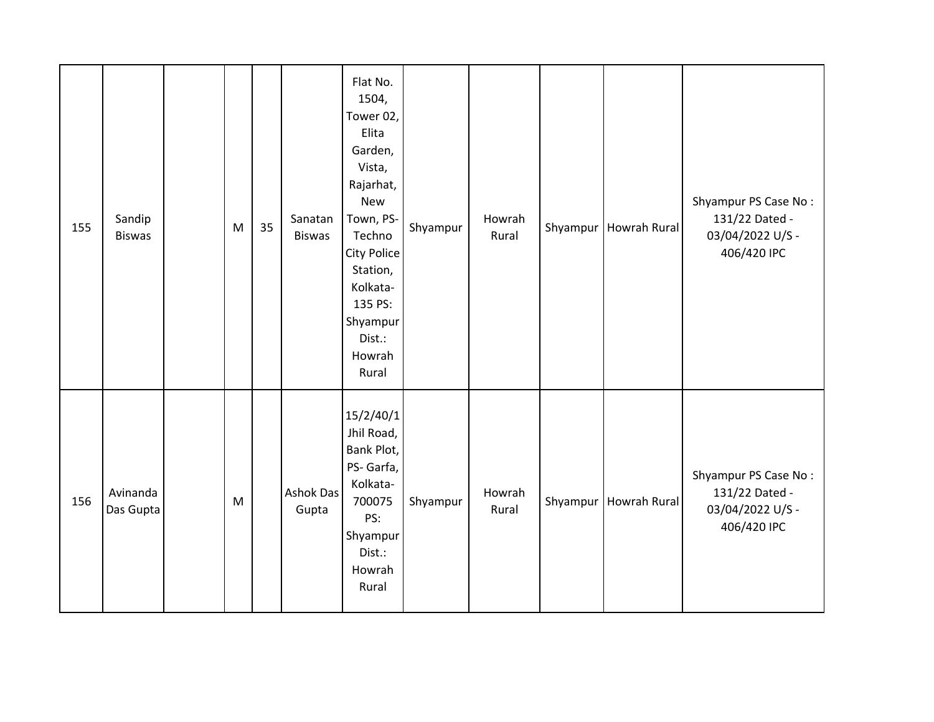| 155 | Sandip<br><b>Biswas</b> | M         | 35 | Sanatan<br><b>Biswas</b>  | Flat No.<br>1504,<br>Tower 02,<br>Elita<br>Garden,<br>Vista,<br>Rajarhat,<br>New<br>Town, PS-<br>Techno<br><b>City Police</b><br>Station,<br>Kolkata-<br>135 PS:<br>Shyampur<br>Dist.:<br>Howrah<br>Rural | Shyampur | Howrah<br>Rural | Shyampur | Howrah Rural | Shyampur PS Case No:<br>131/22 Dated -<br>03/04/2022 U/S -<br>406/420 IPC |
|-----|-------------------------|-----------|----|---------------------------|-----------------------------------------------------------------------------------------------------------------------------------------------------------------------------------------------------------|----------|-----------------|----------|--------------|---------------------------------------------------------------------------|
| 156 | Avinanda<br>Das Gupta   | ${\sf M}$ |    | <b>Ashok Das</b><br>Gupta | 15/2/40/1<br>Jhil Road,<br>Bank Plot,<br>PS- Garfa,<br>Kolkata-<br>700075<br>PS:<br>Shyampur<br>Dist.:<br>Howrah<br>Rural                                                                                 | Shyampur | Howrah<br>Rural | Shyampur | Howrah Rural | Shyampur PS Case No:<br>131/22 Dated -<br>03/04/2022 U/S -<br>406/420 IPC |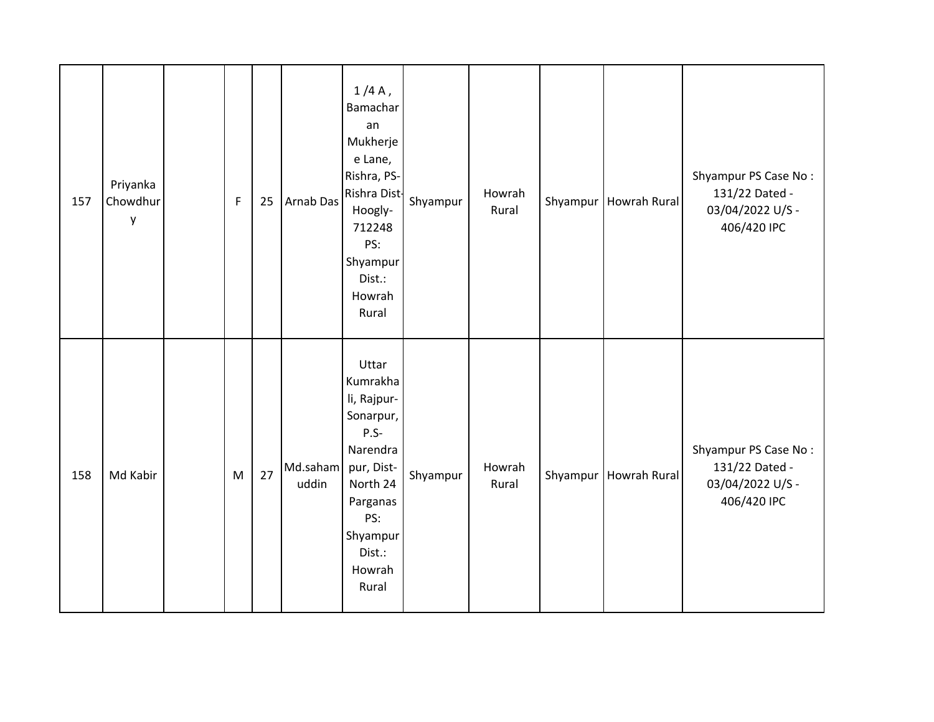| 157 | Priyanka<br>Chowdhur<br>у | $\mathsf F$ | 25 | <b>Arnab Das</b>  | $1/4A$ ,<br>Bamachar<br>an<br>Mukherje<br>e Lane,<br>Rishra, PS-<br>Rishra Dist-<br>Hoogly-<br>712248<br>PS:<br>Shyampur<br>Dist.:<br>Howrah<br>Rural     | Shyampur | Howrah<br>Rural | Shyampur   Howrah Rural | Shyampur PS Case No:<br>131/22 Dated -<br>03/04/2022 U/S -<br>406/420 IPC |
|-----|---------------------------|-------------|----|-------------------|-----------------------------------------------------------------------------------------------------------------------------------------------------------|----------|-----------------|-------------------------|---------------------------------------------------------------------------|
| 158 | Md Kabir                  | M           | 27 | Md.saham<br>uddin | Uttar<br>Kumrakha<br>li, Rajpur-<br>Sonarpur,<br>$P.S-$<br>Narendra<br>pur, Dist-<br>North 24<br>Parganas<br>PS:<br>Shyampur<br>Dist.:<br>Howrah<br>Rural | Shyampur | Howrah<br>Rural | Shyampur   Howrah Rural | Shyampur PS Case No:<br>131/22 Dated -<br>03/04/2022 U/S -<br>406/420 IPC |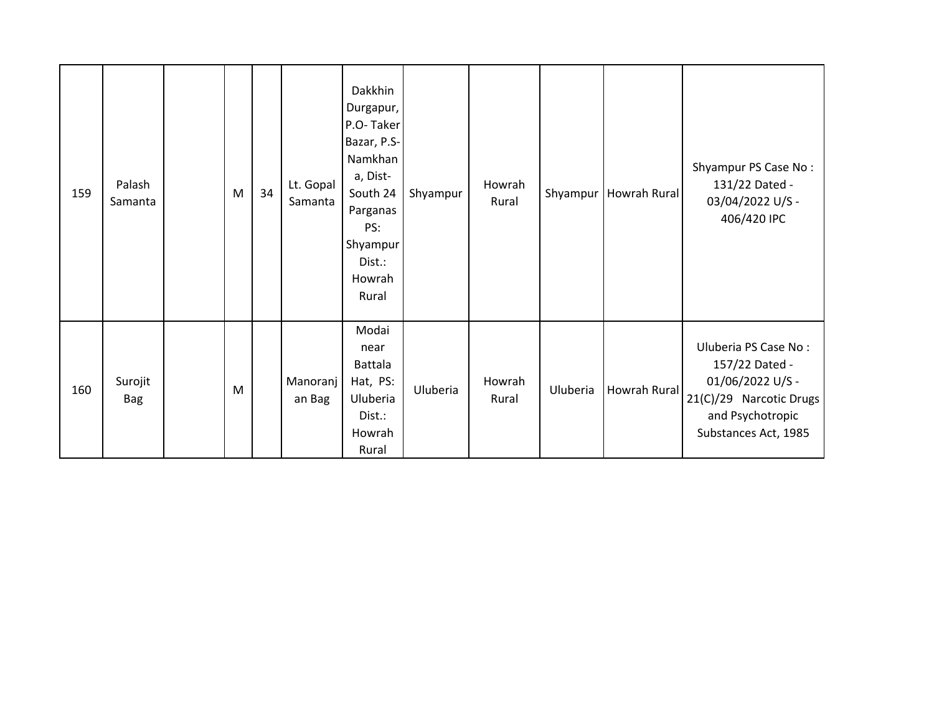| 159 | Palash<br>Samanta     | M | 34 | Lt. Gopal<br>Samanta | Dakkhin<br>Durgapur,<br>P.O-Taker<br>Bazar, P.S-<br>Namkhan<br>a, Dist-<br>South 24<br>Parganas<br>PS:<br>Shyampur<br>Dist.:<br>Howrah<br>Rural | Shyampur | Howrah<br>Rural |          | Shyampur   Howrah Rural | Shyampur PS Case No:<br>131/22 Dated -<br>03/04/2022 U/S -<br>406/420 IPC                                                         |
|-----|-----------------------|---|----|----------------------|-------------------------------------------------------------------------------------------------------------------------------------------------|----------|-----------------|----------|-------------------------|-----------------------------------------------------------------------------------------------------------------------------------|
| 160 | Surojit<br><b>Bag</b> | M |    | Manoranj<br>an Bag   | Modai<br>near<br>Battala<br>Hat, PS:<br>Uluberia<br>Dist.:<br>Howrah<br>Rural                                                                   | Uluberia | Howrah<br>Rural | Uluberia | Howrah Rural            | Uluberia PS Case No:<br>157/22 Dated -<br>01/06/2022 U/S -<br>21(C)/29 Narcotic Drugs<br>and Psychotropic<br>Substances Act, 1985 |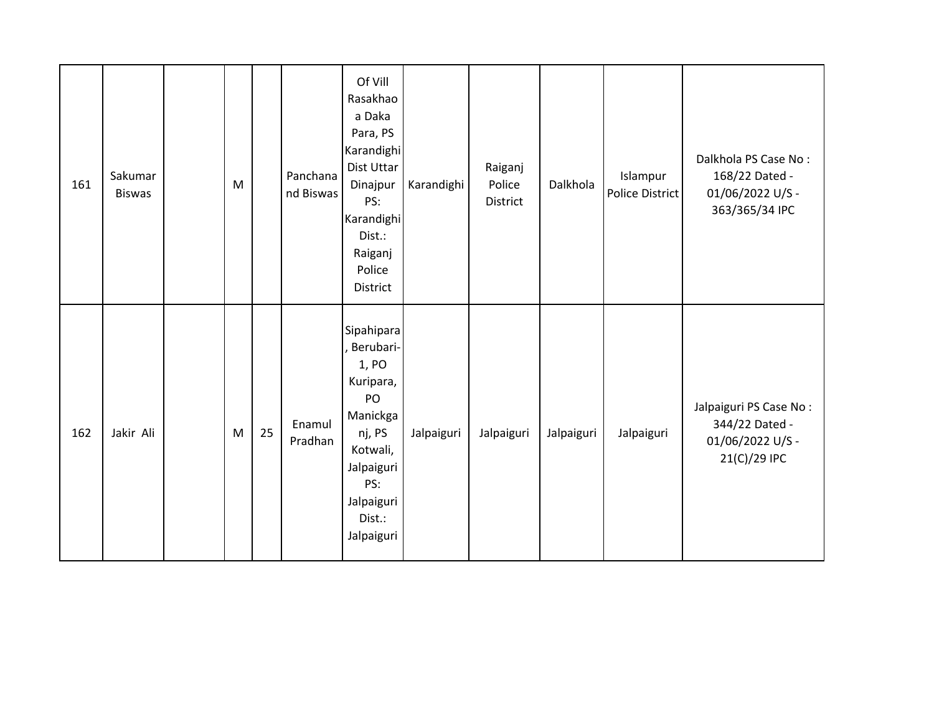| 161 | Sakumar<br><b>Biswas</b> | M |    | Panchana<br>nd Biswas | Of Vill<br>Rasakhao<br>a Daka<br>Para, PS<br>Karandighi<br>Dist Uttar<br>Dinajpur<br>PS:<br>Karandighi<br>Dist.:<br>Raiganj<br>Police<br>District | Karandighi | Raiganj<br>Police<br>District | Dalkhola   | Islampur<br>Police District | Dalkhola PS Case No:<br>168/22 Dated -<br>01/06/2022 U/S -<br>363/365/34 IPC |
|-----|--------------------------|---|----|-----------------------|---------------------------------------------------------------------------------------------------------------------------------------------------|------------|-------------------------------|------------|-----------------------------|------------------------------------------------------------------------------|
| 162 | Jakir Ali                | M | 25 | Enamul<br>Pradhan     | Sipahipara<br>Berubari-<br>1, PO<br>Kuripara,<br>PO<br>Manickga<br>nj, PS<br>Kotwali,<br>Jalpaiguri<br>PS:<br>Jalpaiguri<br>Dist.:<br>Jalpaiguri  | Jalpaiguri | Jalpaiguri                    | Jalpaiguri | Jalpaiguri                  | Jalpaiguri PS Case No:<br>344/22 Dated -<br>01/06/2022 U/S -<br>21(C)/29 IPC |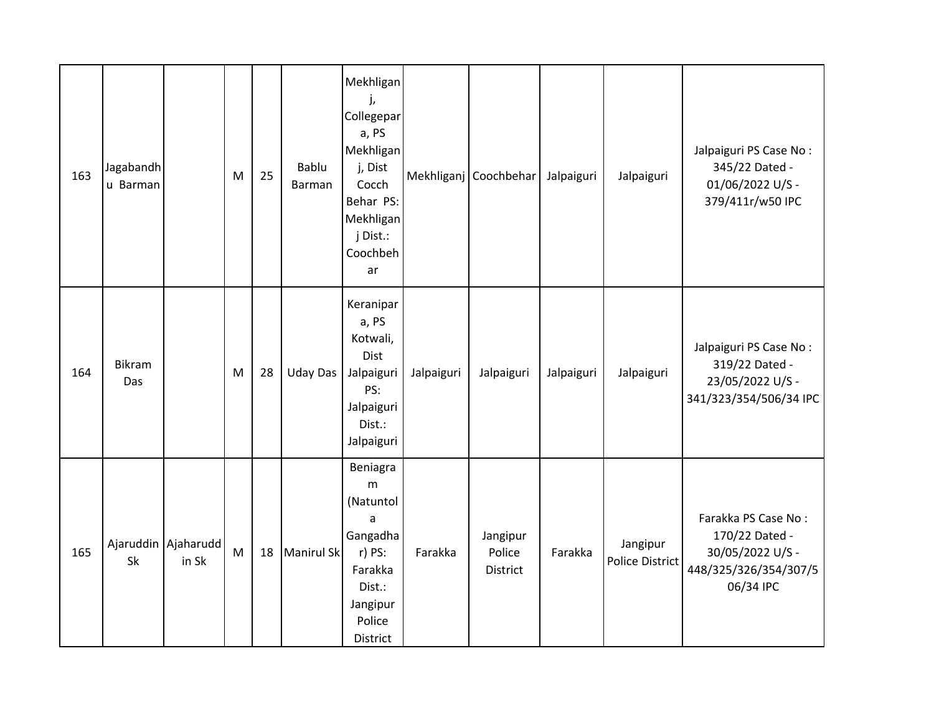| 163 | Jagabandh<br>u Barman |                              | M | 25 | Bablu<br>Barman   | Mekhligan<br>j,<br>Collegepar<br>a, PS<br>Mekhligan<br>j, Dist<br>Cocch<br>Behar PS:<br>Mekhligan<br>j Dist.:<br>Coochbeh<br>ar |            | Mekhliganj Coochbehar          | Jalpaiguri | Jalpaiguri                         | Jalpaiguri PS Case No:<br>345/22 Dated -<br>01/06/2022 U/S -<br>379/411r/w50 IPC                |
|-----|-----------------------|------------------------------|---|----|-------------------|---------------------------------------------------------------------------------------------------------------------------------|------------|--------------------------------|------------|------------------------------------|-------------------------------------------------------------------------------------------------|
| 164 | Bikram<br>Das         |                              | M | 28 | <b>Uday Das</b>   | Keranipar<br>a, PS<br>Kotwali,<br><b>Dist</b><br>Jalpaiguri<br>PS:<br>Jalpaiguri<br>Dist.:<br>Jalpaiguri                        | Jalpaiguri | Jalpaiguri                     | Jalpaiguri | Jalpaiguri                         | Jalpaiguri PS Case No:<br>319/22 Dated -<br>23/05/2022 U/S -<br>341/323/354/506/34 IPC          |
| 165 | Sk                    | Ajaruddin Ajaharudd<br>in Sk | M | 18 | <b>Manirul Sk</b> | Beniagra<br>m<br>(Natuntol<br>a<br>Gangadha<br>r) PS:<br>Farakka<br>Dist.:<br>Jangipur<br>Police<br>District                    | Farakka    | Jangipur<br>Police<br>District | Farakka    | Jangipur<br><b>Police District</b> | Farakka PS Case No:<br>170/22 Dated -<br>30/05/2022 U/S -<br>448/325/326/354/307/5<br>06/34 IPC |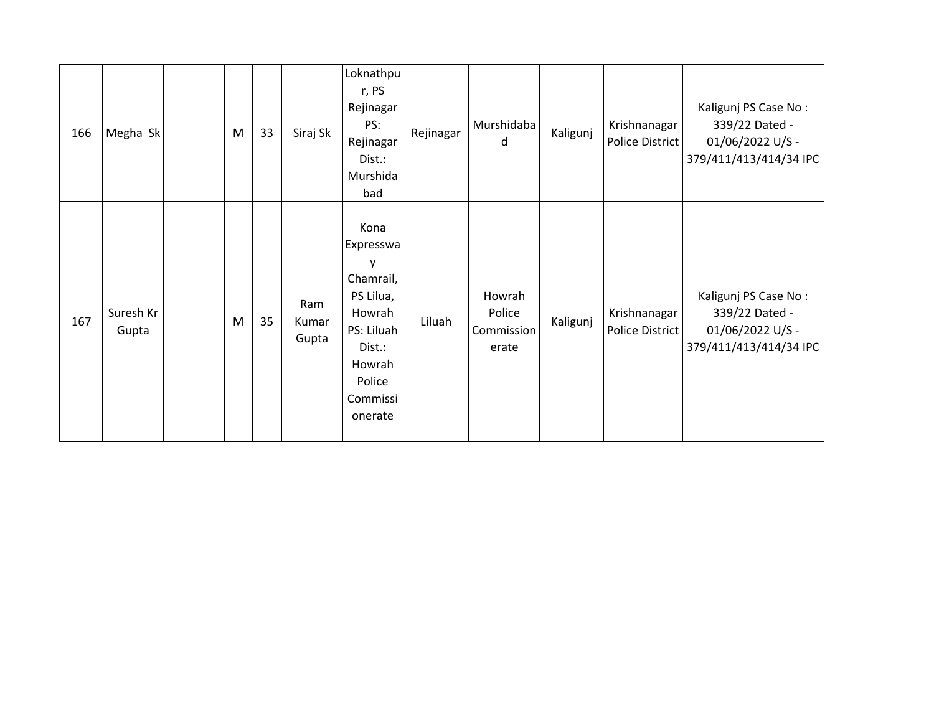| 166 | Megha Sk           | M | 33 | Siraj Sk              | Loknathpu<br>r, PS<br>Rejinagar<br>PS:<br>Rejinagar<br>Dist.:<br>Murshida<br>bad                                              | Rejinagar | Murshidaba<br>d                         | Kaligunj | Krishnanagar<br>Police District | Kaligunj PS Case No:<br>339/22 Dated -<br>01/06/2022 U/S -<br>379/411/413/414/34 IPC |
|-----|--------------------|---|----|-----------------------|-------------------------------------------------------------------------------------------------------------------------------|-----------|-----------------------------------------|----------|---------------------------------|--------------------------------------------------------------------------------------|
| 167 | Suresh Kr<br>Gupta | M | 35 | Ram<br>Kumar<br>Gupta | Kona<br>Expresswa<br>y<br>Chamrail,<br>PS Lilua,<br>Howrah<br>PS: Liluah<br>Dist.:<br>Howrah<br>Police<br>Commissi<br>onerate | Liluah    | Howrah<br>Police<br>Commission<br>erate | Kaligunj | Krishnanagar<br>Police District | Kaligunj PS Case No:<br>339/22 Dated -<br>01/06/2022 U/S -<br>379/411/413/414/34 IPC |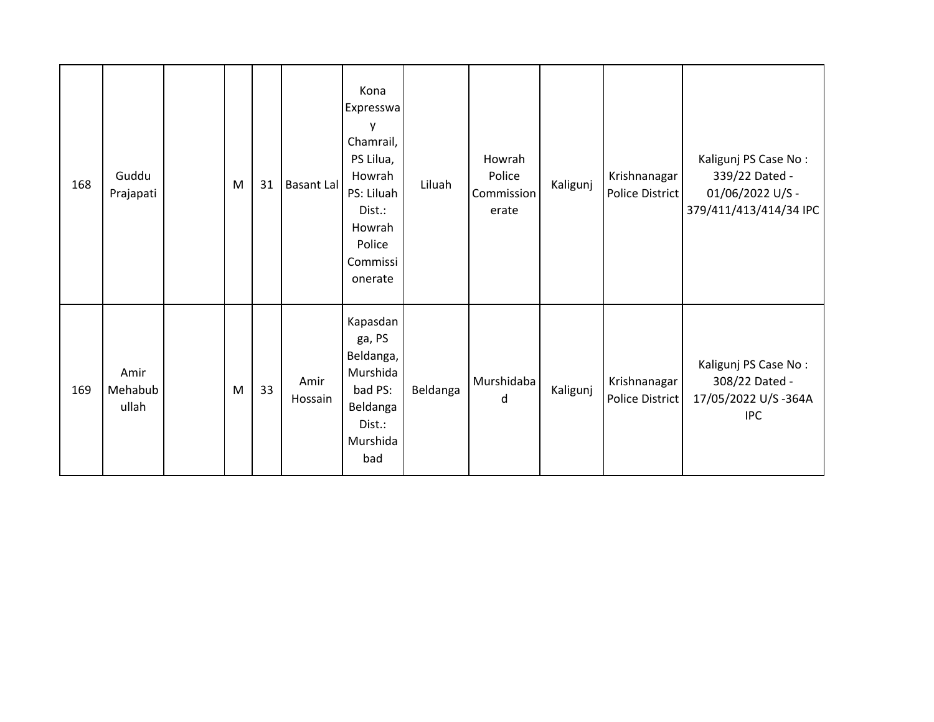| 168 | Guddu<br>Prajapati       | M | 31 | Basant Lal      | Kona<br>Expresswa<br>y<br>Chamrail,<br>PS Lilua,<br>Howrah<br>PS: Liluah<br>Dist.:<br>Howrah<br>Police<br>Commissi<br>onerate | Liluah   | Howrah<br>Police<br>Commission<br>erate | Kaligunj | Krishnanagar<br><b>Police District</b> | Kaligunj PS Case No:<br>339/22 Dated -<br>01/06/2022 U/S -<br>379/411/413/414/34 IPC |
|-----|--------------------------|---|----|-----------------|-------------------------------------------------------------------------------------------------------------------------------|----------|-----------------------------------------|----------|----------------------------------------|--------------------------------------------------------------------------------------|
| 169 | Amir<br>Mehabub<br>ullah | M | 33 | Amir<br>Hossain | Kapasdan<br>ga, PS<br>Beldanga,<br>Murshida<br>bad PS:<br>Beldanga<br>Dist.:<br>Murshida<br>bad                               | Beldanga | Murshidaba<br>d                         | Kaligunj | Krishnanagar<br>Police District        | Kaligunj PS Case No:<br>308/22 Dated -<br>17/05/2022 U/S-364A<br><b>IPC</b>          |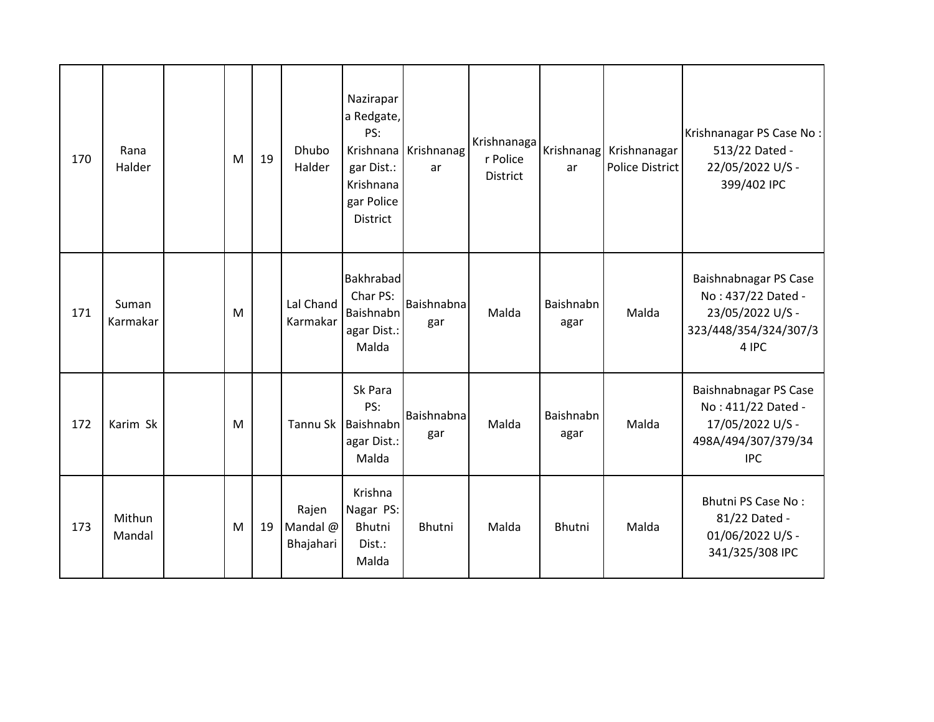| 170 | Rana<br>Halder    | M | 19 | Dhubo<br>Halder                | Nazirapar<br>a Redgate,<br>PS:<br>gar Dist.:<br>Krishnana<br>gar Police<br>District | Krishnana Krishnanag<br>ar | Krishnanaga<br>r Police<br><b>District</b> | ar                | Krishnanag Krishnanagar<br>Police District | Krishnanagar PS Case No:<br>513/22 Dated -<br>22/05/2022 U/S -<br>399/402 IPC                        |
|-----|-------------------|---|----|--------------------------------|-------------------------------------------------------------------------------------|----------------------------|--------------------------------------------|-------------------|--------------------------------------------|------------------------------------------------------------------------------------------------------|
| 171 | Suman<br>Karmakar | M |    | Lal Chand<br>Karmakar          | <b>Bakhrabad</b><br>Char PS:<br>Baishnabn<br>agar Dist.:<br>Malda                   | Baishnabna<br>gar          | Malda                                      | Baishnabn<br>agar | Malda                                      | Baishnabnagar PS Case<br>No: 437/22 Dated -<br>23/05/2022 U/S -<br>323/448/354/324/307/3<br>4 IPC    |
| 172 | Karim Sk          | M |    | Tannu Sk                       | Sk Para<br>PS:<br>Baishnabn<br>agar Dist.:<br>Malda                                 | Baishnabna<br>gar          | Malda                                      | Baishnabn<br>agar | Malda                                      | Baishnabnagar PS Case<br>No: 411/22 Dated -<br>17/05/2022 U/S -<br>498A/494/307/379/34<br><b>IPC</b> |
| 173 | Mithun<br>Mandal  | M | 19 | Rajen<br>Mandal @<br>Bhajahari | Krishna<br>Nagar PS:<br><b>Bhutni</b><br>Dist.:<br>Malda                            | Bhutni                     | Malda                                      | Bhutni            | Malda                                      | <b>Bhutni PS Case No:</b><br>81/22 Dated -<br>01/06/2022 U/S -<br>341/325/308 IPC                    |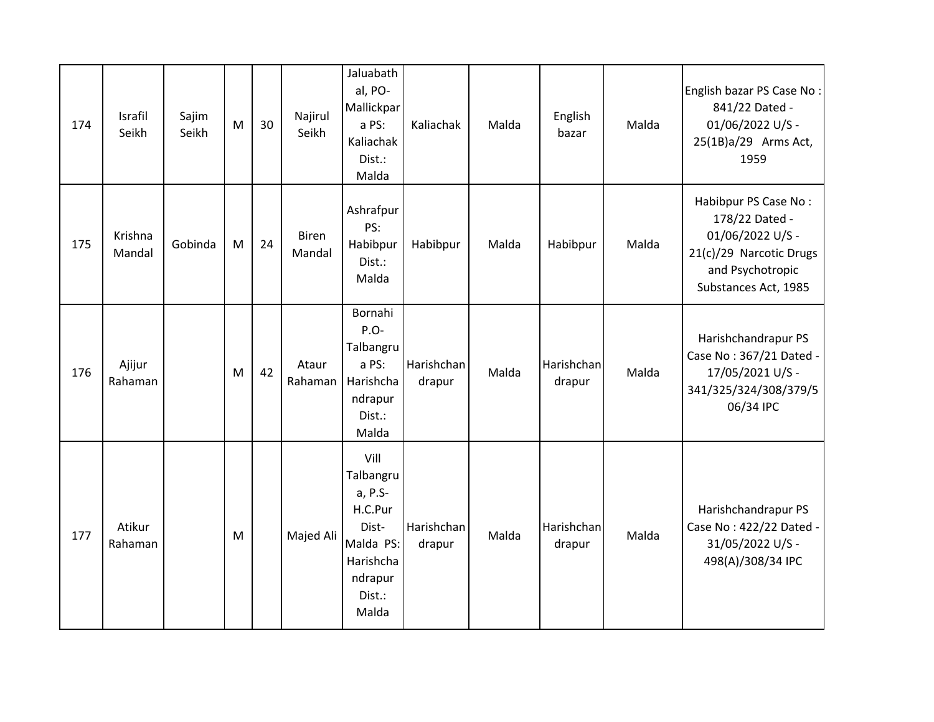| 174 | Israfil<br>Seikh  | Sajim<br>Seikh | M | 30 | Najirul<br>Seikh       | Jaluabath<br>al, PO-<br>Mallickpar<br>a PS:<br>Kaliachak<br>Dist.:<br>Malda                              | Kaliachak            | Malda | English<br>bazar     | Malda | English bazar PS Case No:<br>841/22 Dated -<br>01/06/2022 U/S -<br>25(1B)a/29 Arms Act,<br>1959                                   |
|-----|-------------------|----------------|---|----|------------------------|----------------------------------------------------------------------------------------------------------|----------------------|-------|----------------------|-------|-----------------------------------------------------------------------------------------------------------------------------------|
| 175 | Krishna<br>Mandal | Gobinda        | M | 24 | <b>Biren</b><br>Mandal | Ashrafpur<br>PS:<br>Habibpur<br>Dist.:<br>Malda                                                          | Habibpur             | Malda | Habibpur             | Malda | Habibpur PS Case No:<br>178/22 Dated -<br>01/06/2022 U/S -<br>21(c)/29 Narcotic Drugs<br>and Psychotropic<br>Substances Act, 1985 |
| 176 | Ajijur<br>Rahaman |                | M | 42 | Ataur<br>Rahaman       | Bornahi<br>P.O-<br>Talbangru<br>a PS:<br>Harishcha<br>ndrapur<br>Dist.:<br>Malda                         | Harishchan<br>drapur | Malda | Harishchan<br>drapur | Malda | Harishchandrapur PS<br>Case No: 367/21 Dated -<br>17/05/2021 U/S -<br>341/325/324/308/379/5<br>06/34 IPC                          |
| 177 | Atikur<br>Rahaman |                | M |    | Majed Ali              | Vill<br>Talbangru<br>a, P.S-<br>H.C.Pur<br>Dist-<br>Malda PS:<br>Harishcha<br>ndrapur<br>Dist.:<br>Malda | Harishchan<br>drapur | Malda | Harishchan<br>drapur | Malda | Harishchandrapur PS<br>Case No: 422/22 Dated -<br>31/05/2022 U/S -<br>498(A)/308/34 IPC                                           |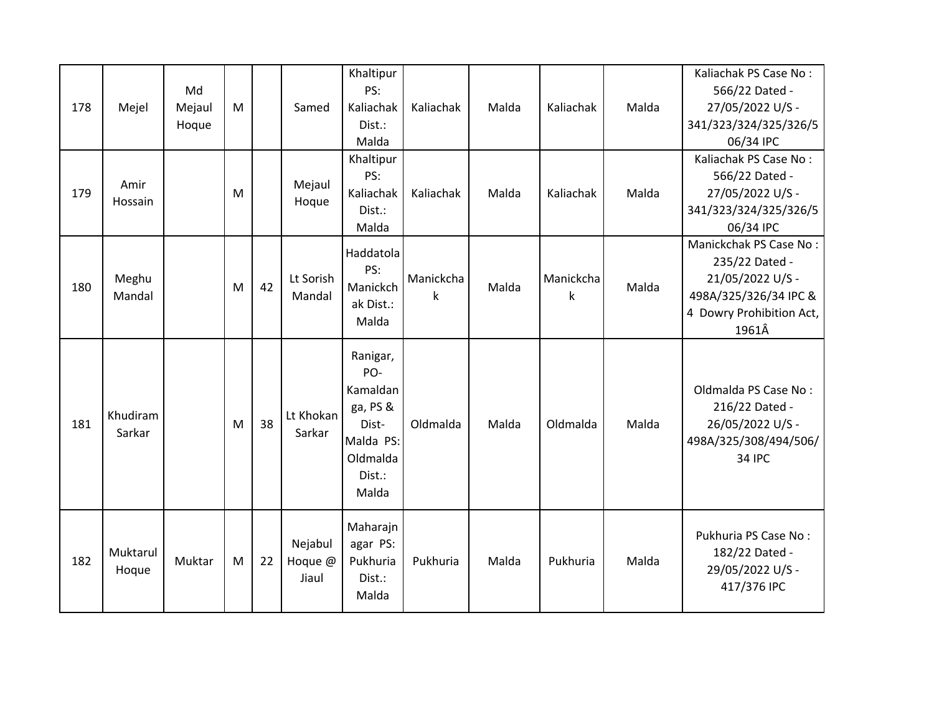|     |                    |        |   |    |                             | Khaltipur                                                                                    |           |       |           |       | Kaliachak PS Case No:                                                                                |
|-----|--------------------|--------|---|----|-----------------------------|----------------------------------------------------------------------------------------------|-----------|-------|-----------|-------|------------------------------------------------------------------------------------------------------|
|     |                    | Md     |   |    |                             | PS:                                                                                          |           |       |           |       | 566/22 Dated -                                                                                       |
| 178 | Mejel              | Mejaul | M |    | Samed                       | Kaliachak                                                                                    | Kaliachak | Malda | Kaliachak | Malda | 27/05/2022 U/S -                                                                                     |
|     |                    | Hoque  |   |    |                             | Dist.:                                                                                       |           |       |           |       | 341/323/324/325/326/5                                                                                |
|     |                    |        |   |    |                             | Malda                                                                                        |           |       |           |       | 06/34 IPC<br>Kaliachak PS Case No:                                                                   |
|     |                    |        |   |    |                             | Khaltipur<br>PS:                                                                             |           |       |           |       | 566/22 Dated -                                                                                       |
| 179 | Amir               |        | M |    | Mejaul                      | Kaliachak                                                                                    | Kaliachak | Malda | Kaliachak | Malda | 27/05/2022 U/S -                                                                                     |
|     | Hossain            |        |   |    | Hoque                       | Dist.:                                                                                       |           |       |           |       | 341/323/324/325/326/5                                                                                |
|     |                    |        |   |    |                             | Malda                                                                                        |           |       |           |       | 06/34 IPC                                                                                            |
|     |                    |        |   |    |                             |                                                                                              |           |       |           |       | Manickchak PS Case No:                                                                               |
|     |                    |        |   |    |                             | Haddatola                                                                                    |           |       |           |       | 235/22 Dated -                                                                                       |
|     | Meghu              |        |   |    | Lt Sorish                   | PS:                                                                                          | Manickcha |       | Manickcha |       | 21/05/2022 U/S -                                                                                     |
| 180 | Mandal             |        | M | 42 | Mandal                      | Manickch                                                                                     | k         | Malda | k         | Malda | 498A/325/326/34 IPC &                                                                                |
|     |                    |        |   |    |                             | ak Dist.:                                                                                    |           |       |           |       | 4 Dowry Prohibition Act,                                                                             |
|     |                    |        |   |    |                             | Malda                                                                                        |           |       |           |       | 1961Â                                                                                                |
| 181 | Khudiram<br>Sarkar |        | M | 38 | Lt Khokan<br>Sarkar         | Ranigar,<br>PO-<br>Kamaldan<br>ga, PS &<br>Dist-<br>Malda PS:<br>Oldmalda<br>Dist.:<br>Malda | Oldmalda  | Malda | Oldmalda  | Malda | Oldmalda PS Case No:<br>216/22 Dated -<br>26/05/2022 U/S -<br>498A/325/308/494/506/<br><b>34 IPC</b> |
| 182 | Muktarul<br>Hoque  | Muktar | M | 22 | Nejabul<br>Hoque @<br>Jiaul | Maharajn<br>agar PS:<br>Pukhuria<br>Dist.:<br>Malda                                          | Pukhuria  | Malda | Pukhuria  | Malda | Pukhuria PS Case No:<br>182/22 Dated -<br>29/05/2022 U/S -<br>417/376 IPC                            |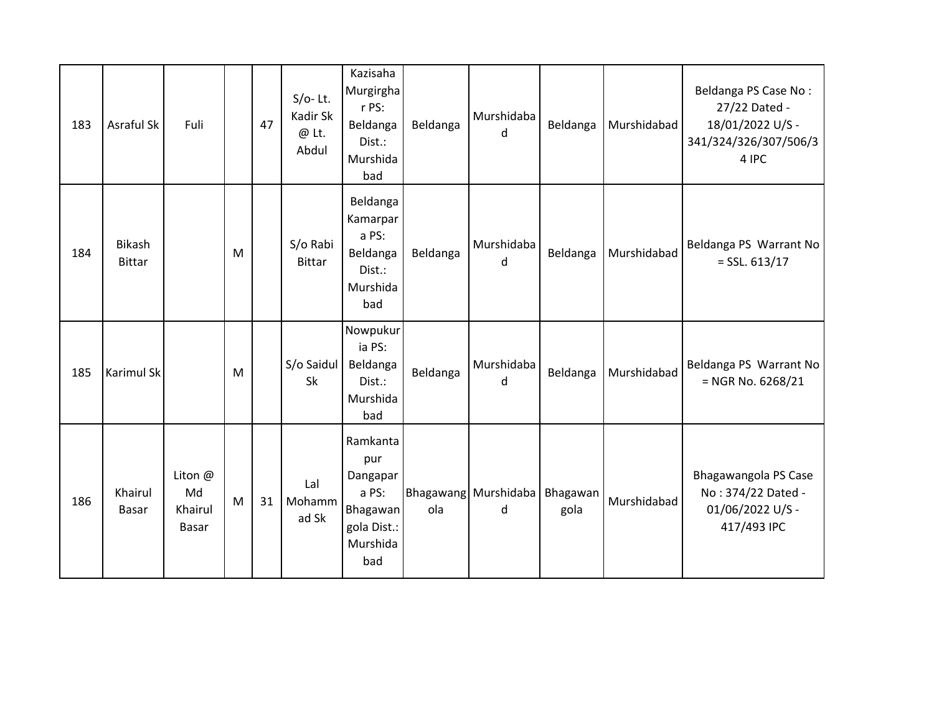| 183 | Asraful Sk                     | Fuli                              |   | 47 | $S/O-$ Lt.<br>Kadir Sk<br>$@$ Lt.<br>Abdul | Kazisaha<br>Murgirgha<br>r PS:<br>Beldanga<br>Dist.:<br>Murshida<br>bad            | Beldanga | Murshidaba<br>d           | Beldanga         | Murshidabad | Beldanga PS Case No:<br>27/22 Dated -<br>18/01/2022 U/S -<br>341/324/326/307/506/3<br>4 IPC |
|-----|--------------------------------|-----------------------------------|---|----|--------------------------------------------|------------------------------------------------------------------------------------|----------|---------------------------|------------------|-------------|---------------------------------------------------------------------------------------------|
| 184 | <b>Bikash</b><br><b>Bittar</b> |                                   | M |    | S/o Rabi<br><b>Bittar</b>                  | Beldanga<br>Kamarpar<br>a PS:<br>Beldanga<br>Dist.:<br>Murshida<br>bad             | Beldanga | Murshidaba<br>d           | Beldanga         | Murshidabad | Beldanga PS Warrant No<br>$=$ SSL. 613/17                                                   |
| 185 | Karimul Sk                     |                                   | M |    | S/o Saidul<br>Sk                           | Nowpukur<br>ia PS:<br>Beldanga<br>Dist.:<br>Murshida<br>bad                        | Beldanga | Murshidaba<br>d           | Beldanga         | Murshidabad | Beldanga PS Warrant No<br>$=$ NGR No. 6268/21                                               |
| 186 | Khairul<br>Basar               | Liton @<br>Md<br>Khairul<br>Basar | M | 31 | Lal<br>Mohamm<br>ad Sk                     | Ramkanta<br>pur<br>Dangapar<br>a PS:<br>Bhagawan<br>gola Dist.:<br>Murshida<br>bad | ola      | Bhagawang Murshidaba<br>d | Bhagawan<br>gola | Murshidabad | Bhagawangola PS Case<br>No: 374/22 Dated -<br>01/06/2022 U/S -<br>417/493 IPC               |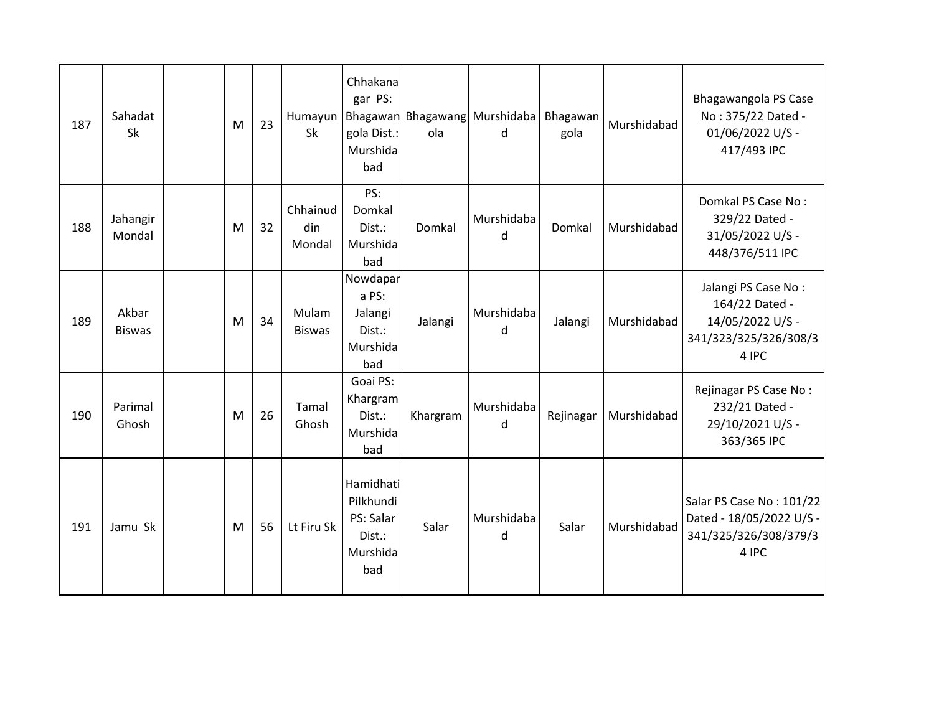| 187 | Sahadat<br>Sk          | M | 23 | Humayun<br><b>Sk</b>      | Chhakana<br>gar PS:<br>gola Dist.:<br>Murshida<br>bad            | ola      | Bhagawan Bhagawang Murshidaba<br>d | Bhagawan<br>gola | Murshidabad | Bhagawangola PS Case<br>No: 375/22 Dated -<br>01/06/2022 U/S -<br>417/493 IPC               |
|-----|------------------------|---|----|---------------------------|------------------------------------------------------------------|----------|------------------------------------|------------------|-------------|---------------------------------------------------------------------------------------------|
| 188 | Jahangir<br>Mondal     | M | 32 | Chhainud<br>din<br>Mondal | PS:<br>Domkal<br>Dist.:<br>Murshida<br>bad                       | Domkal   | Murshidaba<br>d                    | Domkal           | Murshidabad | Domkal PS Case No:<br>329/22 Dated -<br>31/05/2022 U/S -<br>448/376/511 IPC                 |
| 189 | Akbar<br><b>Biswas</b> | M | 34 | Mulam<br><b>Biswas</b>    | Nowdapar<br>a PS:<br>Jalangi<br>Dist.:<br>Murshida<br>bad        | Jalangi  | Murshidaba<br>d                    | Jalangi          | Murshidabad | Jalangi PS Case No:<br>164/22 Dated -<br>14/05/2022 U/S -<br>341/323/325/326/308/3<br>4 IPC |
| 190 | Parimal<br>Ghosh       | M | 26 | Tamal<br>Ghosh            | Goai PS:<br>Khargram<br>Dist.:<br>Murshida<br>bad                | Khargram | Murshidaba<br>d                    | Rejinagar        | Murshidabad | Rejinagar PS Case No:<br>232/21 Dated -<br>29/10/2021 U/S -<br>363/365 IPC                  |
| 191 | Jamu Sk                | M | 56 | Lt Firu Sk                | Hamidhati<br>Pilkhundi<br>PS: Salar<br>Dist.:<br>Murshida<br>bad | Salar    | Murshidaba<br>d                    | Salar            | Murshidabad | Salar PS Case No: 101/22<br>Dated - 18/05/2022 U/S -<br>341/325/326/308/379/3<br>4 IPC      |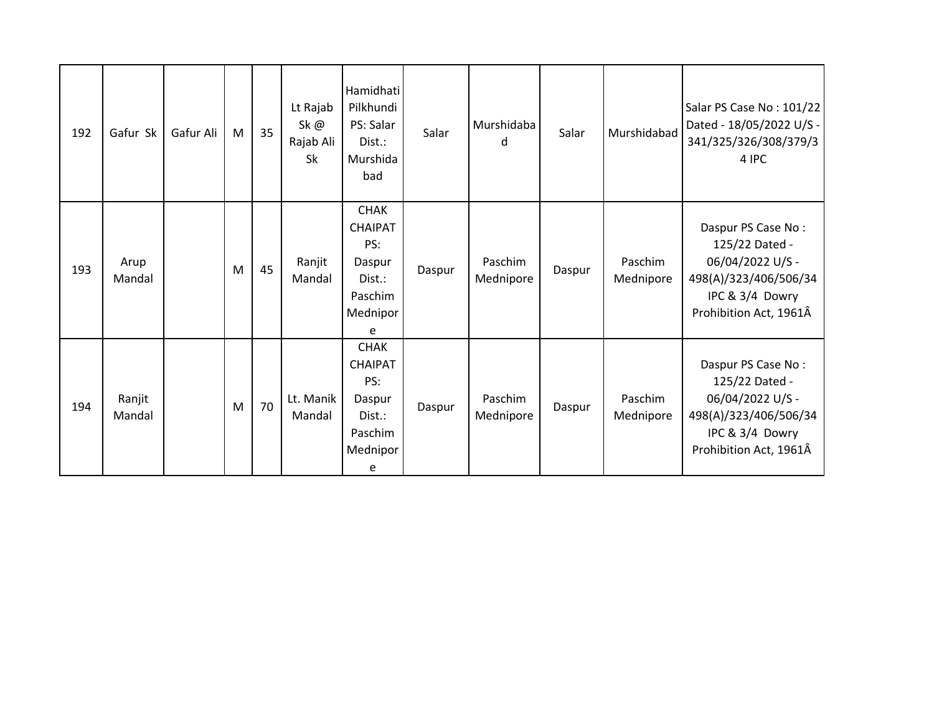| 192 | Gafur Sk         | Gafur Ali | M | 35 | Lt Rajab<br>Sk@<br>Rajab Ali<br><b>Sk</b> | Hamidhati<br>Pilkhundi<br>PS: Salar<br>Dist.:<br>Murshida<br>bad                     | Salar  | Murshidaba<br>d      | Salar  | Murshidabad          | Salar PS Case No: 101/22<br>Dated - 18/05/2022 U/S -<br>341/325/326/308/379/3<br>4 IPC                                         |
|-----|------------------|-----------|---|----|-------------------------------------------|--------------------------------------------------------------------------------------|--------|----------------------|--------|----------------------|--------------------------------------------------------------------------------------------------------------------------------|
| 193 | Arup<br>Mandal   |           | M | 45 | Ranjit<br>Mandal                          | <b>CHAK</b><br><b>CHAIPAT</b><br>PS:<br>Daspur<br>Dist.:<br>Paschim<br>Mednipor<br>e | Daspur | Paschim<br>Mednipore | Daspur | Paschim<br>Mednipore | Daspur PS Case No:<br>125/22 Dated -<br>06/04/2022 U/S -<br>498(A)/323/406/506/34<br>IPC & 3/4 Dowry<br>Prohibition Act, 1961Â |
| 194 | Ranjit<br>Mandal |           | M | 70 | Lt. Manik<br>Mandal                       | <b>CHAK</b><br><b>CHAIPAT</b><br>PS:<br>Daspur<br>Dist.:<br>Paschim<br>Mednipor<br>e | Daspur | Paschim<br>Mednipore | Daspur | Paschim<br>Mednipore | Daspur PS Case No:<br>125/22 Dated -<br>06/04/2022 U/S -<br>498(A)/323/406/506/34<br>IPC & 3/4 Dowry<br>Prohibition Act, 1961Â |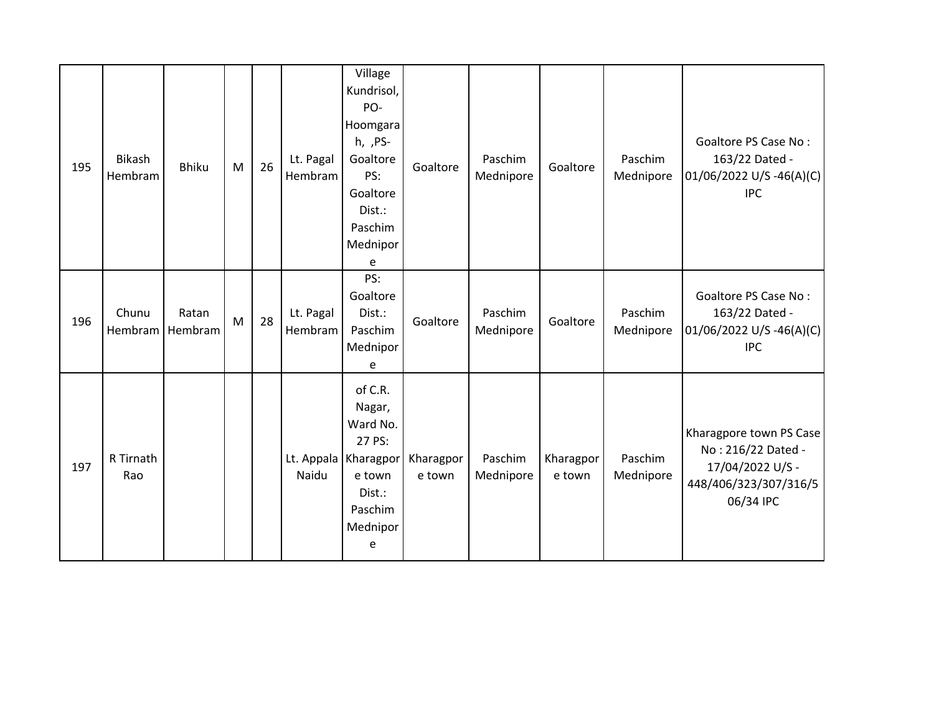| 195 | Bikash<br>Hembram | <b>Bhiku</b>     | M         | 26 | Lt. Pagal<br>Hembram | Village<br>Kundrisol,<br>PO-<br>Hoomgara<br>h, , PS-<br>Goaltore<br>PS:<br>Goaltore<br>Dist.:<br>Paschim<br>Mednipor<br>e | Goaltore            | Paschim<br>Mednipore | Goaltore            | Paschim<br>Mednipore | Goaltore PS Case No:<br>163/22 Dated -<br>01/06/2022 U/S -46(A)(C)<br><b>IPC</b>                        |
|-----|-------------------|------------------|-----------|----|----------------------|---------------------------------------------------------------------------------------------------------------------------|---------------------|----------------------|---------------------|----------------------|---------------------------------------------------------------------------------------------------------|
| 196 | Chunu<br>Hembram  | Ratan<br>Hembram | ${\sf M}$ | 28 | Lt. Pagal<br>Hembram | PS:<br>Goaltore<br>Dist.:<br>Paschim<br>Mednipor<br>e                                                                     | Goaltore            | Paschim<br>Mednipore | Goaltore            | Paschim<br>Mednipore | Goaltore PS Case No:<br>163/22 Dated -<br>$01/06/2022$ U/S -46(A)(C)<br><b>IPC</b>                      |
| 197 | R Tirnath<br>Rao  |                  |           |    | Naidu                | of C.R.<br>Nagar,<br>Ward No.<br>27 PS:<br>Lt. Appala   Kharagpor<br>e town<br>Dist.:<br>Paschim<br>Mednipor<br>e         | Kharagpor<br>e town | Paschim<br>Mednipore | Kharagpor<br>e town | Paschim<br>Mednipore | Kharagpore town PS Case<br>No: 216/22 Dated -<br>17/04/2022 U/S -<br>448/406/323/307/316/5<br>06/34 IPC |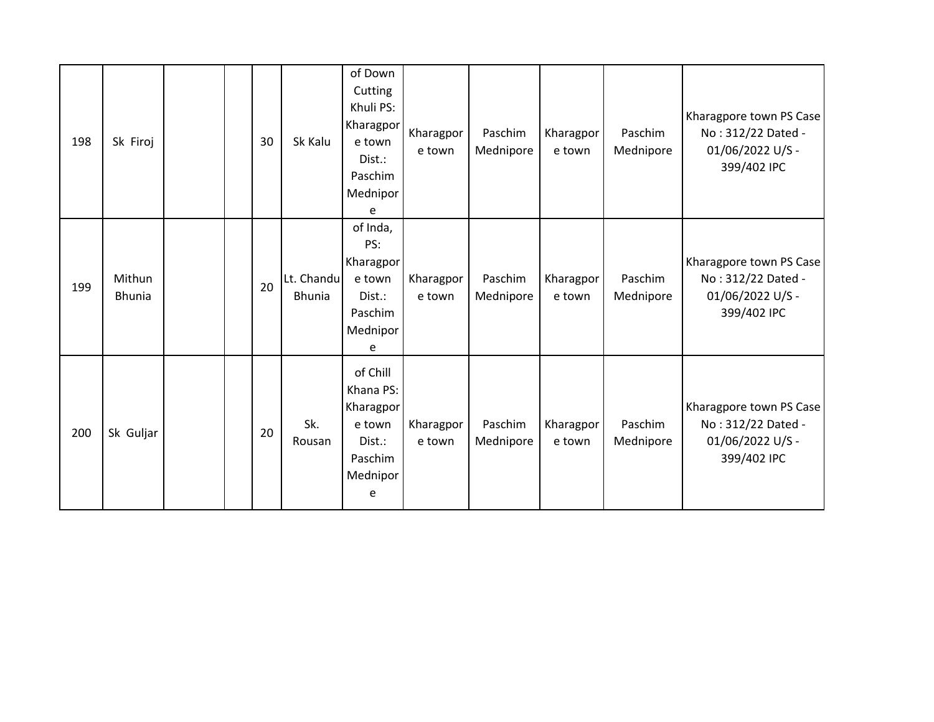| 198 | Sk Firoj                |  | 30 | Sk Kalu                     | of Down<br>Cutting<br>Khuli PS:<br>Kharagpor<br>e town<br>Dist.:<br>Paschim<br>Mednipor<br>e | Kharagpor<br>e town | Paschim<br>Mednipore | Kharagpor<br>e town | Paschim<br>Mednipore | Kharagpore town PS Case<br>No: 312/22 Dated -<br>01/06/2022 U/S -<br>399/402 IPC |
|-----|-------------------------|--|----|-----------------------------|----------------------------------------------------------------------------------------------|---------------------|----------------------|---------------------|----------------------|----------------------------------------------------------------------------------|
| 199 | Mithun<br><b>Bhunia</b> |  | 20 | Lt. Chandu<br><b>Bhunia</b> | of Inda,<br>PS:<br>Kharagpor<br>e town<br>Dist.:<br>Paschim<br>Mednipor<br>e                 | Kharagpor<br>e town | Paschim<br>Mednipore | Kharagpor<br>e town | Paschim<br>Mednipore | Kharagpore town PS Case<br>No: 312/22 Dated -<br>01/06/2022 U/S -<br>399/402 IPC |
| 200 | Sk Guljar               |  | 20 | Sk.<br>Rousan               | of Chill<br>Khana PS:<br>Kharagpor<br>e town<br>Dist.:<br>Paschim<br>Mednipor<br>e           | Kharagpor<br>e town | Paschim<br>Mednipore | Kharagpor<br>e town | Paschim<br>Mednipore | Kharagpore town PS Case<br>No: 312/22 Dated -<br>01/06/2022 U/S -<br>399/402 IPC |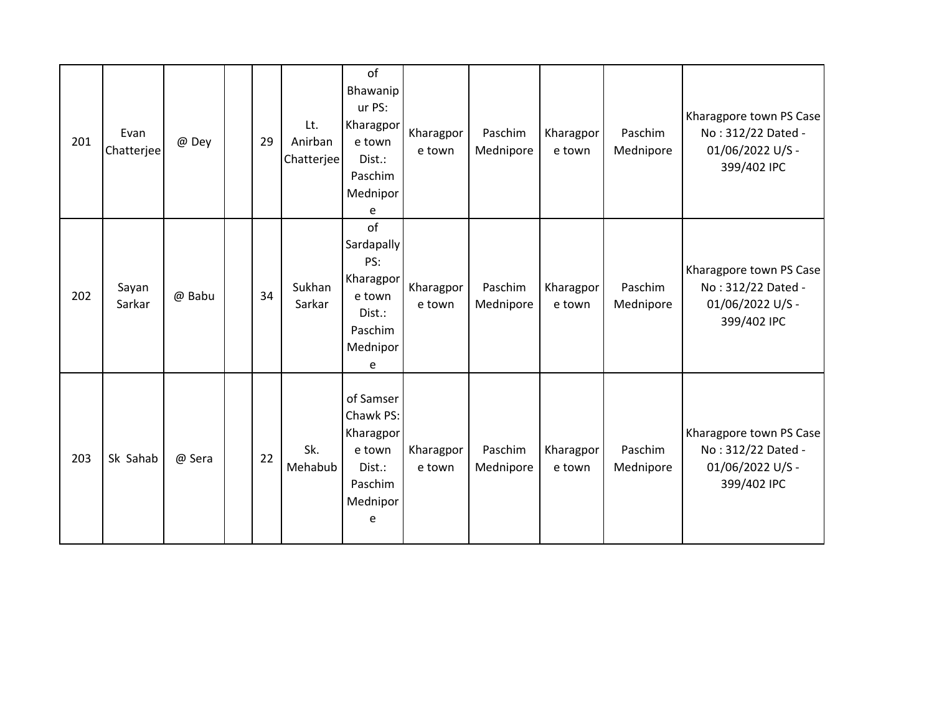| 201 | Evan<br>Chatterjee | @ Dey  | 29 | Lt.<br>Anirban<br>Chatterjee | of<br>Bhawanip<br>ur PS:<br>Kharagpor<br>e town<br>Dist.:<br>Paschim<br>Mednipor<br>e       | Kharagpor<br>e town | Paschim<br>Mednipore | Kharagpor<br>e town | Paschim<br>Mednipore | Kharagpore town PS Case<br>No: 312/22 Dated -<br>01/06/2022 U/S -<br>399/402 IPC |
|-----|--------------------|--------|----|------------------------------|---------------------------------------------------------------------------------------------|---------------------|----------------------|---------------------|----------------------|----------------------------------------------------------------------------------|
| 202 | Sayan<br>Sarkar    | @ Babu | 34 | Sukhan<br>Sarkar             | of<br><b>Sardapally</b><br>PS:<br>Kharagpor<br>e town<br>Dist.:<br>Paschim<br>Mednipor<br>e | Kharagpor<br>e town | Paschim<br>Mednipore | Kharagpor<br>e town | Paschim<br>Mednipore | Kharagpore town PS Case<br>No: 312/22 Dated -<br>01/06/2022 U/S -<br>399/402 IPC |
| 203 | Sk Sahab           | @ Sera | 22 | Sk.<br>Mehabub               | of Samser<br>Chawk PS:<br>Kharagpor<br>e town<br>Dist.:<br>Paschim<br>Mednipor<br>e         | Kharagpor<br>e town | Paschim<br>Mednipore | Kharagpor<br>e town | Paschim<br>Mednipore | Kharagpore town PS Case<br>No: 312/22 Dated -<br>01/06/2022 U/S -<br>399/402 IPC |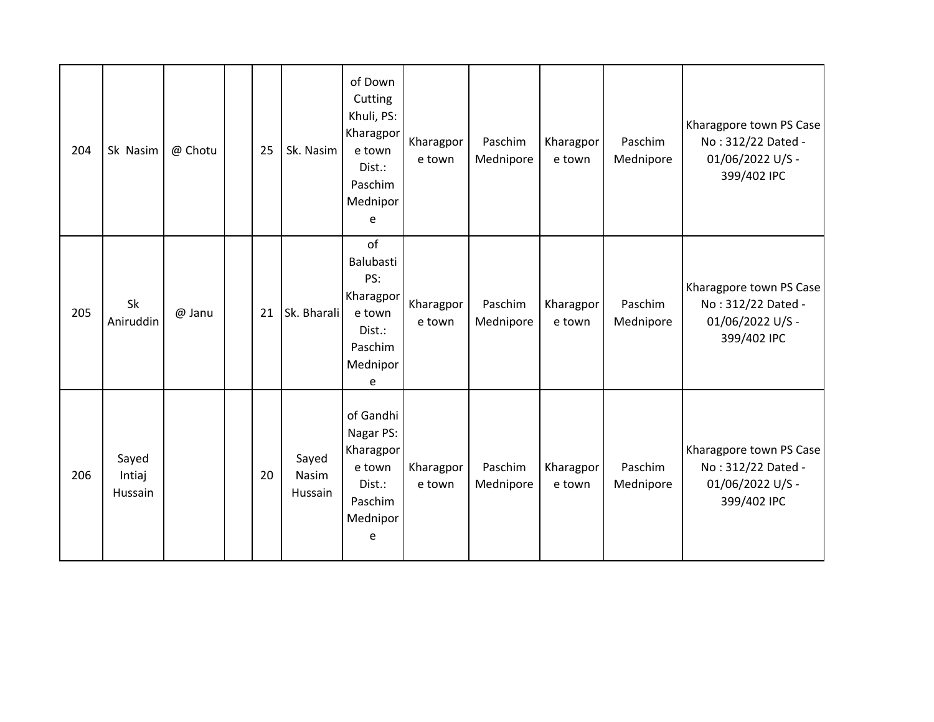| 204 | Sk Nasim                   | @ Chotu | 25 | Sk. Nasim                 | of Down<br>Cutting<br>Khuli, PS:<br>Kharagpor<br>e town<br>Dist.:<br>Paschim<br>Mednipor<br>e | Kharagpor<br>e town | Paschim<br>Mednipore | Kharagpor<br>e town | Paschim<br>Mednipore | Kharagpore town PS Case<br>No: 312/22 Dated -<br>01/06/2022 U/S -<br>399/402 IPC |
|-----|----------------------------|---------|----|---------------------------|-----------------------------------------------------------------------------------------------|---------------------|----------------------|---------------------|----------------------|----------------------------------------------------------------------------------|
| 205 | Sk<br>Aniruddin            | @ Janu  | 21 | Sk. Bharali               | of<br>Balubasti<br>PS:<br>Kharagpor<br>e town<br>$Dist.$ :<br>Paschim<br>Mednipor<br>e        | Kharagpor<br>e town | Paschim<br>Mednipore | Kharagpor<br>e town | Paschim<br>Mednipore | Kharagpore town PS Case<br>No: 312/22 Dated -<br>01/06/2022 U/S -<br>399/402 IPC |
| 206 | Sayed<br>Intiaj<br>Hussain |         | 20 | Sayed<br>Nasim<br>Hussain | of Gandhi<br>Nagar PS:<br>Kharagpor<br>e town<br>Dist.:<br>Paschim<br>Mednipor<br>e           | Kharagpor<br>e town | Paschim<br>Mednipore | Kharagpor<br>e town | Paschim<br>Mednipore | Kharagpore town PS Case<br>No: 312/22 Dated -<br>01/06/2022 U/S -<br>399/402 IPC |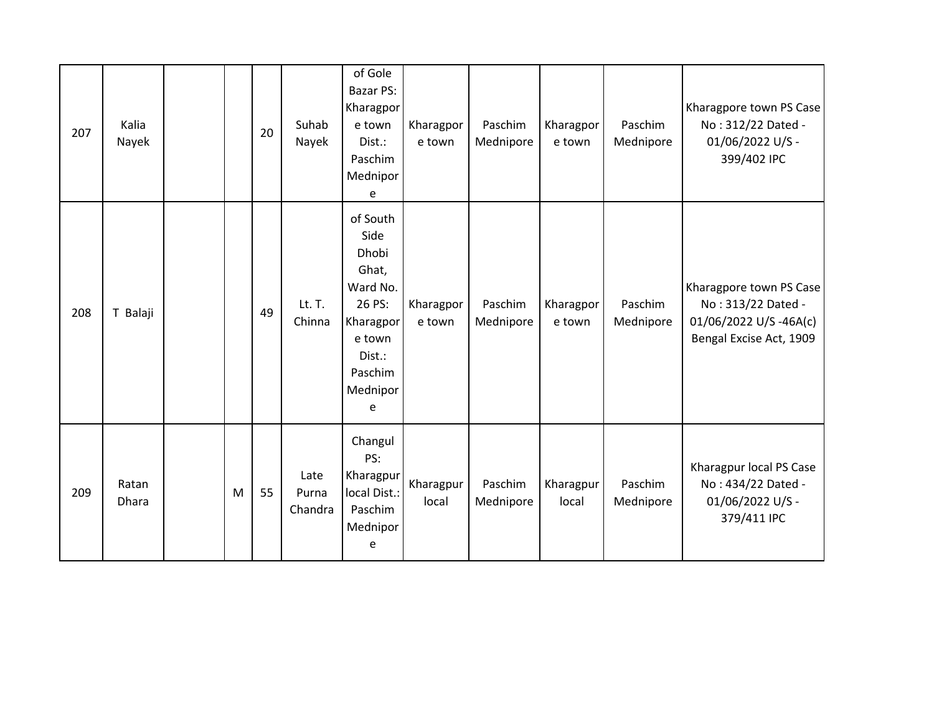| 207 | Kalia<br>Nayek        |   | 20 | Suhab<br>Nayek           | of Gole<br>Bazar PS:<br>Kharagpor<br>e town<br>Dist.:<br>Paschim<br>Mednipor<br>e                                     | Kharagpor<br>e town | Paschim<br>Mednipore | Kharagpor<br>e town | Paschim<br>Mednipore | Kharagpore town PS Case<br>No: 312/22 Dated -<br>01/06/2022 U/S -<br>399/402 IPC                  |
|-----|-----------------------|---|----|--------------------------|-----------------------------------------------------------------------------------------------------------------------|---------------------|----------------------|---------------------|----------------------|---------------------------------------------------------------------------------------------------|
| 208 | T Balaji              |   | 49 | Lt. T.<br>Chinna         | of South<br>Side<br>Dhobi<br>Ghat,<br>Ward No.<br>26 PS:<br>Kharagpor<br>e town<br>Dist.:<br>Paschim<br>Mednipor<br>e | Kharagpor<br>e town | Paschim<br>Mednipore | Kharagpor<br>e town | Paschim<br>Mednipore | Kharagpore town PS Case<br>No: 313/22 Dated -<br>01/06/2022 U/S-46A(c)<br>Bengal Excise Act, 1909 |
| 209 | Ratan<br><b>Dhara</b> | M | 55 | Late<br>Purna<br>Chandra | Changul<br>PS:<br>Kharagpur<br>local Dist.:<br>Paschim<br>Mednipor<br>e                                               | Kharagpur<br>local  | Paschim<br>Mednipore | Kharagpur<br>local  | Paschim<br>Mednipore | Kharagpur local PS Case<br>No: 434/22 Dated -<br>01/06/2022 U/S -<br>379/411 IPC                  |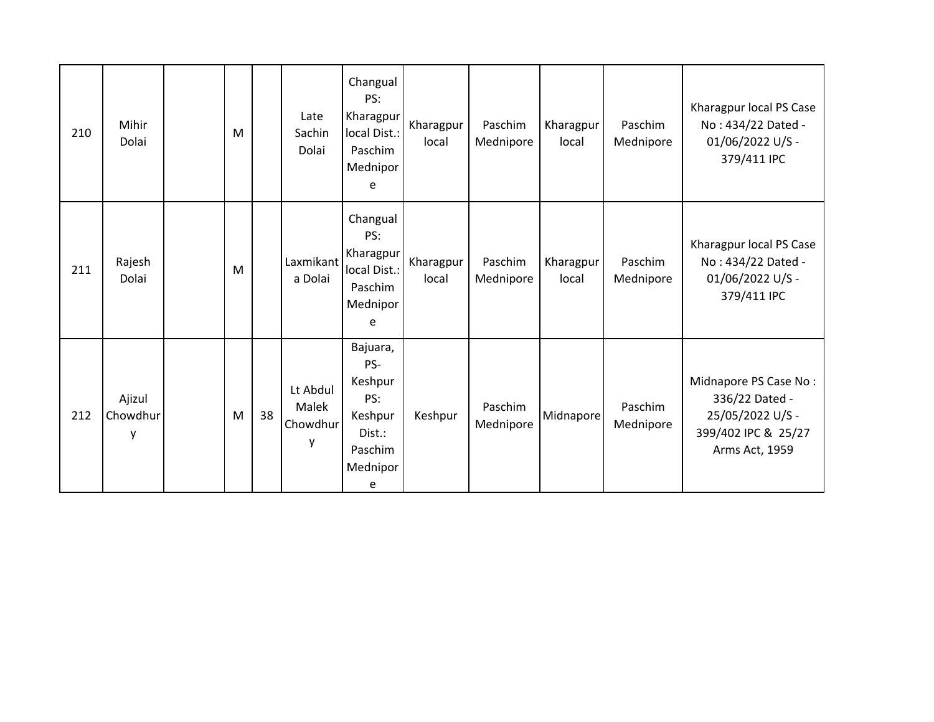| 210 | Mihir<br>Dolai          | M |    | Late<br>Sachin<br>Dolai            | Changual<br>PS:<br>Kharagpur<br>local Dist.:<br>Paschim<br>Mednipor<br>e           | Kharagpur<br>local | Paschim<br>Mednipore | Kharagpur<br>local | Paschim<br>Mednipore | Kharagpur local PS Case<br>No: 434/22 Dated -<br>01/06/2022 U/S -<br>379/411 IPC                     |
|-----|-------------------------|---|----|------------------------------------|------------------------------------------------------------------------------------|--------------------|----------------------|--------------------|----------------------|------------------------------------------------------------------------------------------------------|
| 211 | Rajesh<br>Dolai         | M |    | Laxmikant<br>a Dolai               | Changual<br>PS:<br>Kharagpur<br>local Dist.:<br>Paschim<br>Mednipor<br>e           | Kharagpur<br>local | Paschim<br>Mednipore | Kharagpur<br>local | Paschim<br>Mednipore | Kharagpur local PS Case<br>No: 434/22 Dated -<br>01/06/2022 U/S -<br>379/411 IPC                     |
| 212 | Ajizul<br>Chowdhur<br>y | M | 38 | Lt Abdul<br>Malek<br>Chowdhur<br>y | Bajuara,<br>PS-<br>Keshpur<br>PS:<br>Keshpur<br>Dist.:<br>Paschim<br>Mednipor<br>e | Keshpur            | Paschim<br>Mednipore | Midnapore          | Paschim<br>Mednipore | Midnapore PS Case No:<br>336/22 Dated -<br>25/05/2022 U/S -<br>399/402 IPC & 25/27<br>Arms Act, 1959 |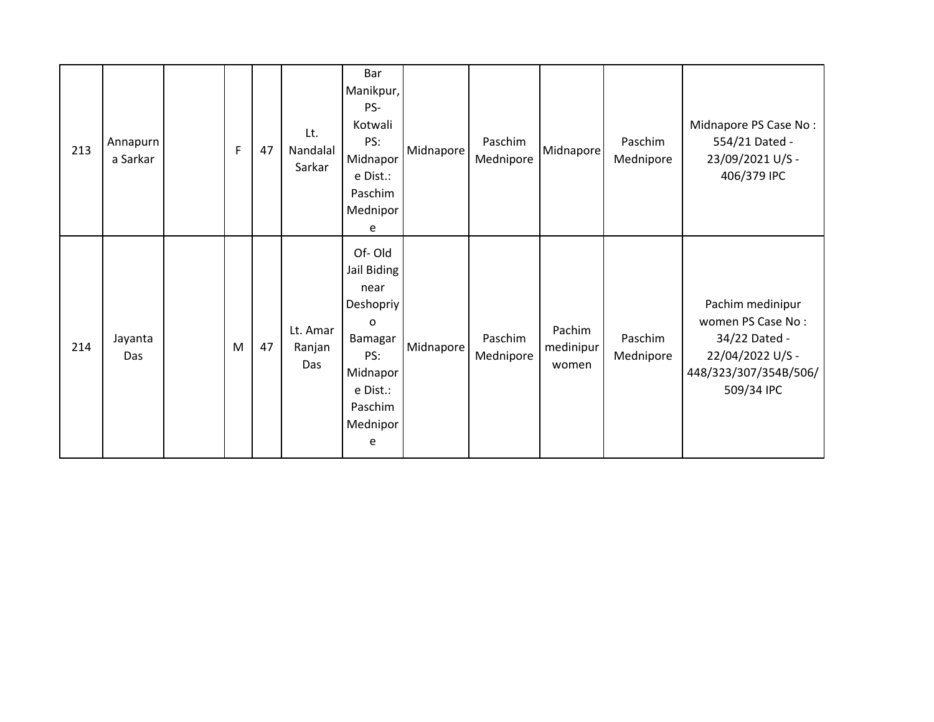| 213 | Annapurn<br>a Sarkar | F | 47 | Lt.<br>Nandalal<br>Sarkar | Bar<br>Manikpur,<br>PS-<br>Kotwali<br>PS:<br>Midnapor<br>e Dist.:<br>Paschim<br>Mednipor<br>e                                | Midnapore | Paschim<br>Mednipore | Midnapore                    | Paschim<br>Mednipore | Midnapore PS Case No:<br>554/21 Dated -<br>23/09/2021 U/S -<br>406/379 IPC                                        |
|-----|----------------------|---|----|---------------------------|------------------------------------------------------------------------------------------------------------------------------|-----------|----------------------|------------------------------|----------------------|-------------------------------------------------------------------------------------------------------------------|
| 214 | Jayanta<br>Das       | M | 47 | Lt. Amar<br>Ranjan<br>Das | Of-Old<br>Jail Biding<br>near<br>Deshopriy<br>$\Omega$<br>Bamagar<br>PS:<br>Midnapor<br>e Dist.:<br>Paschim<br>Mednipor<br>e | Midnapore | Paschim<br>Mednipore | Pachim<br>medinipur<br>women | Paschim<br>Mednipore | Pachim medinipur<br>women PS Case No:<br>34/22 Dated -<br>22/04/2022 U/S -<br>448/323/307/354B/506/<br>509/34 IPC |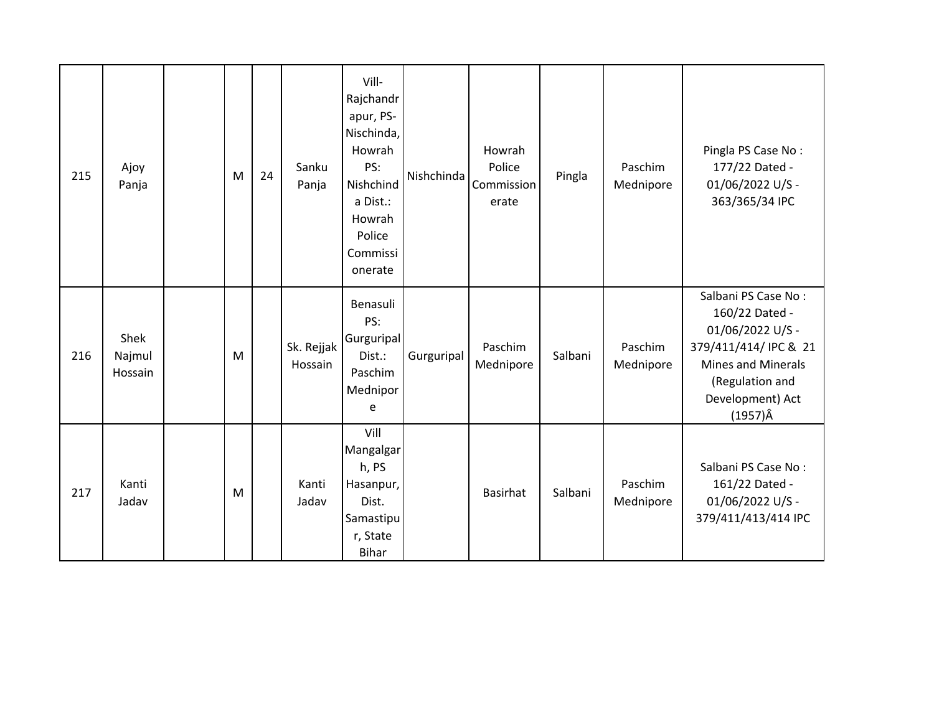| 215 | Ajoy<br>Panja             | M | 24 | Sanku<br>Panja        | Vill-<br>Rajchandr<br>apur, PS-<br>Nischinda,<br>Howrah<br>PS:<br>Nishchind<br>a Dist.:<br>Howrah<br>Police<br>Commissi<br>onerate | Nishchinda | Howrah<br>Police<br>Commission<br>erate | Pingla  | Paschim<br>Mednipore | Pingla PS Case No:<br>177/22 Dated -<br>01/06/2022 U/S -<br>363/365/34 IPC                                                                                        |
|-----|---------------------------|---|----|-----------------------|------------------------------------------------------------------------------------------------------------------------------------|------------|-----------------------------------------|---------|----------------------|-------------------------------------------------------------------------------------------------------------------------------------------------------------------|
| 216 | Shek<br>Najmul<br>Hossain | M |    | Sk. Rejjak<br>Hossain | Benasuli<br>PS:<br>Gurguripal<br>Dist.:<br>Paschim<br>Mednipor<br>e                                                                | Gurguripal | Paschim<br>Mednipore                    | Salbani | Paschim<br>Mednipore | Salbani PS Case No:<br>160/22 Dated -<br>01/06/2022 U/S -<br>379/411/414/ IPC & 21<br><b>Mines and Minerals</b><br>(Regulation and<br>Development) Act<br>(1957)Â |
| 217 | Kanti<br>Jadav            | M |    | Kanti<br>Jadav        | Vill<br>Mangalgar<br>h, PS<br>Hasanpur,<br>Dist.<br>Samastipu<br>r, State<br>Bihar                                                 |            | <b>Basirhat</b>                         | Salbani | Paschim<br>Mednipore | Salbani PS Case No:<br>161/22 Dated -<br>01/06/2022 U/S -<br>379/411/413/414 IPC                                                                                  |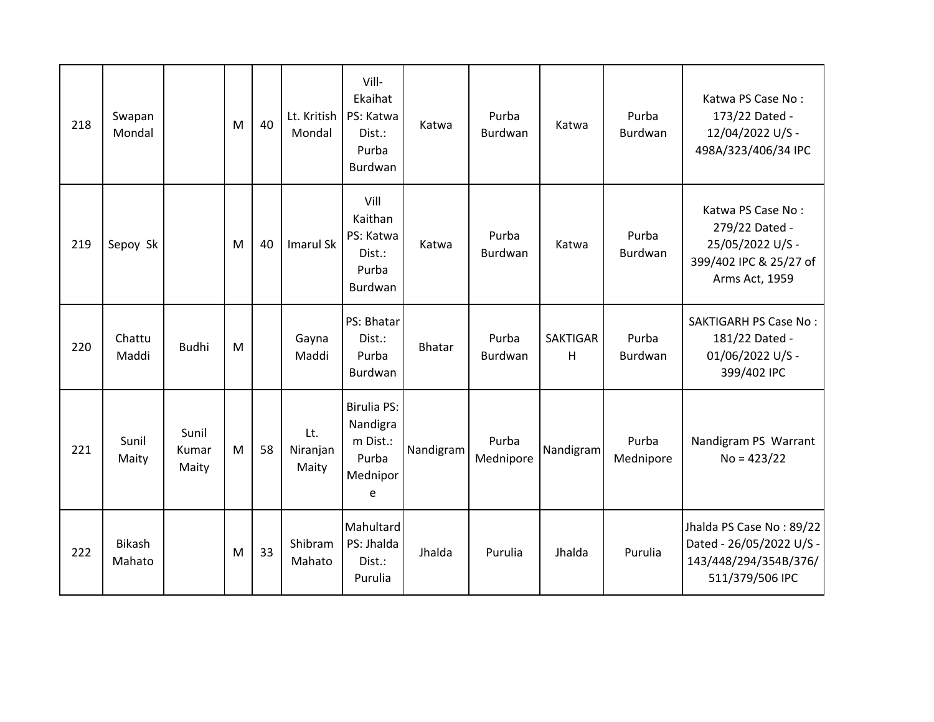| 218 | Swapan<br>Mondal        |                         | M | 40 | Lt. Kritish<br>Mondal    | Vill-<br>Ekaihat<br>PS: Katwa<br>Dist.:<br>Purba<br>Burdwan          | Katwa         | Purba<br>Burdwan   | Katwa                | Purba<br><b>Burdwan</b> | Katwa PS Case No:<br>173/22 Dated -<br>12/04/2022 U/S -<br>498A/323/406/34 IPC                      |
|-----|-------------------------|-------------------------|---|----|--------------------------|----------------------------------------------------------------------|---------------|--------------------|----------------------|-------------------------|-----------------------------------------------------------------------------------------------------|
| 219 | Sepoy Sk                |                         | M | 40 | <b>Imarul Sk</b>         | Vill<br>Kaithan<br>PS: Katwa<br>Dist.:<br>Purba<br>Burdwan           | Katwa         | Purba<br>Burdwan   | Katwa                | Purba<br><b>Burdwan</b> | Katwa PS Case No:<br>279/22 Dated -<br>25/05/2022 U/S -<br>399/402 IPC & 25/27 of<br>Arms Act, 1959 |
| 220 | Chattu<br>Maddi         | <b>Budhi</b>            | M |    | Gayna<br>Maddi           | PS: Bhatar<br>Dist.:<br>Purba<br>Burdwan                             | <b>Bhatar</b> | Purba<br>Burdwan   | <b>SAKTIGAR</b><br>H | Purba<br>Burdwan        | <b>SAKTIGARH PS Case No:</b><br>181/22 Dated -<br>01/06/2022 U/S -<br>399/402 IPC                   |
| 221 | Sunil<br>Maity          | Sunil<br>Kumar<br>Maity | M | 58 | Lt.<br>Niranjan<br>Maity | <b>Birulia PS:</b><br>Nandigra<br>m Dist.:<br>Purba<br>Mednipor<br>e | Nandigram     | Purba<br>Mednipore | Nandigram            | Purba<br>Mednipore      | Nandigram PS Warrant<br>$No = 423/22$                                                               |
| 222 | <b>Bikash</b><br>Mahato |                         | M | 33 | Shibram<br>Mahato        | Mahultard<br>PS: Jhalda<br>Dist.:<br>Purulia                         | Jhalda        | Purulia            | Jhalda               | Purulia                 | Jhalda PS Case No: 89/22<br>Dated - 26/05/2022 U/S -<br>143/448/294/354B/376/<br>511/379/506 IPC    |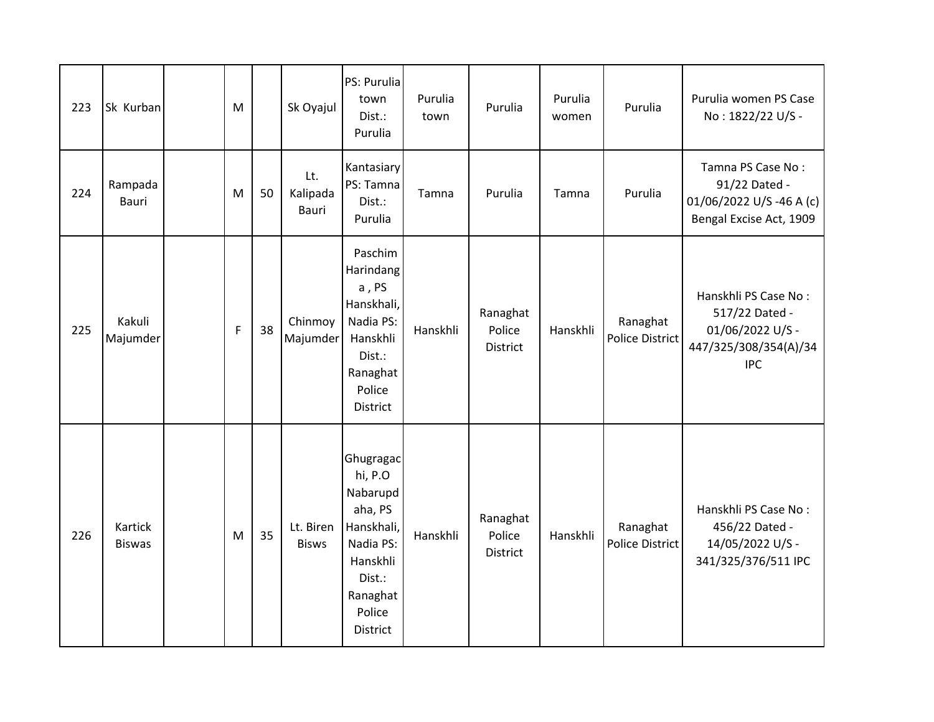| 223 | Sk Kurban                       | M |    | Sk Oyajul                 | PS: Purulia<br>town<br>Dist.:<br>Purulia                                                                                       | Purulia<br>town | Purulia                               | Purulia<br>women | Purulia                     | Purulia women PS Case<br>No: 1822/22 U/S -                                                        |
|-----|---------------------------------|---|----|---------------------------|--------------------------------------------------------------------------------------------------------------------------------|-----------------|---------------------------------------|------------------|-----------------------------|---------------------------------------------------------------------------------------------------|
| 224 | Rampada<br>Bauri                | M | 50 | Lt.<br>Kalipada<br>Bauri  | Kantasiary<br>PS: Tamna<br>Dist.:<br>Purulia                                                                                   | Tamna           | Purulia                               | Tamna            | Purulia                     | Tamna PS Case No:<br>91/22 Dated -<br>01/06/2022 U/S-46 A (c)<br>Bengal Excise Act, 1909          |
| 225 | Kakuli<br>Majumder              | F | 38 | Chinmoy<br>Majumder       | Paschim<br>Harindang<br>a, PS<br>Hanskhali,<br>Nadia PS:<br>Hanskhli<br>Dist.:<br>Ranaghat<br>Police<br><b>District</b>        | Hanskhli        | Ranaghat<br>Police<br>District        | Hanskhli         | Ranaghat<br>Police District | Hanskhli PS Case No:<br>517/22 Dated -<br>01/06/2022 U/S -<br>447/325/308/354(A)/34<br><b>IPC</b> |
| 226 | <b>Kartick</b><br><b>Biswas</b> | M | 35 | Lt. Biren<br><b>Bisws</b> | Ghugragac<br>hi, P.O<br>Nabarupd<br>aha, PS<br>Hanskhali,<br>Nadia PS:<br>Hanskhli<br>Dist.:<br>Ranaghat<br>Police<br>District | Hanskhli        | Ranaghat<br>Police<br><b>District</b> | Hanskhli         | Ranaghat<br>Police District | Hanskhli PS Case No:<br>456/22 Dated -<br>14/05/2022 U/S -<br>341/325/376/511 IPC                 |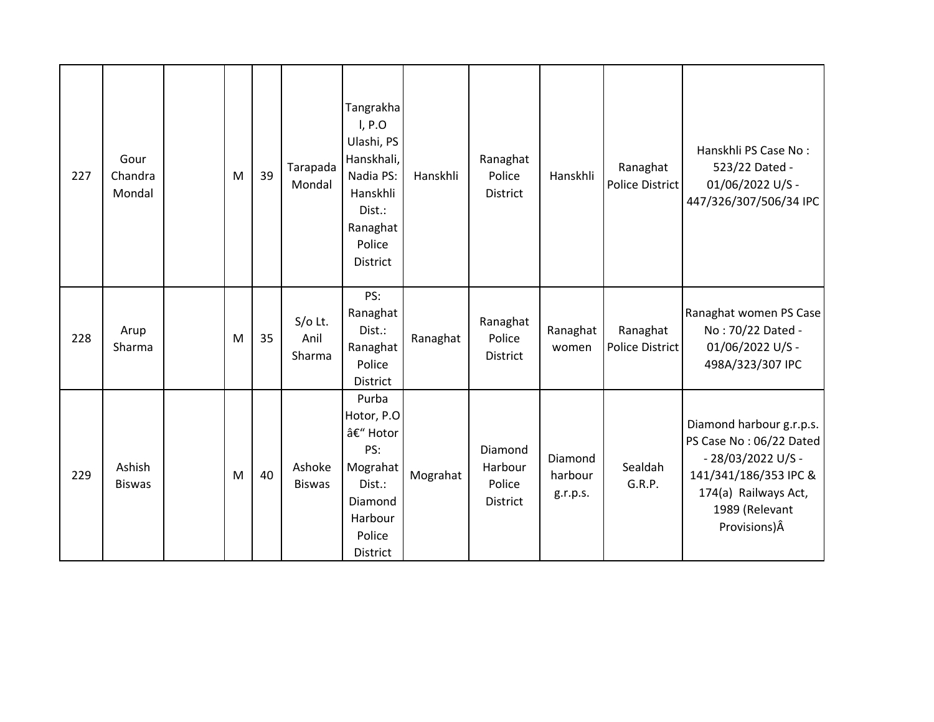| 227 | Gour<br>Chandra<br>Mondal | M | 39 | Tarapada<br>Mondal          | Tangrakha<br>I, P.O<br>Ulashi, PS<br>Hanskhali,<br>Nadia PS:<br>Hanskhli<br>Dist.:<br>Ranaghat<br>Police<br><b>District</b> | Hanskhli | Ranaghat<br>Police<br><b>District</b>           | Hanskhli                       | Ranaghat<br>Police District | Hanskhli PS Case No:<br>523/22 Dated -<br>01/06/2022 U/S -<br>447/326/307/506/34 IPC                                                                          |
|-----|---------------------------|---|----|-----------------------------|-----------------------------------------------------------------------------------------------------------------------------|----------|-------------------------------------------------|--------------------------------|-----------------------------|---------------------------------------------------------------------------------------------------------------------------------------------------------------|
| 228 | Arup<br>Sharma            | M | 35 | $S/O$ Lt.<br>Anil<br>Sharma | PS:<br>Ranaghat<br>Dist.:<br>Ranaghat<br>Police<br><b>District</b>                                                          | Ranaghat | Ranaghat<br>Police<br><b>District</b>           | Ranaghat<br>women              | Ranaghat<br>Police District | Ranaghat women PS Case<br>No: 70/22 Dated -<br>01/06/2022 U/S -<br>498A/323/307 IPC                                                                           |
| 229 | Ashish<br><b>Biswas</b>   | M | 40 | Ashoke<br><b>Biswas</b>     | Purba<br>Hotor, P.O<br>– Hotor<br>PS:<br>Mograhat<br>Dist.:<br>Diamond<br>Harbour<br>Police<br><b>District</b>              | Mograhat | Diamond<br>Harbour<br>Police<br><b>District</b> | Diamond<br>harbour<br>g.r.p.s. | Sealdah<br>G.R.P.           | Diamond harbour g.r.p.s.<br>PS Case No: 06/22 Dated<br>- 28/03/2022 U/S -<br>141/341/186/353 IPC &<br>174(a) Railways Act,<br>1989 (Relevant<br>Provisions) Â |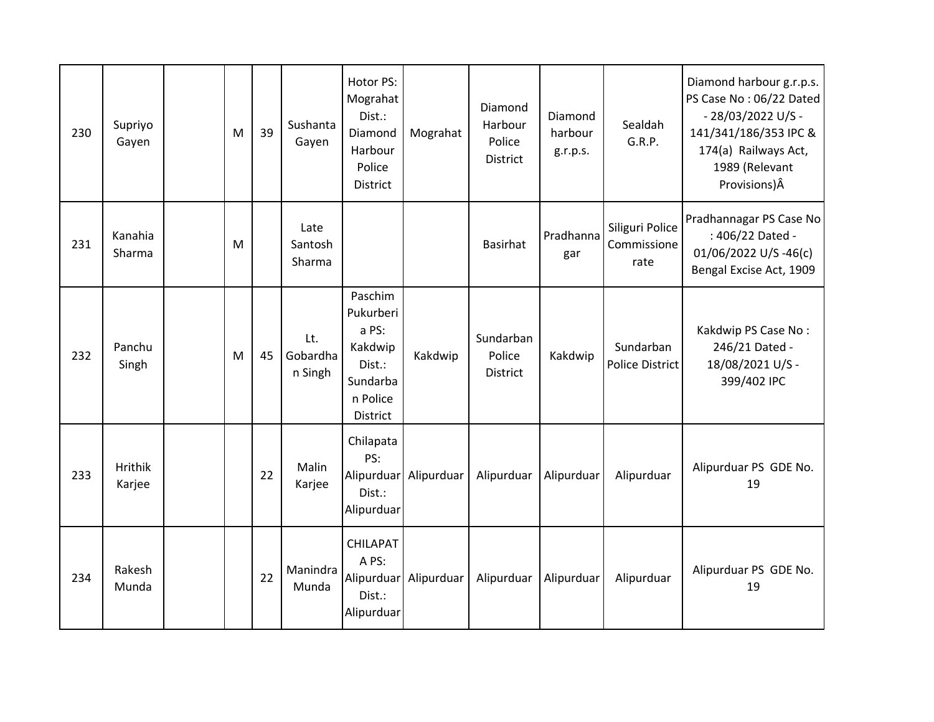| 230 | Supriyo<br>Gayen  | M | 39 | Sushanta<br>Gayen          | Hotor PS:<br>Mograhat<br>Dist.:<br>Diamond<br>Harbour<br>Police<br><b>District</b>            | Mograhat              | Diamond<br>Harbour<br>Police<br><b>District</b> | Diamond<br>harbour<br>g.r.p.s. | Sealdah<br>G.R.P.                      | Diamond harbour g.r.p.s.<br>PS Case No: 06/22 Dated<br>- 28/03/2022 U/S -<br>141/341/186/353 IPC &<br>174(a) Railways Act,<br>1989 (Relevant<br>Provisions)Â |
|-----|-------------------|---|----|----------------------------|-----------------------------------------------------------------------------------------------|-----------------------|-------------------------------------------------|--------------------------------|----------------------------------------|--------------------------------------------------------------------------------------------------------------------------------------------------------------|
| 231 | Kanahia<br>Sharma | M |    | Late<br>Santosh<br>Sharma  |                                                                                               |                       | Basirhat                                        | Pradhanna<br>gar               | Siliguri Police<br>Commissione<br>rate | Pradhannagar PS Case No<br>: 406/22 Dated -<br>01/06/2022 U/S-46(c)<br>Bengal Excise Act, 1909                                                               |
| 232 | Panchu<br>Singh   | M | 45 | Lt.<br>Gobardha<br>n Singh | Paschim<br>Pukurberi<br>a PS:<br>Kakdwip<br>Dist.:<br>Sundarba<br>n Police<br><b>District</b> | Kakdwip               | Sundarban<br>Police<br><b>District</b>          | Kakdwip                        | Sundarban<br>Police District           | Kakdwip PS Case No:<br>246/21 Dated -<br>18/08/2021 U/S -<br>399/402 IPC                                                                                     |
| 233 | Hrithik<br>Karjee |   | 22 | Malin<br>Karjee            | Chilapata<br>PS:<br>Dist.:<br>Alipurduar                                                      | Alipurduar Alipurduar | Alipurduar                                      | Alipurduar                     | Alipurduar                             | Alipurduar PS GDE No.<br>19                                                                                                                                  |
| 234 | Rakesh<br>Munda   |   | 22 | Manindra<br>Munda          | <b>CHILAPAT</b><br>A PS:<br>Dist.:<br>Alipurduar                                              | Alipurduar Alipurduar | Alipurduar                                      | Alipurduar                     | Alipurduar                             | Alipurduar PS GDE No.<br>19                                                                                                                                  |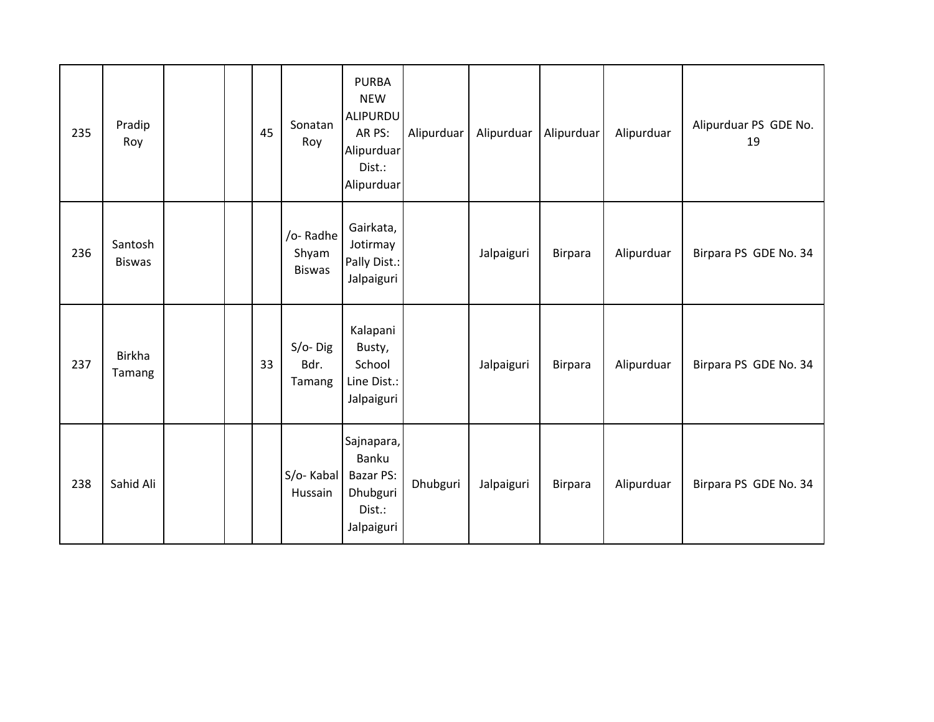| 235 | Pradip<br>Roy            |  | 45 | Sonatan<br>Roy                     | <b>PURBA</b><br><b>NEW</b><br>ALIPURDU<br>AR PS:<br>Alipurduar<br>Dist.:<br>Alipurduar | Alipurduar | Alipurduar | Alipurduar     | Alipurduar | Alipurduar PS GDE No.<br>19 |
|-----|--------------------------|--|----|------------------------------------|----------------------------------------------------------------------------------------|------------|------------|----------------|------------|-----------------------------|
| 236 | Santosh<br><b>Biswas</b> |  |    | /o-Radhe<br>Shyam<br><b>Biswas</b> | Gairkata,<br>Jotirmay<br>Pally Dist.:<br>Jalpaiguri                                    |            | Jalpaiguri | <b>Birpara</b> | Alipurduar | Birpara PS GDE No. 34       |
| 237 | <b>Birkha</b><br>Tamang  |  | 33 | $S/O-$ Dig<br>Bdr.<br>Tamang       | Kalapani<br>Busty,<br>School<br>Line Dist.:<br>Jalpaiguri                              |            | Jalpaiguri | Birpara        | Alipurduar | Birpara PS GDE No. 34       |
| 238 | Sahid Ali                |  |    | S/o-Kabal<br>Hussain               | Sajnapara,<br>Banku<br><b>Bazar PS:</b><br>Dhubguri<br>Dist.:<br>Jalpaiguri            | Dhubguri   | Jalpaiguri | <b>Birpara</b> | Alipurduar | Birpara PS GDE No. 34       |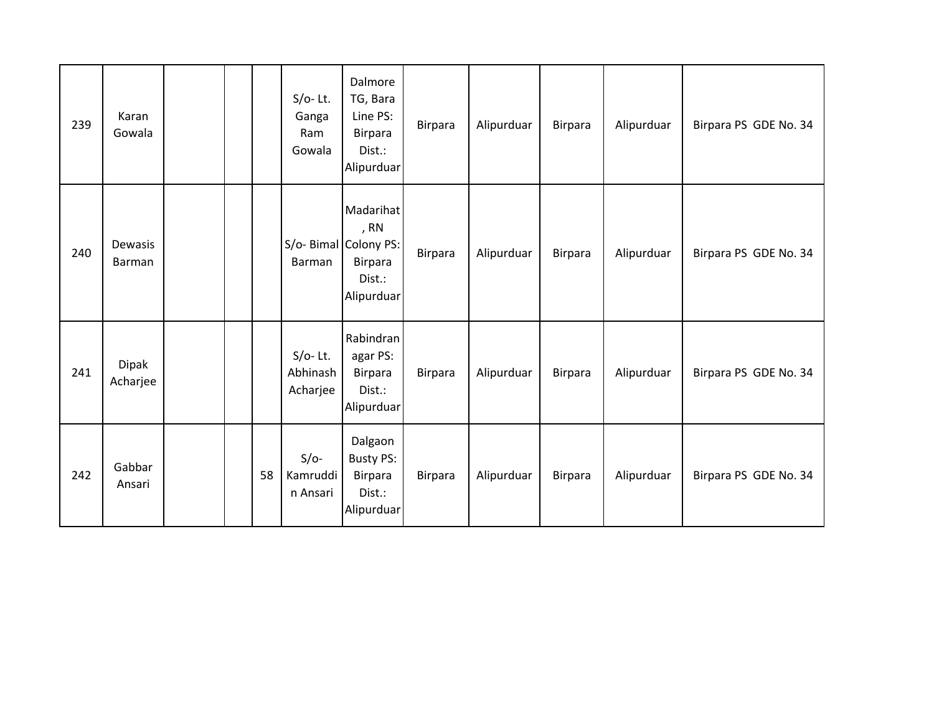| 239 | Karan<br>Gowala          |  |    | $S/O-$ Lt.<br>Ganga<br>Ram<br>Gowala | Dalmore<br>TG, Bara<br>Line PS:<br><b>Birpara</b><br>Dist.:<br>Alipurduar            | <b>Birpara</b> | Alipurduar | Birpara        | Alipurduar | Birpara PS GDE No. 34 |
|-----|--------------------------|--|----|--------------------------------------|--------------------------------------------------------------------------------------|----------------|------------|----------------|------------|-----------------------|
| 240 | Dewasis<br>Barman        |  |    | Barman                               | Madarihat<br>, RN<br>S/o- Bimal Colony PS:<br><b>Birpara</b><br>Dist.:<br>Alipurduar | Birpara        | Alipurduar | Birpara        | Alipurduar | Birpara PS GDE No. 34 |
| 241 | <b>Dipak</b><br>Acharjee |  |    | $S/O-$ Lt.<br>Abhinash<br>Acharjee   | Rabindran<br>agar PS:<br><b>Birpara</b><br>Dist.:<br>Alipurduar                      | Birpara        | Alipurduar | Birpara        | Alipurduar | Birpara PS GDE No. 34 |
| 242 | Gabbar<br>Ansari         |  | 58 | $S/O-$<br>Kamruddi<br>n Ansari       | Dalgaon<br><b>Busty PS:</b><br><b>Birpara</b><br>Dist.:<br>Alipurduar                | Birpara        | Alipurduar | <b>Birpara</b> | Alipurduar | Birpara PS GDE No. 34 |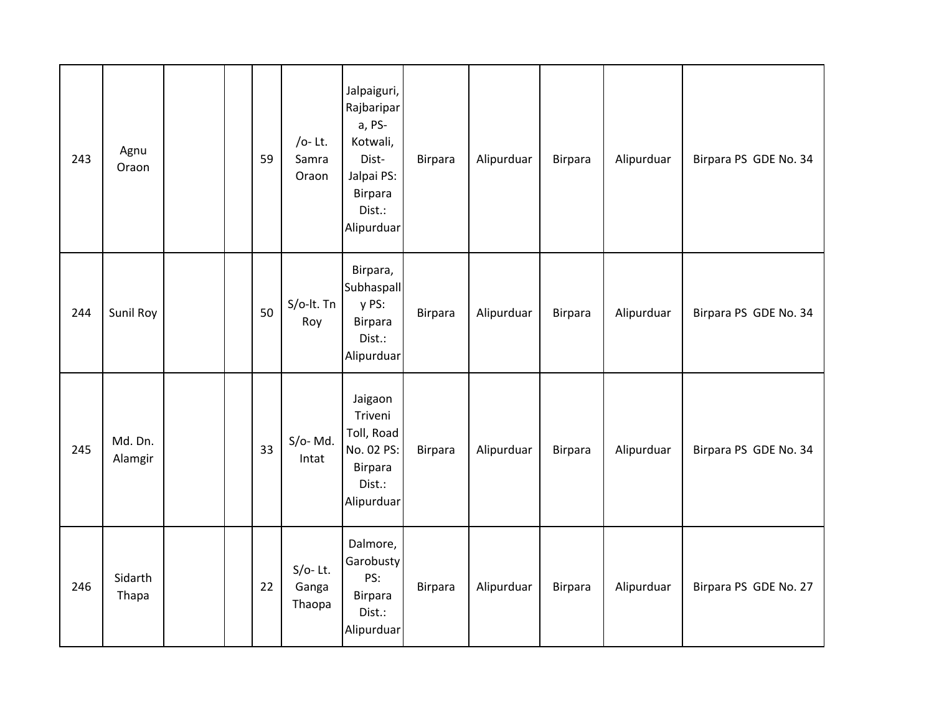| 243 | Agnu<br>Oraon      |  | 59 | /o-Lt.<br>Samra<br>Oraon      | Jalpaiguri,<br>Rajbaripar<br>a, PS-<br>Kotwali,<br>Dist-<br>Jalpai PS:<br><b>Birpara</b><br>Dist.:<br>Alipurduar | Birpara        | Alipurduar | Birpara | Alipurduar | Birpara PS GDE No. 34 |
|-----|--------------------|--|----|-------------------------------|------------------------------------------------------------------------------------------------------------------|----------------|------------|---------|------------|-----------------------|
| 244 | Sunil Roy          |  | 50 | S/o-lt. Tn<br>Roy             | Birpara,<br><b>Subhaspall</b><br>y PS:<br>Birpara<br>Dist.:<br>Alipurduar                                        | <b>Birpara</b> | Alipurduar | Birpara | Alipurduar | Birpara PS GDE No. 34 |
| 245 | Md. Dn.<br>Alamgir |  | 33 | $S/O-Md.$<br>Intat            | Jaigaon<br>Triveni<br>Toll, Road<br>No. 02 PS:<br><b>Birpara</b><br>Dist.:<br>Alipurduar                         | <b>Birpara</b> | Alipurduar | Birpara | Alipurduar | Birpara PS GDE No. 34 |
| 246 | Sidarth<br>Thapa   |  | 22 | $S/O-$ Lt.<br>Ganga<br>Thaopa | Dalmore,<br>Garobusty<br>PS:<br>Birpara<br>Dist.:<br>Alipurduar                                                  | Birpara        | Alipurduar | Birpara | Alipurduar | Birpara PS GDE No. 27 |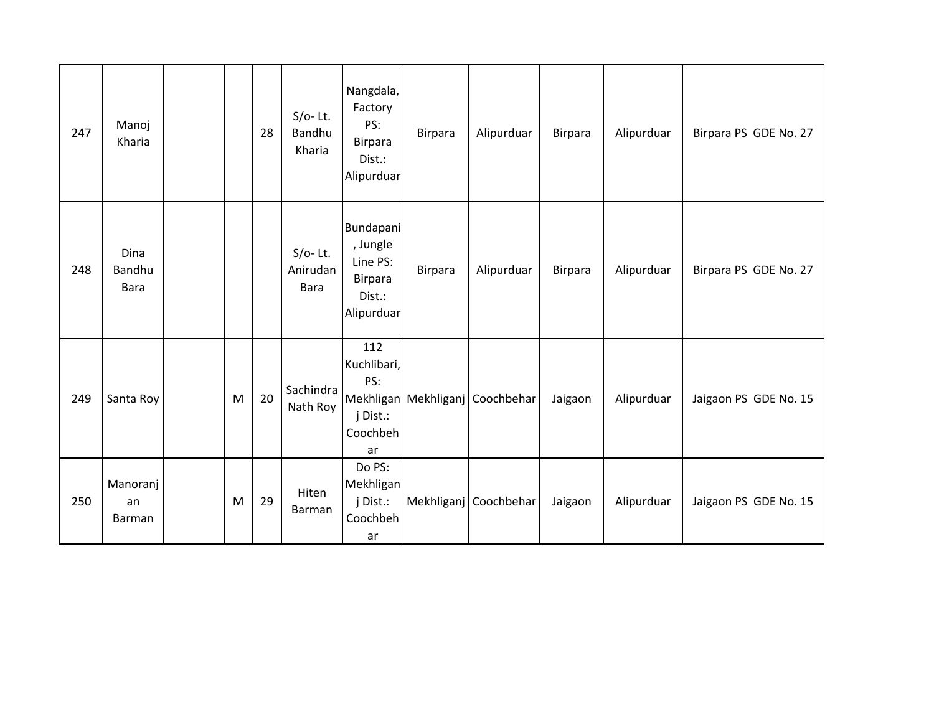| 247 | Manoj<br>Kharia               |   | 28 | $S/O-$ Lt.<br>Bandhu<br>Kharia        | Nangdala,<br>Factory<br>PS:<br><b>Birpara</b><br>Dist.:<br>Alipurduar              | Birpara | Alipurduar                          | <b>Birpara</b> | Alipurduar | Birpara PS GDE No. 27 |
|-----|-------------------------------|---|----|---------------------------------------|------------------------------------------------------------------------------------|---------|-------------------------------------|----------------|------------|-----------------------|
| 248 | Dina<br>Bandhu<br><b>Bara</b> |   |    | $S/O-$ Lt.<br>Anirudan<br><b>Bara</b> | <b>Bundapani</b><br>, Jungle<br>Line PS:<br><b>Birpara</b><br>Dist.:<br>Alipurduar | Birpara | Alipurduar                          | Birpara        | Alipurduar | Birpara PS GDE No. 27 |
| 249 | Santa Roy                     | M | 20 | Sachindra<br>Nath Roy                 | 112<br>Kuchlibari,<br>PS:<br>j Dist.:<br>Coochbeh<br>ar                            |         | Mekhligan   Mekhliganj   Coochbehar | Jaigaon        | Alipurduar | Jaigaon PS GDE No. 15 |
| 250 | Manoranj<br>an<br>Barman      | M | 29 | Hiten<br>Barman                       | Do PS:<br>Mekhligan<br>j Dist.:<br>Coochbeh<br>ar                                  |         | Mekhliganj Coochbehar               | Jaigaon        | Alipurduar | Jaigaon PS GDE No. 15 |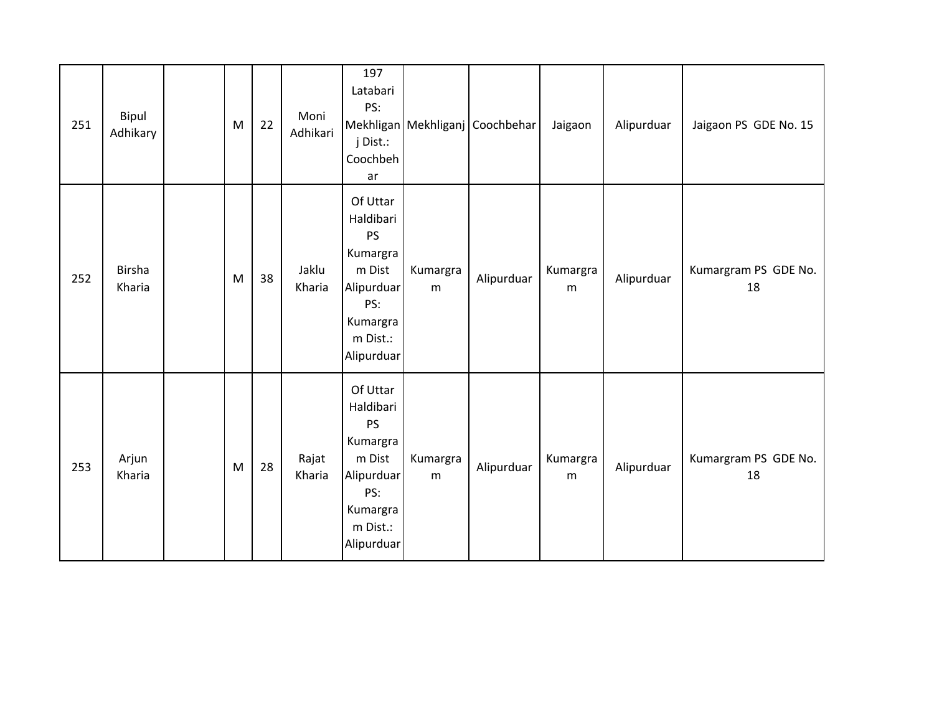| 251 | Bipul<br>Adhikary       | ${\sf M}$ | 22 | Moni<br>Adhikari | 197<br>Latabari<br>PS:<br>j Dist.:<br>Coochbeh<br>ar                                                                |               | Mekhligan Mekhliganj Coochbehar | Jaigaon       | Alipurduar | Jaigaon PS GDE No. 15      |
|-----|-------------------------|-----------|----|------------------|---------------------------------------------------------------------------------------------------------------------|---------------|---------------------------------|---------------|------------|----------------------------|
| 252 | <b>Birsha</b><br>Kharia | M         | 38 | Jaklu<br>Kharia  | Of Uttar<br>Haldibari<br>PS<br>Kumargra<br>m Dist<br>Alipurduar<br>PS:<br>Kumargra<br>m Dist.:<br>Alipurduar        | Kumargra<br>m | Alipurduar                      | Kumargra<br>m | Alipurduar | Kumargram PS GDE No.<br>18 |
| 253 | Arjun<br>Kharia         | M         | 28 | Rajat<br>Kharia  | Of Uttar<br>Haldibari<br><b>PS</b><br>Kumargra<br>m Dist<br>Alipurduar<br>PS:<br>Kumargra<br>m Dist.:<br>Alipurduar | Kumargra<br>m | Alipurduar                      | Kumargra<br>m | Alipurduar | Kumargram PS GDE No.<br>18 |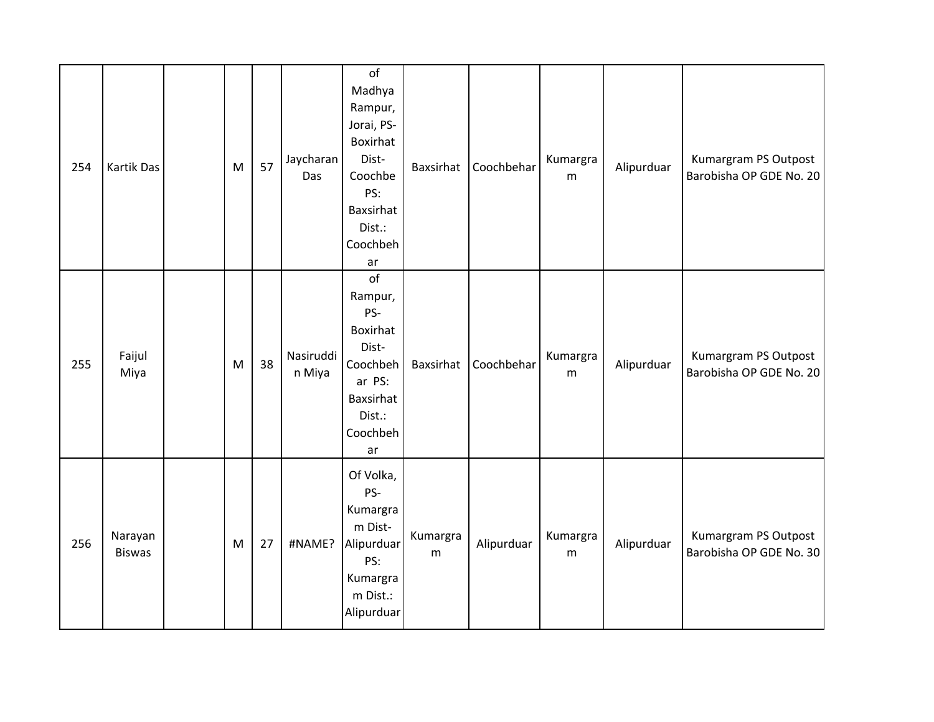| 254 | Kartik Das               | M | 57 | Jaycharan<br>Das    | of<br>Madhya<br>Rampur,<br>Jorai, PS-<br>Boxirhat<br>Dist-<br>Coochbe<br>PS:<br>Baxsirhat<br>Dist.:<br>Coochbeh<br>ar |               | Baxsirhat Coochbehar | Kumargra<br>m | Alipurduar | Kumargram PS Outpost<br>Barobisha OP GDE No. 20 |
|-----|--------------------------|---|----|---------------------|-----------------------------------------------------------------------------------------------------------------------|---------------|----------------------|---------------|------------|-------------------------------------------------|
| 255 | Faijul<br>Miya           | M | 38 | Nasiruddi<br>n Miya | of<br>Rampur,<br>PS-<br>Boxirhat<br>Dist-<br>Coochbeh<br>ar PS:<br>Baxsirhat<br>Dist.:<br>Coochbeh<br>ar              | Baxsirhat     | Coochbehar           | Kumargra<br>m | Alipurduar | Kumargram PS Outpost<br>Barobisha OP GDE No. 20 |
| 256 | Narayan<br><b>Biswas</b> | M | 27 | #NAME?              | Of Volka,<br>PS-<br>Kumargra<br>m Dist-<br>Alipurduar<br>PS:<br>Kumargra<br>m Dist.:<br>Alipurduar                    | Kumargra<br>m | Alipurduar           | Kumargra<br>m | Alipurduar | Kumargram PS Outpost<br>Barobisha OP GDE No. 30 |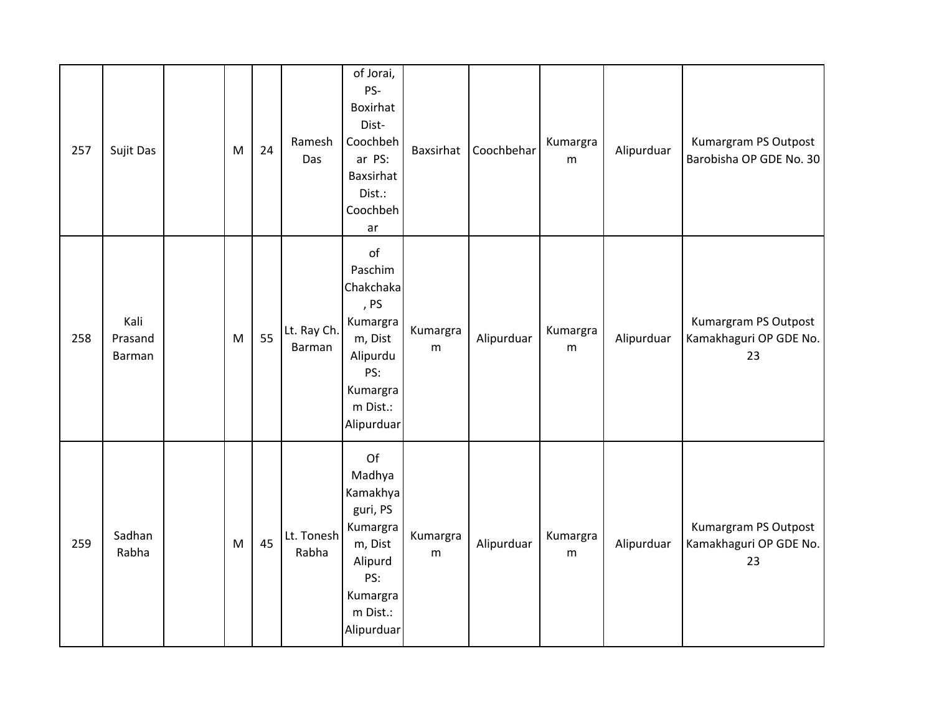| 257 | Sujit Das                 | ${\sf M}$                                                                             | 24 | Ramesh<br>Das         | of Jorai,<br>PS-<br>Boxirhat<br>Dist-<br>Coochbeh<br>ar PS:<br>Baxsirhat<br>Dist.:<br>Coochbeh<br>ar                | Baxsirhat     | Coochbehar | Kumargra<br>m | Alipurduar | Kumargram PS Outpost<br>Barobisha OP GDE No. 30      |
|-----|---------------------------|---------------------------------------------------------------------------------------|----|-----------------------|---------------------------------------------------------------------------------------------------------------------|---------------|------------|---------------|------------|------------------------------------------------------|
| 258 | Kali<br>Prasand<br>Barman | ${\sf M}$                                                                             | 55 | Lt. Ray Ch.<br>Barman | of<br>Paschim<br>Chakchaka<br>, PS<br>Kumargra<br>m, Dist<br>Alipurdu<br>PS:<br>Kumargra<br>m Dist.:<br>Alipurduar  | Kumargra<br>m | Alipurduar | Kumargra<br>m | Alipurduar | Kumargram PS Outpost<br>Kamakhaguri OP GDE No.<br>23 |
| 259 | Sadhan<br>Rabha           | $\mathsf{M}% _{T}=\mathsf{M}_{T}\!\left( a,b\right) ,\ \mathsf{M}_{T}=\mathsf{M}_{T}$ | 45 | Lt. Tonesh<br>Rabha   | Of<br>Madhya<br>Kamakhya<br>guri, PS<br>Kumargra<br>m, Dist<br>Alipurd<br>PS:<br>Kumargra<br>m Dist.:<br>Alipurduar | Kumargra<br>m | Alipurduar | Kumargra<br>m | Alipurduar | Kumargram PS Outpost<br>Kamakhaguri OP GDE No.<br>23 |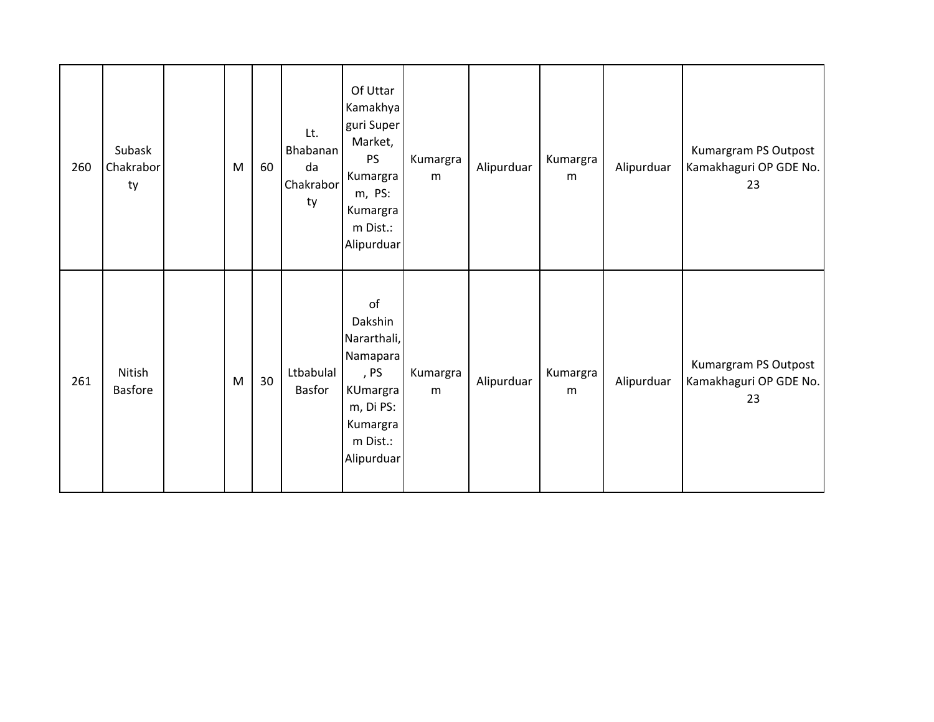| 260 | Subask<br>Chakrabor<br>ty | M | 60 | Lt.<br><b>Bhabanan</b><br>da<br>Chakrabor<br>ty | Of Uttar<br>Kamakhya<br>guri Super<br>Market,<br>PS<br>Kumargra<br>m, PS:<br>Kumargra<br>m Dist.:<br>Alipurduar | Kumargra<br>m | Alipurduar | Kumargra<br>m | Alipurduar | Kumargram PS Outpost<br>Kamakhaguri OP GDE No.<br>23 |
|-----|---------------------------|---|----|-------------------------------------------------|-----------------------------------------------------------------------------------------------------------------|---------------|------------|---------------|------------|------------------------------------------------------|
| 261 | Nitish<br><b>Basfore</b>  | M | 30 | Ltbabulal<br>Basfor                             | of<br>Dakshin<br>Nararthali,<br>Namapara<br>, PS<br>KUmargra<br>m, Di PS:<br>Kumargra<br>m Dist.:<br>Alipurduar | Kumargra<br>m | Alipurduar | Kumargra<br>m | Alipurduar | Kumargram PS Outpost<br>Kamakhaguri OP GDE No.<br>23 |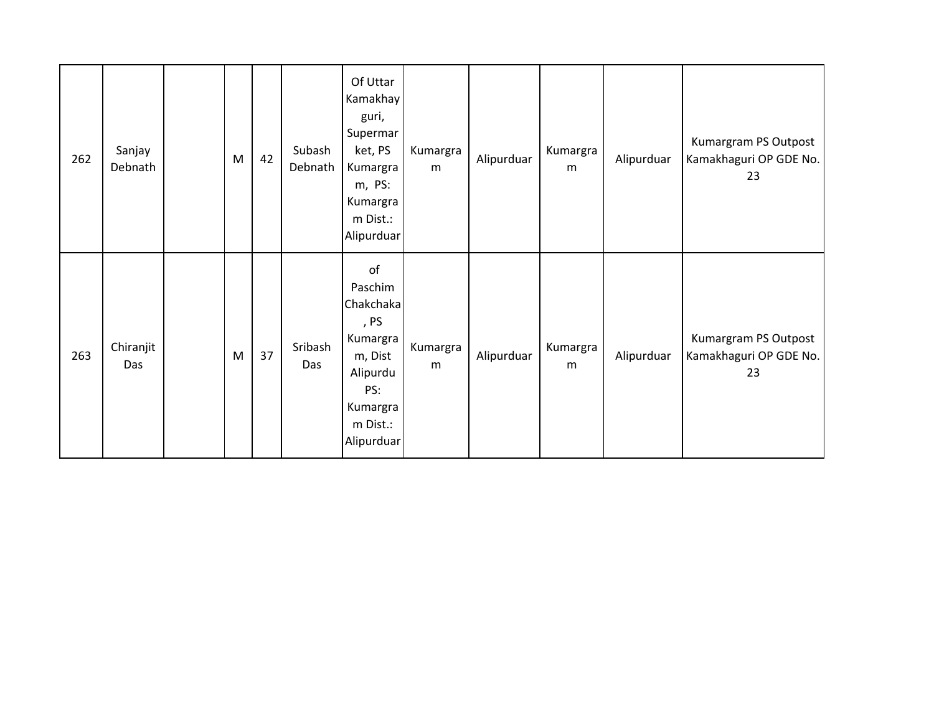| 262 | Sanjay<br>Debnath | M | 42 | Subash<br>Debnath | Of Uttar<br>Kamakhay<br>guri,<br>Supermar<br>ket, PS<br>Kumargra<br>m, PS:<br>Kumargra<br>m Dist.:<br>Alipurduar   | Kumargra<br>m | Alipurduar | Kumargra<br>m | Alipurduar | Kumargram PS Outpost<br>Kamakhaguri OP GDE No.<br>23 |
|-----|-------------------|---|----|-------------------|--------------------------------------------------------------------------------------------------------------------|---------------|------------|---------------|------------|------------------------------------------------------|
| 263 | Chiranjit<br>Das  | M | 37 | Sribash<br>Das    | of<br>Paschim<br>Chakchaka<br>, PS<br>Kumargra<br>m, Dist<br>Alipurdu<br>PS:<br>Kumargra<br>m Dist.:<br>Alipurduar | Kumargra<br>m | Alipurduar | Kumargra<br>m | Alipurduar | Kumargram PS Outpost<br>Kamakhaguri OP GDE No.<br>23 |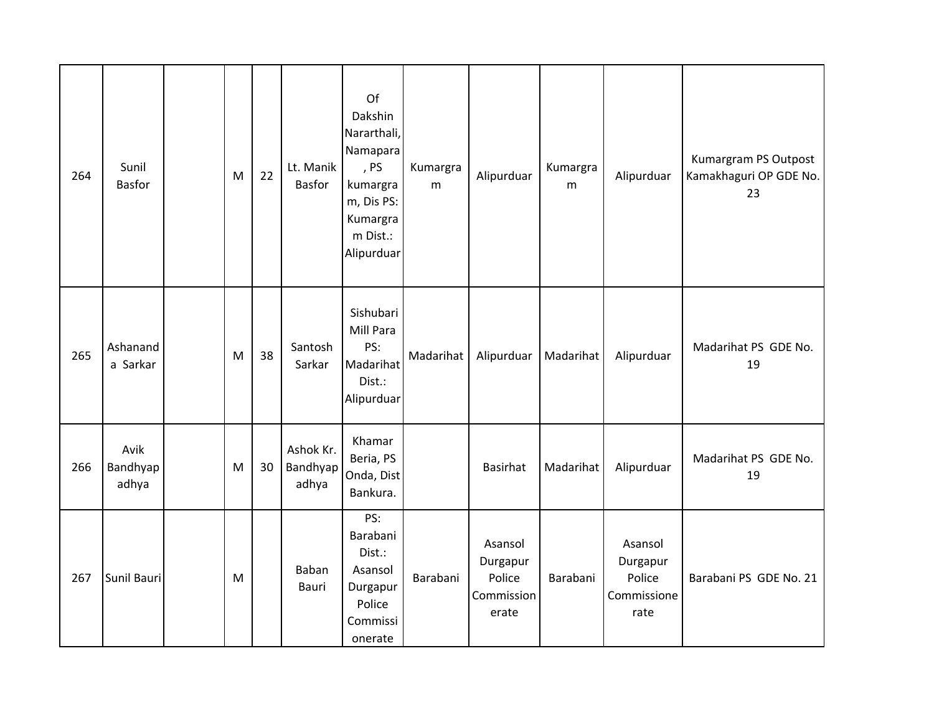| 264 | Sunil<br><b>Basfor</b>    | M | 22 | Lt. Manik<br><b>Basfor</b>     | Of<br>Dakshin<br>Nararthali,<br>Namapara<br>, PS<br>kumargra<br>m, Dis PS:<br>Kumargra<br>m Dist.:<br>Alipurduar | Kumargra<br>m | Alipurduar                                           | Kumargra<br>m | Alipurduar                                           | Kumargram PS Outpost<br>Kamakhaguri OP GDE No.<br>23 |
|-----|---------------------------|---|----|--------------------------------|------------------------------------------------------------------------------------------------------------------|---------------|------------------------------------------------------|---------------|------------------------------------------------------|------------------------------------------------------|
| 265 | Ashanand<br>a Sarkar      | M | 38 | Santosh<br>Sarkar              | Sishubari<br>Mill Para<br>PS:<br>Madarihat<br>Dist.:<br>Alipurduar                                               | Madarihat     | Alipurduar                                           | Madarihat     | Alipurduar                                           | Madarihat PS GDE No.<br>19                           |
| 266 | Avik<br>Bandhyap<br>adhya | M | 30 | Ashok Kr.<br>Bandhyap<br>adhya | Khamar<br>Beria, PS<br>Onda, Dist<br>Bankura.                                                                    |               | Basirhat                                             | Madarihat     | Alipurduar                                           | Madarihat PS GDE No.<br>19                           |
| 267 | Sunil Bauri               | M |    | Baban<br>Bauri                 | PS:<br>Barabani<br>Dist.:<br>Asansol<br>Durgapur<br>Police<br>Commissi<br>onerate                                | Barabani      | Asansol<br>Durgapur<br>Police<br>Commission<br>erate | Barabani      | Asansol<br>Durgapur<br>Police<br>Commissione<br>rate | Barabani PS GDE No. 21                               |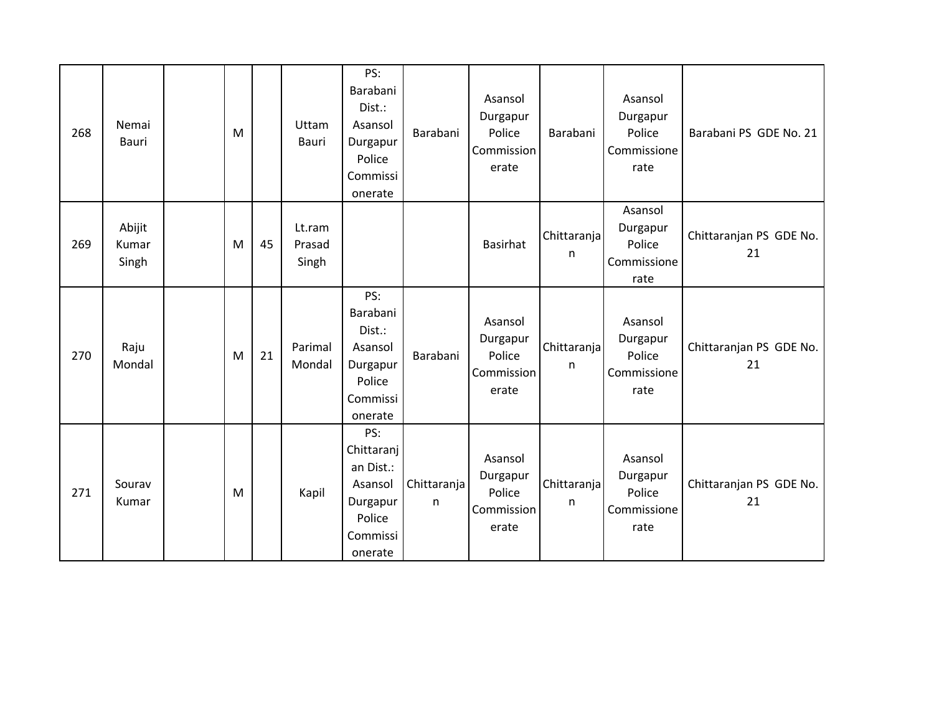| 268 | Nemai<br>Bauri           | M |    | Uttam<br>Bauri            | PS:<br>Barabani<br>Dist.:<br>Asansol<br>Durgapur<br>Police<br>Commissi<br>onerate      | Barabani         | Asansol<br>Durgapur<br>Police<br>Commission<br>erate | Barabani          | Asansol<br>Durgapur<br>Police<br>Commissione<br>rate | Barabani PS GDE No. 21        |
|-----|--------------------------|---|----|---------------------------|----------------------------------------------------------------------------------------|------------------|------------------------------------------------------|-------------------|------------------------------------------------------|-------------------------------|
| 269 | Abijit<br>Kumar<br>Singh | M | 45 | Lt.ram<br>Prasad<br>Singh |                                                                                        |                  | <b>Basirhat</b>                                      | Chittaranja<br>n  | Asansol<br>Durgapur<br>Police<br>Commissione<br>rate | Chittaranjan PS GDE No.<br>21 |
| 270 | Raju<br>Mondal           | M | 21 | Parimal<br>Mondal         | PS:<br>Barabani<br>Dist.:<br>Asansol<br>Durgapur<br>Police<br>Commissi<br>onerate      | Barabani         | Asansol<br>Durgapur<br>Police<br>Commission<br>erate | Chittaranjal<br>n | Asansol<br>Durgapur<br>Police<br>Commissione<br>rate | Chittaranjan PS GDE No.<br>21 |
| 271 | Sourav<br>Kumar          | M |    | Kapil                     | PS:<br>Chittaranj<br>an Dist.:<br>Asansol<br>Durgapur<br>Police<br>Commissi<br>onerate | Chittaranja<br>n | Asansol<br>Durgapur<br>Police<br>Commission<br>erate | Chittaranja<br>n  | Asansol<br>Durgapur<br>Police<br>Commissione<br>rate | Chittaranjan PS GDE No.<br>21 |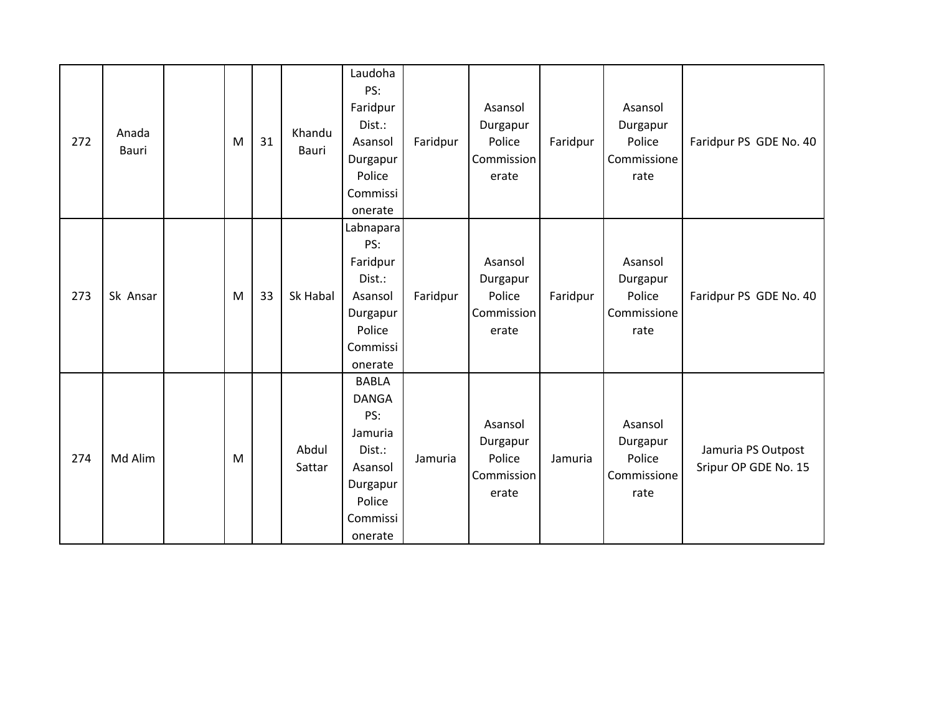| 272 | Anada<br>Bauri | M | 31 | Khandu<br>Bauri | Laudoha<br>PS:<br>Faridpur<br>Dist.:<br>Asansol<br>Durgapur<br>Police<br>Commissi<br>onerate                     | Faridpur | Asansol<br>Durgapur<br>Police<br>Commission<br>erate | Faridpur | Asansol<br>Durgapur<br>Police<br>Commissione<br>rate | Faridpur PS GDE No. 40                     |
|-----|----------------|---|----|-----------------|------------------------------------------------------------------------------------------------------------------|----------|------------------------------------------------------|----------|------------------------------------------------------|--------------------------------------------|
| 273 | Sk Ansar       | M | 33 | Sk Habal        | Labnapara<br>PS:<br>Faridpur<br>Dist.:<br>Asansol<br>Durgapur<br>Police<br>Commissi<br>onerate                   | Faridpur | Asansol<br>Durgapur<br>Police<br>Commission<br>erate | Faridpur | Asansol<br>Durgapur<br>Police<br>Commissione<br>rate | Faridpur PS GDE No. 40                     |
| 274 | Md Alim        | M |    | Abdul<br>Sattar | <b>BABLA</b><br><b>DANGA</b><br>PS:<br>Jamuria<br>Dist.:<br>Asansol<br>Durgapur<br>Police<br>Commissi<br>onerate | Jamuria  | Asansol<br>Durgapur<br>Police<br>Commission<br>erate | Jamuria  | Asansol<br>Durgapur<br>Police<br>Commissione<br>rate | Jamuria PS Outpost<br>Sripur OP GDE No. 15 |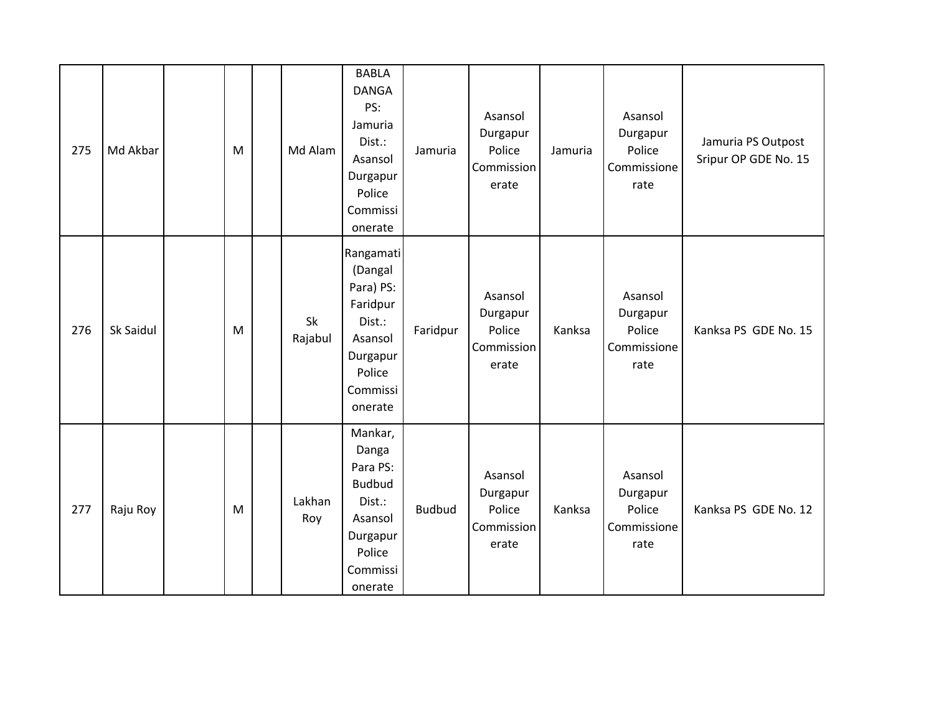| 275 | Md Akbar  | M | Md Alam       | <b>BABLA</b><br><b>DANGA</b><br>PS:<br>Jamuria<br>Dist.:<br>Asansol<br>Durgapur<br>Police<br>Commissi<br>onerate | Jamuria       | Asansol<br>Durgapur<br>Police<br>Commission<br>erate | Jamuria | Asansol<br>Durgapur<br>Police<br>Commissione<br>rate | Jamuria PS Outpost<br>Sripur OP GDE No. 15 |
|-----|-----------|---|---------------|------------------------------------------------------------------------------------------------------------------|---------------|------------------------------------------------------|---------|------------------------------------------------------|--------------------------------------------|
| 276 | Sk Saidul | M | Sk<br>Rajabul | Rangamati<br>(Dangal<br>Para) PS:<br>Faridpur<br>Dist.:<br>Asansol<br>Durgapur<br>Police<br>Commissi<br>onerate  | Faridpur      | Asansol<br>Durgapur<br>Police<br>Commission<br>erate | Kanksa  | Asansol<br>Durgapur<br>Police<br>Commissione<br>rate | Kanksa PS GDE No. 15                       |
| 277 | Raju Roy  | M | Lakhan<br>Roy | Mankar,<br>Danga<br>Para PS:<br><b>Budbud</b><br>Dist.:<br>Asansol<br>Durgapur<br>Police<br>Commissi<br>onerate  | <b>Budbud</b> | Asansol<br>Durgapur<br>Police<br>Commission<br>erate | Kanksa  | Asansol<br>Durgapur<br>Police<br>Commissione<br>rate | Kanksa PS GDE No. 12                       |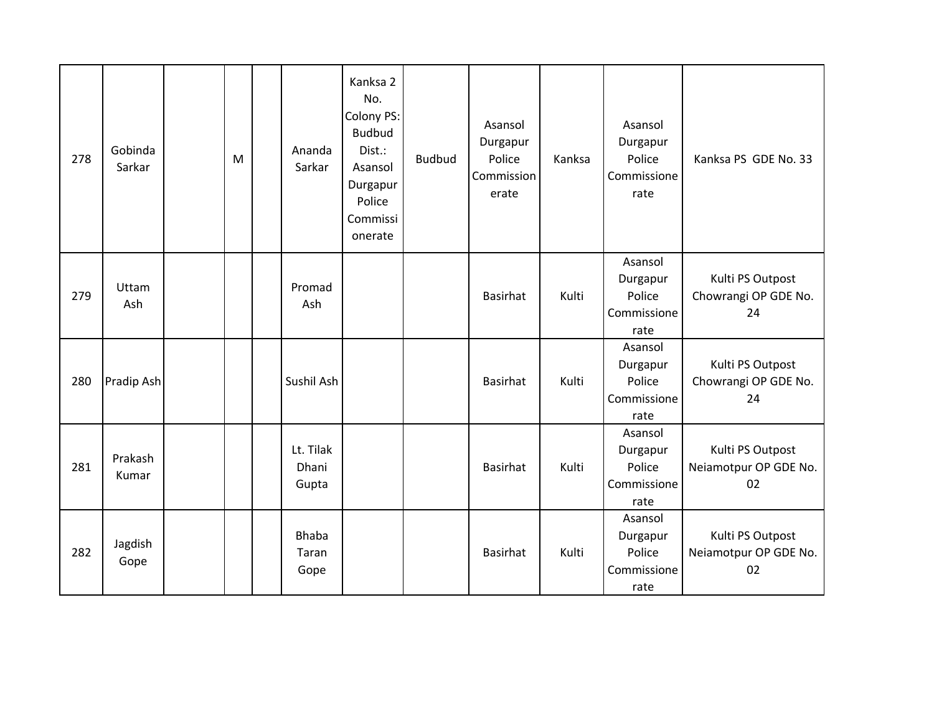| 278 | Gobinda<br>Sarkar | M | Ananda<br>Sarkar              | Kanksa 2<br>No.<br>Colony PS:<br><b>Budbud</b><br>Dist.:<br>Asansol<br>Durgapur<br>Police<br>Commissi<br>onerate | <b>Budbud</b> | Asansol<br>Durgapur<br>Police<br>Commission<br>erate | Kanksa | Asansol<br>Durgapur<br>Police<br>Commissione<br>rate | Kanksa PS GDE No. 33                            |
|-----|-------------------|---|-------------------------------|------------------------------------------------------------------------------------------------------------------|---------------|------------------------------------------------------|--------|------------------------------------------------------|-------------------------------------------------|
| 279 | Uttam<br>Ash      |   | Promad<br>Ash                 |                                                                                                                  |               | <b>Basirhat</b>                                      | Kulti  | Asansol<br>Durgapur<br>Police<br>Commissione<br>rate | Kulti PS Outpost<br>Chowrangi OP GDE No.<br>24  |
| 280 | Pradip Ash        |   | Sushil Ash                    |                                                                                                                  |               | Basirhat                                             | Kulti  | Asansol<br>Durgapur<br>Police<br>Commissione<br>rate | Kulti PS Outpost<br>Chowrangi OP GDE No.<br>24  |
| 281 | Prakash<br>Kumar  |   | Lt. Tilak<br>Dhani<br>Gupta   |                                                                                                                  |               | <b>Basirhat</b>                                      | Kulti  | Asansol<br>Durgapur<br>Police<br>Commissione<br>rate | Kulti PS Outpost<br>Neiamotpur OP GDE No.<br>02 |
| 282 | Jagdish<br>Gope   |   | <b>Bhaba</b><br>Taran<br>Gope |                                                                                                                  |               | <b>Basirhat</b>                                      | Kulti  | Asansol<br>Durgapur<br>Police<br>Commissione<br>rate | Kulti PS Outpost<br>Neiamotpur OP GDE No.<br>02 |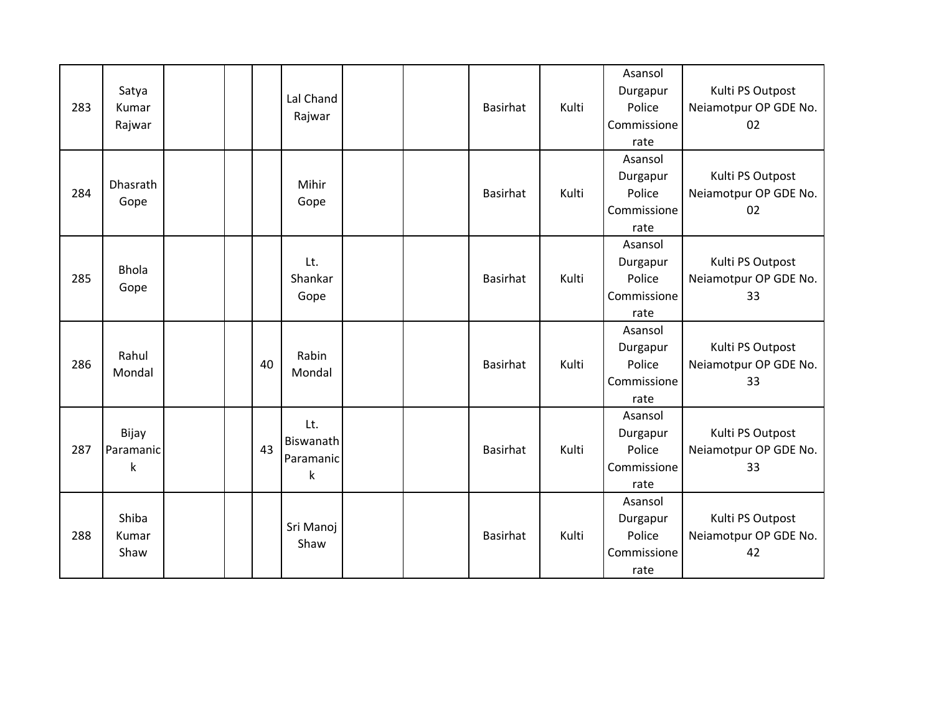| 283 | Satya<br>Kumar<br>Rajwar          |  |    | Lal Chand<br>Rajwar                          |  | <b>Basirhat</b> | Kulti | Asansol<br>Durgapur<br>Police<br>Commissione<br>rate | Kulti PS Outpost<br>Neiamotpur OP GDE No.<br>02 |
|-----|-----------------------------------|--|----|----------------------------------------------|--|-----------------|-------|------------------------------------------------------|-------------------------------------------------|
| 284 | <b>Dhasrath</b><br>Gope           |  |    | Mihir<br>Gope                                |  | <b>Basirhat</b> | Kulti | Asansol<br>Durgapur<br>Police<br>Commissione<br>rate | Kulti PS Outpost<br>Neiamotpur OP GDE No.<br>02 |
| 285 | <b>Bhola</b><br>Gope              |  |    | Lt.<br>Shankar<br>Gope                       |  | <b>Basirhat</b> | Kulti | Asansol<br>Durgapur<br>Police<br>Commissione<br>rate | Kulti PS Outpost<br>Neiamotpur OP GDE No.<br>33 |
| 286 | Rahul<br>Mondal                   |  | 40 | Rabin<br>Mondal                              |  | <b>Basirhat</b> | Kulti | Asansol<br>Durgapur<br>Police<br>Commissione<br>rate | Kulti PS Outpost<br>Neiamotpur OP GDE No.<br>33 |
| 287 | Bijay<br>Paramanic<br>$\mathsf k$ |  | 43 | Lt.<br>Biswanath<br>Paramanic<br>$\mathsf k$ |  | <b>Basirhat</b> | Kulti | Asansol<br>Durgapur<br>Police<br>Commissione<br>rate | Kulti PS Outpost<br>Neiamotpur OP GDE No.<br>33 |
| 288 | Shiba<br>Kumar<br>Shaw            |  |    | Sri Manoj<br>Shaw                            |  | <b>Basirhat</b> | Kulti | Asansol<br>Durgapur<br>Police<br>Commissione<br>rate | Kulti PS Outpost<br>Neiamotpur OP GDE No.<br>42 |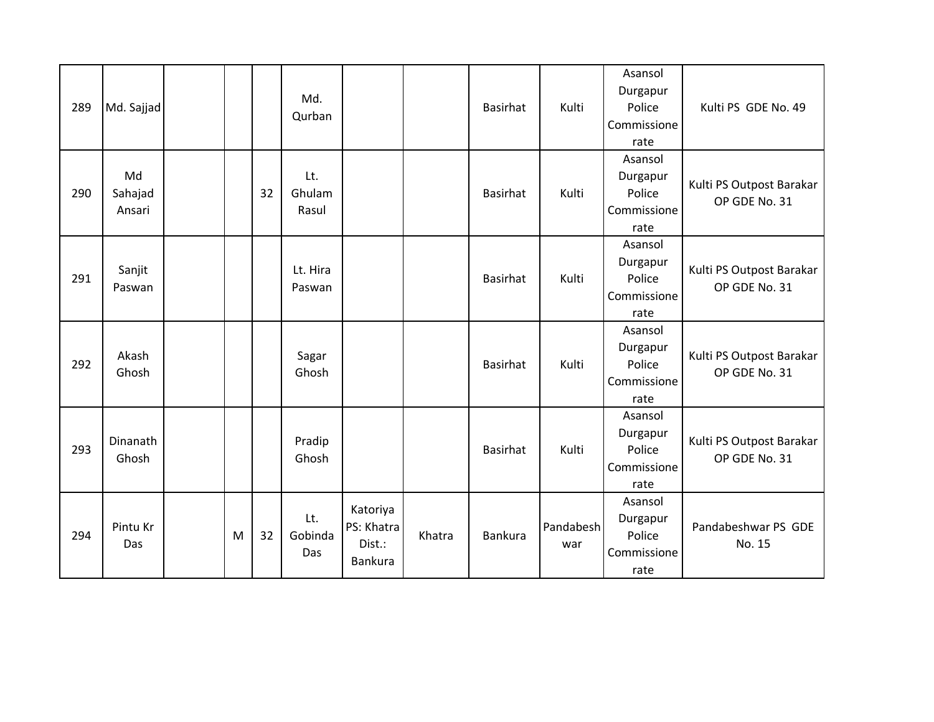| 289 | Md. Sajjad              |   |    | Md.<br>Qurban          |                                             |        | <b>Basirhat</b> | Kulti            | Asansol<br>Durgapur<br>Police<br>Commissione<br>rate | Kulti PS GDE No. 49                       |
|-----|-------------------------|---|----|------------------------|---------------------------------------------|--------|-----------------|------------------|------------------------------------------------------|-------------------------------------------|
| 290 | Md<br>Sahajad<br>Ansari |   | 32 | Lt.<br>Ghulam<br>Rasul |                                             |        | <b>Basirhat</b> | Kulti            | Asansol<br>Durgapur<br>Police<br>Commissione<br>rate | Kulti PS Outpost Barakar<br>OP GDE No. 31 |
| 291 | Sanjit<br>Paswan        |   |    | Lt. Hira<br>Paswan     |                                             |        | <b>Basirhat</b> | Kulti            | Asansol<br>Durgapur<br>Police<br>Commissione<br>rate | Kulti PS Outpost Barakar<br>OP GDE No. 31 |
| 292 | Akash<br>Ghosh          |   |    | Sagar<br>Ghosh         |                                             |        | <b>Basirhat</b> | Kulti            | Asansol<br>Durgapur<br>Police<br>Commissione<br>rate | Kulti PS Outpost Barakar<br>OP GDE No. 31 |
| 293 | Dinanath<br>Ghosh       |   |    | Pradip<br>Ghosh        |                                             |        | <b>Basirhat</b> | Kulti            | Asansol<br>Durgapur<br>Police<br>Commissione<br>rate | Kulti PS Outpost Barakar<br>OP GDE No. 31 |
| 294 | Pintu Kr<br>Das         | M | 32 | Lt.<br>Gobinda<br>Das  | Katoriya<br>PS: Khatra<br>Dist.:<br>Bankura | Khatra | Bankura         | Pandabesh<br>war | Asansol<br>Durgapur<br>Police<br>Commissione<br>rate | Pandabeshwar PS GDE<br>No. 15             |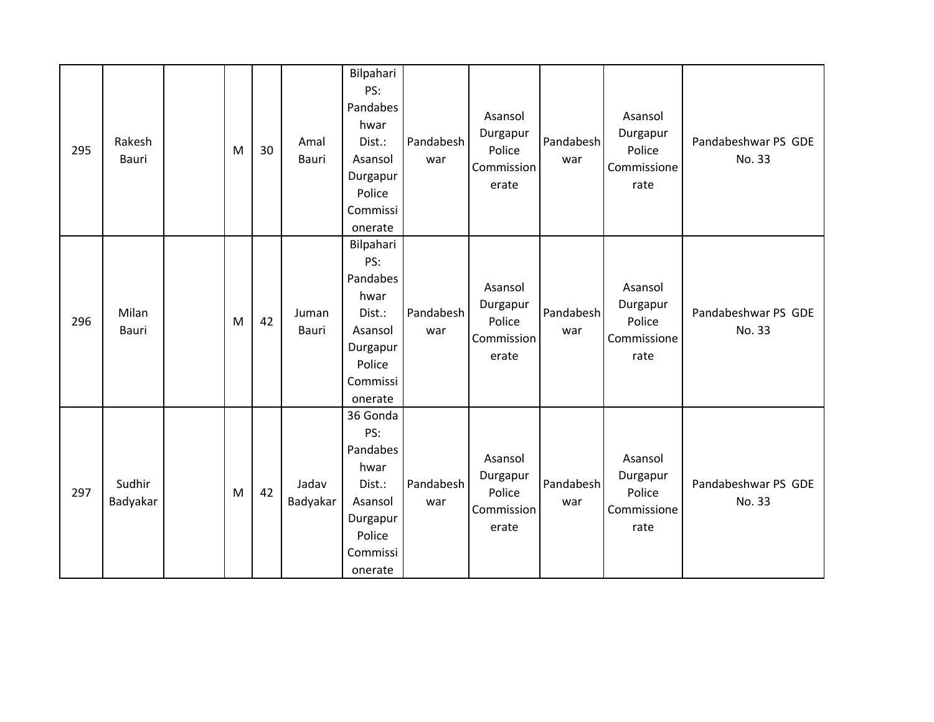| 295 | Rakesh<br>Bauri    | M | 30 | Amal<br>Bauri     | Bilpahari<br>PS:<br>Pandabes<br>hwar<br>Dist.:<br>Asansol<br>Durgapur<br>Police<br>Commissi<br>onerate | Pandabesh<br>war | Asansol<br>Durgapur<br>Police<br>Commission<br>erate | Pandabesh<br>war | Asansol<br>Durgapur<br>Police<br>Commissione<br>rate | Pandabeshwar PS GDE<br>No. 33 |
|-----|--------------------|---|----|-------------------|--------------------------------------------------------------------------------------------------------|------------------|------------------------------------------------------|------------------|------------------------------------------------------|-------------------------------|
| 296 | Milan<br>Bauri     | M | 42 | Juman<br>Bauri    | Bilpahari<br>PS:<br>Pandabes<br>hwar<br>Dist.:<br>Asansol<br>Durgapur<br>Police<br>Commissi<br>onerate | Pandabesh<br>war | Asansol<br>Durgapur<br>Police<br>Commission<br>erate | Pandabesh<br>war | Asansol<br>Durgapur<br>Police<br>Commissione<br>rate | Pandabeshwar PS GDE<br>No. 33 |
| 297 | Sudhir<br>Badyakar | M | 42 | Jadav<br>Badyakar | 36 Gonda<br>PS:<br>Pandabes<br>hwar<br>Dist.:<br>Asansol<br>Durgapur<br>Police<br>Commissi<br>onerate  | Pandabesh<br>war | Asansol<br>Durgapur<br>Police<br>Commission<br>erate | Pandabesh<br>war | Asansol<br>Durgapur<br>Police<br>Commissione<br>rate | Pandabeshwar PS GDE<br>No. 33 |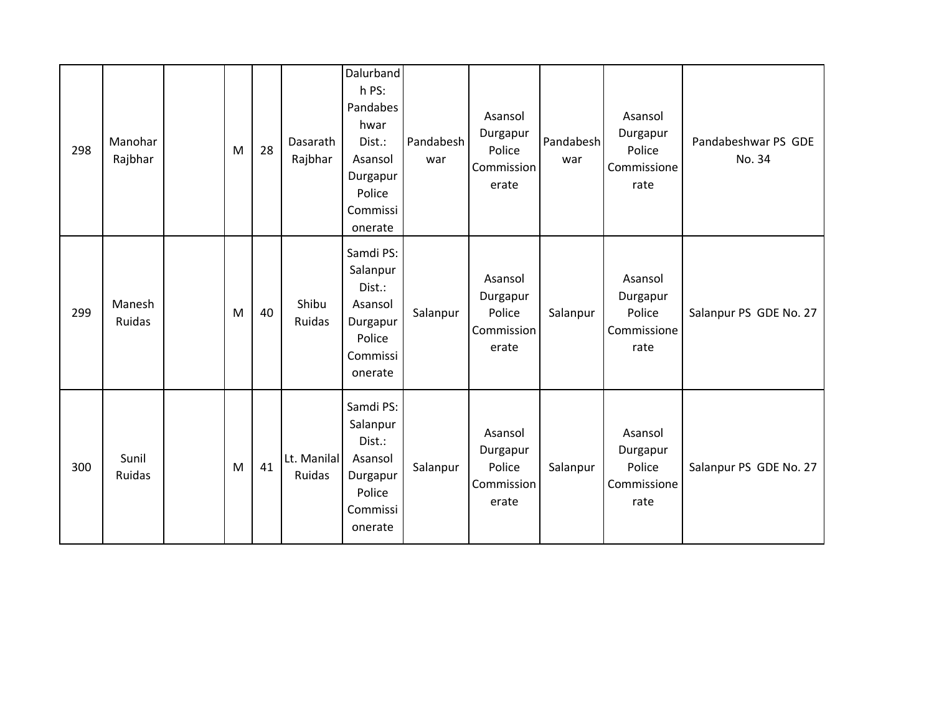| 298 | Manohar<br>Rajbhar | M | 28 | Dasarath<br>Rajbhar   | Dalurband<br>h PS:<br>Pandabes<br>hwar<br>Dist.:<br>Asansol<br>Durgapur<br>Police<br>Commissi<br>onerate | Pandabesh<br>war | Asansol<br>Durgapur<br>Police<br>Commission<br>erate | Pandabesh<br>war | Asansol<br>Durgapur<br>Police<br>Commissione<br>rate | Pandabeshwar PS GDE<br>No. 34 |
|-----|--------------------|---|----|-----------------------|----------------------------------------------------------------------------------------------------------|------------------|------------------------------------------------------|------------------|------------------------------------------------------|-------------------------------|
| 299 | Manesh<br>Ruidas   | M | 40 | Shibu<br>Ruidas       | Samdi PS:<br>Salanpur<br>Dist.:<br>Asansol<br>Durgapur<br>Police<br>Commissi<br>onerate                  | Salanpur         | Asansol<br>Durgapur<br>Police<br>Commission<br>erate | Salanpur         | Asansol<br>Durgapur<br>Police<br>Commissione<br>rate | Salanpur PS GDE No. 27        |
| 300 | Sunil<br>Ruidas    | M | 41 | Lt. Manilal<br>Ruidas | Samdi PS:<br>Salanpur<br>Dist.:<br>Asansol<br>Durgapur<br>Police<br>Commissi<br>onerate                  | Salanpur         | Asansol<br>Durgapur<br>Police<br>Commission<br>erate | Salanpur         | Asansol<br>Durgapur<br>Police<br>Commissione<br>rate | Salanpur PS GDE No. 27        |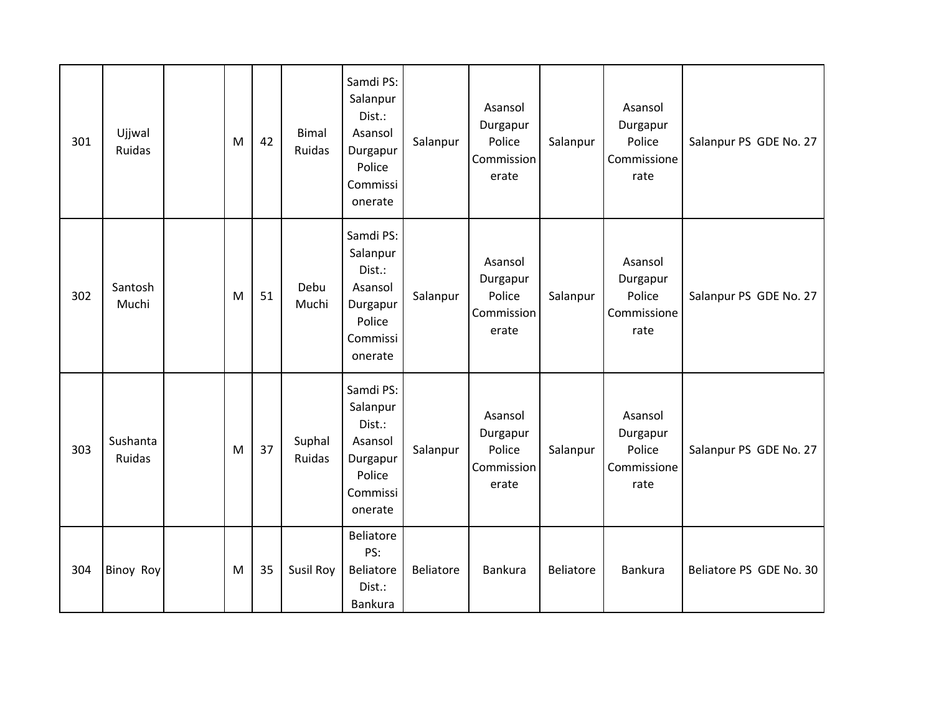| 301 | Ujjwal<br>Ruidas   | M | 42 | <b>Bimal</b><br>Ruidas | Samdi PS:<br>Salanpur<br>Dist.:<br>Asansol<br>Durgapur<br>Police<br>Commissi<br>onerate | Salanpur  | Asansol<br>Durgapur<br>Police<br>Commission<br>erate | Salanpur  | Asansol<br>Durgapur<br>Police<br>Commissione<br>rate | Salanpur PS GDE No. 27  |
|-----|--------------------|---|----|------------------------|-----------------------------------------------------------------------------------------|-----------|------------------------------------------------------|-----------|------------------------------------------------------|-------------------------|
| 302 | Santosh<br>Muchi   | M | 51 | Debu<br>Muchi          | Samdi PS:<br>Salanpur<br>Dist.:<br>Asansol<br>Durgapur<br>Police<br>Commissi<br>onerate | Salanpur  | Asansol<br>Durgapur<br>Police<br>Commission<br>erate | Salanpur  | Asansol<br>Durgapur<br>Police<br>Commissione<br>rate | Salanpur PS GDE No. 27  |
| 303 | Sushanta<br>Ruidas | M | 37 | Suphal<br>Ruidas       | Samdi PS:<br>Salanpur<br>Dist.:<br>Asansol<br>Durgapur<br>Police<br>Commissi<br>onerate | Salanpur  | Asansol<br>Durgapur<br>Police<br>Commission<br>erate | Salanpur  | Asansol<br>Durgapur<br>Police<br>Commissione<br>rate | Salanpur PS GDE No. 27  |
| 304 | <b>Binoy Roy</b>   | M | 35 | Susil Roy              | Beliatore<br>PS:<br>Beliatore<br>Dist.:<br><b>Bankura</b>                               | Beliatore | <b>Bankura</b>                                       | Beliatore | <b>Bankura</b>                                       | Beliatore PS GDE No. 30 |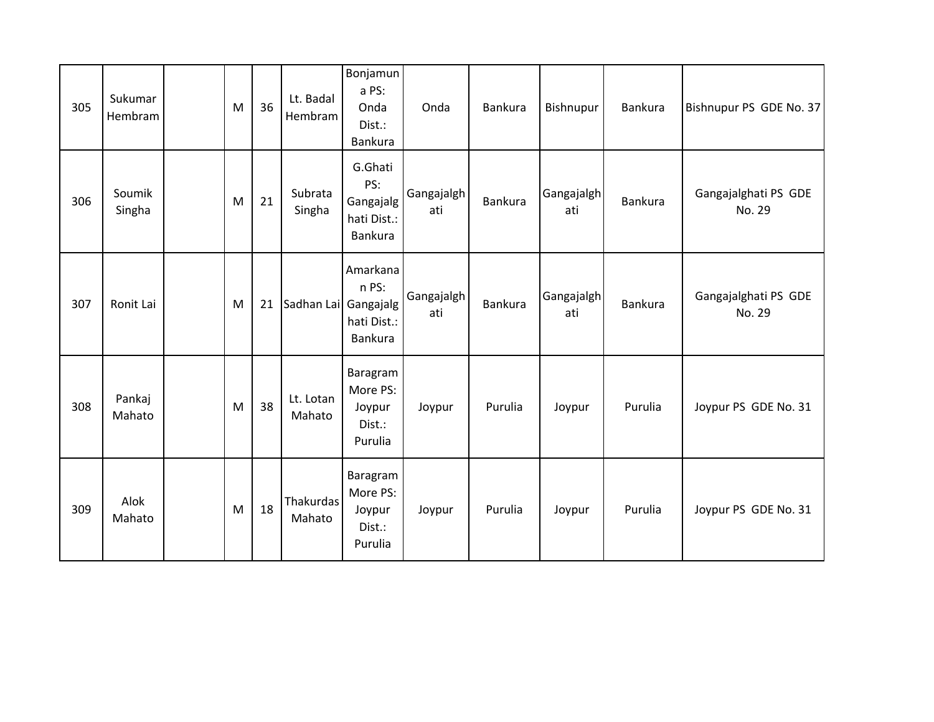| 305 | Sukumar<br>Hembram | M | 36 | Lt. Badal<br>Hembram | Bonjamun<br>a PS:<br>Onda<br>Dist.:<br>Bankura        | Onda              | Bankura        | Bishnupur         | Bankura | Bishnupur PS GDE No. 37        |
|-----|--------------------|---|----|----------------------|-------------------------------------------------------|-------------------|----------------|-------------------|---------|--------------------------------|
| 306 | Soumik<br>Singha   | M | 21 | Subrata<br>Singha    | G.Ghati<br>PS:<br>Gangajalg<br>hati Dist.:<br>Bankura | Gangajalgh<br>ati | <b>Bankura</b> | Gangajalgh<br>ati | Bankura | Gangajalghati PS GDE<br>No. 29 |
| 307 | Ronit Lai          | M | 21 | Sadhan Lai Gangajalg | Amarkana<br>n PS:<br>hati Dist.:<br>Bankura           | Gangajalgh<br>ati | Bankura        | Gangajalgh<br>ati | Bankura | Gangajalghati PS GDE<br>No. 29 |
| 308 | Pankaj<br>Mahato   | M | 38 | Lt. Lotan<br>Mahato  | Baragram<br>More PS:<br>Joypur<br>Dist.:<br>Purulia   | Joypur            | Purulia        | Joypur            | Purulia | Joypur PS GDE No. 31           |
| 309 | Alok<br>Mahato     | M | 18 | Thakurdas<br>Mahato  | Baragram<br>More PS:<br>Joypur<br>Dist.:<br>Purulia   | Joypur            | Purulia        | Joypur            | Purulia | Joypur PS GDE No. 31           |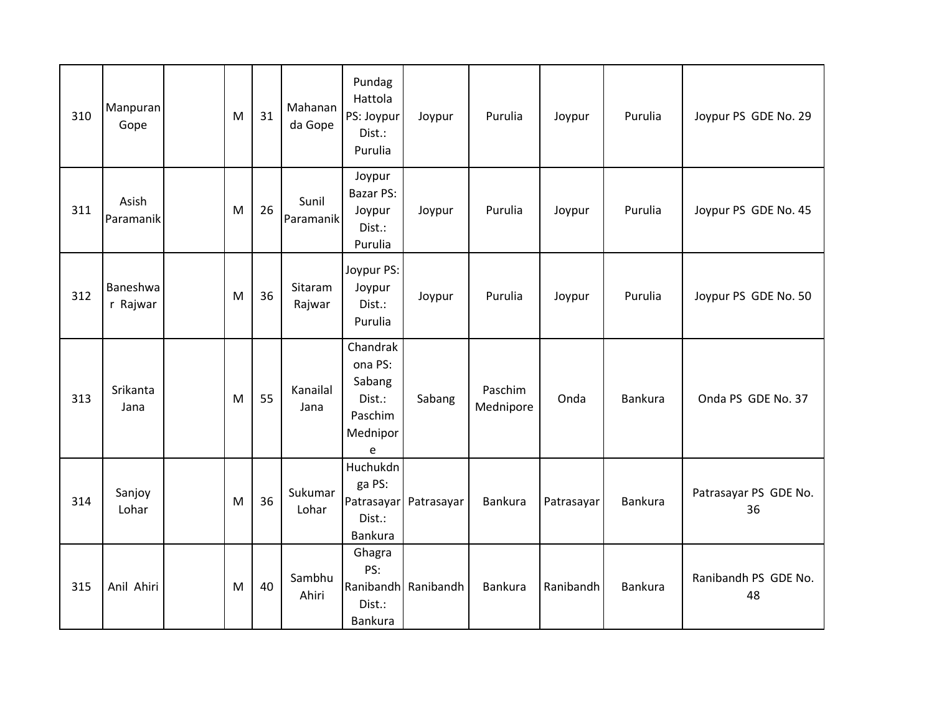| 310 | Manpuran<br>Gope     | M | 31 | Mahanan<br>da Gope | Pundag<br>Hattola<br>PS: Joypur<br>Dist.:<br>Purulia                | Joypur                | Purulia              | Joypur     | Purulia        | Joypur PS GDE No. 29        |
|-----|----------------------|---|----|--------------------|---------------------------------------------------------------------|-----------------------|----------------------|------------|----------------|-----------------------------|
| 311 | Asish<br>Paramanik   | M | 26 | Sunil<br>Paramanik | Joypur<br><b>Bazar PS:</b><br>Joypur<br>Dist.:<br>Purulia           | Joypur                | Purulia              | Joypur     | Purulia        | Joypur PS GDE No. 45        |
| 312 | Baneshwa<br>r Rajwar | M | 36 | Sitaram<br>Rajwar  | Joypur PS:<br>Joypur<br>Dist.:<br>Purulia                           | Joypur                | Purulia              | Joypur     | Purulia        | Joypur PS GDE No. 50        |
| 313 | Srikanta<br>Jana     | M | 55 | Kanailal<br>Jana   | Chandrak<br>ona PS:<br>Sabang<br>Dist.:<br>Paschim<br>Mednipor<br>e | Sabang                | Paschim<br>Mednipore | Onda       | Bankura        | Onda PS GDE No. 37          |
| 314 | Sanjoy<br>Lohar      | M | 36 | Sukumar<br>Lohar   | Huchukdn<br>ga PS:<br>Dist.:<br><b>Bankura</b>                      | Patrasayar Patrasayar | Bankura              | Patrasayar | <b>Bankura</b> | Patrasayar PS GDE No.<br>36 |
| 315 | Anil Ahiri           | M | 40 | Sambhu<br>Ahiri    | Ghagra<br>PS:<br>Dist.:<br>Bankura                                  | Ranibandh Ranibandh   | <b>Bankura</b>       | Ranibandh  | <b>Bankura</b> | Ranibandh PS GDE No.<br>48  |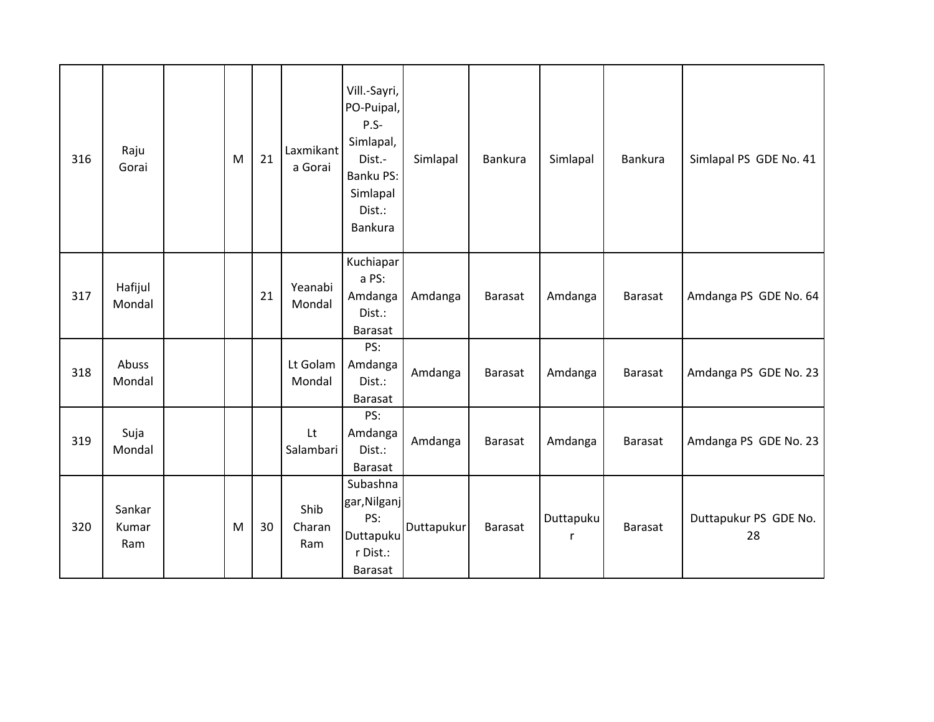| 316 | Raju<br>Gorai          | M | 21 | Laxmikant<br>a Gorai  | Vill.-Sayri,<br>PO-Puipal,<br>$P.S-$<br>Simlapal,<br>Dist.-<br>Banku PS:<br>Simlapal<br>Dist.:<br>Bankura | Simlapal   | Bankura        | Simlapal       | Bankura        | Simlapal PS GDE No. 41      |
|-----|------------------------|---|----|-----------------------|-----------------------------------------------------------------------------------------------------------|------------|----------------|----------------|----------------|-----------------------------|
| 317 | Hafijul<br>Mondal      |   | 21 | Yeanabi<br>Mondal     | Kuchiapar<br>a PS:<br>Amdanga<br>Dist.:<br>Barasat                                                        | Amdanga    | Barasat        | Amdanga        | Barasat        | Amdanga PS GDE No. 64       |
| 318 | Abuss<br>Mondal        |   |    | Lt Golam<br>Mondal    | PS:<br>Amdanga<br>Dist.:<br>Barasat                                                                       | Amdanga    | Barasat        | Amdanga        | <b>Barasat</b> | Amdanga PS GDE No. 23       |
| 319 | Suja<br>Mondal         |   |    | Lt<br>Salambari       | PS:<br>Amdanga<br>Dist.:<br>Barasat                                                                       | Amdanga    | Barasat        | Amdanga        | Barasat        | Amdanga PS GDE No. 23       |
| 320 | Sankar<br>Kumar<br>Ram | M | 30 | Shib<br>Charan<br>Ram | Subashna<br>gar, Nilganj<br>PS:<br>Duttapuku<br>r Dist.:<br>Barasat                                       | Duttapukur | <b>Barasat</b> | Duttapuku<br>r | <b>Barasat</b> | Duttapukur PS GDE No.<br>28 |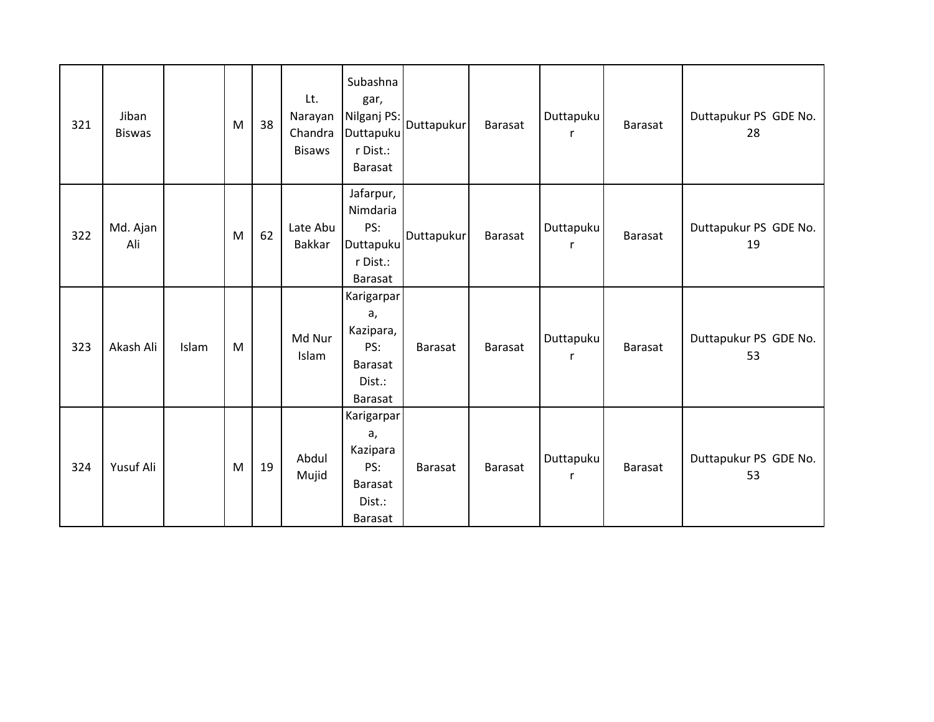| 321 | Jiban<br><b>Biswas</b> |       | M | 38 | Lt.<br>Narayan<br>Chandra<br><b>Bisaws</b> | Subashna<br>gar,<br>Nilganj PS:<br>Duttapuku<br>r Dist.:<br>Barasat         | Duttapukur     | Barasat        | Duttapuku<br>r | Barasat | Duttapukur PS GDE No.<br>28 |
|-----|------------------------|-------|---|----|--------------------------------------------|-----------------------------------------------------------------------------|----------------|----------------|----------------|---------|-----------------------------|
| 322 | Md. Ajan<br>Ali        |       | M | 62 | Late Abu<br><b>Bakkar</b>                  | Jafarpur,<br>Nimdaria<br>PS:<br>Duttapuku<br>r Dist.:<br>Barasat            | Duttapukur     | <b>Barasat</b> | Duttapuku<br>r | Barasat | Duttapukur PS GDE No.<br>19 |
| 323 | Akash Ali              | Islam | M |    | Md Nur<br>Islam                            | Karigarpar<br>a,<br>Kazipara,<br>PS:<br><b>Barasat</b><br>Dist.:<br>Barasat | <b>Barasat</b> | <b>Barasat</b> | Duttapuku<br>r | Barasat | Duttapukur PS GDE No.<br>53 |
| 324 | Yusuf Ali              |       | M | 19 | Abdul<br>Mujid                             | Karigarpar<br>a,<br>Kazipara<br>PS:<br>Barasat<br>Dist.:<br>Barasat         | <b>Barasat</b> | <b>Barasat</b> | Duttapuku<br>r | Barasat | Duttapukur PS GDE No.<br>53 |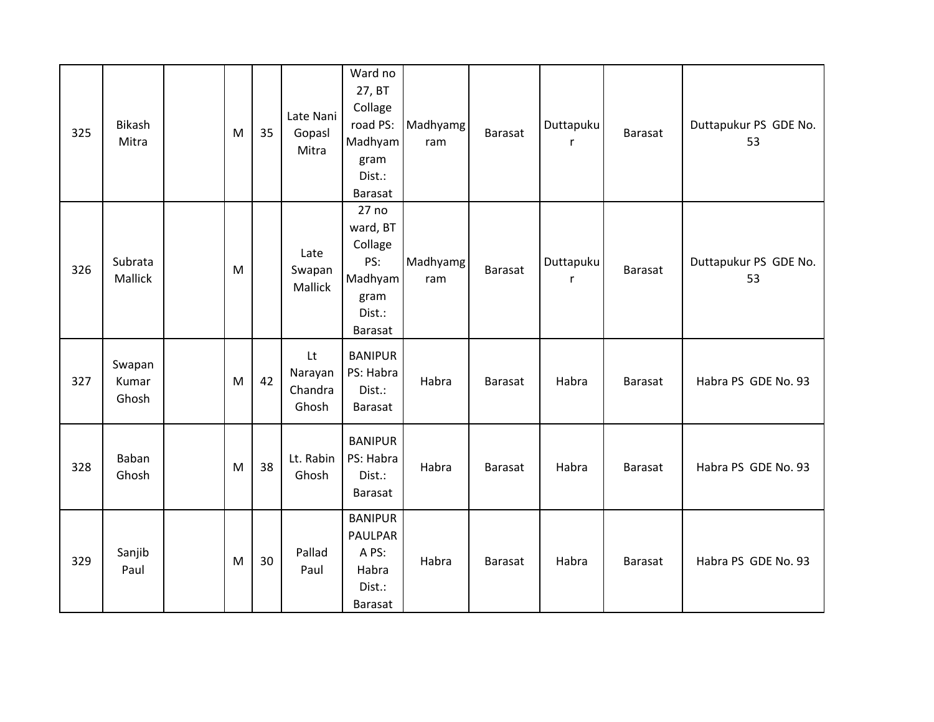| 325 | Bikash<br>Mitra          | M | 35 | Late Nani<br>Gopasl<br>Mitra      | Ward no<br>27, BT<br>Collage<br>road PS:<br>Madhyam<br>gram<br>Dist.:<br>Barasat | Madhyamg<br>ram | <b>Barasat</b> | Duttapuku<br>r | Barasat | Duttapukur PS GDE No.<br>53 |
|-----|--------------------------|---|----|-----------------------------------|----------------------------------------------------------------------------------|-----------------|----------------|----------------|---------|-----------------------------|
| 326 | Subrata<br>Mallick       | M |    | Late<br>Swapan<br>Mallick         | 27 no<br>ward, BT<br>Collage<br>PS:<br>Madhyam<br>gram<br>Dist.:<br>Barasat      | Madhyamg<br>ram | Barasat        | Duttapuku<br>r | Barasat | Duttapukur PS GDE No.<br>53 |
| 327 | Swapan<br>Kumar<br>Ghosh | M | 42 | Lt<br>Narayan<br>Chandra<br>Ghosh | <b>BANIPUR</b><br>PS: Habra<br>Dist.:<br><b>Barasat</b>                          | Habra           | Barasat        | Habra          | Barasat | Habra PS GDE No. 93         |
| 328 | Baban<br>Ghosh           | M | 38 | Lt. Rabin<br>Ghosh                | <b>BANIPUR</b><br>PS: Habra<br>Dist.:<br><b>Barasat</b>                          | Habra           | Barasat        | Habra          | Barasat | Habra PS GDE No. 93         |
| 329 | Sanjib<br>Paul           | M | 30 | Pallad<br>Paul                    | <b>BANIPUR</b><br><b>PAULPAR</b><br>A PS:<br>Habra<br>Dist.:<br><b>Barasat</b>   | Habra           | Barasat        | Habra          | Barasat | Habra PS GDE No. 93         |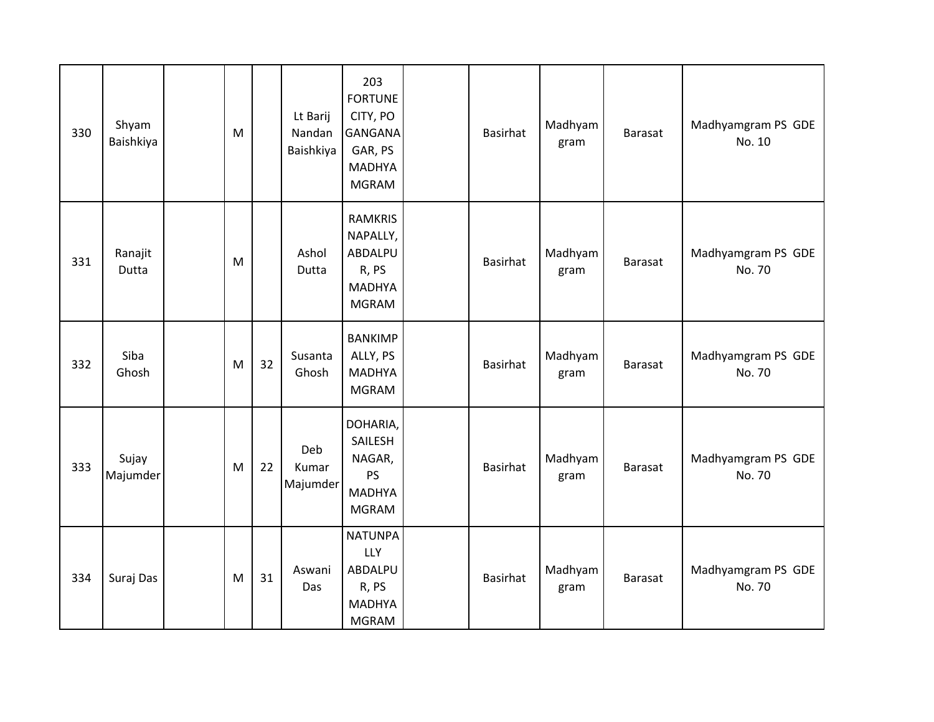| 330 | Shyam<br>Baishkiya | M |    | Lt Barij<br>Nandan<br>Baishkiya | 203<br><b>FORTUNE</b><br>CITY, PO<br><b>GANGANA</b><br>GAR, PS<br><b>MADHYA</b><br><b>MGRAM</b> | Basirhat        | Madhyam<br>gram | Barasat        | Madhyamgram PS GDE<br>No. 10 |
|-----|--------------------|---|----|---------------------------------|-------------------------------------------------------------------------------------------------|-----------------|-----------------|----------------|------------------------------|
| 331 | Ranajit<br>Dutta   | M |    | Ashol<br>Dutta                  | <b>RAMKRIS</b><br>NAPALLY,<br>ABDALPU<br>R, PS<br><b>MADHYA</b><br><b>MGRAM</b>                 | <b>Basirhat</b> | Madhyam<br>gram | <b>Barasat</b> | Madhyamgram PS GDE<br>No. 70 |
| 332 | Siba<br>Ghosh      | M | 32 | Susanta<br>Ghosh                | <b>BANKIMP</b><br>ALLY, PS<br><b>MADHYA</b><br><b>MGRAM</b>                                     | <b>Basirhat</b> | Madhyam<br>gram | Barasat        | Madhyamgram PS GDE<br>No. 70 |
| 333 | Sujay<br>Majumder  | M | 22 | Deb<br>Kumar<br>Majumder        | DOHARIA,<br>SAILESH<br>NAGAR,<br>PS<br><b>MADHYA</b><br><b>MGRAM</b>                            | <b>Basirhat</b> | Madhyam<br>gram | Barasat        | Madhyamgram PS GDE<br>No. 70 |
| 334 | Suraj Das          | M | 31 | Aswani<br>Das                   | <b>NATUNPA</b><br><b>LLY</b><br>ABDALPU<br>R, PS<br><b>MADHYA</b><br><b>MGRAM</b>               | Basirhat        | Madhyam<br>gram | <b>Barasat</b> | Madhyamgram PS GDE<br>No. 70 |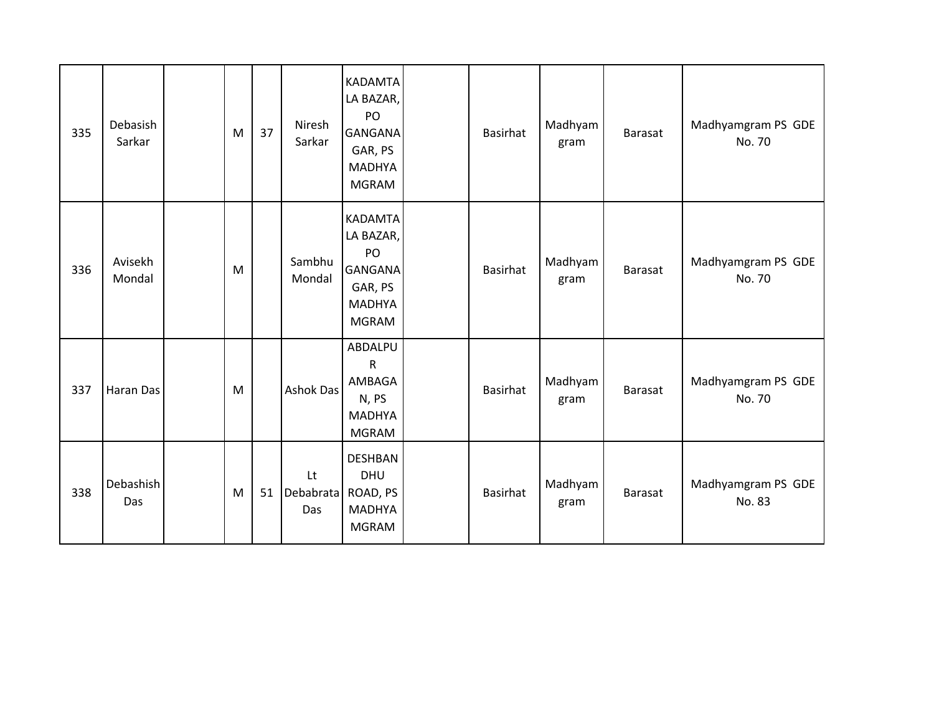| 335 | Debasish<br>Sarkar | M | 37 | Niresh<br>Sarkar                | <b>KADAMTA</b><br>LA BAZAR,<br>PO<br><b>GANGANA</b><br>GAR, PS<br><b>MADHYA</b><br><b>MGRAM</b> | <b>Basirhat</b> | Madhyam<br>gram | Barasat        | Madhyamgram PS GDE<br>No. 70 |
|-----|--------------------|---|----|---------------------------------|-------------------------------------------------------------------------------------------------|-----------------|-----------------|----------------|------------------------------|
| 336 | Avisekh<br>Mondal  | M |    | Sambhu<br>Mondal                | <b>KADAMTA</b><br>LA BAZAR,<br>PO<br><b>GANGANA</b><br>GAR, PS<br><b>MADHYA</b><br><b>MGRAM</b> | <b>Basirhat</b> | Madhyam<br>gram | <b>Barasat</b> | Madhyamgram PS GDE<br>No. 70 |
| 337 | Haran Das          | M |    | Ashok Das                       | ABDALPU<br>$\mathsf{R}$<br>AMBAGA<br>N, PS<br><b>MADHYA</b><br><b>MGRAM</b>                     | <b>Basirhat</b> | Madhyam<br>gram | Barasat        | Madhyamgram PS GDE<br>No. 70 |
| 338 | Debashish<br>Das   | M | 51 | Lt<br>Debabrata ROAD, PS<br>Das | <b>DESHBAN</b><br><b>DHU</b><br><b>MADHYA</b><br><b>MGRAM</b>                                   | <b>Basirhat</b> | Madhyam<br>gram | <b>Barasat</b> | Madhyamgram PS GDE<br>No. 83 |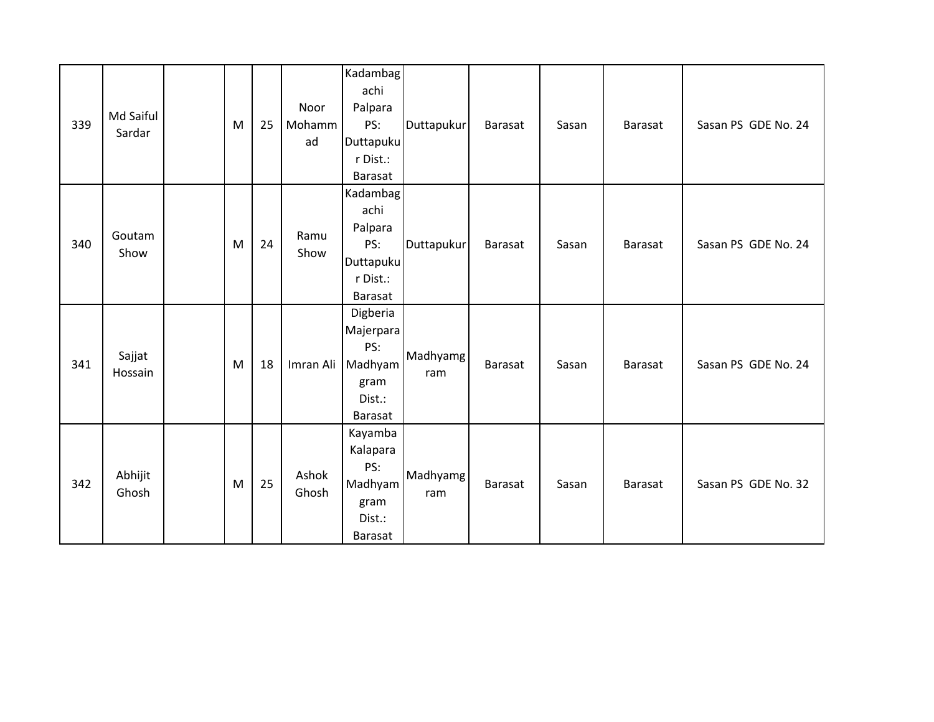| 339 | Md Saiful<br>Sardar | M | 25 | Noor<br>Mohamm<br>ad | Kadambag<br>achi<br>Palpara<br>PS:<br>Duttapuku<br>r Dist.:<br>Barasat               | Duttapukur      | Barasat | Sasan | <b>Barasat</b> | Sasan PS GDE No. 24 |
|-----|---------------------|---|----|----------------------|--------------------------------------------------------------------------------------|-----------------|---------|-------|----------------|---------------------|
| 340 | Goutam<br>Show      | M | 24 | Ramu<br>Show         | <b>Kadambag</b><br>achi<br>Palpara<br>PS:<br><b>Duttapuku</b><br>r Dist.:<br>Barasat | Duttapukur      | Barasat | Sasan | Barasat        | Sasan PS GDE No. 24 |
| 341 | Sajjat<br>Hossain   | M | 18 |                      | Digberia<br>Majerpara<br>PS:<br>Imran Ali Madhyam<br>gram<br>Dist.:<br>Barasat       | Madhyamg<br>ram | Barasat | Sasan | Barasat        | Sasan PS GDE No. 24 |
| 342 | Abhijit<br>Ghosh    | M | 25 | Ashok<br>Ghosh       | Kayamba<br>Kalapara<br>PS:<br>Madhyam<br>gram<br>Dist.:<br>Barasat                   | Madhyamg<br>ram | Barasat | Sasan | Barasat        | Sasan PS GDE No. 32 |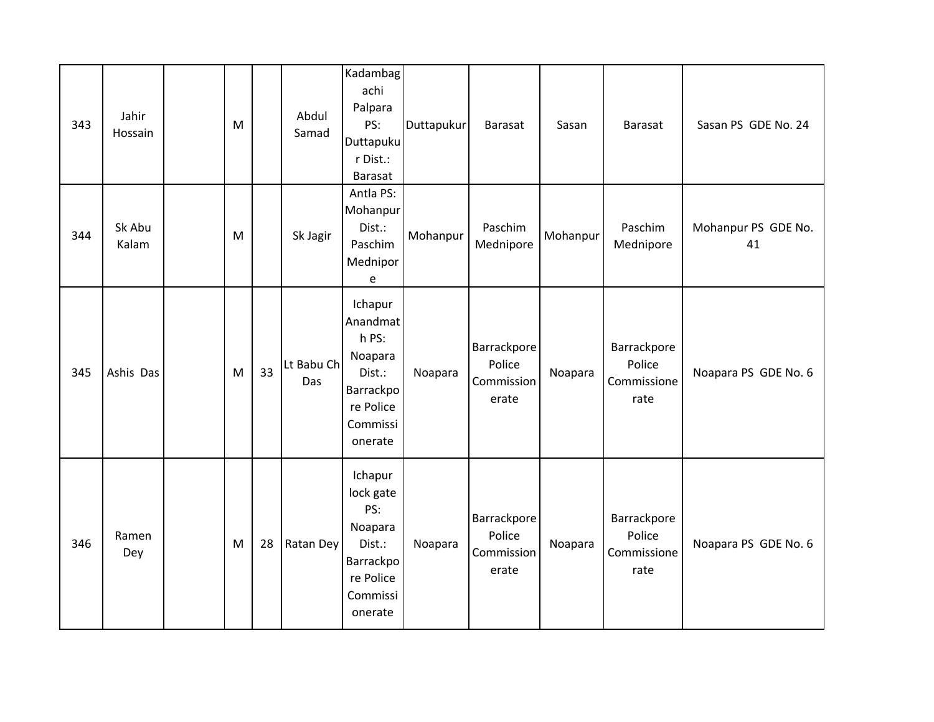| 343 | Jahir<br>Hossain | M |    | Abdul<br>Samad    | Kadambag<br>achi<br>Palpara<br>PS:<br>Duttapuku<br>r Dist.:<br>Barasat                             | Duttapukur | <b>Barasat</b>                               | Sasan    | Barasat                                      | Sasan PS GDE No. 24       |
|-----|------------------|---|----|-------------------|----------------------------------------------------------------------------------------------------|------------|----------------------------------------------|----------|----------------------------------------------|---------------------------|
| 344 | Sk Abu<br>Kalam  | M |    | Sk Jagir          | Antla PS:<br>Mohanpur<br>Dist.:<br>Paschim<br>Mednipor<br>e                                        | Mohanpur   | Paschim<br>Mednipore                         | Mohanpur | Paschim<br>Mednipore                         | Mohanpur PS GDE No.<br>41 |
| 345 | Ashis Das        | M | 33 | Lt Babu Ch<br>Das | Ichapur<br>Anandmat<br>h PS:<br>Noapara<br>Dist.:<br>Barrackpo<br>re Police<br>Commissi<br>onerate | Noapara    | Barrackpore<br>Police<br>Commission<br>erate | Noapara  | Barrackpore<br>Police<br>Commissione<br>rate | Noapara PS GDE No. 6      |
| 346 | Ramen<br>Dey     | M | 28 | Ratan Dey         | Ichapur<br>lock gate<br>PS:<br>Noapara<br>Dist.:<br>Barrackpo<br>re Police<br>Commissi<br>onerate  | Noapara    | Barrackpore<br>Police<br>Commission<br>erate | Noapara  | Barrackpore<br>Police<br>Commissione<br>rate | Noapara PS GDE No. 6      |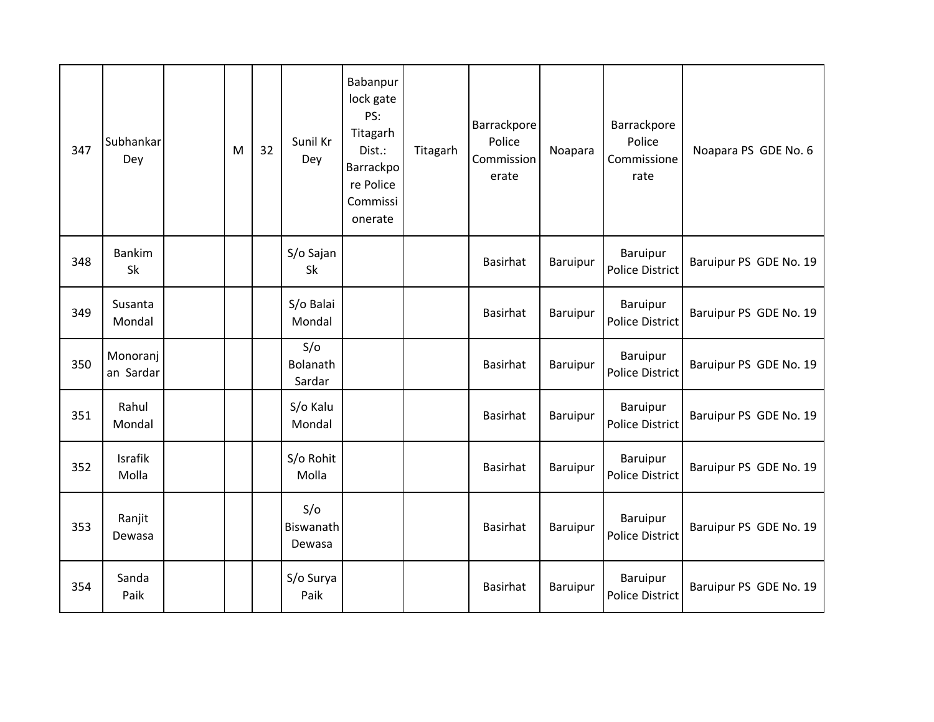| 347 | Subhankar<br>Dey        | M | 32 | Sunil Kr<br>Dey            | Babanpur<br>lock gate<br>PS:<br>Titagarh<br>Dist.:<br>Barrackpo<br>re Police<br>Commissi<br>onerate | Titagarh | Barrackpore<br>Police<br>Commission<br>erate | Noapara         | Barrackpore<br>Police<br>Commissione<br>rate | Noapara PS GDE No. 6   |
|-----|-------------------------|---|----|----------------------------|-----------------------------------------------------------------------------------------------------|----------|----------------------------------------------|-----------------|----------------------------------------------|------------------------|
| 348 | <b>Bankim</b><br>Sk     |   |    | S/o Sajan<br>Sk            |                                                                                                     |          | <b>Basirhat</b>                              | Baruipur        | Baruipur<br>Police District                  | Baruipur PS GDE No. 19 |
| 349 | Susanta<br>Mondal       |   |    | S/o Balai<br>Mondal        |                                                                                                     |          | <b>Basirhat</b>                              | Baruipur        | Baruipur<br><b>Police District</b>           | Baruipur PS GDE No. 19 |
| 350 | Monoranj<br>an Sardar   |   |    | S/O<br>Bolanath<br>Sardar  |                                                                                                     |          | <b>Basirhat</b>                              | Baruipur        | Baruipur<br>Police District                  | Baruipur PS GDE No. 19 |
| 351 | Rahul<br>Mondal         |   |    | S/o Kalu<br>Mondal         |                                                                                                     |          | <b>Basirhat</b>                              | Baruipur        | <b>Baruipur</b><br>Police District           | Baruipur PS GDE No. 19 |
| 352 | <b>Israfik</b><br>Molla |   |    | S/o Rohit<br>Molla         |                                                                                                     |          | <b>Basirhat</b>                              | <b>Baruipur</b> | Baruipur<br>Police District                  | Baruipur PS GDE No. 19 |
| 353 | Ranjit<br>Dewasa        |   |    | S/O<br>Biswanath<br>Dewasa |                                                                                                     |          | <b>Basirhat</b>                              | Baruipur        | <b>Baruipur</b><br>Police District           | Baruipur PS GDE No. 19 |
| 354 | Sanda<br>Paik           |   |    | S/o Surya<br>Paik          |                                                                                                     |          | <b>Basirhat</b>                              | Baruipur        | <b>Baruipur</b><br>Police District           | Baruipur PS GDE No. 19 |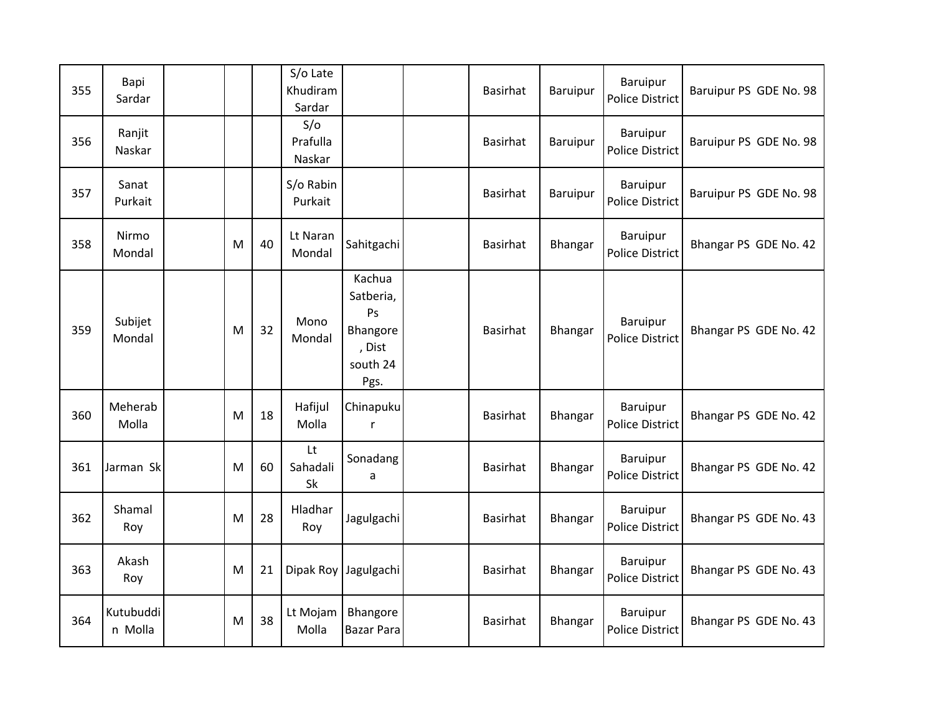| 355 | Bapi<br>Sardar       |   |    | S/o Late<br>Khudiram<br>Sardar |                                                                     | Basirhat        | Baruipur        | Baruipur<br><b>Police District</b> | Baruipur PS GDE No. 98 |
|-----|----------------------|---|----|--------------------------------|---------------------------------------------------------------------|-----------------|-----------------|------------------------------------|------------------------|
| 356 | Ranjit<br>Naskar     |   |    | S/O<br>Prafulla<br>Naskar      |                                                                     | Basirhat        | <b>Baruipur</b> | Baruipur<br>Police District        | Baruipur PS GDE No. 98 |
| 357 | Sanat<br>Purkait     |   |    | S/o Rabin<br>Purkait           |                                                                     | Basirhat        | <b>Baruipur</b> | Baruipur<br><b>Police District</b> | Baruipur PS GDE No. 98 |
| 358 | Nirmo<br>Mondal      | M | 40 | Lt Naran<br>Mondal             | Sahitgachi                                                          | <b>Basirhat</b> | Bhangar         | Baruipur<br><b>Police District</b> | Bhangar PS GDE No. 42  |
| 359 | Subijet<br>Mondal    | M | 32 | Mono<br>Mondal                 | Kachua<br>Satberia,<br>Ps<br>Bhangore<br>, Dist<br>south 24<br>Pgs. | Basirhat        | Bhangar         | Baruipur<br><b>Police District</b> | Bhangar PS GDE No. 42  |
| 360 | Meherab<br>Molla     | M | 18 | Hafijul<br>Molla               | Chinapuku<br>$\mathsf{r}$                                           | Basirhat        | Bhangar         | Baruipur<br><b>Police District</b> | Bhangar PS GDE No. 42  |
| 361 | Jarman Sk            | M | 60 | Lt<br>Sahadali<br>Sk           | Sonadang<br>a                                                       | Basirhat        | Bhangar         | Baruipur<br><b>Police District</b> | Bhangar PS GDE No. 42  |
| 362 | Shamal<br>Roy        | M | 28 | Hladhar<br>Roy                 | Jagulgachi                                                          | <b>Basirhat</b> | Bhangar         | Baruipur<br><b>Police District</b> | Bhangar PS GDE No. 43  |
| 363 | Akash<br>Roy         | M | 21 |                                | Dipak Roy Jagulgachi                                                | Basirhat        | <b>Bhangar</b>  | Baruipur<br><b>Police District</b> | Bhangar PS GDE No. 43  |
| 364 | Kutubuddi<br>n Molla | M | 38 | Lt Mojam<br>Molla              | Bhangore<br><b>Bazar Para</b>                                       | <b>Basirhat</b> | Bhangar         | Baruipur<br>Police District        | Bhangar PS GDE No. 43  |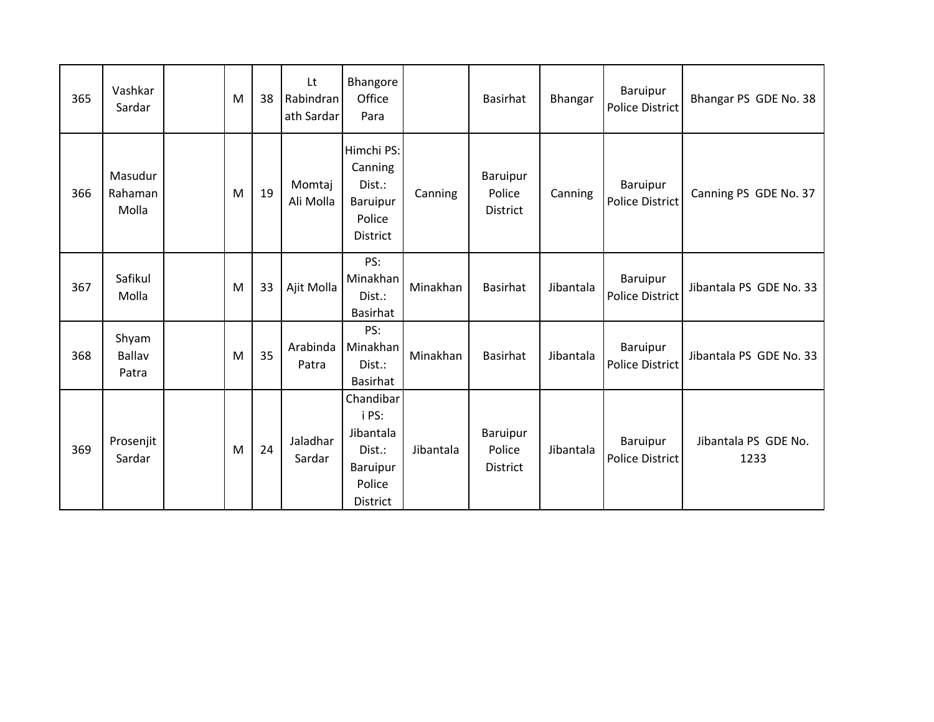| 365 | Vashkar<br>Sardar           | M | 38 | Lt<br>Rabindran<br>ath Sardar | Bhangore<br>Office<br>Para                                                                |           | Basirhat                              | Bhangar   | Baruipur<br>Police District        | Bhangar PS GDE No. 38        |
|-----|-----------------------------|---|----|-------------------------------|-------------------------------------------------------------------------------------------|-----------|---------------------------------------|-----------|------------------------------------|------------------------------|
| 366 | Masudur<br>Rahaman<br>Molla | M | 19 | Momtaj<br>Ali Molla           | Himchi PS:<br>Canning<br>Dist.:<br><b>Baruipur</b><br>Police<br><b>District</b>           | Canning   | Baruipur<br>Police<br><b>District</b> | Canning   | Baruipur<br>Police District        | Canning PS GDE No. 37        |
| 367 | Safikul<br>Molla            | M | 33 | Ajit Molla                    | PS:<br>Minakhan<br>Dist.:<br>Basirhat                                                     | Minakhan  | <b>Basirhat</b>                       | Jibantala | Baruipur<br>Police District        | Jibantala PS GDE No. 33      |
| 368 | Shyam<br>Ballav<br>Patra    | M | 35 | Arabinda<br>Patra             | PS:<br>Minakhan<br>Dist.:<br>Basirhat                                                     | Minakhan  | <b>Basirhat</b>                       | Jibantala | <b>Baruipur</b><br>Police District | Jibantala PS GDE No. 33      |
| 369 | Prosenjit<br>Sardar         | M | 24 | Jaladhar<br>Sardar            | Chandibar<br>i PS:<br>Jibantala<br>Dist.:<br><b>Baruipur</b><br>Police<br><b>District</b> | Jibantala | Baruipur<br>Police<br><b>District</b> | Jibantala | Baruipur<br>Police District        | Jibantala PS GDE No.<br>1233 |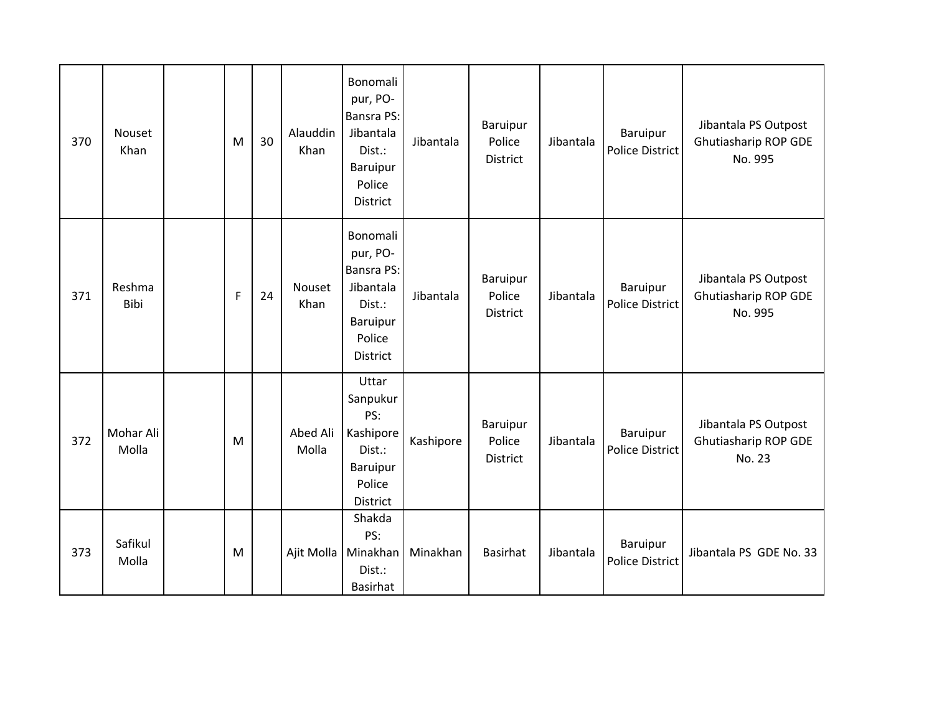| 370 | Nouset<br>Khan     | M | 30 | Alauddin<br>Khan  | Bonomali<br>pur, PO-<br><b>Bansra PS:</b><br>Jibantala<br>Dist.:<br>Baruipur<br>Police<br><b>District</b> | Jibantala | Baruipur<br>Police<br>District        | Jibantala | Baruipur<br>Police District        | Jibantala PS Outpost<br>Ghutiasharip ROP GDE<br>No. 995 |
|-----|--------------------|---|----|-------------------|-----------------------------------------------------------------------------------------------------------|-----------|---------------------------------------|-----------|------------------------------------|---------------------------------------------------------|
| 371 | Reshma<br>Bibi     | F | 24 | Nouset<br>Khan    | Bonomali<br>pur, PO-<br>Bansra PS:<br>Jibantala<br>Dist.:<br>Baruipur<br>Police<br>District               | Jibantala | Baruipur<br>Police<br><b>District</b> | Jibantala | Baruipur<br>Police District        | Jibantala PS Outpost<br>Ghutiasharip ROP GDE<br>No. 995 |
| 372 | Mohar Ali<br>Molla | M |    | Abed Ali<br>Molla | Uttar<br>Sanpukur<br>PS:<br>Kashipore<br>Dist.:<br>Baruipur<br>Police<br>District                         | Kashipore | Baruipur<br>Police<br>District        | Jibantala | Baruipur<br><b>Police District</b> | Jibantala PS Outpost<br>Ghutiasharip ROP GDE<br>No. 23  |
| 373 | Safikul<br>Molla   | M |    |                   | Shakda<br>PS:<br>Ajit Molla   Minakhan<br>Dist.:<br><b>Basirhat</b>                                       | Minakhan  | <b>Basirhat</b>                       | Jibantala | Baruipur<br>Police District        | Jibantala PS GDE No. 33                                 |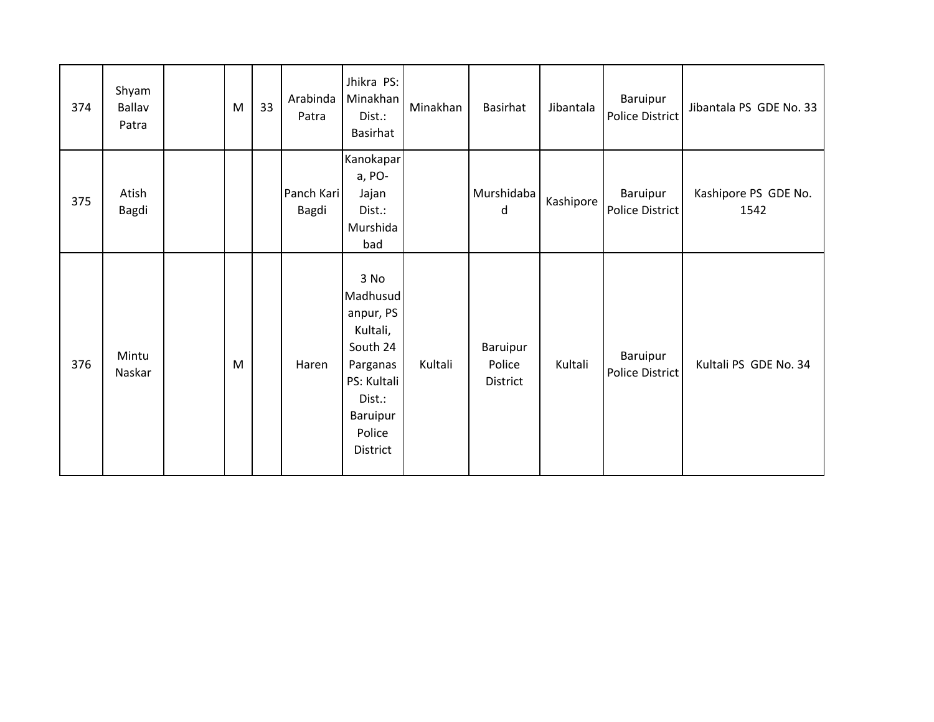| 374 | Shyam<br>Ballav<br>Patra | M         | 33 | Arabinda<br>Patra   | Jhikra PS:<br>Minakhan<br>Dist.:<br>Basirhat                                                                                 | Minakhan | Basirhat                       | Jibantala | Baruipur<br>Police District | Jibantala PS GDE No. 33      |
|-----|--------------------------|-----------|----|---------------------|------------------------------------------------------------------------------------------------------------------------------|----------|--------------------------------|-----------|-----------------------------|------------------------------|
| 375 | Atish<br>Bagdi           |           |    | Panch Kari<br>Bagdi | Kanokapar<br>a, PO-<br>Jajan<br>Dist.:<br>Murshida<br>bad                                                                    |          | Murshidaba<br>d                | Kashipore | Baruipur<br>Police District | Kashipore PS GDE No.<br>1542 |
| 376 | Mintu<br>Naskar          | ${\sf M}$ |    | Haren               | 3 No<br>Madhusud<br>anpur, PS<br>Kultali,<br>South 24<br>Parganas<br>PS: Kultali<br>Dist.:<br>Baruipur<br>Police<br>District | Kultali  | Baruipur<br>Police<br>District | Kultali   | Baruipur<br>Police District | Kultali PS GDE No. 34        |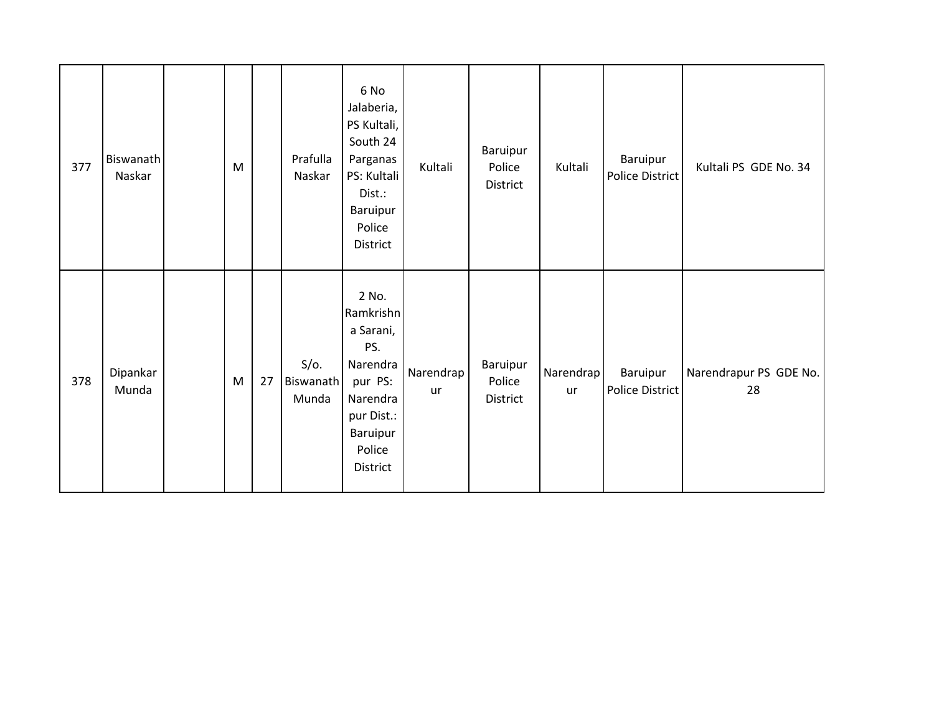| 377 | Biswanath<br>Naskar | M |    | Prafulla<br>Naskar            | 6 No<br>Jalaberia,<br>PS Kultali,<br>South 24<br>Parganas<br>PS: Kultali<br>Dist.:<br>Baruipur<br>Police<br>District      | Kultali         | Baruipur<br>Police<br>District | Kultali         | Baruipur<br>Police District | Kultali PS GDE No. 34        |
|-----|---------------------|---|----|-------------------------------|---------------------------------------------------------------------------------------------------------------------------|-----------------|--------------------------------|-----------------|-----------------------------|------------------------------|
| 378 | Dipankar<br>Munda   | M | 27 | $S/O$ .<br>Biswanath<br>Munda | 2 No.<br>Ramkrishn<br>a Sarani,<br>PS.<br>Narendra<br>pur PS:<br>Narendra<br>pur Dist.:<br>Baruipur<br>Police<br>District | Narendrap<br>ur | Baruipur<br>Police<br>District | Narendrap<br>ur | Baruipur<br>Police District | Narendrapur PS GDE No.<br>28 |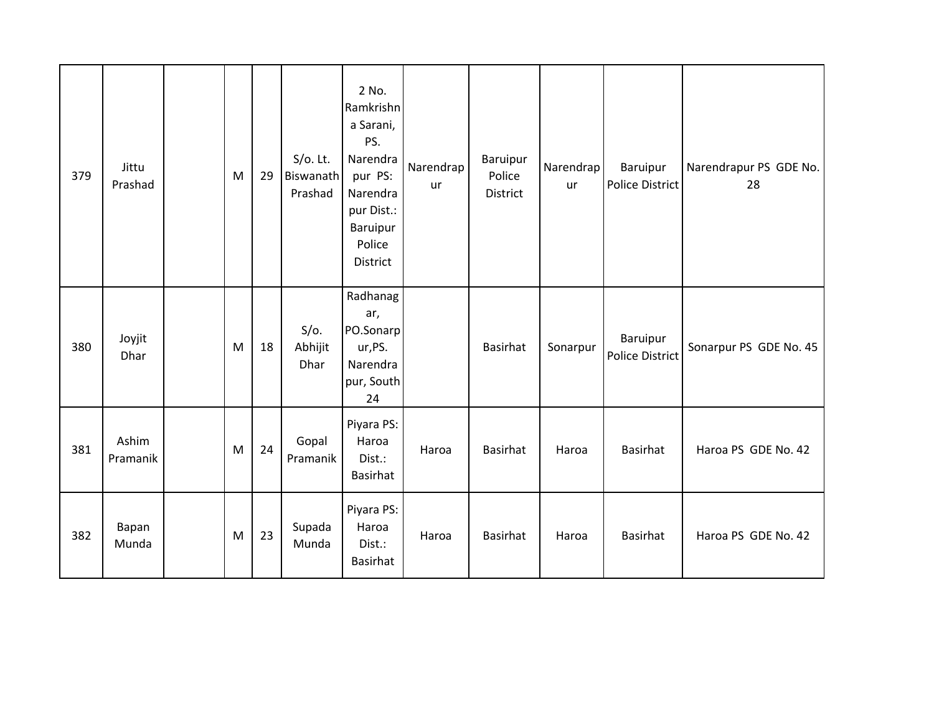| 379 | Jittu<br>Prashad  | M | 29 | $S/O$ . Lt.<br>Biswanath<br>Prashad | 2 No.<br>Ramkrishn<br>a Sarani,<br>PS.<br>Narendra<br>pur PS:<br>Narendra<br>pur Dist.:<br>Baruipur<br>Police<br>District | Narendrap<br><b>ur</b> | Baruipur<br>Police<br>District | Narendrap<br>ur | Baruipur<br>Police District | Narendrapur PS GDE No.<br>28 |
|-----|-------------------|---|----|-------------------------------------|---------------------------------------------------------------------------------------------------------------------------|------------------------|--------------------------------|-----------------|-----------------------------|------------------------------|
| 380 | Joyjit<br>Dhar    | M | 18 | $S/O$ .<br>Abhijit<br>Dhar          | Radhanag<br>ar,<br>PO.Sonarp<br>ur,PS.<br>Narendra<br>pur, South<br>24                                                    |                        | Basirhat                       | Sonarpur        | Baruipur<br>Police District | Sonarpur PS GDE No. 45       |
| 381 | Ashim<br>Pramanik | M | 24 | Gopal<br>Pramanik                   | Piyara PS:<br>Haroa<br>Dist.:<br>Basirhat                                                                                 | Haroa                  | Basirhat                       | Haroa           | <b>Basirhat</b>             | Haroa PS GDE No. 42          |
| 382 | Bapan<br>Munda    | M | 23 | Supada<br>Munda                     | Piyara PS:<br>Haroa<br>Dist.:<br>Basirhat                                                                                 | Haroa                  | Basirhat                       | Haroa           | <b>Basirhat</b>             | Haroa PS GDE No. 42          |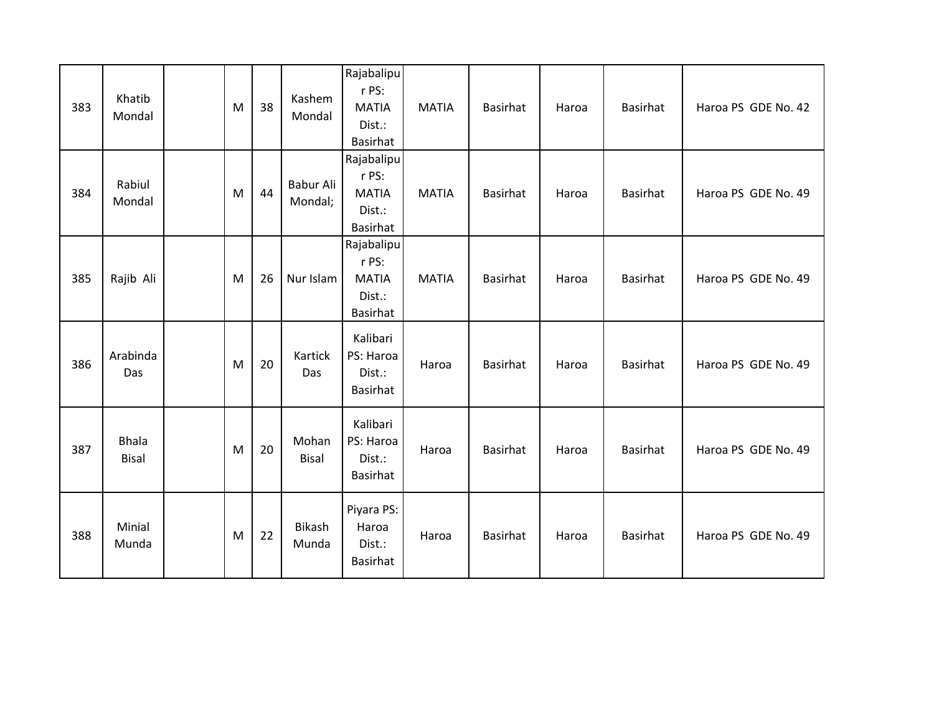| 383 | Khatib<br>Mondal             | M | 38 | Kashem<br>Mondal       | Rajabalipu<br>r PS:<br><b>MATIA</b><br>Dist.:<br>Basirhat        | <b>MATIA</b> | <b>Basirhat</b> | Haroa | Basirhat | Haroa PS GDE No. 42 |
|-----|------------------------------|---|----|------------------------|------------------------------------------------------------------|--------------|-----------------|-------|----------|---------------------|
| 384 | Rabiul<br>Mondal             | M | 44 | Babur Ali<br>Mondal;   | Rajabalipu<br>r PS:<br><b>MATIA</b><br>Dist.:<br><b>Basirhat</b> | <b>MATIA</b> | <b>Basirhat</b> | Haroa | Basirhat | Haroa PS GDE No. 49 |
| 385 | Rajib Ali                    | M | 26 | Nur Islam              | Rajabalipu<br>r PS:<br><b>MATIA</b><br>Dist.:<br>Basirhat        | <b>MATIA</b> | <b>Basirhat</b> | Haroa | Basirhat | Haroa PS GDE No. 49 |
| 386 | Arabinda<br>Das              | M | 20 | Kartick<br>Das         | Kalibari<br>PS: Haroa<br>Dist.:<br>Basirhat                      | Haroa        | <b>Basirhat</b> | Haroa | Basirhat | Haroa PS GDE No. 49 |
| 387 | <b>Bhala</b><br><b>Bisal</b> | M | 20 | Mohan<br><b>Bisal</b>  | Kalibari<br>PS: Haroa<br>Dist.:<br>Basirhat                      | Haroa        | <b>Basirhat</b> | Haroa | Basirhat | Haroa PS GDE No. 49 |
| 388 | Minial<br>Munda              | M | 22 | <b>Bikash</b><br>Munda | Piyara PS:<br>Haroa<br>Dist.:<br>Basirhat                        | Haroa        | <b>Basirhat</b> | Haroa | Basirhat | Haroa PS GDE No. 49 |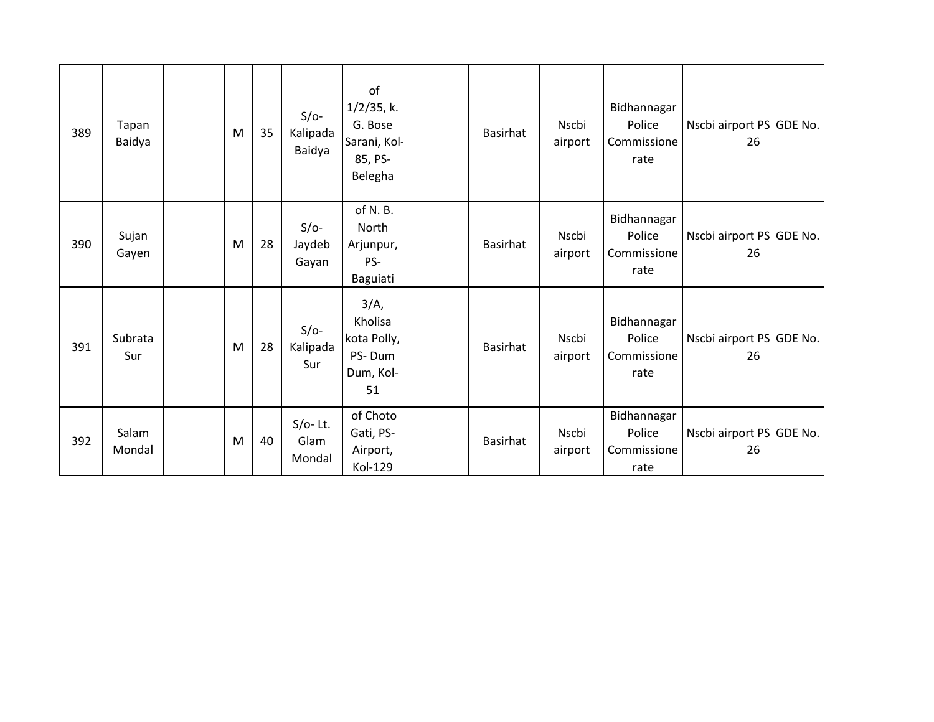| 389 | Tapan<br>Baidya | M | 35 | $S/O-$<br>Kalipada<br>Baidya | of<br>$1/2/35$ , k.<br>G. Bose<br>Sarani, Kol-<br>85, PS-<br>Belegha | <b>Basirhat</b> | Nscbi<br>airport | Bidhannagar<br>Police<br>Commissione<br>rate | Nscbi airport PS GDE No.<br>26 |
|-----|-----------------|---|----|------------------------------|----------------------------------------------------------------------|-----------------|------------------|----------------------------------------------|--------------------------------|
| 390 | Sujan<br>Gayen  | M | 28 | $S/O-$<br>Jaydeb<br>Gayan    | of N.B.<br>North<br>Arjunpur,<br>PS-<br>Baguiati                     | <b>Basirhat</b> | Nscbi<br>airport | Bidhannagar<br>Police<br>Commissione<br>rate | Nscbi airport PS GDE No.<br>26 |
| 391 | Subrata<br>Sur  | M | 28 | $S/O-$<br>Kalipada<br>Sur    | $3/A$ ,<br>Kholisa<br>kota Polly,<br>PS-Dum<br>Dum, Kol-<br>51       | <b>Basirhat</b> | Nscbi<br>airport | Bidhannagar<br>Police<br>Commissione<br>rate | Nscbi airport PS GDE No.<br>26 |
| 392 | Salam<br>Mondal | M | 40 | $S/O-$ Lt.<br>Glam<br>Mondal | of Choto<br>Gati, PS-<br>Airport,<br>Kol-129                         | <b>Basirhat</b> | Nscbi<br>airport | Bidhannagar<br>Police<br>Commissione<br>rate | Nscbi airport PS GDE No.<br>26 |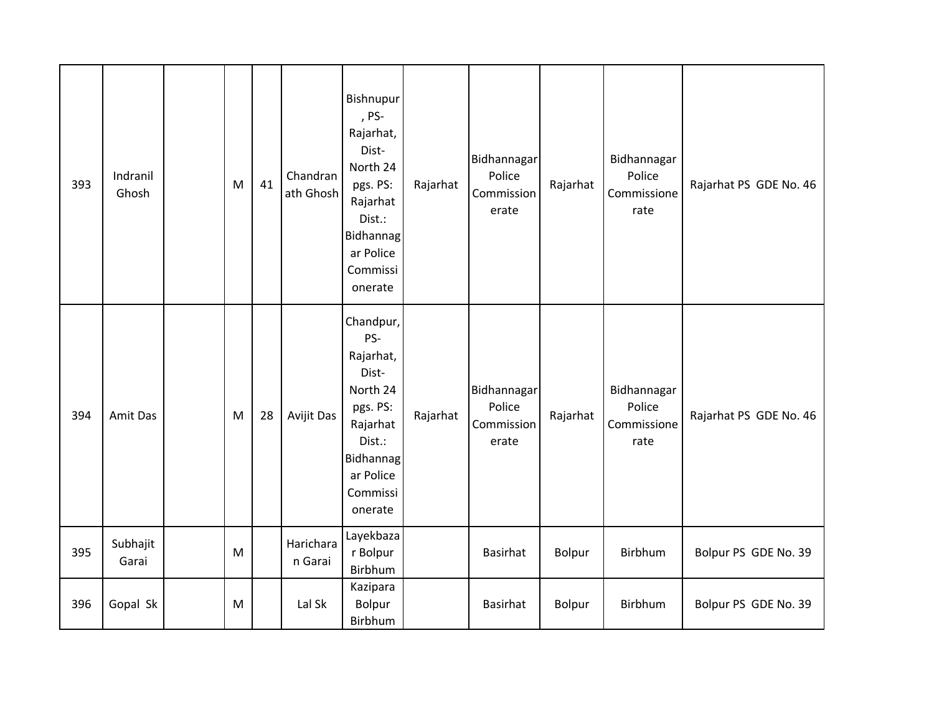| 393 | Indranil<br>Ghosh | M | 41 | Chandran<br>ath Ghosh | Bishnupur<br>, PS-<br>Rajarhat,<br>Dist-<br>North 24<br>pgs. PS:<br>Rajarhat<br>Dist.:<br><b>Bidhannag</b><br>ar Police<br>Commissi<br>onerate | Rajarhat | Bidhannagar<br>Police<br>Commission<br>erate | Rajarhat      | Bidhannagar<br>Police<br>Commissione<br>rate | Rajarhat PS GDE No. 46 |
|-----|-------------------|---|----|-----------------------|------------------------------------------------------------------------------------------------------------------------------------------------|----------|----------------------------------------------|---------------|----------------------------------------------|------------------------|
| 394 | Amit Das          | M | 28 | Avijit Das            | Chandpur,<br>PS-<br>Rajarhat,<br>Dist-<br>North 24<br>pgs. PS:<br>Rajarhat<br>Dist.:<br><b>Bidhannag</b><br>ar Police<br>Commissi<br>onerate   | Rajarhat | Bidhannagar<br>Police<br>Commission<br>erate | Rajarhat      | Bidhannagar<br>Police<br>Commissione<br>rate | Rajarhat PS GDE No. 46 |
| 395 | Subhajit<br>Garai | M |    | Harichara<br>n Garai  | Layekbaza<br>r Bolpur<br>Birbhum                                                                                                               |          | <b>Basirhat</b>                              | Bolpur        | Birbhum                                      | Bolpur PS GDE No. 39   |
| 396 | Gopal Sk          | M |    | Lal Sk                | Kazipara<br>Bolpur<br>Birbhum                                                                                                                  |          | <b>Basirhat</b>                              | <b>Bolpur</b> | Birbhum                                      | Bolpur PS GDE No. 39   |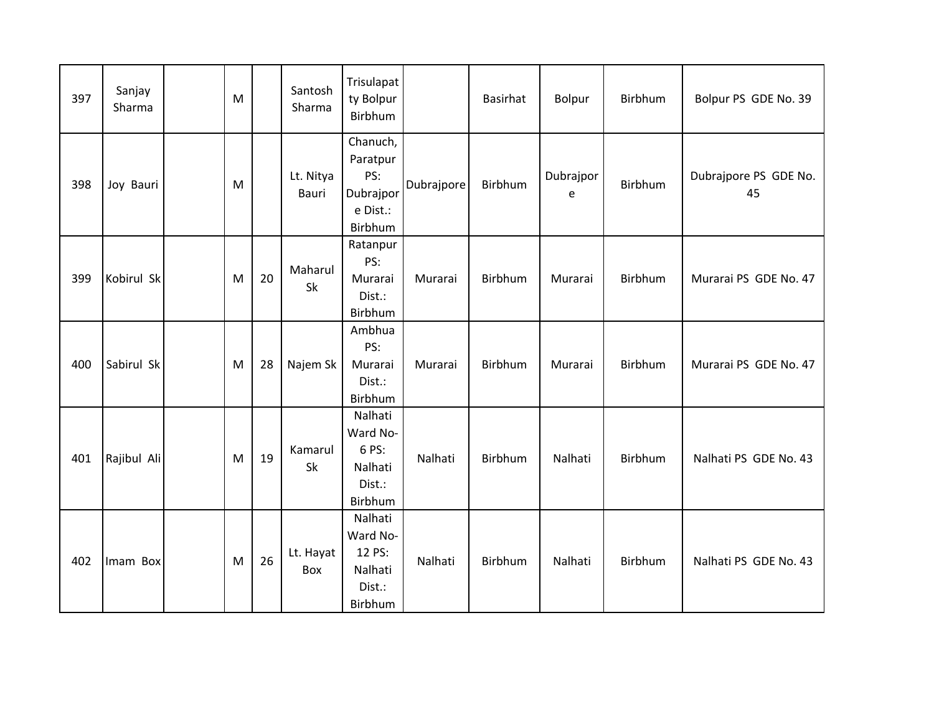| 397 | Sanjay<br>Sharma | M |    | Santosh<br>Sharma  | Trisulapat<br>ty Bolpur<br>Birbhum                              |            | Basirhat | Bolpur         | Birbhum        | Bolpur PS GDE No. 39        |
|-----|------------------|---|----|--------------------|-----------------------------------------------------------------|------------|----------|----------------|----------------|-----------------------------|
| 398 | Joy Bauri        | M |    | Lt. Nitya<br>Bauri | Chanuch,<br>Paratpur<br>PS:<br>Dubrajpor<br>e Dist.:<br>Birbhum | Dubrajpore | Birbhum  | Dubrajpor<br>e | <b>Birbhum</b> | Dubrajpore PS GDE No.<br>45 |
| 399 | Kobirul Sk       | M | 20 | Maharul<br>Sk      | Ratanpur<br>PS:<br>Murarai<br>Dist.:<br>Birbhum                 | Murarai    | Birbhum  | Murarai        | Birbhum        | Murarai PS GDE No. 47       |
| 400 | Sabirul Sk       | M | 28 | Najem Sk           | Ambhua<br>PS:<br>Murarai<br>Dist.:<br>Birbhum                   | Murarai    | Birbhum  | Murarai        | Birbhum        | Murarai PS GDE No. 47       |
| 401 | Rajibul Ali      | M | 19 | Kamarul<br>Sk      | Nalhati<br>Ward No-<br>6 PS:<br>Nalhati<br>Dist.:<br>Birbhum    | Nalhati    | Birbhum  | Nalhati        | Birbhum        | Nalhati PS GDE No. 43       |
| 402 | Imam Box         | M | 26 | Lt. Hayat<br>Box   | Nalhati<br>Ward No-<br>12 PS:<br>Nalhati<br>Dist.:<br>Birbhum   | Nalhati    | Birbhum  | Nalhati        | <b>Birbhum</b> | Nalhati PS GDE No. 43       |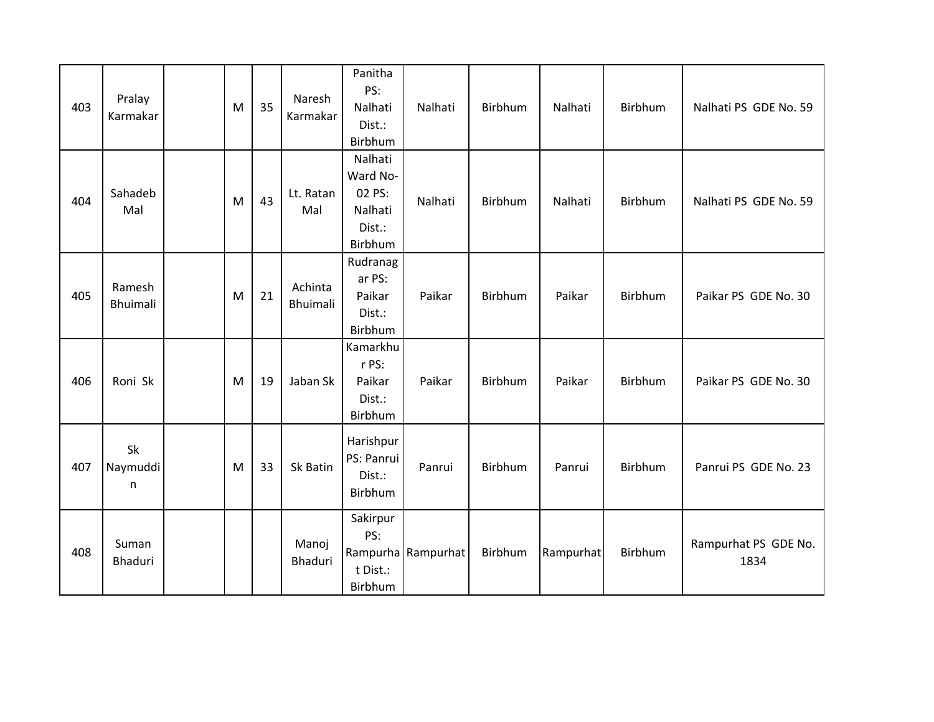| 403 | Pralay<br>Karmakar        | M | 35 | Naresh<br>Karmakar  | Panitha<br>PS:<br>Nalhati<br>Dist.:<br>Birbhum                | Nalhati            | Birbhum | Nalhati   | Birbhum        | Nalhati PS GDE No. 59        |
|-----|---------------------------|---|----|---------------------|---------------------------------------------------------------|--------------------|---------|-----------|----------------|------------------------------|
| 404 | Sahadeb<br>Mal            | M | 43 | Lt. Ratan<br>Mal    | Nalhati<br>Ward No-<br>02 PS:<br>Nalhati<br>Dist.:<br>Birbhum | Nalhati            | Birbhum | Nalhati   | Birbhum        | Nalhati PS GDE No. 59        |
| 405 | Ramesh<br><b>Bhuimali</b> | M | 21 | Achinta<br>Bhuimali | Rudranag<br>ar PS:<br>Paikar<br>Dist.:<br>Birbhum             | Paikar             | Birbhum | Paikar    | Birbhum        | Paikar PS GDE No. 30         |
| 406 | Roni Sk                   | M | 19 | Jaban Sk            | Kamarkhu<br>r PS:<br>Paikar<br>Dist.:<br>Birbhum              | Paikar             | Birbhum | Paikar    | <b>Birbhum</b> | Paikar PS GDE No. 30         |
| 407 | Sk<br>Naymuddi<br>n       | M | 33 | Sk Batin            | Harishpur<br>PS: Panrui<br>Dist.:<br>Birbhum                  | Panrui             | Birbhum | Panrui    | Birbhum        | Panrui PS GDE No. 23         |
| 408 | Suman<br>Bhaduri          |   |    | Manoj<br>Bhaduri    | Sakirpur<br>PS:<br>t Dist.:<br>Birbhum                        | Rampurha Rampurhat | Birbhum | Rampurhat | Birbhum        | Rampurhat PS GDE No.<br>1834 |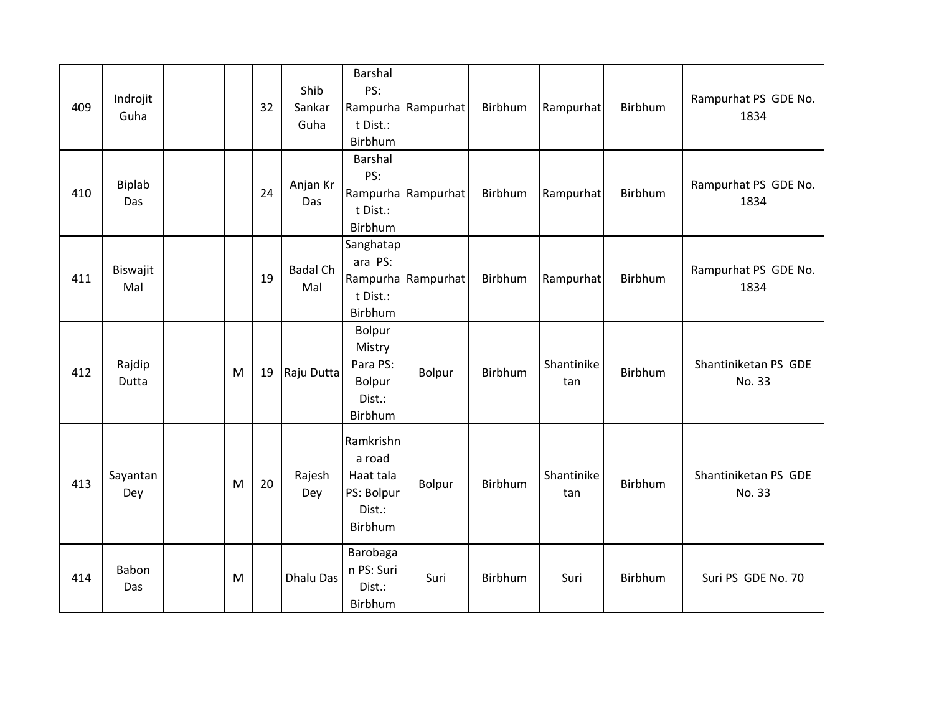| 409 | Indrojit<br>Guha |   | 32 | Shib<br>Sankar<br>Guha | Barshal<br>PS:<br>t Dist.:<br>Birbhum                               | Rampurha Rampurhat | Birbhum        | Rampurhat         | <b>Birbhum</b> | Rampurhat PS GDE No.<br>1834   |
|-----|------------------|---|----|------------------------|---------------------------------------------------------------------|--------------------|----------------|-------------------|----------------|--------------------------------|
| 410 | Biplab<br>Das    |   | 24 | Anjan Kr<br>Das        | Barshal<br>PS:<br>t Dist.:<br>Birbhum                               | Rampurha Rampurhat | Birbhum        | Rampurhat         | Birbhum        | Rampurhat PS GDE No.<br>1834   |
| 411 | Biswajit<br>Mal  |   | 19 | <b>Badal Ch</b><br>Mal | Sanghatap<br>ara PS:<br>t Dist.:<br>Birbhum                         | Rampurha Rampurhat | Birbhum        | Rampurhat         | Birbhum        | Rampurhat PS GDE No.<br>1834   |
| 412 | Rajdip<br>Dutta  | M | 19 | Raju Dutta             | Bolpur<br>Mistry<br>Para PS:<br>Bolpur<br>Dist.:<br>Birbhum         | Bolpur             | Birbhum        | Shantinike<br>tan | Birbhum        | Shantiniketan PS GDE<br>No. 33 |
| 413 | Sayantan<br>Dey  | M | 20 | Rajesh<br>Dey          | Ramkrishn<br>a road<br>Haat tala<br>PS: Bolpur<br>Dist.:<br>Birbhum | Bolpur             | <b>Birbhum</b> | Shantinike<br>tan | <b>Birbhum</b> | Shantiniketan PS GDE<br>No. 33 |
| 414 | Babon<br>Das     | M |    | Dhalu Das              | Barobaga<br>n PS: Suri<br>Dist.:<br>Birbhum                         | Suri               | Birbhum        | Suri              | <b>Birbhum</b> | Suri PS GDE No. 70             |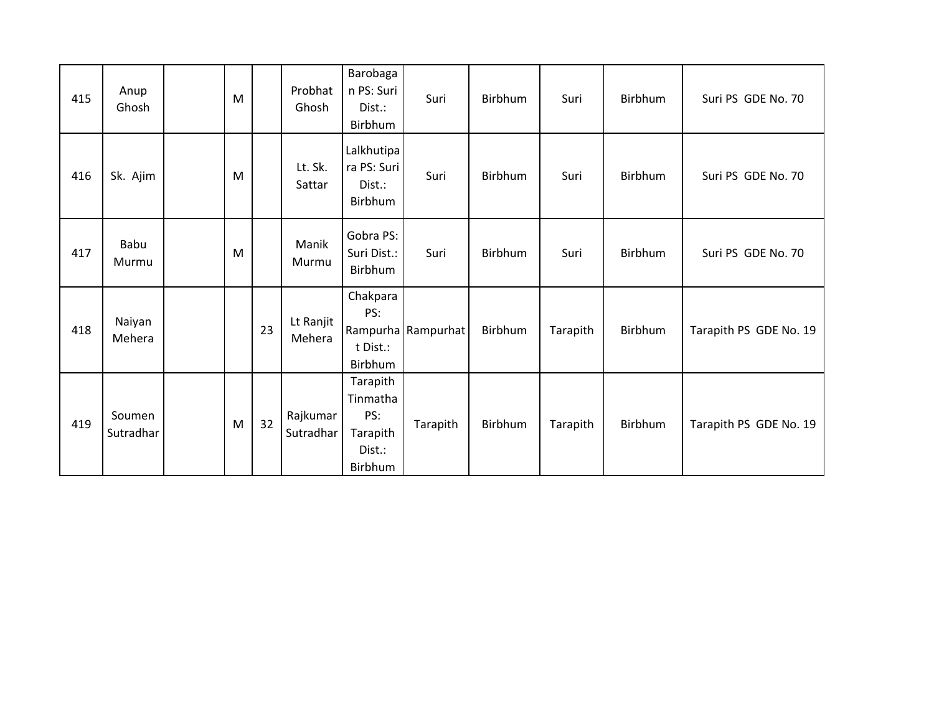| 415 | Anup<br>Ghosh       | M |    | Probhat<br>Ghosh      | Barobaga<br>n PS: Suri<br>Dist.:<br>Birbhum                  | Suri               | Birbhum        | Suri     | Birbhum | Suri PS GDE No. 70     |
|-----|---------------------|---|----|-----------------------|--------------------------------------------------------------|--------------------|----------------|----------|---------|------------------------|
| 416 | Sk. Ajim            | M |    | Lt. Sk.<br>Sattar     | Lalkhutipa<br>ra PS: Suri<br>Dist.:<br>Birbhum               | Suri               | <b>Birbhum</b> | Suri     | Birbhum | Suri PS GDE No. 70     |
| 417 | Babu<br>Murmu       | M |    | Manik<br>Murmu        | Gobra PS:<br>Suri Dist.:<br>Birbhum                          | Suri               | Birbhum        | Suri     | Birbhum | Suri PS GDE No. 70     |
| 418 | Naiyan<br>Mehera    |   | 23 | Lt Ranjit<br>Mehera   | Chakpara<br>PS:<br>t Dist.:<br>Birbhum                       | Rampurha Rampurhat | Birbhum        | Tarapith | Birbhum | Tarapith PS GDE No. 19 |
| 419 | Soumen<br>Sutradhar | M | 32 | Rajkumar<br>Sutradhar | Tarapith<br>Tinmatha<br>PS:<br>Tarapith<br>Dist.:<br>Birbhum | Tarapith           | Birbhum        | Tarapith | Birbhum | Tarapith PS GDE No. 19 |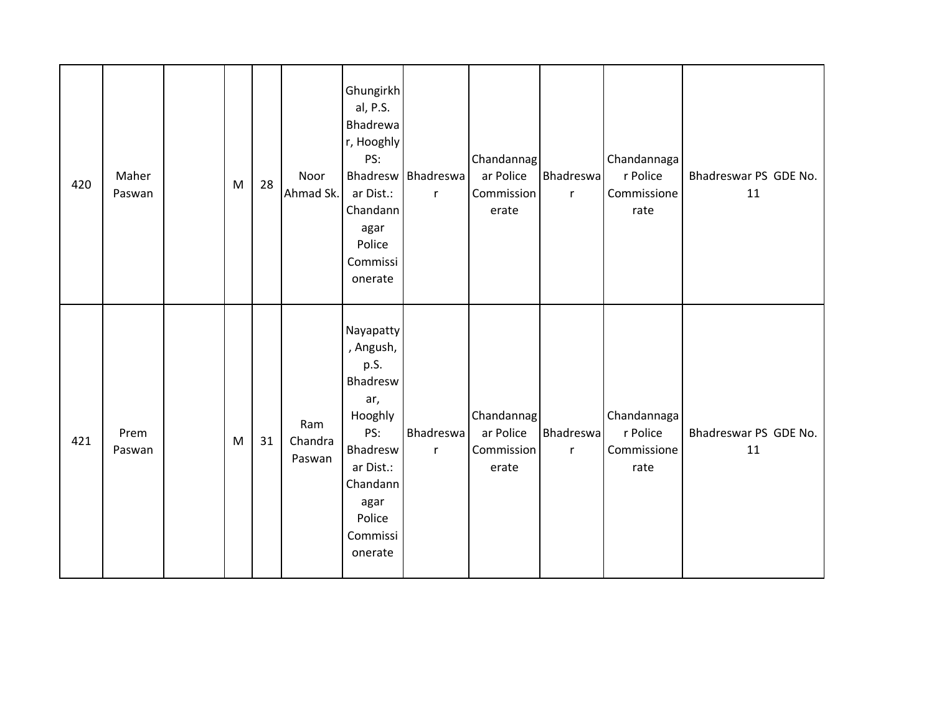| 420 | Maher<br>Paswan | ${\sf M}$ | 28 | Noor<br>Ahmad Sk.        | Ghungirkh<br>al, P.S.<br>Bhadrewa<br>r, Hooghly<br>PS:<br>ar Dist.:<br>Chandann<br>agar<br>Police<br>Commissi<br>onerate                          | Bhadresw   Bhadreswa<br>$\mathsf{r}$ | Chandannag<br>ar Police<br>Commission<br>erate | Bhadreswa<br>$\mathsf{r}$ | Chandannaga<br>r Police<br>Commissione<br>rate | Bhadreswar PS GDE No.<br>11 |
|-----|-----------------|-----------|----|--------------------------|---------------------------------------------------------------------------------------------------------------------------------------------------|--------------------------------------|------------------------------------------------|---------------------------|------------------------------------------------|-----------------------------|
| 421 | Prem<br>Paswan  | ${\sf M}$ | 31 | Ram<br>Chandra<br>Paswan | Nayapatty<br>, Angush,<br>p.S.<br>Bhadresw<br>ar,<br>Hooghly<br>PS:<br>Bhadresw<br>ar Dist.:<br>Chandann<br>agar<br>Police<br>Commissi<br>onerate | <b>Bhadreswa</b><br>$\mathsf{r}$     | Chandannag<br>ar Police<br>Commission<br>erate | Bhadreswa<br>$\mathsf{r}$ | Chandannaga<br>r Police<br>Commissione<br>rate | Bhadreswar PS GDE No.<br>11 |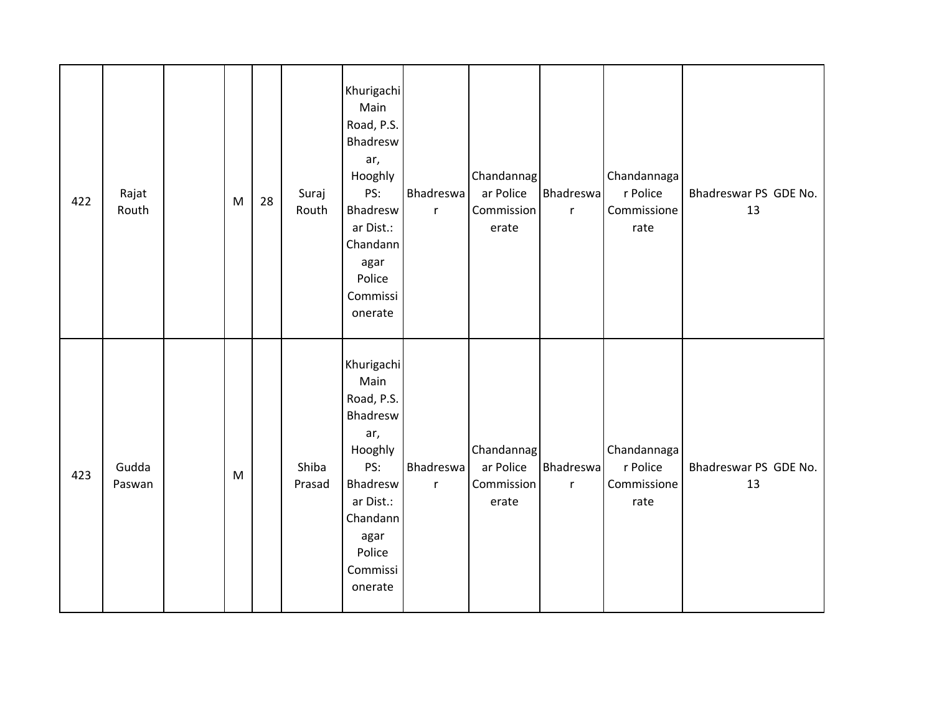| 422 | Rajat<br>Routh  | ${\sf M}$ | 28 | Suraj<br>Routh  | Khurigachi<br>Main<br>Road, P.S.<br>Bhadresw<br>ar,<br>Hooghly<br>PS:<br>Bhadresw<br>ar Dist.:<br>Chandann<br>agar<br>Police<br>Commissi<br>onerate | <b>Bhadreswa</b><br>$\mathsf{r}$ | Chandannag<br>ar Police<br>Commission<br>erate | <b>Bhadreswa</b><br>r     | Chandannaga<br>r Police<br>Commissione<br>rate | Bhadreswar PS GDE No.<br>13 |
|-----|-----------------|-----------|----|-----------------|-----------------------------------------------------------------------------------------------------------------------------------------------------|----------------------------------|------------------------------------------------|---------------------------|------------------------------------------------|-----------------------------|
| 423 | Gudda<br>Paswan | ${\sf M}$ |    | Shiba<br>Prasad | Khurigachi<br>Main<br>Road, P.S.<br>Bhadresw<br>ar,<br>Hooghly<br>PS:<br>Bhadresw<br>ar Dist.:<br>Chandann<br>agar<br>Police<br>Commissi<br>onerate | Bhadreswa<br>$\mathsf{r}$        | Chandannag<br>ar Police<br>Commission<br>erate | Bhadreswa<br>$\mathsf{r}$ | Chandannaga<br>r Police<br>Commissione<br>rate | Bhadreswar PS GDE No.<br>13 |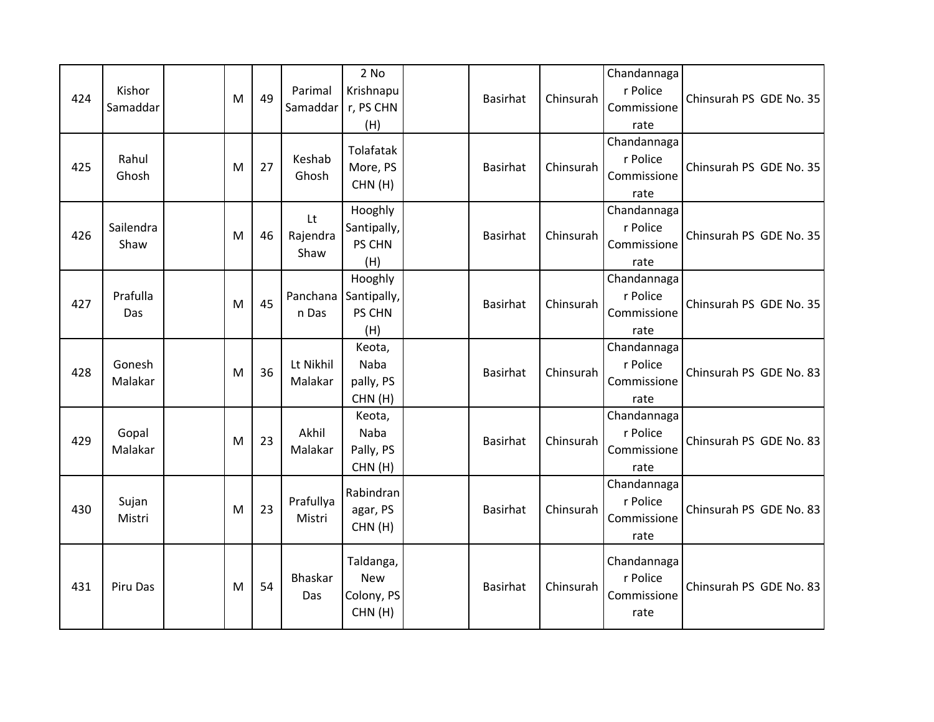| 424 | Kishor<br>Samaddar | M | 49 | Parimal<br>Samaddar    | $2$ No<br>Krishnapu<br>r, PS CHN<br>(H)         | <b>Basirhat</b> | Chinsurah | Chandannaga<br>r Police<br>Commissione<br>rate | Chinsurah PS GDE No. 35 |
|-----|--------------------|---|----|------------------------|-------------------------------------------------|-----------------|-----------|------------------------------------------------|-------------------------|
| 425 | Rahul<br>Ghosh     | M | 27 | Keshab<br>Ghosh        | Tolafatak<br>More, PS<br>CHN(H)                 | <b>Basirhat</b> | Chinsurah | Chandannaga<br>r Police<br>Commissione<br>rate | Chinsurah PS GDE No. 35 |
| 426 | Sailendra<br>Shaw  | M | 46 | Lt<br>Rajendra<br>Shaw | Hooghly<br>Santipally,<br>PS CHN<br>(H)         | <b>Basirhat</b> | Chinsurah | Chandannaga<br>r Police<br>Commissione<br>rate | Chinsurah PS GDE No. 35 |
| 427 | Prafulla<br>Das    | M | 45 | Panchana<br>n Das      | Hooghly<br>Santipally,<br>PS CHN<br>(H)         | <b>Basirhat</b> | Chinsurah | Chandannaga<br>r Police<br>Commissione<br>rate | Chinsurah PS GDE No. 35 |
| 428 | Gonesh<br>Malakar  | M | 36 | Lt Nikhil<br>Malakar   | Keota,<br>Naba<br>pally, PS<br>CHN(H)           | <b>Basirhat</b> | Chinsurah | Chandannaga<br>r Police<br>Commissione<br>rate | Chinsurah PS GDE No. 83 |
| 429 | Gopal<br>Malakar   | M | 23 | Akhil<br>Malakar       | Keota,<br>Naba<br>Pally, PS<br>CHN(H)           | <b>Basirhat</b> | Chinsurah | Chandannaga<br>r Police<br>Commissione<br>rate | Chinsurah PS GDE No. 83 |
| 430 | Sujan<br>Mistri    | M | 23 | Prafullya<br>Mistri    | Rabindran<br>agar, PS<br>CHN(H)                 | <b>Basirhat</b> | Chinsurah | Chandannaga<br>r Police<br>Commissione<br>rate | Chinsurah PS GDE No. 83 |
| 431 | Piru Das           | M | 54 | Bhaskar<br>Das         | Taldanga,<br><b>New</b><br>Colony, PS<br>CHN(H) | <b>Basirhat</b> | Chinsurah | Chandannaga<br>r Police<br>Commissione<br>rate | Chinsurah PS GDE No. 83 |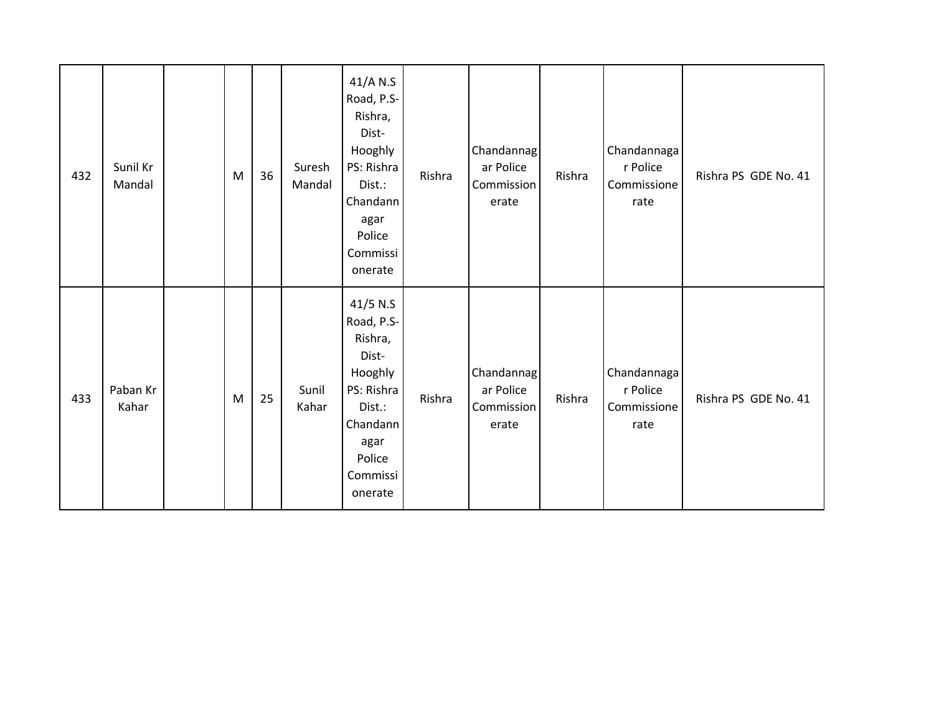| 432 | Sunil Kr<br>Mandal | M         | 36 | Suresh<br>Mandal | 41/A N.S<br>Road, P.S-<br>Rishra,<br>Dist-<br>Hooghly<br>PS: Rishra<br>Dist.:<br>Chandann<br>agar<br>Police<br>Commissi<br>onerate | Rishra | Chandannag<br>ar Police<br>Commission<br>erate | Rishra | Chandannaga<br>r Police<br>Commissione<br>rate | Rishra PS GDE No. 41 |
|-----|--------------------|-----------|----|------------------|------------------------------------------------------------------------------------------------------------------------------------|--------|------------------------------------------------|--------|------------------------------------------------|----------------------|
| 433 | Paban Kr<br>Kahar  | ${\sf M}$ | 25 | Sunil<br>Kahar   | 41/5 N.S<br>Road, P.S-<br>Rishra,<br>Dist-<br>Hooghly<br>PS: Rishra<br>Dist.:<br>Chandann<br>agar<br>Police<br>Commissi<br>onerate | Rishra | Chandannag<br>ar Police<br>Commission<br>erate | Rishra | Chandannaga<br>r Police<br>Commissione<br>rate | Rishra PS GDE No. 41 |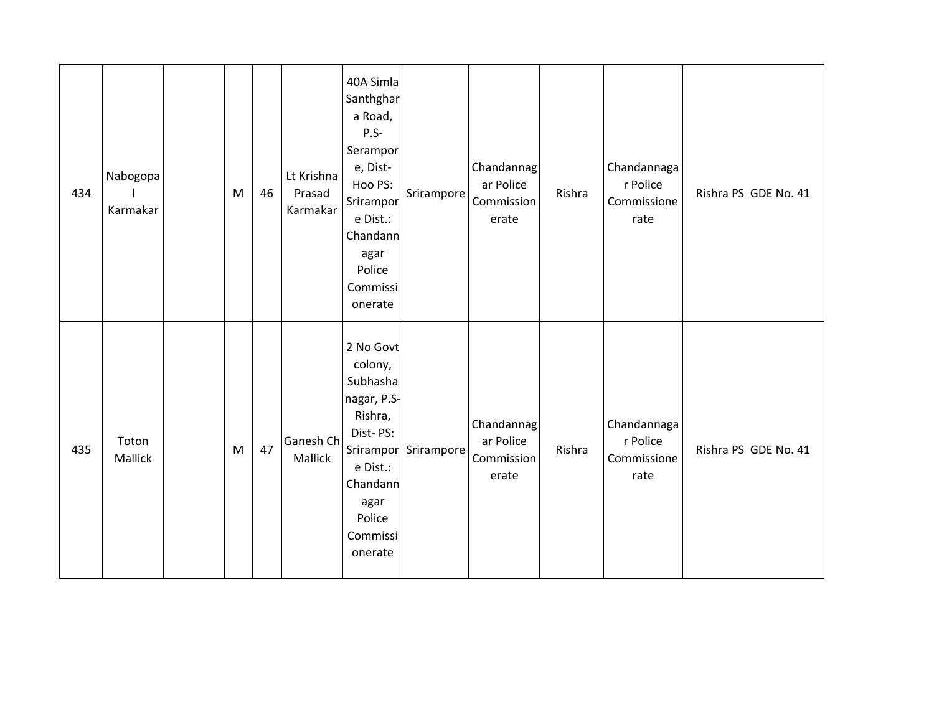| 434 | Nabogopa<br>Karmakar | M            | 46 | Lt Krishna<br>Prasad<br>Karmakar | 40A Simla<br>Santhghar<br>a Road,<br>$P.S-$<br>Serampor<br>e, Dist-<br>Hoo PS:<br>Srirampor<br>e Dist.:<br>Chandann<br>agar<br>Police<br>Commissi<br>onerate | Srirampore           | Chandannag<br>ar Police<br>Commission<br>erate | Rishra | Chandannaga<br>r Police<br>Commissione<br>rate | Rishra PS GDE No. 41 |
|-----|----------------------|--------------|----|----------------------------------|--------------------------------------------------------------------------------------------------------------------------------------------------------------|----------------------|------------------------------------------------|--------|------------------------------------------------|----------------------|
| 435 | Toton<br>Mallick     | $\mathsf{M}$ | 47 | Ganesh Ch<br>Mallick             | 2 No Govt<br>colony,<br>Subhasha<br>nagar, P.S-<br>Rishra,<br>Dist-PS:<br>e Dist.:<br>Chandann<br>agar<br>Police<br>Commissi<br>onerate                      | Srirampor Srirampore | Chandannag<br>ar Police<br>Commission<br>erate | Rishra | Chandannaga<br>r Police<br>Commissione<br>rate | Rishra PS GDE No. 41 |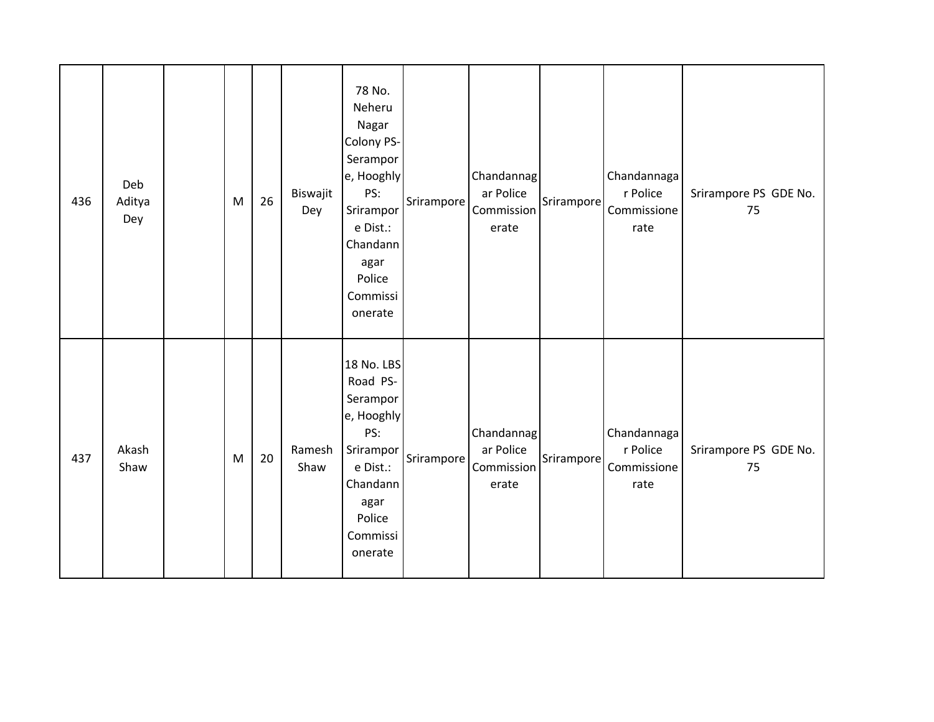| 436 | Deb<br>Aditya<br>Dey | M | 26 | Biswajit<br>Dey | 78 No.<br>Neheru<br>Nagar<br>Colony PS-<br>Serampor<br>e, Hooghly<br>PS:<br>Srirampor<br>e Dist.:<br>Chandann<br>agar<br>Police<br>Commissi<br>onerate | Srirampore | Chandannag<br>ar Police<br>Commission<br>erate | Srirampore | Chandannaga<br>r Police<br>Commissione<br>rate | Srirampore PS GDE No.<br>75 |
|-----|----------------------|---|----|-----------------|--------------------------------------------------------------------------------------------------------------------------------------------------------|------------|------------------------------------------------|------------|------------------------------------------------|-----------------------------|
| 437 | Akash<br>Shaw        | M | 20 | Ramesh<br>Shaw  | 18 No. LBS<br>Road PS-<br>Serampor<br>e, Hooghly<br>PS:<br>Srirampor<br>e Dist.:<br>Chandann<br>agar<br>Police<br>Commissi<br>onerate                  | Srirampore | Chandannag<br>ar Police<br>Commission<br>erate | Srirampore | Chandannaga<br>r Police<br>Commissione<br>rate | Srirampore PS GDE No.<br>75 |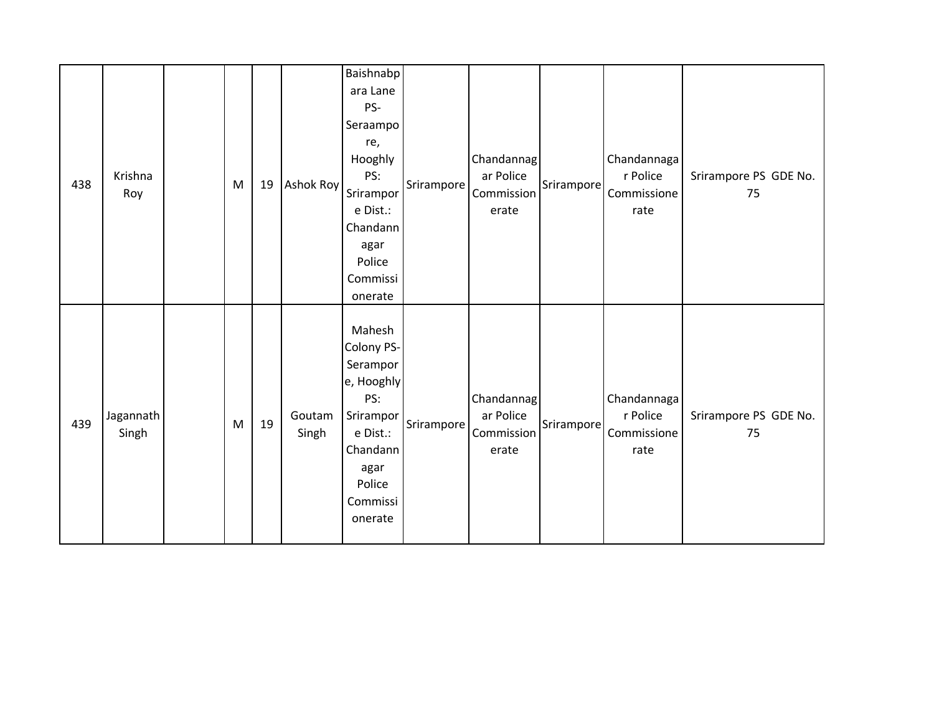| 438 | Krishna<br>Roy     | M | 19 | Ashok Roy       | Baishnabp<br>ara Lane<br>PS-<br>Seraampo<br>re,<br>Hooghly<br>PS:<br>Srirampor<br>e Dist.:<br>Chandann<br>agar<br>Police<br>Commissi<br>onerate | Srirampore | Chandannag<br>ar Police<br>Commission<br>erate | Srirampore | Chandannaga<br>r Police<br>Commissione<br>rate | Srirampore PS GDE No.<br>75 |
|-----|--------------------|---|----|-----------------|-------------------------------------------------------------------------------------------------------------------------------------------------|------------|------------------------------------------------|------------|------------------------------------------------|-----------------------------|
| 439 | Jagannath<br>Singh | M | 19 | Goutam<br>Singh | Mahesh<br>Colony PS-<br>Serampor<br>e, Hooghly<br>PS:<br>Srirampor<br>e Dist.:<br>Chandann<br>agar<br>Police<br>Commissi<br>onerate             | Srirampore | Chandannag<br>ar Police<br>Commission<br>erate | Srirampore | Chandannaga<br>r Police<br>Commissione<br>rate | Srirampore PS GDE No.<br>75 |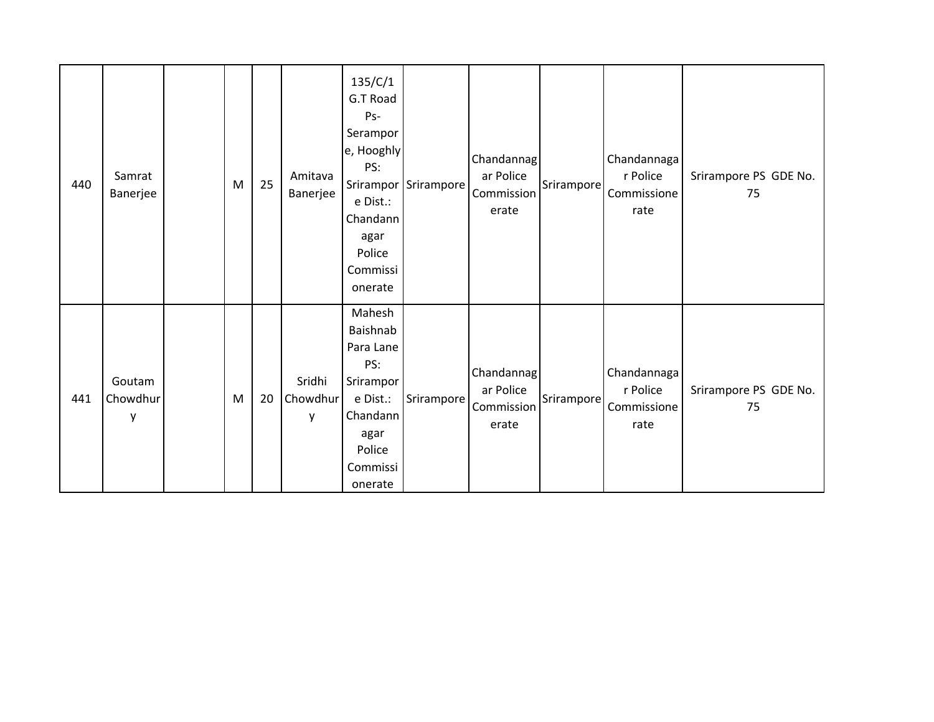| 440 | Samrat<br>Banerjee      | M | 25 | Amitava<br>Banerjee     | 135/C/1<br>G.T Road<br>Ps-<br>Serampor<br>e, Hooghly<br>PS:<br>e Dist.:<br>Chandann<br>agar<br>Police<br>Commissi<br>onerate | Srirampor Srirampore | Chandannag<br>ar Police<br>Commission<br>erate | Srirampore | Chandannaga<br>r Police<br>Commissione<br>rate | Srirampore PS GDE No.<br>75 |
|-----|-------------------------|---|----|-------------------------|------------------------------------------------------------------------------------------------------------------------------|----------------------|------------------------------------------------|------------|------------------------------------------------|-----------------------------|
| 441 | Goutam<br>Chowdhur<br>у | M | 20 | Sridhi<br>Chowdhur<br>y | Mahesh<br>Baishnab<br>Para Lane<br>PS:<br>Srirampor<br>e Dist.:<br>Chandann<br>agar<br>Police<br>Commissi<br>onerate         | Srirampore           | Chandannag<br>ar Police<br>Commission<br>erate | Srirampore | Chandannaga<br>r Police<br>Commissione<br>rate | Srirampore PS GDE No.<br>75 |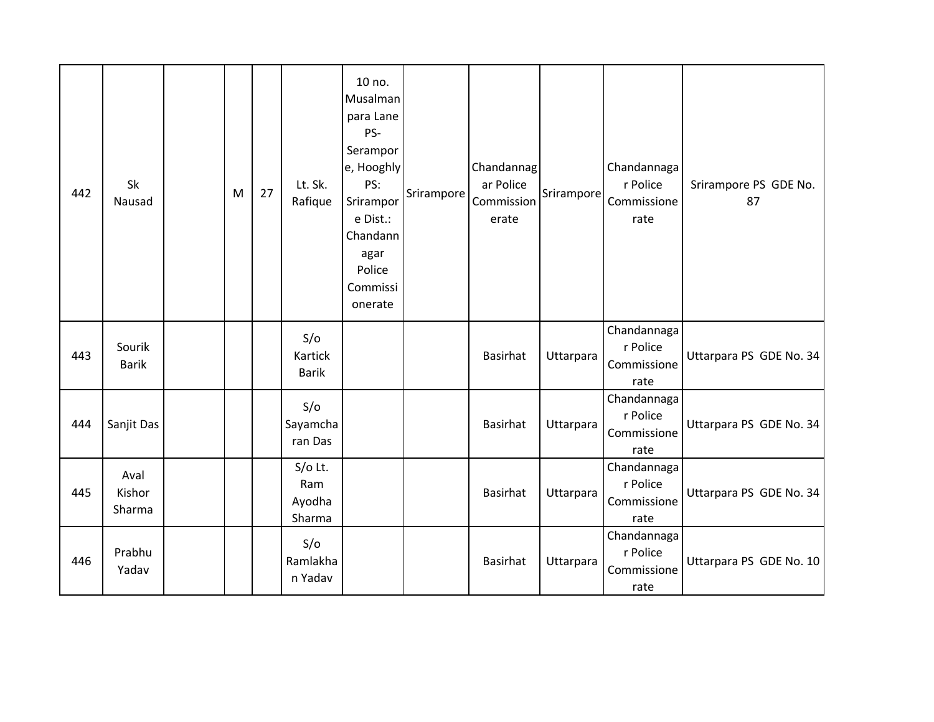| 442 | Sk<br>Nausad             | M | 27 | Lt. Sk.<br>Rafique                   | 10 no.<br>Musalman<br>para Lane<br>PS-<br>Serampor<br>e, Hooghly<br>PS:<br>Srirampor<br>e Dist.:<br>Chandann<br>agar<br>Police<br>Commissi<br>onerate | Srirampore | Chandannag<br>ar Police<br>Commission<br>erate | Srirampore | Chandannaga<br>r Police<br>Commissione<br>rate | Srirampore PS GDE No.<br>87 |
|-----|--------------------------|---|----|--------------------------------------|-------------------------------------------------------------------------------------------------------------------------------------------------------|------------|------------------------------------------------|------------|------------------------------------------------|-----------------------------|
| 443 | Sourik<br><b>Barik</b>   |   |    | S/O<br>Kartick<br><b>Barik</b>       |                                                                                                                                                       |            | <b>Basirhat</b>                                | Uttarpara  | Chandannaga<br>r Police<br>Commissione<br>rate | Uttarpara PS GDE No. 34     |
| 444 | Sanjit Das               |   |    | S/O<br>Sayamcha<br>ran Das           |                                                                                                                                                       |            | <b>Basirhat</b>                                | Uttarpara  | Chandannaga<br>r Police<br>Commissione<br>rate | Uttarpara PS GDE No. 34     |
| 445 | Aval<br>Kishor<br>Sharma |   |    | $S/O$ Lt.<br>Ram<br>Ayodha<br>Sharma |                                                                                                                                                       |            | <b>Basirhat</b>                                | Uttarpara  | Chandannaga<br>r Police<br>Commissione<br>rate | Uttarpara PS GDE No. 34     |
| 446 | Prabhu<br>Yadav          |   |    | S/O<br>Ramlakha<br>n Yadav           |                                                                                                                                                       |            | <b>Basirhat</b>                                | Uttarpara  | Chandannaga<br>r Police<br>Commissione<br>rate | Uttarpara PS GDE No. 10     |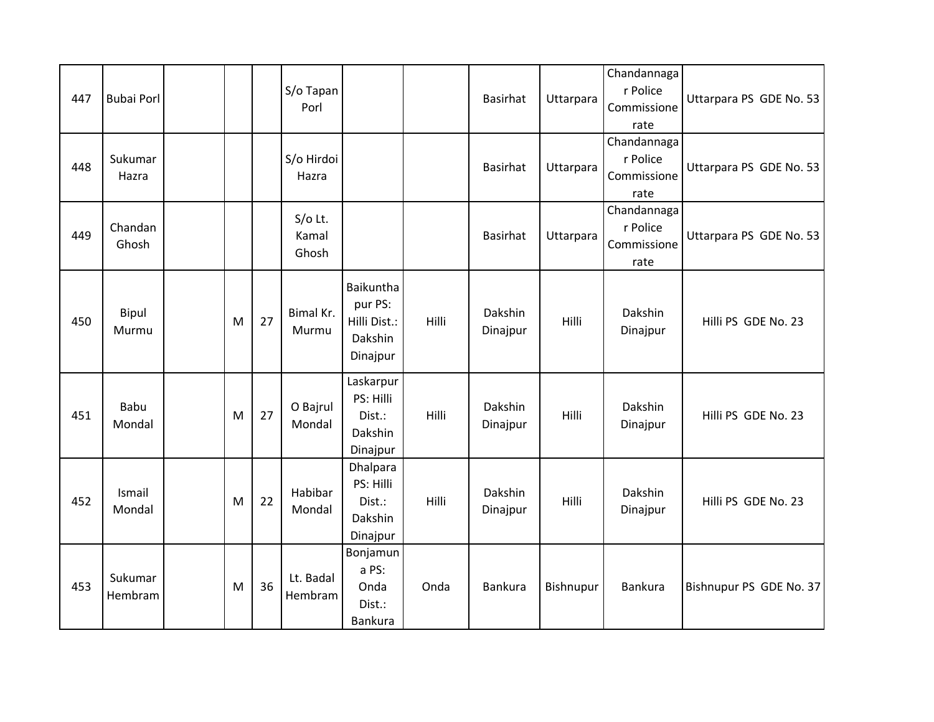| 447 | <b>Bubai Porl</b>     |   |    | S/o Tapan<br>Porl         |                                                             |       | <b>Basirhat</b>     | Uttarpara | Chandannaga<br>r Police<br>Commissione<br>rate | Uttarpara PS GDE No. 53 |
|-----|-----------------------|---|----|---------------------------|-------------------------------------------------------------|-------|---------------------|-----------|------------------------------------------------|-------------------------|
| 448 | Sukumar<br>Hazra      |   |    | S/o Hirdoi<br>Hazra       |                                                             |       | Basirhat            | Uttarpara | Chandannaga<br>r Police<br>Commissione<br>rate | Uttarpara PS GDE No. 53 |
| 449 | Chandan<br>Ghosh      |   |    | S/o Lt.<br>Kamal<br>Ghosh |                                                             |       | <b>Basirhat</b>     | Uttarpara | Chandannaga<br>r Police<br>Commissione<br>rate | Uttarpara PS GDE No. 53 |
| 450 | Bipul<br>Murmu        | M | 27 | Bimal Kr.<br>Murmu        | Baikuntha<br>pur PS:<br>Hilli Dist.:<br>Dakshin<br>Dinajpur | Hilli | Dakshin<br>Dinajpur | Hilli     | Dakshin<br>Dinajpur                            | Hilli PS GDE No. 23     |
| 451 | <b>Babu</b><br>Mondal | M | 27 | O Bajrul<br>Mondal        | Laskarpur<br>PS: Hilli<br>Dist.:<br>Dakshin<br>Dinajpur     | Hilli | Dakshin<br>Dinajpur | Hilli     | Dakshin<br>Dinajpur                            | Hilli PS GDE No. 23     |
| 452 | Ismail<br>Mondal      | M | 22 | Habibar<br>Mondal         | Dhalpara<br>PS: Hilli<br>Dist.:<br>Dakshin<br>Dinajpur      | Hilli | Dakshin<br>Dinajpur | Hilli     | Dakshin<br>Dinajpur                            | Hilli PS GDE No. 23     |
| 453 | Sukumar<br>Hembram    | M | 36 | Lt. Badal<br>Hembram      | Bonjamun<br>a PS:<br>Onda<br>Dist.:<br><b>Bankura</b>       | Onda  | Bankura             | Bishnupur | <b>Bankura</b>                                 | Bishnupur PS GDE No. 37 |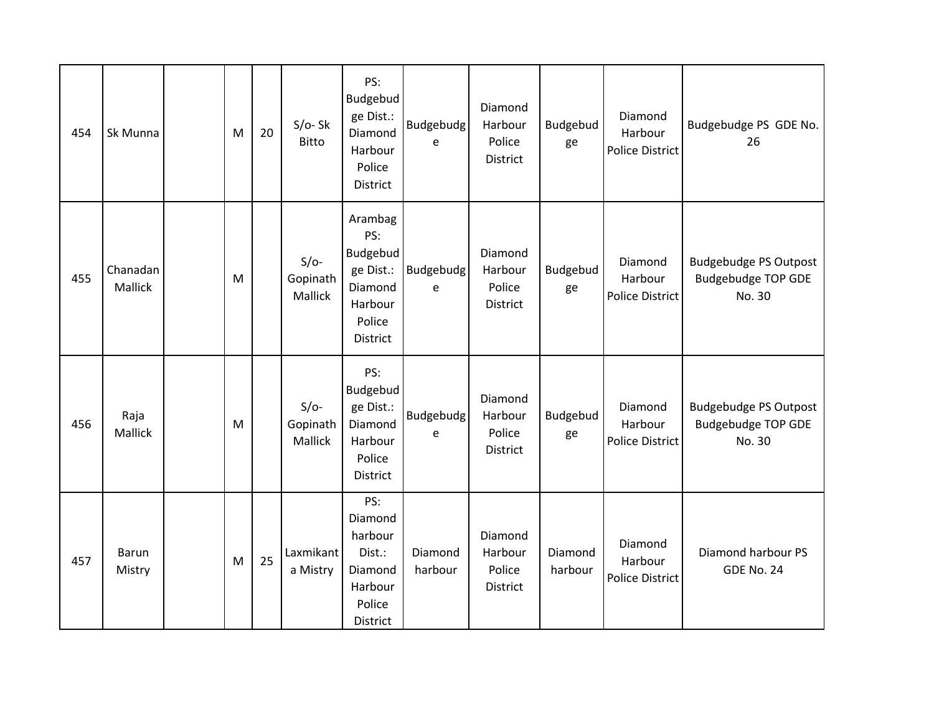| 454 | Sk Munna               | M | 20 | $S/O-Sk$<br><b>Bitto</b>      | PS:<br>Budgebud<br>ge Dist.:<br>Diamond<br>Harbour<br>Police<br>District            | Budgebudg<br>e     | Diamond<br>Harbour<br>Police<br><b>District</b> | Budgebud<br>ge     | Diamond<br>Harbour<br><b>Police District</b> | Budgebudge PS GDE No.<br>26                                         |
|-----|------------------------|---|----|-------------------------------|-------------------------------------------------------------------------------------|--------------------|-------------------------------------------------|--------------------|----------------------------------------------|---------------------------------------------------------------------|
| 455 | Chanadan<br>Mallick    | M |    | $S/O-$<br>Gopinath<br>Mallick | Arambag<br>PS:<br>Budgebud<br>ge Dist.:<br>Diamond<br>Harbour<br>Police<br>District | Budgebudg<br>e     | Diamond<br>Harbour<br>Police<br>District        | Budgebud<br>ge     | Diamond<br>Harbour<br>Police District        | <b>Budgebudge PS Outpost</b><br><b>Budgebudge TOP GDE</b><br>No. 30 |
| 456 | Raja<br>Mallick        | M |    | $S/O-$<br>Gopinath<br>Mallick | PS:<br>Budgebud<br>ge Dist.:<br>Diamond<br>Harbour<br>Police<br>District            | Budgebudg<br>e     | Diamond<br>Harbour<br>Police<br>District        | Budgebud<br>ge     | Diamond<br>Harbour<br><b>Police District</b> | <b>Budgebudge PS Outpost</b><br><b>Budgebudge TOP GDE</b><br>No. 30 |
| 457 | <b>Barun</b><br>Mistry | M | 25 | Laxmikant<br>a Mistry         | PS:<br>Diamond<br>harbour<br>Dist.:<br>Diamond<br>Harbour<br>Police<br>District     | Diamond<br>harbour | Diamond<br>Harbour<br>Police<br>District        | Diamond<br>harbour | Diamond<br>Harbour<br><b>Police District</b> | Diamond harbour PS<br>GDE No. 24                                    |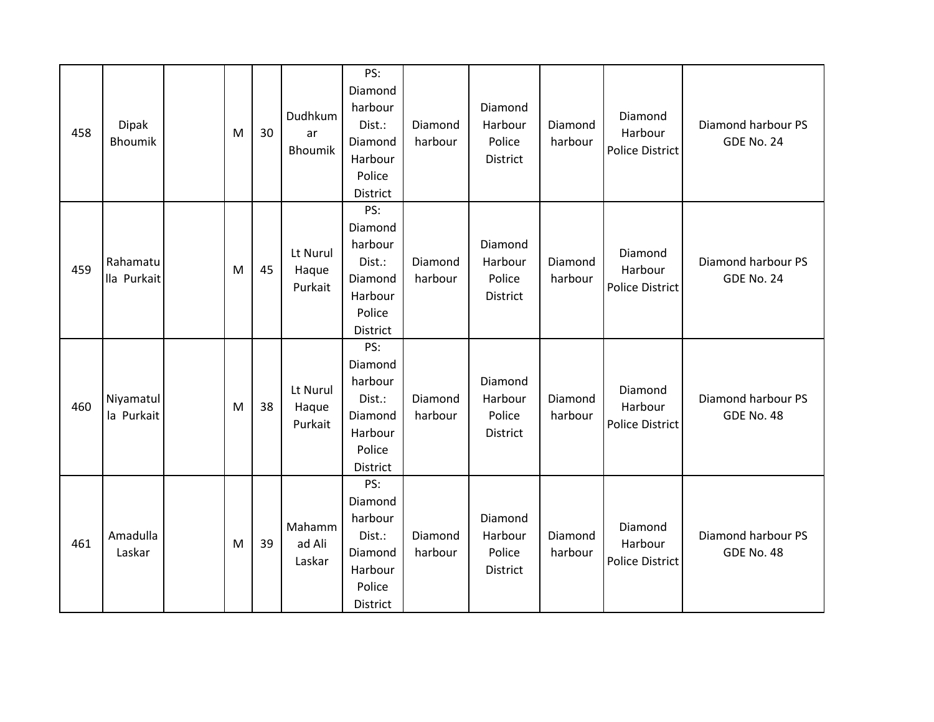| 458 | <b>Dipak</b><br><b>Bhoumik</b> | M | 30 | Dudhkum<br>ar<br>Bhoumik     | PS:<br>Diamond<br>harbour<br>Dist.:<br>Diamond<br>Harbour<br>Police<br>District | Diamond<br>harbour | Diamond<br>Harbour<br>Police<br>District        | Diamond<br>harbour | Diamond<br>Harbour<br><b>Police District</b> | Diamond harbour PS<br>GDE No. 24 |
|-----|--------------------------------|---|----|------------------------------|---------------------------------------------------------------------------------|--------------------|-------------------------------------------------|--------------------|----------------------------------------------|----------------------------------|
| 459 | Rahamatu<br>lla Purkait        | M | 45 | Lt Nurul<br>Haque<br>Purkait | PS:<br>Diamond<br>harbour<br>Dist.:<br>Diamond<br>Harbour<br>Police<br>District | Diamond<br>harbour | Diamond<br>Harbour<br>Police<br><b>District</b> | Diamond<br>harbour | Diamond<br>Harbour<br><b>Police District</b> | Diamond harbour PS<br>GDE No. 24 |
| 460 | Niyamatul<br>la Purkait        | M | 38 | Lt Nurul<br>Haque<br>Purkait | PS:<br>Diamond<br>harbour<br>Dist.:<br>Diamond<br>Harbour<br>Police<br>District | Diamond<br>harbour | Diamond<br>Harbour<br>Police<br>District        | Diamond<br>harbour | Diamond<br>Harbour<br><b>Police District</b> | Diamond harbour PS<br>GDE No. 48 |
| 461 | Amadulla<br>Laskar             | M | 39 | Mahamm<br>ad Ali<br>Laskar   | PS:<br>Diamond<br>harbour<br>Dist.:<br>Diamond<br>Harbour<br>Police<br>District | Diamond<br>harbour | Diamond<br>Harbour<br>Police<br>District        | Diamond<br>harbour | Diamond<br>Harbour<br><b>Police District</b> | Diamond harbour PS<br>GDE No. 48 |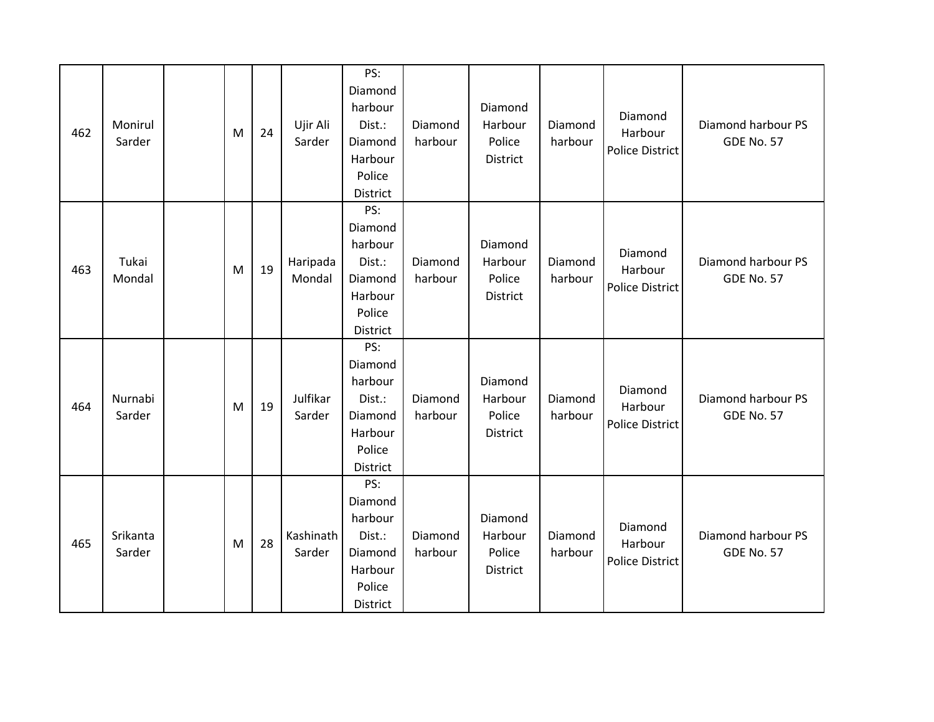| 462 | Monirul<br>Sarder  | M | 24 | Ujir Ali<br>Sarder  | PS:<br>Diamond<br>harbour<br>Dist.:<br>Diamond<br>Harbour<br>Police<br>District | Diamond<br>harbour | Diamond<br>Harbour<br>Police<br>District | Diamond<br>harbour | Diamond<br>Harbour<br><b>Police District</b> | Diamond harbour PS<br><b>GDE No. 57</b> |
|-----|--------------------|---|----|---------------------|---------------------------------------------------------------------------------|--------------------|------------------------------------------|--------------------|----------------------------------------------|-----------------------------------------|
| 463 | Tukai<br>Mondal    | M | 19 | Haripada<br>Mondal  | PS:<br>Diamond<br>harbour<br>Dist.:<br>Diamond<br>Harbour<br>Police<br>District | Diamond<br>harbour | Diamond<br>Harbour<br>Police<br>District | Diamond<br>harbour | Diamond<br>Harbour<br><b>Police District</b> | Diamond harbour PS<br><b>GDE No. 57</b> |
| 464 | Nurnabi<br>Sarder  | M | 19 | Julfikar<br>Sarder  | PS:<br>Diamond<br>harbour<br>Dist.:<br>Diamond<br>Harbour<br>Police<br>District | Diamond<br>harbour | Diamond<br>Harbour<br>Police<br>District | Diamond<br>harbour | Diamond<br>Harbour<br><b>Police District</b> | Diamond harbour PS<br><b>GDE No. 57</b> |
| 465 | Srikanta<br>Sarder | M | 28 | Kashinath<br>Sarder | PS:<br>Diamond<br>harbour<br>Dist.:<br>Diamond<br>Harbour<br>Police<br>District | Diamond<br>harbour | Diamond<br>Harbour<br>Police<br>District | Diamond<br>harbour | Diamond<br>Harbour<br>Police District        | Diamond harbour PS<br><b>GDE No. 57</b> |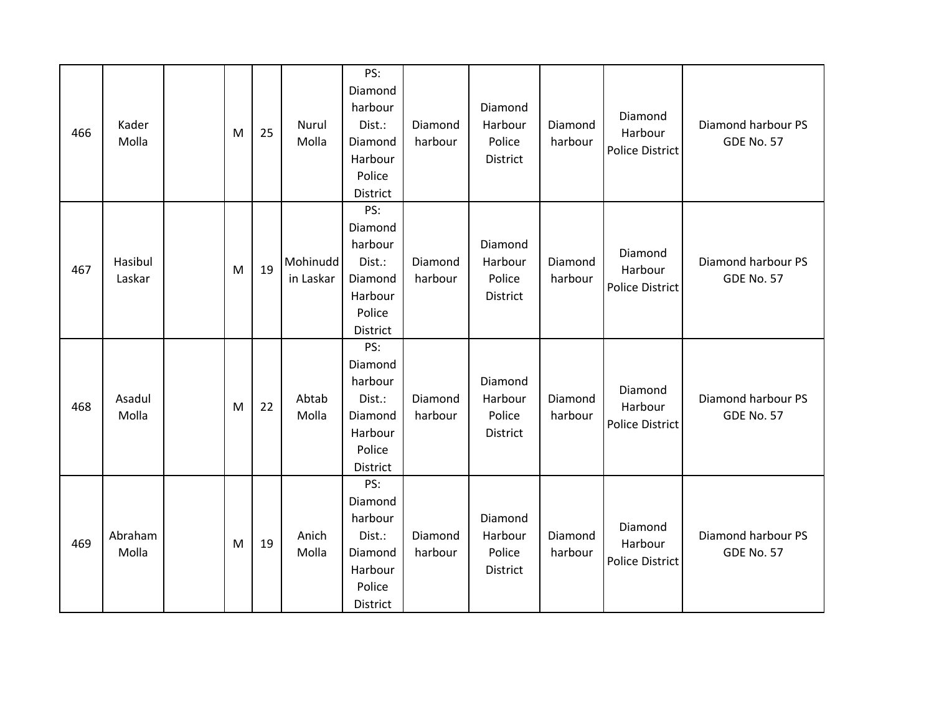| 466 | Kader<br>Molla    | M | 25 | Nurul<br>Molla        | PS:<br>Diamond<br>harbour<br>Dist.:<br>Diamond<br>Harbour<br>Police<br>District | Diamond<br>harbour | Diamond<br>Harbour<br>Police<br>District | Diamond<br>harbour | Diamond<br>Harbour<br><b>Police District</b> | Diamond harbour PS<br><b>GDE No. 57</b> |
|-----|-------------------|---|----|-----------------------|---------------------------------------------------------------------------------|--------------------|------------------------------------------|--------------------|----------------------------------------------|-----------------------------------------|
| 467 | Hasibul<br>Laskar | M | 19 | Mohinudd<br>in Laskar | PS:<br>Diamond<br>harbour<br>Dist.:<br>Diamond<br>Harbour<br>Police<br>District | Diamond<br>harbour | Diamond<br>Harbour<br>Police<br>District | Diamond<br>harbour | Diamond<br>Harbour<br><b>Police District</b> | Diamond harbour PS<br><b>GDE No. 57</b> |
| 468 | Asadul<br>Molla   | M | 22 | Abtab<br>Molla        | PS:<br>Diamond<br>harbour<br>Dist.:<br>Diamond<br>Harbour<br>Police<br>District | Diamond<br>harbour | Diamond<br>Harbour<br>Police<br>District | Diamond<br>harbour | Diamond<br>Harbour<br><b>Police District</b> | Diamond harbour PS<br><b>GDE No. 57</b> |
| 469 | Abraham<br>Molla  | M | 19 | Anich<br>Molla        | PS:<br>Diamond<br>harbour<br>Dist.:<br>Diamond<br>Harbour<br>Police<br>District | Diamond<br>harbour | Diamond<br>Harbour<br>Police<br>District | Diamond<br>harbour | Diamond<br>Harbour<br><b>Police District</b> | Diamond harbour PS<br><b>GDE No. 57</b> |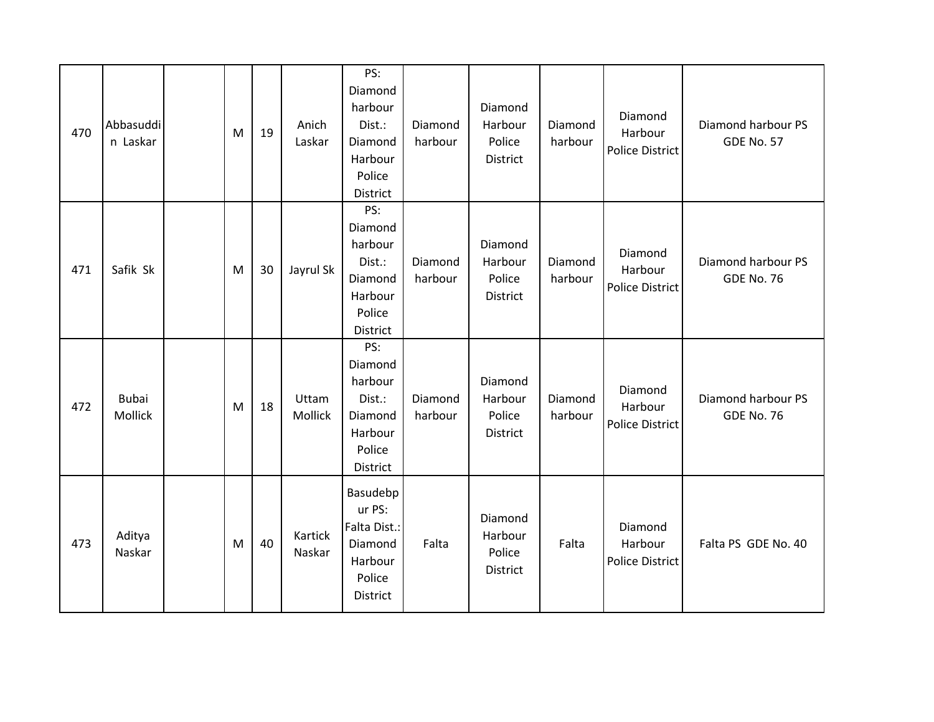| 470 | Abbasuddi<br>n Laskar   | M | 19 | Anich<br>Laskar   | PS:<br>Diamond<br>harbour<br>Dist.:<br>Diamond<br>Harbour<br>Police<br>District | Diamond<br>harbour | Diamond<br>Harbour<br>Police<br>District | Diamond<br>harbour | Diamond<br>Harbour<br><b>Police District</b> | Diamond harbour PS<br><b>GDE No. 57</b> |
|-----|-------------------------|---|----|-------------------|---------------------------------------------------------------------------------|--------------------|------------------------------------------|--------------------|----------------------------------------------|-----------------------------------------|
| 471 | Safik Sk                | M | 30 | Jayrul Sk         | PS:<br>Diamond<br>harbour<br>Dist.:<br>Diamond<br>Harbour<br>Police<br>District | Diamond<br>harbour | Diamond<br>Harbour<br>Police<br>District | Diamond<br>harbour | Diamond<br>Harbour<br>Police District        | Diamond harbour PS<br><b>GDE No. 76</b> |
| 472 | <b>Bubai</b><br>Mollick | M | 18 | Uttam<br>Mollick  | PS:<br>Diamond<br>harbour<br>Dist.:<br>Diamond<br>Harbour<br>Police<br>District | Diamond<br>harbour | Diamond<br>Harbour<br>Police<br>District | Diamond<br>harbour | Diamond<br>Harbour<br><b>Police District</b> | Diamond harbour PS<br><b>GDE No. 76</b> |
| 473 | Aditya<br>Naskar        | M | 40 | Kartick<br>Naskar | Basudebp<br>ur PS:<br>Falta Dist.:<br>Diamond<br>Harbour<br>Police<br>District  | Falta              | Diamond<br>Harbour<br>Police<br>District | Falta              | Diamond<br>Harbour<br><b>Police District</b> | Falta PS GDE No. 40                     |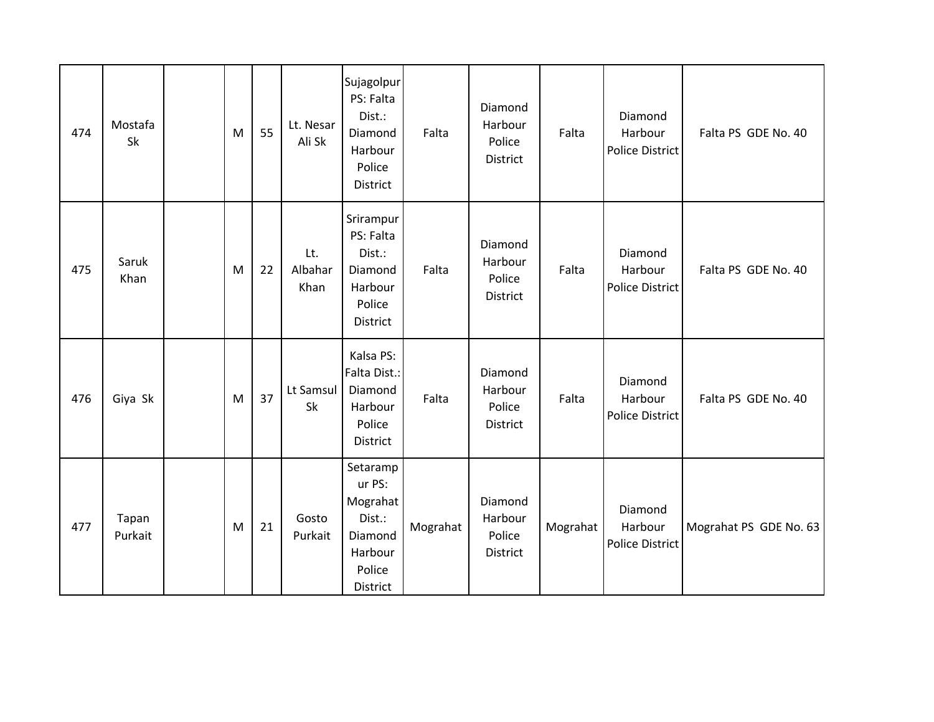| 474 | Mostafa<br>Sk    | M | 55 | Lt. Nesar<br>Ali Sk    | Sujagolpur<br>PS: Falta<br>Dist.:<br>Diamond<br>Harbour<br>Police<br>District        | Falta    | Diamond<br>Harbour<br>Police<br>District | Falta    | Diamond<br>Harbour<br><b>Police District</b> | Falta PS GDE No. 40    |
|-----|------------------|---|----|------------------------|--------------------------------------------------------------------------------------|----------|------------------------------------------|----------|----------------------------------------------|------------------------|
| 475 | Saruk<br>Khan    | M | 22 | Lt.<br>Albahar<br>Khan | Srirampur<br>PS: Falta<br>Dist.:<br>Diamond<br>Harbour<br>Police<br>District         | Falta    | Diamond<br>Harbour<br>Police<br>District | Falta    | Diamond<br>Harbour<br><b>Police District</b> | Falta PS GDE No. 40    |
| 476 | Giya Sk          | M | 37 | Lt Samsul<br>Sk        | Kalsa PS:<br>Falta Dist.:<br>Diamond<br>Harbour<br>Police<br>District                | Falta    | Diamond<br>Harbour<br>Police<br>District | Falta    | Diamond<br>Harbour<br><b>Police District</b> | Falta PS GDE No. 40    |
| 477 | Tapan<br>Purkait | M | 21 | Gosto<br>Purkait       | Setaramp<br>ur PS:<br>Mograhat<br>Dist.:<br>Diamond<br>Harbour<br>Police<br>District | Mograhat | Diamond<br>Harbour<br>Police<br>District | Mograhat | Diamond<br>Harbour<br><b>Police District</b> | Mograhat PS GDE No. 63 |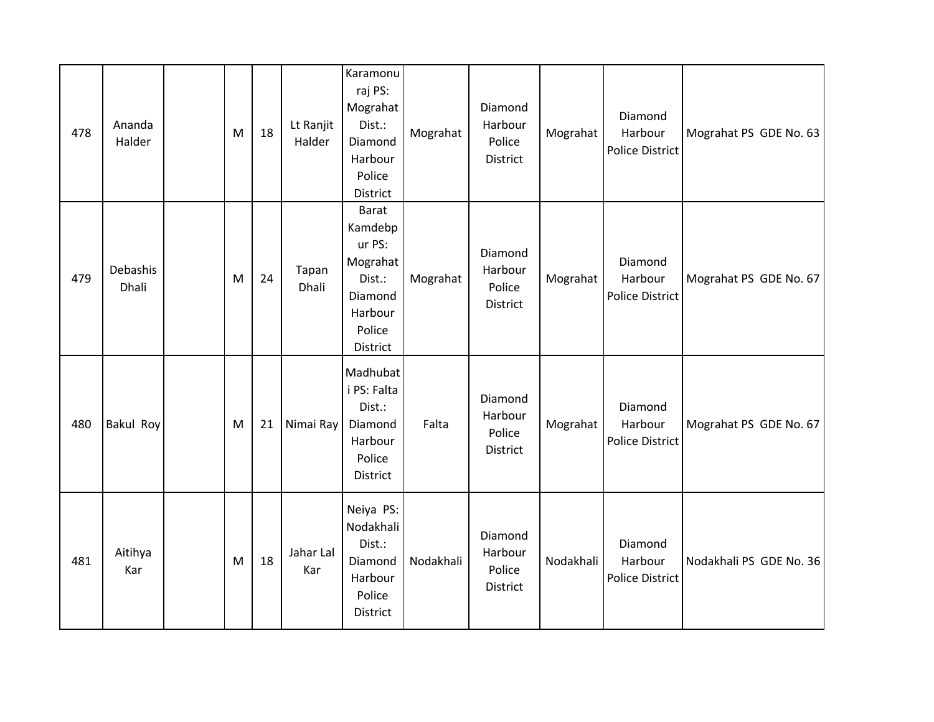| 478 | Ananda<br>Halder  | M | 18 | Lt Ranjit<br>Halder | Karamonu<br>raj PS:<br>Mograhat<br>Dist.:<br>Diamond<br>Harbour<br>Police<br>District               | Mograhat  | Diamond<br>Harbour<br>Police<br>District        | Mograhat  | Diamond<br>Harbour<br><b>Police District</b> | Mograhat PS GDE No. 63  |
|-----|-------------------|---|----|---------------------|-----------------------------------------------------------------------------------------------------|-----------|-------------------------------------------------|-----------|----------------------------------------------|-------------------------|
| 479 | Debashis<br>Dhali | M | 24 | Tapan<br>Dhali      | <b>Barat</b><br>Kamdebp<br>ur PS:<br>Mograhat<br>Dist.:<br>Diamond<br>Harbour<br>Police<br>District | Mograhat  | Diamond<br>Harbour<br>Police<br>District        | Mograhat  | Diamond<br>Harbour<br><b>Police District</b> | Mograhat PS GDE No. 67  |
| 480 | Bakul Roy         | M | 21 | Nimai Ray           | Madhubat<br>i PS: Falta<br>Dist.:<br>Diamond<br>Harbour<br>Police<br>District                       | Falta     | Diamond<br>Harbour<br>Police<br><b>District</b> | Mograhat  | Diamond<br>Harbour<br>Police District        | Mograhat PS GDE No. 67  |
| 481 | Aitihya<br>Kar    | M | 18 | Jahar Lal<br>Kar    | Neiya PS:<br>Nodakhali<br>Dist.:<br>Diamond<br>Harbour<br>Police<br>District                        | Nodakhali | Diamond<br>Harbour<br>Police<br>District        | Nodakhali | Diamond<br>Harbour<br><b>Police District</b> | Nodakhali PS GDE No. 36 |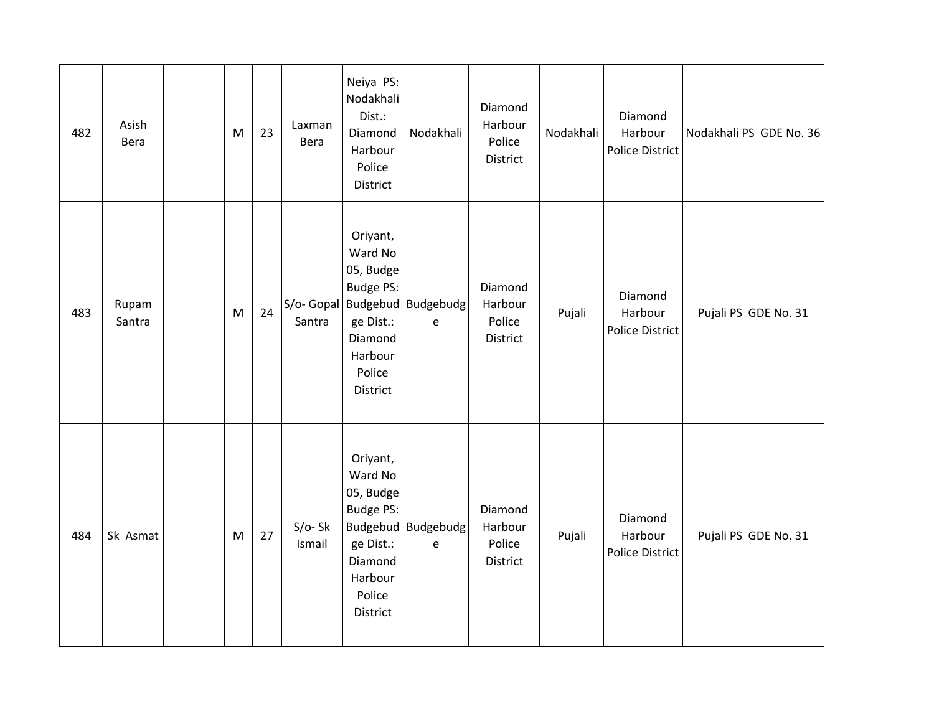| 482 | Asish<br>Bera   | M | 23 | Laxman<br>Bera     | Neiya PS:<br>Nodakhali<br>Dist.:<br>Diamond<br>Harbour<br>Police<br>District                                  | Nodakhali                          | Diamond<br>Harbour<br>Police<br>District | Nodakhali | Diamond<br>Harbour<br>Police District | Nodakhali PS GDE No. 36 |
|-----|-----------------|---|----|--------------------|---------------------------------------------------------------------------------------------------------------|------------------------------------|------------------------------------------|-----------|---------------------------------------|-------------------------|
| 483 | Rupam<br>Santra | M | 24 | Santra             | Oriyant,<br>Ward No<br>05, Budge<br><b>Budge PS:</b><br>ge Dist.:<br>Diamond<br>Harbour<br>Police<br>District | S/o- Gopal Budgebud Budgebudg<br>e | Diamond<br>Harbour<br>Police<br>District | Pujali    | Diamond<br>Harbour<br>Police District | Pujali PS GDE No. 31    |
| 484 | Sk Asmat        | M | 27 | $S/O-Sk$<br>Ismail | Oriyant,<br>Ward No<br>05, Budge<br><b>Budge PS:</b><br>ge Dist.:<br>Diamond<br>Harbour<br>Police<br>District | Budgebud Budgebudg<br>$\mathsf e$  | Diamond<br>Harbour<br>Police<br>District | Pujali    | Diamond<br>Harbour<br>Police District | Pujali PS GDE No. 31    |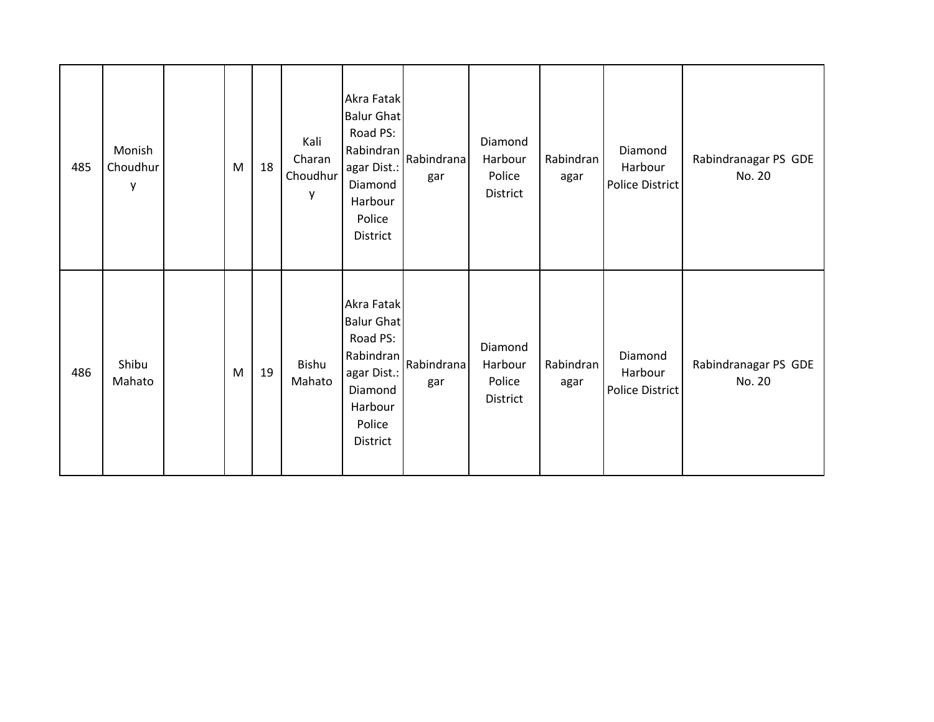| 485 | Monish<br>Choudhur<br>у | M | 18 | Kali<br>Charan<br>Choudhur<br>у | Akra Fatak<br><b>Balur Ghat</b><br>Road PS:<br>Rabindran<br>agar Dist.:<br>Diamond<br>Harbour<br>Police<br>District | Rabindrana<br>gar | Diamond<br>Harbour<br>Police<br>District | Rabindran<br>agar | Diamond<br>Harbour<br>Police District | Rabindranagar PS GDE<br>No. 20 |
|-----|-------------------------|---|----|---------------------------------|---------------------------------------------------------------------------------------------------------------------|-------------------|------------------------------------------|-------------------|---------------------------------------|--------------------------------|
| 486 | Shibu<br>Mahato         | M | 19 | Bishu<br>Mahato                 | Akra Fatak<br><b>Balur Ghat</b><br>Road PS:<br>Rabindran<br>agar Dist.:<br>Diamond<br>Harbour<br>Police<br>District | Rabindrana<br>gar | Diamond<br>Harbour<br>Police<br>District | Rabindran<br>agar | Diamond<br>Harbour<br>Police District | Rabindranagar PS GDE<br>No. 20 |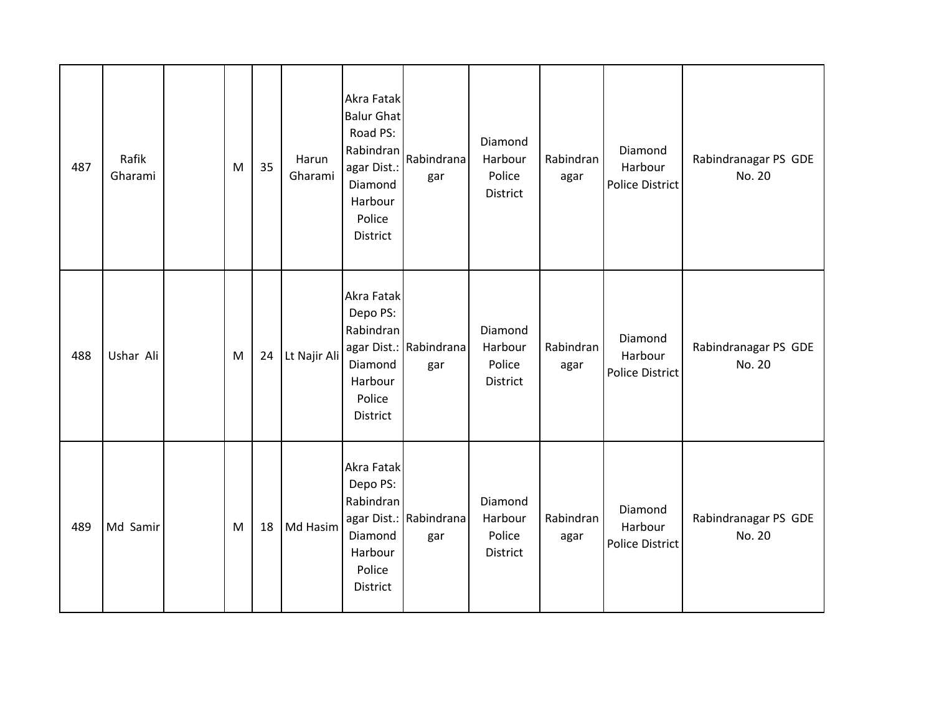| 487 | Rafik<br>Gharami | M | 35 | Harun<br>Gharami | Akra Fatak<br><b>Balur Ghat</b><br>Road PS:<br>Rabindran<br>agar Dist.:<br>Diamond<br>Harbour<br>Police<br><b>District</b> | Rabindrana<br>gar             | Diamond<br>Harbour<br>Police<br>District | Rabindran<br>agar | Diamond<br>Harbour<br>Police District | Rabindranagar PS GDE<br>No. 20 |
|-----|------------------|---|----|------------------|----------------------------------------------------------------------------------------------------------------------------|-------------------------------|------------------------------------------|-------------------|---------------------------------------|--------------------------------|
| 488 | Ushar Ali        | M | 24 | Lt Najir Ali     | Akra Fatak<br>Depo PS:<br>Rabindran<br>Diamond<br>Harbour<br>Police<br>District                                            | agar Dist.: Rabindrana<br>gar | Diamond<br>Harbour<br>Police<br>District | Rabindran<br>agar | Diamond<br>Harbour<br>Police District | Rabindranagar PS GDE<br>No. 20 |
| 489 | Md Samir         | M | 18 | Md Hasim         | Akra Fatak<br>Depo PS:<br>Rabindran<br>Diamond<br>Harbour<br>Police<br>District                                            | agar Dist.: Rabindrana<br>gar | Diamond<br>Harbour<br>Police<br>District | Rabindran<br>agar | Diamond<br>Harbour<br>Police District | Rabindranagar PS GDE<br>No. 20 |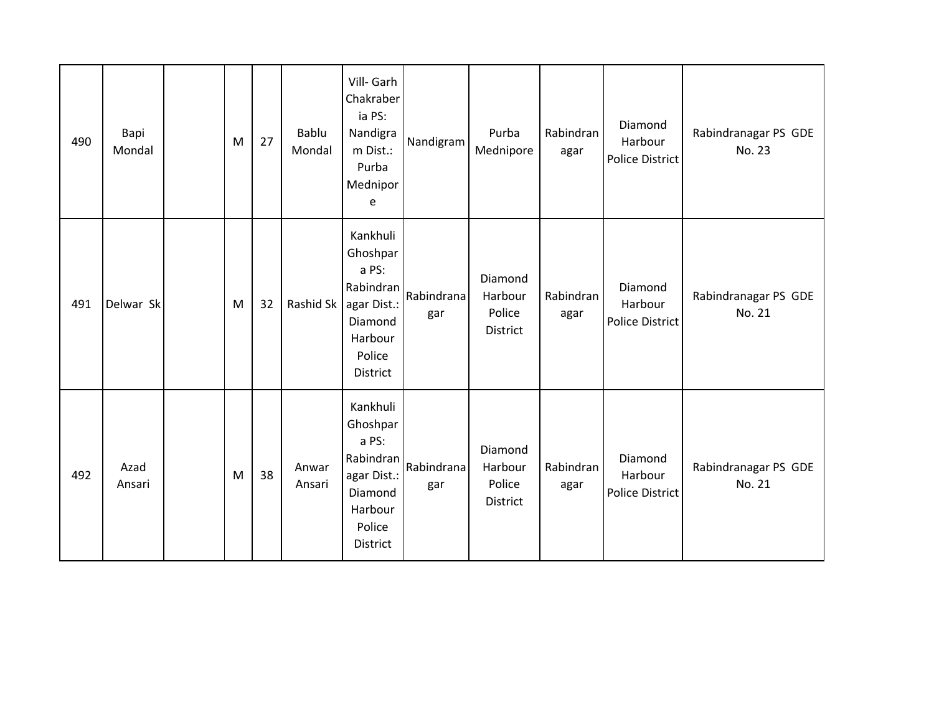| 490 | Bapi<br>Mondal | M | 27 | Bablu<br>Mondal | Vill- Garh<br>Chakraber<br>ia PS:<br>Nandigra<br>m Dist.:<br>Purba<br>Mednipor<br>e                          | Nandigram         | Purba<br>Mednipore                              | Rabindran<br>agar | Diamond<br>Harbour<br><b>Police District</b> | Rabindranagar PS GDE<br>No. 23 |
|-----|----------------|---|----|-----------------|--------------------------------------------------------------------------------------------------------------|-------------------|-------------------------------------------------|-------------------|----------------------------------------------|--------------------------------|
| 491 | Delwar Sk      | M | 32 | Rashid Sk       | Kankhuli<br>Ghoshpar<br>a PS:<br>Rabindran<br>agar Dist.:<br>Diamond<br>Harbour<br>Police<br>District        | Rabindrana<br>gar | Diamond<br>Harbour<br>Police<br>District        | Rabindran<br>agar | Diamond<br>Harbour<br>Police District        | Rabindranagar PS GDE<br>No. 21 |
| 492 | Azad<br>Ansari | M | 38 | Anwar<br>Ansari | Kankhuli<br>Ghoshpar<br>a PS:<br>Rabindran<br>agar Dist.:<br>Diamond<br>Harbour<br>Police<br><b>District</b> | Rabindrana<br>gar | Diamond<br>Harbour<br>Police<br><b>District</b> | Rabindran<br>agar | Diamond<br>Harbour<br><b>Police District</b> | Rabindranagar PS GDE<br>No. 21 |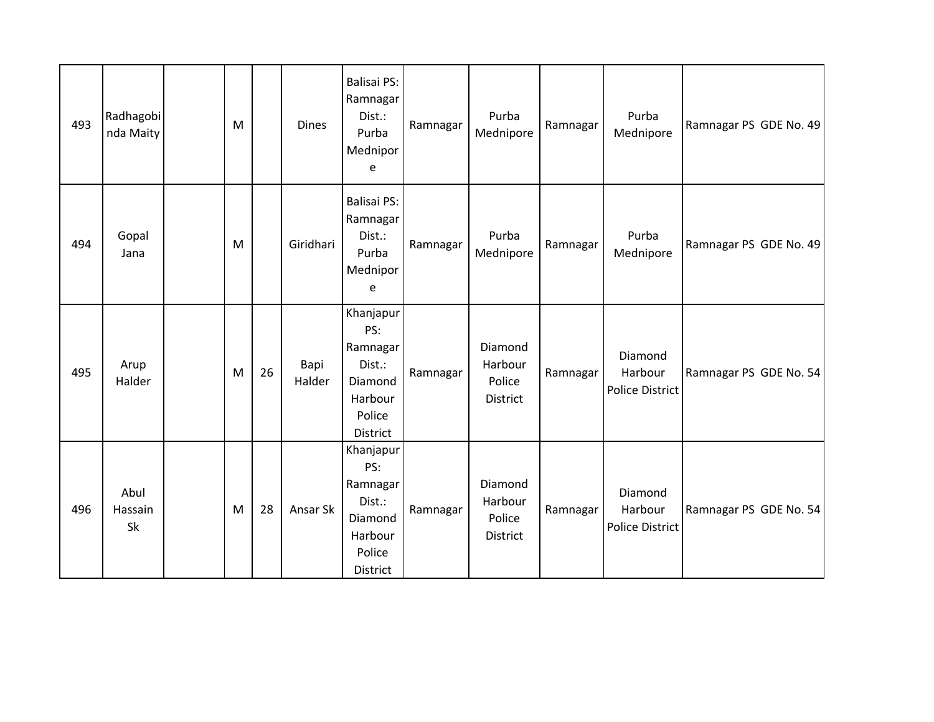| 493 | Radhagobi<br>nda Maity | M |    | <b>Dines</b>   | <b>Balisai PS:</b><br>Ramnagar<br>Dist.:<br>Purba<br>Mednipor<br>e                 | Ramnagar | Purba<br>Mednipore                       | Ramnagar | Purba<br>Mednipore                           | Ramnagar PS GDE No. 49 |
|-----|------------------------|---|----|----------------|------------------------------------------------------------------------------------|----------|------------------------------------------|----------|----------------------------------------------|------------------------|
| 494 | Gopal<br>Jana          | M |    | Giridhari      | <b>Balisai PS:</b><br>Ramnagar<br>Dist.:<br>Purba<br>Mednipor<br>e                 | Ramnagar | Purba<br>Mednipore                       | Ramnagar | Purba<br>Mednipore                           | Ramnagar PS GDE No. 49 |
| 495 | Arup<br>Halder         | M | 26 | Bapi<br>Halder | Khanjapur<br>PS:<br>Ramnagar<br>Dist.:<br>Diamond<br>Harbour<br>Police<br>District | Ramnagar | Diamond<br>Harbour<br>Police<br>District | Ramnagar | Diamond<br>Harbour<br>Police District        | Ramnagar PS GDE No. 54 |
| 496 | Abul<br>Hassain<br>Sk  | M | 28 | Ansar Sk       | Khanjapur<br>PS:<br>Ramnagar<br>Dist.:<br>Diamond<br>Harbour<br>Police<br>District | Ramnagar | Diamond<br>Harbour<br>Police<br>District | Ramnagar | Diamond<br>Harbour<br><b>Police District</b> | Ramnagar PS GDE No. 54 |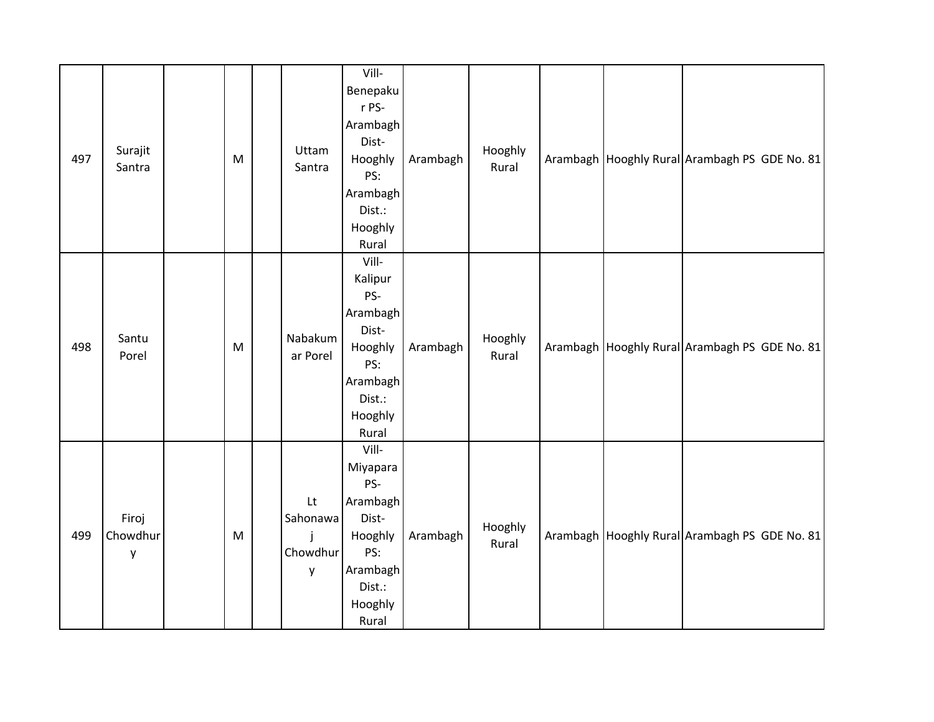| 497 | Surajit<br>Santra      | ${\sf M}$ | Uttam<br>Santra                 | Vill-<br>Benepaku<br>r PS-<br>Arambagh<br>Dist-<br>Hooghly<br>PS:<br>Arambagh<br>Dist.:<br>Hooghly<br>Rural | Arambagh | Hooghly<br>Rural |  | Arambagh Hooghly Rural Arambagh PS GDE No. 81 |
|-----|------------------------|-----------|---------------------------------|-------------------------------------------------------------------------------------------------------------|----------|------------------|--|-----------------------------------------------|
| 498 | Santu<br>Porel         | ${\sf M}$ | Nabakum<br>ar Porel             | Vill-<br>Kalipur<br>PS-<br>Arambagh<br>Dist-<br>Hooghly<br>PS:<br>Arambagh<br>Dist.:<br>Hooghly<br>Rural    | Arambagh | Hooghly<br>Rural |  | Arambagh Hooghly Rural Arambagh PS GDE No. 81 |
| 499 | Firoj<br>Chowdhur<br>у | ${\sf M}$ | Lt<br>Sahonawa<br>Chowdhur<br>y | Vill-<br>Miyapara<br>PS-<br>Arambagh<br>Dist-<br>Hooghly<br>PS:<br>Arambagh<br>Dist.:<br>Hooghly<br>Rural   | Arambagh | Hooghly<br>Rural |  | Arambagh Hooghly Rural Arambagh PS GDE No. 81 |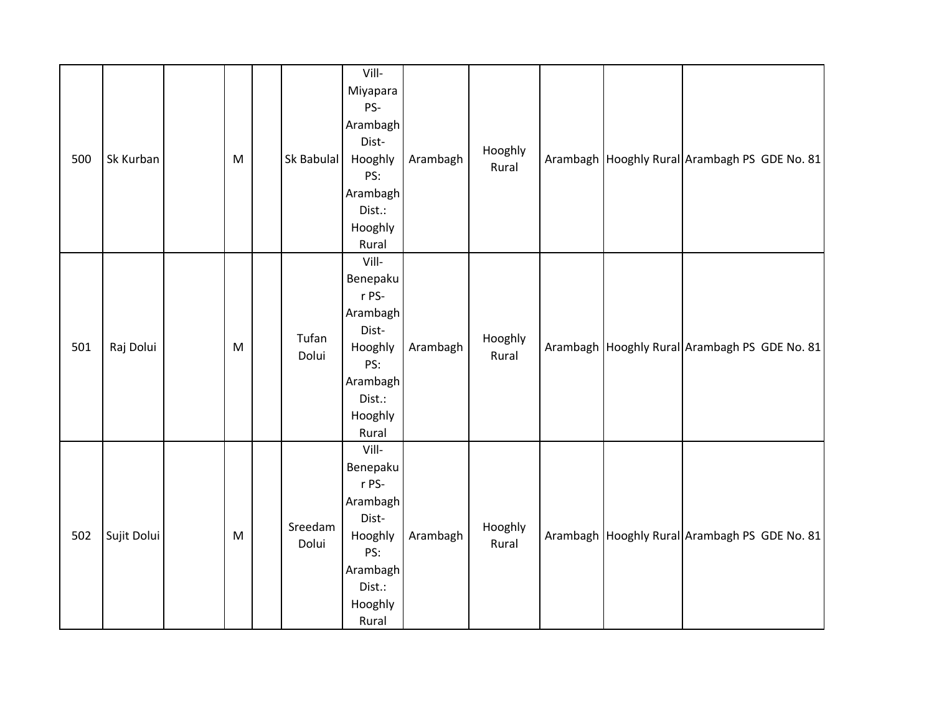| 500 | Sk Kurban   | ${\sf M}$ | Sk Babulal       | Vill-<br>Miyapara<br>PS-<br>Arambagh<br>Dist-<br>Hooghly<br>PS:<br>Arambagh<br>Dist.:<br>Hooghly<br>Rural   | Arambagh | Hooghly<br>Rural |  | Arambagh Hooghly Rural Arambagh PS GDE No. 81 |
|-----|-------------|-----------|------------------|-------------------------------------------------------------------------------------------------------------|----------|------------------|--|-----------------------------------------------|
| 501 | Raj Dolui   | ${\sf M}$ | Tufan<br>Dolui   | Vill-<br>Benepaku<br>r PS-<br>Arambagh<br>Dist-<br>Hooghly<br>PS:<br>Arambagh<br>Dist.:<br>Hooghly<br>Rural | Arambagh | Hooghly<br>Rural |  | Arambagh Hooghly Rural Arambagh PS GDE No. 81 |
| 502 | Sujit Dolui | ${\sf M}$ | Sreedam<br>Dolui | Vill-<br>Benepaku<br>r PS-<br>Arambagh<br>Dist-<br>Hooghly<br>PS:<br>Arambagh<br>Dist.:<br>Hooghly<br>Rural | Arambagh | Hooghly<br>Rural |  | Arambagh Hooghly Rural Arambagh PS GDE No. 81 |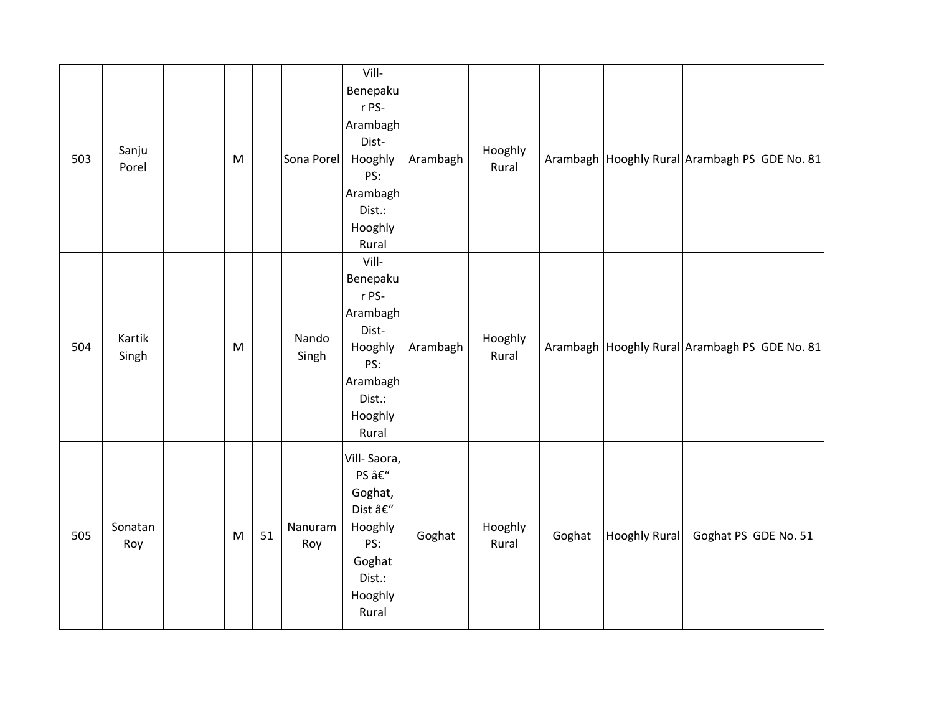| 503 | Sanju<br>Porel  | M |    | Sona Porel     | Vill-<br>Benepaku<br>r PS-<br>Arambagh<br>Dist-<br>Hooghly<br>PS:<br>Arambagh<br>Dist.:<br>Hooghly<br>Rural | Arambagh | Hooghly<br>Rural |        |                      | Arambagh   Hooghly Rural   Arambagh PS GDE No. 81 |
|-----|-----------------|---|----|----------------|-------------------------------------------------------------------------------------------------------------|----------|------------------|--------|----------------------|---------------------------------------------------|
| 504 | Kartik<br>Singh | M |    | Nando<br>Singh | Vill-<br>Benepaku<br>r PS-<br>Arambagh<br>Dist-<br>Hooghly<br>PS:<br>Arambagh<br>Dist.:<br>Hooghly<br>Rural | Arambagh | Hooghly<br>Rural |        |                      | Arambagh Hooghly Rural Arambagh PS GDE No. 81     |
| 505 | Sonatan<br>Roy  | M | 51 | Nanuram<br>Roy | Vill-Saora,<br>PS –<br>Goghat,<br>Dist –<br>Hooghly<br>PS:<br>Goghat<br>Dist.:<br>Hooghly<br>Rural          | Goghat   | Hooghly<br>Rural | Goghat | <b>Hooghly Rural</b> | Goghat PS GDE No. 51                              |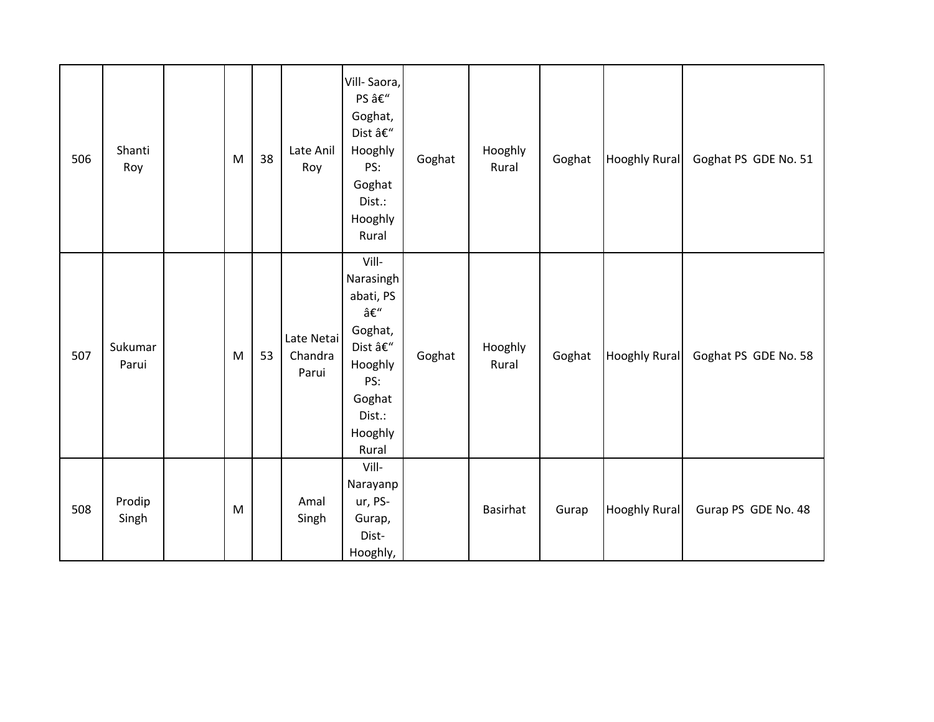| 506 | Shanti<br>Roy    | M | 38 | Late Anil<br>Roy               | Vill-Saora,<br>PS –<br>Goghat,<br>Dist $\hat{\mathsf{a}} \mathsf{E}''$<br>Hooghly<br>PS:<br>Goghat<br>Dist.:<br>Hooghly<br>Rural | Goghat | Hooghly<br>Rural | Goghat | <b>Hooghly Rural</b> | Goghat PS GDE No. 51 |
|-----|------------------|---|----|--------------------------------|----------------------------------------------------------------------------------------------------------------------------------|--------|------------------|--------|----------------------|----------------------|
| 507 | Sukumar<br>Parui | M | 53 | Late Netai<br>Chandra<br>Parui | Vill-<br>Narasingh<br>abati, PS<br>–<br>Goghat,<br>Dist –<br>Hooghly<br>PS:<br>Goghat<br>Dist.:<br>Hooghly<br>Rural              | Goghat | Hooghly<br>Rural | Goghat | <b>Hooghly Rural</b> | Goghat PS GDE No. 58 |
| 508 | Prodip<br>Singh  | M |    | Amal<br>Singh                  | Vill-<br>Narayanp<br>ur, PS-<br>Gurap,<br>Dist-<br>Hooghly,                                                                      |        | <b>Basirhat</b>  | Gurap  | <b>Hooghly Rural</b> | Gurap PS GDE No. 48  |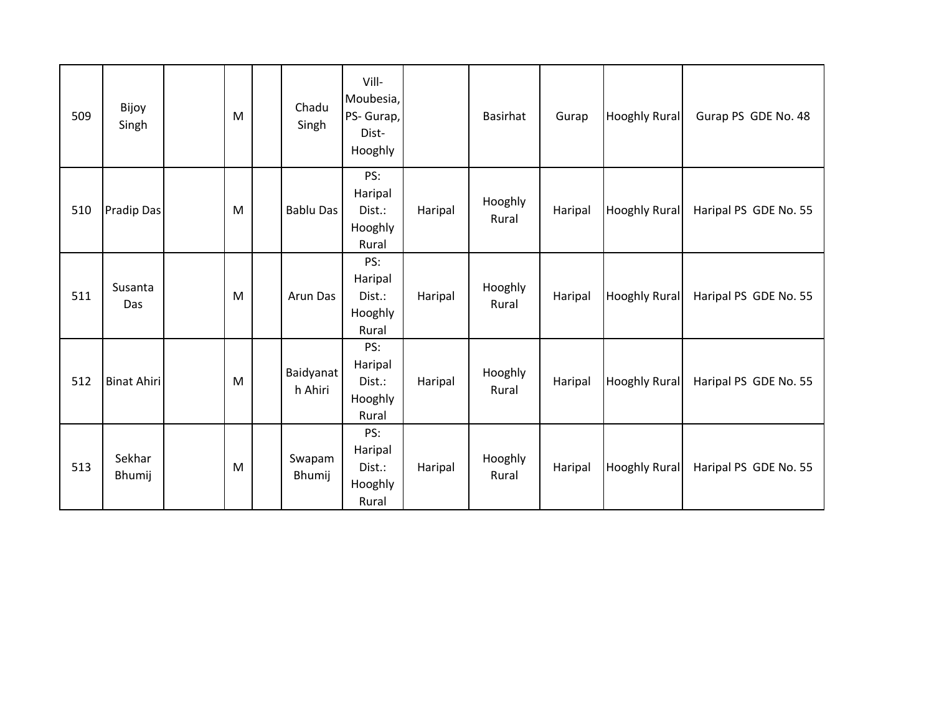| 509 | Bijoy<br>Singh     | M | Chadu<br>Singh       | Vill-<br>Moubesia,<br>PS- Gurap,<br>Dist-<br>Hooghly |         | <b>Basirhat</b>  | Gurap   | <b>Hooghly Rural</b> | Gurap PS GDE No. 48   |
|-----|--------------------|---|----------------------|------------------------------------------------------|---------|------------------|---------|----------------------|-----------------------|
| 510 | Pradip Das         | M | <b>Bablu Das</b>     | PS:<br>Haripal<br>Dist.:<br>Hooghly<br>Rural         | Haripal | Hooghly<br>Rural | Haripal | <b>Hooghly Rural</b> | Haripal PS GDE No. 55 |
| 511 | Susanta<br>Das     | M | Arun Das             | PS:<br>Haripal<br>Dist.:<br>Hooghly<br>Rural         | Haripal | Hooghly<br>Rural | Haripal | <b>Hooghly Rural</b> | Haripal PS GDE No. 55 |
| 512 | <b>Binat Ahiri</b> | M | Baidyanat<br>h Ahiri | PS:<br>Haripal<br>Dist.:<br>Hooghly<br>Rural         | Haripal | Hooghly<br>Rural | Haripal | <b>Hooghly Rural</b> | Haripal PS GDE No. 55 |
| 513 | Sekhar<br>Bhumij   | M | Swapam<br>Bhumij     | PS:<br>Haripal<br>Dist.:<br>Hooghly<br>Rural         | Haripal | Hooghly<br>Rural | Haripal | <b>Hooghly Rural</b> | Haripal PS GDE No. 55 |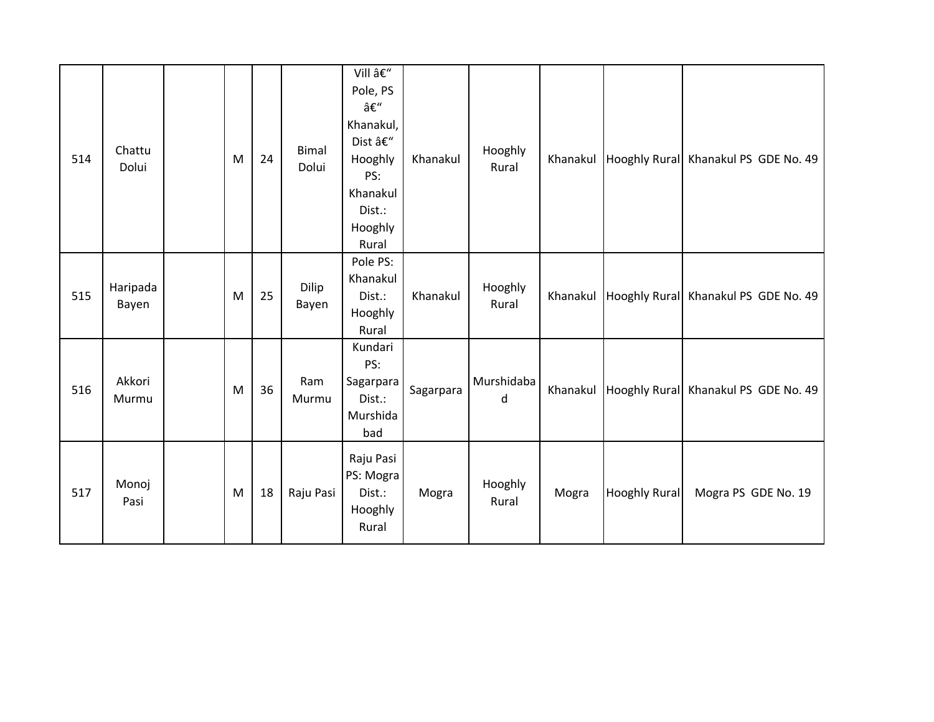| 514 | Chattu<br>Dolui   | M         | 24 | Bimal<br>Dolui | Vill –<br>Pole, PS<br>–<br>Khanakul,<br>Dist –<br>Hooghly<br>PS:<br>Khanakul<br>Dist.:<br>Hooghly<br>Rural | Khanakul  | Hooghly<br>Rural | Khanakul |                      | Hooghly Rural Khanakul PS GDE No. 49 |
|-----|-------------------|-----------|----|----------------|------------------------------------------------------------------------------------------------------------|-----------|------------------|----------|----------------------|--------------------------------------|
| 515 | Haripada<br>Bayen | M         | 25 | Dilip<br>Bayen | Pole PS:<br>Khanakul<br>Dist.:<br>Hooghly<br>Rural                                                         | Khanakul  | Hooghly<br>Rural | Khanakul |                      | Hooghly Rural Khanakul PS GDE No. 49 |
| 516 | Akkori<br>Murmu   | M         | 36 | Ram<br>Murmu   | Kundari<br>PS:<br>Sagarpara<br>Dist.:<br>Murshida<br>bad                                                   | Sagarpara | Murshidaba<br>d  | Khanakul |                      | Hooghly Rural Khanakul PS GDE No. 49 |
| 517 | Monoj<br>Pasi     | ${\sf M}$ | 18 | Raju Pasi      | Raju Pasi<br>PS: Mogra<br>Dist.:<br>Hooghly<br>Rural                                                       | Mogra     | Hooghly<br>Rural | Mogra    | <b>Hooghly Rural</b> | Mogra PS GDE No. 19                  |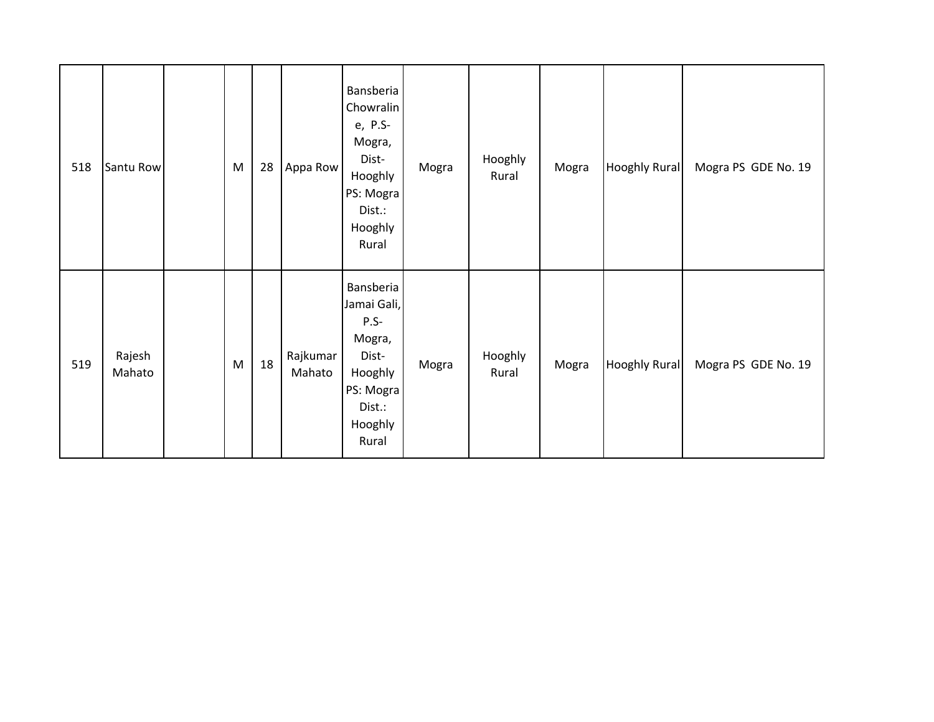| 518 | Santu Row        | M | 28 | Appa Row           | Bansberia<br>Chowralin<br>e, P.S-<br>Mogra,<br>Dist-<br>Hooghly<br>PS: Mogra<br>Dist.:<br>Hooghly<br>Rural  | Mogra | Hooghly<br>Rural | Mogra | <b>Hooghly Rural</b> | Mogra PS GDE No. 19 |
|-----|------------------|---|----|--------------------|-------------------------------------------------------------------------------------------------------------|-------|------------------|-------|----------------------|---------------------|
| 519 | Rajesh<br>Mahato | M | 18 | Rajkumar<br>Mahato | Bansberia<br>Jamai Gali,<br>$P.S-$<br>Mogra,<br>Dist-<br>Hooghly<br>PS: Mogra<br>Dist.:<br>Hooghly<br>Rural | Mogra | Hooghly<br>Rural | Mogra | <b>Hooghly Rural</b> | Mogra PS GDE No. 19 |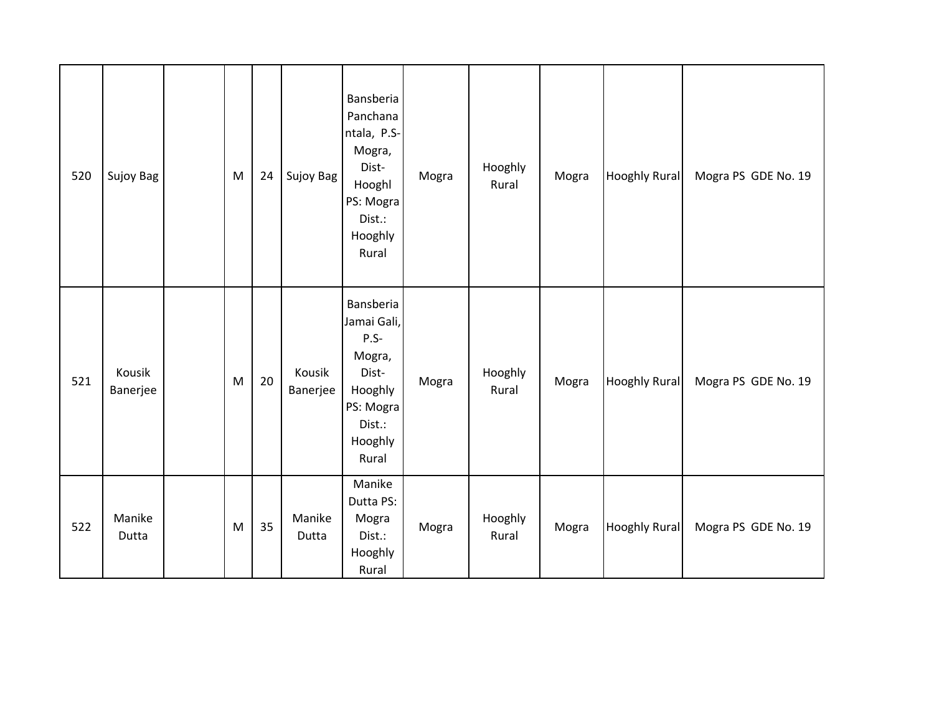| 520 | Sujoy Bag          | M | 24 | Sujoy Bag          | Bansberia<br>Panchana<br>ntala, P.S-<br>Mogra,<br>Dist-<br>Hooghl<br>PS: Mogra<br>Dist.:<br>Hooghly<br>Rural | Mogra | Hooghly<br>Rural | Mogra | <b>Hooghly Rural</b> | Mogra PS GDE No. 19 |
|-----|--------------------|---|----|--------------------|--------------------------------------------------------------------------------------------------------------|-------|------------------|-------|----------------------|---------------------|
| 521 | Kousik<br>Banerjee | M | 20 | Kousik<br>Banerjee | Bansberia<br>Jamai Gali,<br>$P.S-$<br>Mogra,<br>Dist-<br>Hooghly<br>PS: Mogra<br>Dist.:<br>Hooghly<br>Rural  | Mogra | Hooghly<br>Rural | Mogra | <b>Hooghly Rural</b> | Mogra PS GDE No. 19 |
| 522 | Manike<br>Dutta    | M | 35 | Manike<br>Dutta    | Manike<br>Dutta PS:<br>Mogra<br>Dist.:<br>Hooghly<br>Rural                                                   | Mogra | Hooghly<br>Rural | Mogra | <b>Hooghly Rural</b> | Mogra PS GDE No. 19 |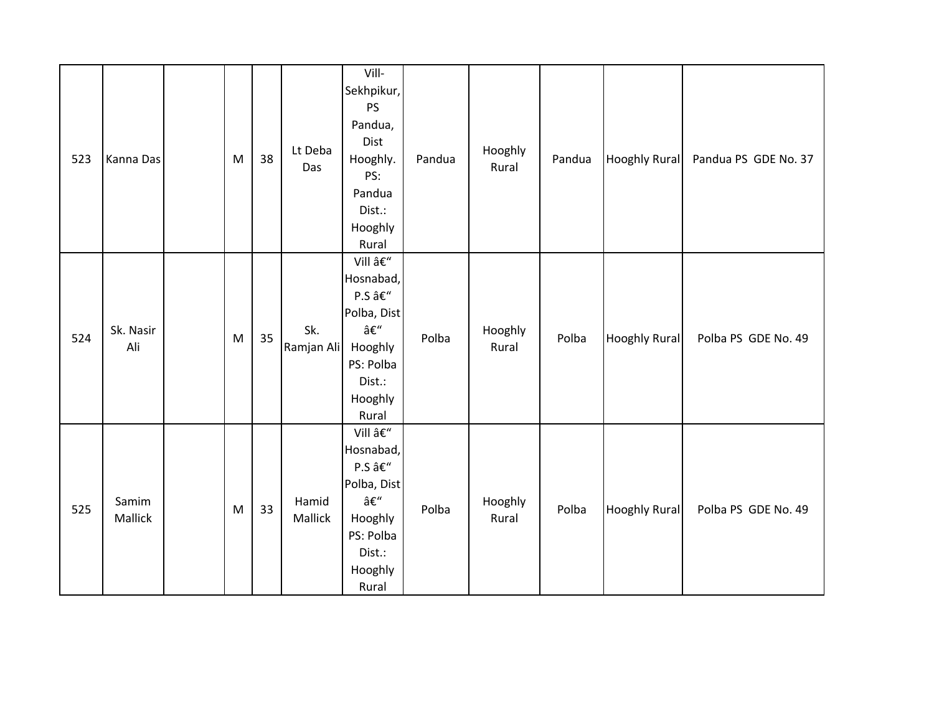| 523 | Kanna Das        | ${\sf M}$ | 38 | Lt Deba<br>Das    | Vill-<br>Sekhpikur,<br>PS<br>Pandua,<br>Dist<br>Hooghly.<br>PS:<br>Pandua<br>Dist.:<br>Hooghly<br>Rural | Pandua | Hooghly<br>Rural | Pandua | <b>Hooghly Rural</b> | Pandua PS GDE No. 37 |
|-----|------------------|-----------|----|-------------------|---------------------------------------------------------------------------------------------------------|--------|------------------|--------|----------------------|----------------------|
| 524 | Sk. Nasir<br>Ali | M         | 35 | Sk.<br>Ramjan Ali | Vill –<br>Hosnabad,<br>P.S –<br>Polba, Dist<br>–<br>Hooghly<br>PS: Polba<br>Dist.:<br>Hooghly<br>Rural  | Polba  | Hooghly<br>Rural | Polba  | <b>Hooghly Rural</b> | Polba PS GDE No. 49  |
| 525 | Samim<br>Mallick | M         | 33 | Hamid<br>Mallick  | Vill –<br>Hosnabad,<br>P.S –<br>Polba, Dist<br>–<br>Hooghly<br>PS: Polba<br>Dist.:<br>Hooghly<br>Rural  | Polba  | Hooghly<br>Rural | Polba  | <b>Hooghly Rural</b> | Polba PS GDE No. 49  |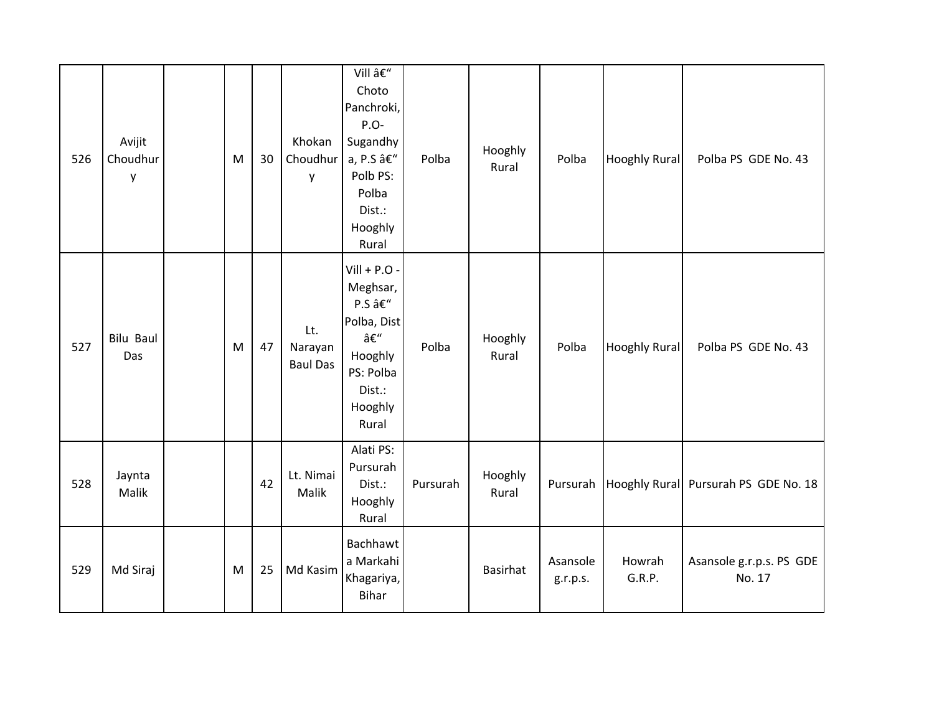| 526 | Avijit<br>Choudhur<br>y | M         | 30 | Khokan<br>Choudhur<br>y           | Vill –<br>Choto<br>Panchroki,<br>P.O-<br>Sugandhy<br>a, P.S –<br>Polb PS:<br>Polba<br>Dist.:<br>Hooghly<br>Rural | Polba    | Hooghly<br>Rural | Polba                | <b>Hooghly Rural</b> | Polba PS GDE No. 43                |
|-----|-------------------------|-----------|----|-----------------------------------|------------------------------------------------------------------------------------------------------------------|----------|------------------|----------------------|----------------------|------------------------------------|
| 527 | <b>Bilu Baul</b><br>Das | ${\sf M}$ | 47 | Lt.<br>Narayan<br><b>Baul Das</b> | $Vill + P.O -$<br>Meghsar,<br>P.S –<br>Polba, Dist<br>–<br>Hooghly<br>PS: Polba<br>Dist.:<br>Hooghly<br>Rural    | Polba    | Hooghly<br>Rural | Polba                | <b>Hooghly Rural</b> | Polba PS GDE No. 43                |
| 528 | Jaynta<br>Malik         |           | 42 | Lt. Nimai<br>Malik                | Alati PS:<br>Pursurah<br>Dist.:<br>Hooghly<br>Rural                                                              | Pursurah | Hooghly<br>Rural | Pursurah             | <b>Hooghly Rural</b> | Pursurah PS GDE No. 18             |
| 529 | Md Siraj                | M         | 25 | Md Kasim                          | Bachhawt<br>a Markahi<br>Khagariya,<br><b>Bihar</b>                                                              |          | Basirhat         | Asansole<br>g.r.p.s. | Howrah<br>G.R.P.     | Asansole g.r.p.s. PS GDE<br>No. 17 |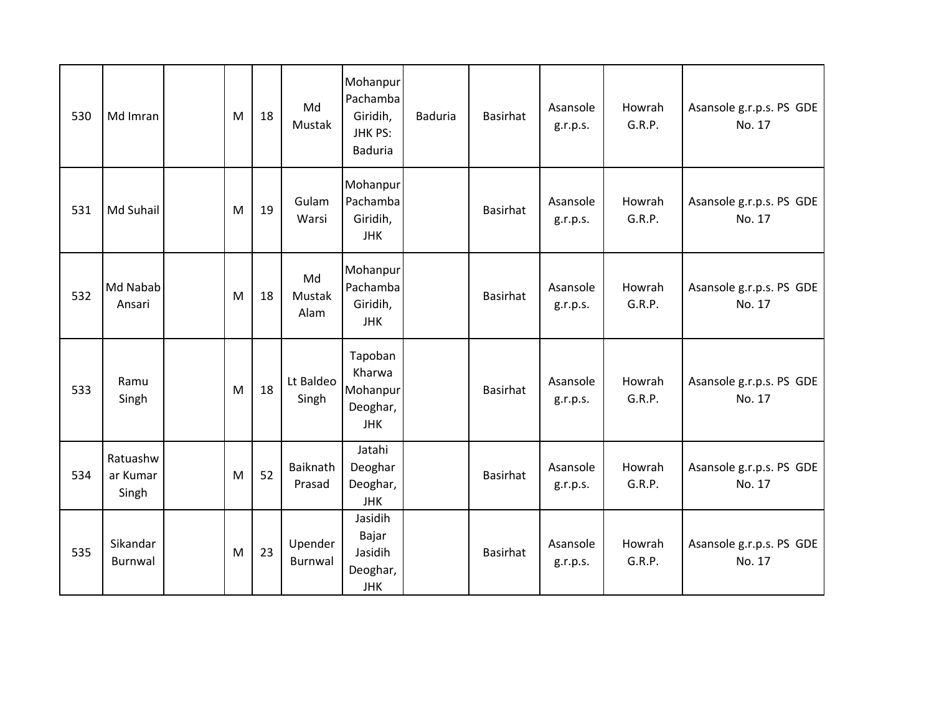| 530 | Md Imran                      | M | 18 | Md<br>Mustak         | Mohanpur<br>Pachamba<br>Giridih,<br>JHK PS:<br><b>Baduria</b> | <b>Baduria</b> | <b>Basirhat</b> | Asansole<br>g.r.p.s. | Howrah<br>G.R.P. | Asansole g.r.p.s. PS GDE<br>No. 17 |
|-----|-------------------------------|---|----|----------------------|---------------------------------------------------------------|----------------|-----------------|----------------------|------------------|------------------------------------|
| 531 | Md Suhail                     | M | 19 | Gulam<br>Warsi       | Mohanpur<br>Pachamba<br>Giridih,<br><b>JHK</b>                |                | <b>Basirhat</b> | Asansole<br>g.r.p.s. | Howrah<br>G.R.P. | Asansole g.r.p.s. PS GDE<br>No. 17 |
| 532 | Md Nabab<br>Ansari            | M | 18 | Md<br>Mustak<br>Alam | Mohanpur<br>Pachamba<br>Giridih,<br><b>JHK</b>                |                | <b>Basirhat</b> | Asansole<br>g.r.p.s. | Howrah<br>G.R.P. | Asansole g.r.p.s. PS GDE<br>No. 17 |
| 533 | Ramu<br>Singh                 | M | 18 | Lt Baldeo<br>Singh   | Tapoban<br>Kharwa<br>Mohanpur<br>Deoghar,<br><b>JHK</b>       |                | <b>Basirhat</b> | Asansole<br>g.r.p.s. | Howrah<br>G.R.P. | Asansole g.r.p.s. PS GDE<br>No. 17 |
| 534 | Ratuashw<br>ar Kumar<br>Singh | M | 52 | Baiknath<br>Prasad   | Jatahi<br>Deoghar<br>Deoghar,<br><b>JHK</b>                   |                | <b>Basirhat</b> | Asansole<br>g.r.p.s. | Howrah<br>G.R.P. | Asansole g.r.p.s. PS GDE<br>No. 17 |
| 535 | Sikandar<br>Burnwal           | M | 23 | Upender<br>Burnwal   | Jasidih<br>Bajar<br>Jasidih<br>Deoghar,<br><b>JHK</b>         |                | <b>Basirhat</b> | Asansole<br>g.r.p.s. | Howrah<br>G.R.P. | Asansole g.r.p.s. PS GDE<br>No. 17 |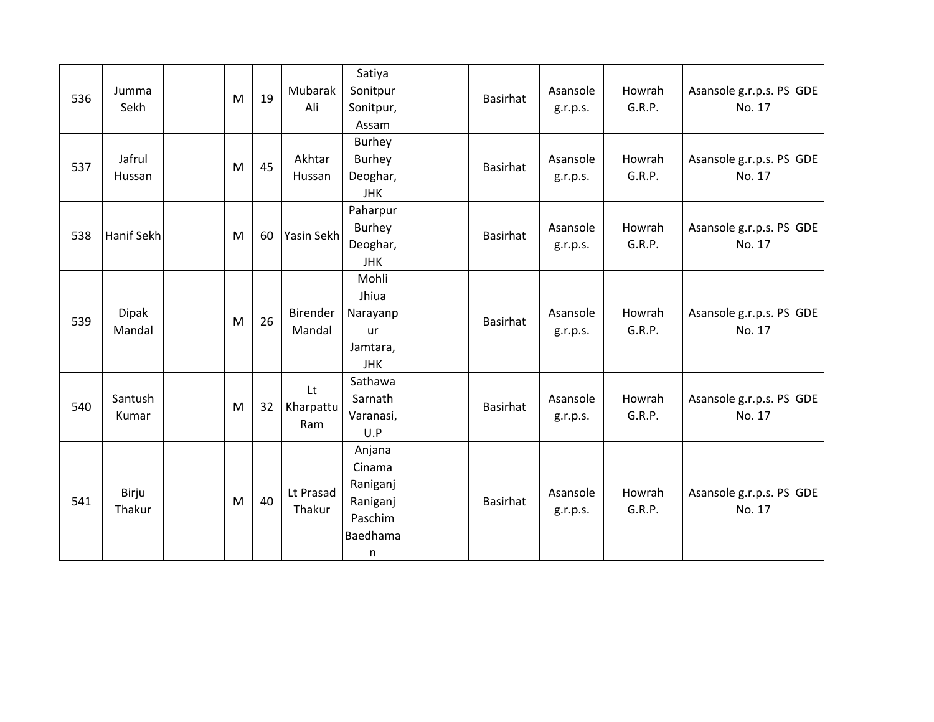| 536 | Jumma<br>Sekh          | M | 19 | Mubarak<br>Ali         | Satiya<br>Sonitpur<br>Sonitpur,<br>Assam                             | Basirhat | Asansole<br>g.r.p.s. | Howrah<br>G.R.P. | Asansole g.r.p.s. PS GDE<br>No. 17 |
|-----|------------------------|---|----|------------------------|----------------------------------------------------------------------|----------|----------------------|------------------|------------------------------------|
| 537 | Jafrul<br>Hussan       | M | 45 | Akhtar<br>Hussan       | Burhey<br><b>Burhey</b><br>Deoghar,<br><b>JHK</b>                    | Basirhat | Asansole<br>g.r.p.s. | Howrah<br>G.R.P. | Asansole g.r.p.s. PS GDE<br>No. 17 |
| 538 | Hanif Sekh             | M | 60 | Yasin Sekh             | Paharpur<br>Burhey<br>Deoghar,<br><b>JHK</b>                         | Basirhat | Asansole<br>g.r.p.s. | Howrah<br>G.R.P. | Asansole g.r.p.s. PS GDE<br>No. 17 |
| 539 | <b>Dipak</b><br>Mandal | M | 26 | Birender<br>Mandal     | Mohli<br>Jhiua<br>Narayanp<br>ur<br>Jamtara,<br>JHK                  | Basirhat | Asansole<br>g.r.p.s. | Howrah<br>G.R.P. | Asansole g.r.p.s. PS GDE<br>No. 17 |
| 540 | Santush<br>Kumar       | M | 32 | Lt<br>Kharpattu<br>Ram | Sathawa<br>Sarnath<br>Varanasi,<br>U.P                               | Basirhat | Asansole<br>g.r.p.s. | Howrah<br>G.R.P. | Asansole g.r.p.s. PS GDE<br>No. 17 |
| 541 | Birju<br>Thakur        | M | 40 | Lt Prasad<br>Thakur    | Anjana<br>Cinama<br>Raniganj<br>Raniganj<br>Paschim<br>Baedhama<br>n | Basirhat | Asansole<br>g.r.p.s. | Howrah<br>G.R.P. | Asansole g.r.p.s. PS GDE<br>No. 17 |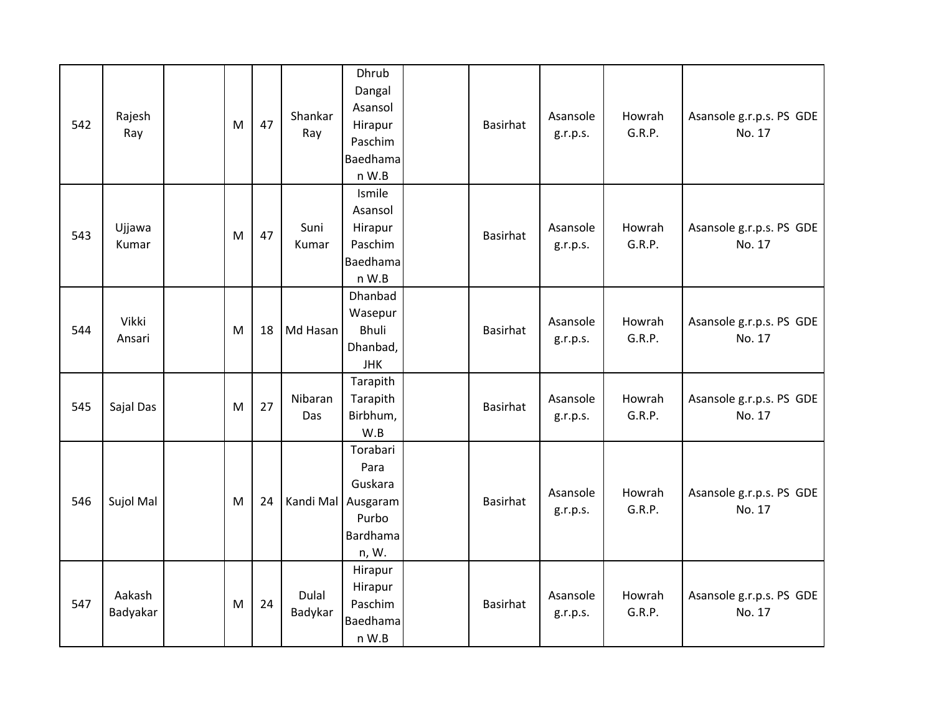| 542 | Rajesh<br>Ray      | M | 47 | Shankar<br>Ray   | Dhrub<br>Dangal<br>Asansol<br>Hirapur<br>Paschim<br>Baedhama<br>n W.B           | Basirhat        | Asansole<br>g.r.p.s. | Howrah<br>G.R.P. | Asansole g.r.p.s. PS GDE<br>No. 17 |
|-----|--------------------|---|----|------------------|---------------------------------------------------------------------------------|-----------------|----------------------|------------------|------------------------------------|
| 543 | Ujjawa<br>Kumar    | M | 47 | Suni<br>Kumar    | Ismile<br>Asansol<br>Hirapur<br>Paschim<br>Baedhama<br>n W.B                    | <b>Basirhat</b> | Asansole<br>g.r.p.s. | Howrah<br>G.R.P. | Asansole g.r.p.s. PS GDE<br>No. 17 |
| 544 | Vikki<br>Ansari    | M | 18 | Md Hasan         | Dhanbad<br>Wasepur<br><b>Bhuli</b><br>Dhanbad,<br><b>JHK</b>                    | Basirhat        | Asansole<br>g.r.p.s. | Howrah<br>G.R.P. | Asansole g.r.p.s. PS GDE<br>No. 17 |
| 545 | Sajal Das          | M | 27 | Nibaran<br>Das   | Tarapith<br>Tarapith<br>Birbhum,<br>W.B                                         | Basirhat        | Asansole<br>g.r.p.s. | Howrah<br>G.R.P. | Asansole g.r.p.s. PS GDE<br>No. 17 |
| 546 | Sujol Mal          | M | 24 |                  | Torabari<br>Para<br>Guskara<br>Kandi Mal Ausgaram<br>Purbo<br>Bardhama<br>n, W. | Basirhat        | Asansole<br>g.r.p.s. | Howrah<br>G.R.P. | Asansole g.r.p.s. PS GDE<br>No. 17 |
| 547 | Aakash<br>Badyakar | M | 24 | Dulal<br>Badykar | Hirapur<br>Hirapur<br>Paschim<br>Baedhama<br>n W.B                              | Basirhat        | Asansole<br>g.r.p.s. | Howrah<br>G.R.P. | Asansole g.r.p.s. PS GDE<br>No. 17 |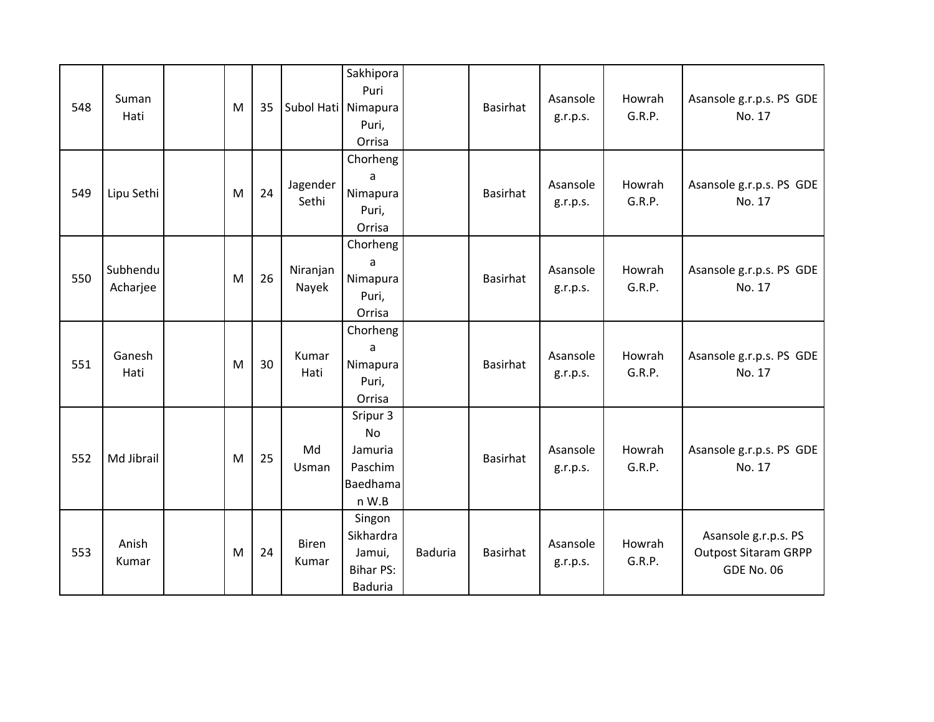| 548 | Suman<br>Hati        | M | 35 | Subol Hati Nimapura   | Sakhipora<br>Puri<br>Puri,<br>Orrisa                                |                | <b>Basirhat</b> | Asansole<br>g.r.p.s. | Howrah<br>G.R.P. | Asansole g.r.p.s. PS GDE<br>No. 17                                       |
|-----|----------------------|---|----|-----------------------|---------------------------------------------------------------------|----------------|-----------------|----------------------|------------------|--------------------------------------------------------------------------|
| 549 | Lipu Sethi           | M | 24 | Jagender<br>Sethi     | Chorheng<br>a<br>Nimapura<br>Puri,<br>Orrisa                        |                | <b>Basirhat</b> | Asansole<br>g.r.p.s. | Howrah<br>G.R.P. | Asansole g.r.p.s. PS GDE<br>No. 17                                       |
| 550 | Subhendu<br>Acharjee | M | 26 | Niranjan<br>Nayek     | Chorheng<br>a<br>Nimapura<br>Puri,<br>Orrisa                        |                | <b>Basirhat</b> | Asansole<br>g.r.p.s. | Howrah<br>G.R.P. | Asansole g.r.p.s. PS GDE<br>No. 17                                       |
| 551 | Ganesh<br>Hati       | M | 30 | Kumar<br>Hati         | Chorheng<br>a<br>Nimapura<br>Puri,<br>Orrisa                        |                | <b>Basirhat</b> | Asansole<br>g.r.p.s. | Howrah<br>G.R.P. | Asansole g.r.p.s. PS GDE<br>No. 17                                       |
| 552 | Md Jibrail           | M | 25 | Md<br>Usman           | Sripur 3<br><b>No</b><br>Jamuria<br>Paschim<br>Baedhama<br>n W.B    |                | <b>Basirhat</b> | Asansole<br>g.r.p.s. | Howrah<br>G.R.P. | Asansole g.r.p.s. PS GDE<br>No. 17                                       |
| 553 | Anish<br>Kumar       | M | 24 | <b>Biren</b><br>Kumar | Singon<br>Sikhardra<br>Jamui,<br><b>Bihar PS:</b><br><b>Baduria</b> | <b>Baduria</b> | Basirhat        | Asansole<br>g.r.p.s. | Howrah<br>G.R.P. | Asansole g.r.p.s. PS<br><b>Outpost Sitaram GRPP</b><br><b>GDE No. 06</b> |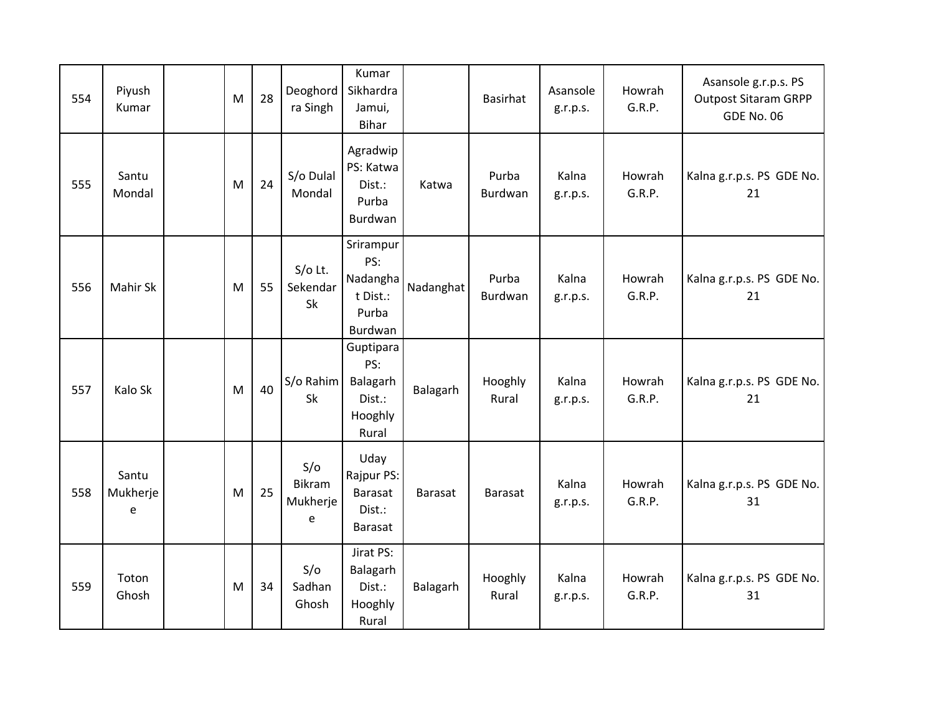| 554 | Piyush<br>Kumar        | M | 28 | Deoghord<br>ra Singh           | Kumar<br>Sikhardra<br>Jamui,<br><b>Bihar</b>                 |                | Basirhat         | Asansole<br>g.r.p.s. | Howrah<br>G.R.P. | Asansole g.r.p.s. PS<br><b>Outpost Sitaram GRPP</b><br><b>GDE No. 06</b> |
|-----|------------------------|---|----|--------------------------------|--------------------------------------------------------------|----------------|------------------|----------------------|------------------|--------------------------------------------------------------------------|
| 555 | Santu<br>Mondal        | M | 24 | S/o Dulal<br>Mondal            | Agradwip<br>PS: Katwa<br>Dist.:<br>Purba<br>Burdwan          | Katwa          | Purba<br>Burdwan | Kalna<br>g.r.p.s.    | Howrah<br>G.R.P. | Kalna g.r.p.s. PS GDE No.<br>21                                          |
| 556 | Mahir Sk               | M | 55 | $S/O$ Lt.<br>Sekendar<br>Sk    | Srirampur<br>PS:<br>Nadangha<br>t Dist.:<br>Purba<br>Burdwan | Nadanghat      | Purba<br>Burdwan | Kalna<br>g.r.p.s.    | Howrah<br>G.R.P. | Kalna g.r.p.s. PS GDE No.<br>21                                          |
| 557 | Kalo Sk                | M | 40 | S/o Rahim<br>Sk                | Guptipara<br>PS:<br>Balagarh<br>Dist.:<br>Hooghly<br>Rural   | Balagarh       | Hooghly<br>Rural | Kalna<br>g.r.p.s.    | Howrah<br>G.R.P. | Kalna g.r.p.s. PS GDE No.<br>21                                          |
| 558 | Santu<br>Mukherje<br>e | M | 25 | S/O<br>Bikram<br>Mukherje<br>e | Uday<br>Rajpur PS:<br><b>Barasat</b><br>Dist.:<br>Barasat    | <b>Barasat</b> | Barasat          | Kalna<br>g.r.p.s.    | Howrah<br>G.R.P. | Kalna g.r.p.s. PS GDE No.<br>31                                          |
| 559 | Toton<br>Ghosh         | M | 34 | S/O<br>Sadhan<br>Ghosh         | Jirat PS:<br>Balagarh<br>Dist.:<br>Hooghly<br>Rural          | Balagarh       | Hooghly<br>Rural | Kalna<br>g.r.p.s.    | Howrah<br>G.R.P. | Kalna g.r.p.s. PS GDE No.<br>31                                          |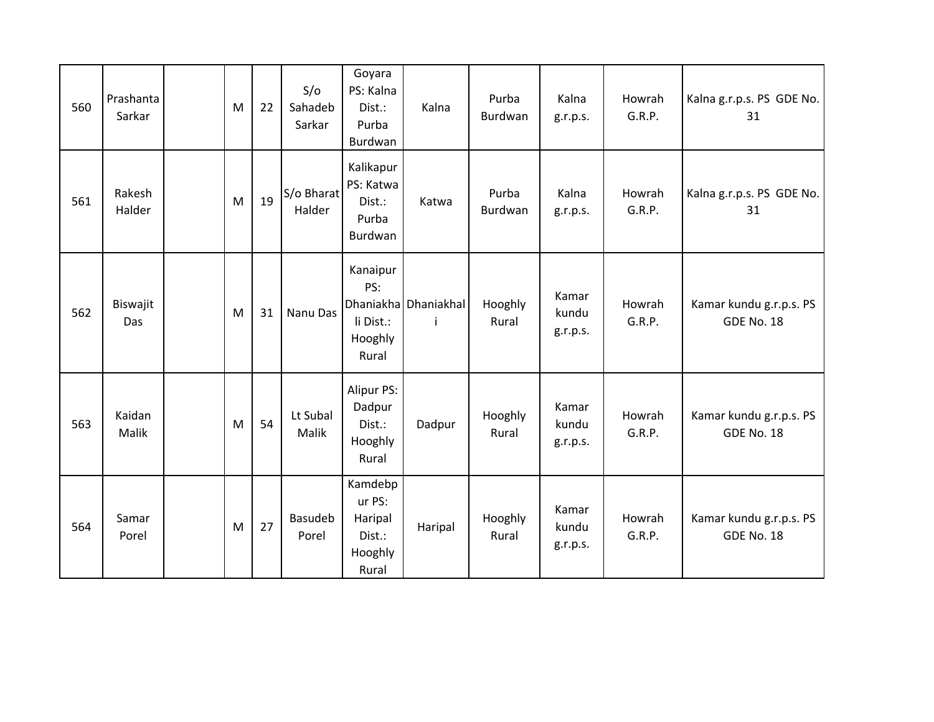| 560 | Prashanta<br>Sarkar | M | 22 | S/O<br>Sahadeb<br>Sarkar | Goyara<br>PS: Kalna<br>Dist.:<br>Purba<br>Burdwan          | Kalna                       | Purba<br>Burdwan | Kalna<br>g.r.p.s.          | Howrah<br>G.R.P. | Kalna g.r.p.s. PS GDE No.<br>31              |
|-----|---------------------|---|----|--------------------------|------------------------------------------------------------|-----------------------------|------------------|----------------------------|------------------|----------------------------------------------|
| 561 | Rakesh<br>Halder    | M | 19 | S/o Bharat<br>Halder     | Kalikapur<br>PS: Katwa<br>Dist.:<br>Purba<br>Burdwan       | Katwa                       | Purba<br>Burdwan | Kalna<br>g.r.p.s.          | Howrah<br>G.R.P. | Kalna g.r.p.s. PS GDE No.<br>31              |
| 562 | Biswajit<br>Das     | M | 31 | Nanu Das                 | Kanaipur<br>PS:<br>li Dist.:<br>Hooghly<br>Rural           | Dhaniakha Dhaniakhal<br>-i- | Hooghly<br>Rural | Kamar<br>kundu<br>g.r.p.s. | Howrah<br>G.R.P. | Kamar kundu g.r.p.s. PS<br><b>GDE No. 18</b> |
| 563 | Kaidan<br>Malik     | M | 54 | Lt Subal<br>Malik        | Alipur PS:<br>Dadpur<br>Dist.:<br>Hooghly<br>Rural         | Dadpur                      | Hooghly<br>Rural | Kamar<br>kundu<br>g.r.p.s. | Howrah<br>G.R.P. | Kamar kundu g.r.p.s. PS<br><b>GDE No. 18</b> |
| 564 | Samar<br>Porel      | M | 27 | <b>Basudeb</b><br>Porel  | Kamdebp<br>ur PS:<br>Haripal<br>Dist.:<br>Hooghly<br>Rural | Haripal                     | Hooghly<br>Rural | Kamar<br>kundu<br>g.r.p.s. | Howrah<br>G.R.P. | Kamar kundu g.r.p.s. PS<br><b>GDE No. 18</b> |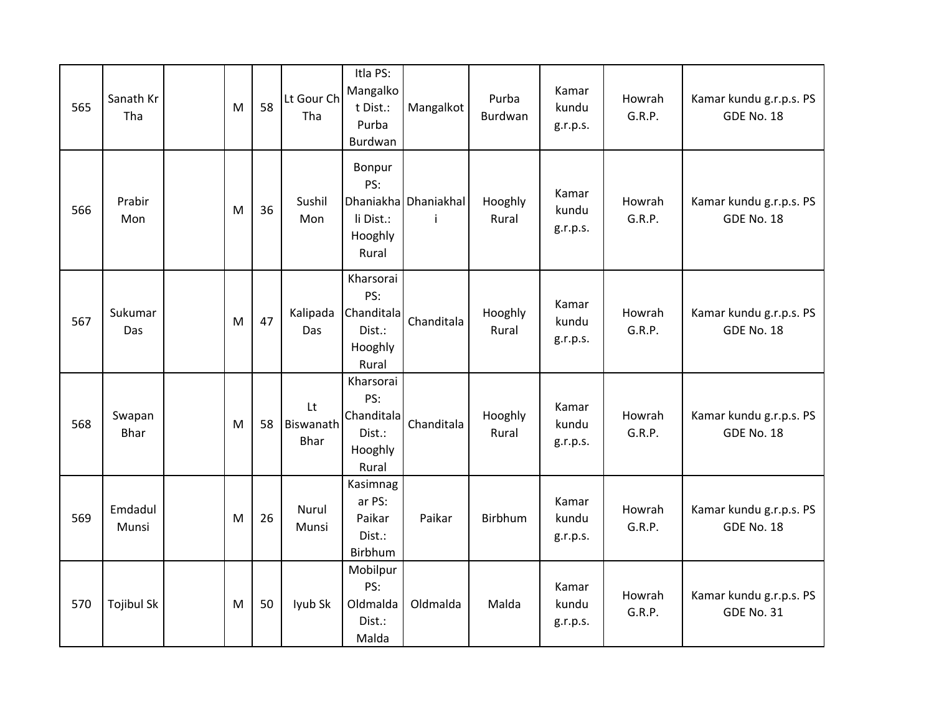| 565 | Sanath Kr<br>Tha      | M | 58 | Lt Gour Ch<br>Tha              | Itla PS:<br>Mangalko<br>t Dist.:<br>Purba<br>Burdwan         | Mangalkot                  | Purba<br>Burdwan | Kamar<br>kundu<br>g.r.p.s. | Howrah<br>G.R.P. | Kamar kundu g.r.p.s. PS<br><b>GDE No. 18</b> |
|-----|-----------------------|---|----|--------------------------------|--------------------------------------------------------------|----------------------------|------------------|----------------------------|------------------|----------------------------------------------|
| 566 | Prabir<br>Mon         | M | 36 | Sushil<br>Mon                  | Bonpur<br>PS:<br>li Dist.:<br>Hooghly<br>Rural               | Dhaniakha Dhaniakhal<br>-i | Hooghly<br>Rural | Kamar<br>kundu<br>g.r.p.s. | Howrah<br>G.R.P. | Kamar kundu g.r.p.s. PS<br><b>GDE No. 18</b> |
| 567 | Sukumar<br>Das        | M | 47 | Kalipada<br>Das                | Kharsorai<br>PS:<br>Chanditala<br>Dist.:<br>Hooghly<br>Rural | Chanditala                 | Hooghly<br>Rural | Kamar<br>kundu<br>g.r.p.s. | Howrah<br>G.R.P. | Kamar kundu g.r.p.s. PS<br><b>GDE No. 18</b> |
| 568 | Swapan<br><b>Bhar</b> | M | 58 | Lt<br>Biswanath<br><b>Bhar</b> | Kharsorai<br>PS:<br>Chanditala<br>Dist.:<br>Hooghly<br>Rural | Chanditala                 | Hooghly<br>Rural | Kamar<br>kundu<br>g.r.p.s. | Howrah<br>G.R.P. | Kamar kundu g.r.p.s. PS<br><b>GDE No. 18</b> |
| 569 | Emdadul<br>Munsi      | M | 26 | Nurul<br>Munsi                 | Kasimnag<br>ar PS:<br>Paikar<br>Dist.:<br>Birbhum            | Paikar                     | Birbhum          | Kamar<br>kundu<br>g.r.p.s. | Howrah<br>G.R.P. | Kamar kundu g.r.p.s. PS<br><b>GDE No. 18</b> |
| 570 | <b>Tojibul Sk</b>     | M | 50 | lyub Sk                        | Mobilpur<br>PS:<br>Oldmalda<br>Dist.:<br>Malda               | Oldmalda                   | Malda            | Kamar<br>kundu<br>g.r.p.s. | Howrah<br>G.R.P. | Kamar kundu g.r.p.s. PS<br><b>GDE No. 31</b> |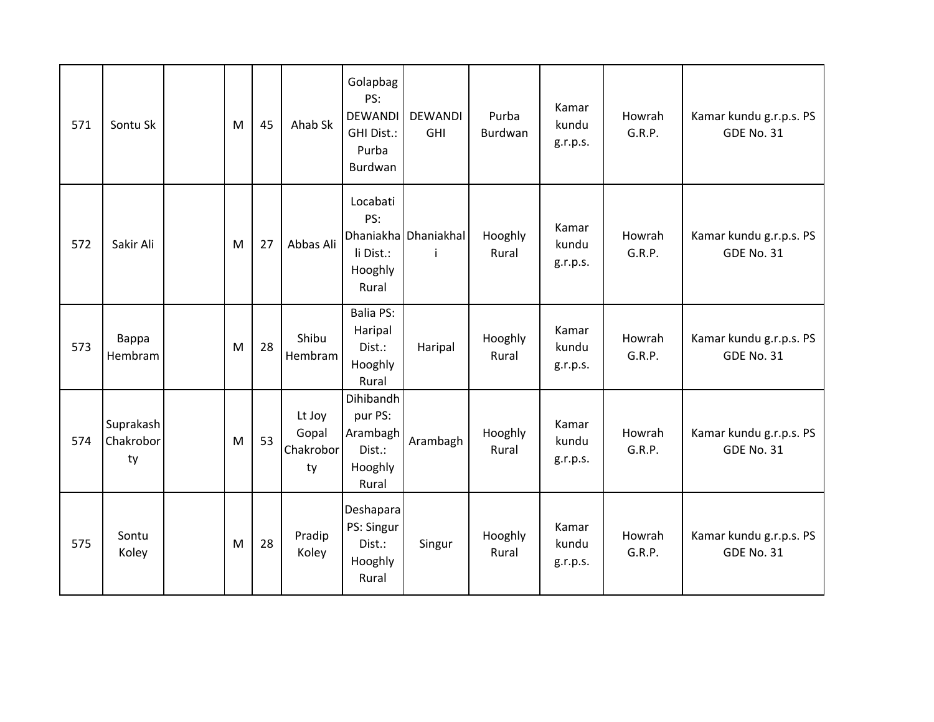| 571 | Sontu Sk                     | M | 45 | Ahab Sk                            | Golapbag<br>PS:<br><b>DEWANDI</b><br>GHI Dist.:<br>Purba<br>Burdwan | <b>DEWANDI</b><br><b>GHI</b>         | Purba<br>Burdwan | Kamar<br>kundu<br>g.r.p.s. | Howrah<br>G.R.P. | Kamar kundu g.r.p.s. PS<br><b>GDE No. 31</b> |
|-----|------------------------------|---|----|------------------------------------|---------------------------------------------------------------------|--------------------------------------|------------------|----------------------------|------------------|----------------------------------------------|
| 572 | Sakir Ali                    | M | 27 | Abbas Ali                          | Locabati<br>PS:<br>li Dist.:<br>Hooghly<br>Rural                    | Dhaniakha Dhaniakhal<br>$\mathbf{i}$ | Hooghly<br>Rural | Kamar<br>kundu<br>g.r.p.s. | Howrah<br>G.R.P. | Kamar kundu g.r.p.s. PS<br><b>GDE No. 31</b> |
| 573 | Bappa<br>Hembram             | M | 28 | Shibu<br>Hembram                   | <b>Balia PS:</b><br>Haripal<br>Dist.:<br>Hooghly<br>Rural           | Haripal                              | Hooghly<br>Rural | Kamar<br>kundu<br>g.r.p.s. | Howrah<br>G.R.P. | Kamar kundu g.r.p.s. PS<br><b>GDE No. 31</b> |
| 574 | Suprakash<br>Chakrobor<br>ty | M | 53 | Lt Joy<br>Gopal<br>Chakrobor<br>ty | Dihibandh<br>pur PS:<br>Arambagh<br>Dist.:<br>Hooghly<br>Rural      | Arambagh                             | Hooghly<br>Rural | Kamar<br>kundu<br>g.r.p.s. | Howrah<br>G.R.P. | Kamar kundu g.r.p.s. PS<br><b>GDE No. 31</b> |
| 575 | Sontu<br>Koley               | M | 28 | Pradip<br>Koley                    | Deshapara<br>PS: Singur<br>Dist.:<br>Hooghly<br>Rural               | Singur                               | Hooghly<br>Rural | Kamar<br>kundu<br>g.r.p.s. | Howrah<br>G.R.P. | Kamar kundu g.r.p.s. PS<br><b>GDE No. 31</b> |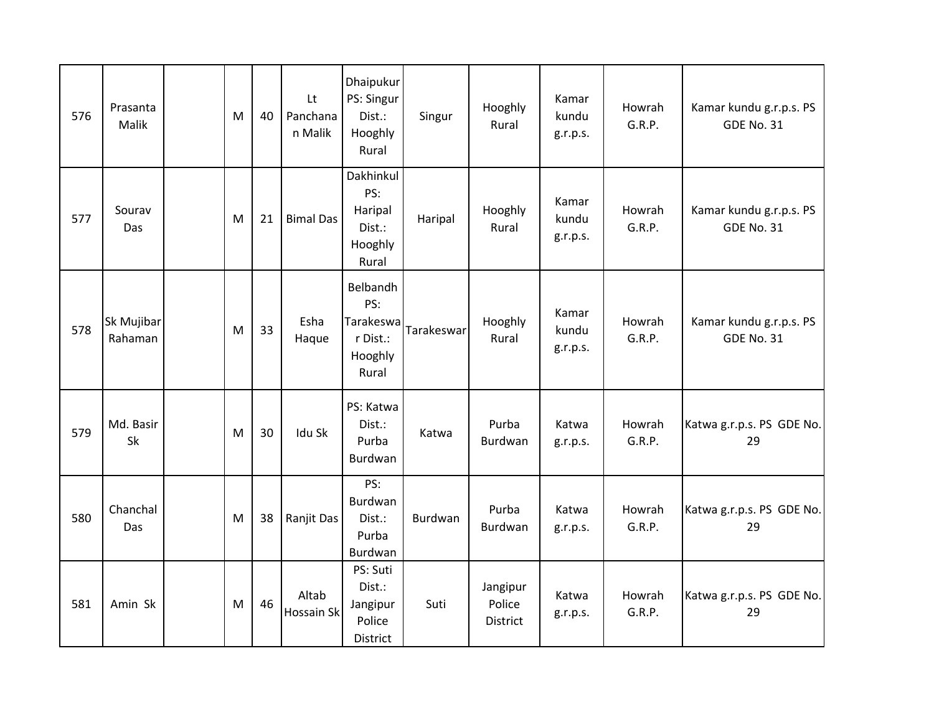| 576 | Prasanta<br>Malik     | M | 40 | Lt<br>Panchana<br>n Malik | Dhaipukur<br>PS: Singur<br>Dist.:<br>Hooghly<br>Rural        | Singur     | Hooghly<br>Rural                      | Kamar<br>kundu<br>g.r.p.s. | Howrah<br>G.R.P. | Kamar kundu g.r.p.s. PS<br><b>GDE No. 31</b> |
|-----|-----------------------|---|----|---------------------------|--------------------------------------------------------------|------------|---------------------------------------|----------------------------|------------------|----------------------------------------------|
| 577 | Sourav<br>Das         | M | 21 | <b>Bimal Das</b>          | Dakhinkul<br>PS:<br>Haripal<br>Dist.:<br>Hooghly<br>Rural    | Haripal    | Hooghly<br>Rural                      | Kamar<br>kundu<br>g.r.p.s. | Howrah<br>G.R.P. | Kamar kundu g.r.p.s. PS<br><b>GDE No. 31</b> |
| 578 | Sk Mujibar<br>Rahaman | M | 33 | Esha<br>Haque             | Belbandh<br>PS:<br>Tarakeswa<br>r Dist.:<br>Hooghly<br>Rural | Tarakeswar | Hooghly<br>Rural                      | Kamar<br>kundu<br>g.r.p.s. | Howrah<br>G.R.P. | Kamar kundu g.r.p.s. PS<br><b>GDE No. 31</b> |
| 579 | Md. Basir<br>Sk       | M | 30 | Idu Sk                    | PS: Katwa<br>Dist.:<br>Purba<br><b>Burdwan</b>               | Katwa      | Purba<br>Burdwan                      | Katwa<br>g.r.p.s.          | Howrah<br>G.R.P. | Katwa g.r.p.s. PS GDE No.<br>29              |
| 580 | Chanchal<br>Das       | M | 38 | Ranjit Das                | PS:<br>Burdwan<br>Dist.:<br>Purba<br>Burdwan                 | Burdwan    | Purba<br>Burdwan                      | Katwa<br>g.r.p.s.          | Howrah<br>G.R.P. | Katwa g.r.p.s. PS GDE No.<br>29              |
| 581 | Amin Sk               | M | 46 | Altab<br>Hossain Sk       | PS: Suti<br>Dist.:<br>Jangipur<br>Police<br>District         | Suti       | Jangipur<br>Police<br><b>District</b> | Katwa<br>g.r.p.s.          | Howrah<br>G.R.P. | Katwa g.r.p.s. PS GDE No.<br>29              |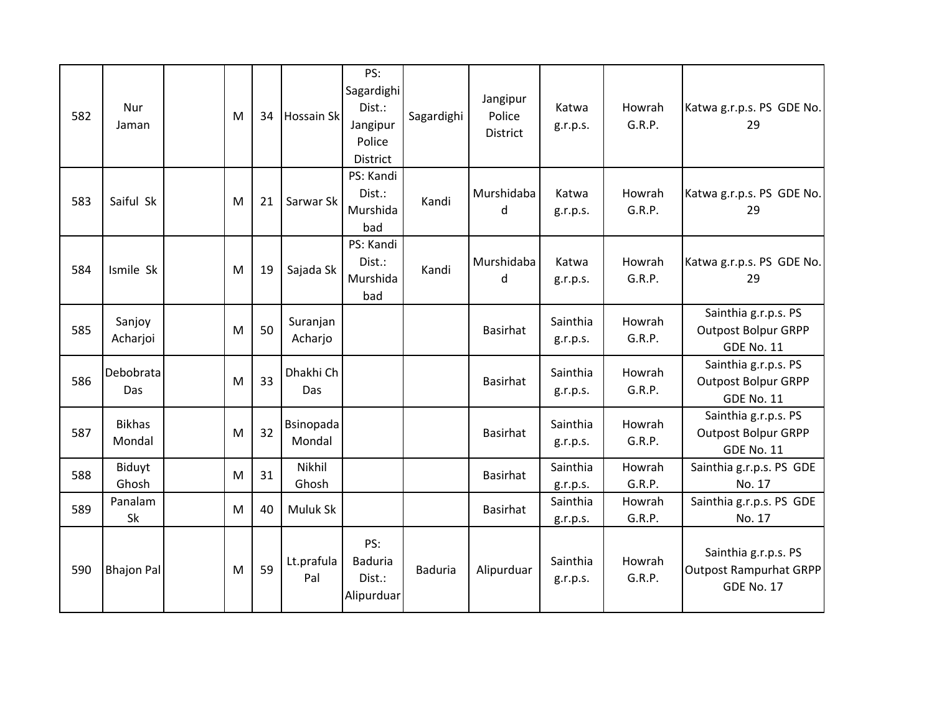| 582 | <b>Nur</b><br>Jaman     | M | 34 | <b>Hossain Skl</b>  | PS:<br>Sagardighi<br>Dist.:<br>Jangipur<br>Police<br><b>District</b> | Sagardighi     | Jangipur<br>Police<br><b>District</b> | Katwa<br>g.r.p.s.    | Howrah<br>G.R.P. | Katwa g.r.p.s. PS GDE No.<br>29                                            |
|-----|-------------------------|---|----|---------------------|----------------------------------------------------------------------|----------------|---------------------------------------|----------------------|------------------|----------------------------------------------------------------------------|
| 583 | Saiful Sk               | M | 21 | Sarwar Sk           | PS: Kandi<br>Dist.:<br>Murshida<br>bad                               | Kandi          | Murshidaba<br>d                       | Katwa<br>g.r.p.s.    | Howrah<br>G.R.P. | Katwa g.r.p.s. PS GDE No.<br>29                                            |
| 584 | Ismile Sk               | M | 19 | Sajada Sk           | PS: Kandi<br>Dist.:<br>Murshida<br>bad                               | Kandi          | Murshidaba<br>d                       | Katwa<br>g.r.p.s.    | Howrah<br>G.R.P. | Katwa g.r.p.s. PS GDE No.<br>29                                            |
| 585 | Sanjoy<br>Acharjoi      | M | 50 | Suranjan<br>Acharjo |                                                                      |                | <b>Basirhat</b>                       | Sainthia<br>g.r.p.s. | Howrah<br>G.R.P. | Sainthia g.r.p.s. PS<br><b>Outpost Bolpur GRPP</b><br><b>GDE No. 11</b>    |
| 586 | Debobrata<br>Das        | M | 33 | Dhakhi Ch<br>Das    |                                                                      |                | <b>Basirhat</b>                       | Sainthia<br>g.r.p.s. | Howrah<br>G.R.P. | Sainthia g.r.p.s. PS<br><b>Outpost Bolpur GRPP</b><br><b>GDE No. 11</b>    |
| 587 | <b>Bikhas</b><br>Mondal | M | 32 | Bsinopada<br>Mondal |                                                                      |                | <b>Basirhat</b>                       | Sainthia<br>g.r.p.s. | Howrah<br>G.R.P. | Sainthia g.r.p.s. PS<br><b>Outpost Bolpur GRPP</b><br><b>GDE No. 11</b>    |
| 588 | Biduyt<br>Ghosh         | M | 31 | Nikhil<br>Ghosh     |                                                                      |                | <b>Basirhat</b>                       | Sainthia<br>g.r.p.s. | Howrah<br>G.R.P. | Sainthia g.r.p.s. PS GDE<br>No. 17                                         |
| 589 | Panalam<br>Sk           | M | 40 | Muluk Sk            |                                                                      |                | <b>Basirhat</b>                       | Sainthia<br>g.r.p.s. | Howrah<br>G.R.P. | Sainthia g.r.p.s. PS GDE<br>No. 17                                         |
| 590 | <b>Bhajon Pal</b>       | M | 59 | Lt.prafula<br>Pal   | PS:<br><b>Baduria</b><br>Dist.:<br>Alipurduar                        | <b>Baduria</b> | Alipurduar                            | Sainthia<br>g.r.p.s. | Howrah<br>G.R.P. | Sainthia g.r.p.s. PS<br><b>Outpost Rampurhat GRPP</b><br><b>GDE No. 17</b> |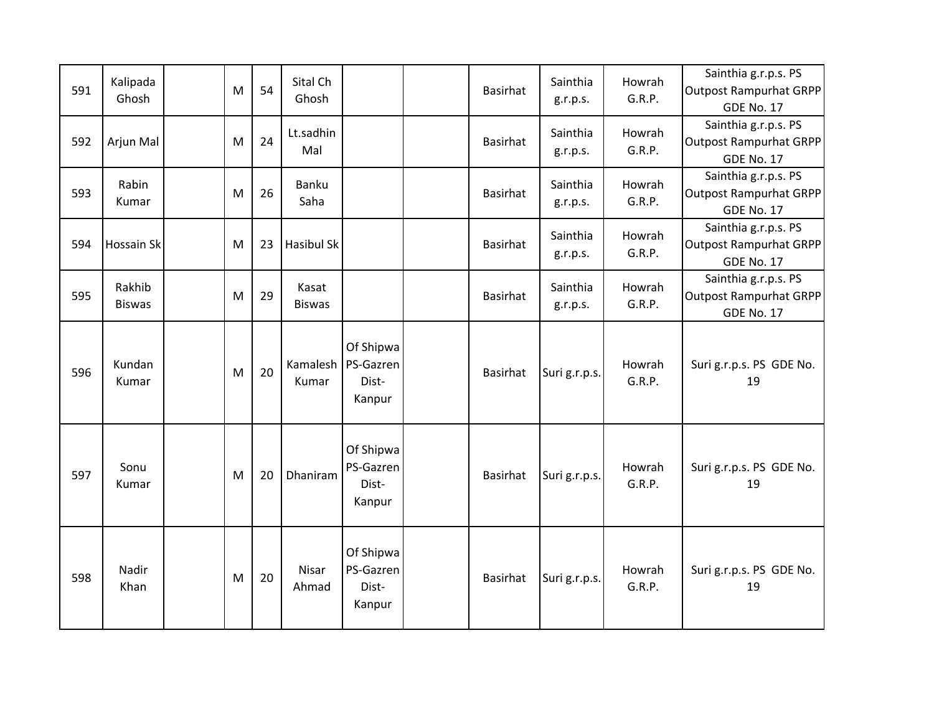| 591 | Kalipada<br>Ghosh       | M | 54 | Sital Ch<br>Ghosh      |                                           | <b>Basirhat</b> | Sainthia<br>g.r.p.s. | Howrah<br>G.R.P. | Sainthia g.r.p.s. PS<br><b>Outpost Rampurhat GRPP</b><br><b>GDE No. 17</b> |
|-----|-------------------------|---|----|------------------------|-------------------------------------------|-----------------|----------------------|------------------|----------------------------------------------------------------------------|
| 592 | Arjun Mal               | M | 24 | Lt.sadhin<br>Mal       |                                           | <b>Basirhat</b> | Sainthia<br>g.r.p.s. | Howrah<br>G.R.P. | Sainthia g.r.p.s. PS<br><b>Outpost Rampurhat GRPP</b><br><b>GDE No. 17</b> |
| 593 | Rabin<br>Kumar          | M | 26 | Banku<br>Saha          |                                           | <b>Basirhat</b> | Sainthia<br>g.r.p.s. | Howrah<br>G.R.P. | Sainthia g.r.p.s. PS<br>Outpost Rampurhat GRPP<br><b>GDE No. 17</b>        |
| 594 | Hossain Sk              | м | 23 | <b>Hasibul Sk</b>      |                                           | <b>Basirhat</b> | Sainthia<br>g.r.p.s. | Howrah<br>G.R.P. | Sainthia g.r.p.s. PS<br>Outpost Rampurhat GRPP<br><b>GDE No. 17</b>        |
| 595 | Rakhib<br><b>Biswas</b> | M | 29 | Kasat<br><b>Biswas</b> |                                           | <b>Basirhat</b> | Sainthia<br>g.r.p.s. | Howrah<br>G.R.P. | Sainthia g.r.p.s. PS<br><b>Outpost Rampurhat GRPP</b><br><b>GDE No. 17</b> |
| 596 | Kundan<br>Kumar         | M | 20 | Kamalesh<br>Kumar      | Of Shipwa<br>PS-Gazren<br>Dist-<br>Kanpur | <b>Basirhat</b> | Suri g.r.p.s.        | Howrah<br>G.R.P. | Suri g.r.p.s. PS GDE No.<br>19                                             |
| 597 | Sonu<br>Kumar           | M | 20 | Dhaniram               | Of Shipwa<br>PS-Gazren<br>Dist-<br>Kanpur | <b>Basirhat</b> | Suri g.r.p.s.        | Howrah<br>G.R.P. | Suri g.r.p.s. PS GDE No.<br>19                                             |
| 598 | Nadir<br>Khan           | M | 20 | Nisar<br>Ahmad         | Of Shipwa<br>PS-Gazren<br>Dist-<br>Kanpur | <b>Basirhat</b> | Suri g.r.p.s.        | Howrah<br>G.R.P. | Suri g.r.p.s. PS GDE No.<br>19                                             |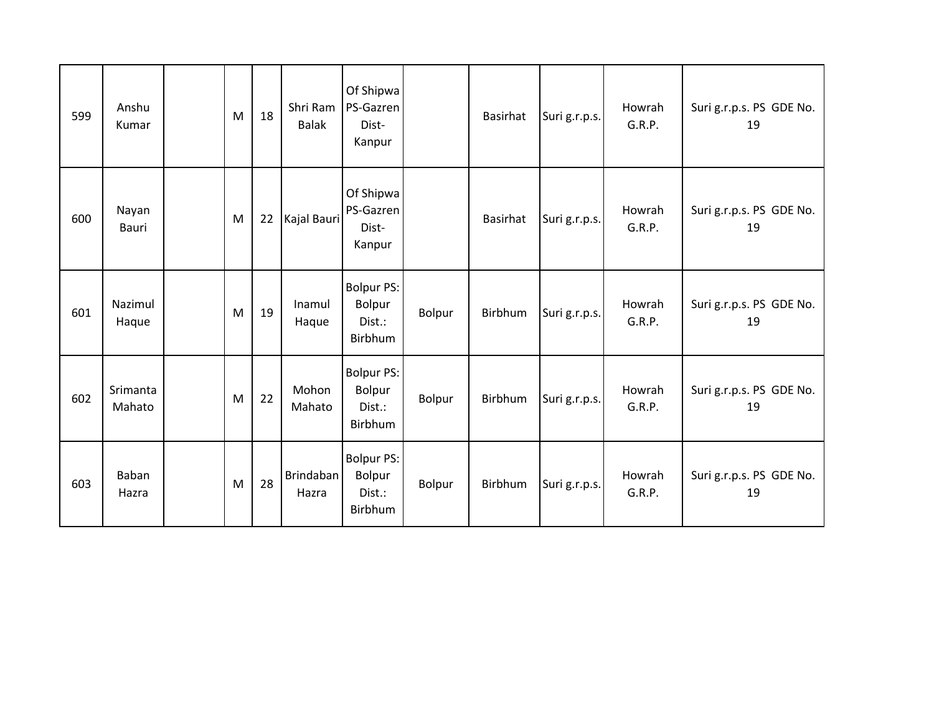| 599 | Anshu<br>Kumar     | M | 18 | Shri Ram<br><b>Balak</b>  | Of Shipwa<br>PS-Gazren<br>Dist-<br>Kanpur        |        | Basirhat | Suri g.r.p.s. | Howrah<br>G.R.P. | Suri g.r.p.s. PS GDE No.<br>19 |
|-----|--------------------|---|----|---------------------------|--------------------------------------------------|--------|----------|---------------|------------------|--------------------------------|
| 600 | Nayan<br>Bauri     | M | 22 | Kajal Bauri               | Of Shipwa<br>PS-Gazren<br>Dist-<br>Kanpur        |        | Basirhat | Suri g.r.p.s. | Howrah<br>G.R.P. | Suri g.r.p.s. PS GDE No.<br>19 |
| 601 | Nazimul<br>Haque   | M | 19 | Inamul<br>Haque           | <b>Bolpur PS:</b><br>Bolpur<br>Dist.:<br>Birbhum | Bolpur | Birbhum  | Suri g.r.p.s. | Howrah<br>G.R.P. | Suri g.r.p.s. PS GDE No.<br>19 |
| 602 | Srimanta<br>Mahato | M | 22 | Mohon<br>Mahato           | <b>Bolpur PS:</b><br>Bolpur<br>Dist.:<br>Birbhum | Bolpur | Birbhum  | Suri g.r.p.s. | Howrah<br>G.R.P. | Suri g.r.p.s. PS GDE No.<br>19 |
| 603 | Baban<br>Hazra     | M | 28 | <b>Brindaban</b><br>Hazra | <b>Bolpur PS:</b><br>Bolpur<br>Dist.:<br>Birbhum | Bolpur | Birbhum  | Suri g.r.p.s. | Howrah<br>G.R.P. | Suri g.r.p.s. PS GDE No.<br>19 |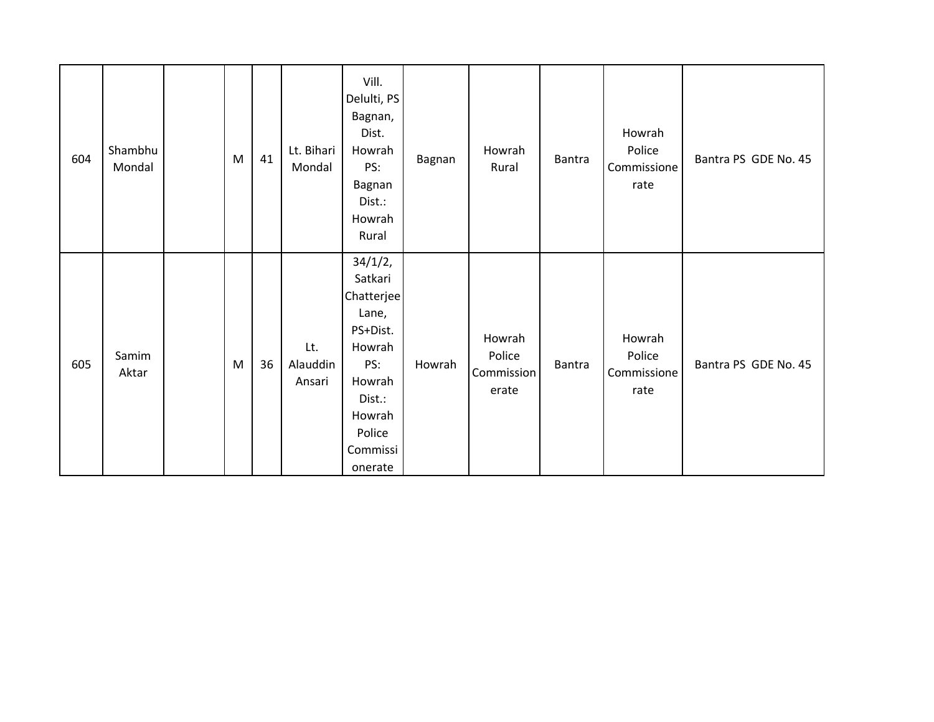| 604 | Shambhu<br>Mondal | ${\sf M}$ | 41 | Lt. Bihari<br>Mondal      | Vill.<br>Delulti, PS<br>Bagnan,<br>Dist.<br>Howrah<br>PS:<br>Bagnan<br>Dist.:<br>Howrah<br>Rural                                      | Bagnan | Howrah<br>Rural                         | Bantra | Howrah<br>Police<br>Commissione<br>rate | Bantra PS GDE No. 45 |
|-----|-------------------|-----------|----|---------------------------|---------------------------------------------------------------------------------------------------------------------------------------|--------|-----------------------------------------|--------|-----------------------------------------|----------------------|
| 605 | Samim<br>Aktar    | ${\sf M}$ | 36 | Lt.<br>Alauddin<br>Ansari | 34/1/2,<br>Satkari<br>Chatterjee<br>Lane,<br>PS+Dist.<br>Howrah<br>PS:<br>Howrah<br>Dist.:<br>Howrah<br>Police<br>Commissi<br>onerate | Howrah | Howrah<br>Police<br>Commission<br>erate | Bantra | Howrah<br>Police<br>Commissione<br>rate | Bantra PS GDE No. 45 |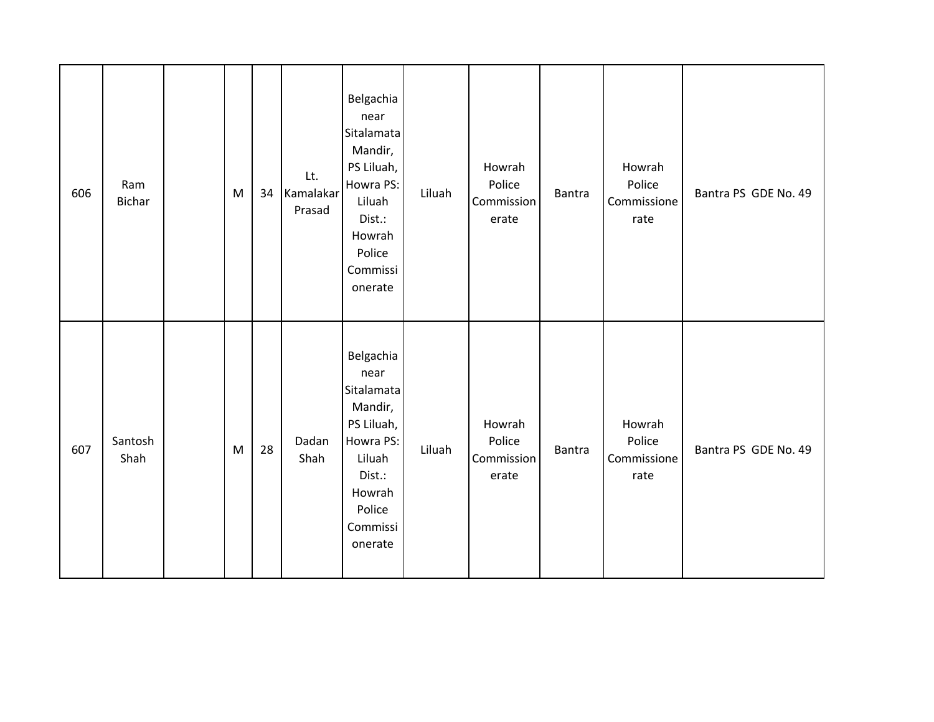| 606 | Ram<br><b>Bichar</b> | M | 34 | Lt.<br>Kamalakar<br>Prasad | Belgachia<br>near<br>Sitalamata<br>Mandir,<br>PS Liluah,<br>Howra PS:<br>Liluah<br>Dist.:<br>Howrah<br>Police<br>Commissi<br>onerate | Liluah | Howrah<br>Police<br>Commission<br>erate | Bantra        | Howrah<br>Police<br>Commissione<br>rate | Bantra PS GDE No. 49 |
|-----|----------------------|---|----|----------------------------|--------------------------------------------------------------------------------------------------------------------------------------|--------|-----------------------------------------|---------------|-----------------------------------------|----------------------|
| 607 | Santosh<br>Shah      | M | 28 | Dadan<br>Shah              | Belgachia<br>near<br>Sitalamata<br>Mandir,<br>PS Liluah,<br>Howra PS:<br>Liluah<br>Dist.:<br>Howrah<br>Police<br>Commissi<br>onerate | Liluah | Howrah<br>Police<br>Commission<br>erate | <b>Bantra</b> | Howrah<br>Police<br>Commissione<br>rate | Bantra PS GDE No. 49 |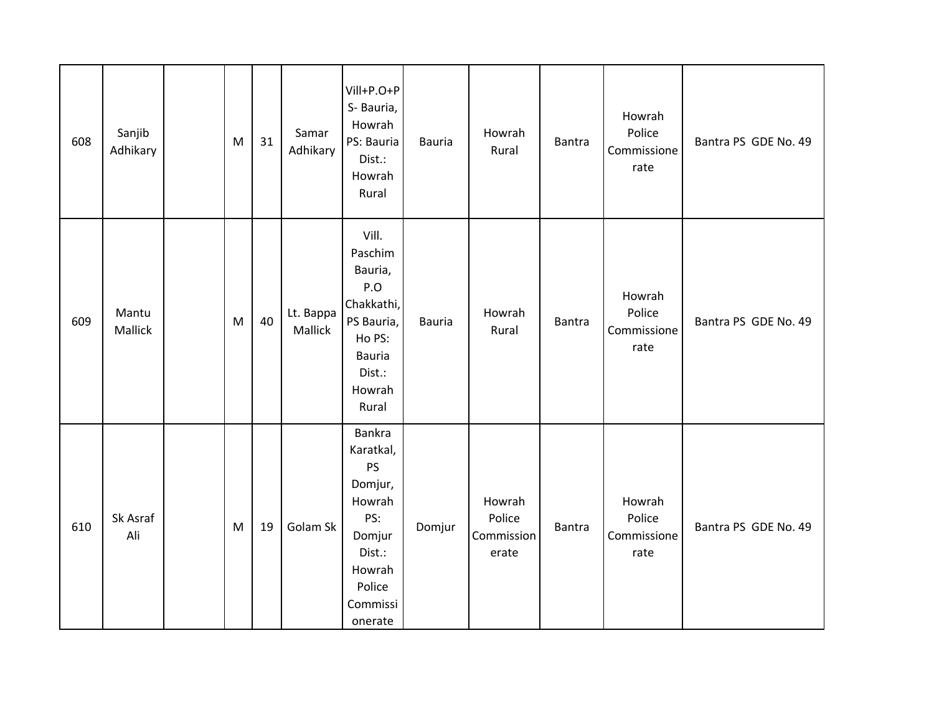| 608 | Sanjib<br>Adhikary | M | 31 | Samar<br>Adhikary    | Vill+P.O+P<br>S-Bauria,<br>Howrah<br>PS: Bauria<br>Dist.:<br>Howrah<br>Rural                                                | <b>Bauria</b> | Howrah<br>Rural                         | Bantra | Howrah<br>Police<br>Commissione<br>rate | Bantra PS GDE No. 49 |
|-----|--------------------|---|----|----------------------|-----------------------------------------------------------------------------------------------------------------------------|---------------|-----------------------------------------|--------|-----------------------------------------|----------------------|
| 609 | Mantu<br>Mallick   | M | 40 | Lt. Bappa<br>Mallick | Vill.<br>Paschim<br>Bauria,<br>P.O<br>Chakkathi,<br>PS Bauria,<br>Ho PS:<br><b>Bauria</b><br>Dist.:<br>Howrah<br>Rural      | <b>Bauria</b> | Howrah<br>Rural                         | Bantra | Howrah<br>Police<br>Commissione<br>rate | Bantra PS GDE No. 49 |
| 610 | Sk Asraf<br>Ali    | M | 19 | Golam Sk             | <b>Bankra</b><br>Karatkal,<br>PS<br>Domjur,<br>Howrah<br>PS:<br>Domjur<br>Dist.:<br>Howrah<br>Police<br>Commissi<br>onerate | Domjur        | Howrah<br>Police<br>Commission<br>erate | Bantra | Howrah<br>Police<br>Commissione<br>rate | Bantra PS GDE No. 49 |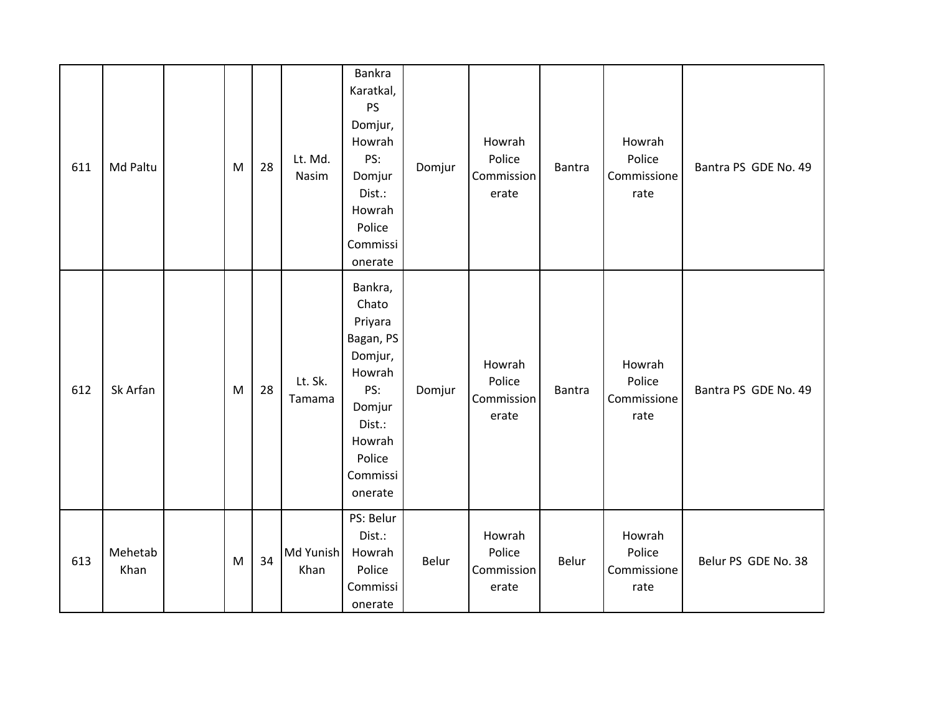| 611 | Md Paltu        | M | 28 | Lt. Md.<br>Nasim  | Bankra<br>Karatkal,<br>PS<br>Domjur,<br>Howrah<br>PS:<br>Domjur<br>Dist.:<br>Howrah<br>Police<br>Commissi<br>onerate                | Domjur | Howrah<br>Police<br>Commission<br>erate | Bantra | Howrah<br>Police<br>Commissione<br>rate | Bantra PS GDE No. 49 |
|-----|-----------------|---|----|-------------------|-------------------------------------------------------------------------------------------------------------------------------------|--------|-----------------------------------------|--------|-----------------------------------------|----------------------|
| 612 | Sk Arfan        | M | 28 | Lt. Sk.<br>Tamama | Bankra,<br>Chato<br>Priyara<br>Bagan, PS<br>Domjur,<br>Howrah<br>PS:<br>Domjur<br>Dist.:<br>Howrah<br>Police<br>Commissi<br>onerate | Domjur | Howrah<br>Police<br>Commission<br>erate | Bantra | Howrah<br>Police<br>Commissione<br>rate | Bantra PS GDE No. 49 |
| 613 | Mehetab<br>Khan | M | 34 | Md Yunish<br>Khan | PS: Belur<br>Dist.:<br>Howrah<br>Police<br>Commissi<br>onerate                                                                      | Belur  | Howrah<br>Police<br>Commission<br>erate | Belur  | Howrah<br>Police<br>Commissione<br>rate | Belur PS GDE No. 38  |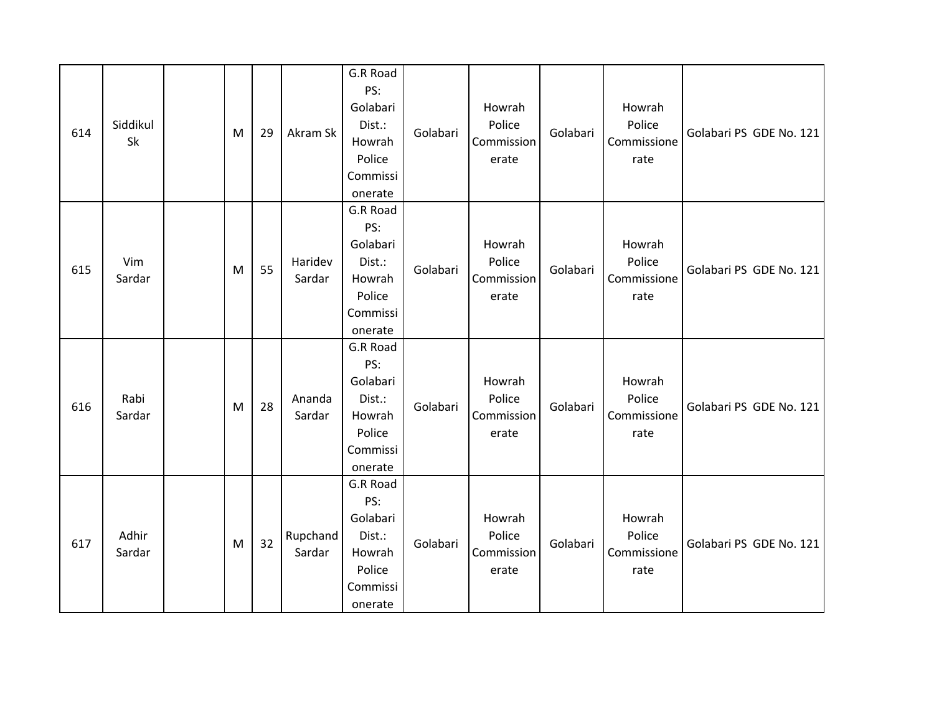| 614 | Siddikul<br>Sk  | M | 29 | Akram Sk           | G.R Road<br>PS:<br>Golabari<br>Dist.:<br>Howrah<br>Police<br>Commissi<br>onerate | Golabari | Howrah<br>Police<br>Commission<br>erate | Golabari | Howrah<br>Police<br>Commissione<br>rate | Golabari PS GDE No. 121 |
|-----|-----------------|---|----|--------------------|----------------------------------------------------------------------------------|----------|-----------------------------------------|----------|-----------------------------------------|-------------------------|
| 615 | Vim<br>Sardar   | M | 55 | Haridev<br>Sardar  | G.R Road<br>PS:<br>Golabari<br>Dist.:<br>Howrah<br>Police<br>Commissi<br>onerate | Golabari | Howrah<br>Police<br>Commission<br>erate | Golabari | Howrah<br>Police<br>Commissione<br>rate | Golabari PS GDE No. 121 |
| 616 | Rabi<br>Sardar  | M | 28 | Ananda<br>Sardar   | G.R Road<br>PS:<br>Golabari<br>Dist.:<br>Howrah<br>Police<br>Commissi<br>onerate | Golabari | Howrah<br>Police<br>Commission<br>erate | Golabari | Howrah<br>Police<br>Commissione<br>rate | Golabari PS GDE No. 121 |
| 617 | Adhir<br>Sardar | M | 32 | Rupchand<br>Sardar | G.R Road<br>PS:<br>Golabari<br>Dist.:<br>Howrah<br>Police<br>Commissi<br>onerate | Golabari | Howrah<br>Police<br>Commission<br>erate | Golabari | Howrah<br>Police<br>Commissione<br>rate | Golabari PS GDE No. 121 |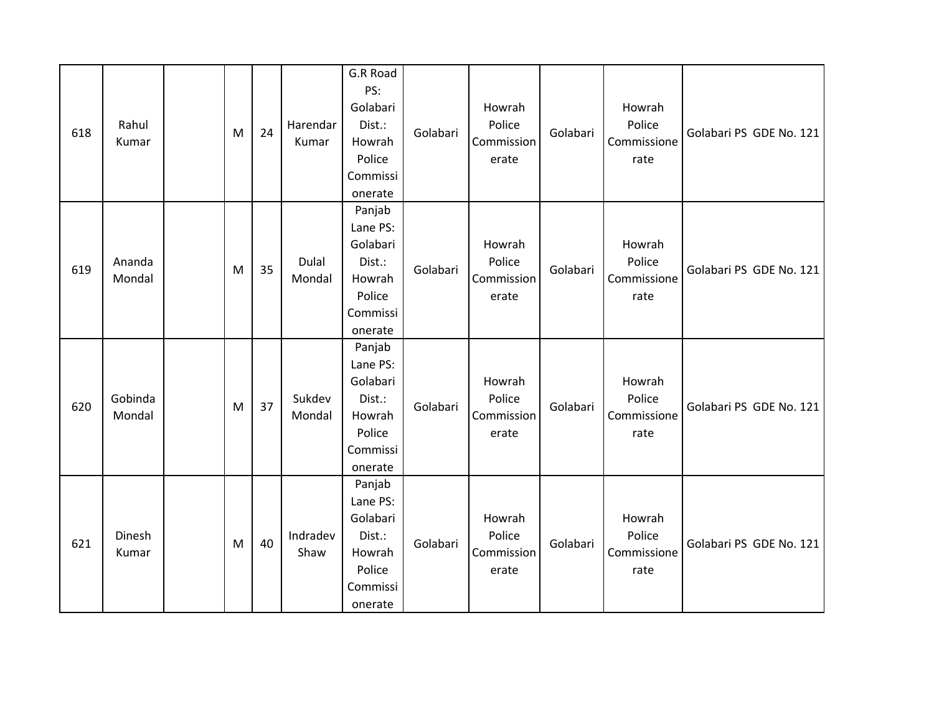| 618 | Rahul<br>Kumar    | M | 24 | Harendar<br>Kumar | G.R Road<br>PS:<br>Golabari<br>Dist.:<br>Howrah<br>Police<br>Commissi<br>onerate    | Golabari | Howrah<br>Police<br>Commission<br>erate | Golabari | Howrah<br>Police<br>Commissione<br>rate | Golabari PS GDE No. 121 |
|-----|-------------------|---|----|-------------------|-------------------------------------------------------------------------------------|----------|-----------------------------------------|----------|-----------------------------------------|-------------------------|
| 619 | Ananda<br>Mondal  | M | 35 | Dulal<br>Mondal   | Panjab<br>Lane PS:<br>Golabari<br>Dist.:<br>Howrah<br>Police<br>Commissi<br>onerate | Golabari | Howrah<br>Police<br>Commission<br>erate | Golabari | Howrah<br>Police<br>Commissione<br>rate | Golabari PS GDE No. 121 |
| 620 | Gobinda<br>Mondal | M | 37 | Sukdev<br>Mondal  | Panjab<br>Lane PS:<br>Golabari<br>Dist.:<br>Howrah<br>Police<br>Commissi<br>onerate | Golabari | Howrah<br>Police<br>Commission<br>erate | Golabari | Howrah<br>Police<br>Commissione<br>rate | Golabari PS GDE No. 121 |
| 621 | Dinesh<br>Kumar   | M | 40 | Indradev<br>Shaw  | Panjab<br>Lane PS:<br>Golabari<br>Dist.:<br>Howrah<br>Police<br>Commissi<br>onerate | Golabari | Howrah<br>Police<br>Commission<br>erate | Golabari | Howrah<br>Police<br>Commissione<br>rate | Golabari PS GDE No. 121 |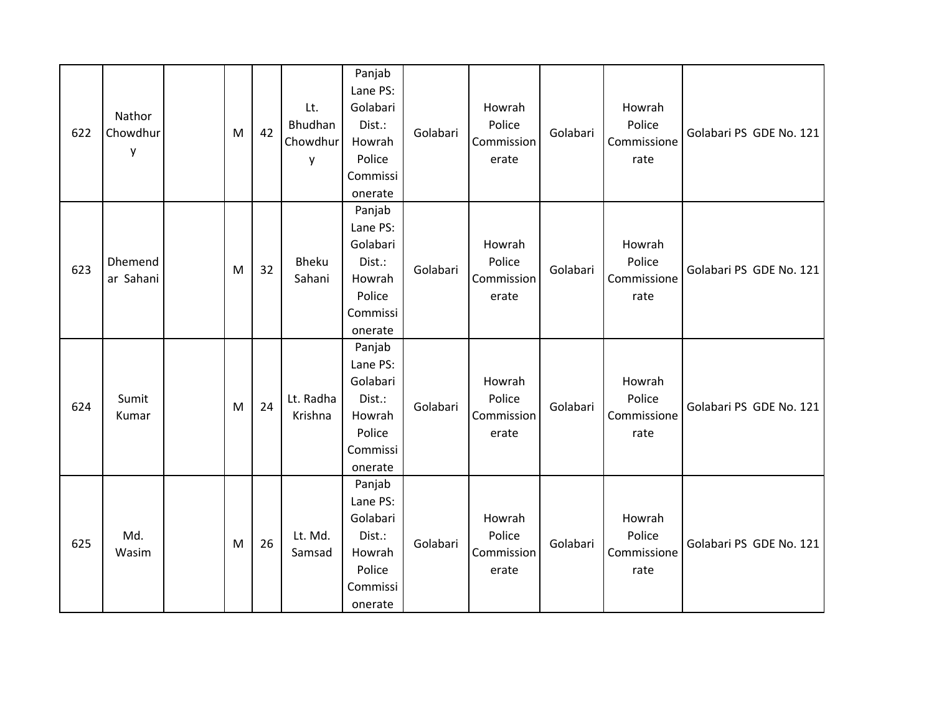| 622 | Nathor<br>Chowdhur<br>y | M | 42 | Lt.<br>Bhudhan<br>Chowdhur<br>y | Panjab<br>Lane PS:<br>Golabari<br>Dist.:<br>Howrah<br>Police<br>Commissi<br>onerate | Golabari | Howrah<br>Police<br>Commission<br>erate | Golabari | Howrah<br>Police<br>Commissione<br>rate | Golabari PS GDE No. 121 |
|-----|-------------------------|---|----|---------------------------------|-------------------------------------------------------------------------------------|----------|-----------------------------------------|----------|-----------------------------------------|-------------------------|
| 623 | Dhemend<br>ar Sahani    | M | 32 | Bheku<br>Sahani                 | Panjab<br>Lane PS:<br>Golabari<br>Dist.:<br>Howrah<br>Police<br>Commissi<br>onerate | Golabari | Howrah<br>Police<br>Commission<br>erate | Golabari | Howrah<br>Police<br>Commissione<br>rate | Golabari PS GDE No. 121 |
| 624 | Sumit<br>Kumar          | M | 24 | Lt. Radha<br>Krishna            | Panjab<br>Lane PS:<br>Golabari<br>Dist.:<br>Howrah<br>Police<br>Commissi<br>onerate | Golabari | Howrah<br>Police<br>Commission<br>erate | Golabari | Howrah<br>Police<br>Commissione<br>rate | Golabari PS GDE No. 121 |
| 625 | Md.<br>Wasim            | M | 26 | Lt. Md.<br>Samsad               | Panjab<br>Lane PS:<br>Golabari<br>Dist.:<br>Howrah<br>Police<br>Commissi<br>onerate | Golabari | Howrah<br>Police<br>Commission<br>erate | Golabari | Howrah<br>Police<br>Commissione<br>rate | Golabari PS GDE No. 121 |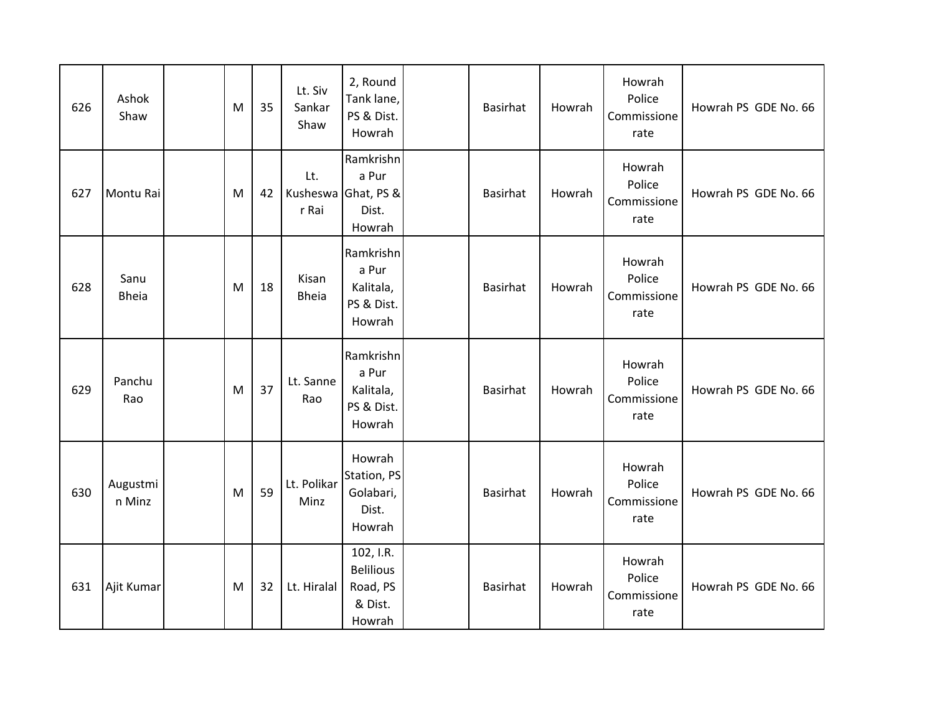| 626 | Ashok<br>Shaw        | м | 35 | Lt. Siv<br>Sankar<br>Shaw | 2, Round<br>Tank lane,<br>PS & Dist.<br>Howrah                 | Basirhat        | Howrah | Howrah<br>Police<br>Commissione<br>rate | Howrah PS GDE No. 66 |
|-----|----------------------|---|----|---------------------------|----------------------------------------------------------------|-----------------|--------|-----------------------------------------|----------------------|
| 627 | Montu Rai            | M | 42 | Lt.<br>r Rai              | Ramkrishn<br>a Pur<br>Kusheswa Ghat, PS &<br>Dist.<br>Howrah   | <b>Basirhat</b> | Howrah | Howrah<br>Police<br>Commissione<br>rate | Howrah PS GDE No. 66 |
| 628 | Sanu<br><b>Bheia</b> | M | 18 | Kisan<br><b>Bheia</b>     | Ramkrishn<br>a Pur<br>Kalitala,<br>PS & Dist.<br>Howrah        | <b>Basirhat</b> | Howrah | Howrah<br>Police<br>Commissione<br>rate | Howrah PS GDE No. 66 |
| 629 | Panchu<br>Rao        | M | 37 | Lt. Sanne<br>Rao          | Ramkrishn<br>a Pur<br>Kalitala,<br>PS & Dist.<br>Howrah        | <b>Basirhat</b> | Howrah | Howrah<br>Police<br>Commissione<br>rate | Howrah PS GDE No. 66 |
| 630 | Augustmi<br>n Minz   | M | 59 | Lt. Polikar<br>Minz       | Howrah<br>Station, PS<br>Golabari,<br>Dist.<br>Howrah          | <b>Basirhat</b> | Howrah | Howrah<br>Police<br>Commissione<br>rate | Howrah PS GDE No. 66 |
| 631 | Ajit Kumar           | M | 32 | Lt. Hiralal               | 102, I.R.<br><b>Belilious</b><br>Road, PS<br>& Dist.<br>Howrah | <b>Basirhat</b> | Howrah | Howrah<br>Police<br>Commissione<br>rate | Howrah PS GDE No. 66 |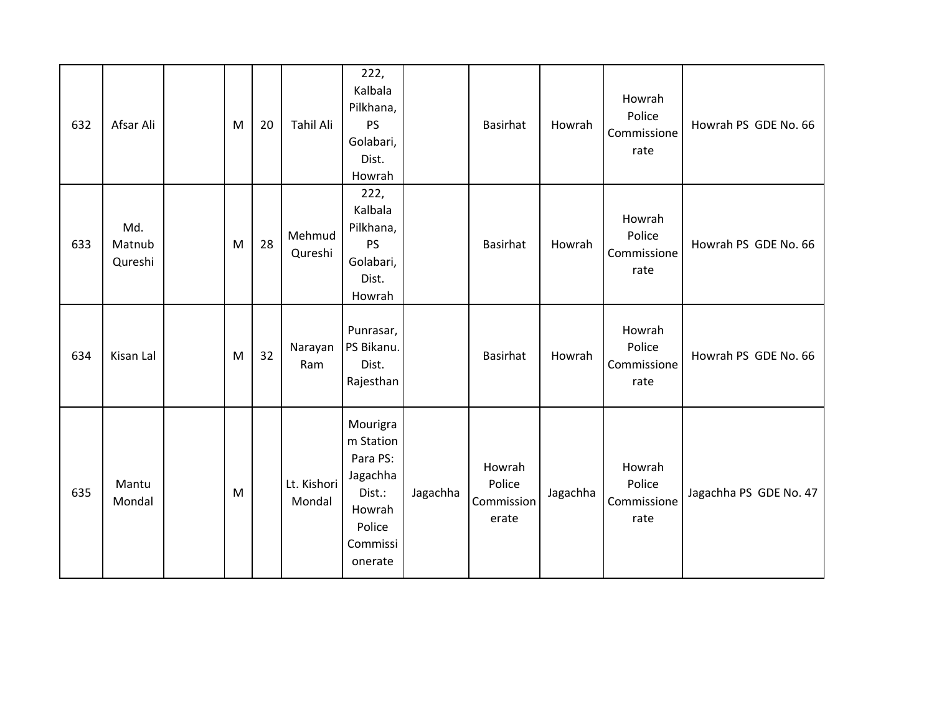| 632 | Afsar Ali                | M | 20 | <b>Tahil Ali</b>      | 222,<br>Kalbala<br>Pilkhana,<br>PS<br>Golabari,<br>Dist.<br>Howrah                                 |          | Basirhat                                | Howrah   | Howrah<br>Police<br>Commissione<br>rate | Howrah PS GDE No. 66   |
|-----|--------------------------|---|----|-----------------------|----------------------------------------------------------------------------------------------------|----------|-----------------------------------------|----------|-----------------------------------------|------------------------|
| 633 | Md.<br>Matnub<br>Qureshi | M | 28 | Mehmud<br>Qureshi     | 222,<br>Kalbala<br>Pilkhana,<br>PS<br>Golabari,<br>Dist.<br>Howrah                                 |          | <b>Basirhat</b>                         | Howrah   | Howrah<br>Police<br>Commissione<br>rate | Howrah PS GDE No. 66   |
| 634 | Kisan Lal                | M | 32 | Narayan<br>Ram        | Punrasar,<br>PS Bikanu.<br>Dist.<br>Rajesthan                                                      |          | Basirhat                                | Howrah   | Howrah<br>Police<br>Commissione<br>rate | Howrah PS GDE No. 66   |
| 635 | Mantu<br>Mondal          | M |    | Lt. Kishori<br>Mondal | Mourigra<br>m Station<br>Para PS:<br>Jagachha<br>Dist.:<br>Howrah<br>Police<br>Commissi<br>onerate | Jagachha | Howrah<br>Police<br>Commission<br>erate | Jagachha | Howrah<br>Police<br>Commissione<br>rate | Jagachha PS GDE No. 47 |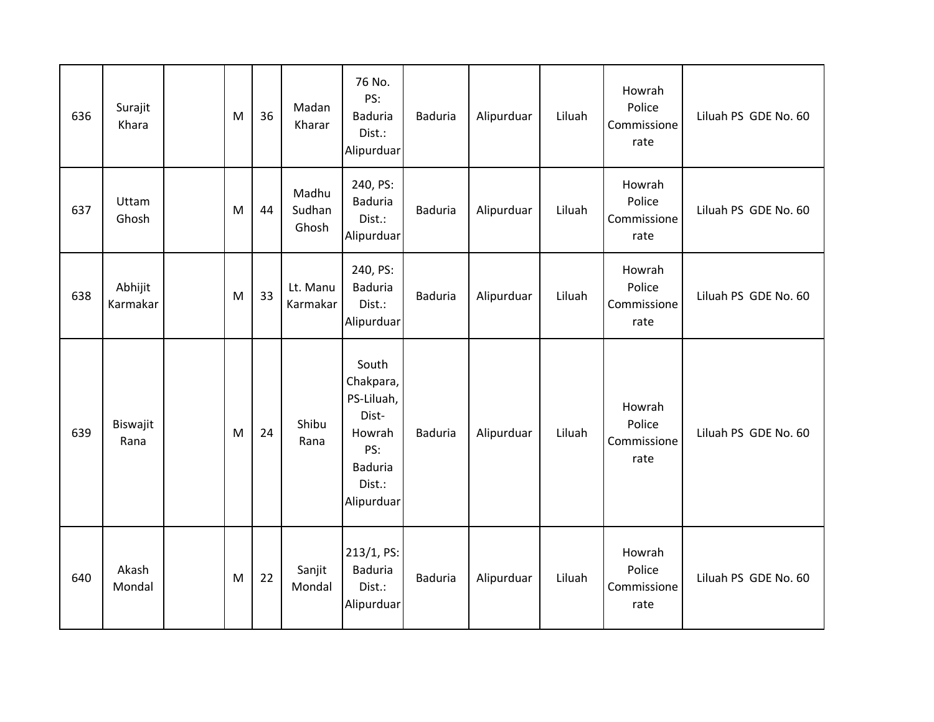| 636 | Surajit<br>Khara    | M | 36 | Madan<br>Kharar          | 76 No.<br>PS:<br><b>Baduria</b><br>Dist.:<br>Alipurduar                                              | <b>Baduria</b> | Alipurduar | Liluah | Howrah<br>Police<br>Commissione<br>rate | Liluah PS GDE No. 60 |
|-----|---------------------|---|----|--------------------------|------------------------------------------------------------------------------------------------------|----------------|------------|--------|-----------------------------------------|----------------------|
| 637 | Uttam<br>Ghosh      | M | 44 | Madhu<br>Sudhan<br>Ghosh | 240, PS:<br><b>Baduria</b><br>Dist.:<br>Alipurduar                                                   | <b>Baduria</b> | Alipurduar | Liluah | Howrah<br>Police<br>Commissione<br>rate | Liluah PS GDE No. 60 |
| 638 | Abhijit<br>Karmakar | M | 33 | Lt. Manu<br>Karmakar     | 240, PS:<br><b>Baduria</b><br>Dist.:<br>Alipurduar                                                   | <b>Baduria</b> | Alipurduar | Liluah | Howrah<br>Police<br>Commissione<br>rate | Liluah PS GDE No. 60 |
| 639 | Biswajit<br>Rana    | M | 24 | Shibu<br>Rana            | South<br>Chakpara,<br>PS-Liluah,<br>Dist-<br>Howrah<br>PS:<br><b>Baduria</b><br>Dist.:<br>Alipurduar | <b>Baduria</b> | Alipurduar | Liluah | Howrah<br>Police<br>Commissione<br>rate | Liluah PS GDE No. 60 |
| 640 | Akash<br>Mondal     | M | 22 | Sanjit<br>Mondal         | 213/1, PS:<br><b>Baduria</b><br>Dist.:<br>Alipurduar                                                 | <b>Baduria</b> | Alipurduar | Liluah | Howrah<br>Police<br>Commissione<br>rate | Liluah PS GDE No. 60 |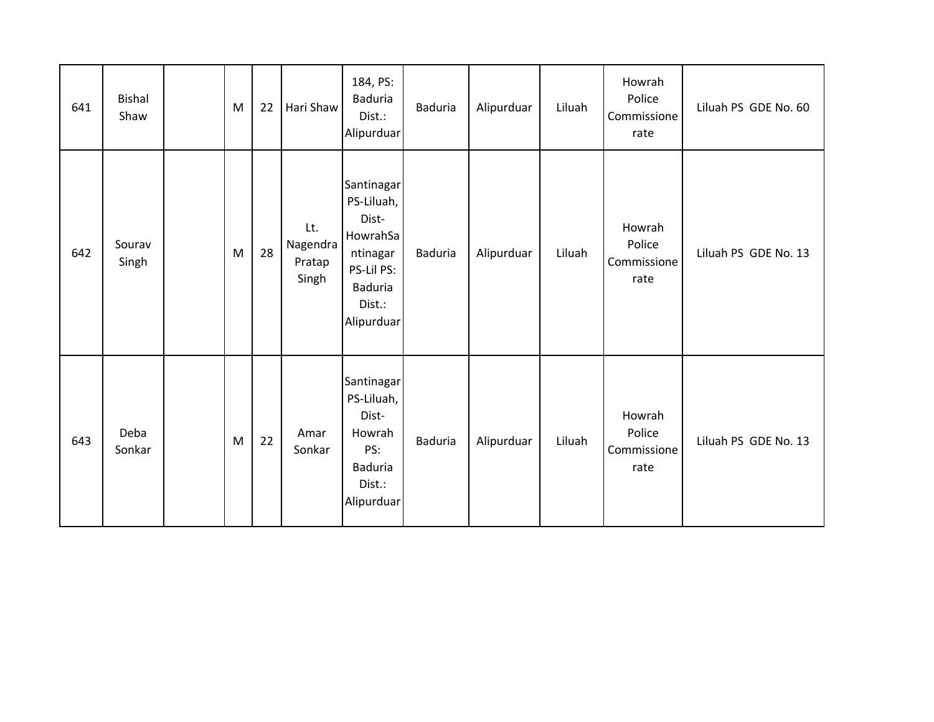| 641 | <b>Bishal</b><br>Shaw | M | 22 | Hari Shaw                          | 184, PS:<br><b>Baduria</b><br>Dist.:<br>Alipurduar                                                                | <b>Baduria</b> | Alipurduar | Liluah | Howrah<br>Police<br>Commissione<br>rate | Liluah PS GDE No. 60 |
|-----|-----------------------|---|----|------------------------------------|-------------------------------------------------------------------------------------------------------------------|----------------|------------|--------|-----------------------------------------|----------------------|
| 642 | Sourav<br>Singh       | M | 28 | Lt.<br>Nagendra<br>Pratap<br>Singh | Santinagar<br>PS-Liluah,<br>Dist-<br>HowrahSa<br>ntinagar<br>PS-Lil PS:<br><b>Baduria</b><br>Dist.:<br>Alipurduar | <b>Baduria</b> | Alipurduar | Liluah | Howrah<br>Police<br>Commissione<br>rate | Liluah PS GDE No. 13 |
| 643 | Deba<br>Sonkar        | M | 22 | Amar<br>Sonkar                     | Santinagar<br>PS-Liluah,<br>Dist-<br>Howrah<br>PS:<br><b>Baduria</b><br>Dist.:<br>Alipurduar                      | <b>Baduria</b> | Alipurduar | Liluah | Howrah<br>Police<br>Commissione<br>rate | Liluah PS GDE No. 13 |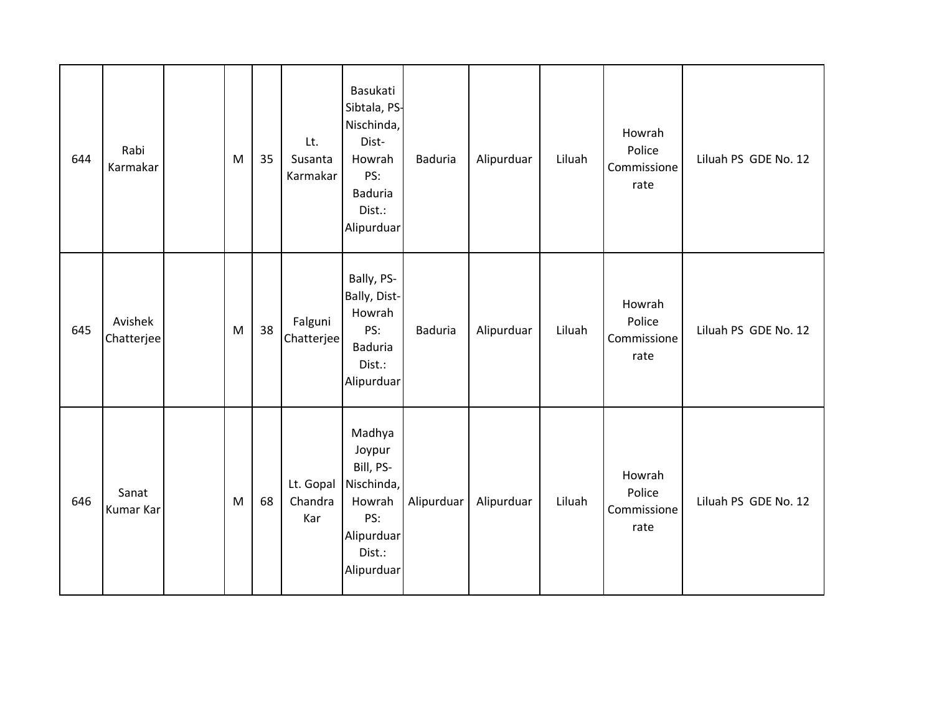| 644 | Rabi<br>Karmakar      | M         | 35 | Lt.<br>Susanta<br>Karmakar  | Basukati<br>Sibtala, PS-<br>Nischinda,<br>Dist-<br>Howrah<br>PS:<br><b>Baduria</b><br>Dist.:<br>Alipurduar | <b>Baduria</b> | Alipurduar | Liluah | Howrah<br>Police<br>Commissione<br>rate | Liluah PS GDE No. 12 |
|-----|-----------------------|-----------|----|-----------------------------|------------------------------------------------------------------------------------------------------------|----------------|------------|--------|-----------------------------------------|----------------------|
| 645 | Avishek<br>Chatterjee | ${\sf M}$ | 38 | Falguni<br>Chatterjee       | Bally, PS-<br>Bally, Dist-<br>Howrah<br>PS:<br><b>Baduria</b><br>Dist.:<br>Alipurduar                      | <b>Baduria</b> | Alipurduar | Liluah | Howrah<br>Police<br>Commissione<br>rate | Liluah PS GDE No. 12 |
| 646 | Sanat<br>Kumar Kar    | M         | 68 | Lt. Gopal<br>Chandra<br>Kar | Madhya<br>Joypur<br>Bill, PS-<br>Nischinda,<br>Howrah<br>PS:<br>Alipurduar<br>Dist.:<br>Alipurduar         | Alipurduar     | Alipurduar | Liluah | Howrah<br>Police<br>Commissione<br>rate | Liluah PS GDE No. 12 |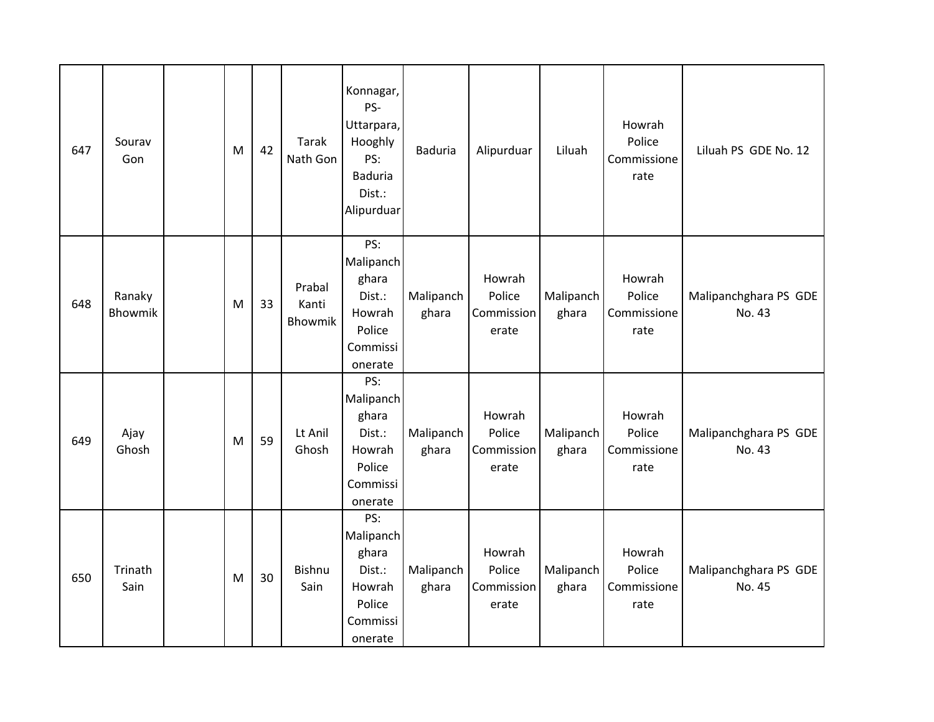| 647 | Sourav<br>Gon     | M | 42 | <b>Tarak</b><br>Nath Gon          | Konnagar,<br>PS-<br>Uttarpara,<br>Hooghly<br>PS:<br><b>Baduria</b><br>Dist.:<br>Alipurduar | <b>Baduria</b>     | Alipurduar                              | Liluah             | Howrah<br>Police<br>Commissione<br>rate | Liluah PS GDE No. 12            |
|-----|-------------------|---|----|-----------------------------------|--------------------------------------------------------------------------------------------|--------------------|-----------------------------------------|--------------------|-----------------------------------------|---------------------------------|
| 648 | Ranaky<br>Bhowmik | M | 33 | Prabal<br>Kanti<br><b>Bhowmik</b> | PS:<br>Malipanch<br>ghara<br>Dist.:<br>Howrah<br>Police<br>Commissi<br>onerate             | Malipanch<br>ghara | Howrah<br>Police<br>Commission<br>erate | Malipanch<br>ghara | Howrah<br>Police<br>Commissione<br>rate | Malipanchghara PS GDE<br>No. 43 |
| 649 | Ajay<br>Ghosh     | M | 59 | Lt Anil<br>Ghosh                  | PS:<br>Malipanch<br>ghara<br>Dist.:<br>Howrah<br>Police<br>Commissi<br>onerate             | Malipanch<br>ghara | Howrah<br>Police<br>Commission<br>erate | Malipanch<br>ghara | Howrah<br>Police<br>Commissione<br>rate | Malipanchghara PS GDE<br>No. 43 |
| 650 | Trinath<br>Sain   | M | 30 | Bishnu<br>Sain                    | PS:<br>Malipanch<br>ghara<br>Dist.:<br>Howrah<br>Police<br>Commissi<br>onerate             | Malipanch<br>ghara | Howrah<br>Police<br>Commission<br>erate | Malipanch<br>ghara | Howrah<br>Police<br>Commissione<br>rate | Malipanchghara PS GDE<br>No. 45 |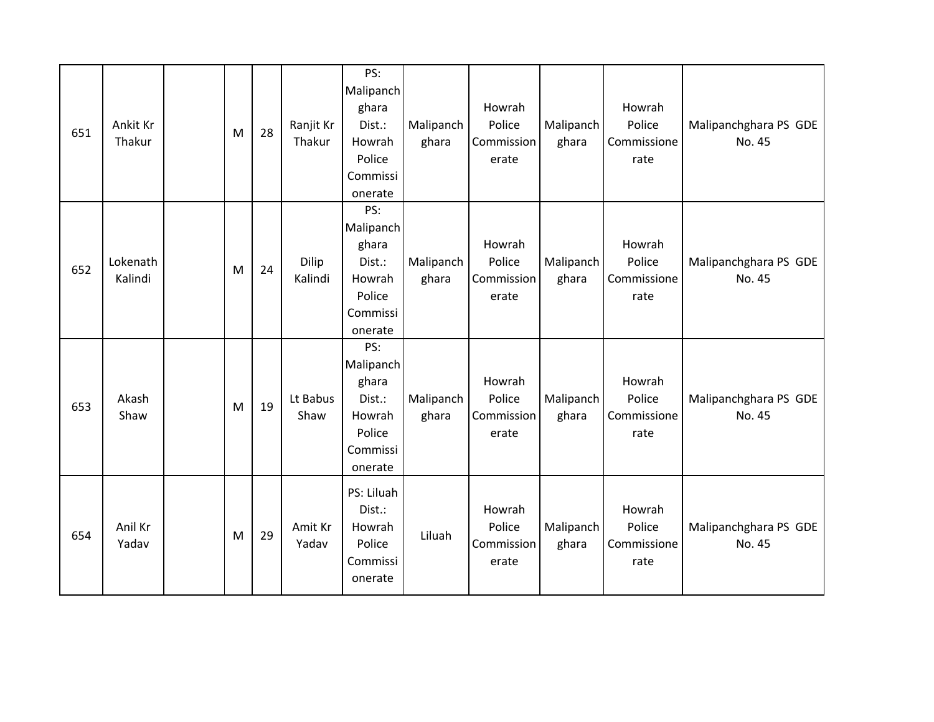| 651 | Ankit Kr<br>Thakur  | M | 28 | Ranjit Kr<br>Thakur | PS:<br>Malipanch<br>ghara<br>Dist.:<br>Howrah<br>Police<br>Commissi<br>onerate | Malipanch<br>ghara | Howrah<br>Police<br>Commission<br>erate | Malipanch<br>ghara | Howrah<br>Police<br>Commissione<br>rate | Malipanchghara PS GDE<br>No. 45 |
|-----|---------------------|---|----|---------------------|--------------------------------------------------------------------------------|--------------------|-----------------------------------------|--------------------|-----------------------------------------|---------------------------------|
| 652 | Lokenath<br>Kalindi | M | 24 | Dilip<br>Kalindi    | PS:<br>Malipanch<br>ghara<br>Dist.:<br>Howrah<br>Police<br>Commissi<br>onerate | Malipanch<br>ghara | Howrah<br>Police<br>Commission<br>erate | Malipanch<br>ghara | Howrah<br>Police<br>Commissione<br>rate | Malipanchghara PS GDE<br>No. 45 |
| 653 | Akash<br>Shaw       | M | 19 | Lt Babus<br>Shaw    | PS:<br>Malipanch<br>ghara<br>Dist.:<br>Howrah<br>Police<br>Commissi<br>onerate | Malipanch<br>ghara | Howrah<br>Police<br>Commission<br>erate | Malipanch<br>ghara | Howrah<br>Police<br>Commissione<br>rate | Malipanchghara PS GDE<br>No. 45 |
| 654 | Anil Kr<br>Yadav    | M | 29 | Amit Kr<br>Yadav    | PS: Liluah<br>Dist.:<br>Howrah<br>Police<br>Commissi<br>onerate                | Liluah             | Howrah<br>Police<br>Commission<br>erate | Malipanch<br>ghara | Howrah<br>Police<br>Commissione<br>rate | Malipanchghara PS GDE<br>No. 45 |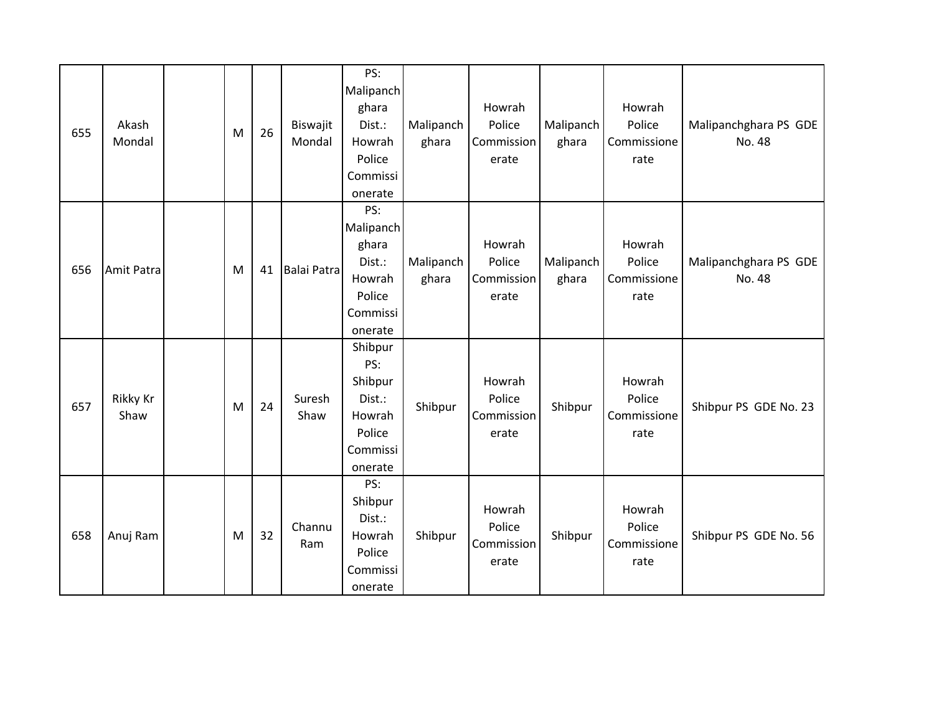| 655 | Akash<br>Mondal  | M | 26 | Biswajit<br>Mondal | PS:<br>Malipanch<br>ghara<br>Dist.:<br>Howrah<br>Police<br>Commissi<br>onerate | Malipanch<br>ghara | Howrah<br>Police<br>Commission<br>erate | Malipanch<br>ghara | Howrah<br>Police<br>Commissione<br>rate | Malipanchghara PS GDE<br>No. 48 |
|-----|------------------|---|----|--------------------|--------------------------------------------------------------------------------|--------------------|-----------------------------------------|--------------------|-----------------------------------------|---------------------------------|
| 656 | Amit Patra       | M | 41 | Balai Patra        | PS:<br>Malipanch<br>ghara<br>Dist.:<br>Howrah<br>Police<br>Commissi<br>onerate | Malipanch<br>ghara | Howrah<br>Police<br>Commission<br>erate | Malipanch<br>ghara | Howrah<br>Police<br>Commissione<br>rate | Malipanchghara PS GDE<br>No. 48 |
| 657 | Rikky Kr<br>Shaw | M | 24 | Suresh<br>Shaw     | Shibpur<br>PS:<br>Shibpur<br>Dist.:<br>Howrah<br>Police<br>Commissi<br>onerate | Shibpur            | Howrah<br>Police<br>Commission<br>erate | Shibpur            | Howrah<br>Police<br>Commissione<br>rate | Shibpur PS GDE No. 23           |
| 658 | Anuj Ram         | M | 32 | Channu<br>Ram      | PS:<br>Shibpur<br>Dist.:<br>Howrah<br>Police<br>Commissi<br>onerate            | Shibpur            | Howrah<br>Police<br>Commission<br>erate | Shibpur            | Howrah<br>Police<br>Commissione<br>rate | Shibpur PS GDE No. 56           |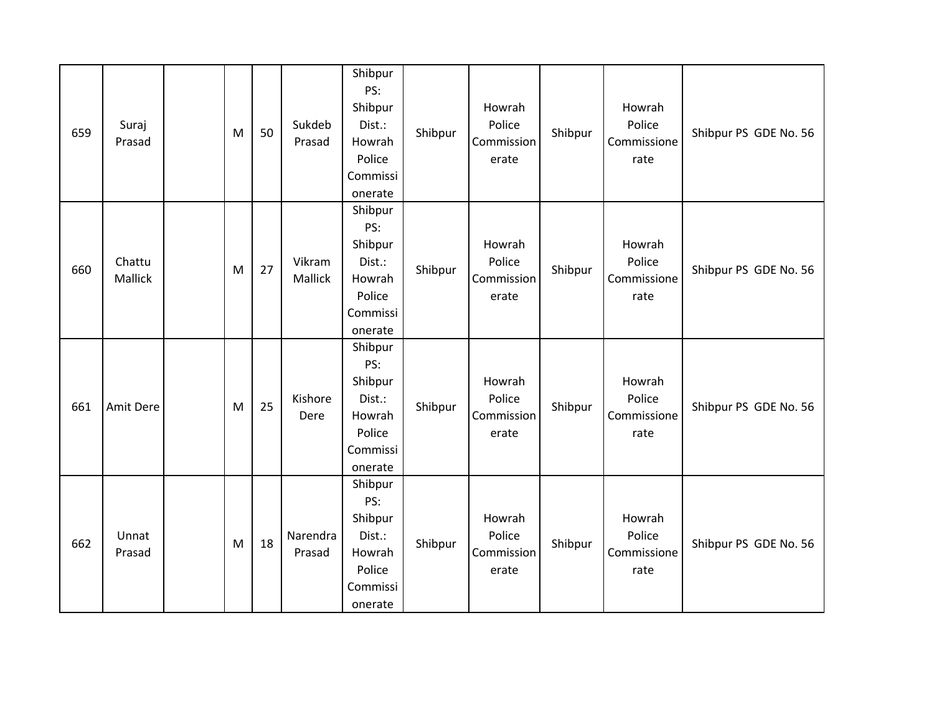| 659 | Suraj<br>Prasad   | M | 50 | Sukdeb<br>Prasad   | Shibpur<br>PS:<br>Shibpur<br>Dist.:<br>Howrah<br>Police<br>Commissi<br>onerate | Shibpur | Howrah<br>Police<br>Commission<br>erate | Shibpur | Howrah<br>Police<br>Commissione<br>rate | Shibpur PS GDE No. 56 |
|-----|-------------------|---|----|--------------------|--------------------------------------------------------------------------------|---------|-----------------------------------------|---------|-----------------------------------------|-----------------------|
| 660 | Chattu<br>Mallick | M | 27 | Vikram<br>Mallick  | Shibpur<br>PS:<br>Shibpur<br>Dist.:<br>Howrah<br>Police<br>Commissi<br>onerate | Shibpur | Howrah<br>Police<br>Commission<br>erate | Shibpur | Howrah<br>Police<br>Commissione<br>rate | Shibpur PS GDE No. 56 |
| 661 | Amit Dere         | M | 25 | Kishore<br>Dere    | Shibpur<br>PS:<br>Shibpur<br>Dist.:<br>Howrah<br>Police<br>Commissi<br>onerate | Shibpur | Howrah<br>Police<br>Commission<br>erate | Shibpur | Howrah<br>Police<br>Commissione<br>rate | Shibpur PS GDE No. 56 |
| 662 | Unnat<br>Prasad   | M | 18 | Narendra<br>Prasad | Shibpur<br>PS:<br>Shibpur<br>Dist.:<br>Howrah<br>Police<br>Commissi<br>onerate | Shibpur | Howrah<br>Police<br>Commission<br>erate | Shibpur | Howrah<br>Police<br>Commissione<br>rate | Shibpur PS GDE No. 56 |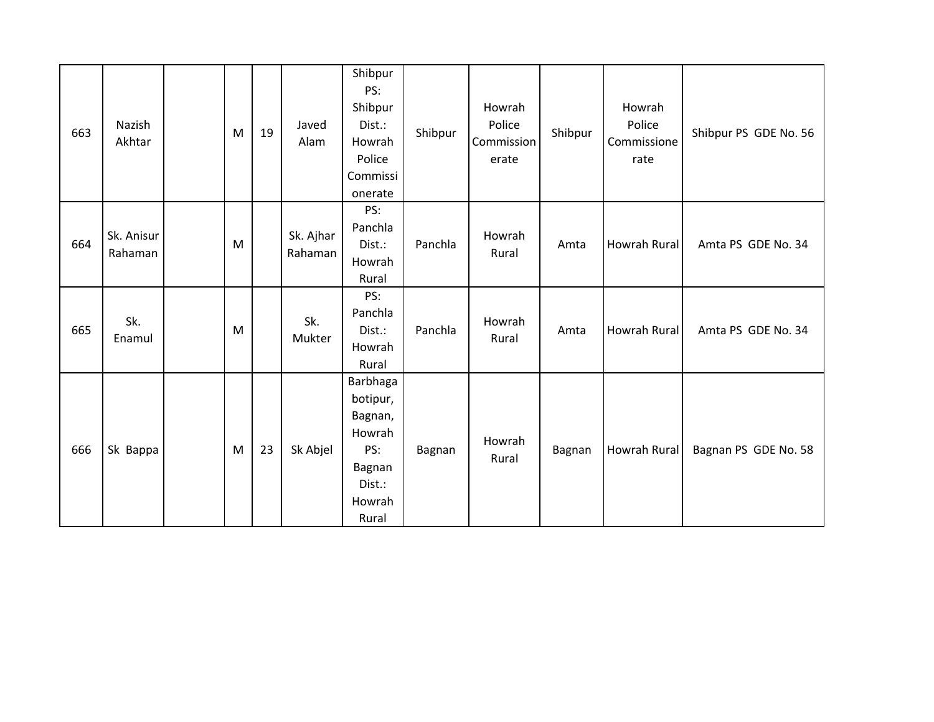| 663 | Nazish<br>Akhtar      | ${\sf M}$ | 19 | Javed<br>Alam        | Shibpur<br>PS:<br>Shibpur<br>Dist.:<br>Howrah<br>Police<br>Commissi<br>onerate          | Shibpur | Howrah<br>Police<br>Commission<br>erate | Shibpur | Howrah<br>Police<br>Commissione<br>rate | Shibpur PS GDE No. 56 |
|-----|-----------------------|-----------|----|----------------------|-----------------------------------------------------------------------------------------|---------|-----------------------------------------|---------|-----------------------------------------|-----------------------|
| 664 | Sk. Anisur<br>Rahaman | M         |    | Sk. Ajhar<br>Rahaman | PS:<br>Panchla<br>Dist.:<br>Howrah<br>Rural                                             | Panchla | Howrah<br>Rural                         | Amta    | Howrah Rural                            | Amta PS GDE No. 34    |
| 665 | Sk.<br>Enamul         | M         |    | Sk.<br>Mukter        | PS:<br>Panchla<br>Dist.:<br>Howrah<br>Rural                                             | Panchla | Howrah<br>Rural                         | Amta    | Howrah Rural                            | Amta PS GDE No. 34    |
| 666 | Sk Bappa              | M         | 23 | Sk Abjel             | Barbhaga<br>botipur,<br>Bagnan,<br>Howrah<br>PS:<br>Bagnan<br>Dist.:<br>Howrah<br>Rural | Bagnan  | Howrah<br>Rural                         | Bagnan  | Howrah Rural                            | Bagnan PS GDE No. 58  |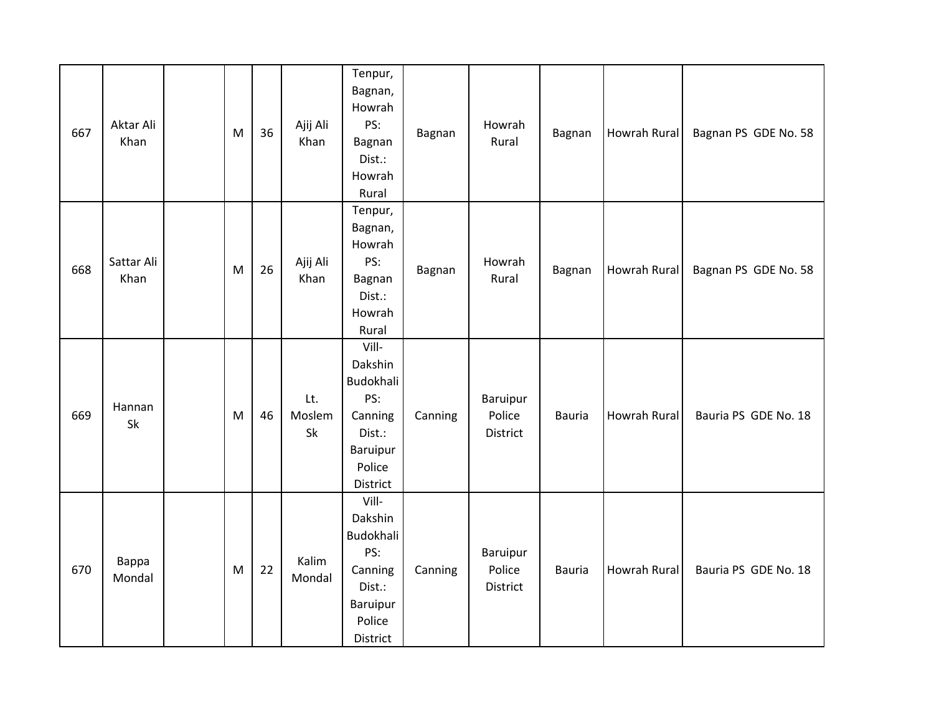| 667 | Aktar Ali<br>Khan  | M | 36 | Ajij Ali<br>Khan    | Tenpur,<br>Bagnan,<br>Howrah<br>PS:<br>Bagnan<br>Dist.:<br>Howrah<br>Rural                  | Bagnan  | Howrah<br>Rural                | Bagnan        | Howrah Rural        | Bagnan PS GDE No. 58 |
|-----|--------------------|---|----|---------------------|---------------------------------------------------------------------------------------------|---------|--------------------------------|---------------|---------------------|----------------------|
| 668 | Sattar Ali<br>Khan | M | 26 | Ajij Ali<br>Khan    | Tenpur,<br>Bagnan,<br>Howrah<br>PS:<br>Bagnan<br>Dist.:<br>Howrah<br>Rural                  | Bagnan  | Howrah<br>Rural                | Bagnan        | <b>Howrah Rural</b> | Bagnan PS GDE No. 58 |
| 669 | Hannan<br>Sk       | M | 46 | Lt.<br>Moslem<br>Sk | Vill-<br>Dakshin<br>Budokhali<br>PS:<br>Canning<br>Dist.:<br>Baruipur<br>Police<br>District | Canning | Baruipur<br>Police<br>District | <b>Bauria</b> | <b>Howrah Rural</b> | Bauria PS GDE No. 18 |
| 670 | Bappa<br>Mondal    | M | 22 | Kalim<br>Mondal     | Vill-<br>Dakshin<br>Budokhali<br>PS:<br>Canning<br>Dist.:<br>Baruipur<br>Police<br>District | Canning | Baruipur<br>Police<br>District | <b>Bauria</b> | Howrah Rural        | Bauria PS GDE No. 18 |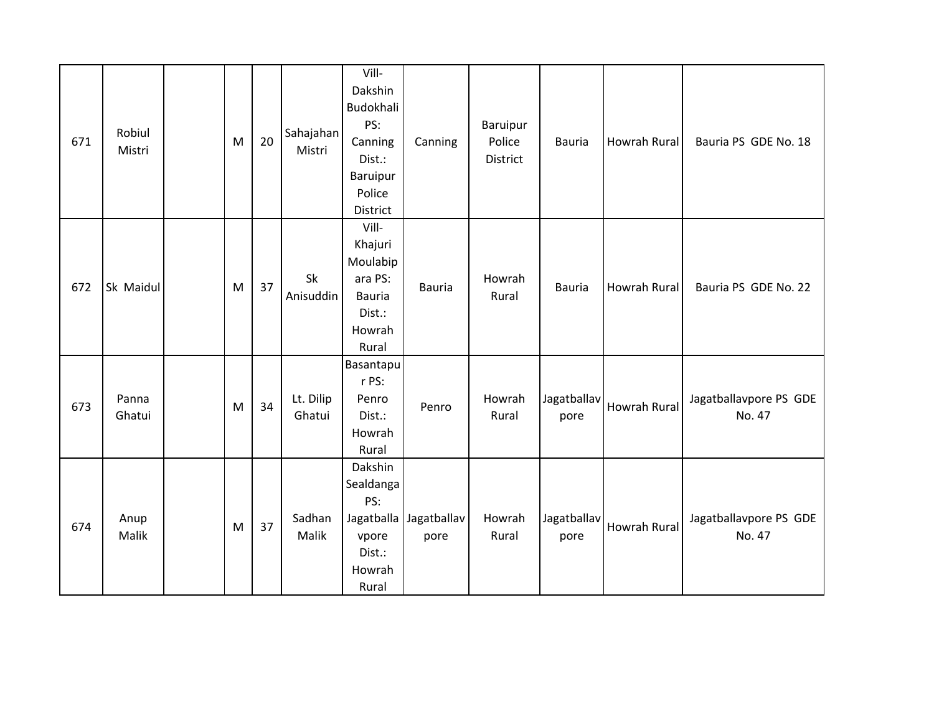| 671 | Robiul<br>Mistri | M | 20 | Sahajahan<br>Mistri | Vill-<br>Dakshin<br>Budokhali<br>PS:<br>Canning<br>Dist.:<br>Baruipur<br>Police<br>District | Canning                        | Baruipur<br>Police<br>District | <b>Bauria</b>       | Howrah Rural        | Bauria PS GDE No. 18             |
|-----|------------------|---|----|---------------------|---------------------------------------------------------------------------------------------|--------------------------------|--------------------------------|---------------------|---------------------|----------------------------------|
| 672 | Sk Maidul        | M | 37 | Sk<br>Anisuddin     | Vill-<br>Khajuri<br>Moulabip<br>ara PS:<br><b>Bauria</b><br>Dist.:<br>Howrah<br>Rural       | <b>Bauria</b>                  | Howrah<br>Rural                | <b>Bauria</b>       | <b>Howrah Rural</b> | Bauria PS GDE No. 22             |
| 673 | Panna<br>Ghatui  | M | 34 | Lt. Dilip<br>Ghatui | Basantapu<br>r PS:<br>Penro<br>Dist.:<br>Howrah<br>Rural                                    | Penro                          | Howrah<br>Rural                | Jagatballav<br>pore | <b>Howrah Rural</b> | Jagatballavpore PS GDE<br>No. 47 |
| 674 | Anup<br>Malik    | M | 37 | Sadhan<br>Malik     | Dakshin<br>Sealdanga<br>PS:<br>vpore<br>Dist.:<br>Howrah<br>Rural                           | Jagatballa Jagatballav<br>pore | Howrah<br>Rural                | Jagatballav<br>pore | <b>Howrah Rural</b> | Jagatballavpore PS GDE<br>No. 47 |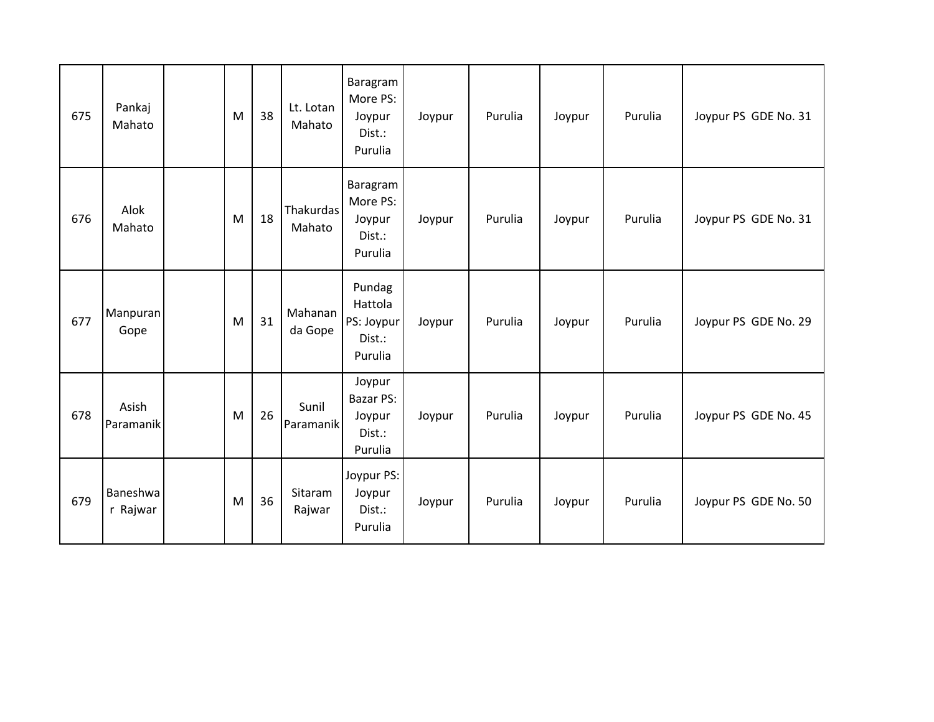| 675 | Pankaj<br>Mahato     | M | 38 | Lt. Lotan<br>Mahato        | Baragram<br>More PS:<br>Joypur<br>Dist.:<br>Purulia  | Joypur | Purulia | Joypur | Purulia | Joypur PS GDE No. 31 |
|-----|----------------------|---|----|----------------------------|------------------------------------------------------|--------|---------|--------|---------|----------------------|
| 676 | Alok<br>Mahato       | M | 18 | <b>Thakurdas</b><br>Mahato | Baragram<br>More PS:<br>Joypur<br>Dist.:<br>Purulia  | Joypur | Purulia | Joypur | Purulia | Joypur PS GDE No. 31 |
| 677 | Manpuran<br>Gope     | M | 31 | Mahanan<br>da Gope         | Pundag<br>Hattola<br>PS: Joypur<br>Dist.:<br>Purulia | Joypur | Purulia | Joypur | Purulia | Joypur PS GDE No. 29 |
| 678 | Asish<br>Paramanik   | M | 26 | Sunil<br>Paramanik         | Joypur<br>Bazar PS:<br>Joypur<br>Dist.:<br>Purulia   | Joypur | Purulia | Joypur | Purulia | Joypur PS GDE No. 45 |
| 679 | Baneshwa<br>r Rajwar | M | 36 | Sitaram<br>Rajwar          | Joypur PS:<br>Joypur<br>Dist.:<br>Purulia            | Joypur | Purulia | Joypur | Purulia | Joypur PS GDE No. 50 |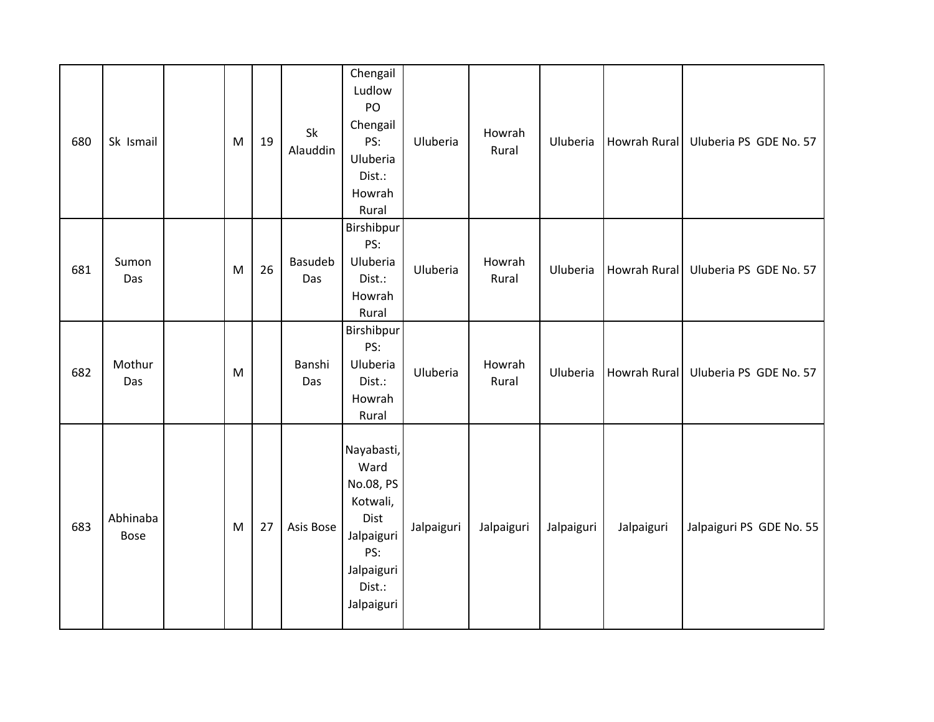| 680 | Sk Ismail               | M | 19 | Sk<br>Alauddin | Chengail<br>Ludlow<br>PO<br>Chengail<br>PS:<br>Uluberia<br>Dist.:<br>Howrah<br>Rural                           | Uluberia   | Howrah<br>Rural | Uluberia   | Howrah Rural | Uluberia PS GDE No. 57   |
|-----|-------------------------|---|----|----------------|----------------------------------------------------------------------------------------------------------------|------------|-----------------|------------|--------------|--------------------------|
| 681 | Sumon<br>Das            | M | 26 | Basudeb<br>Das | Birshibpur<br>PS:<br>Uluberia<br>Dist.:<br>Howrah<br>Rural                                                     | Uluberia   | Howrah<br>Rural | Uluberia   | Howrah Rural | Uluberia PS GDE No. 57   |
| 682 | Mothur<br>Das           | M |    | Banshi<br>Das  | Birshibpur<br>PS:<br>Uluberia<br>Dist.:<br>Howrah<br>Rural                                                     | Uluberia   | Howrah<br>Rural | Uluberia   | Howrah Rural | Uluberia PS GDE No. 57   |
| 683 | Abhinaba<br><b>Bose</b> | M | 27 | Asis Bose      | Nayabasti,<br>Ward<br>No.08, PS<br>Kotwali,<br>Dist<br>Jalpaiguri<br>PS:<br>Jalpaiguri<br>Dist.:<br>Jalpaiguri | Jalpaiguri | Jalpaiguri      | Jalpaiguri | Jalpaiguri   | Jalpaiguri PS GDE No. 55 |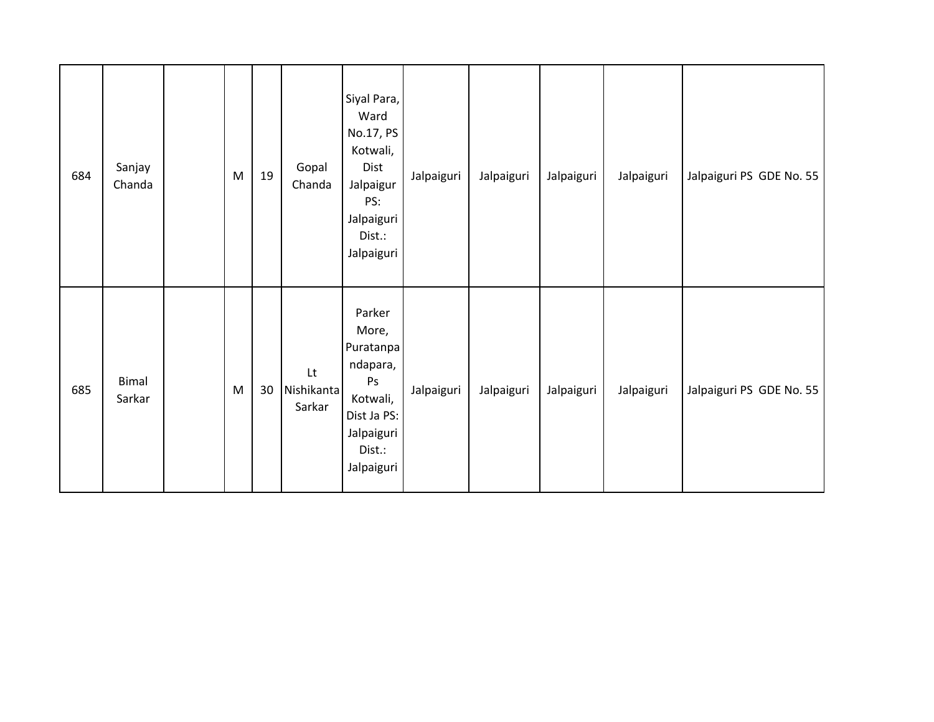| 684 | Sanjay<br>Chanda       | M | 19 | Gopal<br>Chanda                                | Siyal Para,<br>Ward<br>No.17, PS<br>Kotwali,<br>Dist<br>Jalpaigur<br>PS:<br>Jalpaiguri<br>Dist.:<br>Jalpaiguri  | Jalpaiguri | Jalpaiguri | Jalpaiguri | Jalpaiguri | Jalpaiguri PS GDE No. 55 |
|-----|------------------------|---|----|------------------------------------------------|-----------------------------------------------------------------------------------------------------------------|------------|------------|------------|------------|--------------------------|
| 685 | <b>Bimal</b><br>Sarkar | M | 30 | $\mathsf{L}\mathsf{t}$<br>Nishikanta<br>Sarkar | Parker<br>More,<br>Puratanpa<br>ndapara,<br>Ps<br>Kotwali,<br>Dist Ja PS:<br>Jalpaiguri<br>Dist.:<br>Jalpaiguri | Jalpaiguri | Jalpaiguri | Jalpaiguri | Jalpaiguri | Jalpaiguri PS GDE No. 55 |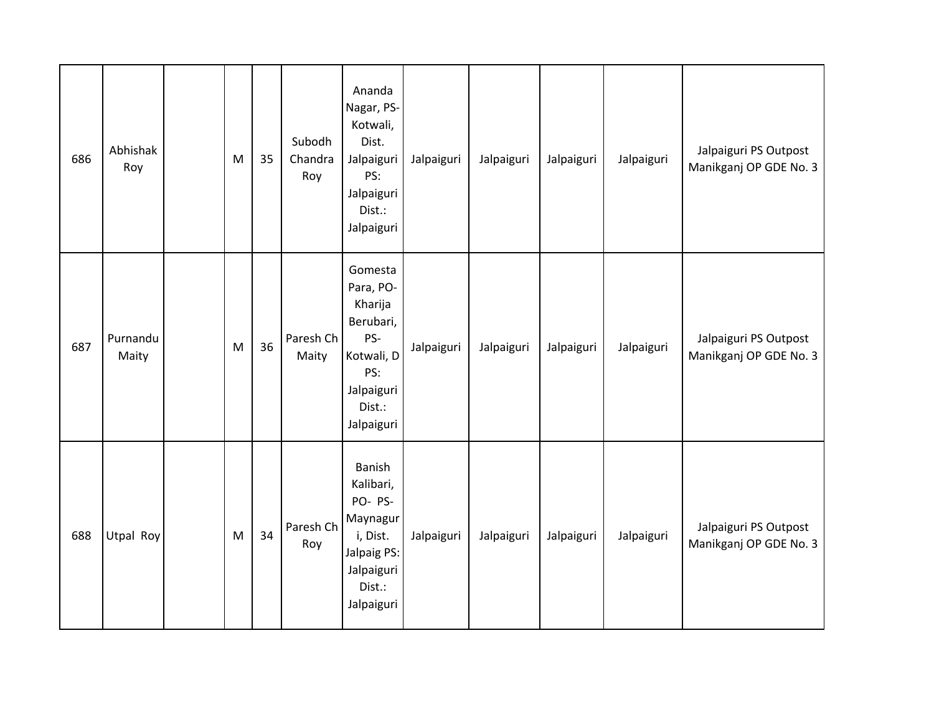| 686 | Abhishak<br>Roy   | M | 35 | Subodh<br>Chandra<br>Roy | Ananda<br>Nagar, PS-<br>Kotwali,<br>Dist.<br>Jalpaiguri<br>PS:<br>Jalpaiguri<br>Dist.:<br>Jalpaiguri           | Jalpaiguri | Jalpaiguri | Jalpaiguri | Jalpaiguri | Jalpaiguri PS Outpost<br>Manikganj OP GDE No. 3 |
|-----|-------------------|---|----|--------------------------|----------------------------------------------------------------------------------------------------------------|------------|------------|------------|------------|-------------------------------------------------|
| 687 | Purnandu<br>Maity | M | 36 | Paresh Ch<br>Maity       | Gomesta<br>Para, PO-<br>Kharija<br>Berubari,<br>PS-<br>Kotwali, D<br>PS:<br>Jalpaiguri<br>Dist.:<br>Jalpaiguri | Jalpaiguri | Jalpaiguri | Jalpaiguri | Jalpaiguri | Jalpaiguri PS Outpost<br>Manikganj OP GDE No. 3 |
| 688 | Utpal Roy         | M | 34 | Paresh Ch<br>Roy         | Banish<br>Kalibari,<br>PO-PS-<br>Maynagur<br>i, Dist.<br>Jalpaig PS:<br>Jalpaiguri<br>Dist.:<br>Jalpaiguri     | Jalpaiguri | Jalpaiguri | Jalpaiguri | Jalpaiguri | Jalpaiguri PS Outpost<br>Manikganj OP GDE No. 3 |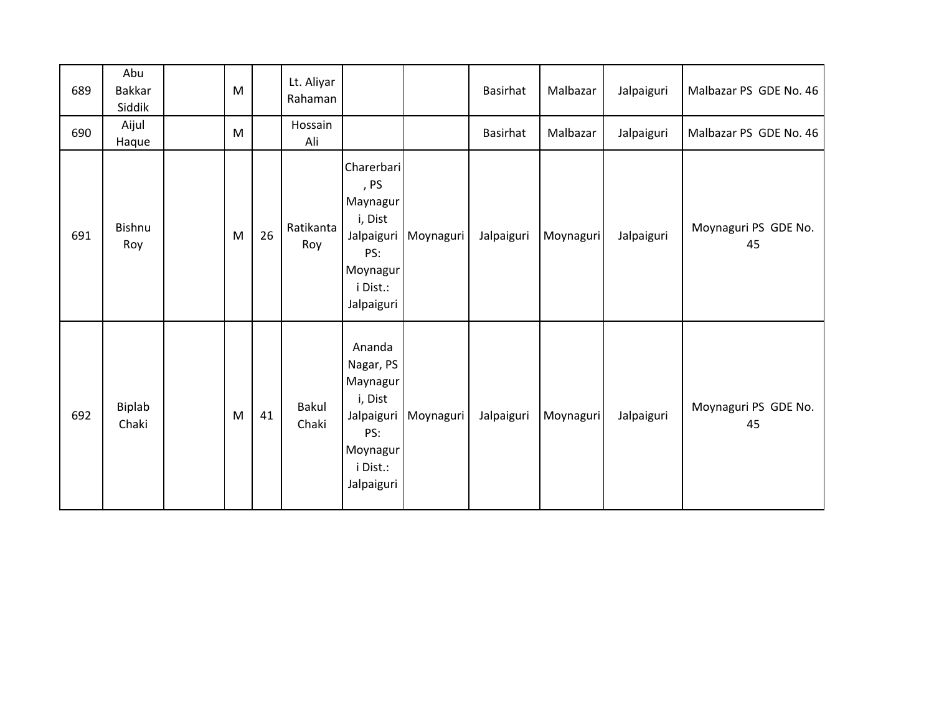| 689 | Abu<br><b>Bakkar</b><br>Siddik | M |    | Lt. Aliyar<br>Rahaman |                                                                                                       |           | Basirhat   | Malbazar  | Jalpaiguri | Malbazar PS GDE No. 46     |
|-----|--------------------------------|---|----|-----------------------|-------------------------------------------------------------------------------------------------------|-----------|------------|-----------|------------|----------------------------|
| 690 | Aijul<br>Haque                 | M |    | Hossain<br>Ali        |                                                                                                       |           | Basirhat   | Malbazar  | Jalpaiguri | Malbazar PS GDE No. 46     |
| 691 | <b>Bishnu</b><br>Roy           | M | 26 | Ratikanta<br>Roy      | Charerbari<br>, PS<br>Maynagur<br>i, Dist<br>Jalpaiguri<br>PS:<br>Moynagur<br>i Dist.:<br>Jalpaiguri  | Moynaguri | Jalpaiguri | Moynaguri | Jalpaiguri | Moynaguri PS GDE No.<br>45 |
| 692 | Biplab<br>Chaki                | M | 41 | <b>Bakul</b><br>Chaki | Ananda<br>Nagar, PS<br>Maynagur<br>i, Dist<br>Jalpaiguri<br>PS:<br>Moynagur<br>i Dist.:<br>Jalpaiguri | Moynaguri | Jalpaiguri | Moynaguri | Jalpaiguri | Moynaguri PS GDE No.<br>45 |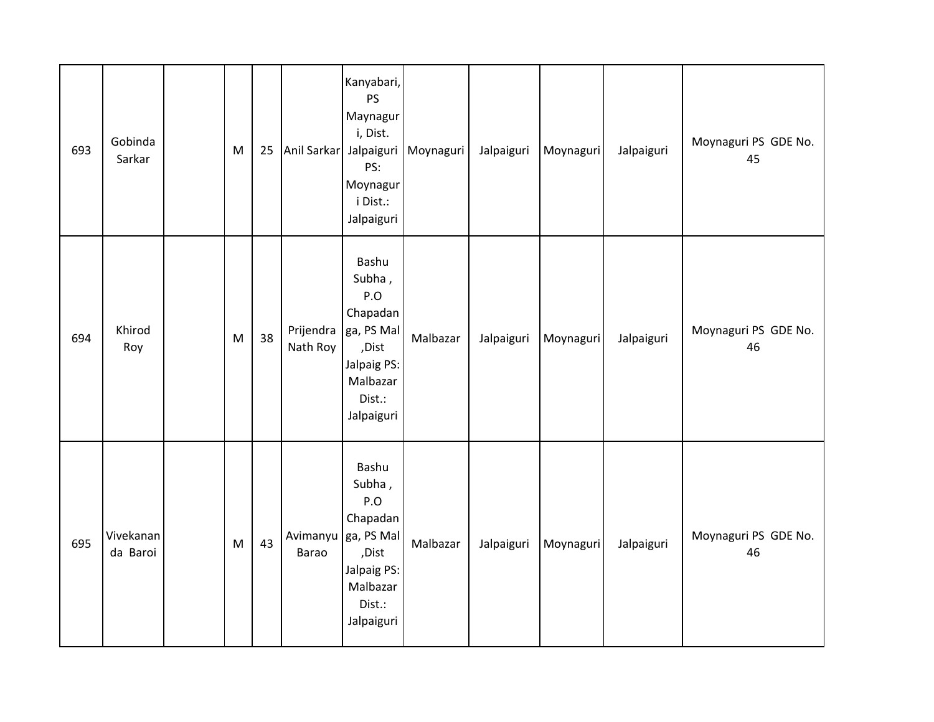| 693 | Gobinda<br>Sarkar     | M                                                                                     | 25 | Anil Sarkar Jalpaiguri | Kanyabari,<br>PS<br>Maynagur<br>i, Dist.<br>PS:<br>Moynagur<br>i Dist.:<br>Jalpaiguri                        | Moynaguri | Jalpaiguri | Moynaguri | Jalpaiguri | Moynaguri PS GDE No.<br>45 |
|-----|-----------------------|---------------------------------------------------------------------------------------|----|------------------------|--------------------------------------------------------------------------------------------------------------|-----------|------------|-----------|------------|----------------------------|
| 694 | Khirod<br>Roy         | $\mathsf{M}% _{T}=\mathsf{M}_{T}\!\left( a,b\right) ,\ \mathsf{M}_{T}=\mathsf{M}_{T}$ | 38 | Prijendra<br>Nath Roy  | Bashu<br>Subha,<br>P.O<br>Chapadan<br>ga, PS Mal<br>,Dist<br>Jalpaig PS:<br>Malbazar<br>Dist.:<br>Jalpaiguri | Malbazar  | Jalpaiguri | Moynaguri | Jalpaiguri | Moynaguri PS GDE No.<br>46 |
| 695 | Vivekanan<br>da Baroi | $\mathsf{M}% _{T}=\mathsf{M}_{T}\!\left( a,b\right) ,\ \mathsf{M}_{T}=\mathsf{M}_{T}$ | 43 | Avimanyu<br>Barao      | Bashu<br>Subha,<br>P.O<br>Chapadan<br>ga, PS Mal<br>,Dist<br>Jalpaig PS:<br>Malbazar<br>Dist.:<br>Jalpaiguri | Malbazar  | Jalpaiguri | Moynaguri | Jalpaiguri | Moynaguri PS GDE No.<br>46 |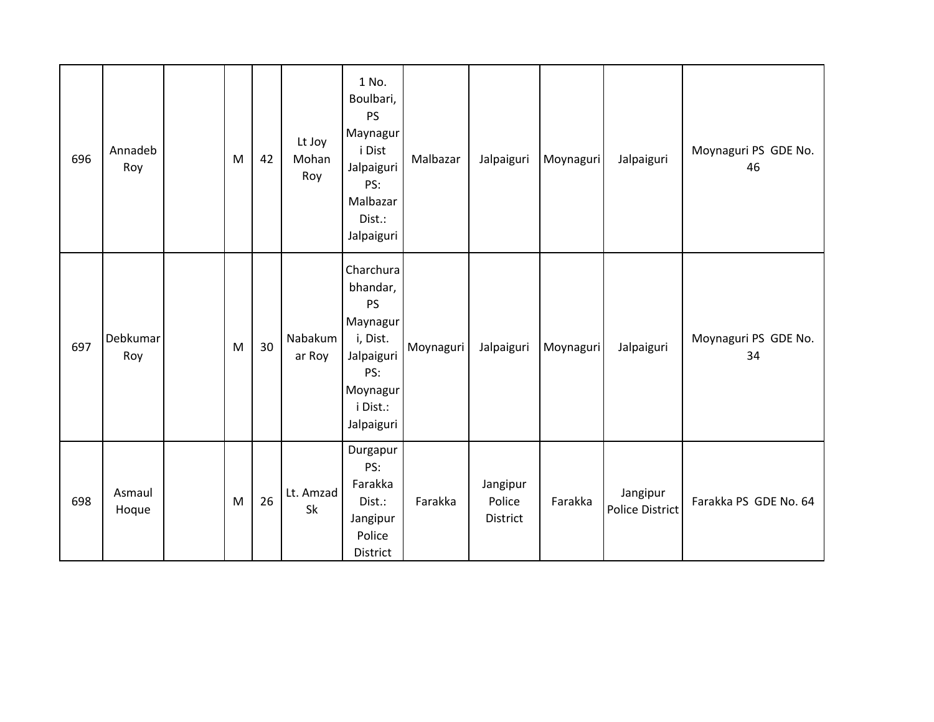| 696 | Annadeb<br>Roy  | M | 42 | Lt Joy<br>Mohan<br>Roy | 1 No.<br>Boulbari,<br><b>PS</b><br>Maynagur<br>i Dist<br>Jalpaiguri<br>PS:<br>Malbazar<br>Dist.:<br>Jalpaiguri        | Malbazar  | Jalpaiguri                     | Moynaguri | Jalpaiguri                  | Moynaguri PS GDE No.<br>46 |
|-----|-----------------|---|----|------------------------|-----------------------------------------------------------------------------------------------------------------------|-----------|--------------------------------|-----------|-----------------------------|----------------------------|
| 697 | Debkumar<br>Roy | M | 30 | Nabakum<br>ar Roy      | Charchura<br>bhandar,<br><b>PS</b><br>Maynagur<br>i, Dist.<br>Jalpaiguri<br>PS:<br>Moynagur<br>i Dist.:<br>Jalpaiguri | Moynaguri | Jalpaiguri                     | Moynaguri | Jalpaiguri                  | Moynaguri PS GDE No.<br>34 |
| 698 | Asmaul<br>Hoque | M | 26 | Lt. Amzad<br>Sk        | Durgapur<br>PS:<br>Farakka<br>Dist.:<br>Jangipur<br>Police<br>District                                                | Farakka   | Jangipur<br>Police<br>District | Farakka   | Jangipur<br>Police District | Farakka PS GDE No. 64      |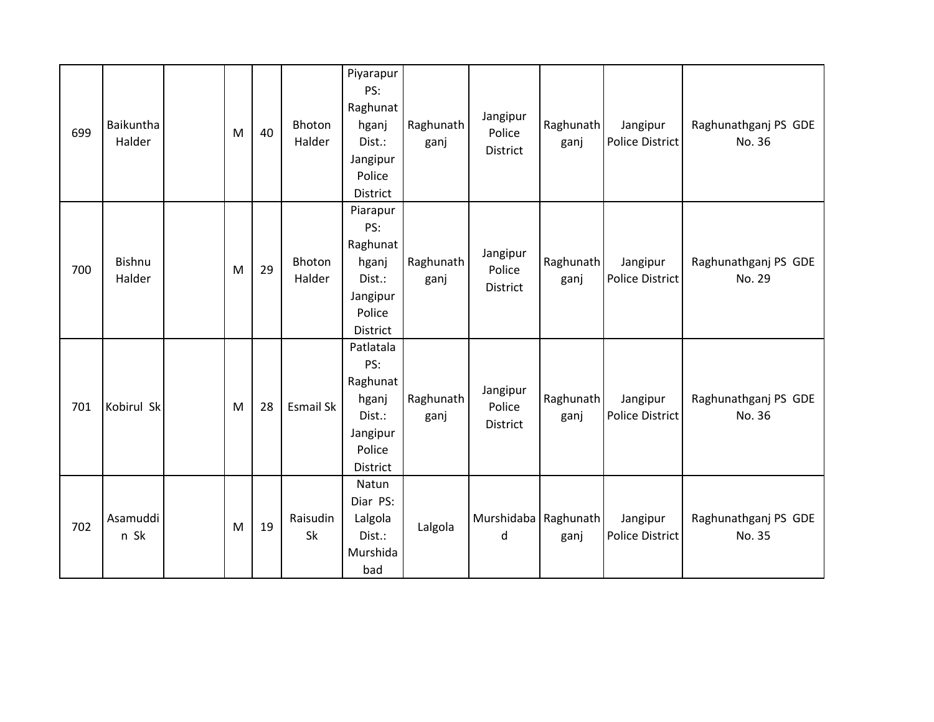| 699 | Baikuntha<br>Halder     | M | 40 | Bhoton<br>Halder | Piyarapur<br>PS:<br>Raghunat<br>hganj<br>Dist.:<br>Jangipur<br>Police<br><b>District</b> | Raghunath<br>ganj | Jangipur<br>Police<br>District        | Raghunath<br>ganj | Jangipur<br>Police District | Raghunathganj PS GDE<br>No. 36 |
|-----|-------------------------|---|----|------------------|------------------------------------------------------------------------------------------|-------------------|---------------------------------------|-------------------|-----------------------------|--------------------------------|
| 700 | <b>Bishnu</b><br>Halder | M | 29 | Bhoton<br>Halder | Piarapur<br>PS:<br>Raghunat<br>hganj<br>Dist.:<br>Jangipur<br>Police<br>District         | Raghunath<br>ganj | Jangipur<br>Police<br>District        | Raghunath<br>ganj | Jangipur<br>Police District | Raghunathganj PS GDE<br>No. 29 |
| 701 | Kobirul Sk              | M | 28 | Esmail Sk        | Patlatala<br>PS:<br>Raghunat<br>hganj<br>Dist.:<br>Jangipur<br>Police<br>District        | Raghunath<br>ganj | Jangipur<br>Police<br><b>District</b> | Raghunath<br>ganj | Jangipur<br>Police District | Raghunathganj PS GDE<br>No. 36 |
| 702 | Asamuddi<br>n Sk        | M | 19 | Raisudin<br>Sk   | Natun<br>Diar PS:<br>Lalgola<br>Dist.:<br>Murshida<br>bad                                | Lalgola           | Murshidaba   Raghunath  <br>d         | ganj              | Jangipur<br>Police District | Raghunathganj PS GDE<br>No. 35 |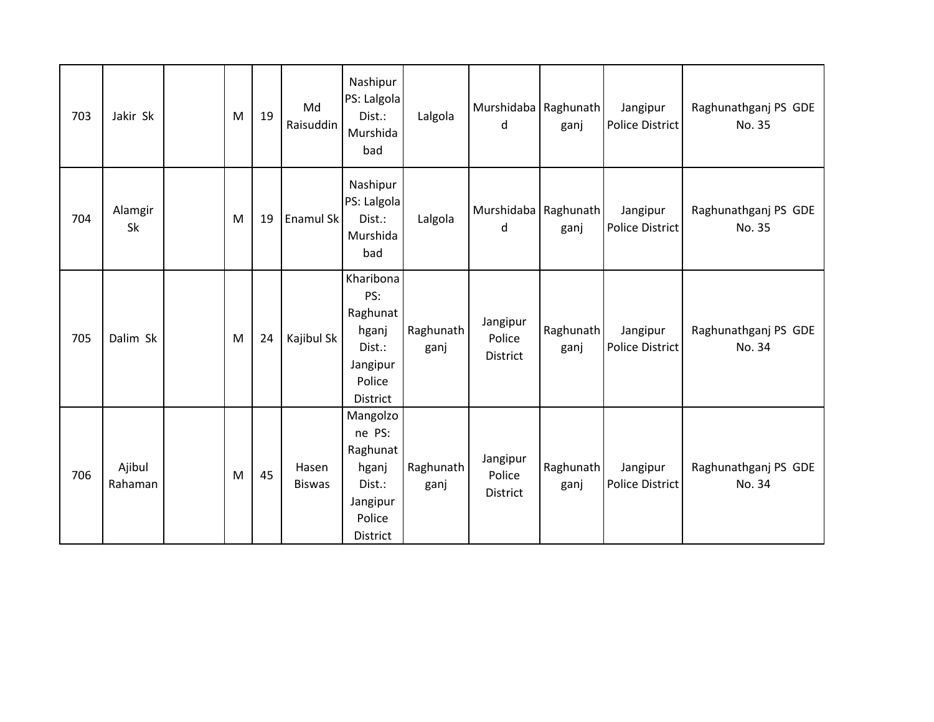| 703 | Jakir Sk          | M | 19 | Md<br>Raisuddin        | Nashipur<br>PS: Lalgola<br>Dist.:<br>Murshida<br>bad                                | Lalgola           | Murshidaba Raghunath<br>d      | ganj              | Jangipur<br>Police District        | Raghunathganj PS GDE<br>No. 35 |
|-----|-------------------|---|----|------------------------|-------------------------------------------------------------------------------------|-------------------|--------------------------------|-------------------|------------------------------------|--------------------------------|
| 704 | Alamgir<br>Sk     | M | 19 | Enamul Sk              | Nashipur<br>PS: Lalgola<br>Dist.:<br>Murshida<br>bad                                | Lalgola           | Murshidaba Raghunath<br>d      | ganj              | Jangipur<br>Police District        | Raghunathganj PS GDE<br>No. 35 |
| 705 | Dalim Sk          | M | 24 | Kajibul Sk             | Kharibona<br>PS:<br>Raghunat<br>hganj<br>Dist.:<br>Jangipur<br>Police<br>District   | Raghunath<br>ganj | Jangipur<br>Police<br>District | Raghunath<br>ganj | Jangipur<br><b>Police District</b> | Raghunathganj PS GDE<br>No. 34 |
| 706 | Ajibul<br>Rahaman | M | 45 | Hasen<br><b>Biswas</b> | Mangolzo<br>ne PS:<br>Raghunat<br>hganj<br>Dist.:<br>Jangipur<br>Police<br>District | Raghunath<br>ganj | Jangipur<br>Police<br>District | Raghunath<br>ganj | Jangipur<br>Police District        | Raghunathganj PS GDE<br>No. 34 |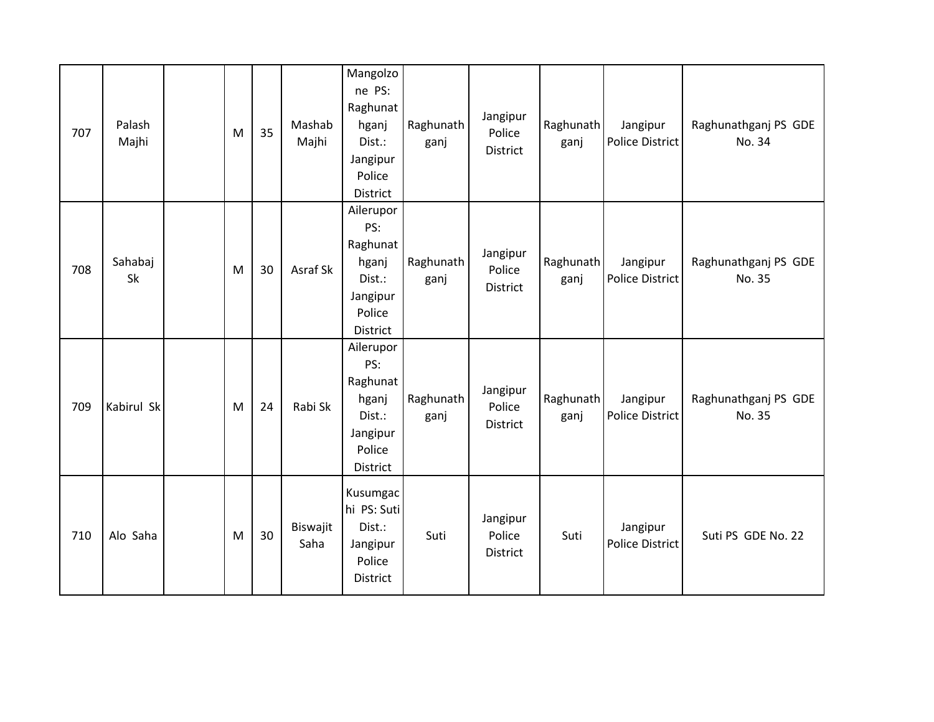| 707 | Palash<br>Majhi | M | 35 | Mashab<br>Majhi  | Mangolzo<br>ne PS:<br>Raghunat<br>hganj<br>Dist.:<br>Jangipur<br>Police<br><b>District</b> | Raghunath<br>ganj | Jangipur<br>Police<br><b>District</b> | Raghunath<br>ganj | Jangipur<br>Police District | Raghunathganj PS GDE<br>No. 34 |
|-----|-----------------|---|----|------------------|--------------------------------------------------------------------------------------------|-------------------|---------------------------------------|-------------------|-----------------------------|--------------------------------|
| 708 | Sahabaj<br>Sk   | M | 30 | Asraf Sk         | Ailerupor<br>PS:<br>Raghunat<br>hganj<br>Dist.:<br>Jangipur<br>Police<br><b>District</b>   | Raghunath<br>ganj | Jangipur<br>Police<br>District        | Raghunath<br>ganj | Jangipur<br>Police District | Raghunathganj PS GDE<br>No. 35 |
| 709 | Kabirul Sk      | M | 24 | Rabi Sk          | Ailerupor<br>PS:<br>Raghunat<br>hganj<br>Dist.:<br>Jangipur<br>Police<br>District          | Raghunath<br>ganj | Jangipur<br>Police<br><b>District</b> | Raghunath<br>ganj | Jangipur<br>Police District | Raghunathganj PS GDE<br>No. 35 |
| 710 | Alo Saha        | M | 30 | Biswajit<br>Saha | Kusumgac<br>hi PS: Suti<br>Dist.:<br>Jangipur<br>Police<br>District                        | Suti              | Jangipur<br>Police<br><b>District</b> | Suti              | Jangipur<br>Police District | Suti PS GDE No. 22             |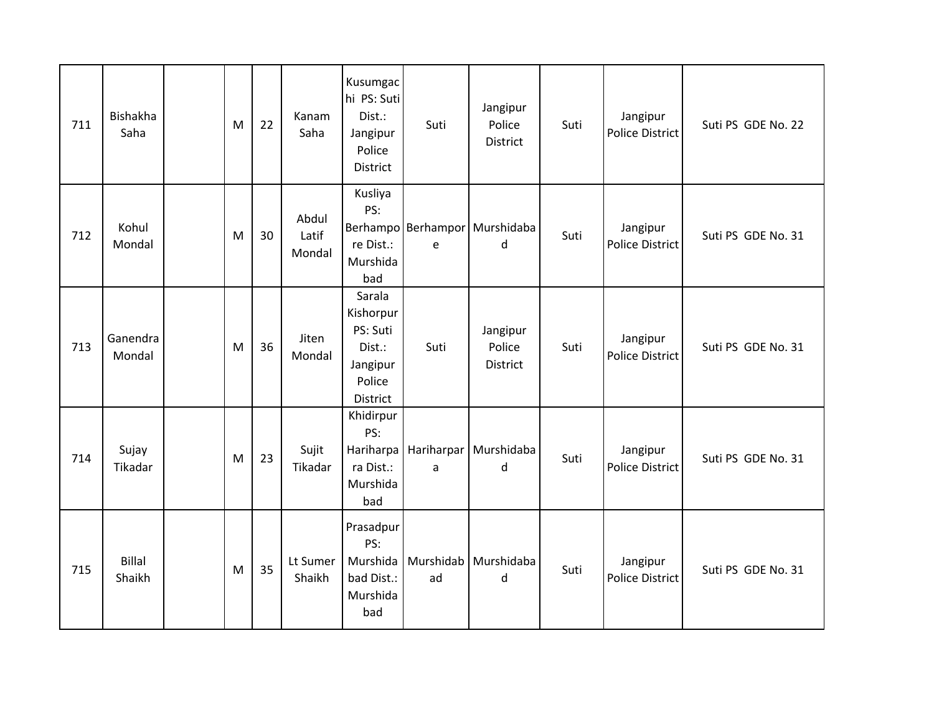| 711 | <b>Bishakha</b><br>Saha | M | 22 | Kanam<br>Saha            | Kusumgac<br>hi PS: Suti<br>Dist.:<br>Jangipur<br>Police<br>District         | Suti | Jangipur<br>Police<br><b>District</b>         | Suti | Jangipur<br><b>Police District</b> | Suti PS GDE No. 22 |
|-----|-------------------------|---|----|--------------------------|-----------------------------------------------------------------------------|------|-----------------------------------------------|------|------------------------------------|--------------------|
| 712 | Kohul<br>Mondal         | M | 30 | Abdul<br>Latif<br>Mondal | Kusliya<br>PS:<br>re Dist.:<br>Murshida<br>bad                              | e    | Berhampo Berhampor Murshidaba<br>$\mathsf{d}$ | Suti | Jangipur<br><b>Police District</b> | Suti PS GDE No. 31 |
| 713 | Ganendra<br>Mondal      | M | 36 | Jiten<br>Mondal          | Sarala<br>Kishorpur<br>PS: Suti<br>Dist.:<br>Jangipur<br>Police<br>District | Suti | Jangipur<br>Police<br><b>District</b>         | Suti | Jangipur<br><b>Police District</b> | Suti PS GDE No. 31 |
| 714 | Sujay<br>Tikadar        | M | 23 | Sujit<br>Tikadar         | Khidirpur<br>PS:<br>ra Dist.:<br>Murshida<br>bad                            | a    | Hariharpa   Hariharpar   Murshidaba<br>d      | Suti | Jangipur<br><b>Police District</b> | Suti PS GDE No. 31 |
| 715 | <b>Billal</b><br>Shaikh | M | 35 | Lt Sumer<br>Shaikh       | Prasadpur<br>PS:<br>Murshida<br>bad Dist.:<br>Murshida<br>bad               | ad   | Murshidab Murshidaba<br>d                     | Suti | Jangipur<br><b>Police District</b> | Suti PS GDE No. 31 |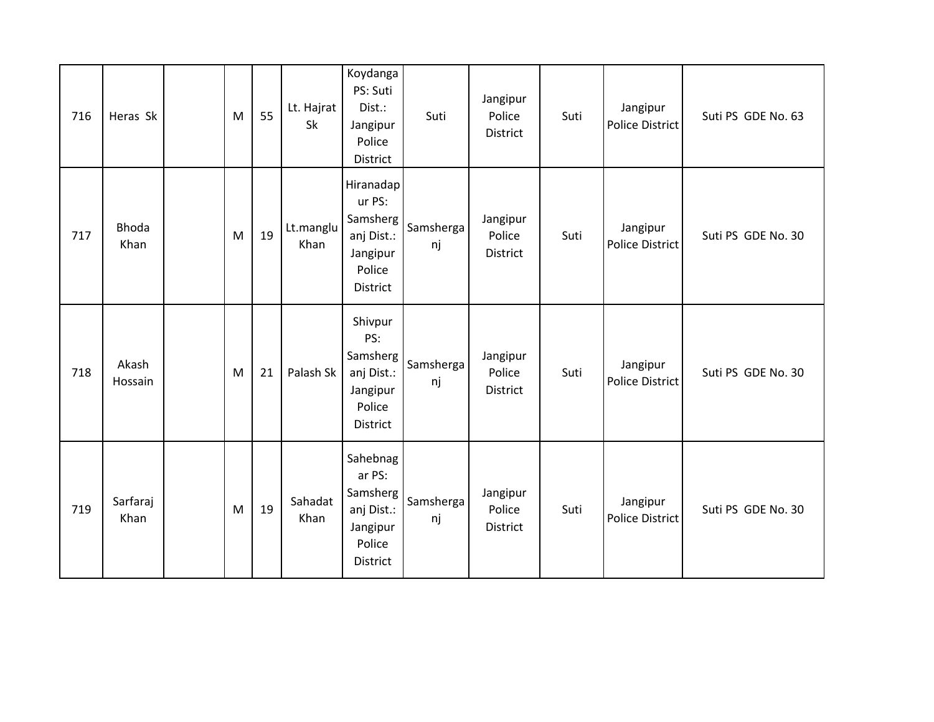| 716 | Heras Sk             | M | 55 | Lt. Hajrat<br>Sk  | Koydanga<br>PS: Suti<br>Dist.:<br>Jangipur<br>Police<br>District                       | Suti            | Jangipur<br>Police<br>District        | Suti | Jangipur<br>Police District        | Suti PS GDE No. 63 |
|-----|----------------------|---|----|-------------------|----------------------------------------------------------------------------------------|-----------------|---------------------------------------|------|------------------------------------|--------------------|
| 717 | <b>Bhoda</b><br>Khan | M | 19 | Lt.manglu<br>Khan | Hiranadap<br>ur PS:<br>Samsherg<br>anj Dist.:<br>Jangipur<br>Police<br><b>District</b> | Samsherga<br>nj | Jangipur<br>Police<br>District        | Suti | Jangipur<br><b>Police District</b> | Suti PS GDE No. 30 |
| 718 | Akash<br>Hossain     | M | 21 | Palash Sk         | Shivpur<br>PS:<br>Samsherg<br>anj Dist.:<br>Jangipur<br>Police<br>District             | Samsherga<br>nj | Jangipur<br>Police<br>District        | Suti | Jangipur<br>Police District        | Suti PS GDE No. 30 |
| 719 | Sarfaraj<br>Khan     | M | 19 | Sahadat<br>Khan   | Sahebnag<br>ar PS:<br>Samsherg<br>anj Dist.:<br>Jangipur<br>Police<br>District         | Samsherga<br>nj | Jangipur<br>Police<br><b>District</b> | Suti | Jangipur<br>Police District        | Suti PS GDE No. 30 |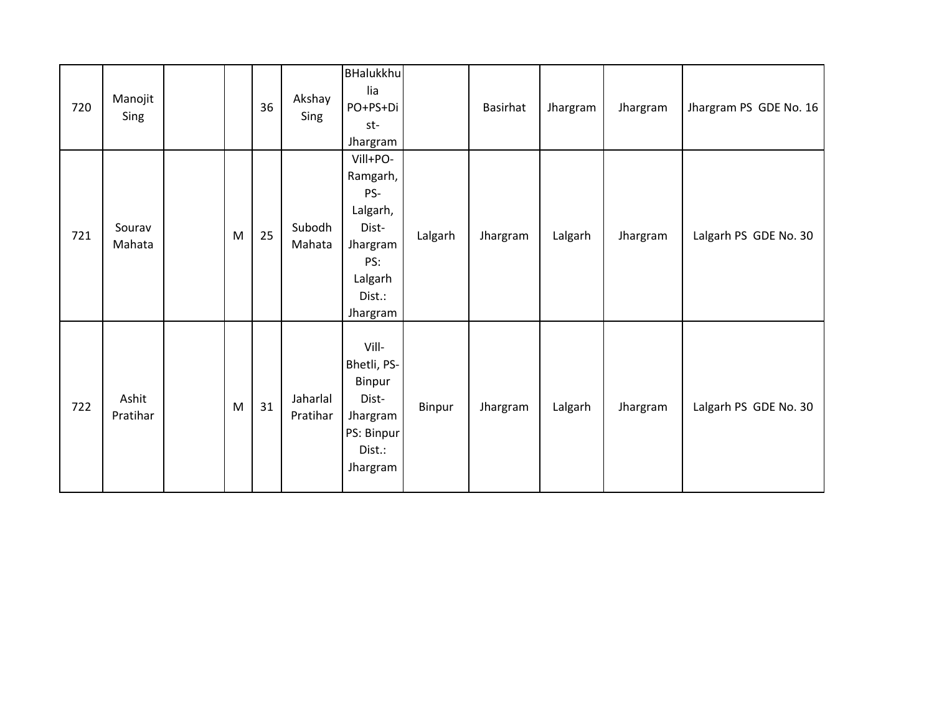| 720 | Manojit<br>Sing   |   | 36 | Akshay<br>Sing       | <b>BHalukkhu</b><br>lia<br>PO+PS+Di<br>st-<br>Jhargram                                               |         | Basirhat | Jhargram | Jhargram | Jhargram PS GDE No. 16 |
|-----|-------------------|---|----|----------------------|------------------------------------------------------------------------------------------------------|---------|----------|----------|----------|------------------------|
| 721 | Sourav<br>Mahata  | M | 25 | Subodh<br>Mahata     | Vill+PO-<br>Ramgarh,<br>PS-<br>Lalgarh,<br>Dist-<br>Jhargram<br>PS:<br>Lalgarh<br>Dist.:<br>Jhargram | Lalgarh | Jhargram | Lalgarh  | Jhargram | Lalgarh PS GDE No. 30  |
| 722 | Ashit<br>Pratihar | M | 31 | Jaharlal<br>Pratihar | Vill-<br>Bhetli, PS-<br>Binpur<br>Dist-<br>Jhargram<br>PS: Binpur<br>Dist.:<br>Jhargram              | Binpur  | Jhargram | Lalgarh  | Jhargram | Lalgarh PS GDE No. 30  |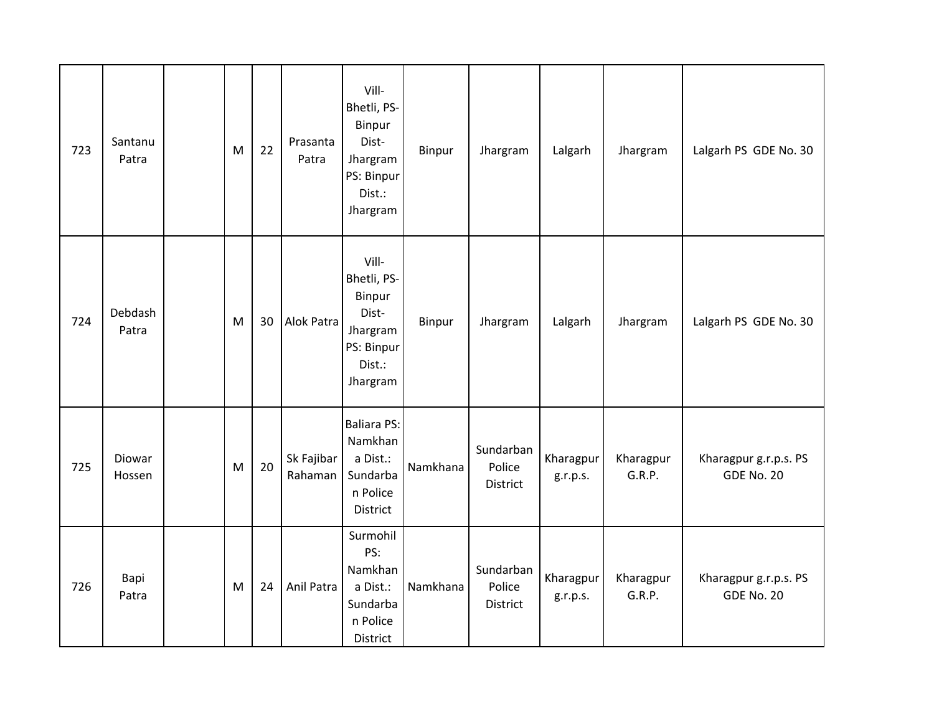| 723 | Santanu<br>Patra | M                                                                                     | 22 | Prasanta<br>Patra     | Vill-<br>Bhetli, PS-<br>Binpur<br>Dist-<br>Jhargram<br>PS: Binpur<br>Dist.:<br>Jhargram | Binpur   | Jhargram                        | Lalgarh               | Jhargram            | Lalgarh PS GDE No. 30                      |
|-----|------------------|---------------------------------------------------------------------------------------|----|-----------------------|-----------------------------------------------------------------------------------------|----------|---------------------------------|-----------------------|---------------------|--------------------------------------------|
| 724 | Debdash<br>Patra | $\mathsf{M}% _{T}=\mathsf{M}_{T}\!\left( a,b\right) ,\ \mathsf{M}_{T}=\mathsf{M}_{T}$ | 30 | Alok Patra            | Vill-<br>Bhetli, PS-<br>Binpur<br>Dist-<br>Jhargram<br>PS: Binpur<br>Dist.:<br>Jhargram | Binpur   | Jhargram                        | Lalgarh               | Jhargram            | Lalgarh PS GDE No. 30                      |
| 725 | Diowar<br>Hossen | M                                                                                     | 20 | Sk Fajibar<br>Rahaman | <b>Baliara PS:</b><br>Namkhan<br>a Dist.:<br>Sundarba<br>n Police<br>District           | Namkhana | Sundarban<br>Police<br>District | Kharagpur<br>g.r.p.s. | Kharagpur<br>G.R.P. | Kharagpur g.r.p.s. PS<br><b>GDE No. 20</b> |
| 726 | Bapi<br>Patra    | M                                                                                     | 24 | Anil Patra            | Surmohil<br>PS:<br>Namkhan<br>a Dist.:<br>Sundarba<br>n Police<br>District              | Namkhana | Sundarban<br>Police<br>District | Kharagpur<br>g.r.p.s. | Kharagpur<br>G.R.P. | Kharagpur g.r.p.s. PS<br><b>GDE No. 20</b> |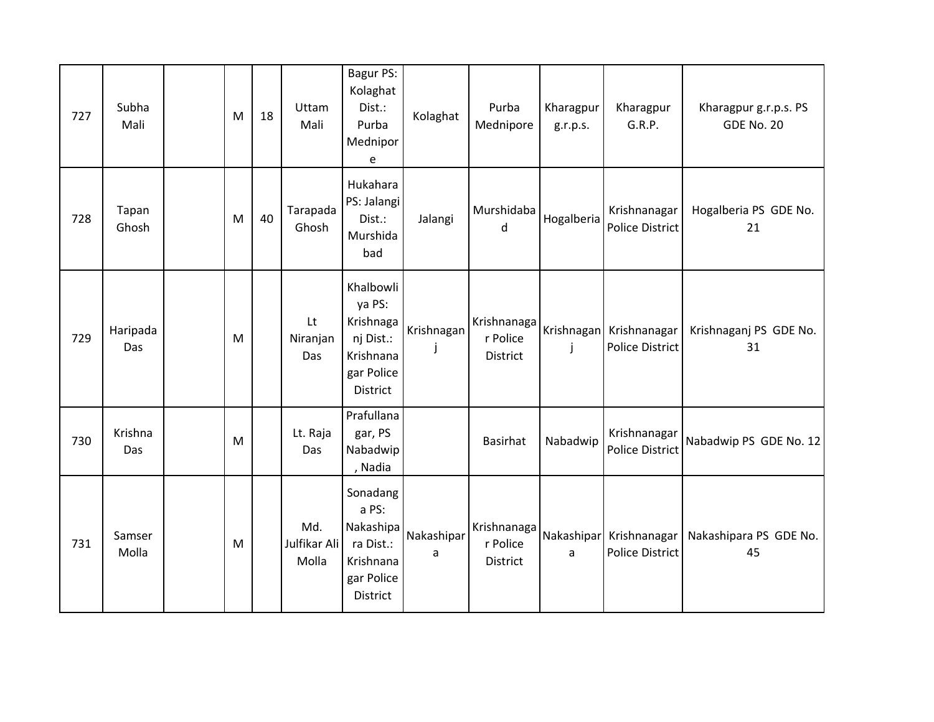| 727 | Subha<br>Mali   | M | 18 | Uttam<br>Mali                | Bagur PS:<br>Kolaghat<br>Dist.:<br>Purba<br>Mednipor<br>e                            | Kolaghat                               | Purba<br>Mednipore                  | Kharagpur<br>g.r.p.s. | Kharagpur<br>G.R.P.                               | Kharagpur g.r.p.s. PS<br><b>GDE No. 20</b> |
|-----|-----------------|---|----|------------------------------|--------------------------------------------------------------------------------------|----------------------------------------|-------------------------------------|-----------------------|---------------------------------------------------|--------------------------------------------|
| 728 | Tapan<br>Ghosh  | M | 40 | Tarapada<br>Ghosh            | Hukahara<br>PS: Jalangi<br>Dist.:<br>Murshida<br>bad                                 | Jalangi                                | Murshidaba<br>d                     | Hogalberia            | Krishnanagar<br><b>Police District</b>            | Hogalberia PS GDE No.<br>21                |
| 729 | Haripada<br>Das | M |    | Lt<br>Niranjan<br>Das        | Khalbowli<br>ya PS:<br>Krishnaga<br>nj Dist.:<br>Krishnana<br>gar Police<br>District | Krishnagan<br>$\overline{\phantom{a}}$ | Krishnanaga<br>r Police<br>District | j                     | Krishnagan Krishnanagar<br>Police District        | Krishnaganj PS GDE No.<br>31               |
| 730 | Krishna<br>Das  | M |    | Lt. Raja<br>Das              | Prafullana<br>gar, PS<br>Nabadwip<br>, Nadia                                         |                                        | <b>Basirhat</b>                     | Nabadwip              | Krishnanagar<br><b>Police District</b>            | Nabadwip PS GDE No. 12                     |
| 731 | Samser<br>Molla | M |    | Md.<br>Julfikar Ali<br>Molla | Sonadang<br>a PS:<br>Nakashipa<br>ra Dist.:<br>Krishnana<br>gar Police<br>District   | Nakashipar<br>a                        | Krishnanaga<br>r Police<br>District | a                     | Nakashipar Krishnanagar<br><b>Police District</b> | Nakashipara PS GDE No.<br>45               |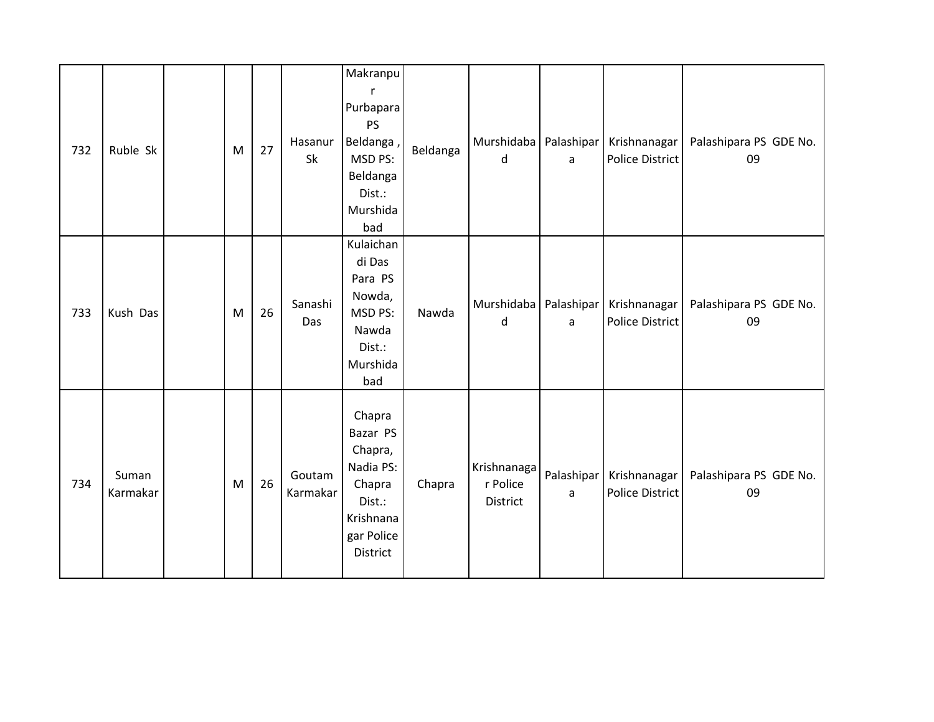| 732 | Ruble Sk          | M         | 27 | Hasanur<br>Sk      | Makranpu<br>r<br>Purbapara<br><b>PS</b><br>Beldanga,<br>MSD PS:<br>Beldanga<br>Dist.:<br>Murshida<br>bad | Beldanga | Murshidaba   Palashipar  <br>$\sf d$ | a               | Krishnanagar<br><b>Police District</b> | Palashipara PS GDE No.<br>09 |
|-----|-------------------|-----------|----|--------------------|----------------------------------------------------------------------------------------------------------|----------|--------------------------------------|-----------------|----------------------------------------|------------------------------|
| 733 | Kush Das          | M         | 26 | Sanashi<br>Das     | Kulaichan<br>di Das<br>Para PS<br>Nowda,<br>MSD PS:<br>Nawda<br>Dist.:<br>Murshida<br>bad                | Nawda    | Murshidaba   Palashipar<br>d         | a               | Krishnanagar<br>Police District        | Palashipara PS GDE No.<br>09 |
| 734 | Suman<br>Karmakar | ${\sf M}$ | 26 | Goutam<br>Karmakar | Chapra<br>Bazar PS<br>Chapra,<br>Nadia PS:<br>Chapra<br>Dist.:<br>Krishnana<br>gar Police<br>District    | Chapra   | Krishnanaga<br>r Police<br>District  | Palashipar<br>a | Krishnanagar<br><b>Police District</b> | Palashipara PS GDE No.<br>09 |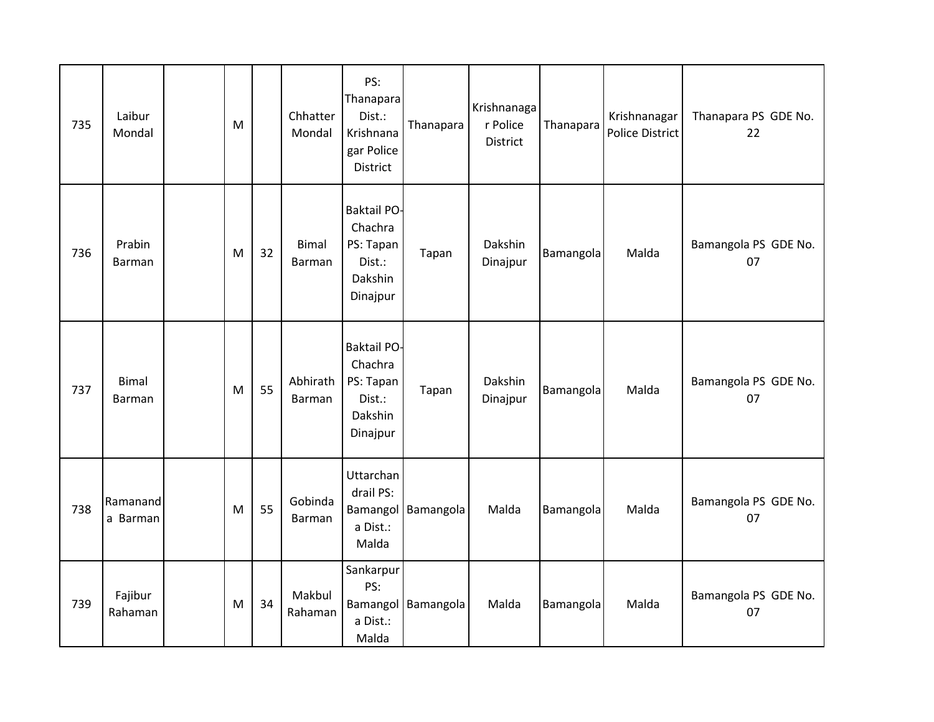| 735 | Laibur<br>Mondal        | M |    | Chhatter<br>Mondal     | PS:<br>Thanapara<br>Dist.:<br>Krishnana<br>gar Police<br><b>District</b>    | Thanapara | Krishnanaga<br>r Police<br>District | Thanapara | Krishnanagar<br>Police District | Thanapara PS GDE No.<br>22 |
|-----|-------------------------|---|----|------------------------|-----------------------------------------------------------------------------|-----------|-------------------------------------|-----------|---------------------------------|----------------------------|
| 736 | Prabin<br><b>Barman</b> | M | 32 | <b>Bimal</b><br>Barman | <b>Baktail PO-</b><br>Chachra<br>PS: Tapan<br>Dist.:<br>Dakshin<br>Dinajpur | Tapan     | Dakshin<br>Dinajpur                 | Bamangola | Malda                           | Bamangola PS GDE No.<br>07 |
| 737 | <b>Bimal</b><br>Barman  | M | 55 | Abhirath<br>Barman     | <b>Baktail PO-</b><br>Chachra<br>PS: Tapan<br>Dist.:<br>Dakshin<br>Dinajpur | Tapan     | Dakshin<br>Dinajpur                 | Bamangola | Malda                           | Bamangola PS GDE No.<br>07 |
| 738 | Ramanand<br>a Barman    | M | 55 | Gobinda<br>Barman      | Uttarchan<br>drail PS:<br>Bamangol<br>a Dist.:<br>Malda                     | Bamangola | Malda                               | Bamangola | Malda                           | Bamangola PS GDE No.<br>07 |
| 739 | Fajibur<br>Rahaman      | M | 34 | Makbul<br>Rahaman      | Sankarpur<br>PS:<br>Bamangol<br>a Dist.:<br>Malda                           | Bamangola | Malda                               | Bamangola | Malda                           | Bamangola PS GDE No.<br>07 |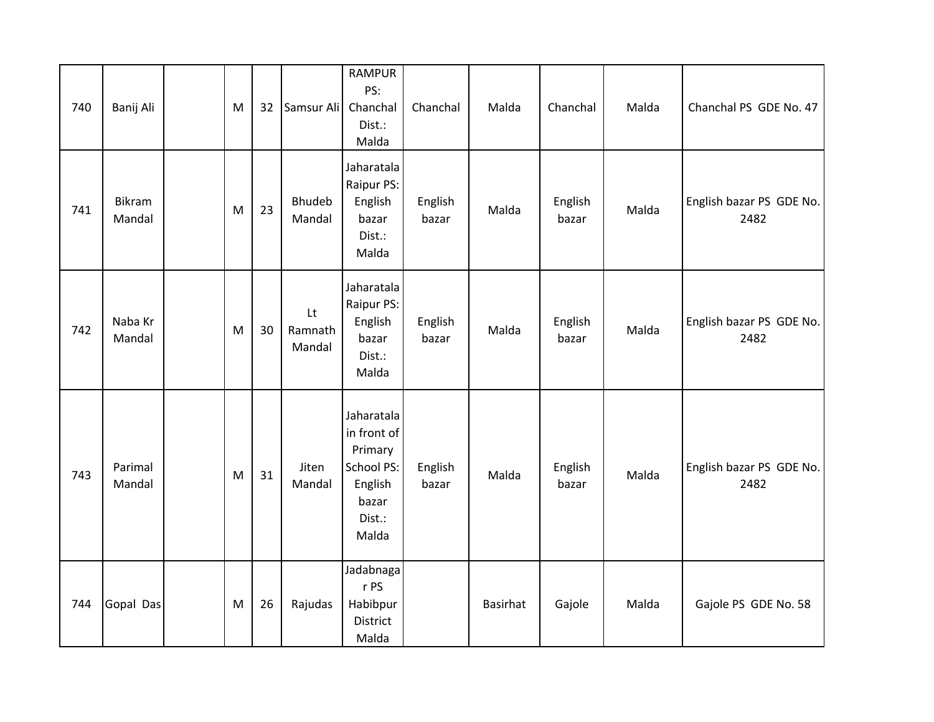| 740 | Banij Ali         | M | 32 | Samsur Ali              | <b>RAMPUR</b><br>PS:<br>Chanchal<br>Dist.:<br>Malda                                       | Chanchal         | Malda    | Chanchal         | Malda | Chanchal PS GDE No. 47           |
|-----|-------------------|---|----|-------------------------|-------------------------------------------------------------------------------------------|------------------|----------|------------------|-------|----------------------------------|
| 741 | Bikram<br>Mandal  | M | 23 | Bhudeb<br>Mandal        | Jaharatala<br>Raipur PS:<br>English<br>bazar<br>Dist.:<br>Malda                           | English<br>bazar | Malda    | English<br>bazar | Malda | English bazar PS GDE No.<br>2482 |
| 742 | Naba Kr<br>Mandal | M | 30 | Lt<br>Ramnath<br>Mandal | Jaharatala<br>Raipur PS:<br>English<br>bazar<br>Dist.:<br>Malda                           | English<br>bazar | Malda    | English<br>bazar | Malda | English bazar PS GDE No.<br>2482 |
| 743 | Parimal<br>Mandal | M | 31 | Jiten<br>Mandal         | Jaharatala<br>in front of<br>Primary<br>School PS:<br>English<br>bazar<br>Dist.:<br>Malda | English<br>bazar | Malda    | English<br>bazar | Malda | English bazar PS GDE No.<br>2482 |
| 744 | Gopal Das         | M | 26 | Rajudas                 | Jadabnaga<br>r PS<br>Habibpur<br>District<br>Malda                                        |                  | Basirhat | Gajole           | Malda | Gajole PS GDE No. 58             |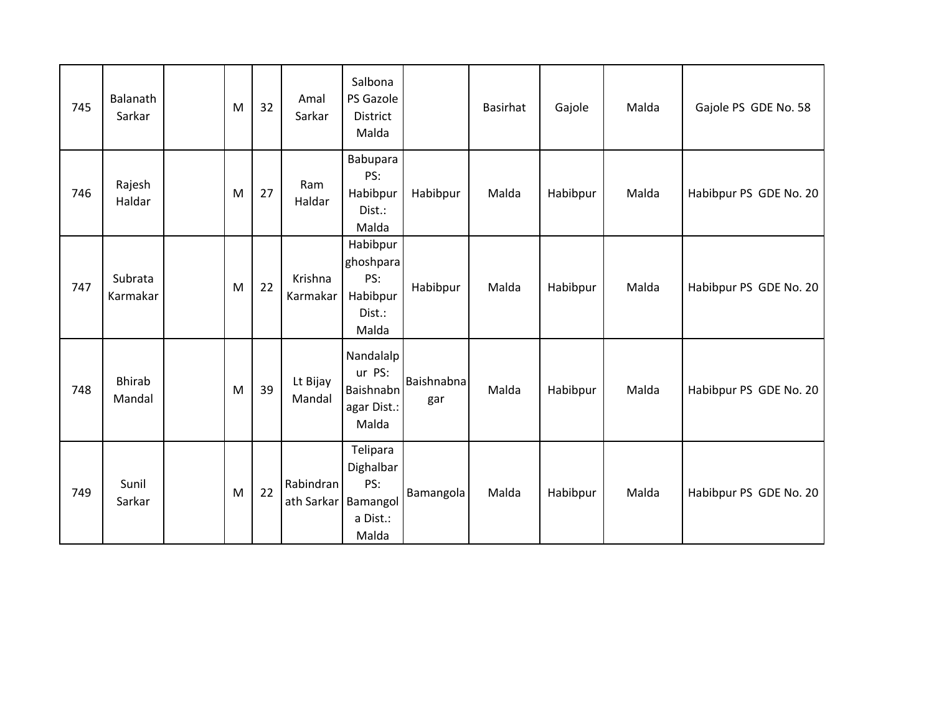| 745 | Balanath<br>Sarkar      | M | 32 | Amal<br>Sarkar                   | Salbona<br>PS Gazole<br><b>District</b><br>Malda            |                   | <b>Basirhat</b> | Gajole   | Malda | Gajole PS GDE No. 58   |
|-----|-------------------------|---|----|----------------------------------|-------------------------------------------------------------|-------------------|-----------------|----------|-------|------------------------|
| 746 | Rajesh<br>Haldar        | M | 27 | Ram<br>Haldar                    | Babupara<br>PS:<br>Habibpur<br>Dist.:<br>Malda              | Habibpur          | Malda           | Habibpur | Malda | Habibpur PS GDE No. 20 |
| 747 | Subrata<br>Karmakar     | M | 22 | Krishna<br>Karmakar              | Habibpur<br>ghoshpara<br>PS:<br>Habibpur<br>Dist.:<br>Malda | Habibpur          | Malda           | Habibpur | Malda | Habibpur PS GDE No. 20 |
| 748 | <b>Bhirab</b><br>Mandal | M | 39 | Lt Bijay<br>Mandal               | Nandalalp<br>ur PS:<br>Baishnabn<br>agar Dist.:<br>Malda    | Baishnabna<br>gar | Malda           | Habibpur | Malda | Habibpur PS GDE No. 20 |
| 749 | Sunil<br>Sarkar         | M | 22 | Rabindran<br>ath Sarkar Bamangol | Telipara<br>Dighalbar<br>PS:<br>a Dist.:<br>Malda           | Bamangola         | Malda           | Habibpur | Malda | Habibpur PS GDE No. 20 |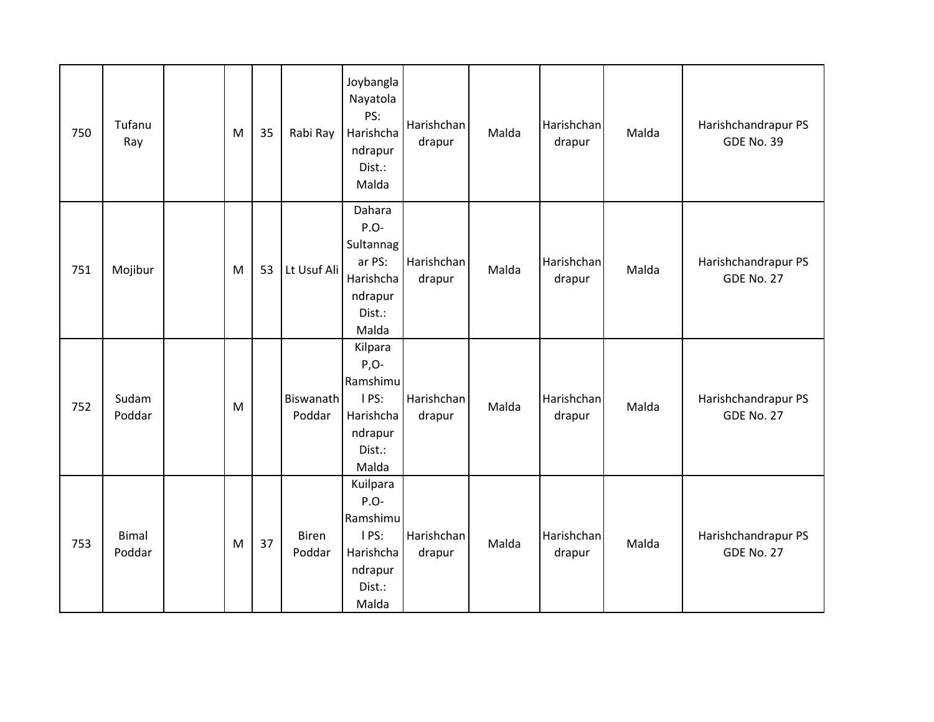| 750 | Tufanu<br>Ray   | M | 35 | Rabi Ray                   | Joybangla<br>Nayatola<br>PS:<br>Harishcha<br>ndrapur<br>Dist.:<br>Malda            | Harishchan<br>drapur | Malda | Harishchan<br>drapur | Malda | Harishchandrapur PS<br><b>GDE No. 39</b> |
|-----|-----------------|---|----|----------------------------|------------------------------------------------------------------------------------|----------------------|-------|----------------------|-------|------------------------------------------|
| 751 | Mojibur         | M | 53 | Lt Usuf Ali                | Dahara<br>P.O-<br>Sultannag<br>ar PS:<br>Harishcha<br>ndrapur<br>Dist.:<br>Malda   | Harishchan<br>drapur | Malda | Harishchan<br>drapur | Malda | Harishchandrapur PS<br><b>GDE No. 27</b> |
| 752 | Sudam<br>Poddar | M |    | <b>Biswanath</b><br>Poddar | Kilpara<br>$P, O-$<br>Ramshimu<br>I PS:<br>Harishcha<br>ndrapur<br>Dist.:<br>Malda | Harishchan<br>drapur | Malda | Harishchan<br>drapur | Malda | Harishchandrapur PS<br><b>GDE No. 27</b> |
| 753 | Bimal<br>Poddar | M | 37 | <b>Biren</b><br>Poddar     | Kuilpara<br>P.O-<br>Ramshimu<br>I PS:<br>Harishcha<br>ndrapur<br>Dist.:<br>Malda   | Harishchan<br>drapur | Malda | Harishchan<br>drapur | Malda | Harishchandrapur PS<br><b>GDE No. 27</b> |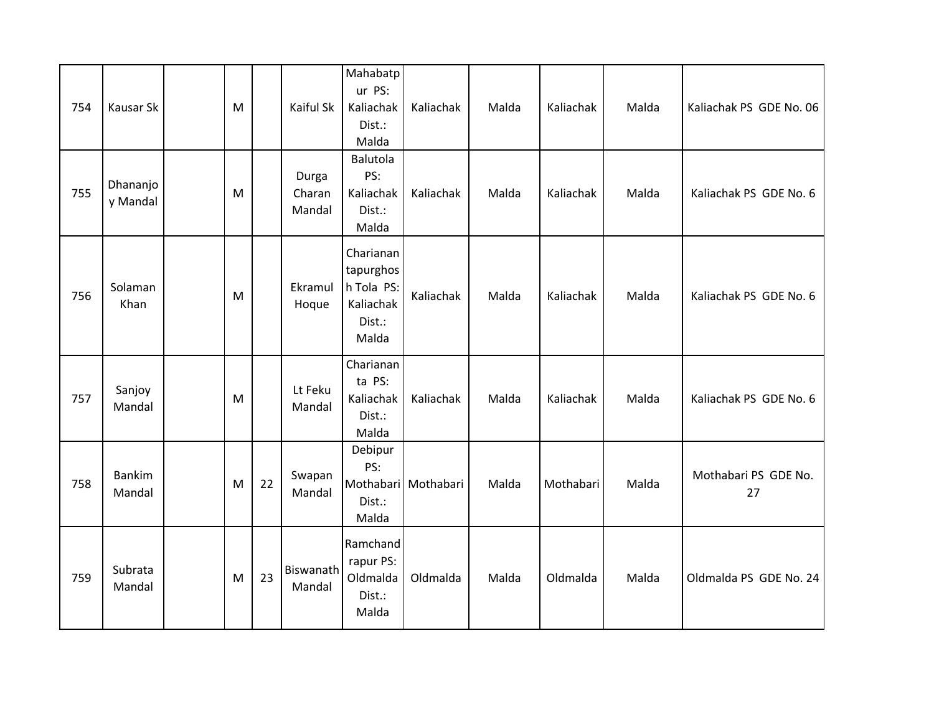| 754 | Kausar Sk               | M |    | Kaiful Sk                 | Mahabatp<br>ur PS:<br>Kaliachak<br>Dist.:<br>Malda                   | Kaliachak           | Malda | Kaliachak | Malda | Kaliachak PS GDE No. 06    |
|-----|-------------------------|---|----|---------------------------|----------------------------------------------------------------------|---------------------|-------|-----------|-------|----------------------------|
| 755 | Dhananjo<br>y Mandal    | M |    | Durga<br>Charan<br>Mandal | Balutola<br>PS:<br>Kaliachak<br>Dist.:<br>Malda                      | Kaliachak           | Malda | Kaliachak | Malda | Kaliachak PS GDE No. 6     |
| 756 | Solaman<br>Khan         | M |    | Ekramul<br>Hoque          | Charianan<br>tapurghos<br>h Tola PS:<br>Kaliachak<br>Dist.:<br>Malda | Kaliachak           | Malda | Kaliachak | Malda | Kaliachak PS GDE No. 6     |
| 757 | Sanjoy<br>Mandal        | M |    | Lt Feku<br>Mandal         | Charianan<br>ta PS:<br>Kaliachak<br>Dist.:<br>Malda                  | Kaliachak           | Malda | Kaliachak | Malda | Kaliachak PS GDE No. 6     |
| 758 | <b>Bankim</b><br>Mandal | M | 22 | Swapan<br>Mandal          | Debipur<br>PS:<br>Dist.:<br>Malda                                    | Mothabari Mothabari | Malda | Mothabari | Malda | Mothabari PS GDE No.<br>27 |
| 759 | Subrata<br>Mandal       | M | 23 | Biswanath<br>Mandal       | Ramchand<br>rapur PS:<br>Oldmalda<br>Dist.:<br>Malda                 | Oldmalda            | Malda | Oldmalda  | Malda | Oldmalda PS GDE No. 24     |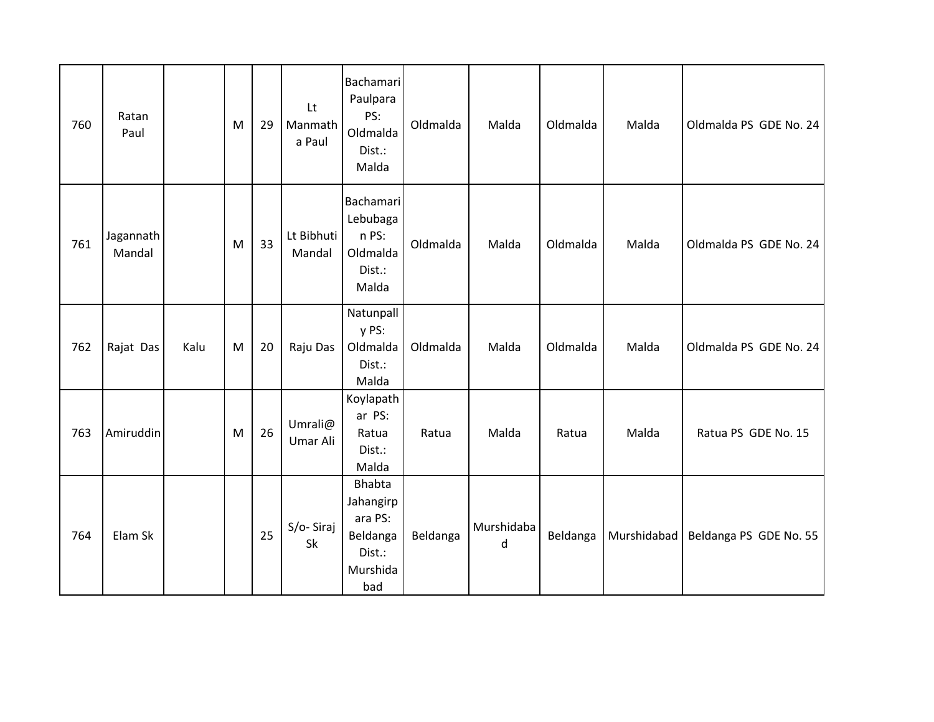| 760 | Ratan<br>Paul       |      | M | 29 | Lt<br>Manmath<br>a Paul | <b>Bachamari</b><br>Paulpara<br>PS:<br>Oldmalda<br>Dist.:<br>Malda             | Oldmalda | Malda                      | Oldmalda | Malda       | Oldmalda PS GDE No. 24 |
|-----|---------------------|------|---|----|-------------------------|--------------------------------------------------------------------------------|----------|----------------------------|----------|-------------|------------------------|
| 761 | Jagannath<br>Mandal |      | M | 33 | Lt Bibhuti<br>Mandal    | <b>Bachamari</b><br>Lebubaga<br>n PS:<br>Oldmalda<br>Dist.:<br>Malda           | Oldmalda | Malda                      | Oldmalda | Malda       | Oldmalda PS GDE No. 24 |
| 762 | Rajat Das           | Kalu | M | 20 | Raju Das                | Natunpall<br>y PS:<br>Oldmalda<br>Dist.:<br>Malda                              | Oldmalda | Malda                      | Oldmalda | Malda       | Oldmalda PS GDE No. 24 |
| 763 | Amiruddin           |      | M | 26 | Umrali@<br>Umar Ali     | Koylapath<br>ar PS:<br>Ratua<br>Dist.:<br>Malda                                | Ratua    | Malda                      | Ratua    | Malda       | Ratua PS GDE No. 15    |
| 764 | Elam Sk             |      |   | 25 | S/o-Siraj<br>Sk         | <b>Bhabta</b><br>Jahangirp<br>ara PS:<br>Beldanga<br>Dist.:<br>Murshida<br>bad | Beldanga | Murshidaba<br>$\mathsf{d}$ | Beldanga | Murshidabad | Beldanga PS GDE No. 55 |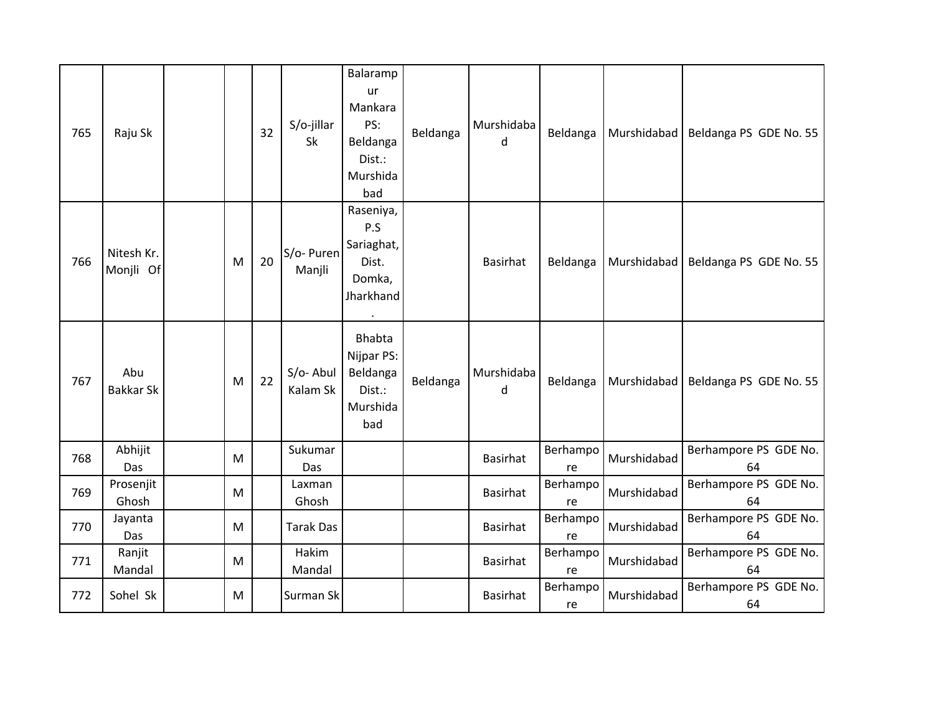| 765 | Raju Sk                 |   | 32 | S/o-jillar<br>Sk     | Balaramp<br>ur<br>Mankara<br>PS:<br>Beldanga<br>Dist.:<br>Murshida<br>bad   | Beldanga | Murshidaba<br>d | Beldanga       | Murshidabad | Beldanga PS GDE No. 55      |
|-----|-------------------------|---|----|----------------------|-----------------------------------------------------------------------------|----------|-----------------|----------------|-------------|-----------------------------|
| 766 | Nitesh Kr.<br>Monjli Of | M | 20 | S/o- Puren<br>Manjli | Raseniya,<br>P.S<br>Sariaghat,<br>Dist.<br>Domka,<br>Jharkhand<br>$\bullet$ |          | <b>Basirhat</b> | Beldanga       | Murshidabad | Beldanga PS GDE No. 55      |
| 767 | Abu<br><b>Bakkar Sk</b> | M | 22 | S/o-Abul<br>Kalam Sk | Bhabta<br>Nijpar PS:<br>Beldanga<br>Dist.:<br>Murshida<br>bad               | Beldanga | Murshidaba<br>d | Beldanga       | Murshidabad | Beldanga PS GDE No. 55      |
| 768 | Abhijit<br>Das          | M |    | Sukumar<br>Das       |                                                                             |          | <b>Basirhat</b> | Berhampo<br>re | Murshidabad | Berhampore PS GDE No.<br>64 |
| 769 | Prosenjit<br>Ghosh      | M |    | Laxman<br>Ghosh      |                                                                             |          | <b>Basirhat</b> | Berhampo<br>re | Murshidabad | Berhampore PS GDE No.<br>64 |
| 770 | Jayanta<br>Das          | M |    | <b>Tarak Das</b>     |                                                                             |          | <b>Basirhat</b> | Berhampo<br>re | Murshidabad | Berhampore PS GDE No.<br>64 |
| 771 | Ranjit<br>Mandal        | M |    | Hakim<br>Mandal      |                                                                             |          | <b>Basirhat</b> | Berhampo<br>re | Murshidabad | Berhampore PS GDE No.<br>64 |
| 772 | Sohel Sk                | M |    | Surman Sk            |                                                                             |          | <b>Basirhat</b> | Berhampo<br>re | Murshidabad | Berhampore PS GDE No.<br>64 |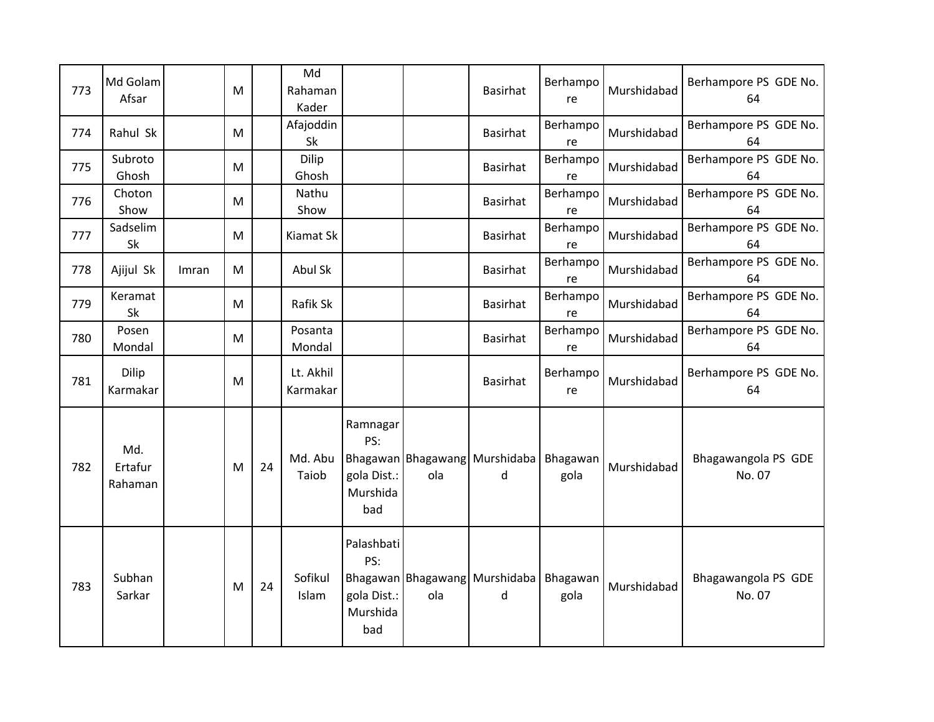| 773 | Md Golam<br>Afsar         |       | M |    | Md<br>Rahaman<br>Kader |                                                     |     | <b>Basirhat</b>                          | Berhampo<br>re   | Murshidabad | Berhampore PS GDE No.<br>64   |
|-----|---------------------------|-------|---|----|------------------------|-----------------------------------------------------|-----|------------------------------------------|------------------|-------------|-------------------------------|
| 774 | Rahul Sk                  |       | M |    | Afajoddin<br>Sk        |                                                     |     | Basirhat                                 | Berhampo<br>re   | Murshidabad | Berhampore PS GDE No.<br>64   |
| 775 | Subroto<br>Ghosh          |       | M |    | Dilip<br>Ghosh         |                                                     |     | <b>Basirhat</b>                          | Berhampo<br>re   | Murshidabad | Berhampore PS GDE No.<br>64   |
| 776 | Choton<br>Show            |       | M |    | Nathu<br>Show          |                                                     |     | <b>Basirhat</b>                          | Berhampo<br>re   | Murshidabad | Berhampore PS GDE No.<br>64   |
| 777 | Sadselim<br>Sk            |       | M |    | Kiamat Sk              |                                                     |     | <b>Basirhat</b>                          | Berhampo<br>re   | Murshidabad | Berhampore PS GDE No.<br>64   |
| 778 | Ajijul Sk                 | Imran | M |    | Abul Sk                |                                                     |     | <b>Basirhat</b>                          | Berhampo<br>re   | Murshidabad | Berhampore PS GDE No.<br>64   |
| 779 | Keramat<br>Sk             |       | M |    | Rafik Sk               |                                                     |     | <b>Basirhat</b>                          | Berhampo<br>re   | Murshidabad | Berhampore PS GDE No.<br>64   |
| 780 | Posen<br>Mondal           |       | M |    | Posanta<br>Mondal      |                                                     |     | <b>Basirhat</b>                          | Berhampo<br>re   | Murshidabad | Berhampore PS GDE No.<br>64   |
| 781 | Dilip<br>Karmakar         |       | M |    | Lt. Akhil<br>Karmakar  |                                                     |     | <b>Basirhat</b>                          | Berhampo<br>re   | Murshidabad | Berhampore PS GDE No.<br>64   |
| 782 | Md.<br>Ertafur<br>Rahaman |       | M | 24 | Md. Abu<br>Taiob       | Ramnagar<br>PS:<br>gola Dist.:<br>Murshida<br>bad   | ola | Bhagawan Bhagawang Murshidaba<br>d       | Bhagawan<br>gola | Murshidabad | Bhagawangola PS GDE<br>No. 07 |
| 783 | Subhan<br>Sarkar          |       | M | 24 | Sofikul<br>Islam       | Palashbati<br>PS:<br>gola Dist.:<br>Murshida<br>bad | ola | Bhagawan   Bhagawang   Murshidaba  <br>d | Bhagawan<br>gola | Murshidabad | Bhagawangola PS GDE<br>No. 07 |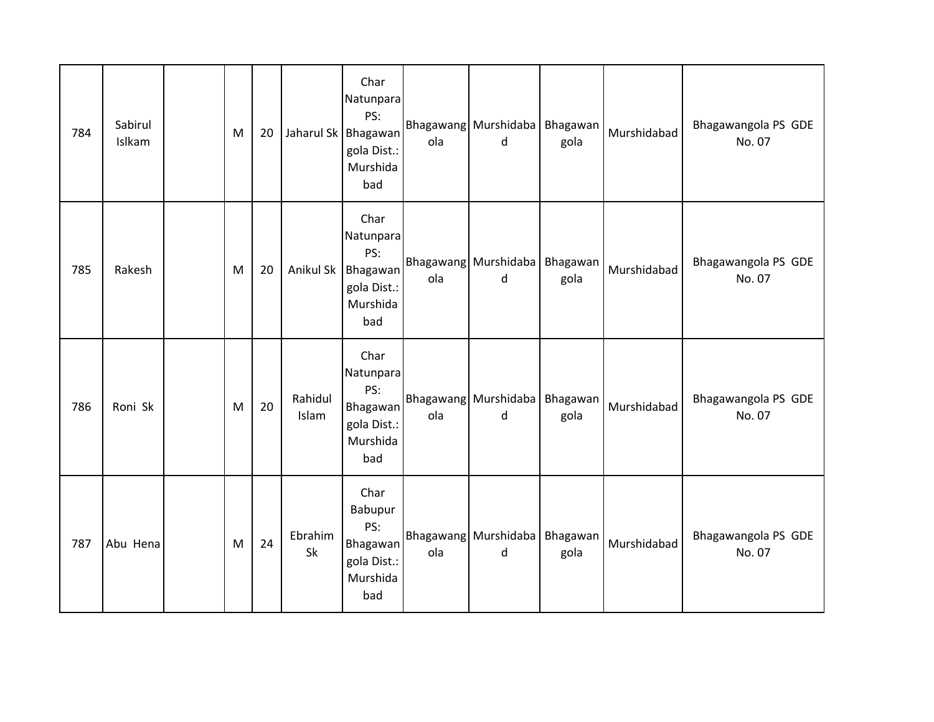| 784 | Sabirul<br>Islkam | M | 20 |                  | Char<br>Natunpara<br>PS:<br>Jaharul Sk   Bhagawan<br>gola Dist.:<br>Murshida<br>bad | ola | Bhagawang Murshidaba<br>d          | Bhagawan<br>gola | Murshidabad | Bhagawangola PS GDE<br>No. 07 |
|-----|-------------------|---|----|------------------|-------------------------------------------------------------------------------------|-----|------------------------------------|------------------|-------------|-------------------------------|
| 785 | Rakesh            | M | 20 | Anikul Sk        | Char<br>Natunpara<br>PS:<br>Bhagawan<br>gola Dist.:<br>Murshida<br>bad              | ola | Bhagawang Murshidaba<br>d          | Bhagawan<br>gola | Murshidabad | Bhagawangola PS GDE<br>No. 07 |
| 786 | Roni Sk           | M | 20 | Rahidul<br>Islam | Char<br>Natunpara<br>PS:<br>Bhagawan<br>gola Dist.:<br>Murshida<br>bad              | ola | Bhagawang Murshidaba Bhagawan<br>d | gola             | Murshidabad | Bhagawangola PS GDE<br>No. 07 |
| 787 | Abu Hena          | M | 24 | Ebrahim<br>Sk    | Char<br>Babupur<br>PS:<br>Bhagawan<br>gola Dist.:<br>Murshida<br>bad                | ola | Bhagawang Murshidaba<br>d          | Bhagawan<br>gola | Murshidabad | Bhagawangola PS GDE<br>No. 07 |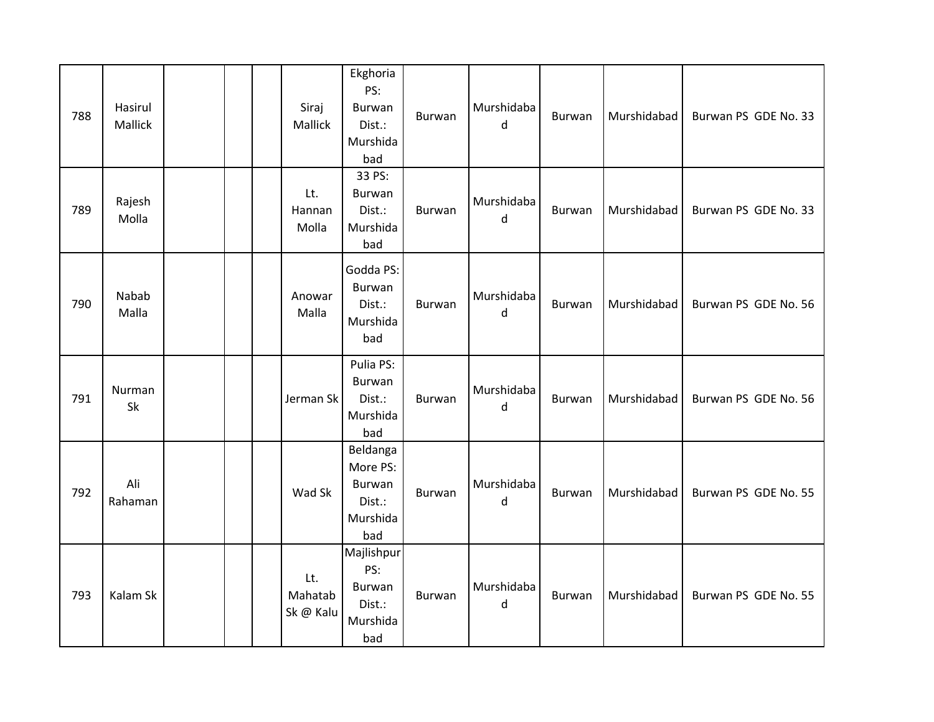| 788 | Hasirul<br>Mallick | Siraj<br>Mallick            | Ekghoria<br>PS:<br>Burwan<br>Dist.:<br>Murshida<br>bad             | Burwan        | Murshidaba<br>d | Burwan        | Murshidabad | Burwan PS GDE No. 33 |
|-----|--------------------|-----------------------------|--------------------------------------------------------------------|---------------|-----------------|---------------|-------------|----------------------|
| 789 | Rajesh<br>Molla    | Lt.<br>Hannan<br>Molla      | 33 PS:<br>Burwan<br>Dist.:<br>Murshida<br>bad                      | Burwan        | Murshidaba<br>d | Burwan        | Murshidabad | Burwan PS GDE No. 33 |
| 790 | Nabab<br>Malla     | Anowar<br>Malla             | Godda PS:<br>Burwan<br>Dist.:<br>Murshida<br>bad                   | <b>Burwan</b> | Murshidaba<br>d | <b>Burwan</b> | Murshidabad | Burwan PS GDE No. 56 |
| 791 | Nurman<br>Sk       | Jerman Sk                   | Pulia PS:<br>Burwan<br>Dist.:<br>Murshida<br>bad                   | <b>Burwan</b> | Murshidaba<br>d | Burwan        | Murshidabad | Burwan PS GDE No. 56 |
| 792 | Ali<br>Rahaman     | Wad Sk                      | Beldanga<br>More PS:<br><b>Burwan</b><br>Dist.:<br>Murshida<br>bad | <b>Burwan</b> | Murshidaba<br>d | Burwan        | Murshidabad | Burwan PS GDE No. 55 |
| 793 | Kalam Sk           | Lt.<br>Mahatab<br>Sk @ Kalu | Majlishpur<br>PS:<br><b>Burwan</b><br>Dist.:<br>Murshida<br>bad    | <b>Burwan</b> | Murshidaba<br>d | <b>Burwan</b> | Murshidabad | Burwan PS GDE No. 55 |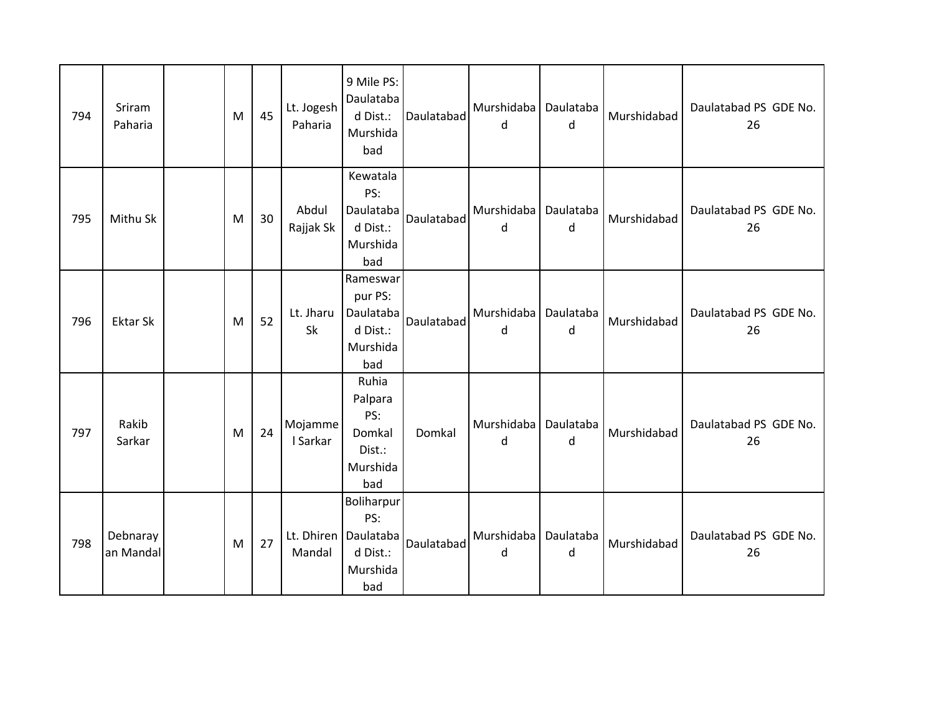| 794 | Sriram<br>Paharia     | M | 45 | Lt. Jogesh<br>Paharia | 9 Mile PS:<br>Daulataba<br>d Dist.:<br>Murshida<br>bad                     | Daulatabad | Murshidaba<br>d | Daulataba<br>d | Murshidabad | Daulatabad PS GDE No.<br>26 |
|-----|-----------------------|---|----|-----------------------|----------------------------------------------------------------------------|------------|-----------------|----------------|-------------|-----------------------------|
| 795 | Mithu Sk              | M | 30 | Abdul<br>Rajjak Sk    | Kewatala<br>PS:<br>Daulataba<br>d Dist.:<br>Murshida<br>bad                | Daulatabad | Murshidaba<br>d | Daulataba<br>d | Murshidabad | Daulatabad PS GDE No.<br>26 |
| 796 | <b>Ektar Sk</b>       | M | 52 | Lt. Jharu<br>Sk       | Rameswar<br>pur PS:<br>Daulataba<br>d Dist.:<br>Murshida<br>bad            | Daulatabad | Murshidaba<br>d | Daulataba<br>d | Murshidabad | Daulatabad PS GDE No.<br>26 |
| 797 | Rakib<br>Sarkar       | M | 24 | Mojamme<br>I Sarkar   | Ruhia<br>Palpara<br>PS:<br>Domkal<br>Dist.:<br>Murshida<br>bad             | Domkal     | Murshidaba<br>d | Daulataba<br>d | Murshidabad | Daulatabad PS GDE No.<br>26 |
| 798 | Debnaray<br>an Mandal | M | 27 | Mandal                | Boliharpur<br>PS:<br>Lt. Dhiren   Daulataba<br>d Dist.:<br>Murshida<br>bad | Daulatabad | Murshidaba<br>d | Daulataba<br>d | Murshidabad | Daulatabad PS GDE No.<br>26 |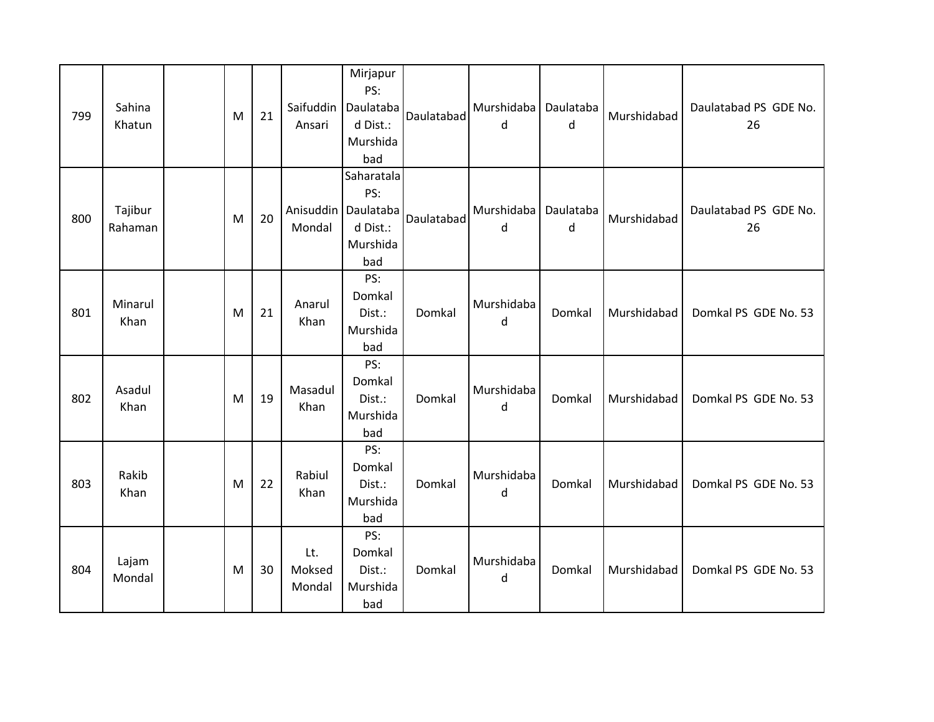| 799 | Sahina<br>Khatun   | M | 21 | Saifuddin<br>Ansari     | Mirjapur<br>PS:<br>Daulataba<br>d Dist.:<br>Murshida<br>bad   | Daulatabad | Murshidaba   Daulataba<br>d | d              | Murshidabad | Daulatabad PS GDE No.<br>26 |
|-----|--------------------|---|----|-------------------------|---------------------------------------------------------------|------------|-----------------------------|----------------|-------------|-----------------------------|
| 800 | Tajibur<br>Rahaman | M | 20 | Anisuddin<br>Mondal     | Saharatala<br>PS:<br>Daulataba<br>d Dist.:<br>Murshida<br>bad | Daulatabad | Murshidaba<br>d             | Daulataba<br>d | Murshidabad | Daulatabad PS GDE No.<br>26 |
| 801 | Minarul<br>Khan    | M | 21 | Anarul<br>Khan          | PS:<br>Domkal<br>Dist.:<br>Murshida<br>bad                    | Domkal     | Murshidaba<br>d             | Domkal         | Murshidabad | Domkal PS GDE No. 53        |
| 802 | Asadul<br>Khan     | M | 19 | Masadul<br>Khan         | PS:<br>Domkal<br>Dist.:<br>Murshida<br>bad                    | Domkal     | Murshidaba<br>d             | Domkal         | Murshidabad | Domkal PS GDE No. 53        |
| 803 | Rakib<br>Khan      | M | 22 | Rabiul<br>Khan          | PS:<br>Domkal<br>Dist.:<br>Murshida<br>bad                    | Domkal     | Murshidaba<br>d             | Domkal         | Murshidabad | Domkal PS GDE No. 53        |
| 804 | Lajam<br>Mondal    | M | 30 | Lt.<br>Moksed<br>Mondal | PS:<br>Domkal<br>Dist.:<br>Murshida<br>bad                    | Domkal     | Murshidaba<br>d             | Domkal         | Murshidabad | Domkal PS GDE No. 53        |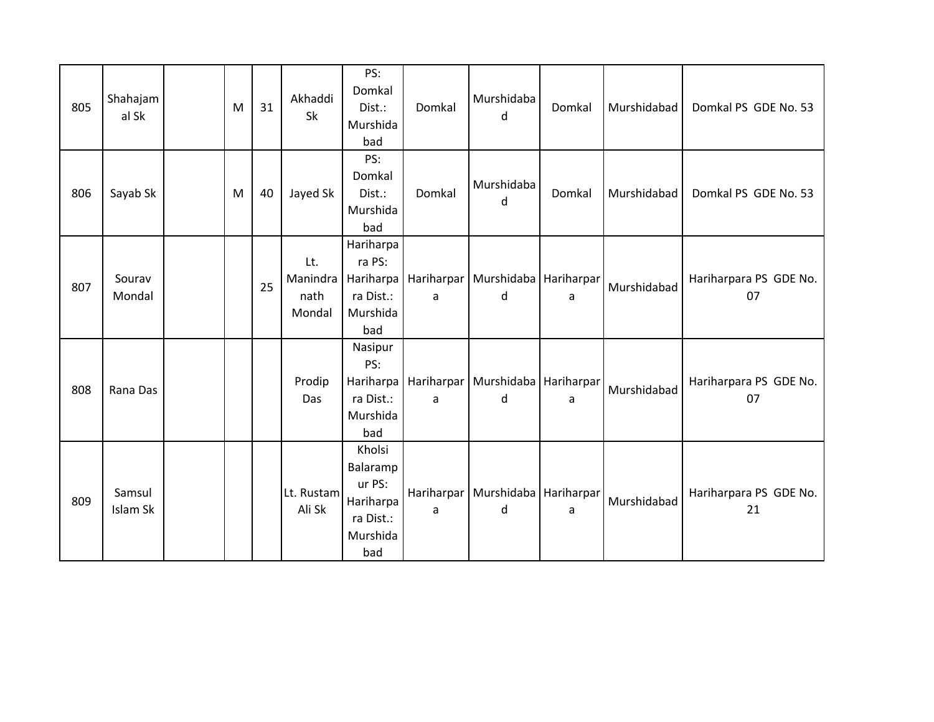| 805 | Shahajam<br>al Sk  | M | 31 | Akhaddi<br>Sk                     | PS:<br>Domkal<br>Dist.:<br>Murshida<br>bad                                | Domkal | Murshidaba<br>d                                       | Domkal | Murshidabad | Domkal PS GDE No. 53         |
|-----|--------------------|---|----|-----------------------------------|---------------------------------------------------------------------------|--------|-------------------------------------------------------|--------|-------------|------------------------------|
| 806 | Sayab Sk           | M | 40 | Jayed Sk                          | PS:<br>Domkal<br>Dist.:<br>Murshida<br>bad                                | Domkal | Murshidaba<br>d                                       | Domkal | Murshidabad | Domkal PS GDE No. 53         |
| 807 | Sourav<br>Mondal   |   | 25 | Lt.<br>Manindra<br>nath<br>Mondal | Hariharpa<br>ra PS:<br>ra Dist.:<br>Murshida<br>bad                       | a      | Hariharpa   Hariharpar   Murshidaba   Hariharpar<br>d | a      | Murshidabad | Hariharpara PS GDE No.<br>07 |
| 808 | Rana Das           |   |    | Prodip<br>Das                     | Nasipur<br>PS:<br>Hariharpa<br>ra Dist.:<br>Murshida<br>bad               | a      | Hariharpar   Murshidaba   Hariharpar<br>d             | a      | Murshidabad | Hariharpara PS GDE No.<br>07 |
| 809 | Samsul<br>Islam Sk |   |    | Lt. Rustam<br>Ali Sk              | Kholsi<br>Balaramp<br>ur PS:<br>Hariharpa<br>ra Dist.:<br>Murshida<br>bad | a      | Hariharpar   Murshidaba   Hariharpar<br>d             | a      | Murshidabad | Hariharpara PS GDE No.<br>21 |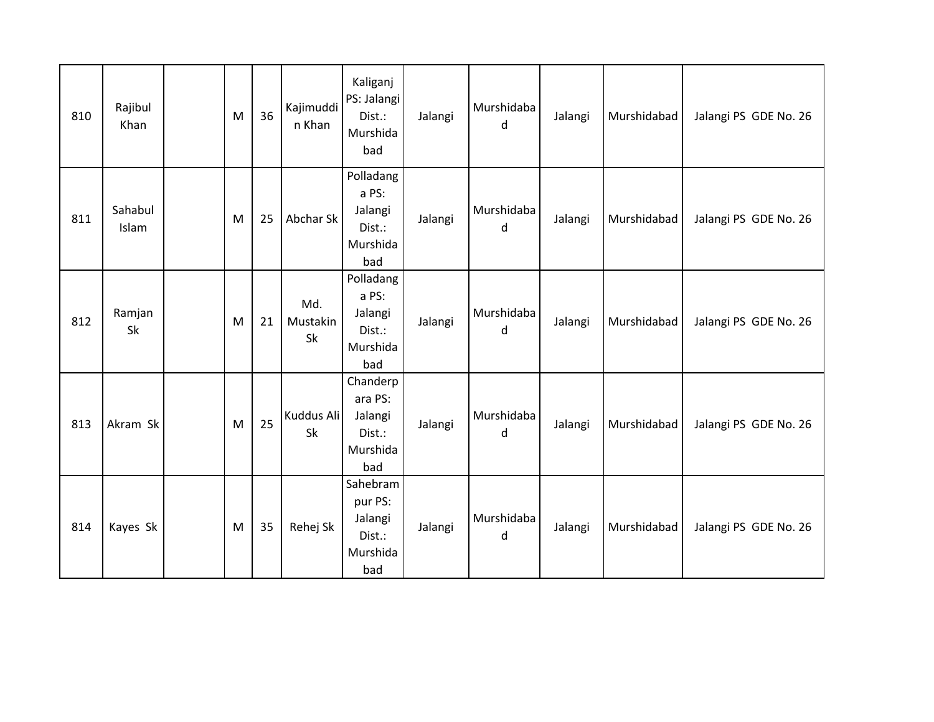| 810 | Rajibul<br>Khan  | ${\sf M}$ | 36 | Kajimuddi<br>n Khan   | Kaliganj<br>PS: Jalangi<br>Dist.:<br>Murshida<br>bad        | Jalangi | Murshidaba<br>d | Jalangi | Murshidabad | Jalangi PS GDE No. 26 |
|-----|------------------|-----------|----|-----------------------|-------------------------------------------------------------|---------|-----------------|---------|-------------|-----------------------|
| 811 | Sahabul<br>Islam | M         | 25 | Abchar Sk             | Polladang<br>a PS:<br>Jalangi<br>Dist.:<br>Murshida<br>bad  | Jalangi | Murshidaba<br>d | Jalangi | Murshidabad | Jalangi PS GDE No. 26 |
| 812 | Ramjan<br>Sk     | M         | 21 | Md.<br>Mustakin<br>Sk | Polladang<br>a PS:<br>Jalangi<br>Dist.:<br>Murshida<br>bad  | Jalangi | Murshidaba<br>d | Jalangi | Murshidabad | Jalangi PS GDE No. 26 |
| 813 | Akram Sk         | M         | 25 | Kuddus Ali<br>Sk      | Chanderp<br>ara PS:<br>Jalangi<br>Dist.:<br>Murshida<br>bad | Jalangi | Murshidaba<br>d | Jalangi | Murshidabad | Jalangi PS GDE No. 26 |
| 814 | Kayes Sk         | ${\sf M}$ | 35 | Rehej Sk              | Sahebram<br>pur PS:<br>Jalangi<br>Dist.:<br>Murshida<br>bad | Jalangi | Murshidaba<br>d | Jalangi | Murshidabad | Jalangi PS GDE No. 26 |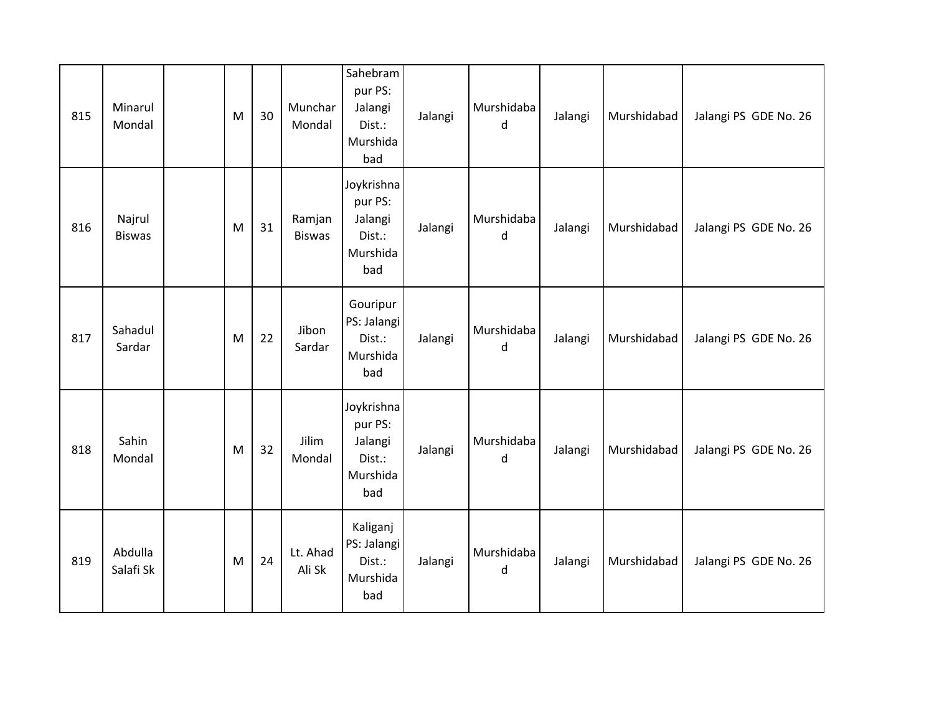| 815 | Minarul<br>Mondal       | M | 30 | Munchar<br>Mondal       | Sahebram<br>pur PS:<br>Jalangi<br>Dist.:<br>Murshida<br>bad   | Jalangi | Murshidaba<br>d       | Jalangi | Murshidabad | Jalangi PS GDE No. 26 |
|-----|-------------------------|---|----|-------------------------|---------------------------------------------------------------|---------|-----------------------|---------|-------------|-----------------------|
| 816 | Najrul<br><b>Biswas</b> | M | 31 | Ramjan<br><b>Biswas</b> | Joykrishna<br>pur PS:<br>Jalangi<br>Dist.:<br>Murshida<br>bad | Jalangi | Murshidaba<br>d       | Jalangi | Murshidabad | Jalangi PS GDE No. 26 |
| 817 | Sahadul<br>Sardar       | M | 22 | Jibon<br>Sardar         | Gouripur<br>PS: Jalangi<br>Dist.:<br>Murshida<br>bad          | Jalangi | Murshidaba<br>d       | Jalangi | Murshidabad | Jalangi PS GDE No. 26 |
| 818 | Sahin<br>Mondal         | M | 32 | Jilim<br>Mondal         | Joykrishna<br>pur PS:<br>Jalangi<br>Dist.:<br>Murshida<br>bad | Jalangi | Murshidaba<br>$\sf d$ | Jalangi | Murshidabad | Jalangi PS GDE No. 26 |
| 819 | Abdulla<br>Salafi Sk    | M | 24 | Lt. Ahad<br>Ali Sk      | Kaliganj<br>PS: Jalangi<br>Dist.:<br>Murshida<br>bad          | Jalangi | Murshidaba<br>d       | Jalangi | Murshidabad | Jalangi PS GDE No. 26 |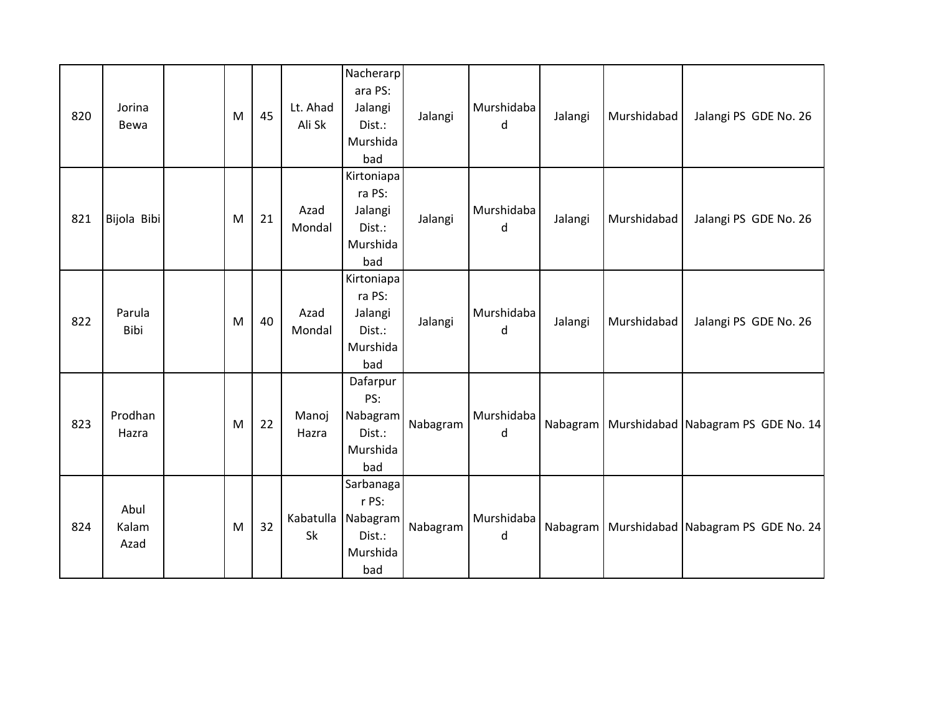| 820 | Jorina<br>Bewa        | M | 45 | Lt. Ahad<br>Ali Sk | Nacherarp<br>ara PS:<br>Jalangi<br>Dist.:<br>Murshida<br>bad | Jalangi  | Murshidaba<br>d | Jalangi  | Murshidabad | Jalangi PS GDE No. 26                           |
|-----|-----------------------|---|----|--------------------|--------------------------------------------------------------|----------|-----------------|----------|-------------|-------------------------------------------------|
| 821 | Bijola Bibi           | M | 21 | Azad<br>Mondal     | Kirtoniapa<br>ra PS:<br>Jalangi<br>Dist.:<br>Murshida<br>bad | Jalangi  | Murshidaba<br>d | Jalangi  | Murshidabad | Jalangi PS GDE No. 26                           |
| 822 | Parula<br>Bibi        | M | 40 | Azad<br>Mondal     | Kirtoniapa<br>ra PS:<br>Jalangi<br>Dist.:<br>Murshida<br>bad | Jalangi  | Murshidaba<br>d | Jalangi  | Murshidabad | Jalangi PS GDE No. 26                           |
| 823 | Prodhan<br>Hazra      | M | 22 | Manoj<br>Hazra     | Dafarpur<br>PS:<br>Nabagram<br>Dist.:<br>Murshida<br>bad     | Nabagram | Murshidaba<br>d |          |             | Nabagram   Murshidabad   Nabagram PS GDE No. 14 |
| 824 | Abul<br>Kalam<br>Azad | M | 32 | Kabatulla<br>Sk    | Sarbanaga<br>r PS:<br>Nabagram<br>Dist.:<br>Murshida<br>bad  | Nabagram | Murshidaba<br>d | Nabagram |             | Murshidabad Nabagram PS GDE No. 24              |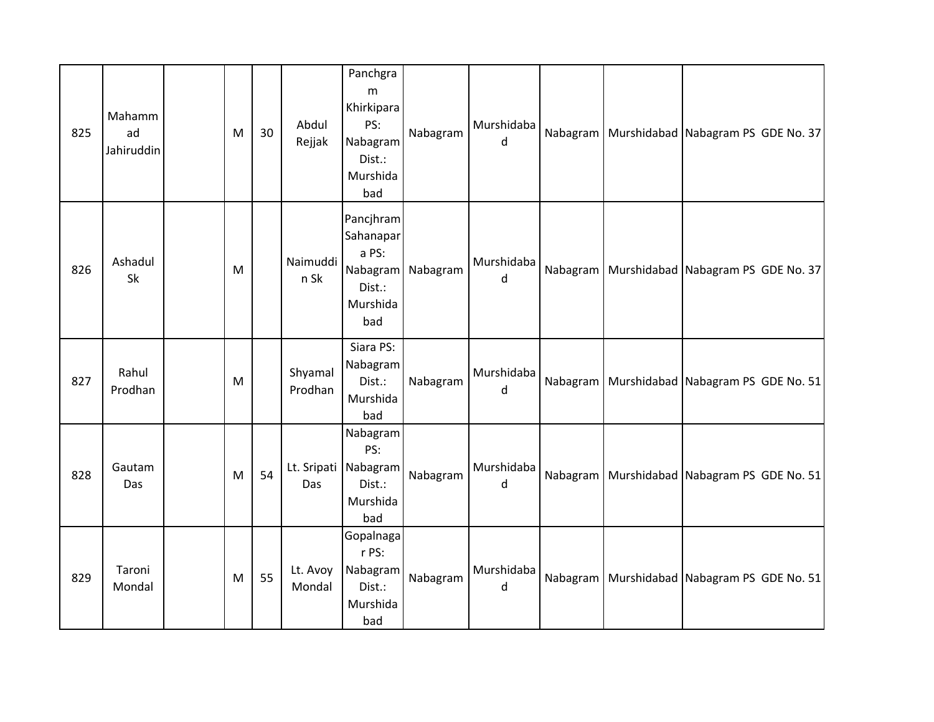| 825 | Mahamm<br>ad<br>Jahiruddin | M | 30 | Abdul<br>Rejjak    | Panchgra<br>m<br>Khirkipara<br>PS:<br>Nabagram<br>Dist.:<br>Murshida<br>bad | Nabagram | Murshidaba<br>d            | Nabagram | Murshidabad Nabagram PS GDE No. 37              |
|-----|----------------------------|---|----|--------------------|-----------------------------------------------------------------------------|----------|----------------------------|----------|-------------------------------------------------|
| 826 | Ashadul<br>Sk              | M |    | Naimuddi<br>n Sk   | Pancjhram<br>Sahanapar<br>a PS:<br>Nabagram<br>Dist.:<br>Murshida<br>bad    | Nabagram | Murshidaba<br>d            | Nabagram | Murshidabad Nabagram PS GDE No. 37              |
| 827 | Rahul<br>Prodhan           | M |    | Shyamal<br>Prodhan | Siara PS:<br>Nabagram<br>Dist.:<br>Murshida<br>bad                          | Nabagram | Murshidaba<br>d            |          | Nabagram   Murshidabad   Nabagram PS GDE No. 51 |
| 828 | Gautam<br>Das              | M | 54 | Das                | Nabagram<br>PS:<br>Lt. Sripati Nabagram<br>Dist.:<br>Murshida<br>bad        | Nabagram | Murshidaba<br>d            |          | Nabagram   Murshidabad   Nabagram PS GDE No. 51 |
| 829 | Taroni<br>Mondal           | M | 55 | Lt. Avoy<br>Mondal | Gopalnaga<br>r PS:<br>Nabagram<br>Dist.:<br>Murshida<br>bad                 | Nabagram | Murshidaba<br>$\mathsf{d}$ |          | Nabagram   Murshidabad   Nabagram PS GDE No. 51 |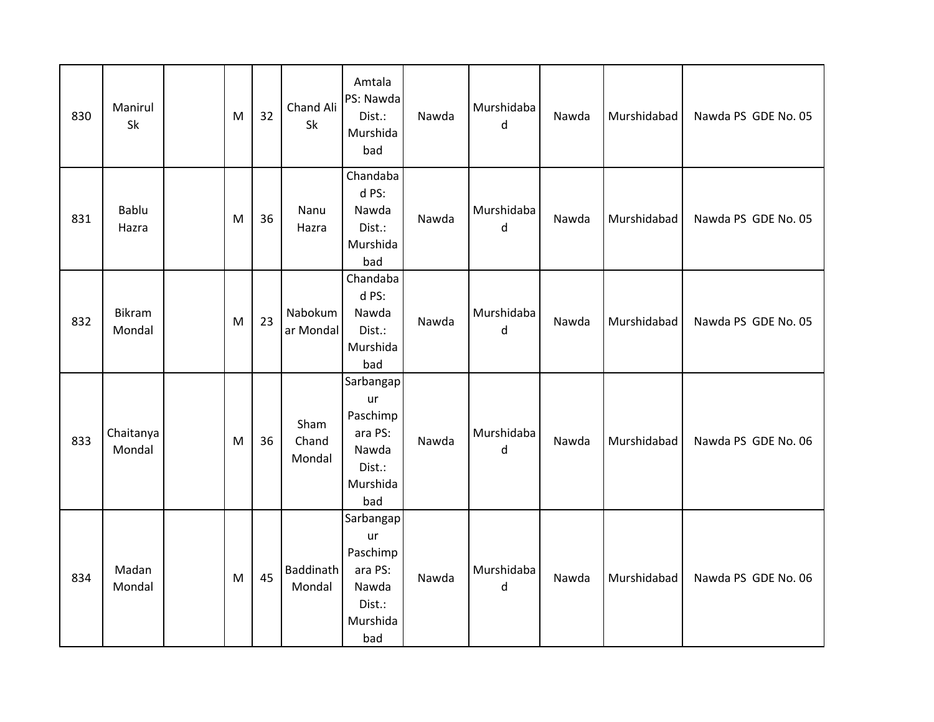| 830 | Manirul<br>Sk           | M | 32 | Chand Ali<br>Sk            | Amtala<br>PS: Nawda<br>Dist.:<br>Murshida<br>bad                             | Nawda | Murshidaba<br>d       | Nawda | Murshidabad | Nawda PS GDE No. 05 |
|-----|-------------------------|---|----|----------------------------|------------------------------------------------------------------------------|-------|-----------------------|-------|-------------|---------------------|
| 831 | Bablu<br>Hazra          | M | 36 | Nanu<br>Hazra              | Chandaba<br>d PS:<br>Nawda<br>Dist.:<br>Murshida<br>bad                      | Nawda | Murshidaba<br>d       | Nawda | Murshidabad | Nawda PS GDE No. 05 |
| 832 | <b>Bikram</b><br>Mondal | M | 23 | Nabokum<br>ar Mondal       | Chandaba<br>d PS:<br>Nawda<br>Dist.:<br>Murshida<br>bad                      | Nawda | Murshidaba<br>$\sf d$ | Nawda | Murshidabad | Nawda PS GDE No. 05 |
| 833 | Chaitanya<br>Mondal     | M | 36 | Sham<br>Chand<br>Mondal    | Sarbangap<br>ur<br>Paschimp<br>ara PS:<br>Nawda<br>Dist.:<br>Murshida<br>bad | Nawda | Murshidaba<br>d       | Nawda | Murshidabad | Nawda PS GDE No. 06 |
| 834 | Madan<br>Mondal         | M | 45 | <b>Baddinath</b><br>Mondal | Sarbangap<br>ur<br>Paschimp<br>ara PS:<br>Nawda<br>Dist.:<br>Murshida<br>bad | Nawda | Murshidaba<br>d       | Nawda | Murshidabad | Nawda PS GDE No. 06 |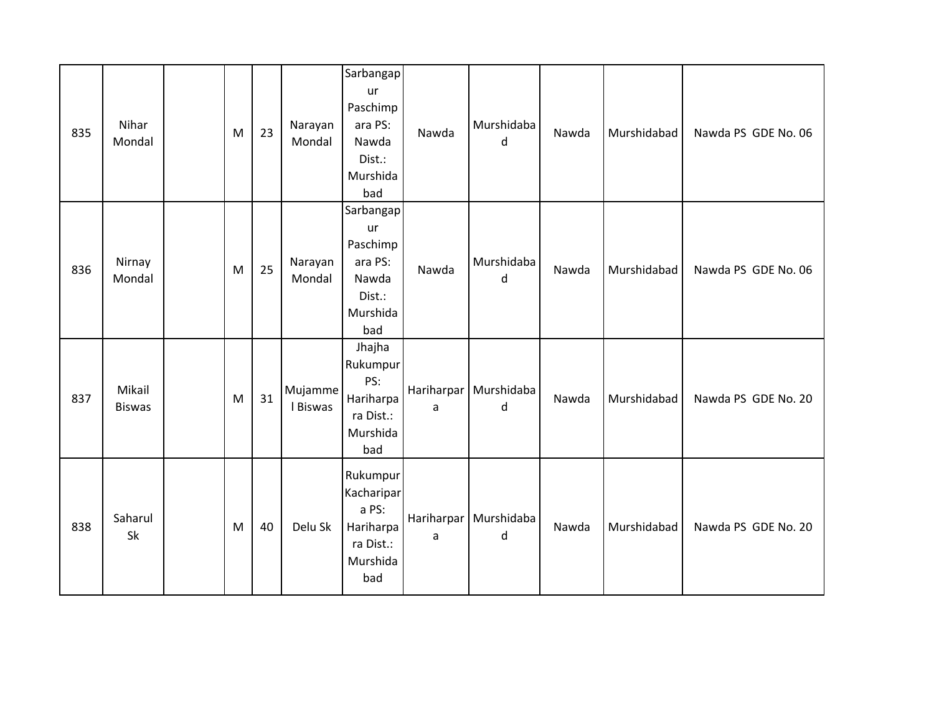| 835 | Nihar<br>Mondal         | M | 23 | Narayan<br>Mondal   | Sarbangap<br>ur<br>Paschimp<br>ara PS:<br>Nawda<br>Dist.:<br>Murshida<br>bad | Nawda | Murshidaba<br>d              | Nawda | Murshidabad | Nawda PS GDE No. 06 |
|-----|-------------------------|---|----|---------------------|------------------------------------------------------------------------------|-------|------------------------------|-------|-------------|---------------------|
| 836 | Nirnay<br>Mondal        | M | 25 | Narayan<br>Mondal   | Sarbangap<br>ur<br>Paschimp<br>ara PS:<br>Nawda<br>Dist.:<br>Murshida<br>bad | Nawda | Murshidaba<br>d              | Nawda | Murshidabad | Nawda PS GDE No. 06 |
| 837 | Mikail<br><b>Biswas</b> | M | 31 | Mujamme<br>I Biswas | Jhajha<br>Rukumpur<br>PS:<br>Hariharpa<br>ra Dist.:<br>Murshida<br>bad       | a     | Hariharpar   Murshidaba<br>d | Nawda | Murshidabad | Nawda PS GDE No. 20 |
| 838 | Saharul<br>Sk           | M | 40 | Delu Sk             | Rukumpur<br>Kacharipar<br>a PS:<br>Hariharpa<br>ra Dist.:<br>Murshida<br>bad | a     | Hariharpar   Murshidaba<br>d | Nawda | Murshidabad | Nawda PS GDE No. 20 |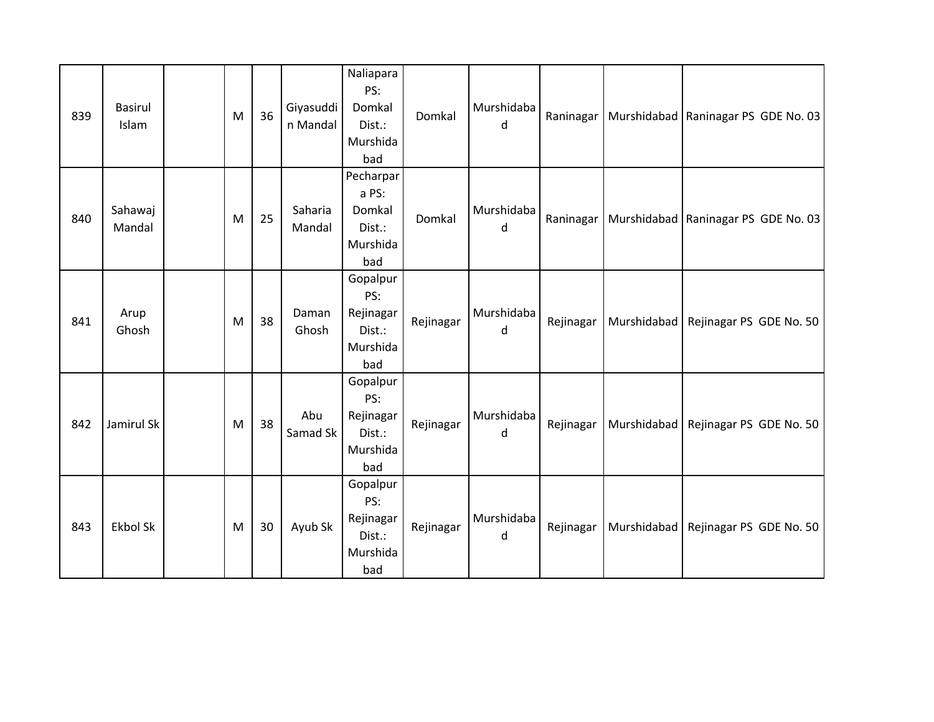| 839 | <b>Basirul</b><br>Islam | M | 36 | Giyasuddi<br>n Mandal | Naliapara<br>PS:<br>Domkal<br>Dist.:<br>Murshida<br>bad   | Domkal    | Murshidaba<br>d | Raninagar |             | Murshidabad   Raninagar PS GDE No. 03 |
|-----|-------------------------|---|----|-----------------------|-----------------------------------------------------------|-----------|-----------------|-----------|-------------|---------------------------------------|
| 840 | Sahawaj<br>Mandal       | M | 25 | Saharia<br>Mandal     | Pecharpar<br>a PS:<br>Domkal<br>Dist.:<br>Murshida<br>bad | Domkal    | Murshidaba<br>d | Raninagar |             | Murshidabad   Raninagar PS GDE No. 03 |
| 841 | Arup<br>Ghosh           | M | 38 | Daman<br>Ghosh        | Gopalpur<br>PS:<br>Rejinagar<br>Dist.:<br>Murshida<br>bad | Rejinagar | Murshidaba<br>d | Rejinagar | Murshidabad | Rejinagar PS GDE No. 50               |
| 842 | Jamirul Sk              | M | 38 | Abu<br>Samad Sk       | Gopalpur<br>PS:<br>Rejinagar<br>Dist.:<br>Murshida<br>bad | Rejinagar | Murshidaba<br>d | Rejinagar | Murshidabad | Rejinagar PS GDE No. 50               |
| 843 | <b>Ekbol Sk</b>         | M | 30 | Ayub Sk               | Gopalpur<br>PS:<br>Rejinagar<br>Dist.:<br>Murshida<br>bad | Rejinagar | Murshidaba<br>d | Rejinagar | Murshidabad | Rejinagar PS GDE No. 50               |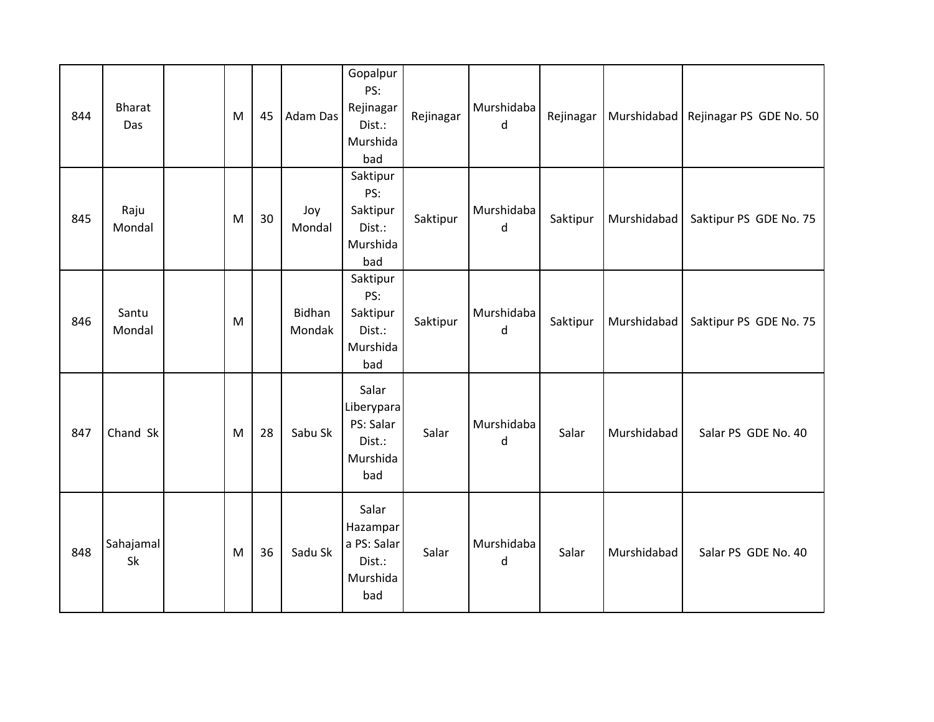| 844 | <b>Bharat</b><br>Das | M | 45 | Adam Das         | Gopalpur<br>PS:<br>Rejinagar<br>Dist.:<br>Murshida<br>bad     | Rejinagar | Murshidaba<br>d | Rejinagar | Murshidabad | Rejinagar PS GDE No. 50 |
|-----|----------------------|---|----|------------------|---------------------------------------------------------------|-----------|-----------------|-----------|-------------|-------------------------|
| 845 | Raju<br>Mondal       | M | 30 | Joy<br>Mondal    | Saktipur<br>PS:<br>Saktipur<br>Dist.:<br>Murshida<br>bad      | Saktipur  | Murshidaba<br>d | Saktipur  | Murshidabad | Saktipur PS GDE No. 75  |
| 846 | Santu<br>Mondal      | M |    | Bidhan<br>Mondak | Saktipur<br>PS:<br>Saktipur<br>Dist.:<br>Murshida<br>bad      | Saktipur  | Murshidaba<br>d | Saktipur  | Murshidabad | Saktipur PS GDE No. 75  |
| 847 | Chand Sk             | M | 28 | Sabu Sk          | Salar<br>Liberypara<br>PS: Salar<br>Dist.:<br>Murshida<br>bad | Salar     | Murshidaba<br>d | Salar     | Murshidabad | Salar PS GDE No. 40     |
| 848 | Sahajamal<br>Sk      | M | 36 | Sadu Sk          | Salar<br>Hazampar<br>a PS: Salar<br>Dist.:<br>Murshida<br>bad | Salar     | Murshidaba<br>d | Salar     | Murshidabad | Salar PS GDE No. 40     |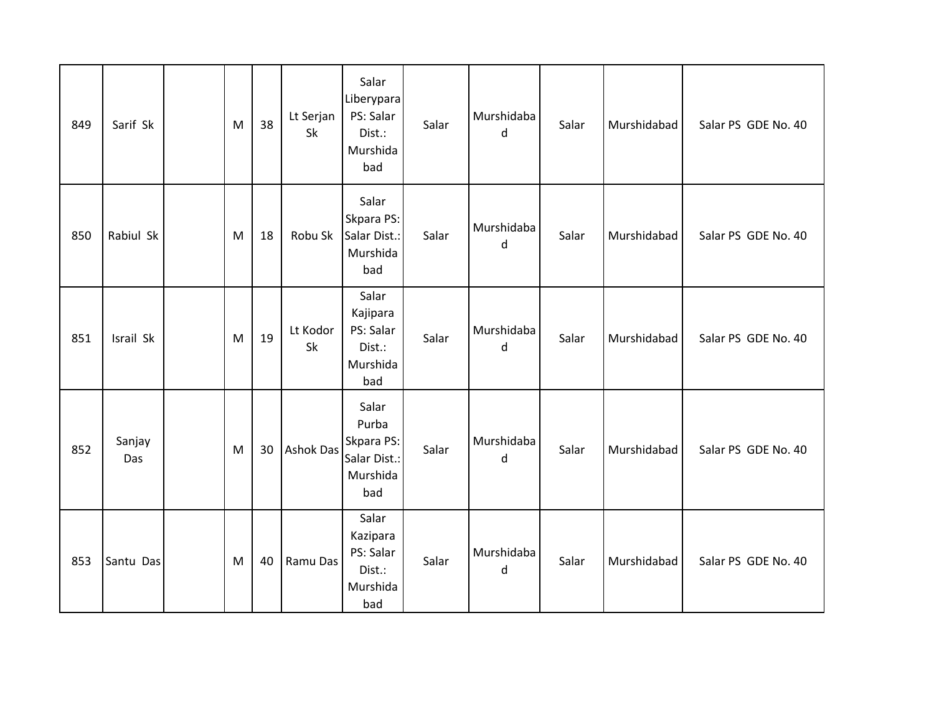| 849 | Sarif Sk      | M | 38 | Lt Serjan<br>Sk  | Salar<br>Liberypara<br>PS: Salar<br>Dist.:<br>Murshida<br>bad   | Salar | Murshidaba<br>d            | Salar | Murshidabad | Salar PS GDE No. 40 |
|-----|---------------|---|----|------------------|-----------------------------------------------------------------|-------|----------------------------|-------|-------------|---------------------|
| 850 | Rabiul Sk     | M | 18 | Robu Sk          | Salar<br>Skpara PS:<br>Salar Dist.:<br>Murshida<br>bad          | Salar | Murshidaba<br>d            | Salar | Murshidabad | Salar PS GDE No. 40 |
| 851 | Israil Sk     | M | 19 | Lt Kodor<br>Sk   | Salar<br>Kajipara<br>PS: Salar<br>Dist.:<br>Murshida<br>bad     | Salar | Murshidaba<br>d            | Salar | Murshidabad | Salar PS GDE No. 40 |
| 852 | Sanjay<br>Das | M | 30 | <b>Ashok Das</b> | Salar<br>Purba<br>Skpara PS:<br>Salar Dist.:<br>Murshida<br>bad | Salar | Murshidaba<br>$\mathsf{d}$ | Salar | Murshidabad | Salar PS GDE No. 40 |
| 853 | Santu Das     | M | 40 | Ramu Das         | Salar<br>Kazipara<br>PS: Salar<br>Dist.:<br>Murshida<br>bad     | Salar | Murshidaba<br>d            | Salar | Murshidabad | Salar PS GDE No. 40 |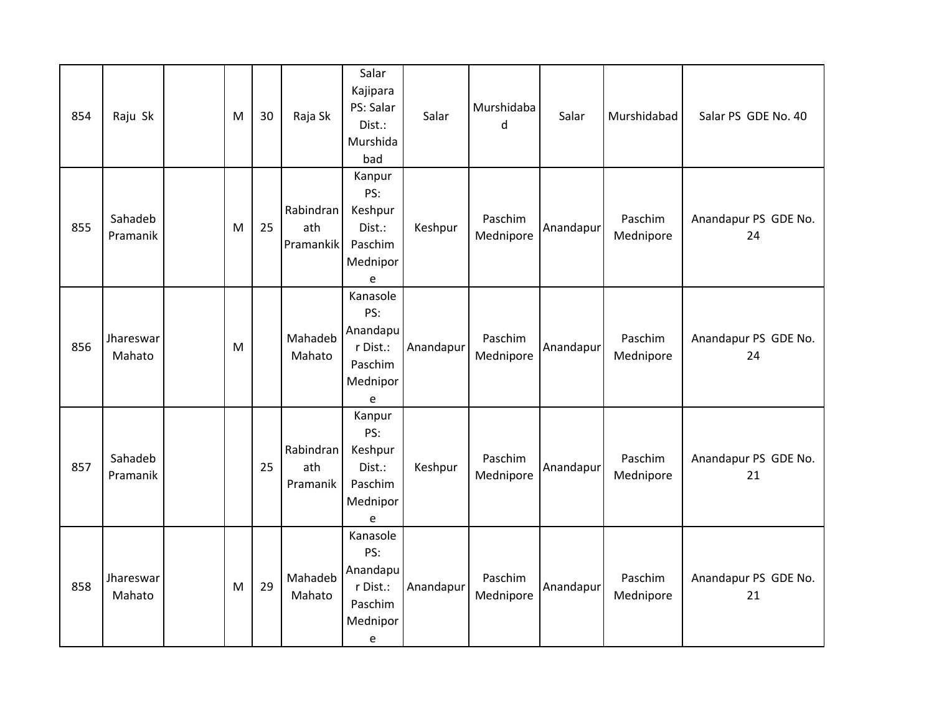| 854 | Raju Sk             | M | 30 | Raja Sk                       | Salar<br>Kajipara<br>PS: Salar<br>Dist.:<br>Murshida<br>bad         | Salar     | Murshidaba<br>d      | Salar     | Murshidabad          | Salar PS GDE No. 40        |
|-----|---------------------|---|----|-------------------------------|---------------------------------------------------------------------|-----------|----------------------|-----------|----------------------|----------------------------|
| 855 | Sahadeb<br>Pramanik | M | 25 | Rabindran<br>ath<br>Pramankik | Kanpur<br>PS:<br>Keshpur<br>Dist.:<br>Paschim<br>Mednipor<br>e      | Keshpur   | Paschim<br>Mednipore | Anandapur | Paschim<br>Mednipore | Anandapur PS GDE No.<br>24 |
| 856 | Jhareswar<br>Mahato | M |    | Mahadeb<br>Mahato             | Kanasole<br>PS:<br>Anandapu<br>r Dist.:<br>Paschim<br>Mednipor<br>e | Anandapur | Paschim<br>Mednipore | Anandapur | Paschim<br>Mednipore | Anandapur PS GDE No.<br>24 |
| 857 | Sahadeb<br>Pramanik |   | 25 | Rabindran<br>ath<br>Pramanik  | Kanpur<br>PS:<br>Keshpur<br>Dist.:<br>Paschim<br>Mednipor<br>e      | Keshpur   | Paschim<br>Mednipore | Anandapur | Paschim<br>Mednipore | Anandapur PS GDE No.<br>21 |
| 858 | Jhareswar<br>Mahato | M | 29 | Mahadeb<br>Mahato             | Kanasole<br>PS:<br>Anandapu<br>r Dist.:<br>Paschim<br>Mednipor<br>e | Anandapur | Paschim<br>Mednipore | Anandapur | Paschim<br>Mednipore | Anandapur PS GDE No.<br>21 |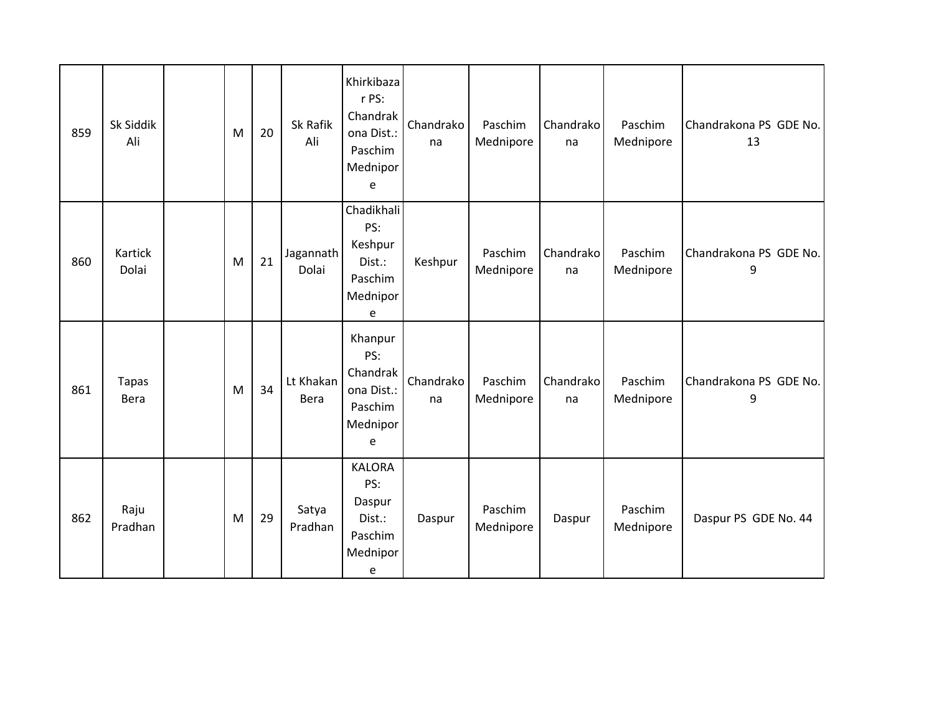| 859 | Sk Siddik<br>Ali            | M | 20 | Sk Rafik<br>Ali    | Khirkibaza<br>r PS:<br>Chandrak<br>ona Dist.:<br>Paschim<br>Mednipor<br>e | Chandrako<br>na | Paschim<br>Mednipore | Chandrako<br>na | Paschim<br>Mednipore | Chandrakona PS GDE No.<br>13 |
|-----|-----------------------------|---|----|--------------------|---------------------------------------------------------------------------|-----------------|----------------------|-----------------|----------------------|------------------------------|
| 860 | Kartick<br>Dolai            | M | 21 | Jagannath<br>Dolai | Chadikhali<br>PS:<br>Keshpur<br>Dist.:<br>Paschim<br>Mednipor<br>e        | Keshpur         | Paschim<br>Mednipore | Chandrako<br>na | Paschim<br>Mednipore | Chandrakona PS GDE No.<br>9  |
| 861 | <b>Tapas</b><br><b>Bera</b> | M | 34 | Lt Khakan<br>Bera  | Khanpur<br>PS:<br>Chandrak<br>ona Dist.:<br>Paschim<br>Mednipor<br>e      | Chandrako<br>na | Paschim<br>Mednipore | Chandrako<br>na | Paschim<br>Mednipore | Chandrakona PS GDE No.<br>9  |
| 862 | Raju<br>Pradhan             | M | 29 | Satya<br>Pradhan   | <b>KALORA</b><br>PS:<br>Daspur<br>Dist.:<br>Paschim<br>Mednipor<br>e      | Daspur          | Paschim<br>Mednipore | Daspur          | Paschim<br>Mednipore | Daspur PS GDE No. 44         |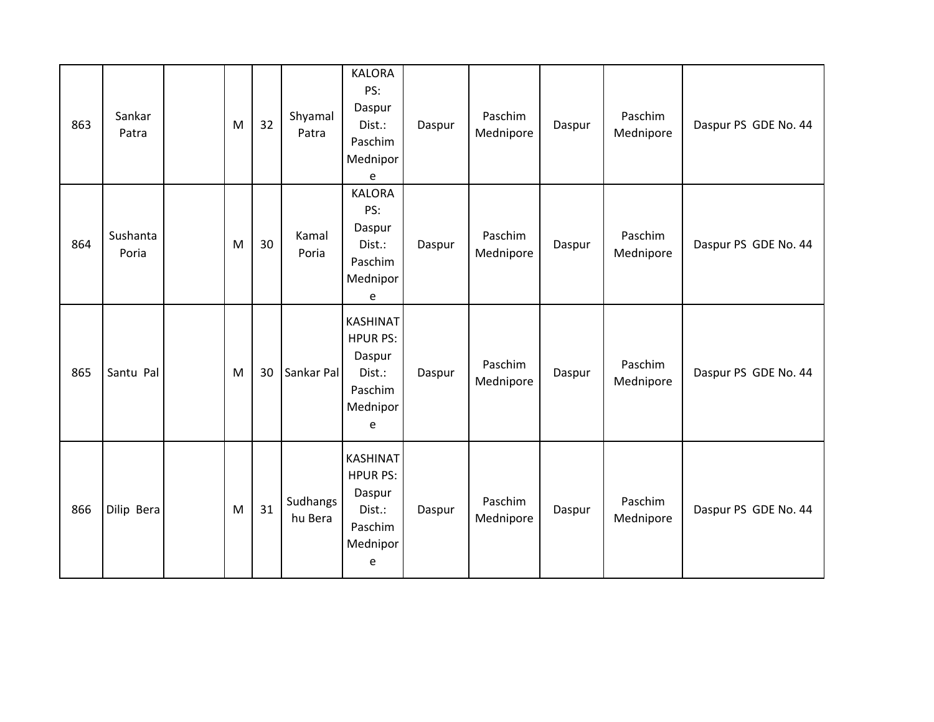| 863 | Sankar<br>Patra   | M | 32 | Shyamal<br>Patra    | <b>KALORA</b><br>PS:<br>Daspur<br>Dist.:<br>Paschim<br>Mednipor<br>e               | Daspur | Paschim<br>Mednipore | Daspur | Paschim<br>Mednipore | Daspur PS GDE No. 44 |
|-----|-------------------|---|----|---------------------|------------------------------------------------------------------------------------|--------|----------------------|--------|----------------------|----------------------|
| 864 | Sushanta<br>Poria | M | 30 | Kamal<br>Poria      | <b>KALORA</b><br>PS:<br>Daspur<br>Dist.:<br>Paschim<br>Mednipor<br>e               | Daspur | Paschim<br>Mednipore | Daspur | Paschim<br>Mednipore | Daspur PS GDE No. 44 |
| 865 | Santu Pal         | M | 30 | Sankar Pal          | <b>KASHINAT</b><br><b>HPUR PS:</b><br>Daspur<br>Dist.:<br>Paschim<br>Mednipor<br>e | Daspur | Paschim<br>Mednipore | Daspur | Paschim<br>Mednipore | Daspur PS GDE No. 44 |
| 866 | Dilip Bera        | M | 31 | Sudhangs<br>hu Bera | <b>KASHINAT</b><br><b>HPUR PS:</b><br>Daspur<br>Dist.:<br>Paschim<br>Mednipor<br>e | Daspur | Paschim<br>Mednipore | Daspur | Paschim<br>Mednipore | Daspur PS GDE No. 44 |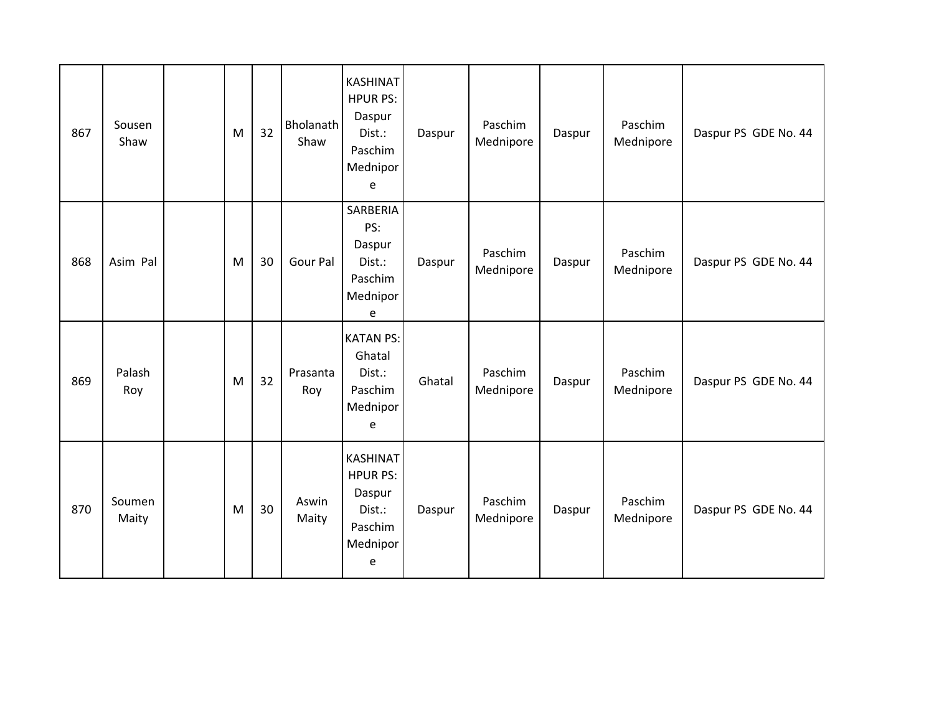| 867 | Sousen<br>Shaw  | M | 32 | <b>Bholanath</b><br>Shaw | <b>KASHINAT</b><br><b>HPUR PS:</b><br>Daspur<br>Dist.:<br>Paschim<br>Mednipor<br>e | Daspur | Paschim<br>Mednipore | Daspur | Paschim<br>Mednipore | Daspur PS GDE No. 44 |
|-----|-----------------|---|----|--------------------------|------------------------------------------------------------------------------------|--------|----------------------|--------|----------------------|----------------------|
| 868 | Asim Pal        | M | 30 | Gour Pal                 | SARBERIA<br>PS:<br>Daspur<br>Dist.:<br>Paschim<br>Mednipor<br>e                    | Daspur | Paschim<br>Mednipore | Daspur | Paschim<br>Mednipore | Daspur PS GDE No. 44 |
| 869 | Palash<br>Roy   | M | 32 | Prasanta<br>Roy          | <b>KATAN PS:</b><br>Ghatal<br>Dist.:<br>Paschim<br>Mednipor<br>e                   | Ghatal | Paschim<br>Mednipore | Daspur | Paschim<br>Mednipore | Daspur PS GDE No. 44 |
| 870 | Soumen<br>Maity | M | 30 | Aswin<br>Maity           | <b>KASHINAT</b><br><b>HPUR PS:</b><br>Daspur<br>Dist.:<br>Paschim<br>Mednipor<br>e | Daspur | Paschim<br>Mednipore | Daspur | Paschim<br>Mednipore | Daspur PS GDE No. 44 |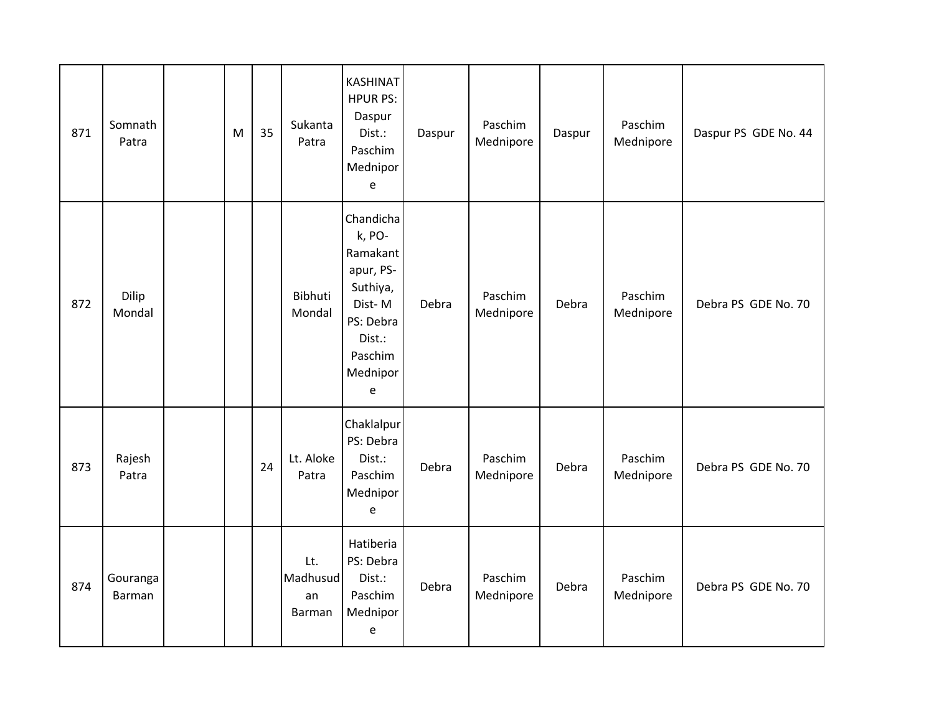| 871 | Somnath<br>Patra   | M | 35 | Sukanta<br>Patra                | <b>KASHINAT</b><br><b>HPUR PS:</b><br>Daspur<br>Dist.:<br>Paschim<br>Mednipor<br>e                                    | Daspur | Paschim<br>Mednipore | Daspur | Paschim<br>Mednipore | Daspur PS GDE No. 44 |
|-----|--------------------|---|----|---------------------------------|-----------------------------------------------------------------------------------------------------------------------|--------|----------------------|--------|----------------------|----------------------|
| 872 | Dilip<br>Mondal    |   |    | <b>Bibhuti</b><br>Mondal        | Chandicha<br>k, PO-<br>Ramakant<br>apur, PS-<br>Suthiya,<br>Dist-M<br>PS: Debra<br>Dist.:<br>Paschim<br>Mednipor<br>e | Debra  | Paschim<br>Mednipore | Debra  | Paschim<br>Mednipore | Debra PS GDE No. 70  |
| 873 | Rajesh<br>Patra    |   | 24 | Lt. Aloke<br>Patra              | Chaklalpur<br>PS: Debra<br>Dist.:<br>Paschim<br>Mednipor<br>e                                                         | Debra  | Paschim<br>Mednipore | Debra  | Paschim<br>Mednipore | Debra PS GDE No. 70  |
| 874 | Gouranga<br>Barman |   |    | Lt.<br>Madhusud<br>an<br>Barman | Hatiberia<br>PS: Debra<br>Dist.:<br>Paschim<br>Mednipor<br>е                                                          | Debra  | Paschim<br>Mednipore | Debra  | Paschim<br>Mednipore | Debra PS GDE No. 70  |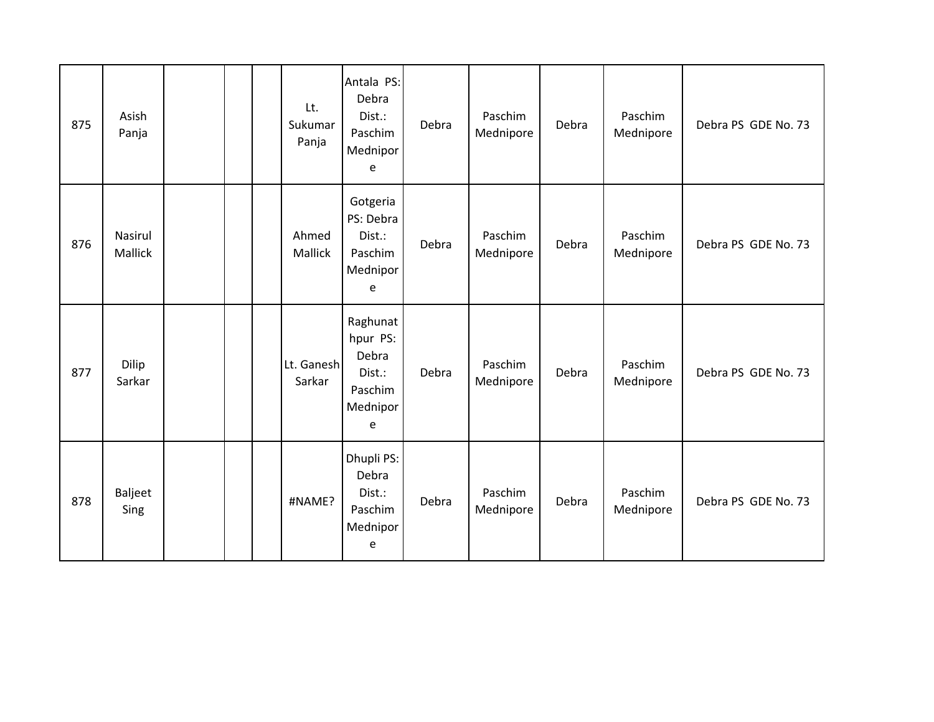| 875 | Asish<br>Panja     |  | Lt.<br>Sukumar<br>Panja | Antala PS:<br>Debra<br>Dist.:<br>Paschim<br>Mednipor<br>e           | Debra | Paschim<br>Mednipore | Debra | Paschim<br>Mednipore | Debra PS GDE No. 73 |
|-----|--------------------|--|-------------------------|---------------------------------------------------------------------|-------|----------------------|-------|----------------------|---------------------|
| 876 | Nasirul<br>Mallick |  | Ahmed<br>Mallick        | Gotgeria<br>PS: Debra<br>Dist.:<br>Paschim<br>Mednipor<br>e         | Debra | Paschim<br>Mednipore | Debra | Paschim<br>Mednipore | Debra PS GDE No. 73 |
| 877 | Dilip<br>Sarkar    |  | Lt. Ganesh<br>Sarkar    | Raghunat<br>hpur PS:<br>Debra<br>Dist.:<br>Paschim<br>Mednipor<br>e | Debra | Paschim<br>Mednipore | Debra | Paschim<br>Mednipore | Debra PS GDE No. 73 |
| 878 | Baljeet<br>Sing    |  | #NAME?                  | Dhupli PS:<br>Debra<br>Dist.:<br>Paschim<br>Mednipor<br>e           | Debra | Paschim<br>Mednipore | Debra | Paschim<br>Mednipore | Debra PS GDE No. 73 |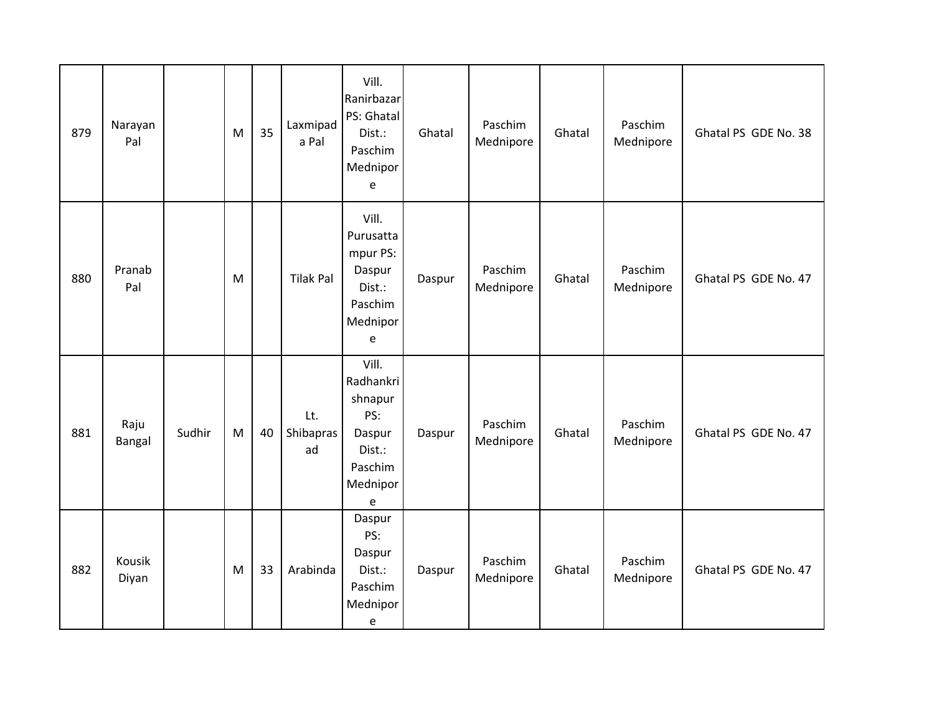| 879 | Narayan<br>Pal  |        | M | 35 | Laxmipad<br>a Pal      | Vill.<br>Ranirbazar<br>PS: Ghatal<br>Dist.:<br>Paschim<br>Mednipor<br>e                         | Ghatal | Paschim<br>Mednipore | Ghatal | Paschim<br>Mednipore | Ghatal PS GDE No. 38 |
|-----|-----------------|--------|---|----|------------------------|-------------------------------------------------------------------------------------------------|--------|----------------------|--------|----------------------|----------------------|
| 880 | Pranab<br>Pal   |        | M |    | <b>Tilak Pal</b>       | Vill.<br>Purusatta<br>mpur PS:<br>Daspur<br>Dist.:<br>Paschim<br>Mednipor<br>e                  | Daspur | Paschim<br>Mednipore | Ghatal | Paschim<br>Mednipore | Ghatal PS GDE No. 47 |
| 881 | Raju<br>Bangal  | Sudhir | M | 40 | Lt.<br>Shibapras<br>ad | Vill.<br>Radhankri<br>shnapur<br>PS:<br>Daspur<br>Dist.:<br>Paschim<br>Mednipor<br>$\mathsf{e}$ | Daspur | Paschim<br>Mednipore | Ghatal | Paschim<br>Mednipore | Ghatal PS GDE No. 47 |
| 882 | Kousik<br>Diyan |        | M | 33 | Arabinda               | Daspur<br>PS:<br>Daspur<br>Dist.:<br>Paschim<br>Mednipor<br>e                                   | Daspur | Paschim<br>Mednipore | Ghatal | Paschim<br>Mednipore | Ghatal PS GDE No. 47 |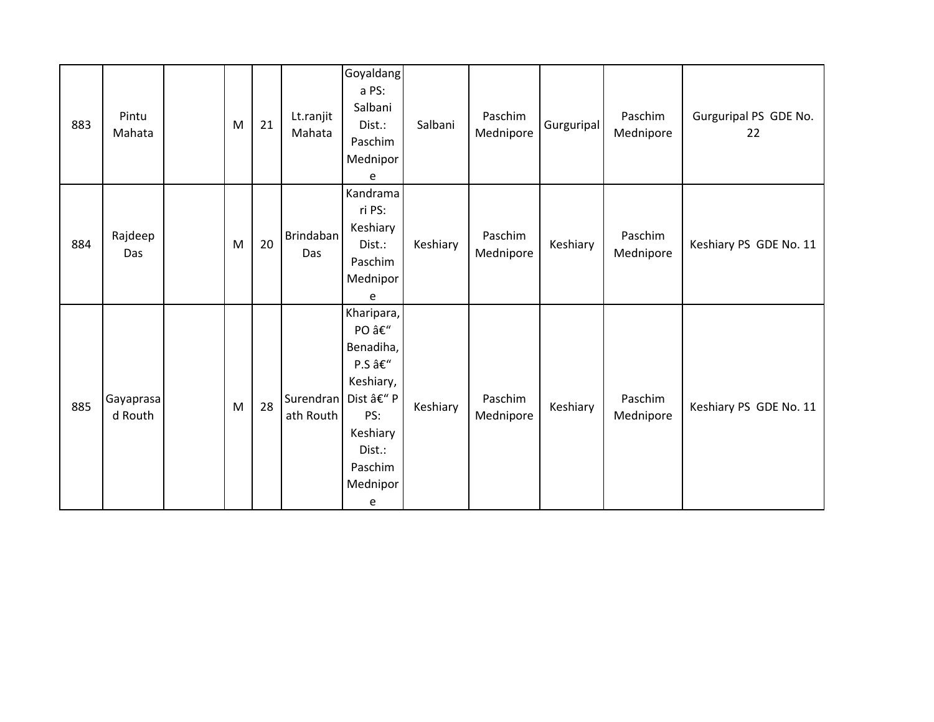| 883 | Pintu<br>Mahata      | M         | 21 | Lt.ranjit<br>Mahata               | Goyaldang<br>a PS:<br>Salbani<br>Dist.:<br>Paschim<br>Mednipor<br>e                                            | Salbani  | Paschim<br>Mednipore | Gurguripal | Paschim<br>Mednipore | Gurguripal PS GDE No.<br>22 |
|-----|----------------------|-----------|----|-----------------------------------|----------------------------------------------------------------------------------------------------------------|----------|----------------------|------------|----------------------|-----------------------------|
| 884 | Rajdeep<br>Das       | M         | 20 | Brindaban<br>Das                  | Kandrama<br>ri PS:<br>Keshiary<br>Dist.:<br>Paschim<br>Mednipor<br>e                                           | Keshiary | Paschim<br>Mednipore | Keshiary   | Paschim<br>Mednipore | Keshiary PS GDE No. 11      |
| 885 | Gayaprasa<br>d Routh | ${\sf M}$ | 28 | Surendran   Dist – P<br>ath Routh | Kharipara,<br>PO –<br>Benadiha,<br>P.S –<br>Keshiary,<br>PS:<br>Keshiary<br>Dist.:<br>Paschim<br>Mednipor<br>e | Keshiary | Paschim<br>Mednipore | Keshiary   | Paschim<br>Mednipore | Keshiary PS GDE No. 11      |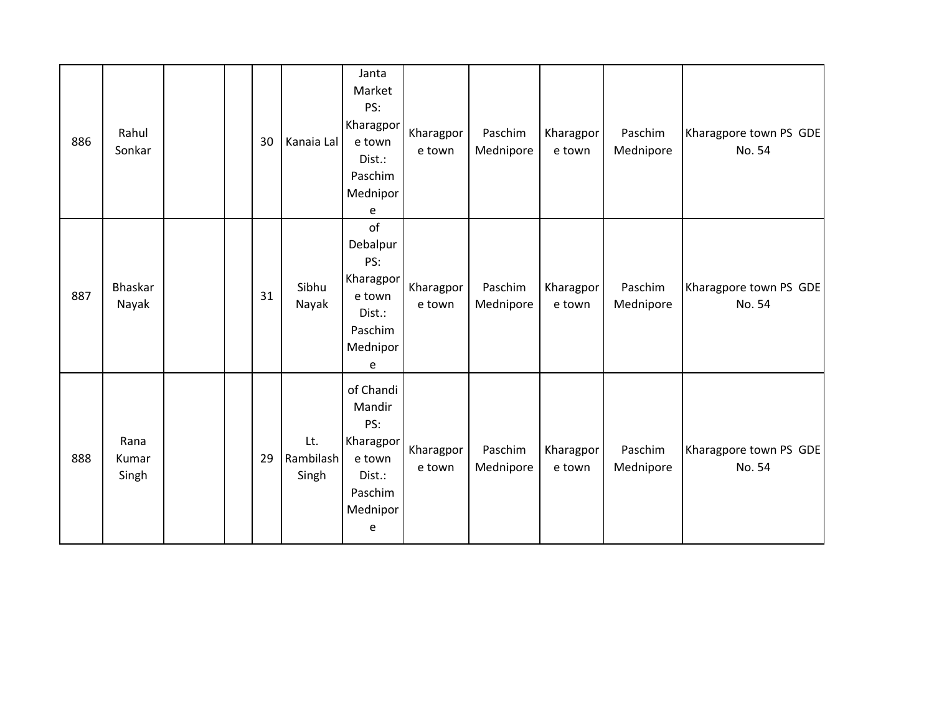| 886 | Rahul<br>Sonkar        | 30 | Kanaia Lal                | Janta<br>Market<br>PS:<br>Kharagpor<br>e town<br>Dist.:<br>Paschim<br>Mednipor<br>e     | Kharagpor<br>e town | Paschim<br>Mednipore | Kharagpor<br>e town | Paschim<br>Mednipore | Kharagpore town PS GDE<br>No. 54 |
|-----|------------------------|----|---------------------------|-----------------------------------------------------------------------------------------|---------------------|----------------------|---------------------|----------------------|----------------------------------|
| 887 | Bhaskar<br>Nayak       | 31 | Sibhu<br>Nayak            | of<br>Debalpur<br>PS:<br>Kharagpor<br>e town<br>Dist.:<br>Paschim<br>Mednipor<br>e      | Kharagpor<br>e town | Paschim<br>Mednipore | Kharagpor<br>e town | Paschim<br>Mednipore | Kharagpore town PS GDE<br>No. 54 |
| 888 | Rana<br>Kumar<br>Singh | 29 | Lt.<br>Rambilash<br>Singh | of Chandi<br>Mandir<br>PS:<br>Kharagpor<br>e town<br>Dist.:<br>Paschim<br>Mednipor<br>e | Kharagpor<br>e town | Paschim<br>Mednipore | Kharagpor<br>e town | Paschim<br>Mednipore | Kharagpore town PS GDE<br>No. 54 |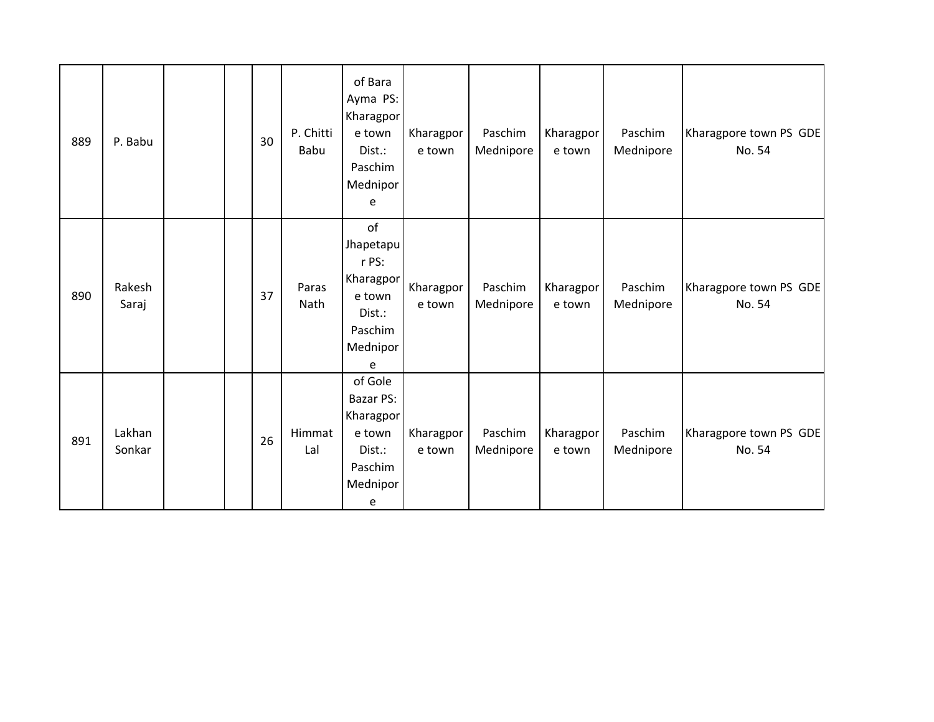| 889 | P. Babu          |  | 30 | P. Chitti<br>Babu    | of Bara<br>Ayma PS:<br>Kharagpor<br>e town<br>Dist.:<br>Paschim<br>Mednipor<br>e      | Kharagpor<br>e town | Paschim<br>Mednipore | Kharagpor<br>e town | Paschim<br>Mednipore | Kharagpore town PS GDE<br>No. 54 |
|-----|------------------|--|----|----------------------|---------------------------------------------------------------------------------------|---------------------|----------------------|---------------------|----------------------|----------------------------------|
| 890 | Rakesh<br>Saraj  |  | 37 | Paras<br><b>Nath</b> | of<br>Jhapetapu<br>r PS:<br>Kharagpor<br>e town<br>Dist.:<br>Paschim<br>Mednipor<br>e | Kharagpor<br>e town | Paschim<br>Mednipore | Kharagpor<br>e town | Paschim<br>Mednipore | Kharagpore town PS GDE<br>No. 54 |
| 891 | Lakhan<br>Sonkar |  | 26 | Himmat<br>Lal        | of Gole<br>Bazar PS:<br>Kharagpor<br>e town<br>Dist.:<br>Paschim<br>Mednipor<br>e     | Kharagpor<br>e town | Paschim<br>Mednipore | Kharagpor<br>e town | Paschim<br>Mednipore | Kharagpore town PS GDE<br>No. 54 |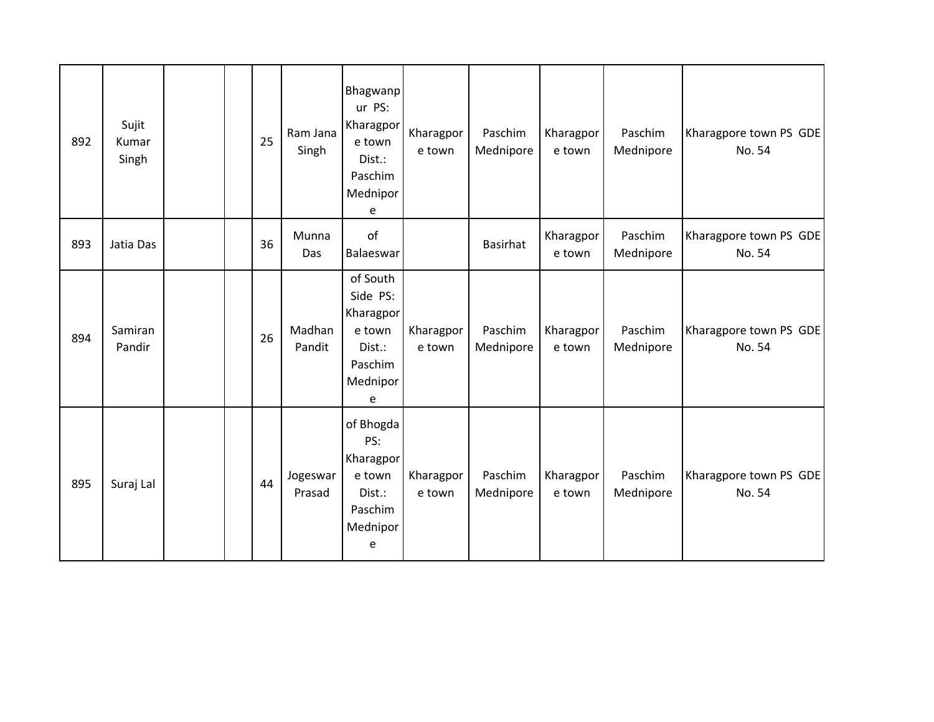| 892 | Sujit<br>Kumar<br>Singh |  | 25 | Ram Jana<br>Singh   | <b>Bhagwanp</b><br>ur PS:<br>Kharagpor<br>e town<br>Dist.:<br>Paschim<br>Mednipor<br>e | Kharagpor<br>e town | Paschim<br>Mednipore | Kharagpor<br>e town | Paschim<br>Mednipore | Kharagpore town PS GDE<br>No. 54 |
|-----|-------------------------|--|----|---------------------|----------------------------------------------------------------------------------------|---------------------|----------------------|---------------------|----------------------|----------------------------------|
| 893 | Jatia Das               |  | 36 | Munna<br><b>Das</b> | of<br>Balaeswar                                                                        |                     | <b>Basirhat</b>      | Kharagpor<br>e town | Paschim<br>Mednipore | Kharagpore town PS GDE<br>No. 54 |
| 894 | Samiran<br>Pandir       |  | 26 | Madhan<br>Pandit    | of South<br>Side PS:<br>Kharagpor<br>e town<br>Dist.:<br>Paschim<br>Mednipor<br>e      | Kharagpor<br>e town | Paschim<br>Mednipore | Kharagpor<br>e town | Paschim<br>Mednipore | Kharagpore town PS GDE<br>No. 54 |
| 895 | Suraj Lal               |  | 44 | Jogeswar<br>Prasad  | of Bhogda<br>PS:<br>Kharagpor<br>e town<br>Dist.:<br>Paschim<br>Mednipor<br>e          | Kharagpor<br>e town | Paschim<br>Mednipore | Kharagpor<br>e town | Paschim<br>Mednipore | Kharagpore town PS GDE<br>No. 54 |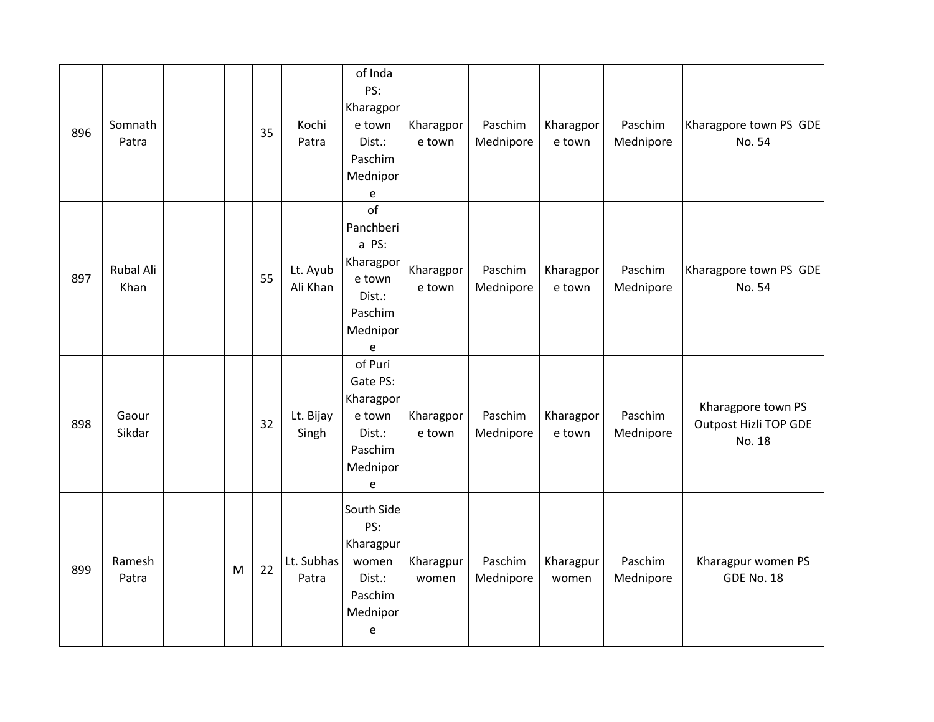| 896 | Somnath<br>Patra         |   | 35 | Kochi<br>Patra       | of Inda<br>PS:<br>Kharagpor<br>e town<br>Dist.:<br>Paschim<br>Mednipor<br>e                      | Kharagpor<br>e town | Paschim<br>Mednipore | Kharagpor<br>e town | Paschim<br>Mednipore | Kharagpore town PS GDE<br>No. 54                             |
|-----|--------------------------|---|----|----------------------|--------------------------------------------------------------------------------------------------|---------------------|----------------------|---------------------|----------------------|--------------------------------------------------------------|
| 897 | <b>Rubal Ali</b><br>Khan |   | 55 | Lt. Ayub<br>Ali Khan | $\mathsf{of}$<br>Panchberi<br>a PS:<br>Kharagpor<br>e town<br>Dist.:<br>Paschim<br>Mednipor<br>e | Kharagpor<br>e town | Paschim<br>Mednipore | Kharagpor<br>e town | Paschim<br>Mednipore | Kharagpore town PS GDE<br>No. 54                             |
| 898 | Gaour<br>Sikdar          |   | 32 | Lt. Bijay<br>Singh   | of Puri<br>Gate PS:<br>Kharagpor<br>e town<br>Dist.:<br>Paschim<br>Mednipor<br>e                 | Kharagpor<br>e town | Paschim<br>Mednipore | Kharagpor<br>e town | Paschim<br>Mednipore | Kharagpore town PS<br><b>Outpost Hizli TOP GDE</b><br>No. 18 |
| 899 | Ramesh<br>Patra          | M | 22 | Lt. Subhas<br>Patra  | South Side<br>PS:<br>Kharagpur<br>women<br>Dist.:<br>Paschim<br>Mednipor<br>e                    | Kharagpur<br>women  | Paschim<br>Mednipore | Kharagpur<br>women  | Paschim<br>Mednipore | Kharagpur women PS<br>GDE No. 18                             |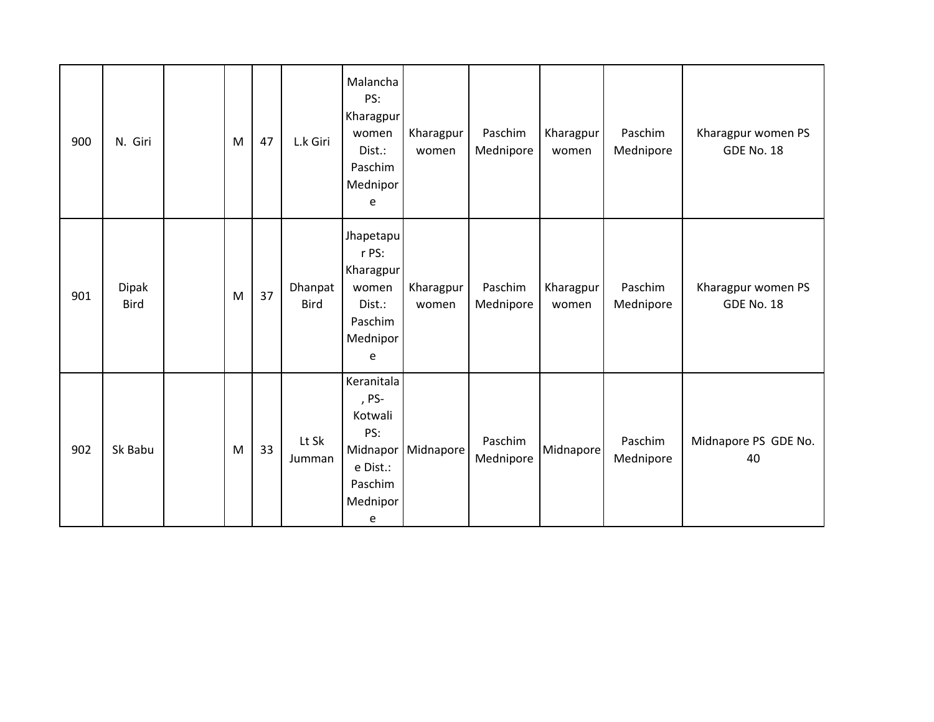| 900 | N. Giri                     | M | 47 | L.k Giri               | Malancha<br>PS:<br>Kharagpur<br>women<br>Dist.:<br>Paschim<br>Mednipor<br>e               | Kharagpur<br>women | Paschim<br>Mednipore | Kharagpur<br>women | Paschim<br>Mednipore | Kharagpur women PS<br><b>GDE No. 18</b> |
|-----|-----------------------------|---|----|------------------------|-------------------------------------------------------------------------------------------|--------------------|----------------------|--------------------|----------------------|-----------------------------------------|
| 901 | <b>Dipak</b><br><b>Bird</b> | M | 37 | Dhanpat<br><b>Bird</b> | Jhapetapu<br>r PS:<br>Kharagpur<br>women<br>Dist.:<br>Paschim<br>Mednipor<br>e            | Kharagpur<br>women | Paschim<br>Mednipore | Kharagpur<br>women | Paschim<br>Mednipore | Kharagpur women PS<br><b>GDE No. 18</b> |
| 902 | Sk Babu                     | M | 33 | Lt Sk<br>Jumman        | Keranitala<br>, PS-<br>Kotwali<br>PS:<br>Midnapor<br>e Dist.:<br>Paschim<br>Mednipor<br>e | Midnapore          | Paschim<br>Mednipore | Midnapore          | Paschim<br>Mednipore | Midnapore PS GDE No.<br>40              |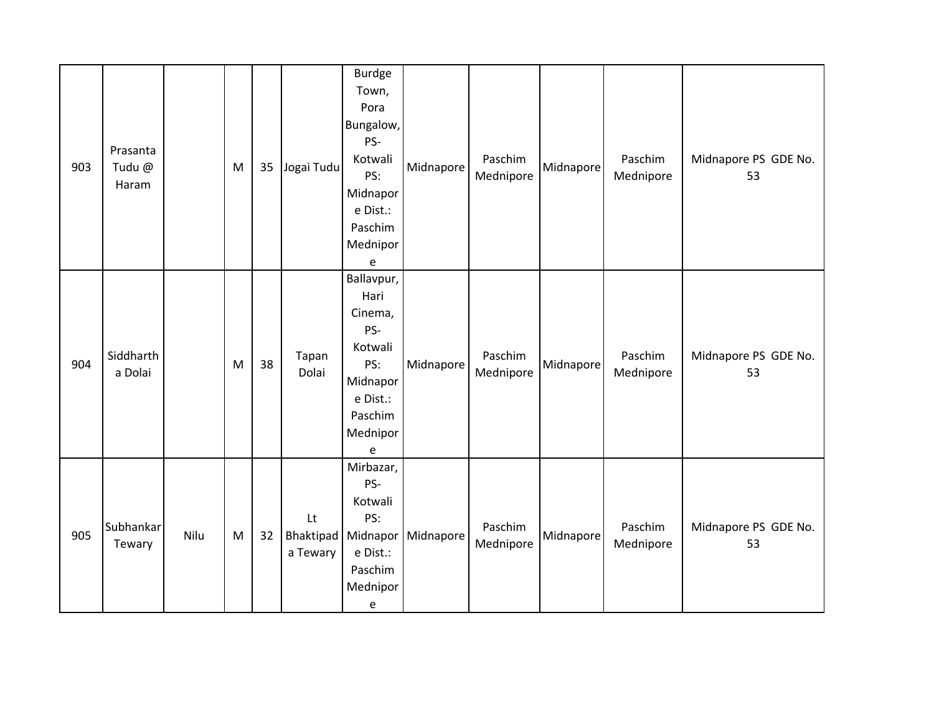| 903 | Prasanta<br>Tudu @<br>Haram |      | M | 35 | Jogai Tudu     | <b>Burdge</b><br>Town,<br>Pora<br>Bungalow,<br>PS-<br>Kotwali<br>PS:<br>Midnapor<br>e Dist.:<br>Paschim<br>Mednipor<br>e | Midnapore                        | Paschim<br>Mednipore | Midnapore | Paschim<br>Mednipore | Midnapore PS GDE No.<br>53 |
|-----|-----------------------------|------|---|----|----------------|--------------------------------------------------------------------------------------------------------------------------|----------------------------------|----------------------|-----------|----------------------|----------------------------|
| 904 | Siddharth<br>a Dolai        |      | M | 38 | Tapan<br>Dolai | Ballavpur,<br>Hari<br>Cinema,<br>PS-<br>Kotwali<br>PS:<br>Midnapor<br>e Dist.:<br>Paschim<br>Mednipor<br>e               | Midnapore                        | Paschim<br>Mednipore | Midnapore | Paschim<br>Mednipore | Midnapore PS GDE No.<br>53 |
| 905 | Subhankar<br>Tewary         | Nilu | M | 32 | Lt<br>a Tewary | Mirbazar,<br>PS-<br>Kotwali<br>PS:<br>e Dist.:<br>Paschim<br>Mednipor<br>e                                               | Bhaktipad   Midnapor   Midnapore | Paschim<br>Mednipore | Midnapore | Paschim<br>Mednipore | Midnapore PS GDE No.<br>53 |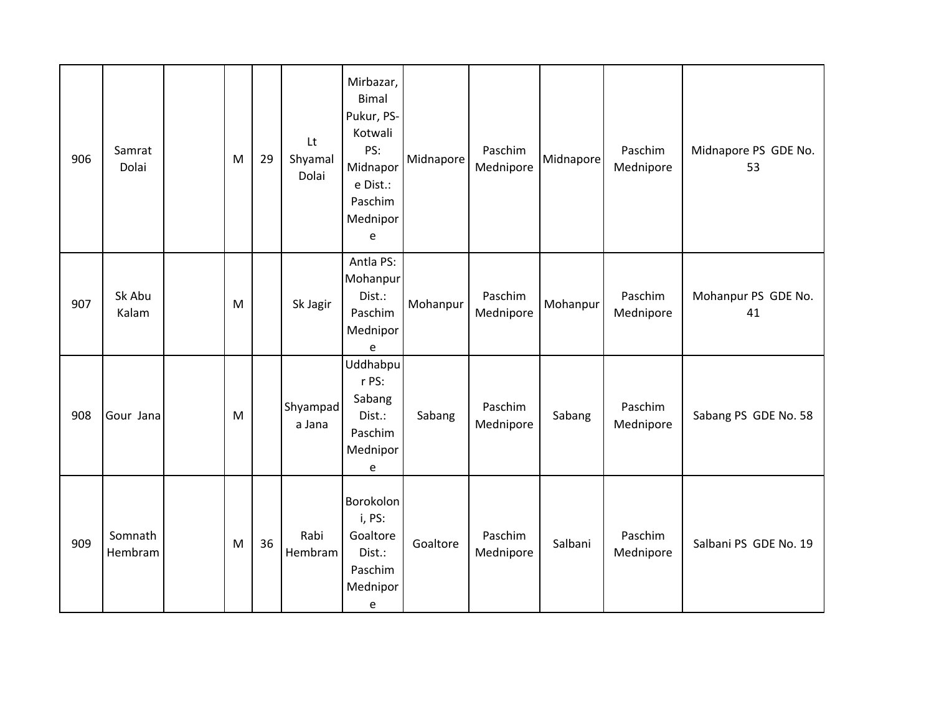| 906 | Samrat<br>Dolai    | M | 29 | Lt<br>Shyamal<br>Dolai | Mirbazar,<br><b>Bimal</b><br>Pukur, PS-<br>Kotwali<br>PS:<br>Midnapor<br>e Dist.:<br>Paschim<br>Mednipor<br>e | Midnapore | Paschim<br>Mednipore | Midnapore | Paschim<br>Mednipore | Midnapore PS GDE No.<br>53 |
|-----|--------------------|---|----|------------------------|---------------------------------------------------------------------------------------------------------------|-----------|----------------------|-----------|----------------------|----------------------------|
| 907 | Sk Abu<br>Kalam    | M |    | Sk Jagir               | Antla PS:<br>Mohanpur<br>Dist.:<br>Paschim<br>Mednipor<br>e                                                   | Mohanpur  | Paschim<br>Mednipore | Mohanpur  | Paschim<br>Mednipore | Mohanpur PS GDE No.<br>41  |
| 908 | Gour Jana          | M |    | Shyampad<br>a Jana     | Uddhabpu<br>r PS:<br>Sabang<br>Dist.:<br>Paschim<br>Mednipor<br>e                                             | Sabang    | Paschim<br>Mednipore | Sabang    | Paschim<br>Mednipore | Sabang PS GDE No. 58       |
| 909 | Somnath<br>Hembram | M | 36 | Rabi<br>Hembram        | Borokolon<br>i, PS:<br>Goaltore<br>Dist.:<br>Paschim<br>Mednipor<br>е                                         | Goaltore  | Paschim<br>Mednipore | Salbani   | Paschim<br>Mednipore | Salbani PS GDE No. 19      |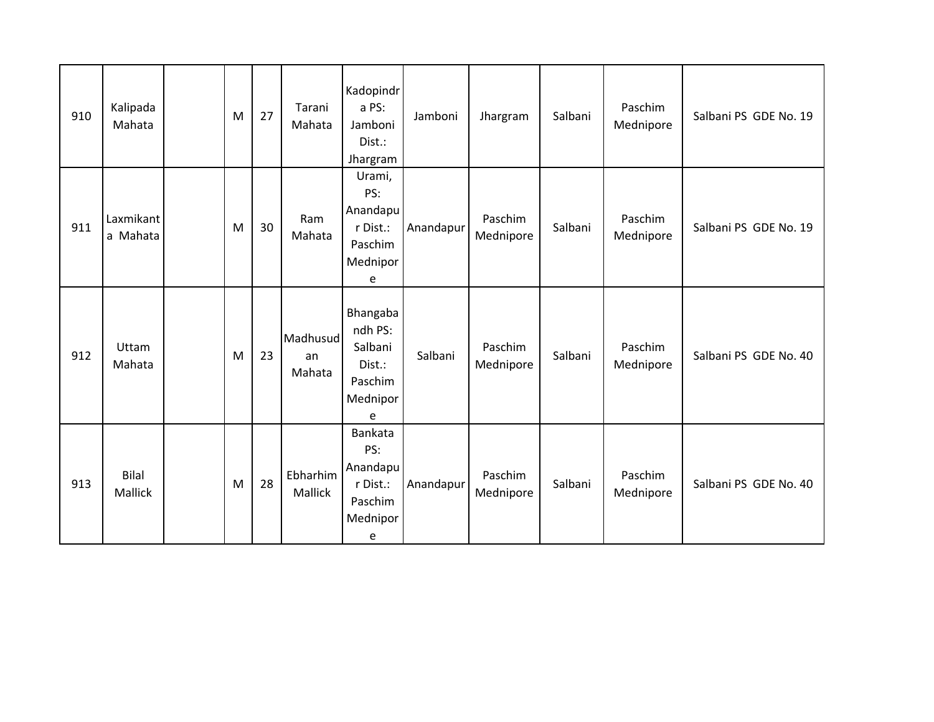| 910 | Kalipada<br>Mahata      | M | 27 | Tarani<br>Mahata         | Kadopindr<br>a PS:<br>Jamboni<br>Dist.:<br>Jhargram                       | Jamboni   | Jhargram             | Salbani | Paschim<br>Mednipore | Salbani PS GDE No. 19 |
|-----|-------------------------|---|----|--------------------------|---------------------------------------------------------------------------|-----------|----------------------|---------|----------------------|-----------------------|
| 911 | Laxmikant<br>a Mahata   | M | 30 | Ram<br>Mahata            | Urami,<br>PS:<br>Anandapu<br>r Dist.:<br>Paschim<br>Mednipor<br>e         | Anandapur | Paschim<br>Mednipore | Salbani | Paschim<br>Mednipore | Salbani PS GDE No. 19 |
| 912 | Uttam<br>Mahata         | M | 23 | Madhusud<br>an<br>Mahata | Bhangaba<br>ndh PS:<br>Salbani<br>Dist.:<br>Paschim<br>Mednipor<br>e      | Salbani   | Paschim<br>Mednipore | Salbani | Paschim<br>Mednipore | Salbani PS GDE No. 40 |
| 913 | Bilal<br><b>Mallick</b> | M | 28 | Ebharhim<br>Mallick      | <b>Bankata</b><br>PS:<br>Anandapu<br>r Dist.:<br>Paschim<br>Mednipor<br>e | Anandapur | Paschim<br>Mednipore | Salbani | Paschim<br>Mednipore | Salbani PS GDE No. 40 |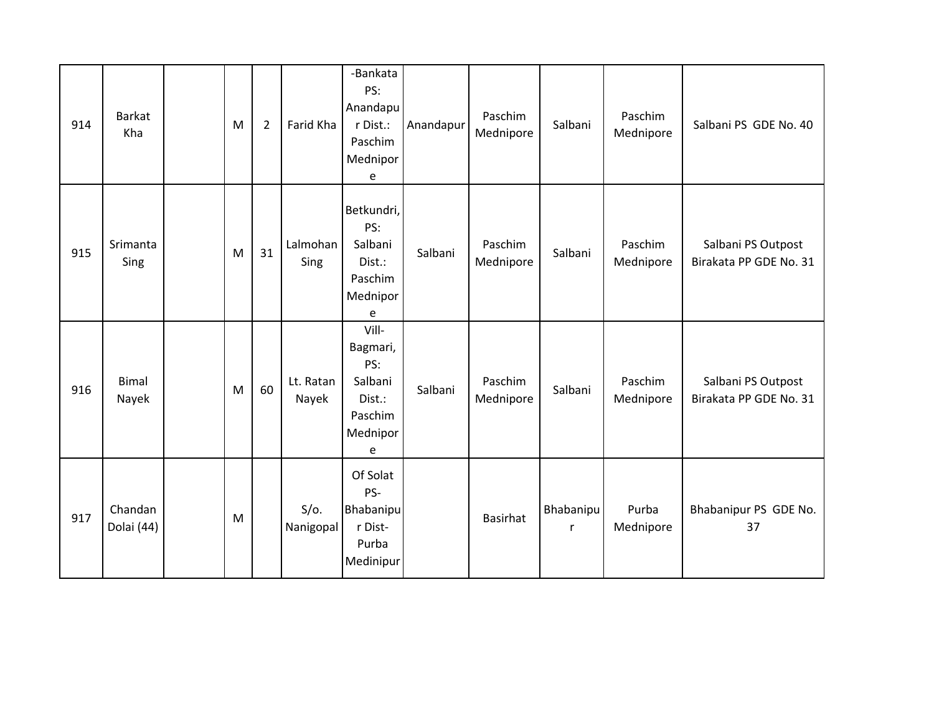| 914 | <b>Barkat</b><br>Kha  | M | $\overline{2}$ | Farid Kha            | -Bankata<br>PS:<br>Anandapu<br>r Dist.:<br>Paschim<br>Mednipor<br>e       | Anandapur | Paschim<br>Mednipore | Salbani        | Paschim<br>Mednipore | Salbani PS GDE No. 40                        |
|-----|-----------------------|---|----------------|----------------------|---------------------------------------------------------------------------|-----------|----------------------|----------------|----------------------|----------------------------------------------|
| 915 | Srimanta<br>Sing      | M | 31             | Lalmohan<br>Sing     | Betkundri,<br>PS:<br>Salbani<br>Dist.:<br>Paschim<br>Mednipor<br>e        | Salbani   | Paschim<br>Mednipore | Salbani        | Paschim<br>Mednipore | Salbani PS Outpost<br>Birakata PP GDE No. 31 |
| 916 | <b>Bimal</b><br>Nayek | M | 60             | Lt. Ratan<br>Nayek   | Vill-<br>Bagmari,<br>PS:<br>Salbani<br>Dist.:<br>Paschim<br>Mednipor<br>e | Salbani   | Paschim<br>Mednipore | Salbani        | Paschim<br>Mednipore | Salbani PS Outpost<br>Birakata PP GDE No. 31 |
| 917 | Chandan<br>Dolai (44) | M |                | $S/O$ .<br>Nanigopal | Of Solat<br>PS-<br>Bhabanipu<br>r Dist-<br>Purba<br>Medinipur             |           | <b>Basirhat</b>      | Bhabanipu<br>r | Purba<br>Mednipore   | Bhabanipur PS GDE No.<br>37                  |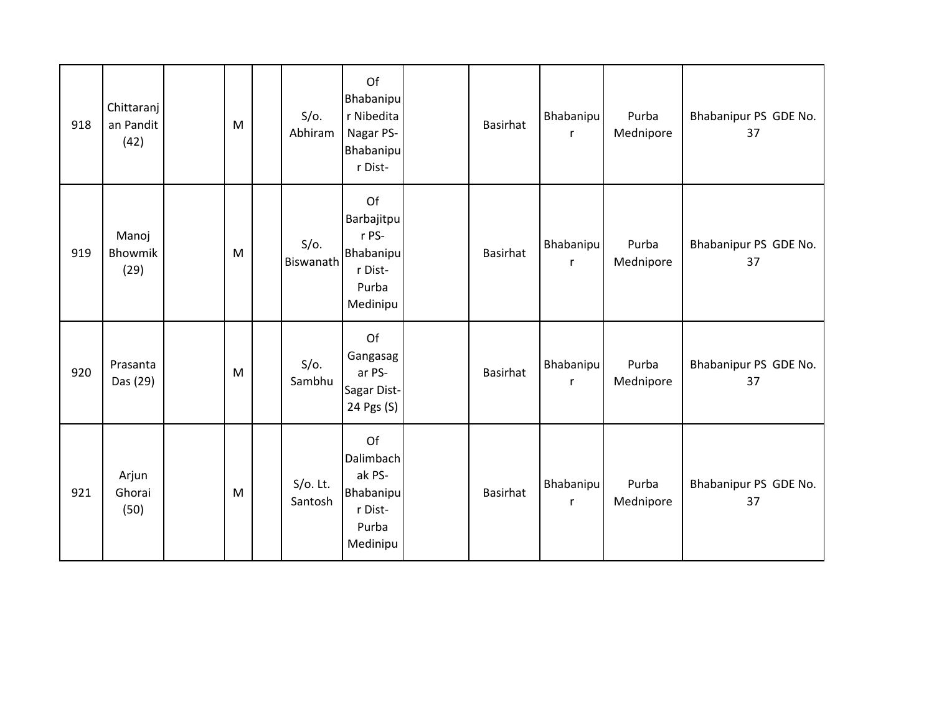| 918 | Chittaranj<br>an Pandit<br>(42) | M | $S/O$ .<br>Abhiram     | Of<br>Bhabanipu<br>r Nibedita<br>Nagar PS-<br><b>Bhabanipu</b><br>r Dist-            | <b>Basirhat</b> | Bhabanipu<br>r | Purba<br>Mednipore | Bhabanipur PS GDE No.<br>37 |
|-----|---------------------------------|---|------------------------|--------------------------------------------------------------------------------------|-----------------|----------------|--------------------|-----------------------------|
| 919 | Manoj<br>Bhowmik<br>(29)        | M | $S/O$ .<br>Biswanath   | Of<br>Barbajitpu<br>r PS-<br><b>Bhabanipu</b><br>r Dist-<br>Purba<br>Medinipu        | <b>Basirhat</b> | Bhabanipu<br>r | Purba<br>Mednipore | Bhabanipur PS GDE No.<br>37 |
| 920 | Prasanta<br>Das (29)            | M | $S/O$ .<br>Sambhu      | Of<br>Gangasag<br>ar PS-<br>Sagar Dist-<br>24 Pgs (S)                                | Basirhat        | Bhabanipu<br>r | Purba<br>Mednipore | Bhabanipur PS GDE No.<br>37 |
| 921 | Arjun<br>Ghorai<br>(50)         | M | $S/O$ . Lt.<br>Santosh | Of<br><b>Dalimbach</b><br>ak PS-<br><b>Bhabanipu</b><br>r Dist-<br>Purba<br>Medinipu | Basirhat        | Bhabanipu<br>r | Purba<br>Mednipore | Bhabanipur PS GDE No.<br>37 |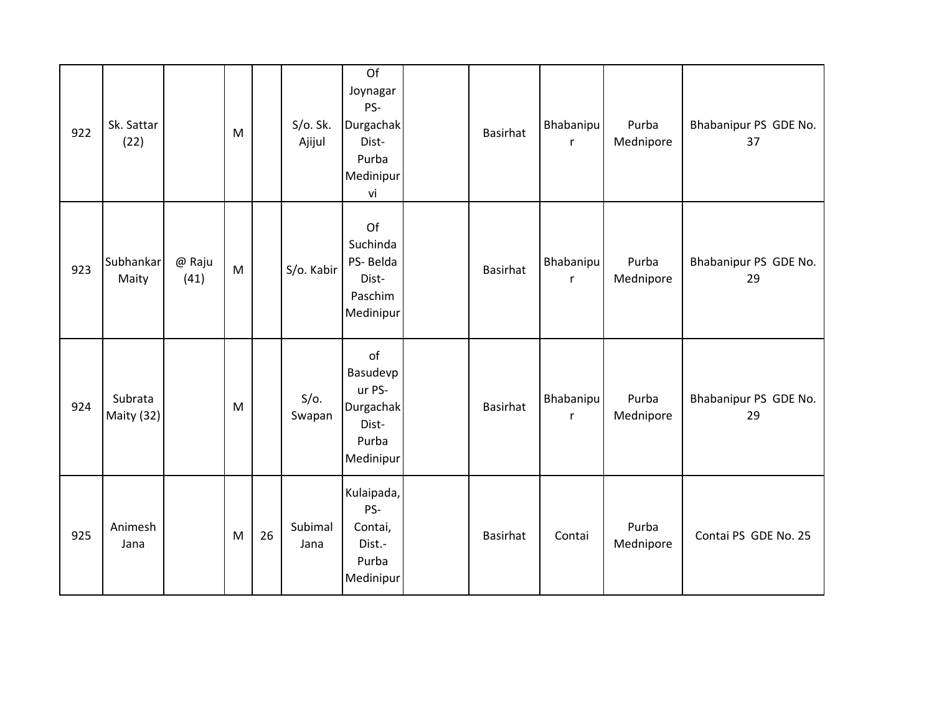| 922 | Sk. Sattar<br>(22)    |                | M |    | S/O. Sk.<br>Ajijul | Of<br>Joynagar<br>PS-<br>Durgachak<br>Dist-<br>Purba<br>Medinipur<br>vi | Basirhat        | Bhabanipu<br>r | Purba<br>Mednipore | Bhabanipur PS GDE No.<br>37 |
|-----|-----------------------|----------------|---|----|--------------------|-------------------------------------------------------------------------|-----------------|----------------|--------------------|-----------------------------|
| 923 | Subhankar<br>Maity    | @ Raju<br>(41) | M |    | S/o. Kabir         | Of<br>Suchinda<br>PS-Belda<br>Dist-<br>Paschim<br>Medinipur             | Basirhat        | Bhabanipu<br>r | Purba<br>Mednipore | Bhabanipur PS GDE No.<br>29 |
| 924 | Subrata<br>Maity (32) |                | M |    | $S/O$ .<br>Swapan  | of<br>Basudevp<br>ur PS-<br>Durgachak<br>Dist-<br>Purba<br>Medinipur    | <b>Basirhat</b> | Bhabanipu<br>r | Purba<br>Mednipore | Bhabanipur PS GDE No.<br>29 |
| 925 | Animesh<br>Jana       |                | M | 26 | Subimal<br>Jana    | Kulaipada,<br>PS-<br>Contai,<br>Dist.-<br>Purba<br>Medinipur            | <b>Basirhat</b> | Contai         | Purba<br>Mednipore | Contai PS GDE No. 25        |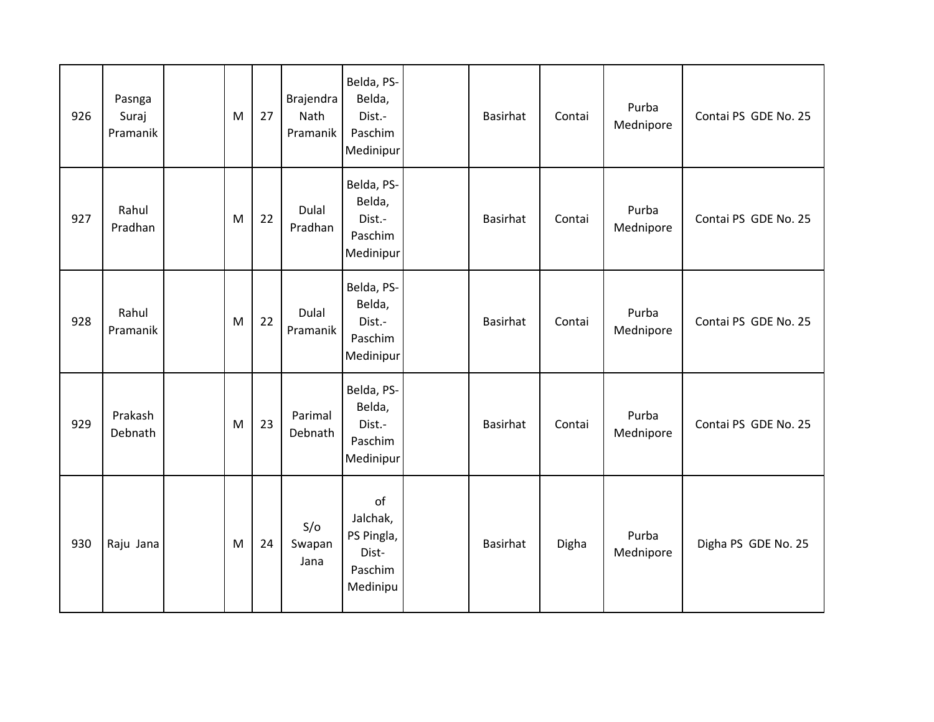| 926 | Pasnga<br>Suraj<br>Pramanik | M | 27 | Brajendra<br>Nath<br>Pramanik | Belda, PS-<br>Belda,<br>Dist.-<br>Paschim<br>Medinipur       | <b>Basirhat</b> | Contai | Purba<br>Mednipore | Contai PS GDE No. 25 |
|-----|-----------------------------|---|----|-------------------------------|--------------------------------------------------------------|-----------------|--------|--------------------|----------------------|
| 927 | Rahul<br>Pradhan            | M | 22 | Dulal<br>Pradhan              | Belda, PS-<br>Belda,<br>Dist.-<br>Paschim<br>Medinipur       | <b>Basirhat</b> | Contai | Purba<br>Mednipore | Contai PS GDE No. 25 |
| 928 | Rahul<br>Pramanik           | M | 22 | Dulal<br>Pramanik             | Belda, PS-<br>Belda,<br>Dist.-<br>Paschim<br>Medinipur       | Basirhat        | Contai | Purba<br>Mednipore | Contai PS GDE No. 25 |
| 929 | Prakash<br>Debnath          | M | 23 | Parimal<br>Debnath            | Belda, PS-<br>Belda,<br>Dist.-<br>Paschim<br>Medinipur       | <b>Basirhat</b> | Contai | Purba<br>Mednipore | Contai PS GDE No. 25 |
| 930 | Raju Jana                   | M | 24 | S/O<br>Swapan<br>Jana         | of<br>Jalchak,<br>PS Pingla,<br>Dist-<br>Paschim<br>Medinipu | <b>Basirhat</b> | Digha  | Purba<br>Mednipore | Digha PS GDE No. 25  |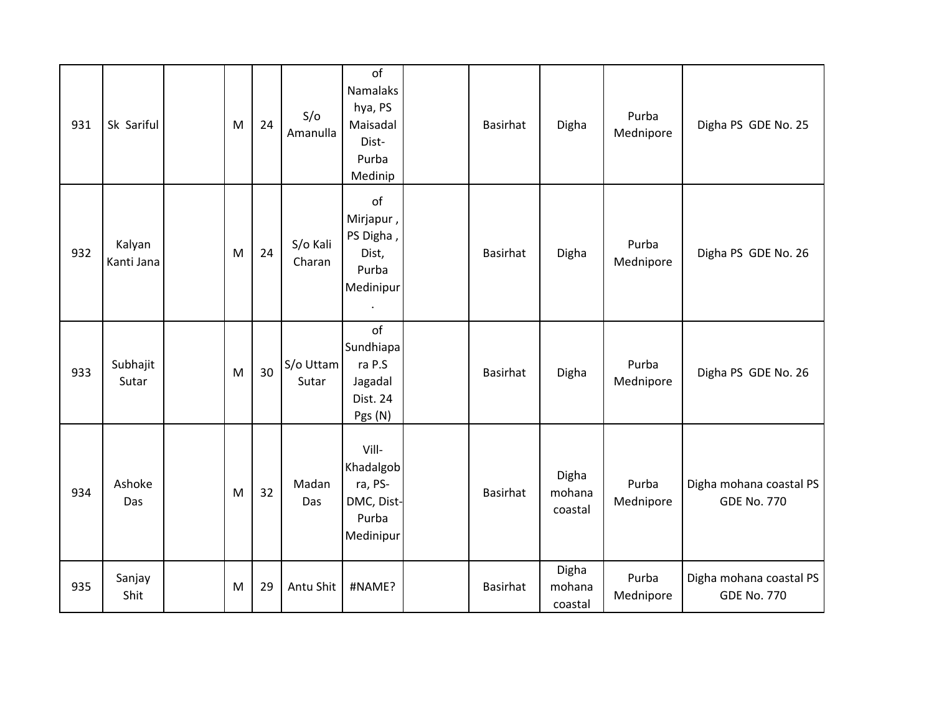| 931 | Sk Sariful           | M | 24 | S/O<br>Amanulla    | of<br>Namalaks<br>hya, PS<br>Maisadal<br>Dist-<br>Purba<br>Medinip | Basirhat        | Digha                      | Purba<br>Mednipore | Digha PS GDE No. 25                           |
|-----|----------------------|---|----|--------------------|--------------------------------------------------------------------|-----------------|----------------------------|--------------------|-----------------------------------------------|
| 932 | Kalyan<br>Kanti Jana | M | 24 | S/o Kali<br>Charan | of<br>Mirjapur,<br>PS Digha,<br>Dist,<br>Purba<br>Medinipur        | <b>Basirhat</b> | Digha                      | Purba<br>Mednipore | Digha PS GDE No. 26                           |
| 933 | Subhajit<br>Sutar    | M | 30 | S/o Uttam<br>Sutar | of<br>Sundhiapa<br>ra P.S<br>Jagadal<br>Dist. 24<br>Pgs (N)        | <b>Basirhat</b> | Digha                      | Purba<br>Mednipore | Digha PS GDE No. 26                           |
| 934 | Ashoke<br>Das        | M | 32 | Madan<br>Das       | Vill-<br>Khadalgob<br>ra, PS-<br>DMC, Dist-<br>Purba<br>Medinipur  | <b>Basirhat</b> | Digha<br>mohana<br>coastal | Purba<br>Mednipore | Digha mohana coastal PS<br><b>GDE No. 770</b> |
| 935 | Sanjay<br>Shit       | M | 29 | Antu Shit          | #NAME?                                                             | <b>Basirhat</b> | Digha<br>mohana<br>coastal | Purba<br>Mednipore | Digha mohana coastal PS<br><b>GDE No. 770</b> |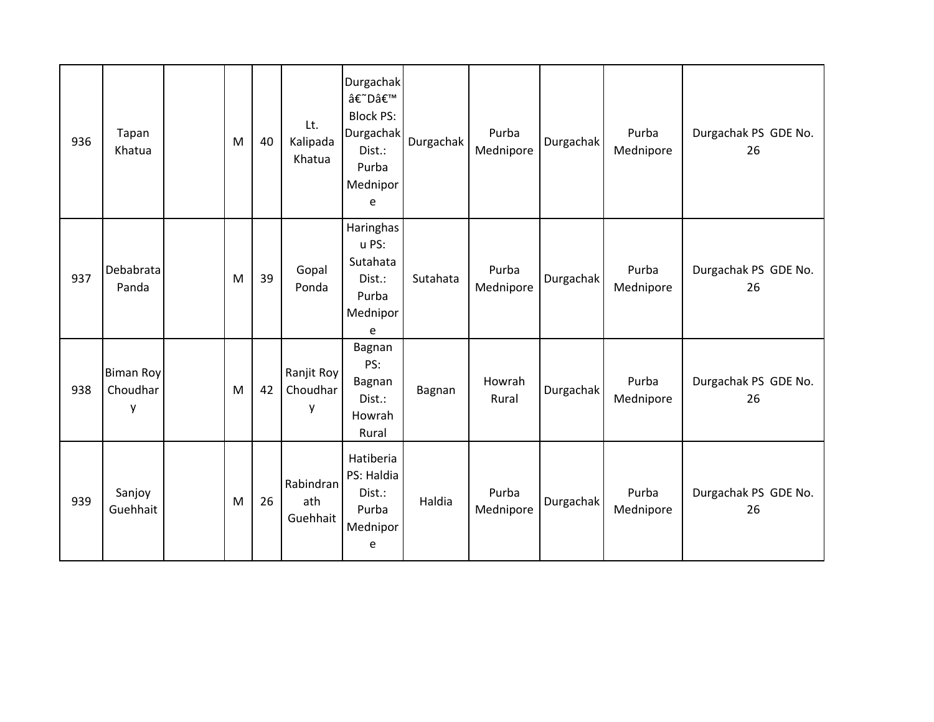| 936 | Tapan<br>Khatua                   | M | 40 | Lt.<br>Kalipada<br>Khatua    | <b>Durgachak</b><br>â€~D'<br><b>Block PS:</b><br><b>Durgachak</b><br>Dist.:<br>Purba<br>Mednipor<br>e | Durgachak | Purba<br>Mednipore | Durgachak | Purba<br>Mednipore | Durgachak PS GDE No.<br>26 |
|-----|-----------------------------------|---|----|------------------------------|-------------------------------------------------------------------------------------------------------|-----------|--------------------|-----------|--------------------|----------------------------|
| 937 | Debabrata<br>Panda                | M | 39 | Gopal<br>Ponda               | Haringhas<br>u PS:<br>Sutahata<br>Dist.:<br>Purba<br>Mednipor<br>e                                    | Sutahata  | Purba<br>Mednipore | Durgachak | Purba<br>Mednipore | Durgachak PS GDE No.<br>26 |
| 938 | <b>Biman Roy</b><br>Choudhar<br>y | M | 42 | Ranjit Roy<br>Choudhar<br>y  | Bagnan<br>PS:<br>Bagnan<br>Dist.:<br>Howrah<br>Rural                                                  | Bagnan    | Howrah<br>Rural    | Durgachak | Purba<br>Mednipore | Durgachak PS GDE No.<br>26 |
| 939 | Sanjoy<br>Guehhait                | M | 26 | Rabindran<br>ath<br>Guehhait | Hatiberia<br>PS: Haldia<br>Dist.:<br>Purba<br>Mednipor<br>e                                           | Haldia    | Purba<br>Mednipore | Durgachak | Purba<br>Mednipore | Durgachak PS GDE No.<br>26 |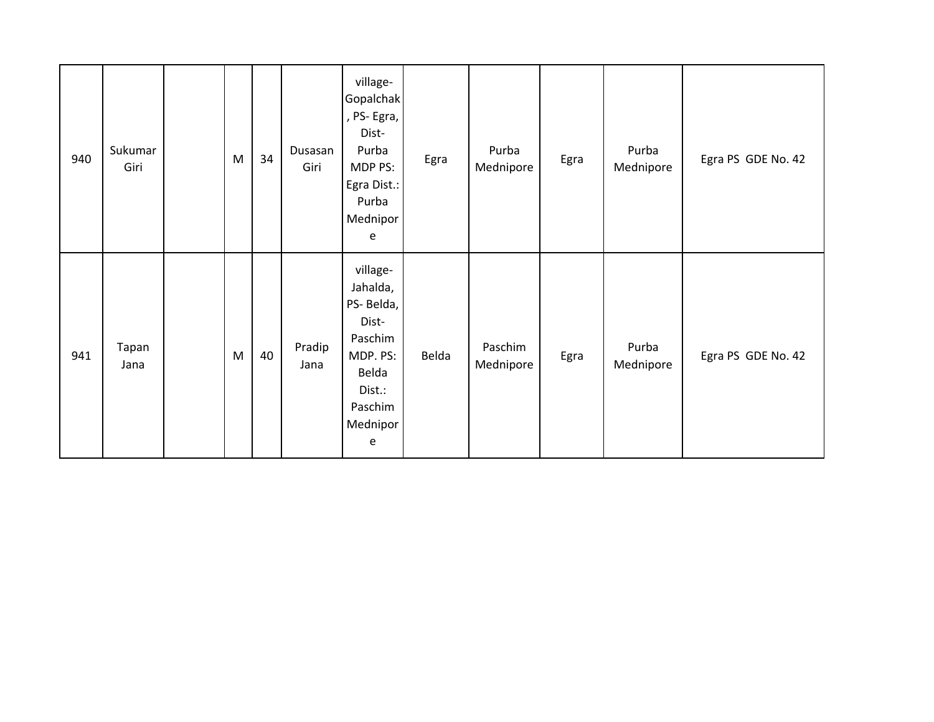| 940 | Sukumar<br>Giri | M | 34 | Dusasan<br>Giri | village-<br>Gopalchak<br>, PS-Egra,<br>Dist-<br>Purba<br>MDP PS:<br>Egra Dist.:<br>Purba<br>Mednipor<br>e        | Egra  | Purba<br>Mednipore   | Egra | Purba<br>Mednipore | Egra PS GDE No. 42 |
|-----|-----------------|---|----|-----------------|------------------------------------------------------------------------------------------------------------------|-------|----------------------|------|--------------------|--------------------|
| 941 | Tapan<br>Jana   | M | 40 | Pradip<br>Jana  | village-<br>Jahalda,<br>PS-Belda,<br>Dist-<br>Paschim<br>MDP. PS:<br>Belda<br>Dist.:<br>Paschim<br>Mednipor<br>e | Belda | Paschim<br>Mednipore | Egra | Purba<br>Mednipore | Egra PS GDE No. 42 |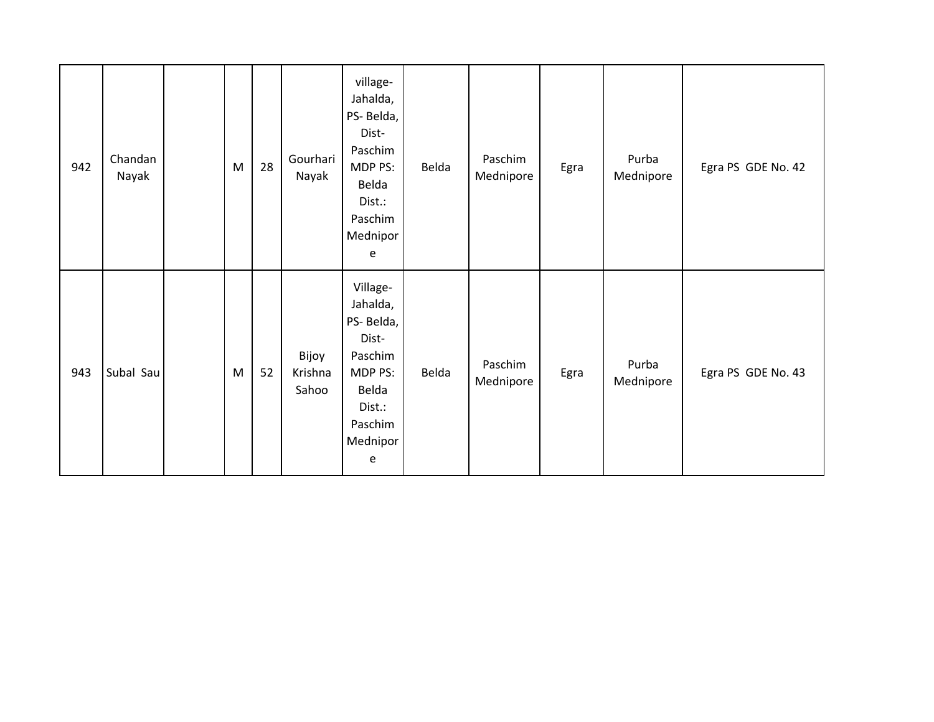| 942 | Chandan<br>Nayak | ${\sf M}$ | 28 | Gourhari<br>Nayak         | village-<br>Jahalda,<br>PS-Belda,<br>Dist-<br>Paschim<br>MDP PS:<br>Belda<br>Dist.:<br>Paschim<br>Mednipor<br>e | Belda | Paschim<br>Mednipore | Egra | Purba<br>Mednipore | Egra PS GDE No. 42 |
|-----|------------------|-----------|----|---------------------------|-----------------------------------------------------------------------------------------------------------------|-------|----------------------|------|--------------------|--------------------|
| 943 | Subal Sau        | ${\sf M}$ | 52 | Bijoy<br>Krishna<br>Sahoo | Village-<br>Jahalda,<br>PS-Belda,<br>Dist-<br>Paschim<br>MDP PS:<br>Belda<br>Dist.:<br>Paschim<br>Mednipor<br>e | Belda | Paschim<br>Mednipore | Egra | Purba<br>Mednipore | Egra PS GDE No. 43 |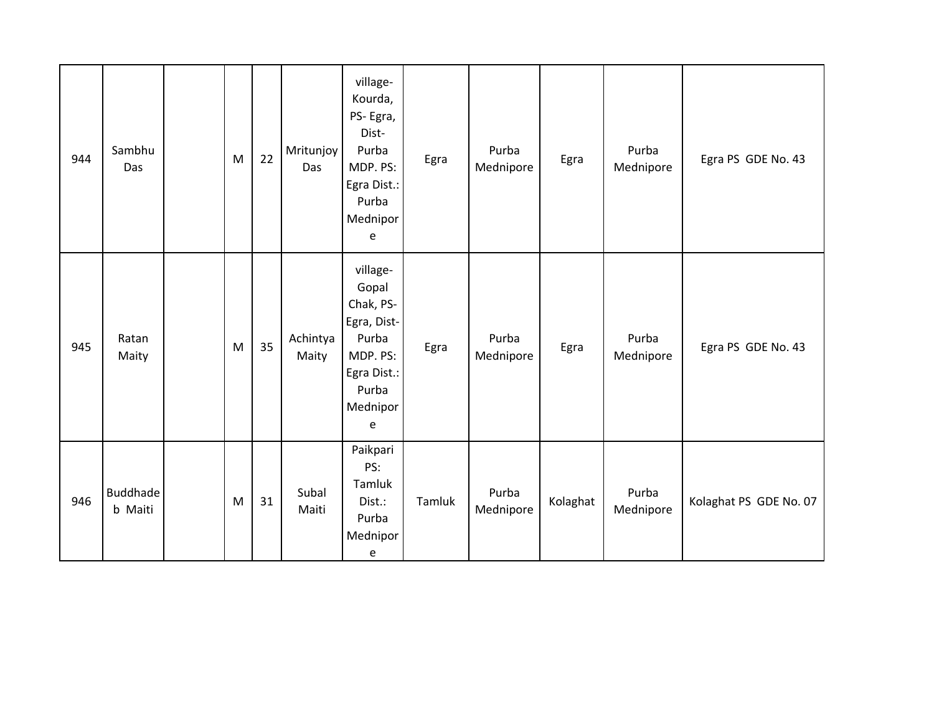| 944 | Sambhu<br>Das              | M | 22 | Mritunjoy<br>Das  | village-<br>Kourda,<br>PS-Egra,<br>Dist-<br>Purba<br>MDP. PS:<br>Egra Dist.:<br>Purba<br>Mednipor<br>e      | Egra   | Purba<br>Mednipore | Egra     | Purba<br>Mednipore | Egra PS GDE No. 43     |
|-----|----------------------------|---|----|-------------------|-------------------------------------------------------------------------------------------------------------|--------|--------------------|----------|--------------------|------------------------|
| 945 | Ratan<br>Maity             | M | 35 | Achintya<br>Maity | village-<br>Gopal<br>Chak, PS-<br>Egra, Dist-<br>Purba<br>MDP. PS:<br>Egra Dist.:<br>Purba<br>Mednipor<br>e | Egra   | Purba<br>Mednipore | Egra     | Purba<br>Mednipore | Egra PS GDE No. 43     |
| 946 | <b>Buddhade</b><br>b Maiti | M | 31 | Subal<br>Maiti    | Paikpari<br>PS:<br>Tamluk<br>Dist.:<br>Purba<br>Mednipor<br>e                                               | Tamluk | Purba<br>Mednipore | Kolaghat | Purba<br>Mednipore | Kolaghat PS GDE No. 07 |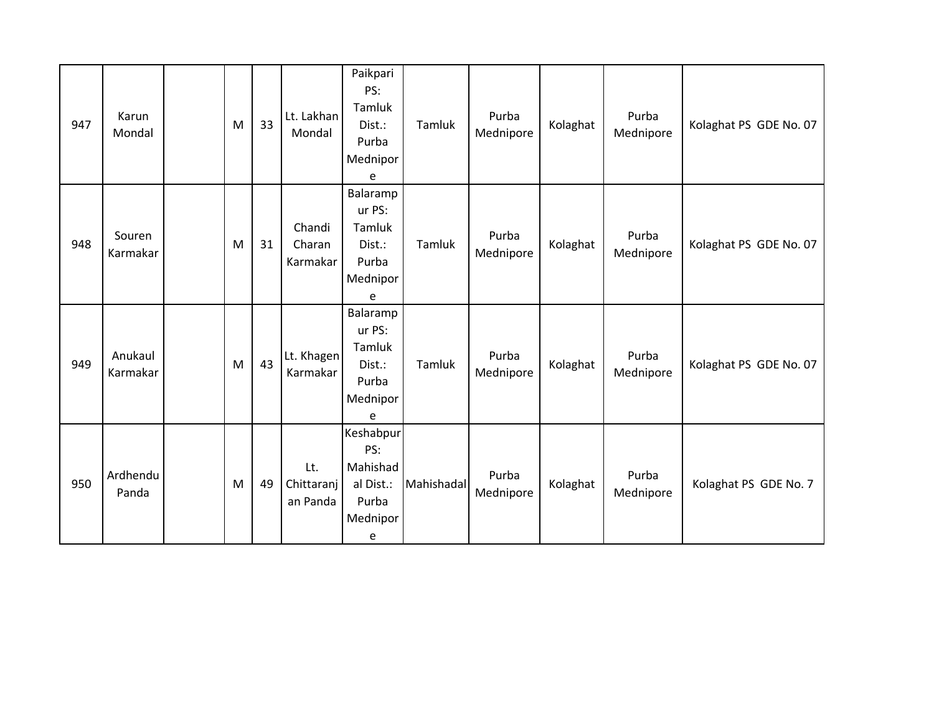| 947 | Karun<br>Mondal     | M | 33 | Lt. Lakhan<br>Mondal          | Paikpari<br>PS:<br>Tamluk<br>Dist.:<br>Purba<br>Mednipor<br>e       | Tamluk     | Purba<br>Mednipore | Kolaghat | Purba<br>Mednipore | Kolaghat PS GDE No. 07 |
|-----|---------------------|---|----|-------------------------------|---------------------------------------------------------------------|------------|--------------------|----------|--------------------|------------------------|
| 948 | Souren<br>Karmakar  | M | 31 | Chandi<br>Charan<br>Karmakar  | Balaramp<br>ur PS:<br>Tamluk<br>Dist.:<br>Purba<br>Mednipor<br>e    | Tamluk     | Purba<br>Mednipore | Kolaghat | Purba<br>Mednipore | Kolaghat PS GDE No. 07 |
| 949 | Anukaul<br>Karmakar | M | 43 | Lt. Khagen<br>Karmakar        | Balaramp<br>ur PS:<br>Tamluk<br>Dist.:<br>Purba<br>Mednipor<br>e    | Tamluk     | Purba<br>Mednipore | Kolaghat | Purba<br>Mednipore | Kolaghat PS GDE No. 07 |
| 950 | Ardhendu<br>Panda   | M | 49 | Lt.<br>Chittaranj<br>an Panda | Keshabpur<br>PS:<br>Mahishad<br>al Dist.:<br>Purba<br>Mednipor<br>e | Mahishadal | Purba<br>Mednipore | Kolaghat | Purba<br>Mednipore | Kolaghat PS GDE No. 7  |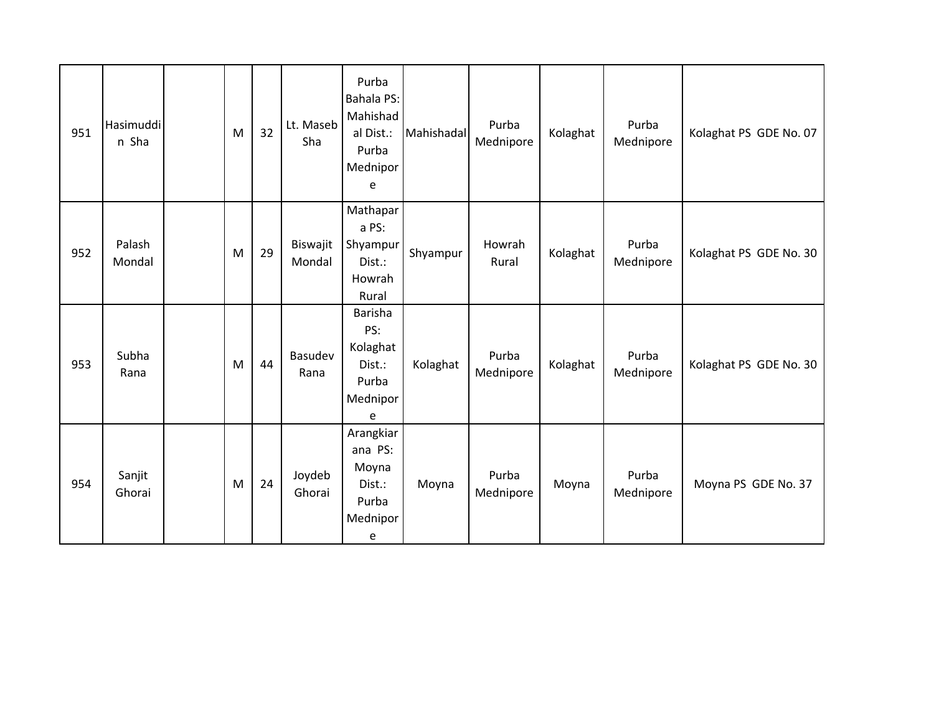| 951 | Hasimuddi<br>n Sha | M | 32 | Lt. Maseb<br>Sha   | Purba<br><b>Bahala PS:</b><br>Mahishad<br>al Dist.:<br>Purba<br>Mednipor<br>e | Mahishadal | Purba<br>Mednipore | Kolaghat | Purba<br>Mednipore | Kolaghat PS GDE No. 07 |
|-----|--------------------|---|----|--------------------|-------------------------------------------------------------------------------|------------|--------------------|----------|--------------------|------------------------|
| 952 | Palash<br>Mondal   | M | 29 | Biswajit<br>Mondal | Mathapar<br>a PS:<br>Shyampur<br>Dist.:<br>Howrah<br>Rural                    | Shyampur   | Howrah<br>Rural    | Kolaghat | Purba<br>Mednipore | Kolaghat PS GDE No. 30 |
| 953 | Subha<br>Rana      | M | 44 | Basudev<br>Rana    | Barisha<br>PS:<br>Kolaghat<br>Dist.:<br>Purba<br>Mednipor<br>e                | Kolaghat   | Purba<br>Mednipore | Kolaghat | Purba<br>Mednipore | Kolaghat PS GDE No. 30 |
| 954 | Sanjit<br>Ghorai   | M | 24 | Joydeb<br>Ghorai   | Arangkiar<br>ana PS:<br>Moyna<br>Dist.:<br>Purba<br>Mednipor<br>e             | Moyna      | Purba<br>Mednipore | Moyna    | Purba<br>Mednipore | Moyna PS GDE No. 37    |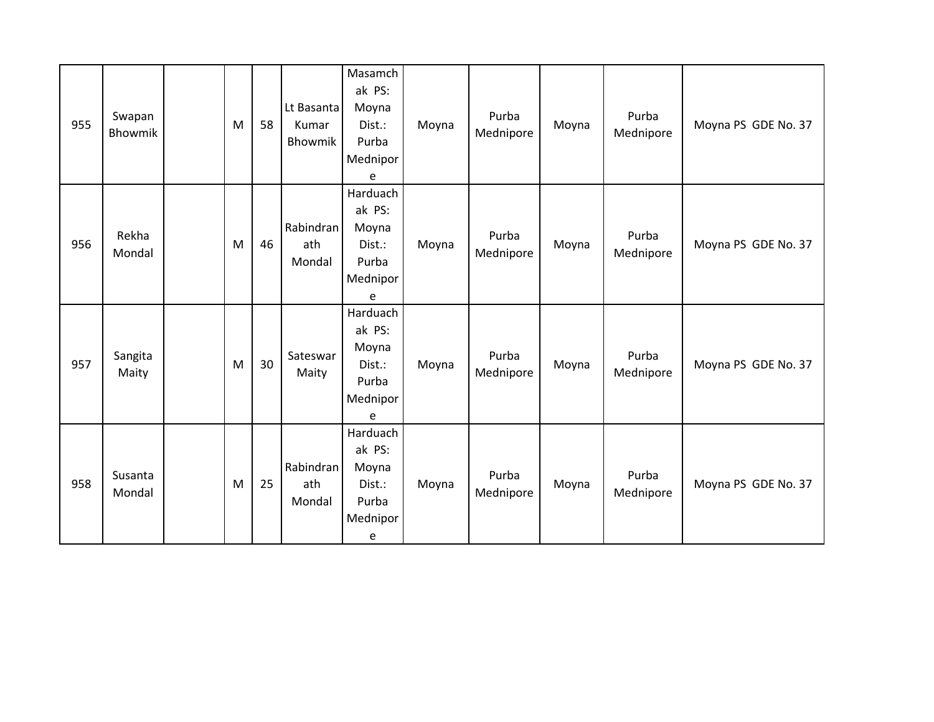| 955 | Swapan<br>Bhowmik | M | 58 | Lt Basanta<br>Kumar<br>Bhowmik | Masamch<br>ak PS:<br>Moyna<br>Dist.:<br>Purba<br>Mednipor<br>e  | Moyna | Purba<br>Mednipore | Moyna | Purba<br>Mednipore | Moyna PS GDE No. 37 |
|-----|-------------------|---|----|--------------------------------|-----------------------------------------------------------------|-------|--------------------|-------|--------------------|---------------------|
| 956 | Rekha<br>Mondal   | M | 46 | Rabindran<br>ath<br>Mondal     | Harduach<br>ak PS:<br>Moyna<br>Dist.:<br>Purba<br>Mednipor<br>e | Moyna | Purba<br>Mednipore | Moyna | Purba<br>Mednipore | Moyna PS GDE No. 37 |
| 957 | Sangita<br>Maity  | M | 30 | Sateswar<br>Maity              | Harduach<br>ak PS:<br>Moyna<br>Dist.:<br>Purba<br>Mednipor<br>e | Moyna | Purba<br>Mednipore | Moyna | Purba<br>Mednipore | Moyna PS GDE No. 37 |
| 958 | Susanta<br>Mondal | M | 25 | Rabindran<br>ath<br>Mondal     | Harduach<br>ak PS:<br>Moyna<br>Dist.:<br>Purba<br>Mednipor<br>e | Moyna | Purba<br>Mednipore | Moyna | Purba<br>Mednipore | Moyna PS GDE No. 37 |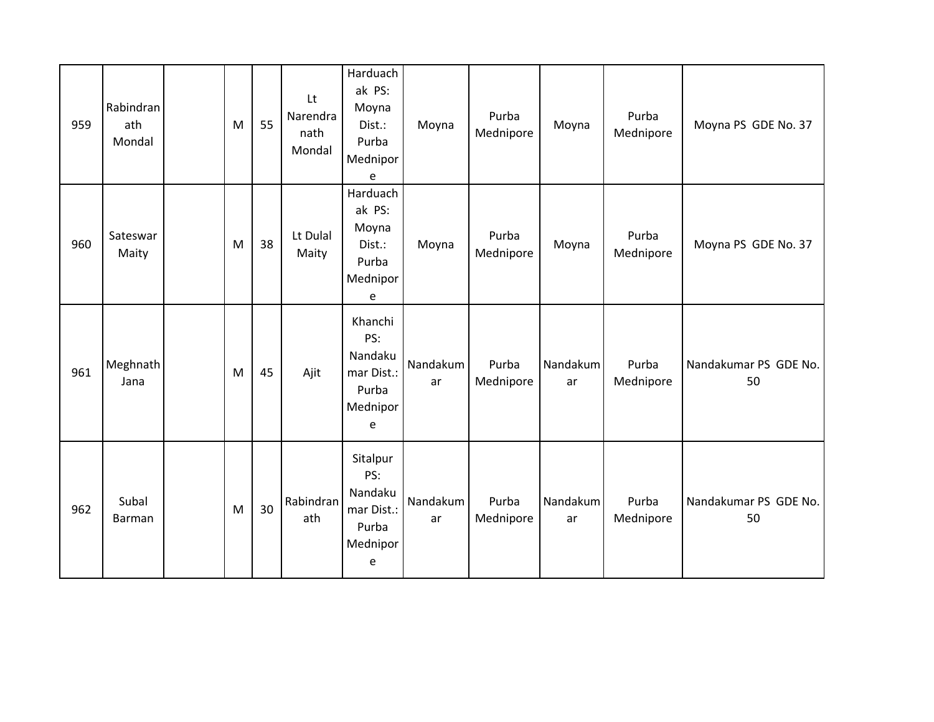| 959 | Rabindran<br>ath<br>Mondal | M | 55 | Lt<br>Narendra<br>nath<br>Mondal | Harduach<br>ak PS:<br>Moyna<br>Dist.:<br>Purba<br>Mednipor<br>e    | Moyna          | Purba<br>Mednipore | Moyna          | Purba<br>Mednipore | Moyna PS GDE No. 37         |
|-----|----------------------------|---|----|----------------------------------|--------------------------------------------------------------------|----------------|--------------------|----------------|--------------------|-----------------------------|
| 960 | Sateswar<br>Maity          | M | 38 | Lt Dulal<br>Maity                | Harduach<br>ak PS:<br>Moyna<br>Dist.:<br>Purba<br>Mednipor<br>e    | Moyna          | Purba<br>Mednipore | Moyna          | Purba<br>Mednipore | Moyna PS GDE No. 37         |
| 961 | Meghnath<br>Jana           | M | 45 | Ajit                             | Khanchi<br>PS:<br>Nandaku<br>mar Dist.:<br>Purba<br>Mednipor<br>e  | Nandakum<br>ar | Purba<br>Mednipore | Nandakum<br>ar | Purba<br>Mednipore | Nandakumar PS GDE No.<br>50 |
| 962 | Subal<br><b>Barman</b>     | M | 30 | Rabindran<br>ath                 | Sitalpur<br>PS:<br>Nandaku<br>mar Dist.:<br>Purba<br>Mednipor<br>e | Nandakum<br>ar | Purba<br>Mednipore | Nandakum<br>ar | Purba<br>Mednipore | Nandakumar PS GDE No.<br>50 |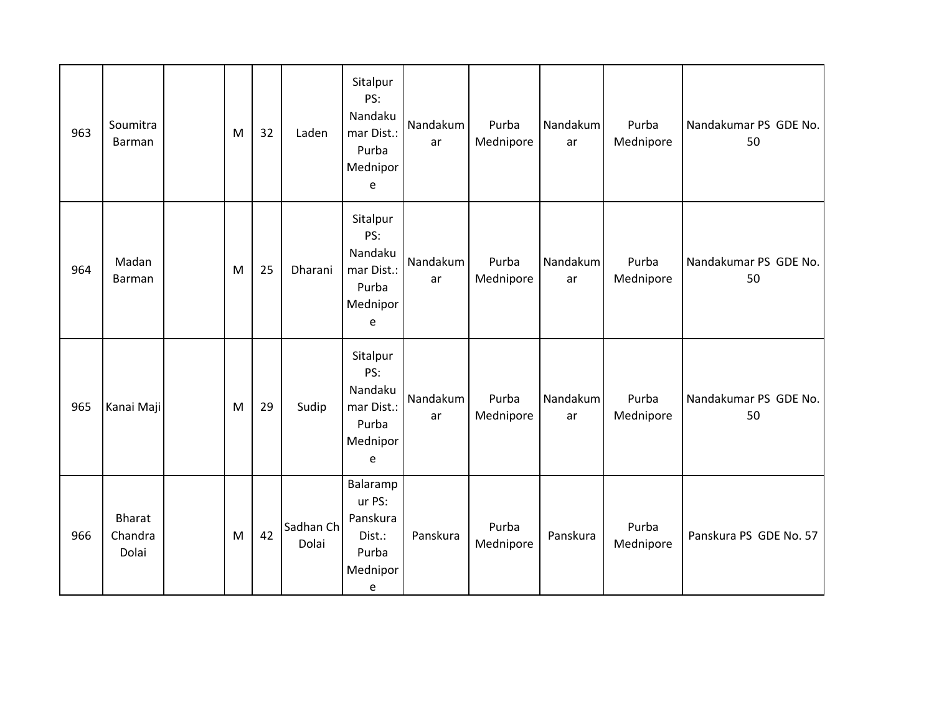| 963 | Soumitra<br>Barman                | M | 32 | Laden              | Sitalpur<br>PS:<br>Nandaku<br>mar Dist.:<br>Purba<br>Mednipor<br>e | Nandakum<br>ar | Purba<br>Mednipore | Nandakum<br>ar | Purba<br>Mednipore | Nandakumar PS GDE No.<br>50 |
|-----|-----------------------------------|---|----|--------------------|--------------------------------------------------------------------|----------------|--------------------|----------------|--------------------|-----------------------------|
| 964 | Madan<br><b>Barman</b>            | M | 25 | Dharani            | Sitalpur<br>PS:<br>Nandaku<br>mar Dist.:<br>Purba<br>Mednipor<br>e | Nandakum<br>ar | Purba<br>Mednipore | Nandakum<br>ar | Purba<br>Mednipore | Nandakumar PS GDE No.<br>50 |
| 965 | Kanai Maji                        | M | 29 | Sudip              | Sitalpur<br>PS:<br>Nandaku<br>mar Dist.:<br>Purba<br>Mednipor<br>e | Nandakum<br>ar | Purba<br>Mednipore | Nandakum<br>ar | Purba<br>Mednipore | Nandakumar PS GDE No.<br>50 |
| 966 | <b>Bharat</b><br>Chandra<br>Dolai | M | 42 | Sadhan Ch<br>Dolai | Balaramp<br>ur PS:<br>Panskura<br>Dist.:<br>Purba<br>Mednipor<br>e | Panskura       | Purba<br>Mednipore | Panskura       | Purba<br>Mednipore | Panskura PS GDE No. 57      |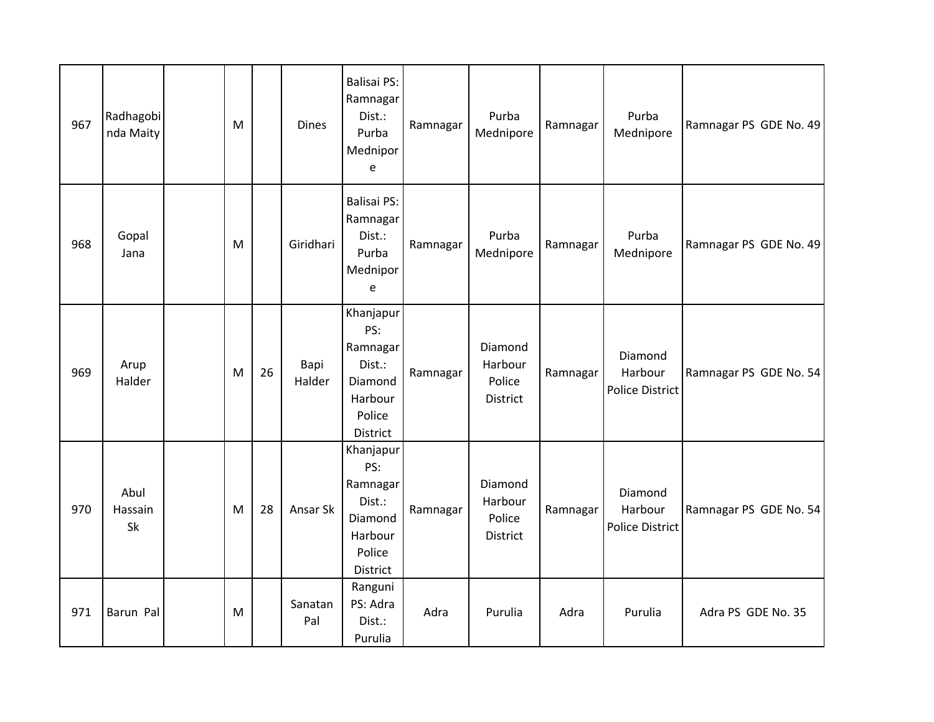| 967 | Radhagobi<br>nda Maity | M |    | <b>Dines</b>   | <b>Balisai PS:</b><br>Ramnagar<br>Dist.:<br>Purba<br>Mednipor<br>e                 | Ramnagar | Purba<br>Mednipore                       | Ramnagar | Purba<br>Mednipore                    | Ramnagar PS GDE No. 49 |
|-----|------------------------|---|----|----------------|------------------------------------------------------------------------------------|----------|------------------------------------------|----------|---------------------------------------|------------------------|
| 968 | Gopal<br>Jana          | M |    | Giridhari      | <b>Balisai PS:</b><br>Ramnagar<br>Dist.:<br>Purba<br>Mednipor<br>e                 | Ramnagar | Purba<br>Mednipore                       | Ramnagar | Purba<br>Mednipore                    | Ramnagar PS GDE No. 49 |
| 969 | Arup<br>Halder         | M | 26 | Bapi<br>Halder | Khanjapur<br>PS:<br>Ramnagar<br>Dist.:<br>Diamond<br>Harbour<br>Police<br>District | Ramnagar | Diamond<br>Harbour<br>Police<br>District | Ramnagar | Diamond<br>Harbour<br>Police District | Ramnagar PS GDE No. 54 |
| 970 | Abul<br>Hassain<br>Sk  | M | 28 | Ansar Sk       | Khanjapur<br>PS:<br>Ramnagar<br>Dist.:<br>Diamond<br>Harbour<br>Police<br>District | Ramnagar | Diamond<br>Harbour<br>Police<br>District | Ramnagar | Diamond<br>Harbour<br>Police District | Ramnagar PS GDE No. 54 |
| 971 | Barun Pal              | M |    | Sanatan<br>Pal | Ranguni<br>PS: Adra<br>Dist.:<br>Purulia                                           | Adra     | Purulia                                  | Adra     | Purulia                               | Adra PS GDE No. 35     |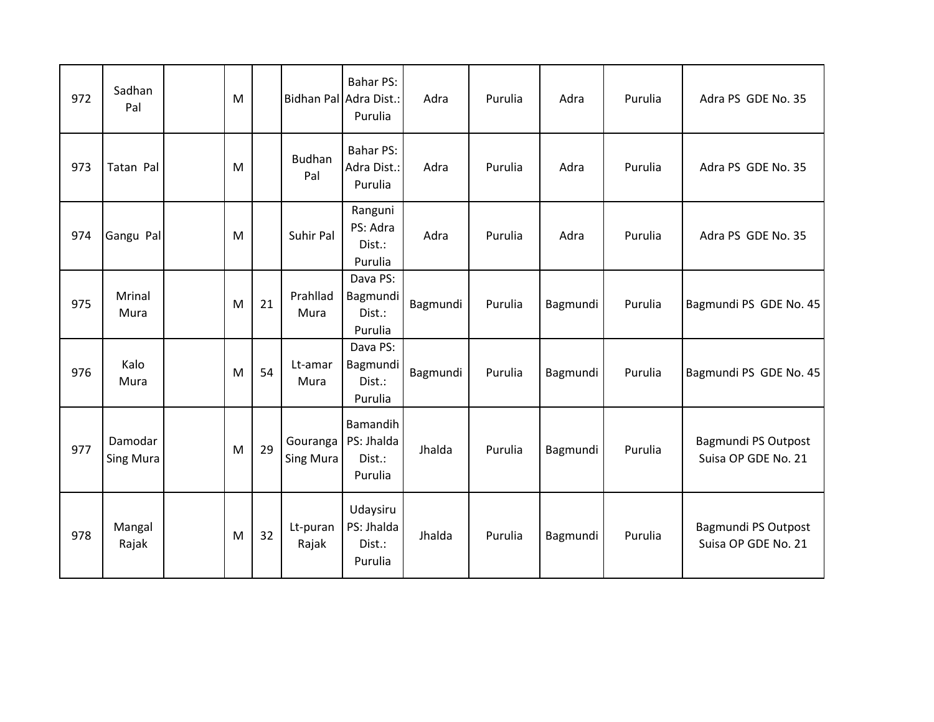| 972 | Sadhan<br>Pal               | M |    |                       | <b>Bahar PS:</b><br>Bidhan Pal Adra Dist.:<br>Purulia | Adra     | Purulia | Adra     | Purulia | Adra PS GDE No. 35                         |
|-----|-----------------------------|---|----|-----------------------|-------------------------------------------------------|----------|---------|----------|---------|--------------------------------------------|
| 973 | Tatan Pal                   | M |    | <b>Budhan</b><br>Pal  | <b>Bahar PS:</b><br>Adra Dist.:<br>Purulia            | Adra     | Purulia | Adra     | Purulia | Adra PS GDE No. 35                         |
| 974 | Gangu Pal                   | M |    | Suhir Pal             | Ranguni<br>PS: Adra<br>Dist.:<br>Purulia              | Adra     | Purulia | Adra     | Purulia | Adra PS GDE No. 35                         |
| 975 | Mrinal<br>Mura              | M | 21 | Prahllad<br>Mura      | Dava PS:<br>Bagmundi<br>Dist.:<br>Purulia             | Bagmundi | Purulia | Bagmundi | Purulia | Bagmundi PS GDE No. 45                     |
| 976 | Kalo<br>Mura                | M | 54 | Lt-amar<br>Mura       | Dava PS:<br>Bagmundi<br>Dist.:<br>Purulia             | Bagmundi | Purulia | Bagmundi | Purulia | Bagmundi PS GDE No. 45                     |
| 977 | Damodar<br><b>Sing Mura</b> | M | 29 | Gouranga<br>Sing Mura | Bamandih<br>PS: Jhalda<br>Dist.:<br>Purulia           | Jhalda   | Purulia | Bagmundi | Purulia | Bagmundi PS Outpost<br>Suisa OP GDE No. 21 |
| 978 | Mangal<br>Rajak             | M | 32 | Lt-puran<br>Rajak     | Udaysiru<br>PS: Jhalda<br>Dist.:<br>Purulia           | Jhalda   | Purulia | Bagmundi | Purulia | Bagmundi PS Outpost<br>Suisa OP GDE No. 21 |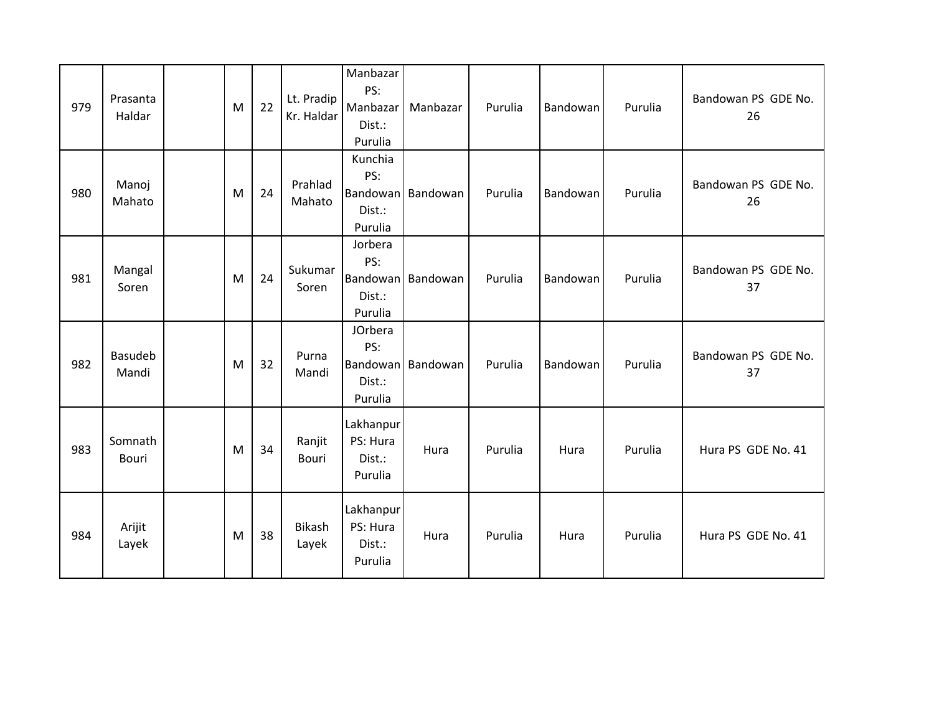| 979 | Prasanta<br>Haldar      | M | 22 | Lt. Pradip<br>Kr. Haldar | Manbazar<br>PS:<br>Manbazar<br>Dist.:<br>Purulia | Manbazar          | Purulia | Bandowan | Purulia | Bandowan PS GDE No.<br>26 |
|-----|-------------------------|---|----|--------------------------|--------------------------------------------------|-------------------|---------|----------|---------|---------------------------|
| 980 | Manoj<br>Mahato         | M | 24 | Prahlad<br>Mahato        | Kunchia<br>PS:<br>Dist.:<br>Purulia              | Bandowan Bandowan | Purulia | Bandowan | Purulia | Bandowan PS GDE No.<br>26 |
| 981 | Mangal<br>Soren         | M | 24 | Sukumar<br>Soren         | Jorbera<br>PS:<br>Bandowan<br>Dist.:<br>Purulia  | Bandowan          | Purulia | Bandowan | Purulia | Bandowan PS GDE No.<br>37 |
| 982 | <b>Basudeb</b><br>Mandi | M | 32 | Purna<br>Mandi           | JOrbera<br>PS:<br>Dist.:<br>Purulia              | Bandowan Bandowan | Purulia | Bandowan | Purulia | Bandowan PS GDE No.<br>37 |
| 983 | Somnath<br>Bouri        | M | 34 | Ranjit<br><b>Bouri</b>   | Lakhanpur<br>PS: Hura<br>Dist.:<br>Purulia       | Hura              | Purulia | Hura     | Purulia | Hura PS GDE No. 41        |
| 984 | Arijit<br>Layek         | M | 38 | <b>Bikash</b><br>Layek   | Lakhanpur<br>PS: Hura<br>Dist.:<br>Purulia       | Hura              | Purulia | Hura     | Purulia | Hura PS GDE No. 41        |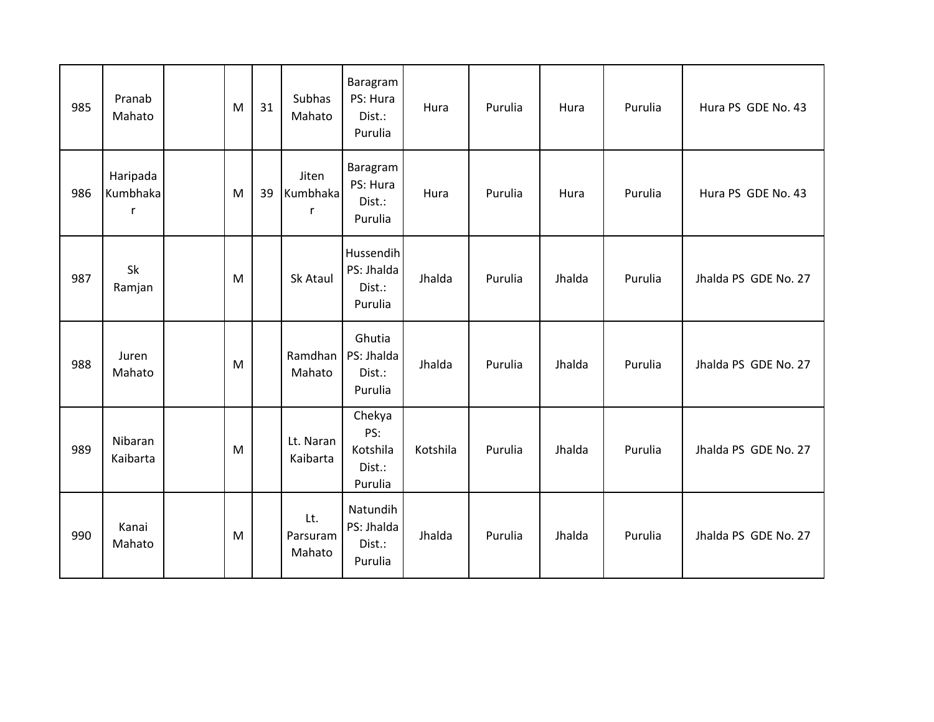| 985 | Pranab<br>Mahato          | M | 31 | Subhas<br>Mahato          | Baragram<br>PS: Hura<br>Dist.:<br>Purulia      | Hura     | Purulia | Hura   | Purulia | Hura PS GDE No. 43   |
|-----|---------------------------|---|----|---------------------------|------------------------------------------------|----------|---------|--------|---------|----------------------|
| 986 | Haripada<br>Kumbhaka<br>r | M | 39 | Jiten<br>Kumbhaka<br>r    | Baragram<br>PS: Hura<br>Dist.:<br>Purulia      | Hura     | Purulia | Hura   | Purulia | Hura PS GDE No. 43   |
| 987 | Sk<br>Ramjan              | M |    | Sk Ataul                  | Hussendih<br>PS: Jhalda<br>Dist.:<br>Purulia   | Jhalda   | Purulia | Jhalda | Purulia | Jhalda PS GDE No. 27 |
| 988 | Juren<br>Mahato           | M |    | Ramdhan<br>Mahato         | Ghutia<br>PS: Jhalda<br>Dist.:<br>Purulia      | Jhalda   | Purulia | Jhalda | Purulia | Jhalda PS GDE No. 27 |
| 989 | Nibaran<br>Kaibarta       | M |    | Lt. Naran<br>Kaibarta     | Chekya<br>PS:<br>Kotshila<br>Dist.:<br>Purulia | Kotshila | Purulia | Jhalda | Purulia | Jhalda PS GDE No. 27 |
| 990 | Kanai<br>Mahato           | M |    | Lt.<br>Parsuram<br>Mahato | Natundih<br>PS: Jhalda<br>Dist.:<br>Purulia    | Jhalda   | Purulia | Jhalda | Purulia | Jhalda PS GDE No. 27 |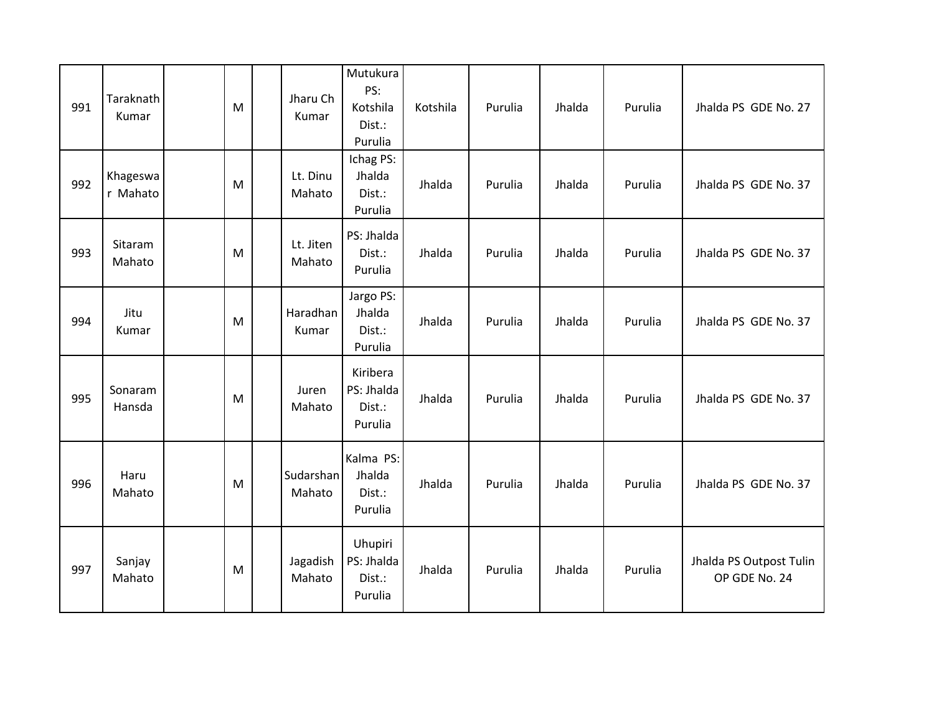| 991 | Taraknath<br>Kumar   | M | Jharu Ch<br>Kumar   | Mutukura<br>PS:<br>Kotshila<br>Dist.:<br>Purulia | Kotshila | Purulia | Jhalda | Purulia | Jhalda PS GDE No. 27                     |
|-----|----------------------|---|---------------------|--------------------------------------------------|----------|---------|--------|---------|------------------------------------------|
| 992 | Khageswa<br>r Mahato | M | Lt. Dinu<br>Mahato  | Ichag PS:<br>Jhalda<br>Dist.:<br>Purulia         | Jhalda   | Purulia | Jhalda | Purulia | Jhalda PS GDE No. 37                     |
| 993 | Sitaram<br>Mahato    | M | Lt. Jiten<br>Mahato | PS: Jhalda<br>Dist.:<br>Purulia                  | Jhalda   | Purulia | Jhalda | Purulia | Jhalda PS GDE No. 37                     |
| 994 | Jitu<br>Kumar        | M | Haradhan<br>Kumar   | Jargo PS:<br>Jhalda<br>Dist.:<br>Purulia         | Jhalda   | Purulia | Jhalda | Purulia | Jhalda PS GDE No. 37                     |
| 995 | Sonaram<br>Hansda    | M | Juren<br>Mahato     | Kiribera<br>PS: Jhalda<br>Dist.:<br>Purulia      | Jhalda   | Purulia | Jhalda | Purulia | Jhalda PS GDE No. 37                     |
| 996 | Haru<br>Mahato       | M | Sudarshan<br>Mahato | Kalma PS:<br>Jhalda<br>Dist.:<br>Purulia         | Jhalda   | Purulia | Jhalda | Purulia | Jhalda PS GDE No. 37                     |
| 997 | Sanjay<br>Mahato     | M | Jagadish<br>Mahato  | Uhupiri<br>PS: Jhalda<br>Dist.:<br>Purulia       | Jhalda   | Purulia | Jhalda | Purulia | Jhalda PS Outpost Tulin<br>OP GDE No. 24 |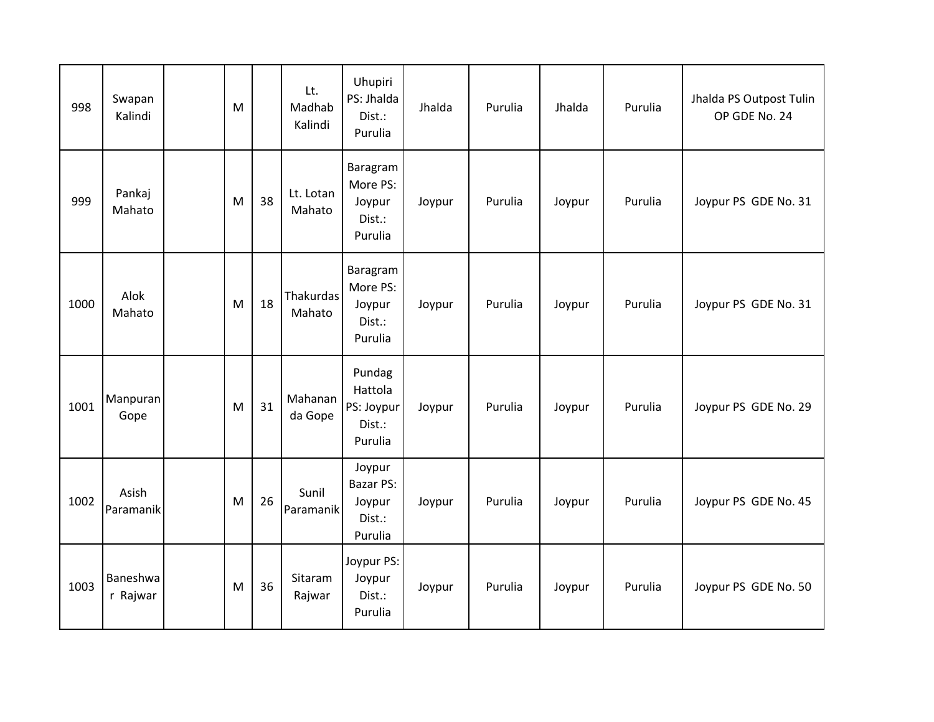| 998  | Swapan<br>Kalindi    | M |    | Lt.<br>Madhab<br>Kalindi | Uhupiri<br>PS: Jhalda<br>Dist.:<br>Purulia                | Jhalda | Purulia | Jhalda | Purulia | Jhalda PS Outpost Tulin<br>OP GDE No. 24 |
|------|----------------------|---|----|--------------------------|-----------------------------------------------------------|--------|---------|--------|---------|------------------------------------------|
| 999  | Pankaj<br>Mahato     | M | 38 | Lt. Lotan<br>Mahato      | Baragram<br>More PS:<br>Joypur<br>Dist.:<br>Purulia       | Joypur | Purulia | Joypur | Purulia | Joypur PS GDE No. 31                     |
| 1000 | Alok<br>Mahato       | M | 18 | Thakurdas<br>Mahato      | Baragram<br>More PS:<br>Joypur<br>Dist.:<br>Purulia       | Joypur | Purulia | Joypur | Purulia | Joypur PS GDE No. 31                     |
| 1001 | Manpuran<br>Gope     | M | 31 | Mahanan<br>da Gope       | Pundag<br>Hattola<br>PS: Joypur<br>Dist.:<br>Purulia      | Joypur | Purulia | Joypur | Purulia | Joypur PS GDE No. 29                     |
| 1002 | Asish<br>Paramanik   | M | 26 | Sunil<br>Paramanik       | Joypur<br><b>Bazar PS:</b><br>Joypur<br>Dist.:<br>Purulia | Joypur | Purulia | Joypur | Purulia | Joypur PS GDE No. 45                     |
| 1003 | Baneshwa<br>r Rajwar | M | 36 | Sitaram<br>Rajwar        | Joypur PS:<br>Joypur<br>Dist.:<br>Purulia                 | Joypur | Purulia | Joypur | Purulia | Joypur PS GDE No. 50                     |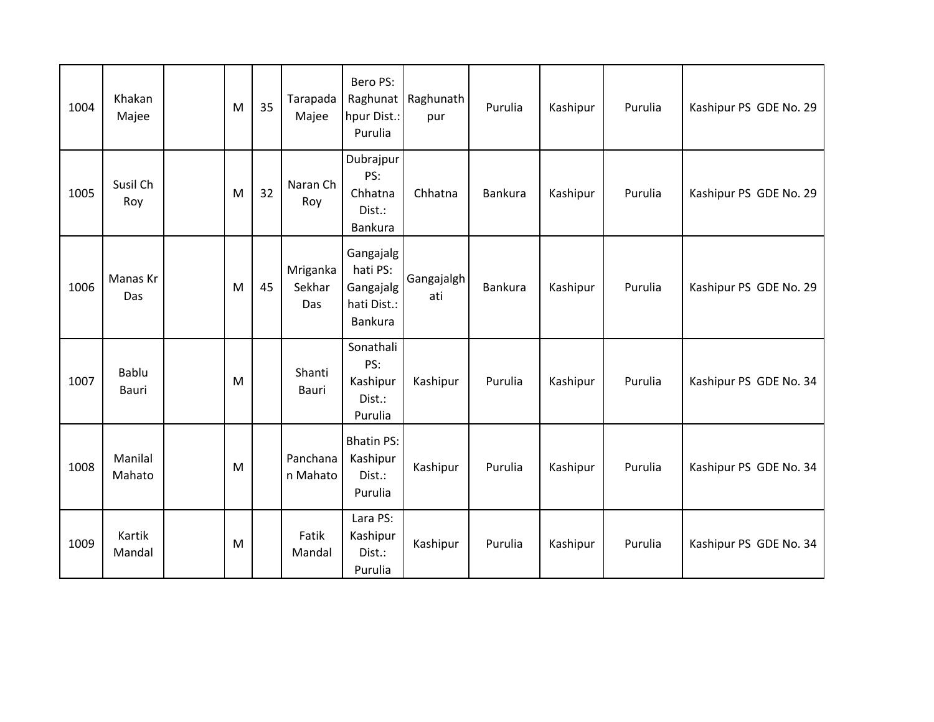| 1004 | Khakan<br>Majee   | M | 35 | Tarapada<br>Majee         | Bero PS:<br>Raghunat<br>hpur Dist.:<br>Purulia               | Raghunath<br>pur  | Purulia        | Kashipur | Purulia | Kashipur PS GDE No. 29 |
|------|-------------------|---|----|---------------------------|--------------------------------------------------------------|-------------------|----------------|----------|---------|------------------------|
| 1005 | Susil Ch<br>Roy   | M | 32 | Naran Ch<br>Roy           | Dubrajpur<br>PS:<br>Chhatna<br>Dist.:<br>Bankura             | Chhatna           | <b>Bankura</b> | Kashipur | Purulia | Kashipur PS GDE No. 29 |
| 1006 | Manas Kr<br>Das   | M | 45 | Mriganka<br>Sekhar<br>Das | Gangajalg<br>hati PS:<br>Gangajalg<br>hati Dist.:<br>Bankura | Gangajalgh<br>ati | <b>Bankura</b> | Kashipur | Purulia | Kashipur PS GDE No. 29 |
| 1007 | Bablu<br>Bauri    | M |    | Shanti<br>Bauri           | Sonathali<br>PS:<br>Kashipur<br>Dist.:<br>Purulia            | Kashipur          | Purulia        | Kashipur | Purulia | Kashipur PS GDE No. 34 |
| 1008 | Manilal<br>Mahato | M |    | Panchana<br>n Mahato      | <b>Bhatin PS:</b><br>Kashipur<br>Dist.:<br>Purulia           | Kashipur          | Purulia        | Kashipur | Purulia | Kashipur PS GDE No. 34 |
| 1009 | Kartik<br>Mandal  | M |    | Fatik<br>Mandal           | Lara PS:<br>Kashipur<br>Dist.:<br>Purulia                    | Kashipur          | Purulia        | Kashipur | Purulia | Kashipur PS GDE No. 34 |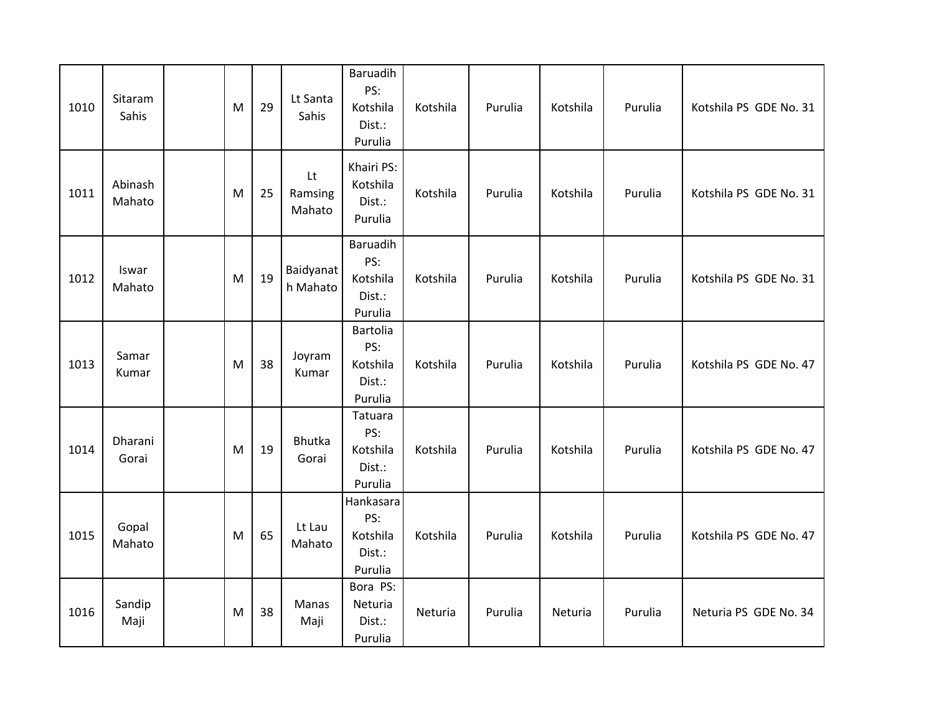| 1010 | Sitaram<br>Sahis  | M | 29 | Lt Santa<br>Sahis       | <b>Baruadih</b><br>PS:<br>Kotshila<br>Dist.:<br>Purulia | Kotshila | Purulia | Kotshila | Purulia | Kotshila PS GDE No. 31 |
|------|-------------------|---|----|-------------------------|---------------------------------------------------------|----------|---------|----------|---------|------------------------|
| 1011 | Abinash<br>Mahato | M | 25 | Lt<br>Ramsing<br>Mahato | Khairi PS:<br>Kotshila<br>Dist.:<br>Purulia             | Kotshila | Purulia | Kotshila | Purulia | Kotshila PS GDE No. 31 |
| 1012 | Iswar<br>Mahato   | M | 19 | Baidyanat<br>h Mahato   | Baruadih<br>PS:<br>Kotshila<br>Dist.:<br>Purulia        | Kotshila | Purulia | Kotshila | Purulia | Kotshila PS GDE No. 31 |
| 1013 | Samar<br>Kumar    | M | 38 | Joyram<br>Kumar         | Bartolia<br>PS:<br>Kotshila<br>Dist.:<br>Purulia        | Kotshila | Purulia | Kotshila | Purulia | Kotshila PS GDE No. 47 |
| 1014 | Dharani<br>Gorai  | M | 19 | Bhutka<br>Gorai         | Tatuara<br>PS:<br>Kotshila<br>Dist.:<br>Purulia         | Kotshila | Purulia | Kotshila | Purulia | Kotshila PS GDE No. 47 |
| 1015 | Gopal<br>Mahato   | M | 65 | Lt Lau<br>Mahato        | Hankasara<br>PS:<br>Kotshila<br>Dist.:<br>Purulia       | Kotshila | Purulia | Kotshila | Purulia | Kotshila PS GDE No. 47 |
| 1016 | Sandip<br>Maji    | M | 38 | Manas<br>Maji           | Bora PS:<br>Neturia<br>Dist.:<br>Purulia                | Neturia  | Purulia | Neturia  | Purulia | Neturia PS GDE No. 34  |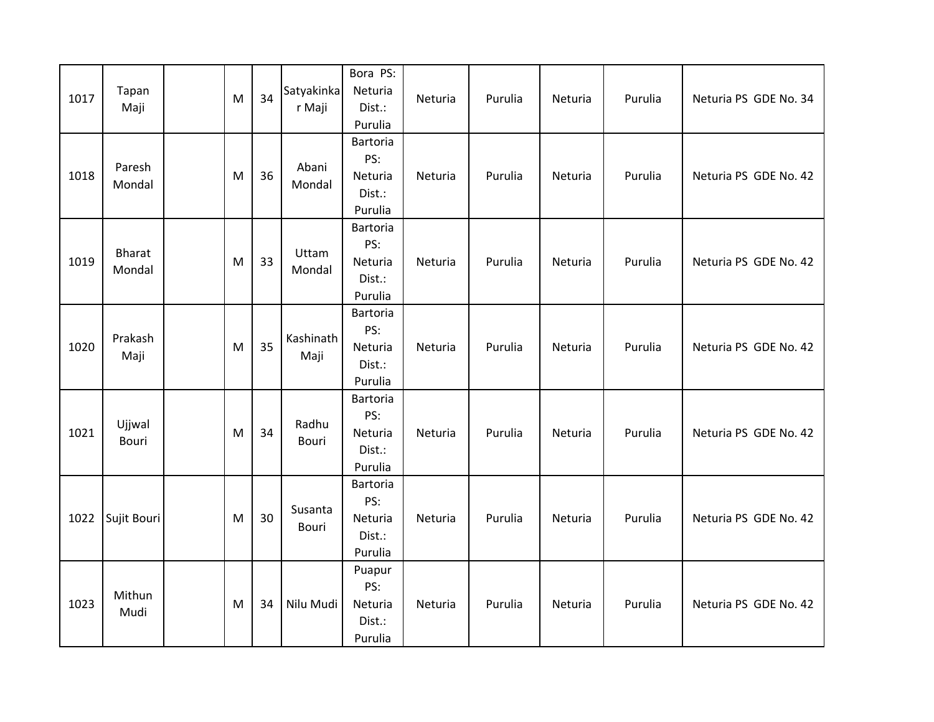| 1017 | Tapan<br>Maji    | M | 34 | Satyakinka<br>r Maji    | Bora PS:<br>Neturia<br>Dist.:<br>Purulia        | Neturia | Purulia | Neturia | Purulia | Neturia PS GDE No. 34 |
|------|------------------|---|----|-------------------------|-------------------------------------------------|---------|---------|---------|---------|-----------------------|
| 1018 | Paresh<br>Mondal | M | 36 | Abani<br>Mondal         | Bartoria<br>PS:<br>Neturia<br>Dist.:<br>Purulia | Neturia | Purulia | Neturia | Purulia | Neturia PS GDE No. 42 |
| 1019 | Bharat<br>Mondal | M | 33 | Uttam<br>Mondal         | Bartoria<br>PS:<br>Neturia<br>Dist.:<br>Purulia | Neturia | Purulia | Neturia | Purulia | Neturia PS GDE No. 42 |
| 1020 | Prakash<br>Maji  | M | 35 | Kashinath<br>Maji       | Bartoria<br>PS:<br>Neturia<br>Dist.:<br>Purulia | Neturia | Purulia | Neturia | Purulia | Neturia PS GDE No. 42 |
| 1021 | Ujjwal<br>Bouri  | M | 34 | Radhu<br>Bouri          | Bartoria<br>PS:<br>Neturia<br>Dist.:<br>Purulia | Neturia | Purulia | Neturia | Purulia | Neturia PS GDE No. 42 |
| 1022 | Sujit Bouri      | M | 30 | Susanta<br><b>Bouri</b> | Bartoria<br>PS:<br>Neturia<br>Dist.:<br>Purulia | Neturia | Purulia | Neturia | Purulia | Neturia PS GDE No. 42 |
| 1023 | Mithun<br>Mudi   | M | 34 | Nilu Mudi               | Puapur<br>PS:<br>Neturia<br>Dist.:<br>Purulia   | Neturia | Purulia | Neturia | Purulia | Neturia PS GDE No. 42 |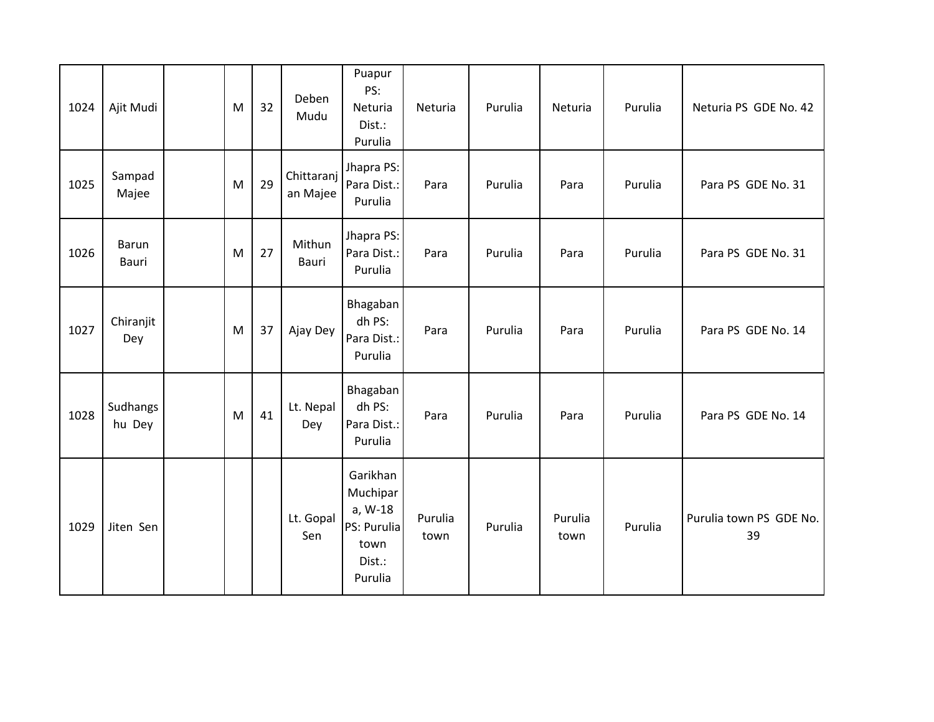| 1024 | Ajit Mudi             | M | 32 | Deben<br>Mudu          | Puapur<br>PS:<br>Neturia<br>Dist.:<br>Purulia                               | Neturia         | Purulia | Neturia         | Purulia | Neturia PS GDE No. 42         |
|------|-----------------------|---|----|------------------------|-----------------------------------------------------------------------------|-----------------|---------|-----------------|---------|-------------------------------|
| 1025 | Sampad<br>Majee       | M | 29 | Chittaranj<br>an Majee | Jhapra PS:<br>Para Dist.:<br>Purulia                                        | Para            | Purulia | Para            | Purulia | Para PS GDE No. 31            |
| 1026 | <b>Barun</b><br>Bauri | M | 27 | Mithun<br><b>Bauri</b> | Jhapra PS:<br>Para Dist.:<br>Purulia                                        | Para            | Purulia | Para            | Purulia | Para PS GDE No. 31            |
| 1027 | Chiranjit<br>Dey      | M | 37 | Ajay Dey               | Bhagaban<br>dh PS:<br>Para Dist.:<br>Purulia                                | Para            | Purulia | Para            | Purulia | Para PS GDE No. 14            |
| 1028 | Sudhangs<br>hu Dey    | M | 41 | Lt. Nepal<br>Dey       | Bhagaban<br>dh PS:<br>Para Dist.:<br>Purulia                                | Para            | Purulia | Para            | Purulia | Para PS GDE No. 14            |
| 1029 | Jiten Sen             |   |    | Lt. Gopal<br>Sen       | Garikhan<br>Muchipar<br>a, W-18<br>PS: Purulia<br>town<br>Dist.:<br>Purulia | Purulia<br>town | Purulia | Purulia<br>town | Purulia | Purulia town PS GDE No.<br>39 |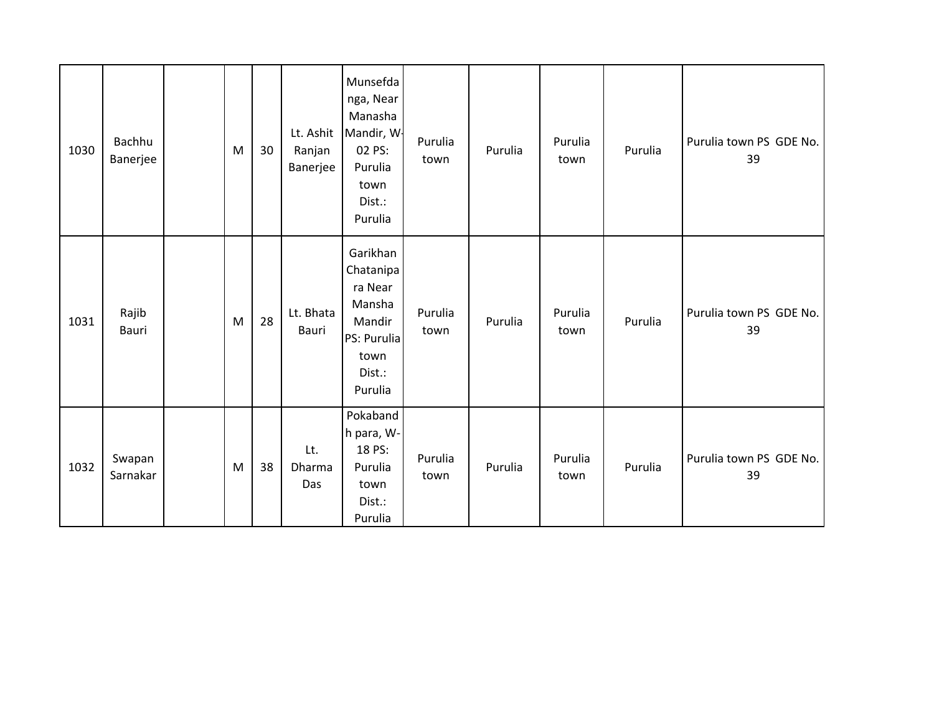| 1030 | Bachhu<br>Banerjee | M | 30 | Lt. Ashit<br>Ranjan<br>Banerjee | Munsefda<br>nga, Near<br>Manasha<br>Mandir, W-<br>02 PS:<br>Purulia<br>town<br>Dist.:<br>Purulia | Purulia<br>town | Purulia | Purulia<br>town | Purulia | Purulia town PS GDE No.<br>39 |
|------|--------------------|---|----|---------------------------------|--------------------------------------------------------------------------------------------------|-----------------|---------|-----------------|---------|-------------------------------|
| 1031 | Rajib<br>Bauri     | M | 28 | Lt. Bhata<br>Bauri              | Garikhan<br>Chatanipa<br>ra Near<br>Mansha<br>Mandir<br>PS: Purulia<br>town<br>Dist.:<br>Purulia | Purulia<br>town | Purulia | Purulia<br>town | Purulia | Purulia town PS GDE No.<br>39 |
| 1032 | Swapan<br>Sarnakar | M | 38 | Lt.<br>Dharma<br>Das            | Pokaband<br>h para, W-<br>18 PS:<br>Purulia<br>town<br>Dist.:<br>Purulia                         | Purulia<br>town | Purulia | Purulia<br>town | Purulia | Purulia town PS GDE No.<br>39 |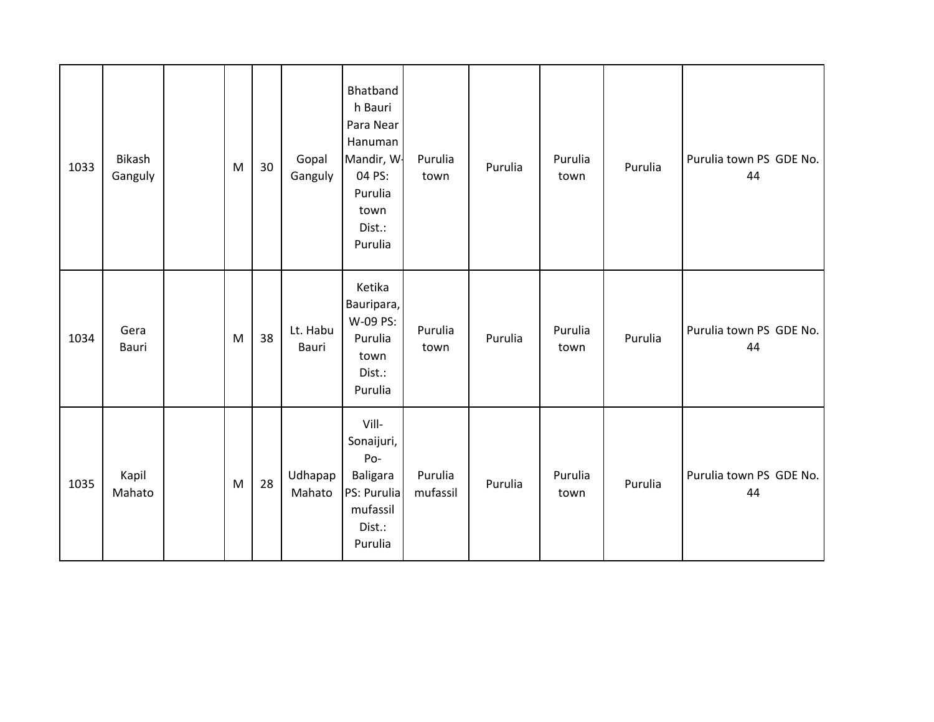| 1033 | Bikash<br>Ganguly | M | 30 | Gopal<br>Ganguly  | Bhatband<br>h Bauri<br>Para Near<br>Hanuman<br>Mandir, W<br>04 PS:<br>Purulia<br>town<br>Dist.:<br>Purulia | Purulia<br>town     | Purulia | Purulia<br>town | Purulia | Purulia town PS GDE No.<br>44 |
|------|-------------------|---|----|-------------------|------------------------------------------------------------------------------------------------------------|---------------------|---------|-----------------|---------|-------------------------------|
| 1034 | Gera<br>Bauri     | M | 38 | Lt. Habu<br>Bauri | Ketika<br>Bauripara,<br>W-09 PS:<br>Purulia<br>town<br>Dist.:<br>Purulia                                   | Purulia<br>town     | Purulia | Purulia<br>town | Purulia | Purulia town PS GDE No.<br>44 |
| 1035 | Kapil<br>Mahato   | M | 28 | Udhapap<br>Mahato | Vill-<br>Sonaijuri,<br>Po-<br>Baligara<br>PS: Purulia<br>mufassil<br>Dist.:<br>Purulia                     | Purulia<br>mufassil | Purulia | Purulia<br>town | Purulia | Purulia town PS GDE No.<br>44 |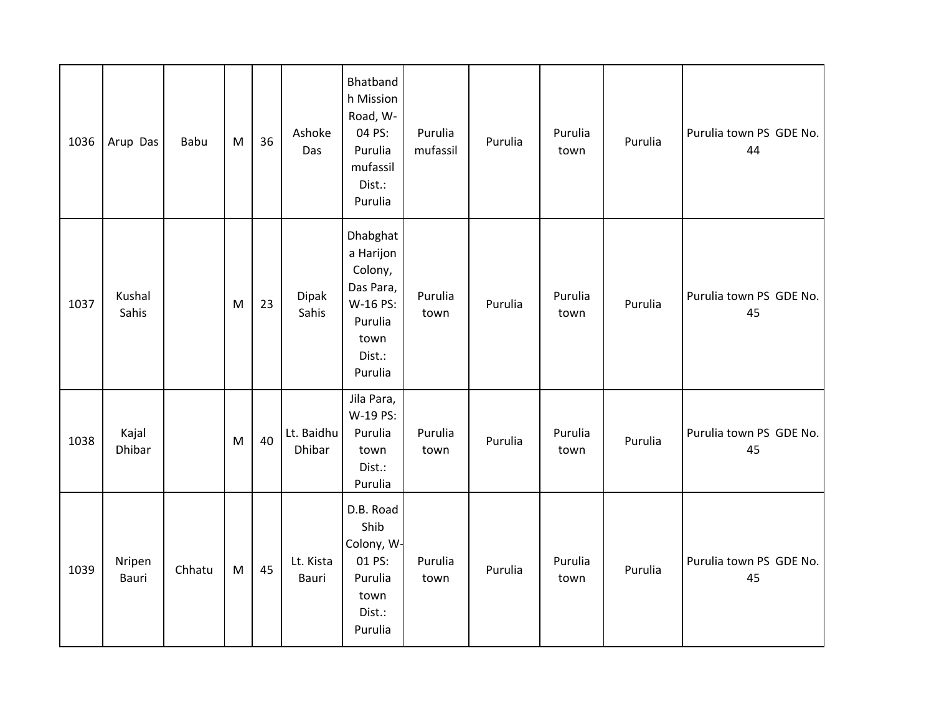| 1036 | Arup Das               | Babu   | M         | 36 | Ashoke<br>Das        | Bhatband<br>h Mission<br>Road, W-<br>04 PS:<br>Purulia<br>mufassil<br>Dist.:<br>Purulia           | Purulia<br>mufassil | Purulia | Purulia<br>town | Purulia | Purulia town PS GDE No.<br>44 |
|------|------------------------|--------|-----------|----|----------------------|---------------------------------------------------------------------------------------------------|---------------------|---------|-----------------|---------|-------------------------------|
| 1037 | Kushal<br>Sahis        |        | M         | 23 | Dipak<br>Sahis       | Dhabghat<br>a Harijon<br>Colony,<br>Das Para,<br>W-16 PS:<br>Purulia<br>town<br>Dist.:<br>Purulia | Purulia<br>town     | Purulia | Purulia<br>town | Purulia | Purulia town PS GDE No.<br>45 |
| 1038 | Kajal<br><b>Dhibar</b> |        | M         | 40 | Lt. Baidhu<br>Dhibar | Jila Para,<br>W-19 PS:<br>Purulia<br>town<br>Dist.:<br>Purulia                                    | Purulia<br>town     | Purulia | Purulia<br>town | Purulia | Purulia town PS GDE No.<br>45 |
| 1039 | Nripen<br>Bauri        | Chhatu | ${\sf M}$ | 45 | Lt. Kista<br>Bauri   | D.B. Road<br>Shib<br>Colony, W-<br>01 PS:<br>Purulia<br>town<br>Dist.:<br>Purulia                 | Purulia<br>town     | Purulia | Purulia<br>town | Purulia | Purulia town PS GDE No.<br>45 |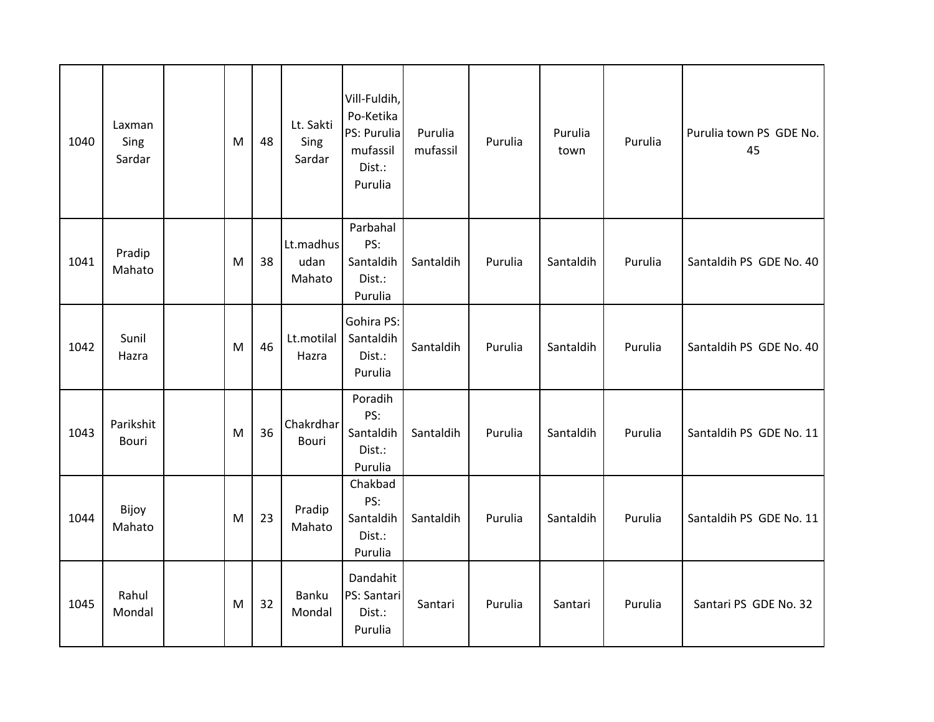| 1040 | Laxman<br>Sing<br>Sardar | M | 48 | Lt. Sakti<br>Sing<br>Sardar | Vill-Fuldih,<br>Po-Ketika<br>PS: Purulia<br>mufassil<br>Dist.:<br>Purulia | Purulia<br>mufassil | Purulia | Purulia<br>town | Purulia | Purulia town PS GDE No.<br>45 |
|------|--------------------------|---|----|-----------------------------|---------------------------------------------------------------------------|---------------------|---------|-----------------|---------|-------------------------------|
| 1041 | Pradip<br>Mahato         | M | 38 | Lt.madhus<br>udan<br>Mahato | Parbahal<br>PS:<br>Santaldih<br>Dist.:<br>Purulia                         | Santaldih           | Purulia | Santaldih       | Purulia | Santaldih PS GDE No. 40       |
| 1042 | Sunil<br>Hazra           | M | 46 | Lt.motilal<br>Hazra         | Gohira PS:<br>Santaldih<br>Dist.:<br>Purulia                              | Santaldih           | Purulia | Santaldih       | Purulia | Santaldih PS GDE No. 40       |
| 1043 | Parikshit<br>Bouri       | M | 36 | Chakrdhar<br>Bouri          | Poradih<br>PS:<br>Santaldih<br>Dist.:<br>Purulia                          | Santaldih           | Purulia | Santaldih       | Purulia | Santaldih PS GDE No. 11       |
| 1044 | Bijoy<br>Mahato          | M | 23 | Pradip<br>Mahato            | Chakbad<br>PS:<br>Santaldih<br>Dist.:<br>Purulia                          | Santaldih           | Purulia | Santaldih       | Purulia | Santaldih PS GDE No. 11       |
| 1045 | Rahul<br>Mondal          | M | 32 | Banku<br>Mondal             | Dandahit<br>PS: Santari<br>Dist.:<br>Purulia                              | Santari             | Purulia | Santari         | Purulia | Santari PS GDE No. 32         |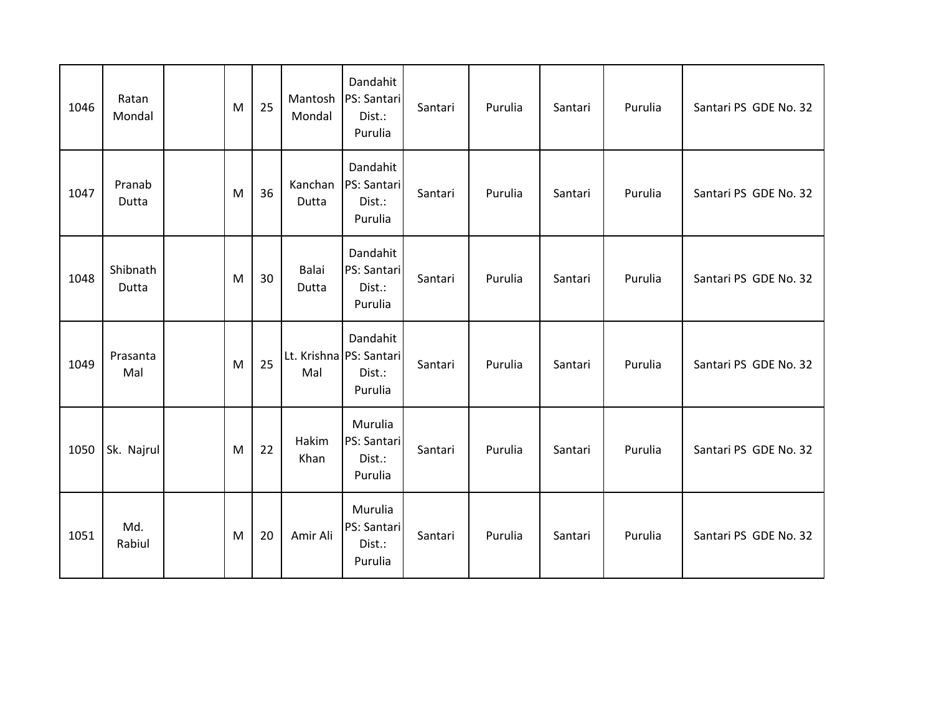| 1046 | Ratan<br>Mondal   | M | 25 | Mantosh<br>Mondal | Dandahit<br>PS: Santari<br>Dist.:<br>Purulia             | Santari | Purulia | Santari | Purulia | Santari PS GDE No. 32 |
|------|-------------------|---|----|-------------------|----------------------------------------------------------|---------|---------|---------|---------|-----------------------|
| 1047 | Pranab<br>Dutta   | M | 36 | Kanchan<br>Dutta  | Dandahit<br>PS: Santari<br>Dist.:<br>Purulia             | Santari | Purulia | Santari | Purulia | Santari PS GDE No. 32 |
| 1048 | Shibnath<br>Dutta | M | 30 | Balai<br>Dutta    | Dandahit<br>PS: Santari<br>Dist.:<br>Purulia             | Santari | Purulia | Santari | Purulia | Santari PS GDE No. 32 |
| 1049 | Prasanta<br>Mal   | M | 25 | Mal               | Dandahit<br>Lt. Krishna PS: Santari<br>Dist.:<br>Purulia | Santari | Purulia | Santari | Purulia | Santari PS GDE No. 32 |
| 1050 | Sk. Najrul        | M | 22 | Hakim<br>Khan     | Murulia<br><b>PS: Santari</b><br>Dist.:<br>Purulia       | Santari | Purulia | Santari | Purulia | Santari PS GDE No. 32 |
| 1051 | Md.<br>Rabiul     | M | 20 | Amir Ali          | Murulia<br><b>PS: Santari</b><br>Dist.:<br>Purulia       | Santari | Purulia | Santari | Purulia | Santari PS GDE No. 32 |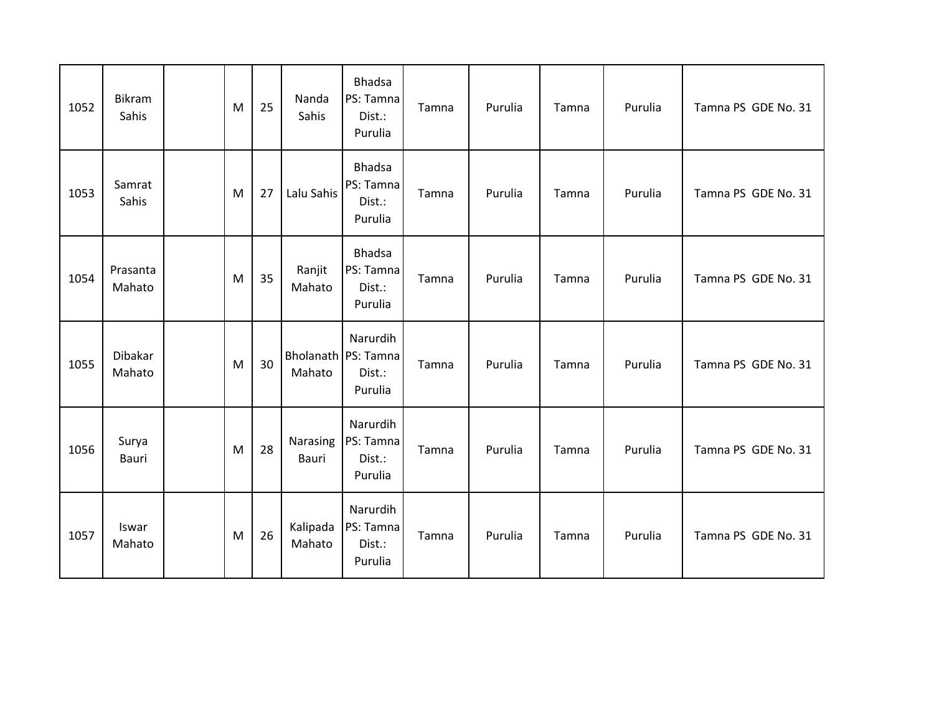| 1052 | Bikram<br>Sahis    | M | 25 | Nanda<br>Sahis     | <b>Bhadsa</b><br>PS: Tamna<br>Dist.:<br>Purulia      | Tamna | Purulia | Tamna | Purulia | Tamna PS GDE No. 31 |
|------|--------------------|---|----|--------------------|------------------------------------------------------|-------|---------|-------|---------|---------------------|
| 1053 | Samrat<br>Sahis    | M | 27 | Lalu Sahis         | <b>Bhadsa</b><br>PS: Tamna<br>Dist.:<br>Purulia      | Tamna | Purulia | Tamna | Purulia | Tamna PS GDE No. 31 |
| 1054 | Prasanta<br>Mahato | M | 35 | Ranjit<br>Mahato   | <b>Bhadsa</b><br>PS: Tamna<br>Dist.:<br>Purulia      | Tamna | Purulia | Tamna | Purulia | Tamna PS GDE No. 31 |
| 1055 | Dibakar<br>Mahato  | M | 30 | Mahato             | Narurdih<br>Bholanath PS: Tamna<br>Dist.:<br>Purulia | Tamna | Purulia | Tamna | Purulia | Tamna PS GDE No. 31 |
| 1056 | Surya<br>Bauri     | M | 28 | Narasing<br>Bauri  | Narurdih<br>PS: Tamna<br>Dist.:<br>Purulia           | Tamna | Purulia | Tamna | Purulia | Tamna PS GDE No. 31 |
| 1057 | Iswar<br>Mahato    | M | 26 | Kalipada<br>Mahato | Narurdih<br>PS: Tamna<br>Dist.:<br>Purulia           | Tamna | Purulia | Tamna | Purulia | Tamna PS GDE No. 31 |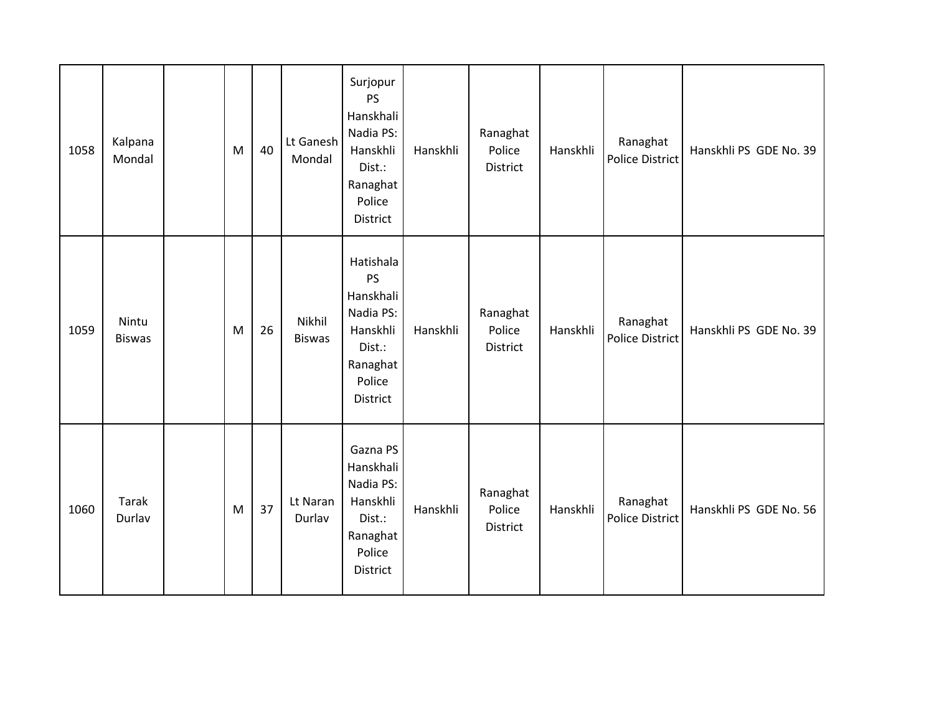| 1058 | Kalpana<br>Mondal      | M | 40 | Lt Ganesh<br>Mondal     | Surjopur<br>PS<br>Hanskhali<br>Nadia PS:<br>Hanskhli<br>Dist.:<br>Ranaghat<br>Police<br>District         | Hanskhli | Ranaghat<br>Police<br>District | Hanskhli | Ranaghat<br>Police District | Hanskhli PS GDE No. 39 |
|------|------------------------|---|----|-------------------------|----------------------------------------------------------------------------------------------------------|----------|--------------------------------|----------|-----------------------------|------------------------|
| 1059 | Nintu<br><b>Biswas</b> | M | 26 | Nikhil<br><b>Biswas</b> | Hatishala<br><b>PS</b><br>Hanskhali<br>Nadia PS:<br>Hanskhli<br>Dist.:<br>Ranaghat<br>Police<br>District | Hanskhli | Ranaghat<br>Police<br>District | Hanskhli | Ranaghat<br>Police District | Hanskhli PS GDE No. 39 |
| 1060 | <b>Tarak</b><br>Durlav | M | 37 | Lt Naran<br>Durlav      | Gazna PS<br>Hanskhali<br>Nadia PS:<br>Hanskhli<br>Dist.:<br>Ranaghat<br>Police<br>District               | Hanskhli | Ranaghat<br>Police<br>District | Hanskhli | Ranaghat<br>Police District | Hanskhli PS GDE No. 56 |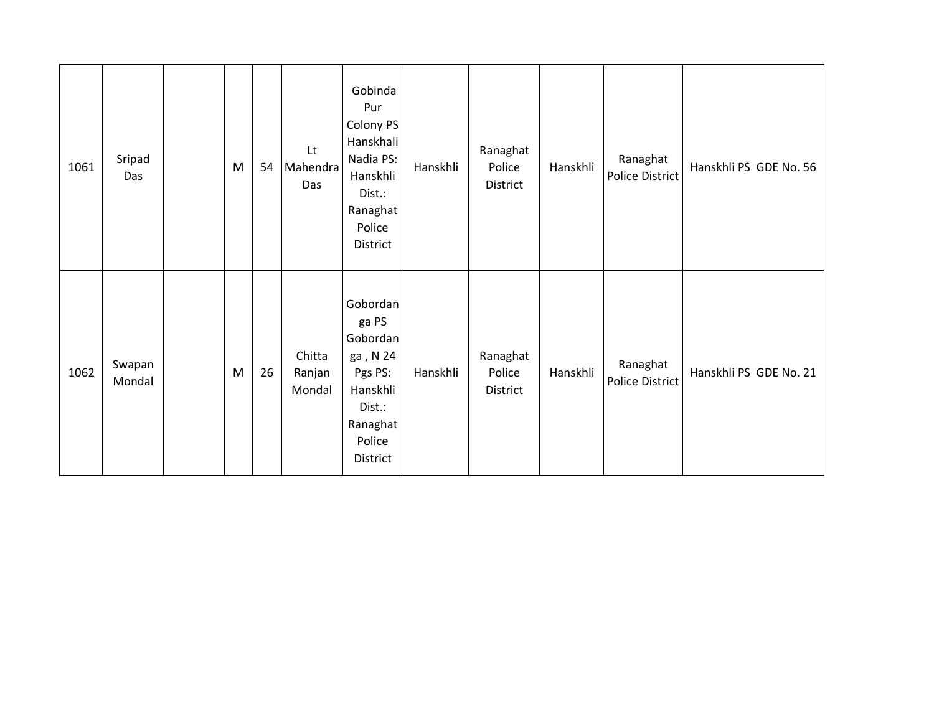| 1061 | Sripad<br>Das    | M | 54 | Lt<br>Mahendra<br>Das      | Gobinda<br>Pur<br>Colony PS<br>Hanskhali<br>Nadia PS:<br>Hanskhli<br>Dist.:<br>Ranaghat<br>Police<br>District | Hanskhli | Ranaghat<br>Police<br>District | Hanskhli | Ranaghat<br>Police District | Hanskhli PS GDE No. 56 |
|------|------------------|---|----|----------------------------|---------------------------------------------------------------------------------------------------------------|----------|--------------------------------|----------|-----------------------------|------------------------|
| 1062 | Swapan<br>Mondal | M | 26 | Chitta<br>Ranjan<br>Mondal | Gobordan<br>ga PS<br>Gobordan<br>ga, N 24<br>Pgs PS:<br>Hanskhli<br>Dist.:<br>Ranaghat<br>Police<br>District  | Hanskhli | Ranaghat<br>Police<br>District | Hanskhli | Ranaghat<br>Police District | Hanskhli PS GDE No. 21 |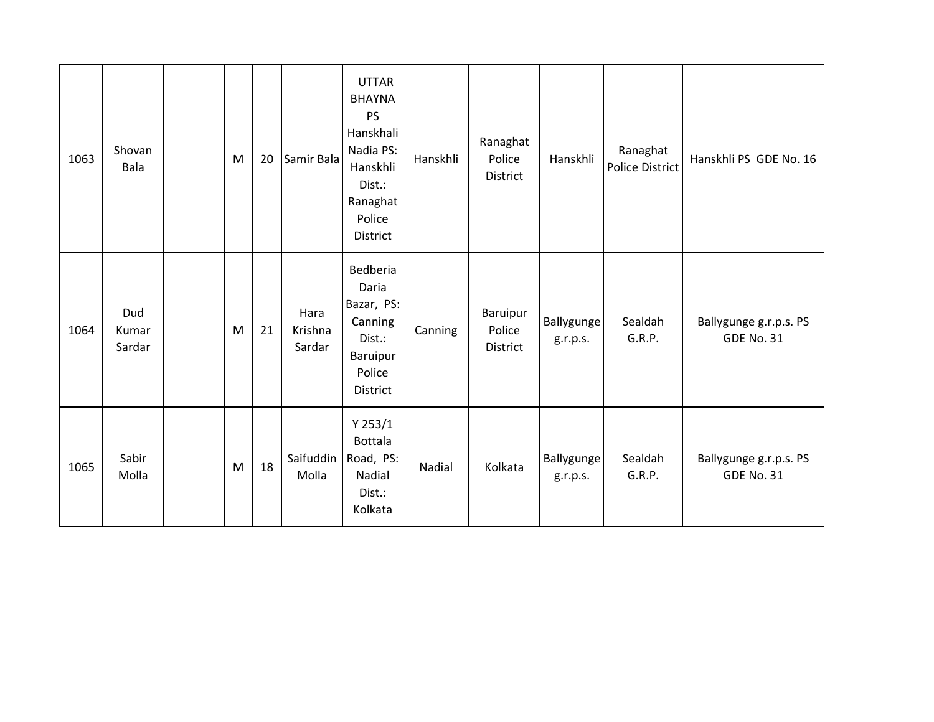| 1063 | Shovan<br>Bala         | M | 20 | Samir Bala                | <b>UTTAR</b><br><b>BHAYNA</b><br>PS<br>Hanskhali<br>Nadia PS:<br>Hanskhli<br>Dist.:<br>Ranaghat<br>Police<br><b>District</b> | Hanskhli | Ranaghat<br>Police<br>District | Hanskhli               | Ranaghat<br>Police District | Hanskhli PS GDE No. 16                      |
|------|------------------------|---|----|---------------------------|------------------------------------------------------------------------------------------------------------------------------|----------|--------------------------------|------------------------|-----------------------------|---------------------------------------------|
| 1064 | Dud<br>Kumar<br>Sardar | M | 21 | Hara<br>Krishna<br>Sardar | Bedberia<br>Daria<br>Bazar, PS:<br>Canning<br>Dist.:<br>Baruipur<br>Police<br>District                                       | Canning  | Baruipur<br>Police<br>District | Ballygunge<br>g.r.p.s. | Sealdah<br>G.R.P.           | Ballygunge g.r.p.s. PS<br><b>GDE No. 31</b> |
| 1065 | Sabir<br>Molla         | M | 18 | Saifuddin<br>Molla        | Y 253/1<br><b>Bottala</b><br>Road, PS:<br>Nadial<br>Dist.:<br>Kolkata                                                        | Nadial   | Kolkata                        | Ballygunge<br>g.r.p.s. | Sealdah<br>G.R.P.           | Ballygunge g.r.p.s. PS<br><b>GDE No. 31</b> |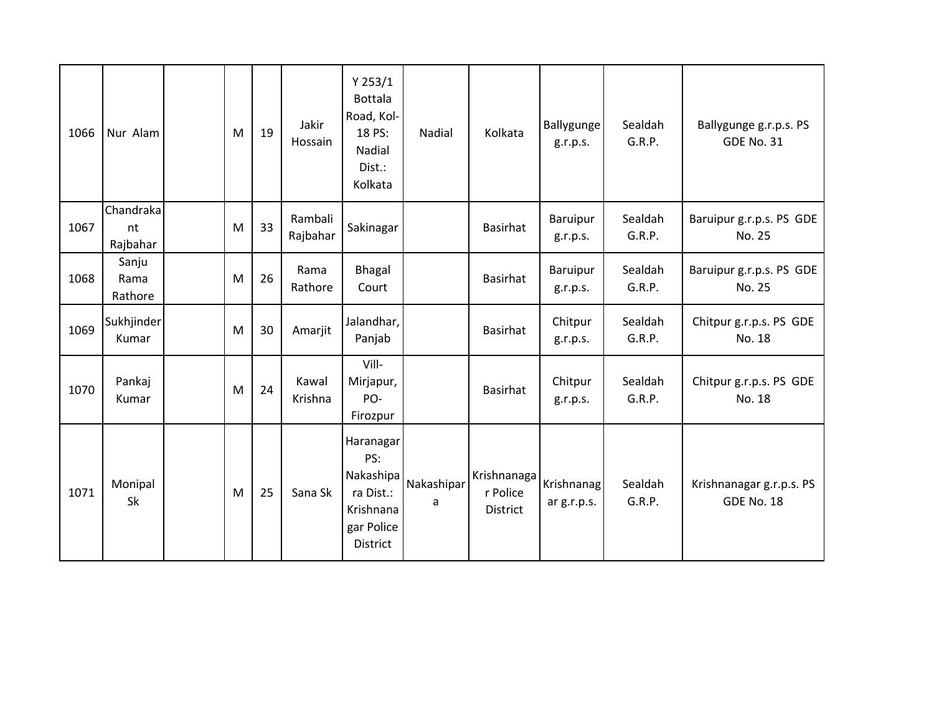| 1066 | Nur Alam                    | M | 19 | Jakir<br>Hossain    | Y 253/1<br><b>Bottala</b><br>Road, Kol-<br>18 PS:<br>Nadial<br>Dist.:<br>Kolkata         | Nadial          | Kolkata                                    | Ballygunge<br>g.r.p.s.    | Sealdah<br>G.R.P. | Ballygunge g.r.p.s. PS<br><b>GDE No. 31</b>   |
|------|-----------------------------|---|----|---------------------|------------------------------------------------------------------------------------------|-----------------|--------------------------------------------|---------------------------|-------------------|-----------------------------------------------|
| 1067 | Chandraka<br>nt<br>Rajbahar | M | 33 | Rambali<br>Rajbahar | Sakinagar                                                                                |                 | <b>Basirhat</b>                            | Baruipur<br>g.r.p.s.      | Sealdah<br>G.R.P. | Baruipur g.r.p.s. PS GDE<br>No. 25            |
| 1068 | Sanju<br>Rama<br>Rathore    | M | 26 | Rama<br>Rathore     | <b>Bhagal</b><br>Court                                                                   |                 | <b>Basirhat</b>                            | Baruipur<br>g.r.p.s.      | Sealdah<br>G.R.P. | Baruipur g.r.p.s. PS GDE<br>No. 25            |
| 1069 | Sukhjinder<br>Kumar         | M | 30 | Amarjit             | Jalandhar,<br>Panjab                                                                     |                 | <b>Basirhat</b>                            | Chitpur<br>g.r.p.s.       | Sealdah<br>G.R.P. | Chitpur g.r.p.s. PS GDE<br>No. 18             |
| 1070 | Pankaj<br>Kumar             | M | 24 | Kawal<br>Krishna    | Vill-<br>Mirjapur,<br>PO-<br>Firozpur                                                    |                 | <b>Basirhat</b>                            | Chitpur<br>g.r.p.s.       | Sealdah<br>G.R.P. | Chitpur g.r.p.s. PS GDE<br>No. 18             |
| 1071 | Monipal<br>Sk               | M | 25 | Sana Sk             | Haranagar<br>PS:<br>Nakashipa<br>ra Dist.:<br>Krishnana<br>gar Police<br><b>District</b> | Nakashipar<br>a | Krishnanaga<br>r Police<br><b>District</b> | Krishnanag<br>ar g.r.p.s. | Sealdah<br>G.R.P. | Krishnanagar g.r.p.s. PS<br><b>GDE No. 18</b> |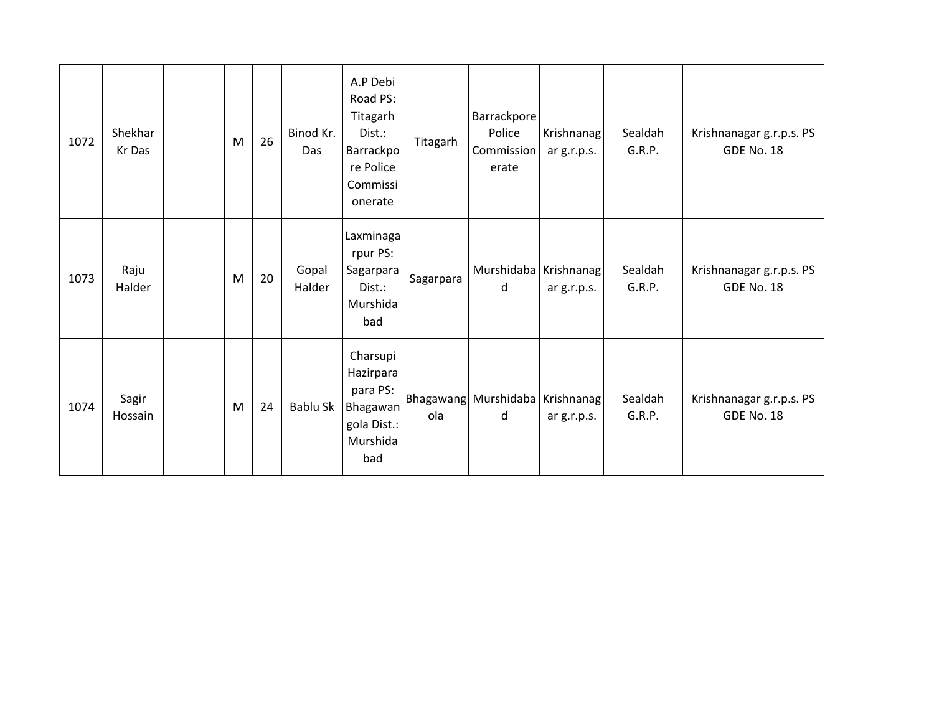| 1072 | Shekhar<br>Kr Das | M | 26 | Binod Kr.<br>Das | A.P Debi<br>Road PS:<br>Titagarh<br>Dist.:<br><b>Barrackpo</b><br>re Police<br>Commissi<br>onerate | Titagarh  | Barrackpore<br>Police<br>Commission<br>erate | Krishnanag<br>ar g.r.p.s. | Sealdah<br>G.R.P. | Krishnanagar g.r.p.s. PS<br><b>GDE No. 18</b> |
|------|-------------------|---|----|------------------|----------------------------------------------------------------------------------------------------|-----------|----------------------------------------------|---------------------------|-------------------|-----------------------------------------------|
| 1073 | Raju<br>Halder    | M | 20 | Gopal<br>Halder  | Laxminaga<br>rpur PS:<br>Sagarpara<br>Dist.:<br>Murshida<br>bad                                    | Sagarpara | Murshidaba   Krishnanag  <br>d               | ar g.r.p.s.               | Sealdah<br>G.R.P. | Krishnanagar g.r.p.s. PS<br><b>GDE No. 18</b> |
| 1074 | Sagir<br>Hossain  | M | 24 | Bablu Sk         | Charsupi<br>Hazirpara<br>para PS:<br>Bhagawan<br>gola Dist.:<br>Murshida<br>bad                    | ola       | Bhagawang Murshidaba Krishnanag<br>d         | ar g.r.p.s.               | Sealdah<br>G.R.P. | Krishnanagar g.r.p.s. PS<br><b>GDE No. 18</b> |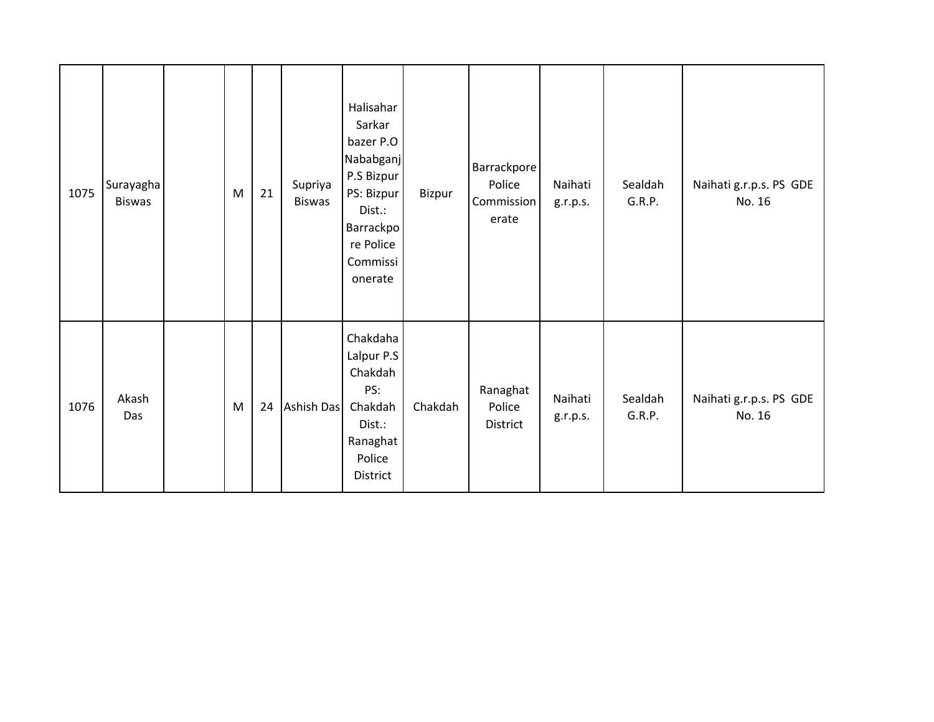| 1075 | Surayagha<br><b>Biswas</b> | M         | 21 | Supriya<br><b>Biswas</b> | Halisahar<br>Sarkar<br>bazer P.O<br>Nababganj<br>P.S Bizpur<br>PS: Bizpur<br>Dist.:<br><b>Barrackpo</b><br>re Police<br>Commissi<br>onerate | Bizpur  | Barrackpore<br>Police<br>Commission<br>erate | Naihati<br>g.r.p.s. | Sealdah<br>G.R.P. | Naihati g.r.p.s. PS GDE<br>No. 16 |
|------|----------------------------|-----------|----|--------------------------|---------------------------------------------------------------------------------------------------------------------------------------------|---------|----------------------------------------------|---------------------|-------------------|-----------------------------------|
| 1076 | Akash<br>Das               | ${\sf M}$ | 24 | Ashish Das               | Chakdaha<br>Lalpur P.S<br>Chakdah<br>PS:<br>Chakdah<br>Dist.:<br>Ranaghat<br>Police<br>District                                             | Chakdah | Ranaghat<br>Police<br>District               | Naihati<br>g.r.p.s. | Sealdah<br>G.R.P. | Naihati g.r.p.s. PS GDE<br>No. 16 |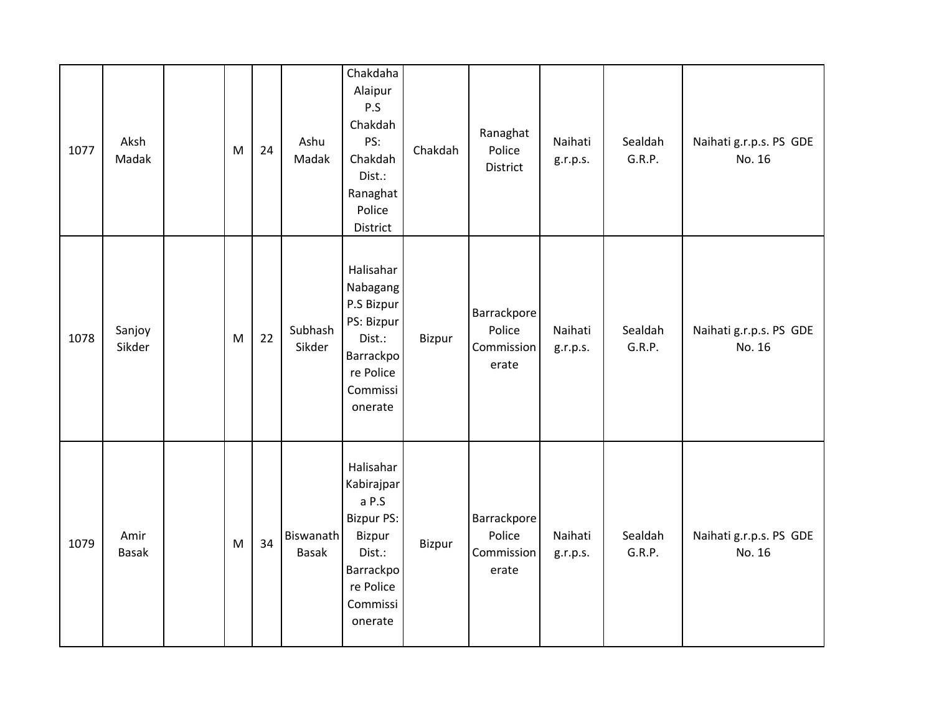| 1077 | Aksh<br>Madak        | M | 24 | Ashu<br>Madak      | Chakdaha<br>Alaipur<br>P.S<br>Chakdah<br>PS:<br>Chakdah<br>Dist.:<br>Ranaghat<br>Police<br>District                        | Chakdah | Ranaghat<br>Police<br>District               | Naihati<br>g.r.p.s. | Sealdah<br>G.R.P. | Naihati g.r.p.s. PS GDE<br>No. 16 |
|------|----------------------|---|----|--------------------|----------------------------------------------------------------------------------------------------------------------------|---------|----------------------------------------------|---------------------|-------------------|-----------------------------------|
| 1078 | Sanjoy<br>Sikder     | M | 22 | Subhash<br>Sikder  | Halisahar<br>Nabagang<br>P.S Bizpur<br>PS: Bizpur<br>Dist.:<br>Barrackpo<br>re Police<br>Commissi<br>onerate               | Bizpur  | Barrackpore<br>Police<br>Commission<br>erate | Naihati<br>g.r.p.s. | Sealdah<br>G.R.P. | Naihati g.r.p.s. PS GDE<br>No. 16 |
| 1079 | Amir<br><b>Basak</b> | M | 34 | Biswanath<br>Basak | Halisahar<br>Kabirajpar<br>a P.S<br><b>Bizpur PS:</b><br>Bizpur<br>Dist.:<br>Barrackpo<br>re Police<br>Commissi<br>onerate | Bizpur  | Barrackpore<br>Police<br>Commission<br>erate | Naihati<br>g.r.p.s. | Sealdah<br>G.R.P. | Naihati g.r.p.s. PS GDE<br>No. 16 |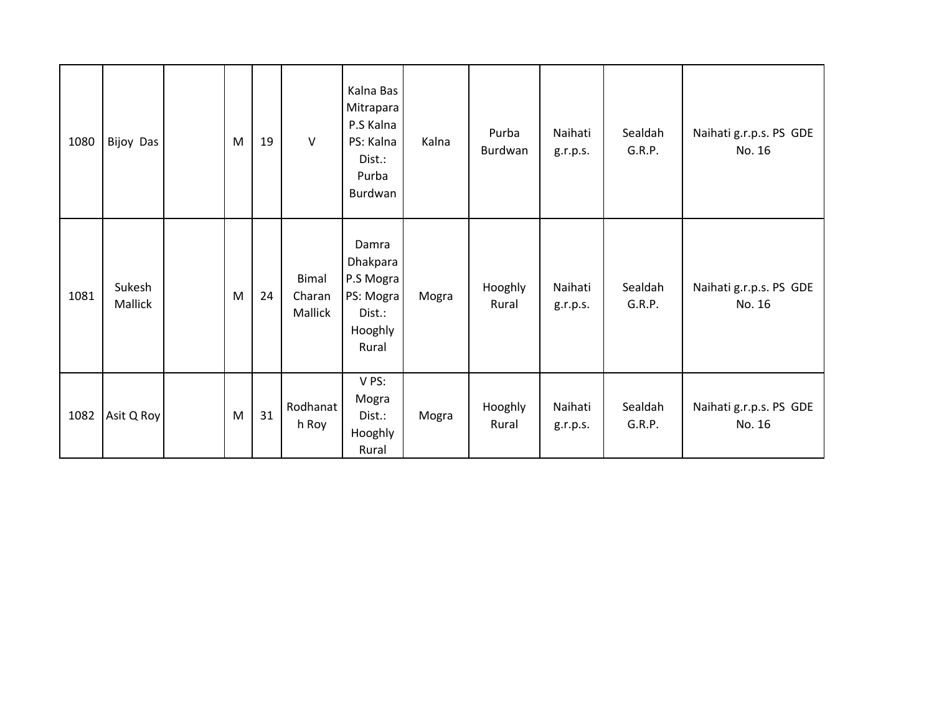| 1080 | Bijoy Das         | M         | 19 | $\vee$                            | Kalna Bas<br>Mitrapara<br>P.S Kalna<br>PS: Kalna<br>Dist.:<br>Purba<br>Burdwan | Kalna | Purba<br>Burdwan | Naihati<br>g.r.p.s. | Sealdah<br>G.R.P. | Naihati g.r.p.s. PS GDE<br>No. 16 |
|------|-------------------|-----------|----|-----------------------------------|--------------------------------------------------------------------------------|-------|------------------|---------------------|-------------------|-----------------------------------|
| 1081 | Sukesh<br>Mallick | M         | 24 | <b>Bimal</b><br>Charan<br>Mallick | Damra<br>Dhakpara<br>P.S Mogra<br>PS: Mogra<br>Dist.:<br>Hooghly<br>Rural      | Mogra | Hooghly<br>Rural | Naihati<br>g.r.p.s. | Sealdah<br>G.R.P. | Naihati g.r.p.s. PS GDE<br>No. 16 |
| 1082 | Asit Q Roy        | ${\sf M}$ | 31 | Rodhanat<br>h Roy                 | V PS:<br>Mogra<br>Dist.:<br>Hooghly<br>Rural                                   | Mogra | Hooghly<br>Rural | Naihati<br>g.r.p.s. | Sealdah<br>G.R.P. | Naihati g.r.p.s. PS GDE<br>No. 16 |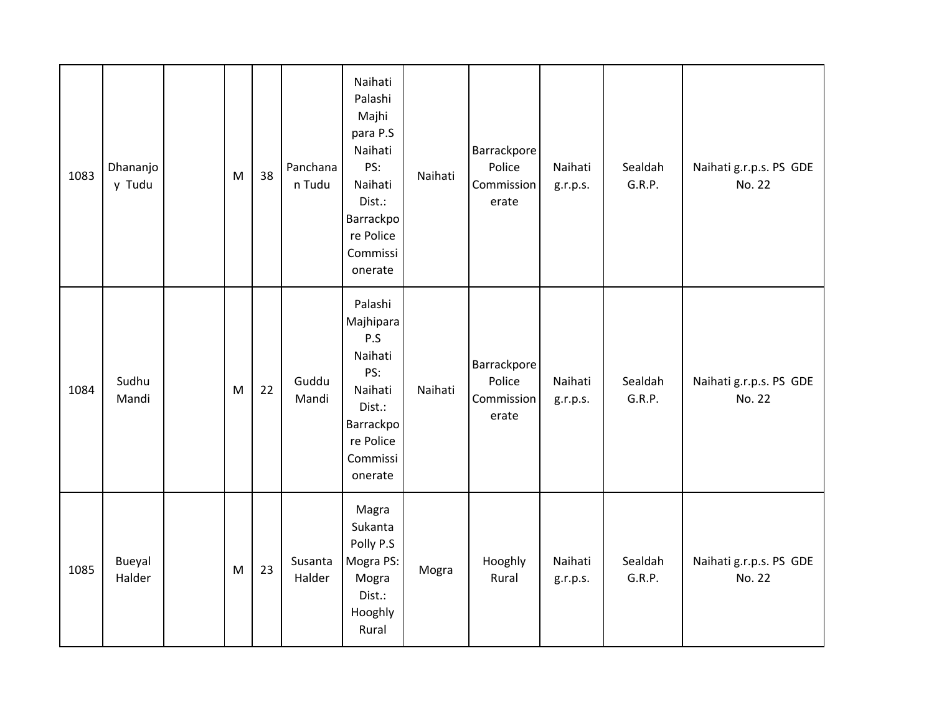| 1083 | Dhananjo<br>y Tudu | M | 38 | Panchana<br>n Tudu | Naihati<br>Palashi<br>Majhi<br>para P.S<br>Naihati<br>PS:<br>Naihati<br>Dist.:<br>Barrackpo<br>re Police<br>Commissi<br>onerate | Naihati | Barrackpore<br>Police<br>Commission<br>erate | Naihati<br>g.r.p.s. | Sealdah<br>G.R.P. | Naihati g.r.p.s. PS GDE<br>No. 22 |
|------|--------------------|---|----|--------------------|---------------------------------------------------------------------------------------------------------------------------------|---------|----------------------------------------------|---------------------|-------------------|-----------------------------------|
| 1084 | Sudhu<br>Mandi     | M | 22 | Guddu<br>Mandi     | Palashi<br>Majhipara<br>P.S<br>Naihati<br>PS:<br>Naihati<br>Dist.:<br>Barrackpo<br>re Police<br>Commissi<br>onerate             | Naihati | Barrackpore<br>Police<br>Commission<br>erate | Naihati<br>g.r.p.s. | Sealdah<br>G.R.P. | Naihati g.r.p.s. PS GDE<br>No. 22 |
| 1085 | Bueyal<br>Halder   | M | 23 | Susanta<br>Halder  | Magra<br>Sukanta<br>Polly P.S<br>Mogra PS:<br>Mogra<br>Dist.:<br>Hooghly<br>Rural                                               | Mogra   | Hooghly<br>Rural                             | Naihati<br>g.r.p.s. | Sealdah<br>G.R.P. | Naihati g.r.p.s. PS GDE<br>No. 22 |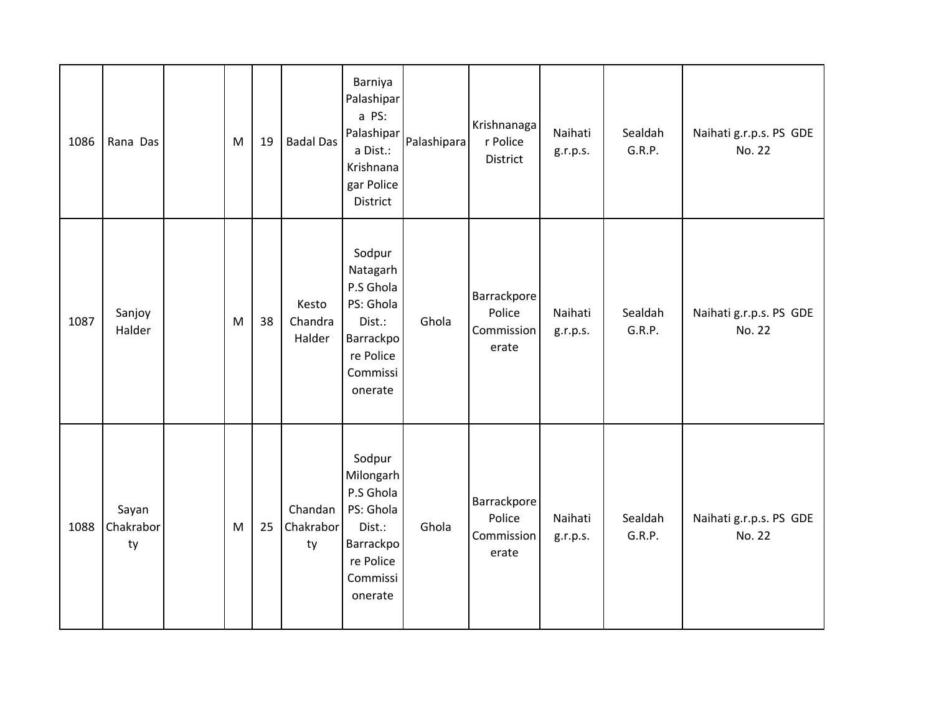| 1086 | Rana Das                 | M | 19 | <b>Badal Das</b>           | Barniya<br>Palashipar<br>a PS:<br>Palashipar<br>a Dist.:<br>Krishnana<br>gar Police<br>District          | Palashipara | Krishnanaga<br>r Police<br>District          | Naihati<br>g.r.p.s. | Sealdah<br>G.R.P. | Naihati g.r.p.s. PS GDE<br>No. 22 |
|------|--------------------------|---|----|----------------------------|----------------------------------------------------------------------------------------------------------|-------------|----------------------------------------------|---------------------|-------------------|-----------------------------------|
| 1087 | Sanjoy<br>Halder         | M | 38 | Kesto<br>Chandra<br>Halder | Sodpur<br>Natagarh<br>P.S Ghola<br>PS: Ghola<br>Dist.:<br>Barrackpo<br>re Police<br>Commissi<br>onerate  | Ghola       | Barrackpore<br>Police<br>Commission<br>erate | Naihati<br>g.r.p.s. | Sealdah<br>G.R.P. | Naihati g.r.p.s. PS GDE<br>No. 22 |
| 1088 | Sayan<br>Chakrabor<br>ty | M | 25 | Chandan<br>Chakrabor<br>ty | Sodpur<br>Milongarh<br>P.S Ghola<br>PS: Ghola<br>Dist.:<br>Barrackpo<br>re Police<br>Commissi<br>onerate | Ghola       | Barrackpore<br>Police<br>Commission<br>erate | Naihati<br>g.r.p.s. | Sealdah<br>G.R.P. | Naihati g.r.p.s. PS GDE<br>No. 22 |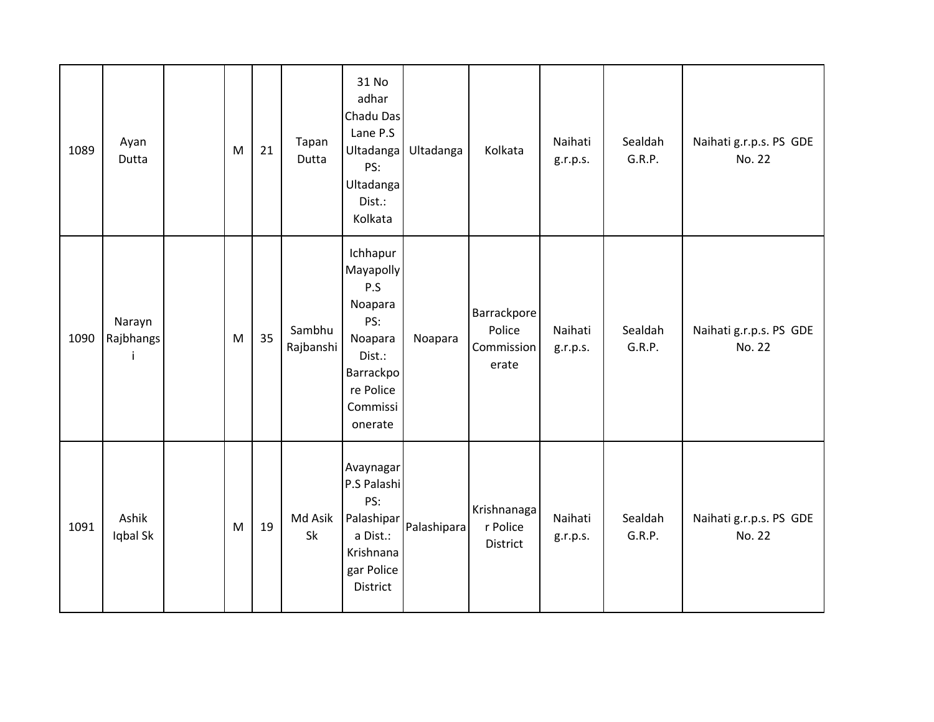| 1089 | Ayan<br>Dutta             | M         | 21 | Tapan<br>Dutta      | 31 No<br>adhar<br>Chadu Das<br>Lane P.S<br>Ultadanga<br>PS:<br>Ultadanga<br>Dist.:<br>Kolkata                        | Ultadanga   | Kolkata                                      | Naihati<br>g.r.p.s. | Sealdah<br>G.R.P. | Naihati g.r.p.s. PS GDE<br>No. 22 |
|------|---------------------------|-----------|----|---------------------|----------------------------------------------------------------------------------------------------------------------|-------------|----------------------------------------------|---------------------|-------------------|-----------------------------------|
| 1090 | Narayn<br>Rajbhangs<br>j. | ${\sf M}$ | 35 | Sambhu<br>Rajbanshi | Ichhapur<br>Mayapolly<br>P.S<br>Noapara<br>PS:<br>Noapara<br>Dist.:<br>Barrackpo<br>re Police<br>Commissi<br>onerate | Noapara     | Barrackpore<br>Police<br>Commission<br>erate | Naihati<br>g.r.p.s. | Sealdah<br>G.R.P. | Naihati g.r.p.s. PS GDE<br>No. 22 |
| 1091 | Ashik<br>Iqbal Sk         | M         | 19 | Md Asik<br>Sk       | Avaynagar<br>P.S Palashi<br>PS:<br>Palashipar<br>a Dist.:<br>Krishnana<br>gar Police<br>District                     | Palashipara | Krishnanaga<br>r Police<br>District          | Naihati<br>g.r.p.s. | Sealdah<br>G.R.P. | Naihati g.r.p.s. PS GDE<br>No. 22 |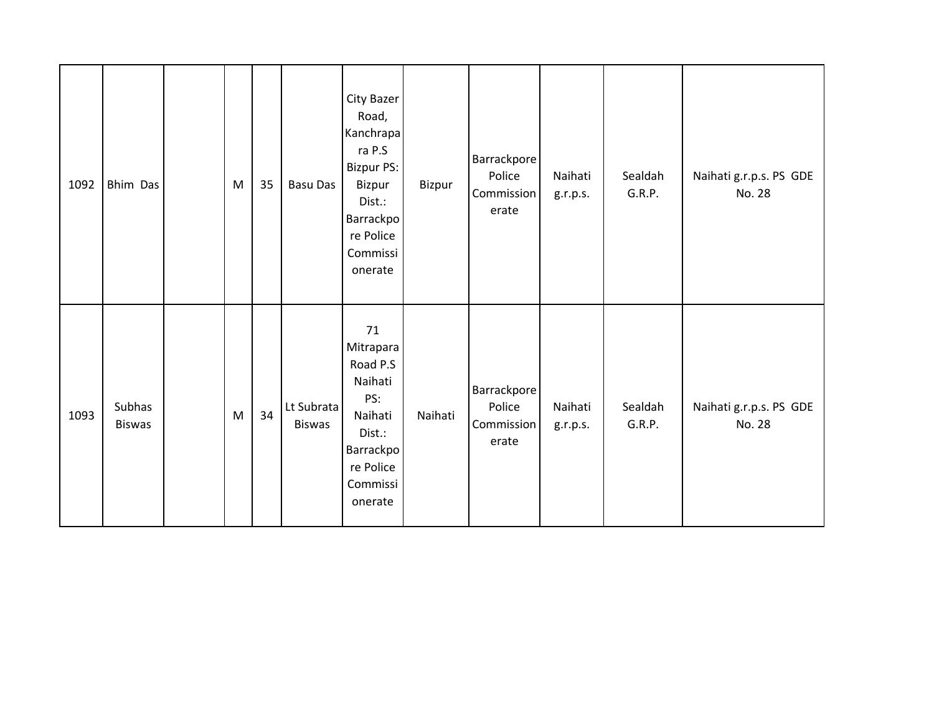| 1092 | Bhim Das                | M | 35 | <b>Basu Das</b>             | City Bazer<br>Road,<br>Kanchrapa<br>ra P.S<br>Bizpur PS:<br>Bizpur<br>Dist.:<br>Barrackpo<br>re Police<br>Commissi<br>onerate | Bizpur  | Barrackpore<br>Police<br>Commission<br>erate | Naihati<br>g.r.p.s. | Sealdah<br>G.R.P. | Naihati g.r.p.s. PS GDE<br>No. 28 |
|------|-------------------------|---|----|-----------------------------|-------------------------------------------------------------------------------------------------------------------------------|---------|----------------------------------------------|---------------------|-------------------|-----------------------------------|
| 1093 | Subhas<br><b>Biswas</b> | M | 34 | Lt Subrata<br><b>Biswas</b> | 71<br>Mitrapara<br>Road P.S<br>Naihati<br>PS:<br>Naihati<br>Dist.:<br><b>Barrackpo</b><br>re Police<br>Commissi<br>onerate    | Naihati | Barrackpore<br>Police<br>Commission<br>erate | Naihati<br>g.r.p.s. | Sealdah<br>G.R.P. | Naihati g.r.p.s. PS GDE<br>No. 28 |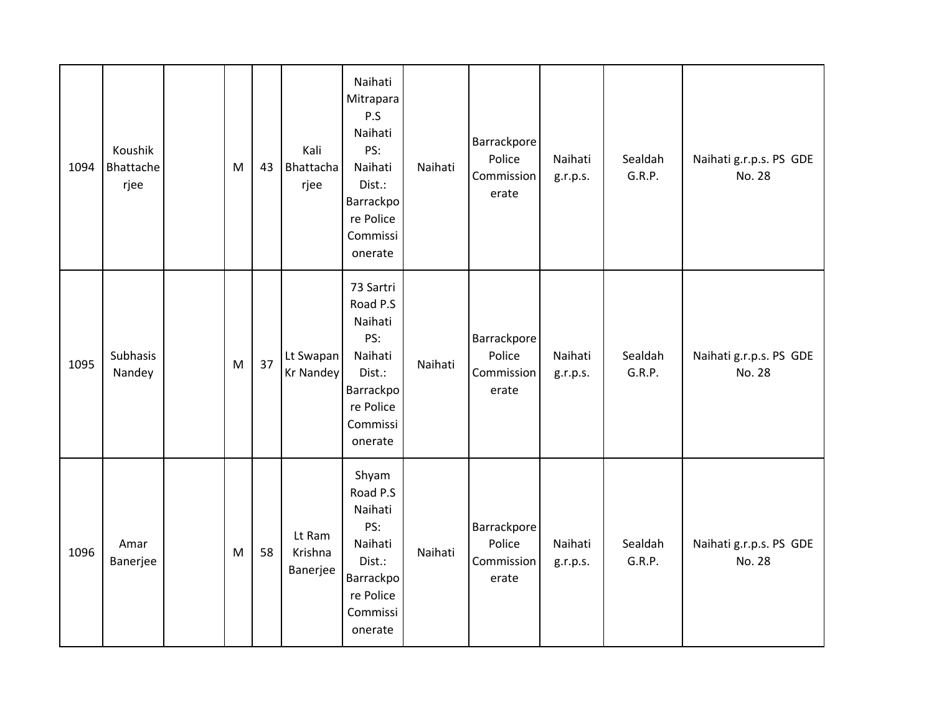| 1094 | Koushik<br>Bhattache<br>rjee | M | 43 | Kali<br>Bhattacha<br>rjee     | Naihati<br>Mitrapara<br>P.S<br>Naihati<br>PS:<br>Naihati<br>Dist.:<br>Barrackpo<br>re Police<br>Commissi<br>onerate | Naihati | Barrackpore<br>Police<br>Commission<br>erate | Naihati<br>g.r.p.s. | Sealdah<br>G.R.P. | Naihati g.r.p.s. PS GDE<br>No. 28 |
|------|------------------------------|---|----|-------------------------------|---------------------------------------------------------------------------------------------------------------------|---------|----------------------------------------------|---------------------|-------------------|-----------------------------------|
| 1095 | Subhasis<br>Nandey           | M | 37 | Lt Swapan<br>Kr Nandey        | 73 Sartri<br>Road P.S<br>Naihati<br>PS:<br>Naihati<br>Dist.:<br>Barrackpo<br>re Police<br>Commissi<br>onerate       | Naihati | Barrackpore<br>Police<br>Commission<br>erate | Naihati<br>g.r.p.s. | Sealdah<br>G.R.P. | Naihati g.r.p.s. PS GDE<br>No. 28 |
| 1096 | Amar<br>Banerjee             | M | 58 | Lt Ram<br>Krishna<br>Banerjee | Shyam<br>Road P.S<br>Naihati<br>PS:<br>Naihati<br>Dist.:<br>Barrackpo<br>re Police<br>Commissi<br>onerate           | Naihati | Barrackpore<br>Police<br>Commission<br>erate | Naihati<br>g.r.p.s. | Sealdah<br>G.R.P. | Naihati g.r.p.s. PS GDE<br>No. 28 |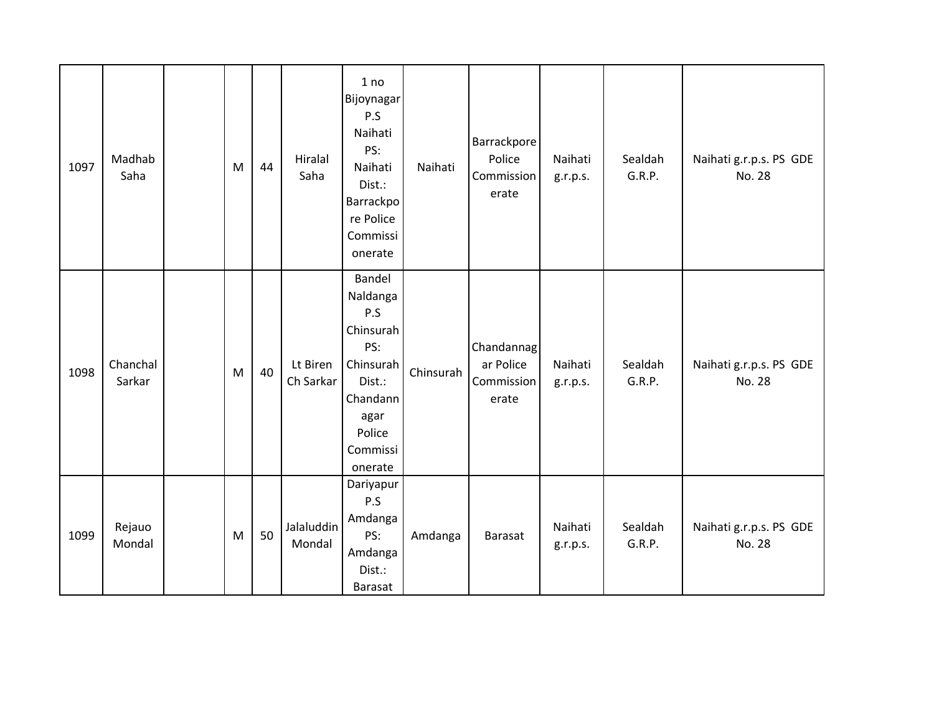| 1097 | Madhab<br>Saha     | M | 44 | Hiralal<br>Saha       | 1 no<br><b>Bijoynagar</b><br>P.S<br>Naihati<br>PS:<br>Naihati<br>Dist.:<br>Barrackpo<br>re Police<br>Commissi<br>onerate  | Naihati   | Barrackpore<br>Police<br>Commission<br>erate   | Naihati<br>g.r.p.s. | Sealdah<br>G.R.P. | Naihati g.r.p.s. PS GDE<br>No. 28 |
|------|--------------------|---|----|-----------------------|---------------------------------------------------------------------------------------------------------------------------|-----------|------------------------------------------------|---------------------|-------------------|-----------------------------------|
| 1098 | Chanchal<br>Sarkar | M | 40 | Lt Biren<br>Ch Sarkar | Bandel<br>Naldanga<br>P.S<br>Chinsurah<br>PS:<br>Chinsurah<br>Dist.:<br>Chandann<br>agar<br>Police<br>Commissi<br>onerate | Chinsurah | Chandannag<br>ar Police<br>Commission<br>erate | Naihati<br>g.r.p.s. | Sealdah<br>G.R.P. | Naihati g.r.p.s. PS GDE<br>No. 28 |
| 1099 | Rejauo<br>Mondal   | M | 50 | Jalaluddin<br>Mondal  | Dariyapur<br>P.S<br>Amdanga<br>PS:<br>Amdanga<br>Dist.:<br>Barasat                                                        | Amdanga   | <b>Barasat</b>                                 | Naihati<br>g.r.p.s. | Sealdah<br>G.R.P. | Naihati g.r.p.s. PS GDE<br>No. 28 |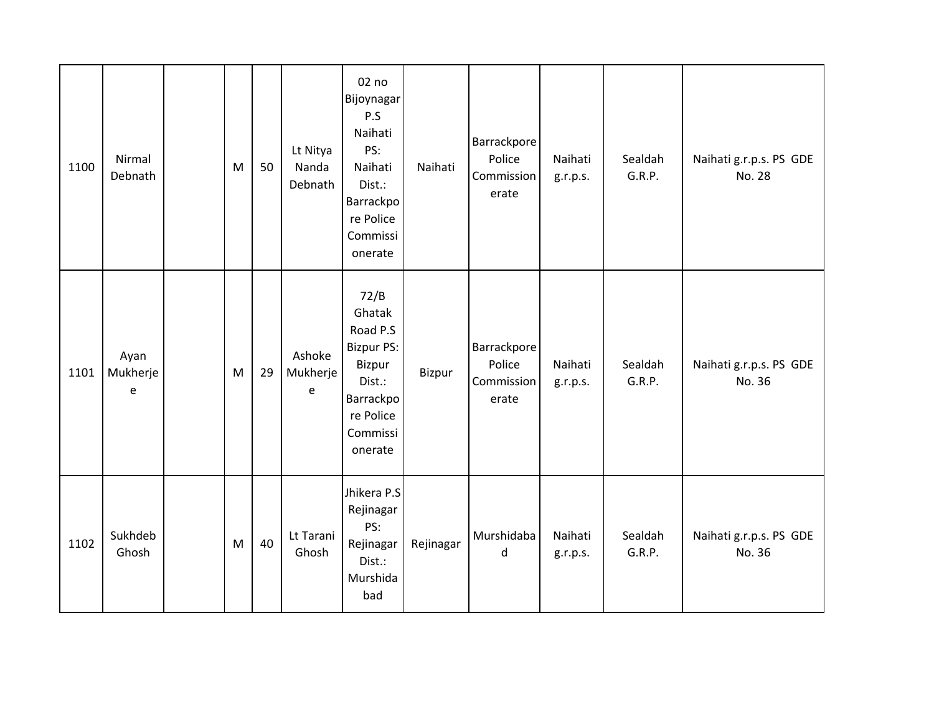| 1100 | Nirmal<br>Debnath                                     | M | 50 | Lt Nitya<br>Nanda<br>Debnath | 02 no<br>Bijoynagar<br>P.S<br>Naihati<br>PS:<br>Naihati<br>Dist.:<br>Barrackpo<br>re Police<br>Commissi<br>onerate   | Naihati   | Barrackpore<br>Police<br>Commission<br>erate | Naihati<br>g.r.p.s. | Sealdah<br>G.R.P. | Naihati g.r.p.s. PS GDE<br>No. 28 |
|------|-------------------------------------------------------|---|----|------------------------------|----------------------------------------------------------------------------------------------------------------------|-----------|----------------------------------------------|---------------------|-------------------|-----------------------------------|
| 1101 | Ayan<br>Mukherje<br>$\mathsf{e}% _{t}\left( t\right)$ | M | 29 | Ashoke<br>Mukherje<br>e      | 72/B<br>Ghatak<br>Road P.S<br><b>Bizpur PS:</b><br>Bizpur<br>Dist.:<br>Barrackpo<br>re Police<br>Commissi<br>onerate | Bizpur    | Barrackpore<br>Police<br>Commission<br>erate | Naihati<br>g.r.p.s. | Sealdah<br>G.R.P. | Naihati g.r.p.s. PS GDE<br>No. 36 |
| 1102 | Sukhdeb<br>Ghosh                                      | M | 40 | Lt Tarani<br>Ghosh           | Jhikera P.S<br>Rejinagar<br>PS:<br>Rejinagar<br>Dist.:<br>Murshida<br>bad                                            | Rejinagar | Murshidaba<br>d                              | Naihati<br>g.r.p.s. | Sealdah<br>G.R.P. | Naihati g.r.p.s. PS GDE<br>No. 36 |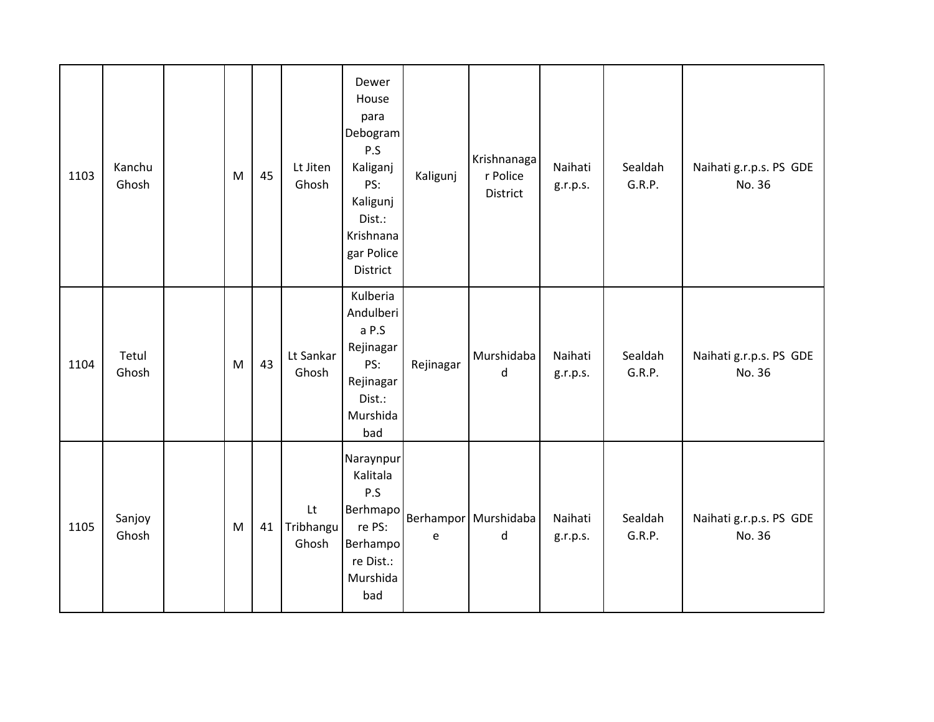| 1103 | Kanchu<br>Ghosh | M | 45 | Lt Jiten<br>Ghosh                            | Dewer<br>House<br>para<br>Debogram<br>P.S<br>Kaliganj<br>PS:<br>Kaligunj<br>Dist.:<br>Krishnana<br>gar Police<br>District | Kaligunj  | Krishnanaga<br>r Police<br>District | Naihati<br>g.r.p.s. | Sealdah<br>G.R.P. | Naihati g.r.p.s. PS GDE<br>No. 36 |
|------|-----------------|---|----|----------------------------------------------|---------------------------------------------------------------------------------------------------------------------------|-----------|-------------------------------------|---------------------|-------------------|-----------------------------------|
| 1104 | Tetul<br>Ghosh  | M | 43 | Lt Sankar<br>Ghosh                           | Kulberia<br>Andulberi<br>a P.S<br>Rejinagar<br>PS:<br>Rejinagar<br>Dist.:<br>Murshida<br>bad                              | Rejinagar | Murshidaba<br>d                     | Naihati<br>g.r.p.s. | Sealdah<br>G.R.P. | Naihati g.r.p.s. PS GDE<br>No. 36 |
| 1105 | Sanjoy<br>Ghosh | M | 41 | $\mathsf{L}\mathsf{t}$<br>Tribhangu<br>Ghosh | Naraynpur<br>Kalitala<br>P.S<br>Berhmapo<br>re PS:<br>Berhampo<br>re Dist.:<br>Murshida<br>bad                            | e         | Berhampor Murshidaba<br>d           | Naihati<br>g.r.p.s. | Sealdah<br>G.R.P. | Naihati g.r.p.s. PS GDE<br>No. 36 |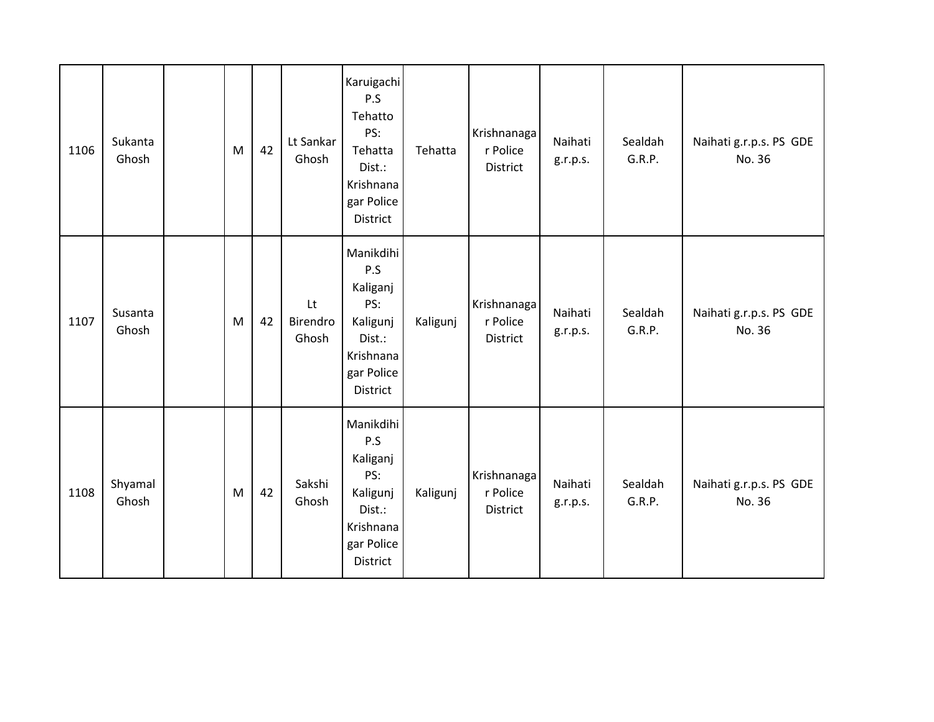| 1106 | Sukanta<br>Ghosh | M | 42 | Lt Sankar<br>Ghosh      | Karuigachi<br>P.S<br>Tehatto<br>PS:<br>Tehatta<br>Dist.:<br>Krishnana<br>gar Police<br>District  | Tehatta  | Krishnanaga<br>r Police<br>District | Naihati<br>g.r.p.s. | Sealdah<br>G.R.P. | Naihati g.r.p.s. PS GDE<br>No. 36 |
|------|------------------|---|----|-------------------------|--------------------------------------------------------------------------------------------------|----------|-------------------------------------|---------------------|-------------------|-----------------------------------|
| 1107 | Susanta<br>Ghosh | M | 42 | Lt<br>Birendro<br>Ghosh | Manikdihi<br>P.S<br>Kaliganj<br>PS:<br>Kaligunj<br>Dist.:<br>Krishnana<br>gar Police<br>District | Kaligunj | Krishnanaga<br>r Police<br>District | Naihati<br>g.r.p.s. | Sealdah<br>G.R.P. | Naihati g.r.p.s. PS GDE<br>No. 36 |
| 1108 | Shyamal<br>Ghosh | M | 42 | Sakshi<br>Ghosh         | Manikdihi<br>P.S<br>Kaliganj<br>PS:<br>Kaligunj<br>Dist.:<br>Krishnana<br>gar Police<br>District | Kaligunj | Krishnanaga<br>r Police<br>District | Naihati<br>g.r.p.s. | Sealdah<br>G.R.P. | Naihati g.r.p.s. PS GDE<br>No. 36 |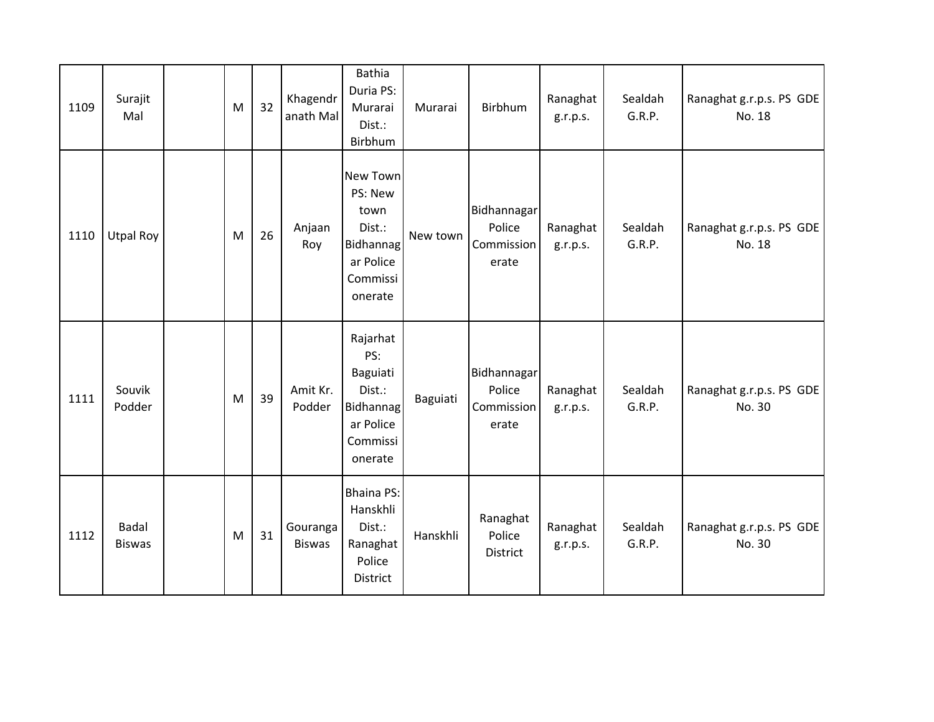| 1109 | Surajit<br>Mal                | M | 32 | Khagendr<br>anath Mal     | <b>Bathia</b><br>Duria PS:<br>Murarai<br>Dist.:<br>Birbhum                                    | Murarai  | Birbhum                                      | Ranaghat<br>g.r.p.s. | Sealdah<br>G.R.P. | Ranaghat g.r.p.s. PS GDE<br>No. 18 |
|------|-------------------------------|---|----|---------------------------|-----------------------------------------------------------------------------------------------|----------|----------------------------------------------|----------------------|-------------------|------------------------------------|
| 1110 | <b>Utpal Roy</b>              | M | 26 | Anjaan<br>Roy             | New Town<br>PS: New<br>town<br>Dist.:<br><b>Bidhannag</b><br>ar Police<br>Commissi<br>onerate | New town | Bidhannagar<br>Police<br>Commission<br>erate | Ranaghat<br>g.r.p.s. | Sealdah<br>G.R.P. | Ranaghat g.r.p.s. PS GDE<br>No. 18 |
| 1111 | Souvik<br>Podder              | M | 39 | Amit Kr.<br>Podder        | Rajarhat<br>PS:<br>Baguiati<br>Dist.:<br>Bidhannag<br>ar Police<br>Commissi<br>onerate        | Baguiati | Bidhannagar<br>Police<br>Commission<br>erate | Ranaghat<br>g.r.p.s. | Sealdah<br>G.R.P. | Ranaghat g.r.p.s. PS GDE<br>No. 30 |
| 1112 | <b>Badal</b><br><b>Biswas</b> | M | 31 | Gouranga<br><b>Biswas</b> | <b>Bhaina PS:</b><br>Hanskhli<br>Dist.:<br>Ranaghat<br>Police<br>District                     | Hanskhli | Ranaghat<br>Police<br><b>District</b>        | Ranaghat<br>g.r.p.s. | Sealdah<br>G.R.P. | Ranaghat g.r.p.s. PS GDE<br>No. 30 |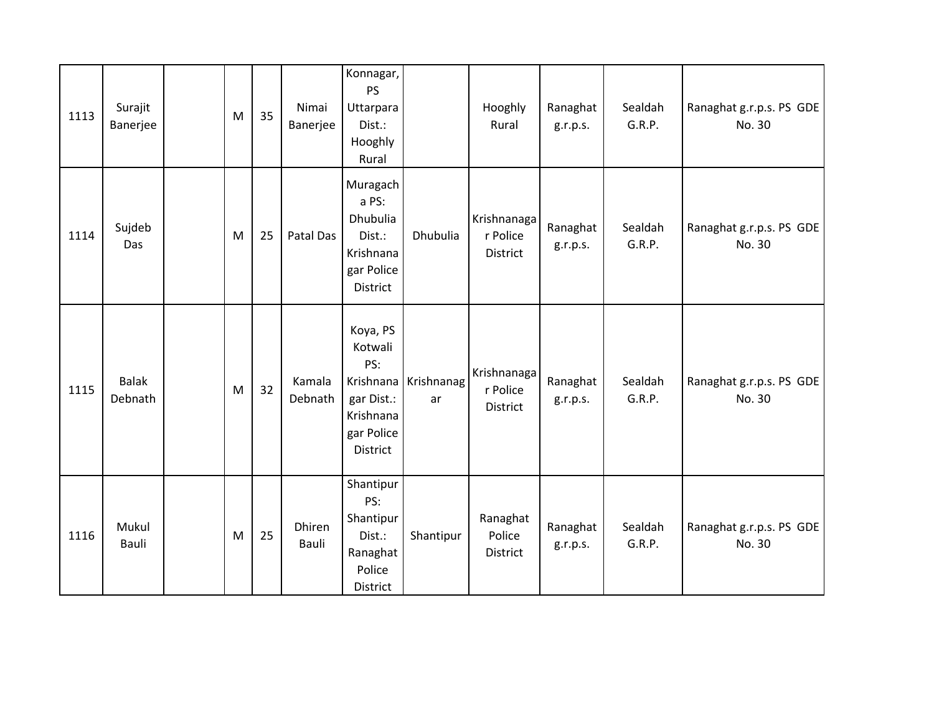| 1113 | Surajit<br>Banerjee     | M | 35 | Nimai<br>Banerjee | Konnagar,<br><b>PS</b><br>Uttarpara<br>Dist.:<br>Hooghly<br>Rural                      |                            | Hooghly<br>Rural                    | Ranaghat<br>g.r.p.s. | Sealdah<br>G.R.P. | Ranaghat g.r.p.s. PS GDE<br>No. 30 |
|------|-------------------------|---|----|-------------------|----------------------------------------------------------------------------------------|----------------------------|-------------------------------------|----------------------|-------------------|------------------------------------|
| 1114 | Sujdeb<br>Das           | M | 25 | Patal Das         | Muragach<br>a PS:<br>Dhubulia<br>Dist.:<br>Krishnana<br>gar Police<br>District         | Dhubulia                   | Krishnanaga<br>r Police<br>District | Ranaghat<br>g.r.p.s. | Sealdah<br>G.R.P. | Ranaghat g.r.p.s. PS GDE<br>No. 30 |
| 1115 | <b>Balak</b><br>Debnath | M | 32 | Kamala<br>Debnath | Koya, PS<br>Kotwali<br>PS:<br>gar Dist.:<br>Krishnana<br>gar Police<br><b>District</b> | Krishnana Krishnanag<br>ar | Krishnanaga<br>r Police<br>District | Ranaghat<br>g.r.p.s. | Sealdah<br>G.R.P. | Ranaghat g.r.p.s. PS GDE<br>No. 30 |
| 1116 | Mukul<br>Bauli          | M | 25 | Dhiren<br>Bauli   | Shantipur<br>PS:<br>Shantipur<br>Dist.:<br>Ranaghat<br>Police<br>District              | Shantipur                  | Ranaghat<br>Police<br>District      | Ranaghat<br>g.r.p.s. | Sealdah<br>G.R.P. | Ranaghat g.r.p.s. PS GDE<br>No. 30 |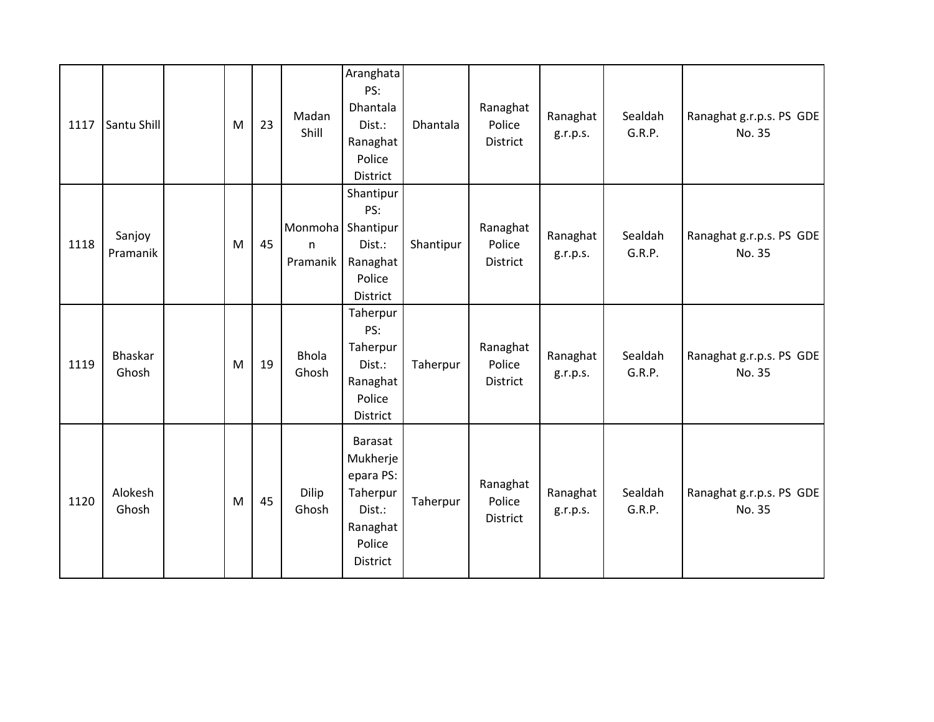| 1117 | Santu Shill        | M | 23 | Madan<br>Shill                                | Aranghata<br>PS:<br>Dhantala<br>Dist.:<br>Ranaghat<br>Police<br>District                        | Dhantala  | Ranaghat<br>Police<br>District | Ranaghat<br>g.r.p.s. | Sealdah<br>G.R.P. | Ranaghat g.r.p.s. PS GDE<br>No. 35 |
|------|--------------------|---|----|-----------------------------------------------|-------------------------------------------------------------------------------------------------|-----------|--------------------------------|----------------------|-------------------|------------------------------------|
| 1118 | Sanjoy<br>Pramanik | M | 45 | Monmoha Shantipur<br>$\mathsf{n}$<br>Pramanik | Shantipur<br>PS:<br>Dist.:<br>Ranaghat<br>Police<br>District                                    | Shantipur | Ranaghat<br>Police<br>District | Ranaghat<br>g.r.p.s. | Sealdah<br>G.R.P. | Ranaghat g.r.p.s. PS GDE<br>No. 35 |
| 1119 | Bhaskar<br>Ghosh   | M | 19 | <b>Bhola</b><br>Ghosh                         | Taherpur<br>PS:<br>Taherpur<br>Dist.:<br>Ranaghat<br>Police<br>District                         | Taherpur  | Ranaghat<br>Police<br>District | Ranaghat<br>g.r.p.s. | Sealdah<br>G.R.P. | Ranaghat g.r.p.s. PS GDE<br>No. 35 |
| 1120 | Alokesh<br>Ghosh   | M | 45 | Dilip<br>Ghosh                                | <b>Barasat</b><br>Mukherje<br>epara PS:<br>Taherpur<br>Dist.:<br>Ranaghat<br>Police<br>District | Taherpur  | Ranaghat<br>Police<br>District | Ranaghat<br>g.r.p.s. | Sealdah<br>G.R.P. | Ranaghat g.r.p.s. PS GDE<br>No. 35 |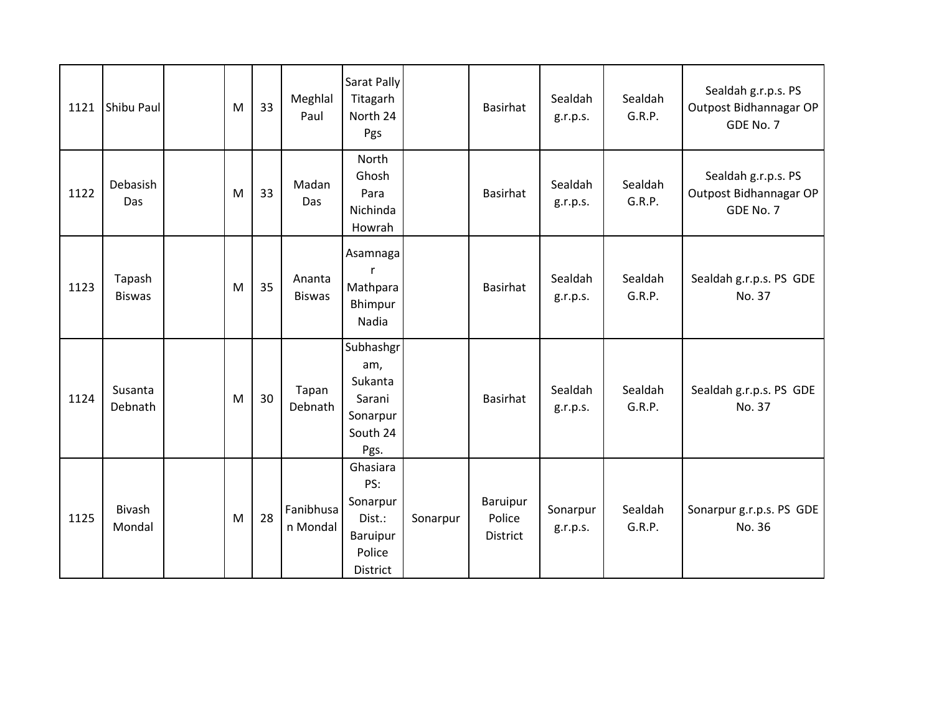| 1121 | Shibu Paul              | M | 33 | Meghlal<br>Paul         | Sarat Pally<br>Titagarh<br>North 24<br>Pgs                                     |          | <b>Basirhat</b>                       | Sealdah<br>g.r.p.s.  | Sealdah<br>G.R.P. | Sealdah g.r.p.s. PS<br>Outpost Bidhannagar OP<br>GDE No. 7 |
|------|-------------------------|---|----|-------------------------|--------------------------------------------------------------------------------|----------|---------------------------------------|----------------------|-------------------|------------------------------------------------------------|
| 1122 | Debasish<br>Das         | M | 33 | Madan<br><b>Das</b>     | North<br>Ghosh<br>Para<br>Nichinda<br>Howrah                                   |          | Basirhat                              | Sealdah<br>g.r.p.s.  | Sealdah<br>G.R.P. | Sealdah g.r.p.s. PS<br>Outpost Bidhannagar OP<br>GDE No. 7 |
| 1123 | Tapash<br><b>Biswas</b> | M | 35 | Ananta<br><b>Biswas</b> | Asamnaga<br>r<br>Mathpara<br>Bhimpur<br>Nadia                                  |          | <b>Basirhat</b>                       | Sealdah<br>g.r.p.s.  | Sealdah<br>G.R.P. | Sealdah g.r.p.s. PS GDE<br>No. 37                          |
| 1124 | Susanta<br>Debnath      | M | 30 | Tapan<br>Debnath        | Subhashgr<br>am,<br>Sukanta<br>Sarani<br>Sonarpur<br>South 24<br>Pgs.          |          | <b>Basirhat</b>                       | Sealdah<br>g.r.p.s.  | Sealdah<br>G.R.P. | Sealdah g.r.p.s. PS GDE<br>No. 37                          |
| 1125 | <b>Bivash</b><br>Mondal | M | 28 | Fanibhusa<br>n Mondal   | Ghasiara<br>PS:<br>Sonarpur<br>Dist.:<br><b>Baruipur</b><br>Police<br>District | Sonarpur | Baruipur<br>Police<br><b>District</b> | Sonarpur<br>g.r.p.s. | Sealdah<br>G.R.P. | Sonarpur g.r.p.s. PS GDE<br>No. 36                         |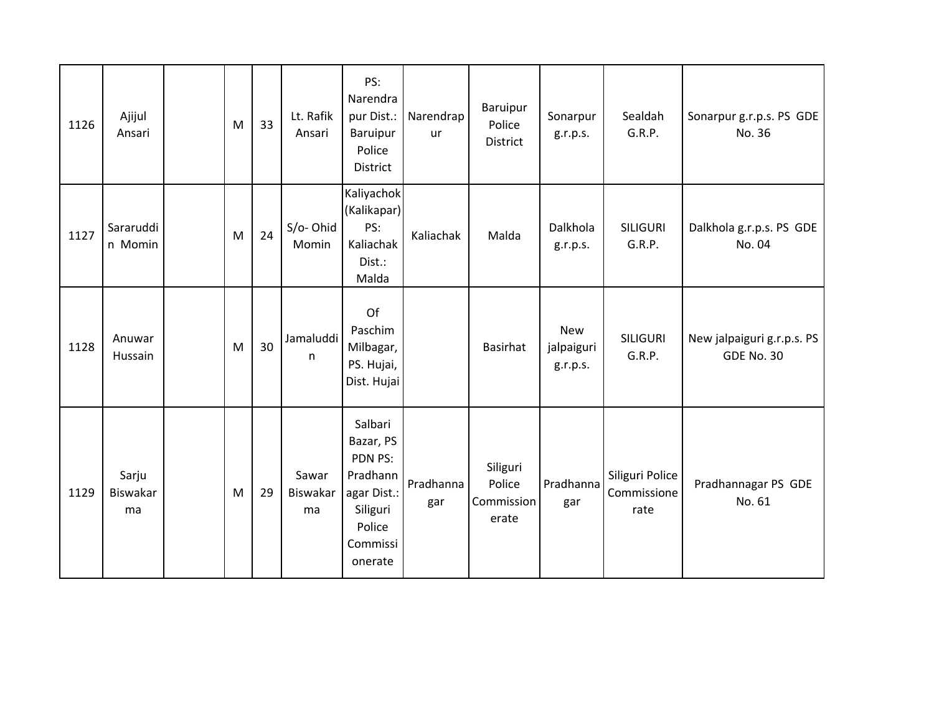| 1126 | Ajijul<br>Ansari        | M | 33 | Lt. Rafik<br>Ansari     | PS:<br>Narendra<br>pur Dist.:<br>Baruipur<br>Police<br>District                                         | Narendrap<br><b>ur</b> | Baruipur<br>Police<br>District            | Sonarpur<br>g.r.p.s.                 | Sealdah<br>G.R.P.                      | Sonarpur g.r.p.s. PS GDE<br>No. 36              |
|------|-------------------------|---|----|-------------------------|---------------------------------------------------------------------------------------------------------|------------------------|-------------------------------------------|--------------------------------------|----------------------------------------|-------------------------------------------------|
| 1127 | Sararuddi<br>n Momin    | M | 24 | S/o-Ohid<br>Momin       | Kaliyachok<br>(Kalikapar)<br>PS:<br>Kaliachak<br>Dist.:<br>Malda                                        | Kaliachak              | Malda                                     | Dalkhola<br>g.r.p.s.                 | <b>SILIGURI</b><br>G.R.P.              | Dalkhola g.r.p.s. PS GDE<br>No. 04              |
| 1128 | Anuwar<br>Hussain       | M | 30 | Jamaluddi<br>n          | Of<br>Paschim<br>Milbagar,<br>PS. Hujai,<br>Dist. Hujai                                                 |                        | <b>Basirhat</b>                           | <b>New</b><br>jalpaiguri<br>g.r.p.s. | <b>SILIGURI</b><br>G.R.P.              | New jalpaiguri g.r.p.s. PS<br><b>GDE No. 30</b> |
| 1129 | Sarju<br>Biswakar<br>ma | M | 29 | Sawar<br>Biswakar<br>ma | Salbari<br>Bazar, PS<br>PDN PS:<br>Pradhann<br>agar Dist.:<br>Siliguri<br>Police<br>Commissi<br>onerate | Pradhanna<br>gar       | Siliguri<br>Police<br>Commission<br>erate | Pradhanna<br>gar                     | Siliguri Police<br>Commissione<br>rate | Pradhannagar PS GDE<br>No. 61                   |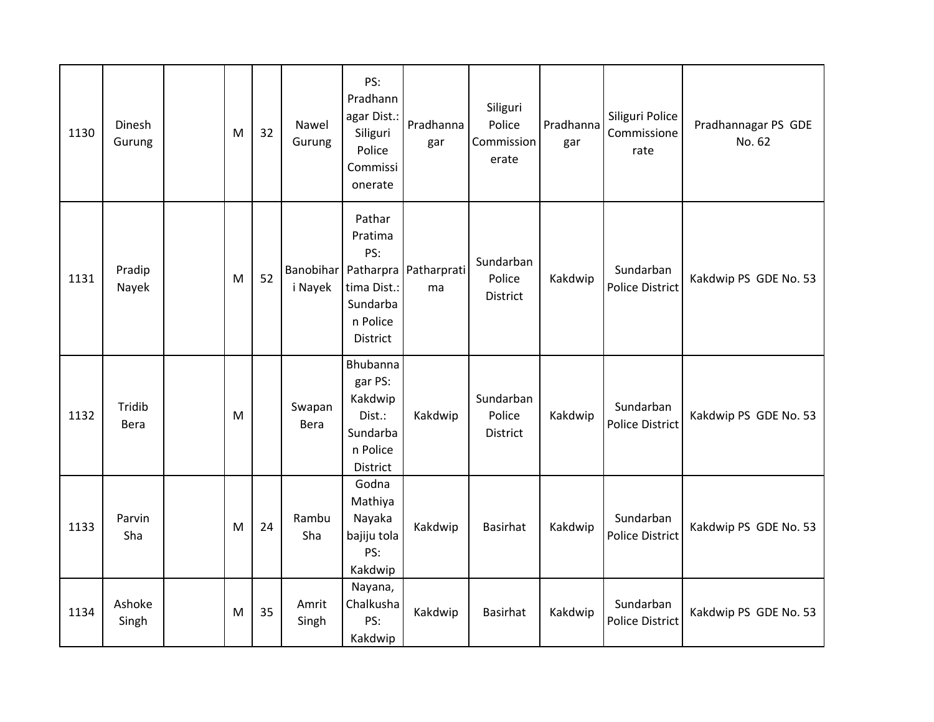| 1130 | Dinesh<br>Gurung | M | 32 | Nawel<br>Gurung       | PS:<br>Pradhann<br>agar Dist.:<br>Siliguri<br>Police<br>Commissi<br>onerate  | Pradhanna<br>gar                      | Siliguri<br>Police<br>Commission<br>erate | Pradhanna<br>gar | Siliguri Police<br>Commissione<br>rate | Pradhannagar PS GDE<br>No. 62 |
|------|------------------|---|----|-----------------------|------------------------------------------------------------------------------|---------------------------------------|-------------------------------------------|------------------|----------------------------------------|-------------------------------|
| 1131 | Pradip<br>Nayek  | M | 52 | i Nayek               | Pathar<br>Pratima<br>PS:<br>tima Dist.:<br>Sundarba<br>n Police<br>District  | Banobihar Patharpra Patharprati<br>ma | Sundarban<br>Police<br>District           | Kakdwip          | Sundarban<br>Police District           | Kakdwip PS GDE No. 53         |
| 1132 | Tridib<br>Bera   | M |    | Swapan<br><b>Bera</b> | Bhubanna<br>gar PS:<br>Kakdwip<br>Dist.:<br>Sundarba<br>n Police<br>District | Kakdwip                               | Sundarban<br>Police<br>District           | Kakdwip          | Sundarban<br><b>Police District</b>    | Kakdwip PS GDE No. 53         |
| 1133 | Parvin<br>Sha    | M | 24 | Rambu<br>Sha          | Godna<br>Mathiya<br>Nayaka<br>bajiju tola<br>PS:<br>Kakdwip                  | Kakdwip                               | <b>Basirhat</b>                           | Kakdwip          | Sundarban<br><b>Police District</b>    | Kakdwip PS GDE No. 53         |
| 1134 | Ashoke<br>Singh  | M | 35 | Amrit<br>Singh        | Nayana,<br>Chalkusha<br>PS:<br>Kakdwip                                       | Kakdwip                               | <b>Basirhat</b>                           | Kakdwip          | Sundarban<br>Police District           | Kakdwip PS GDE No. 53         |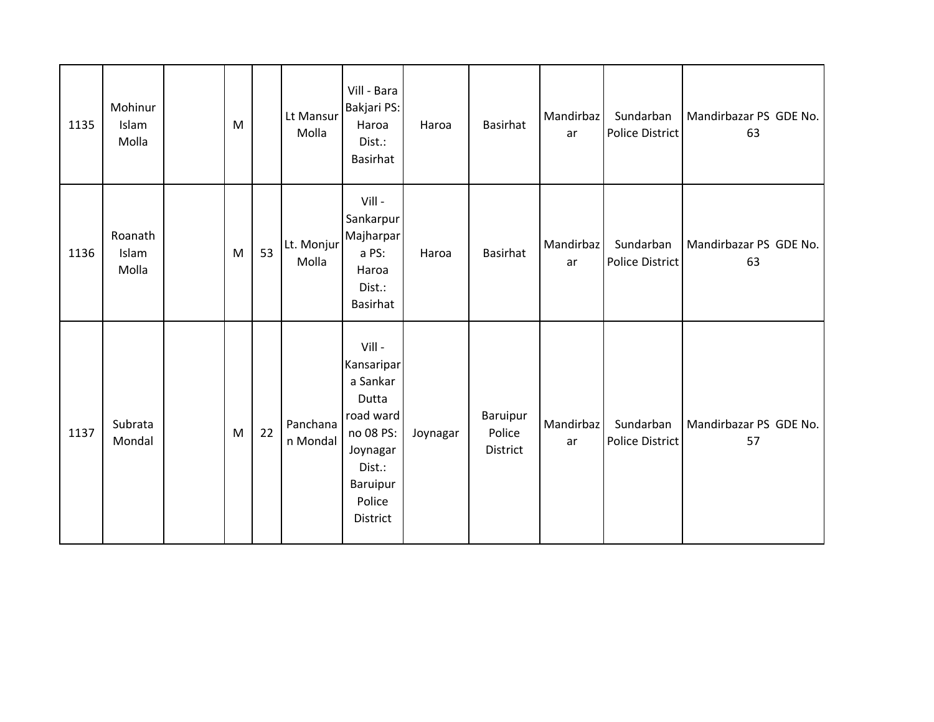| 1135 | Mohinur<br>Islam<br>Molla | M |    | Lt Mansur<br>Molla   | Vill - Bara<br>Bakjari PS:<br>Haroa<br>Dist.:<br><b>Basirhat</b>                                                                  | Haroa    | <b>Basirhat</b>                       | Mandirbaz<br>ar | Sundarban<br>Police District | Mandirbazar PS GDE No.<br>63 |
|------|---------------------------|---|----|----------------------|-----------------------------------------------------------------------------------------------------------------------------------|----------|---------------------------------------|-----------------|------------------------------|------------------------------|
| 1136 | Roanath<br>Islam<br>Molla | M | 53 | Lt. Monjur<br>Molla  | Vill -<br>Sankarpur<br>Majharpar<br>a PS:<br>Haroa<br>Dist.:<br><b>Basirhat</b>                                                   | Haroa    | <b>Basirhat</b>                       | Mandirbaz<br>ar | Sundarban<br>Police District | Mandirbazar PS GDE No.<br>63 |
| 1137 | Subrata<br>Mondal         | M | 22 | Panchana<br>n Mondal | Vill-<br>Kansaripar<br>a Sankar<br>Dutta<br>road ward<br>no 08 PS:<br>Joynagar<br>Dist.:<br><b>Baruipur</b><br>Police<br>District | Joynagar | Baruipur<br>Police<br><b>District</b> | Mandirbaz<br>ar | Sundarban<br>Police District | Mandirbazar PS GDE No.<br>57 |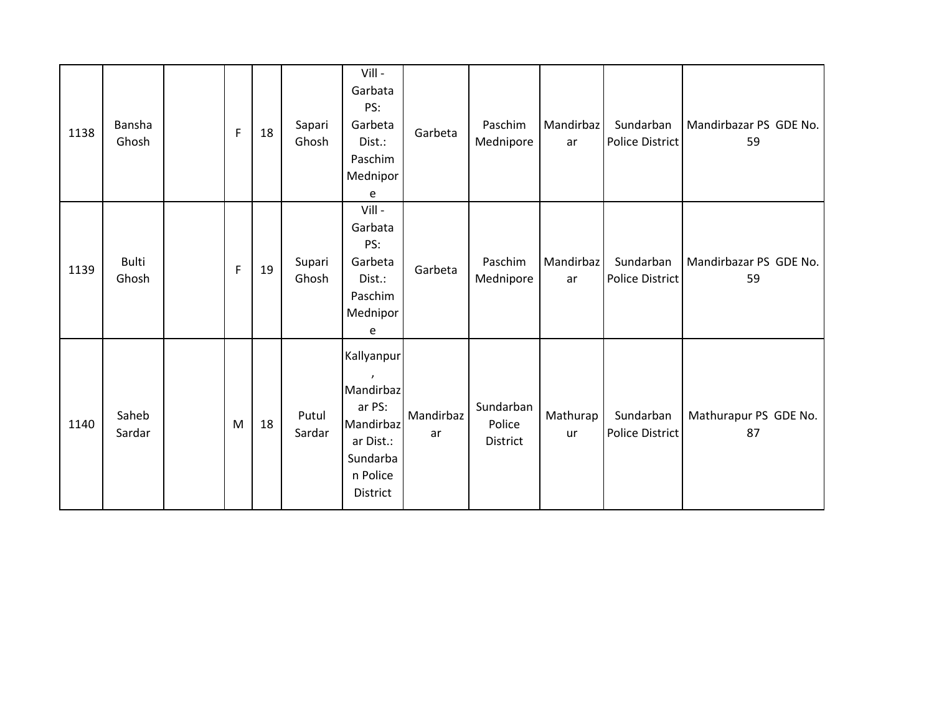| 1138 | Bansha<br>Ghosh       | F            | 18 | Sapari<br>Ghosh | Vill -<br>Garbata<br>PS:<br>Garbeta<br>Dist.:<br>Paschim<br>Mednipor<br>e                       | Garbeta         | Paschim<br>Mednipore            | Mandirbaz<br>ar | Sundarban<br>Police District | Mandirbazar PS GDE No.<br>59 |
|------|-----------------------|--------------|----|-----------------|-------------------------------------------------------------------------------------------------|-----------------|---------------------------------|-----------------|------------------------------|------------------------------|
| 1139 | <b>Bulti</b><br>Ghosh | $\mathsf{F}$ | 19 | Supari<br>Ghosh | Vill -<br>Garbata<br>PS:<br>Garbeta<br>Dist.:<br>Paschim<br>Mednipor<br>e                       | Garbeta         | Paschim<br>Mednipore            | Mandirbaz<br>ar | Sundarban<br>Police District | Mandirbazar PS GDE No.<br>59 |
| 1140 | Saheb<br>Sardar       | M            | 18 | Putul<br>Sardar | Kallyanpur<br>Mandirbaz<br>ar PS:<br>Mandirbaz<br>ar Dist.:<br>Sundarba<br>n Police<br>District | Mandirbaz<br>ar | Sundarban<br>Police<br>District | Mathurap<br>ur  | Sundarban<br>Police District | Mathurapur PS GDE No.<br>87  |